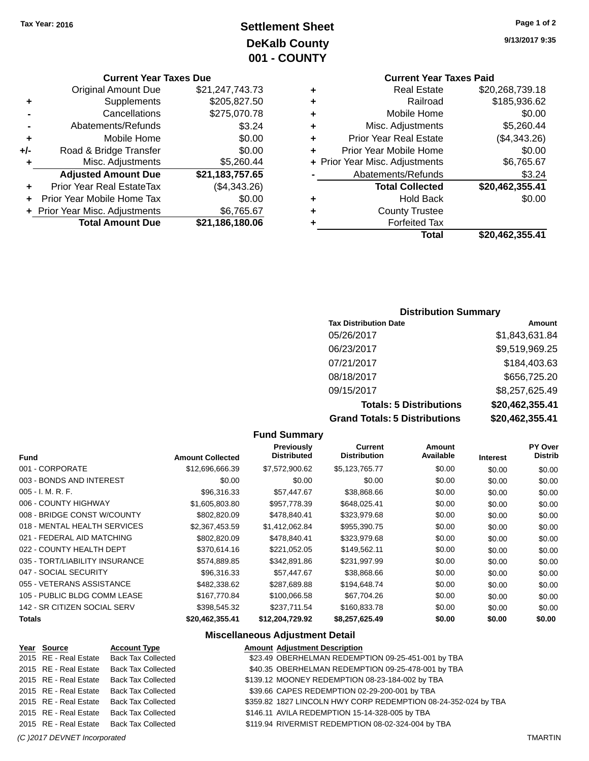# **Settlement Sheet Tax Year: 2016 Page 1 of 2 DeKalb County 001 - COUNTY**

#### **Current Year Taxes Due**

| <b>Original Amount Due</b> | \$21,247,743.73                |
|----------------------------|--------------------------------|
| Supplements                | \$205,827.50                   |
| Cancellations              | \$275,070.78                   |
| Abatements/Refunds         | \$3.24                         |
| Mobile Home                | \$0.00                         |
| Road & Bridge Transfer     | \$0.00                         |
| Misc. Adjustments          | \$5,260.44                     |
| <b>Adjusted Amount Due</b> | \$21,183,757.65                |
| Prior Year Real EstateTax  | (\$4,343.26)                   |
| Prior Year Mobile Home Tax | \$0.00                         |
|                            | \$6,765.67                     |
| <b>Total Amount Due</b>    | \$21,186,180.06                |
|                            | + Prior Year Misc. Adjustments |

**9/13/2017 9:35**

## **Current Year Taxes Paid**

| ٠ | <b>Real Estate</b>             | \$20,268,739.18 |
|---|--------------------------------|-----------------|
| ٠ | Railroad                       | \$185,936.62    |
| ٠ | Mobile Home                    | \$0.00          |
| ٠ | Misc. Adjustments              | \$5,260.44      |
| ٠ | <b>Prior Year Real Estate</b>  | (\$4,343.26)    |
| ٠ | Prior Year Mobile Home         | \$0.00          |
|   | + Prior Year Misc. Adjustments | \$6,765.67      |
|   | Abatements/Refunds             | \$3.24          |
|   | <b>Total Collected</b>         | \$20,462,355.41 |
| ٠ | <b>Hold Back</b>               | \$0.00          |
| ٠ | <b>County Trustee</b>          |                 |
| ٠ | <b>Forfeited Tax</b>           |                 |
|   | <b>Total</b>                   | \$20,462,355.41 |
|   |                                |                 |

### **Distribution Summary**

| <b>Tax Distribution Date</b>         | Amount          |
|--------------------------------------|-----------------|
| 05/26/2017                           | \$1,843,631.84  |
| 06/23/2017                           | \$9,519,969.25  |
| 07/21/2017                           | \$184,403.63    |
| 08/18/2017                           | \$656,725.20    |
| 09/15/2017                           | \$8,257,625.49  |
| <b>Totals: 5 Distributions</b>       | \$20,462,355.41 |
| <b>Grand Totals: 5 Distributions</b> | \$20,462,355.41 |

#### **Fund Summary Fund Interest Amount Collected Distributed PY Over Distrib Amount Available Current Distribution Previously** 001 - CORPORATE \$12,696,666.39 \$7,572,900.62 \$5,123,765.77 \$0.00 \$0.00 \$0.00 \$0.00 003 - BONDS AND INTEREST  $$0.00$   $$0.00$   $$0.00$   $$0.00$   $$0.00$   $$0.00$   $$0.00$   $$0.00$ 005 - I. M. R. F. \$96,316.33 \$57,447.67 \$38,868.66 \$0.00 \$0.00 \$0.00 006 - COUNTY HIGHWAY **\$1,605,803.80** \$957,778.39 \$648,025.41 \$0.00 \$0.00 \$0.00 008 - BRIDGE CONST W/COUNTY  $$802,820.09$   $$478,840.41$   $$323,979.68$   $$0.00$   $$0.00$   $$0.00$ 018 - MENTAL HEALTH SERVICES  $$2,367,453.59$   $$1,412,062.84$   $$955,390.75$   $$0.00$   $$0.00$   $$0.00$ 021 - FEDERAL AID MATCHING \$802,820.09 \$478,840.41 \$323,979.68 \$0.00 \$0.00 \$0.00 \$0.00 022 - COUNTY HEALTH DEPT  $$370,614.16$   $$221,052.05$   $$149,562.11$   $$0.00$   $$0.00$  \$0.00 \$0.00 035 - TORT/LIABILITY INSURANCE \$574,889.85 \$342,891.86 \$231,997.99 \$0.00 \$0.00 \$0.00 \$0.00 047 - SOCIAL SECURITY \$96,316.33 \$57,447.67 \$38,868.66 \$0.00 \$0.00 \$0.00 \$0.00 055 - VETERANS ASSISTANCE \$482,338.62 \$287,689.88 \$194,648.74 \$0.00 \$0.00 \$0.00 105 - PUBLIC BLDG COMM LEASE \$167,770.84 \$100,066.58 \$67,704.26 \$0.00 \$0.00 \$0.00 142 - SR CITIZEN SOCIAL SERV \$398,545.32 \$237,711.54 \$160,833.78 \$0.00 \$0.00 \$0.00 \$0.00 **Totals \$20,462,355.41 \$12,204,729.92 \$8,257,625.49 \$0.00 \$0.00 \$0.00**

| Year Source           | <b>Account Type</b>       | <b>Amount Adjustment Description</b>                           |
|-----------------------|---------------------------|----------------------------------------------------------------|
| 2015 RE - Real Estate | <b>Back Tax Collected</b> | \$23.49 OBERHELMAN REDEMPTION 09-25-451-001 by TBA             |
| 2015 RE - Real Estate | <b>Back Tax Collected</b> | \$40.35 OBERHELMAN REDEMPTION 09-25-478-001 by TBA             |
| 2015 RE - Real Estate | <b>Back Tax Collected</b> | \$139.12 MOONEY REDEMPTION 08-23-184-002 by TBA                |
| 2015 RE - Real Estate | <b>Back Tax Collected</b> | \$39.66 CAPES REDEMPTION 02-29-200-001 by TBA                  |
| 2015 RE - Real Estate | <b>Back Tax Collected</b> | \$359.82 1827 LINCOLN HWY CORP REDEMPTION 08-24-352-024 by TBA |
| 2015 RE - Real Estate | <b>Back Tax Collected</b> | \$146.11 AVILA REDEMPTION 15-14-328-005 by TBA                 |
| 2015 RE - Real Estate | <b>Back Tax Collected</b> | \$119.94 RIVERMIST REDEMPTION 08-02-324-004 by TBA             |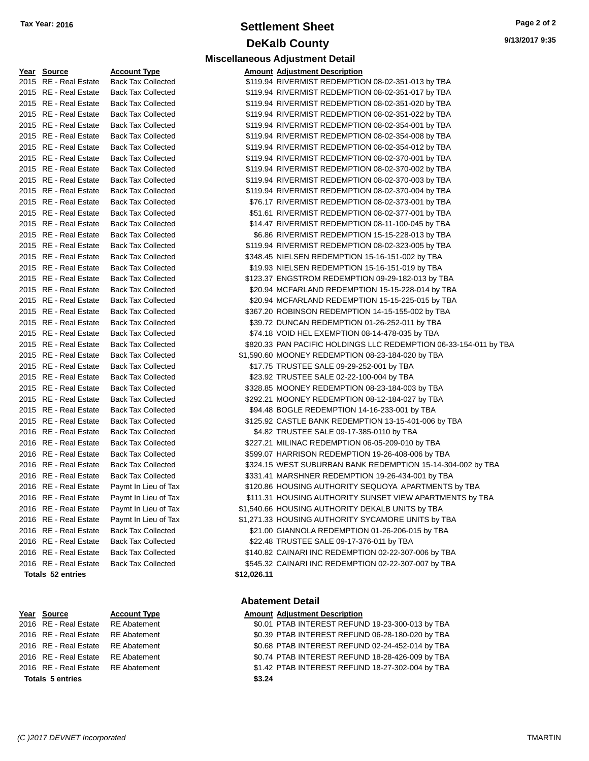# **Settlement Sheet Tax Year: 2016 Page 2 of 2 DeKalb County**

**9/13/2017 9:35**

#### 2015 RE - Real Estate Back T 2015 RE - Real Estate Back T 2015 RE - Real Estate Back T 2015 RE - Real Estate Back T 2015 RE - Real Estate Back T 2015 RE - Real Estate Back T 2015 RE - Real Estate Back T 2015 RE - Real Estate Back T 2015 RE - Real Estate Back T 2015 RE - Real Estate Back T 2015 RE - Real Estate Back T 2015 RE - Real Estate Back T 2015 RE - Real Estate Back T 2015 RE - Real Estate Back T 2015 RE - Real Estate Back T 2015 RE - Real Estate Back T 2015 RE - Real Estate Back T 2015 RE - Real Estate Back T 2015 RE - Real Estate Back T 2015 RE - Real Estate Back T 2015 RE - Real Estate Back T 2015 RE - Real Estate Back T 2015 RE - Real Estate Back T 2015 RE - Real Estate Back T 2015 RE - Real Estate Back T 2015 RE - Real Estate Back T 2015 RE - Real Estate Back T 2015 RE - Real Estate Back T 2015 RE - Real Estate Back T 2015 RE - Real Estate Back T 2015 RE - Real Estate Back T 2015 RE - Real Estate Back T 2016 RE - Real Estate Back T 2016 RE - Real Estate Back T 2016 RE - Real Estate Back T 2016 RE - Real Estate Back T 2016 RE - Real Estate Back T 2016 RE - Real Estate Paymt 2016 RE - Real Estate Paymt 2016 RE - Real Estate Paymt 2016 RE - Real Estate Paymt 2016 RE - Real Estate Back T 2016 RE - Real Estate Back T 2016 RE - Real Estate Back T 2016 RE - Real Estate Back T **Totals 52 entries**

| <b>ACCOUNT IVDE</b> |
|---------------------|
| <b>RE</b> Abatement |
| <b>RE</b> Abatement |
| <b>RE</b> Abatement |
| <b>RE</b> Abatement |

## **Totals \$3.24 5 entries**

|  |             |                     | <b>Miscellaneous Adjustment Detail</b> |
|--|-------------|---------------------|----------------------------------------|
|  | Year Source | <b>Account Type</b> | <b>Amount Adiustment Description</b>   |

| ax Collected   |             | \$119.94 RIVERMIST REDEMPTION 08-02-351-013 by TBA                |
|----------------|-------------|-------------------------------------------------------------------|
| ax Collected   |             | \$119.94 RIVERMIST REDEMPTION 08-02-351-017 by TBA                |
| ax Collected   |             | \$119.94 RIVERMIST REDEMPTION 08-02-351-020 by TBA                |
| ax Collected   |             | \$119.94 RIVERMIST REDEMPTION 08-02-351-022 by TBA                |
| ax Collected   |             | \$119.94 RIVERMIST REDEMPTION 08-02-354-001 by TBA                |
| ax Collected   |             | \$119.94 RIVERMIST REDEMPTION 08-02-354-008 by TBA                |
| ax Collected   |             | \$119.94 RIVERMIST REDEMPTION 08-02-354-012 by TBA                |
| ax Collected   |             | \$119.94 RIVERMIST REDEMPTION 08-02-370-001 by TBA                |
| ax Collected   |             | \$119.94 RIVERMIST REDEMPTION 08-02-370-002 by TBA                |
| ax Collected   |             | \$119.94 RIVERMIST REDEMPTION 08-02-370-003 by TBA                |
| ax Collected   |             | \$119.94 RIVERMIST REDEMPTION 08-02-370-004 by TBA                |
| ax Collected   |             | \$76.17 RIVERMIST REDEMPTION 08-02-373-001 by TBA                 |
| ax Collected   |             | \$51.61 RIVERMIST REDEMPTION 08-02-377-001 by TBA                 |
| ax Collected   |             | \$14.47 RIVERMIST REDEMPTION 08-11-100-045 by TBA                 |
| ax Collected   |             | \$6.86 RIVERMIST REDEMPTION 15-15-228-013 by TBA                  |
| ax Collected   |             | \$119.94 RIVERMIST REDEMPTION 08-02-323-005 by TBA                |
| ax Collected   |             | \$348.45 NIELSEN REDEMPTION 15-16-151-002 by TBA                  |
| ax Collected   |             | \$19.93 NIELSEN REDEMPTION 15-16-151-019 by TBA                   |
| ax Collected   |             | \$123.37 ENGSTROM REDEMPTION 09-29-182-013 by TBA                 |
| ax Collected   |             | \$20.94 MCFARLAND REDEMPTION 15-15-228-014 by TBA                 |
| ax Collected   |             | \$20.94 MCFARLAND REDEMPTION 15-15-225-015 by TBA                 |
| ax Collected   |             | \$367.20 ROBINSON REDEMPTION 14-15-155-002 by TBA                 |
| ax Collected   |             | \$39.72 DUNCAN REDEMPTION 01-26-252-011 by TBA                    |
| ax Collected   |             | \$74.18 VOID HEL EXEMPTION 08-14-478-035 by TBA                   |
| ax Collected   |             | \$820.33 PAN PACIFIC HOLDINGS LLC REDEMPTION 06-33-154-011 by TBA |
| ax Collected   |             | \$1,590.60 MOONEY REDEMPTION 08-23-184-020 by TBA                 |
| ax Collected   |             | \$17.75 TRUSTEE SALE 09-29-252-001 by TBA                         |
| ax Collected   |             | \$23.92 TRUSTEE SALE 02-22-100-004 by TBA                         |
| ax Collected   |             | \$328.85 MOONEY REDEMPTION 08-23-184-003 by TBA                   |
| ax Collected   |             | \$292.21 MOONEY REDEMPTION 08-12-184-027 by TBA                   |
| ax Collected   |             | \$94.48 BOGLE REDEMPTION 14-16-233-001 by TBA                     |
| ax Collected   |             | \$125.92 CASTLE BANK REDEMPTION 13-15-401-006 by TBA              |
| ax Collected   |             | \$4.82 TRUSTEE SALE 09-17-385-0110 by TBA                         |
| ax Collected   |             | \$227.21 MILINAC REDEMPTION 06-05-209-010 by TBA                  |
| ax Collected   |             | \$599.07 HARRISON REDEMPTION 19-26-408-006 by TBA                 |
| ax Collected   |             | \$324.15 WEST SUBURBAN BANK REDEMPTION 15-14-304-002 by TBA       |
| ax Collected   |             | \$331.41 MARSHNER REDEMPTION 19-26-434-001 by TBA                 |
| In Lieu of Tax |             | \$120.86 HOUSING AUTHORITY SEQUOYA APARTMENTS by TBA              |
| In Lieu of Tax |             | \$111.31 HOUSING AUTHORITY SUNSET VIEW APARTMENTS by TBA          |
| In Lieu of Tax |             | \$1,540.66 HOUSING AUTHORITY DEKALB UNITS by TBA                  |
| In Lieu of Tax |             | \$1,271.33 HOUSING AUTHORITY SYCAMORE UNITS by TBA                |
| ax Collected   |             | \$21.00 GIANNOLA REDEMPTION 01-26-206-015 by TBA                  |
| ax Collected   |             | \$22.48 TRUSTEE SALE 09-17-376-011 by TBA                         |
| ax Collected   |             | \$140.82 CAINARI INC REDEMPTION 02-22-307-006 by TBA              |
| ax Collected   |             | \$545.32 CAINARI INC REDEMPTION 02-22-307-007 by TBA              |
|                | \$12,026.11 |                                                                   |

#### **Abatement Detail**

### **Year Source Account Type Amount Adjustment Description**

2016 RE - Real Estate RE Abatement \$0.01 PTAB INTEREST REFUND 19-23-300-013 by TBA 2016 RE - Real Estate RE Abatement \$0.39 PTAB INTEREST REFUND 06-28-180-020 by TBA 2016 RE - Real Estate RE Abatement \$0.68 PTAB INTEREST REFUND 02-24-452-014 by TBA 2016 RE - Real Estate \$0.74 PTAB INTEREST REFUND 18-28-426-009 by TBA RE Abatement 2016 RE - Real Estate RE Abatement \$1.42 PTAB INTEREST REFUND 18-27-302-004 by TBA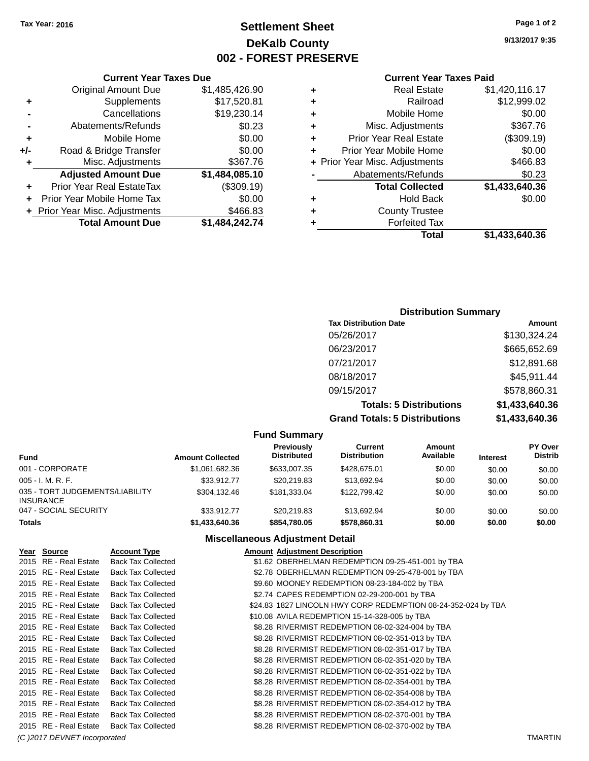# **Settlement Sheet Tax Year: 2016 Page 1 of 2 DeKalb County 002 - FOREST PRESERVE**

**9/13/2017 9:35**

### **Current Year Taxes Paid**

|   | Total                          | \$1,433,640.36 |
|---|--------------------------------|----------------|
|   | <b>Forfeited Tax</b>           |                |
| ٠ | <b>County Trustee</b>          |                |
| ٠ | <b>Hold Back</b>               | \$0.00         |
|   | <b>Total Collected</b>         | \$1,433,640.36 |
|   | Abatements/Refunds             | \$0.23         |
|   | + Prior Year Misc. Adjustments | \$466.83       |
| ٠ | Prior Year Mobile Home         | \$0.00         |
| ٠ | <b>Prior Year Real Estate</b>  | (\$309.19)     |
| ٠ | Misc. Adjustments              | \$367.76       |
| ٠ | Mobile Home                    | \$0.00         |
| ٠ | Railroad                       | \$12,999.02    |
|   | <b>Real Estate</b>             | \$1,420,116.17 |

|     | <b>Current Year Taxes Due</b>    |                |  |  |  |
|-----|----------------------------------|----------------|--|--|--|
|     | <b>Original Amount Due</b>       | \$1,485,426.90 |  |  |  |
| ٠   | Supplements                      | \$17,520.81    |  |  |  |
|     | \$19,230.14<br>Cancellations     |                |  |  |  |
|     | \$0.23<br>Abatements/Refunds     |                |  |  |  |
| ٠   | Mobile Home                      | \$0.00         |  |  |  |
| +/- | Road & Bridge Transfer           | \$0.00         |  |  |  |
| ٠   | Misc. Adjustments                | \$367.76       |  |  |  |
|     | <b>Adjusted Amount Due</b>       | \$1,484,085.10 |  |  |  |
| ٠   | <b>Prior Year Real EstateTax</b> | (\$309.19)     |  |  |  |
| ÷   | Prior Year Mobile Home Tax       | \$0.00         |  |  |  |
|     | + Prior Year Misc. Adjustments   | \$466.83       |  |  |  |
|     | <b>Total Amount Due</b>          | \$1,484,242.74 |  |  |  |

| <b>Distribution Summary</b>    |                |  |  |  |
|--------------------------------|----------------|--|--|--|
| <b>Tax Distribution Date</b>   | Amount         |  |  |  |
| 05/26/2017                     | \$130,324.24   |  |  |  |
| 06/23/2017                     | \$665,652.69   |  |  |  |
| 07/21/2017                     | \$12,891.68    |  |  |  |
| 08/18/2017                     | \$45,911.44    |  |  |  |
| 09/15/2017                     | \$578,860.31   |  |  |  |
| <b>Totals: 5 Distributions</b> | \$1,433,640.36 |  |  |  |
| _ _ _                          |                |  |  |  |

**Grand Totals: 5 Distributions \$1,433,640.36**

| Distributions |
|---------------|
|---------------|

| <b>Fund Summary</b>                                 |                         |                                  |                                |                     |                 |                           |
|-----------------------------------------------------|-------------------------|----------------------------------|--------------------------------|---------------------|-----------------|---------------------------|
| <b>Fund</b>                                         | <b>Amount Collected</b> | Previously<br><b>Distributed</b> | Current<br><b>Distribution</b> | Amount<br>Available | <b>Interest</b> | PY Over<br><b>Distrib</b> |
| 001 - CORPORATE                                     | \$1.061.682.36          | \$633,007.35                     | \$428.675.01                   | \$0.00              | \$0.00          | \$0.00                    |
| $005 - I. M. R. F.$                                 | \$33,912.77             | \$20.219.83                      | \$13.692.94                    | \$0.00              | \$0.00          | \$0.00                    |
| 035 - TORT JUDGEMENTS/LIABILITY<br><b>INSURANCE</b> | \$304.132.46            | \$181.333.04                     | \$122,799.42                   | \$0.00              | \$0.00          | \$0.00                    |
| 047 - SOCIAL SECURITY                               | \$33.912.77             | \$20.219.83                      | \$13.692.94                    | \$0.00              | \$0.00          | \$0.00                    |
| <b>Totals</b>                                       | \$1,433,640.36          | \$854.780.05                     | \$578,860.31                   | \$0.00              | \$0.00          | \$0.00                    |

| Year Source           | <b>Account Type</b>       | <b>Amount Adjustment Description</b>                          |
|-----------------------|---------------------------|---------------------------------------------------------------|
| 2015 RE - Real Estate | <b>Back Tax Collected</b> | \$1.62 OBERHELMAN REDEMPTION 09-25-451-001 by TBA             |
| 2015 RE - Real Estate | <b>Back Tax Collected</b> | \$2.78 OBERHELMAN REDEMPTION 09-25-478-001 by TBA             |
| 2015 RE - Real Estate | <b>Back Tax Collected</b> | \$9.60 MOONEY REDEMPTION 08-23-184-002 by TBA                 |
| 2015 RE - Real Estate | <b>Back Tax Collected</b> | \$2.74 CAPES REDEMPTION 02-29-200-001 by TBA                  |
| 2015 RE - Real Estate | <b>Back Tax Collected</b> | \$24.83 1827 LINCOLN HWY CORP REDEMPTION 08-24-352-024 by TBA |
| 2015 RE - Real Estate | <b>Back Tax Collected</b> | \$10.08 AVILA REDEMPTION 15-14-328-005 by TBA                 |
| 2015 RE - Real Estate | <b>Back Tax Collected</b> | \$8.28 RIVERMIST REDEMPTION 08-02-324-004 by TBA              |
| 2015 RE - Real Estate | <b>Back Tax Collected</b> | \$8.28 RIVERMIST REDEMPTION 08-02-351-013 by TBA              |
| 2015 RE - Real Estate | <b>Back Tax Collected</b> | \$8.28 RIVERMIST REDEMPTION 08-02-351-017 by TBA              |
| 2015 RE - Real Estate | <b>Back Tax Collected</b> | \$8.28 RIVERMIST REDEMPTION 08-02-351-020 by TBA              |
| 2015 RE - Real Estate | <b>Back Tax Collected</b> | \$8.28 RIVERMIST REDEMPTION 08-02-351-022 by TBA              |
| 2015 RE - Real Estate | <b>Back Tax Collected</b> | \$8.28 RIVERMIST REDEMPTION 08-02-354-001 by TBA              |
| 2015 RE - Real Estate | <b>Back Tax Collected</b> | \$8.28 RIVERMIST REDEMPTION 08-02-354-008 by TBA              |
| 2015 RE - Real Estate | <b>Back Tax Collected</b> | \$8.28 RIVERMIST REDEMPTION 08-02-354-012 by TBA              |
| 2015 RE - Real Estate | <b>Back Tax Collected</b> | \$8.28 RIVERMIST REDEMPTION 08-02-370-001 by TBA              |
| 2015 RE - Real Estate | <b>Back Tax Collected</b> | \$8.28 RIVERMIST REDEMPTION 08-02-370-002 by TBA              |
|                       |                           |                                                               |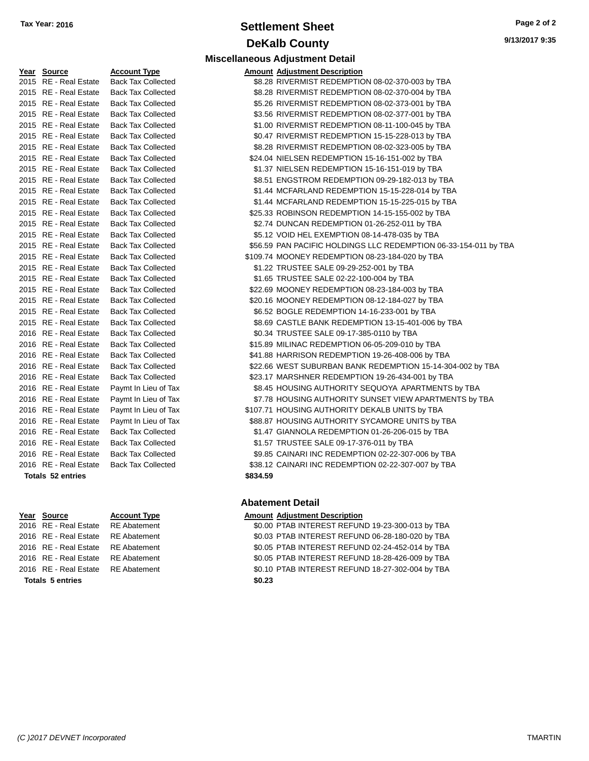# **Settlement Sheet Tax Year: 2016 Page 2 of 2 DeKalb County**

**Miscellaneous Adjustment Detail**

| Year | <b>Source</b>           | <b>Account Type</b>       | <b>Amount Adj</b> |  |
|------|-------------------------|---------------------------|-------------------|--|
| 2015 | RE - Real Estate        | <b>Back Tax Collected</b> | \$8.28 RIV        |  |
| 2015 | RE - Real Estate        | <b>Back Tax Collected</b> | \$8.28 RIV        |  |
| 2015 | <b>RE</b> - Real Estate | <b>Back Tax Collected</b> | \$5.26 RIV        |  |
| 2015 | <b>RE</b> - Real Estate | <b>Back Tax Collected</b> | \$3.56 RIV        |  |
| 2015 | RE - Real Estate        | <b>Back Tax Collected</b> | \$1.00 RIV        |  |
| 2015 | <b>RE</b> - Real Estate | <b>Back Tax Collected</b> | \$0.47 RIV        |  |
| 2015 | <b>RE</b> - Real Estate | <b>Back Tax Collected</b> | \$8.28 RIV        |  |
| 2015 | RE - Real Estate        | <b>Back Tax Collected</b> | \$24.04 NIE       |  |
| 2015 | <b>RE</b> - Real Estate | <b>Back Tax Collected</b> | \$1.37 NIE        |  |
| 2015 | <b>RE</b> - Real Estate | <b>Back Tax Collected</b> | \$8.51 ENG        |  |
| 2015 | <b>RE</b> - Real Estate | <b>Back Tax Collected</b> | \$1.44 MCI        |  |
| 2015 | <b>RE</b> - Real Estate | <b>Back Tax Collected</b> | \$1.44 MCI        |  |
| 2015 | RE - Real Estate        | <b>Back Tax Collected</b> | \$25.33 ROI       |  |
| 2015 | <b>RE</b> - Real Estate | <b>Back Tax Collected</b> | \$2.74 DUN        |  |
| 2015 | <b>RE</b> - Real Estate | <b>Back Tax Collected</b> | \$5.12 VOI        |  |
| 2015 | RE - Real Estate        | <b>Back Tax Collected</b> | \$56.59 PAN       |  |
| 2015 | RE - Real Estate        | <b>Back Tax Collected</b> | \$109.74 MO       |  |
| 2015 | <b>RE</b> - Real Estate | <b>Back Tax Collected</b> | \$1.22 TRL        |  |
| 2015 | <b>RE</b> - Real Estate | <b>Back Tax Collected</b> | \$1.65 TRL        |  |
| 2015 | RE - Real Estate        | <b>Back Tax Collected</b> | \$22.69 MO        |  |
| 2015 | <b>RE</b> - Real Estate | <b>Back Tax Collected</b> | \$20.16 MO        |  |
| 2015 | <b>RE</b> - Real Estate | <b>Back Tax Collected</b> | \$6.52 BOO        |  |
| 2015 | <b>RE</b> - Real Estate | <b>Back Tax Collected</b> | \$8.69 CAS        |  |
| 2016 | RE - Real Estate        | <b>Back Tax Collected</b> | \$0.34 TRL        |  |
| 2016 | <b>RE</b> - Real Estate | <b>Back Tax Collected</b> | \$15.89 MIL       |  |
| 2016 | <b>RE</b> - Real Estate | <b>Back Tax Collected</b> | \$41.88 HAF       |  |
| 2016 | RE - Real Estate        | <b>Back Tax Collected</b> | \$22.66 WE        |  |
| 2016 | <b>RE</b> - Real Estate | <b>Back Tax Collected</b> | \$23.17 MAI       |  |
| 2016 | <b>RE</b> - Real Estate | Paymt In Lieu of Tax      | \$8.45 HOI        |  |
| 2016 | RE - Real Estate        | Paymt In Lieu of Tax      | \$7.78 HOI        |  |
| 2016 | <b>RE</b> - Real Estate | Paymt In Lieu of Tax      | \$107.71 HOI      |  |
| 2016 | RE - Real Estate        | Paymt In Lieu of Tax      | \$88.87 HOI       |  |
| 2016 | RE - Real Estate        | <b>Back Tax Collected</b> | \$1.47 GIA        |  |
| 2016 | <b>RE</b> - Real Estate | <b>Back Tax Collected</b> | \$1.57 TRL        |  |
| 2016 | <b>RE</b> - Real Estate | <b>Back Tax Collected</b> | \$9.85 CAI        |  |
|      | 2016 RE - Real Estate   | <b>Back Tax Collected</b> | \$38.12 CAI       |  |
|      | Totals 52 entries       |                           | \$834.59          |  |

**Totals \$0.23 5 entries**

| <u>rear source</u>       | <u>Account Type</u>       |          | <u>Amount Adjustment Description</u>                             |
|--------------------------|---------------------------|----------|------------------------------------------------------------------|
| 2015 RE - Real Estate    | <b>Back Tax Collected</b> |          | \$8.28 RIVERMIST REDEMPTION 08-02-370-003 by TBA                 |
| 2015 RE - Real Estate    | <b>Back Tax Collected</b> |          | \$8.28 RIVERMIST REDEMPTION 08-02-370-004 by TBA                 |
| 2015 RE - Real Estate    | <b>Back Tax Collected</b> |          | \$5.26 RIVERMIST REDEMPTION 08-02-373-001 by TBA                 |
| 2015 RE - Real Estate    | <b>Back Tax Collected</b> |          | \$3.56 RIVERMIST REDEMPTION 08-02-377-001 by TBA                 |
| 2015 RE - Real Estate    | <b>Back Tax Collected</b> |          | \$1.00 RIVERMIST REDEMPTION 08-11-100-045 by TBA                 |
| 2015 RE - Real Estate    | <b>Back Tax Collected</b> |          | \$0.47 RIVERMIST REDEMPTION 15-15-228-013 by TBA                 |
| 2015 RE - Real Estate    | <b>Back Tax Collected</b> |          | \$8.28 RIVERMIST REDEMPTION 08-02-323-005 by TBA                 |
| 2015 RE - Real Estate    | <b>Back Tax Collected</b> |          | \$24.04 NIELSEN REDEMPTION 15-16-151-002 by TBA                  |
| 2015 RE - Real Estate    | <b>Back Tax Collected</b> |          | \$1.37 NIELSEN REDEMPTION 15-16-151-019 by TBA                   |
| 2015 RE - Real Estate    | <b>Back Tax Collected</b> |          | \$8.51 ENGSTROM REDEMPTION 09-29-182-013 by TBA                  |
| 2015 RE - Real Estate    | <b>Back Tax Collected</b> |          | \$1.44 MCFARLAND REDEMPTION 15-15-228-014 by TBA                 |
| 2015 RE - Real Estate    | <b>Back Tax Collected</b> |          | \$1.44 MCFARLAND REDEMPTION 15-15-225-015 by TBA                 |
| 2015 RE - Real Estate    | <b>Back Tax Collected</b> |          | \$25.33 ROBINSON REDEMPTION 14-15-155-002 by TBA                 |
| 2015 RE - Real Estate    | <b>Back Tax Collected</b> |          | \$2.74 DUNCAN REDEMPTION 01-26-252-011 by TBA                    |
| 2015 RE - Real Estate    | <b>Back Tax Collected</b> |          | \$5.12 VOID HEL EXEMPTION 08-14-478-035 by TBA                   |
| 2015 RE - Real Estate    | <b>Back Tax Collected</b> |          | \$56.59 PAN PACIFIC HOLDINGS LLC REDEMPTION 06-33-154-011 by TBA |
| 2015 RE - Real Estate    | <b>Back Tax Collected</b> |          | \$109.74 MOONEY REDEMPTION 08-23-184-020 by TBA                  |
| 2015 RE - Real Estate    | <b>Back Tax Collected</b> |          | \$1.22 TRUSTEE SALE 09-29-252-001 by TBA                         |
| 2015 RE - Real Estate    | <b>Back Tax Collected</b> |          | \$1.65 TRUSTEE SALE 02-22-100-004 by TBA                         |
| 2015 RE - Real Estate    | <b>Back Tax Collected</b> |          | \$22.69 MOONEY REDEMPTION 08-23-184-003 by TBA                   |
| 2015 RE - Real Estate    | <b>Back Tax Collected</b> |          | \$20.16 MOONEY REDEMPTION 08-12-184-027 by TBA                   |
| 2015 RE - Real Estate    | <b>Back Tax Collected</b> |          | \$6.52 BOGLE REDEMPTION 14-16-233-001 by TBA                     |
| 2015 RE - Real Estate    | <b>Back Tax Collected</b> |          | \$8.69 CASTLE BANK REDEMPTION 13-15-401-006 by TBA               |
| 2016 RE - Real Estate    | <b>Back Tax Collected</b> |          | \$0.34 TRUSTEE SALE 09-17-385-0110 by TBA                        |
| 2016 RE - Real Estate    | <b>Back Tax Collected</b> |          | \$15.89 MILINAC REDEMPTION 06-05-209-010 by TBA                  |
| 2016 RE - Real Estate    | <b>Back Tax Collected</b> |          | \$41.88 HARRISON REDEMPTION 19-26-408-006 by TBA                 |
| 2016 RE - Real Estate    | <b>Back Tax Collected</b> |          | \$22.66 WEST SUBURBAN BANK REDEMPTION 15-14-304-002 by TBA       |
| 2016 RE - Real Estate    | <b>Back Tax Collected</b> |          | \$23.17 MARSHNER REDEMPTION 19-26-434-001 by TBA                 |
| 2016 RE - Real Estate    | Paymt In Lieu of Tax      |          | \$8.45 HOUSING AUTHORITY SEQUOYA APARTMENTS by TBA               |
| 2016 RE - Real Estate    | Paymt In Lieu of Tax      |          | \$7.78 HOUSING AUTHORITY SUNSET VIEW APARTMENTS by TBA           |
| 2016 RE - Real Estate    | Paymt In Lieu of Tax      |          | \$107.71 HOUSING AUTHORITY DEKALB UNITS by TBA                   |
| 2016 RE - Real Estate    | Paymt In Lieu of Tax      |          | \$88.87 HOUSING AUTHORITY SYCAMORE UNITS by TBA                  |
| 2016 RE - Real Estate    | <b>Back Tax Collected</b> |          | \$1.47 GIANNOLA REDEMPTION 01-26-206-015 by TBA                  |
| 2016 RE - Real Estate    | <b>Back Tax Collected</b> |          | \$1.57 TRUSTEE SALE 09-17-376-011 by TBA                         |
| 2016 RE - Real Estate    | <b>Back Tax Collected</b> |          | \$9.85 CAINARI INC REDEMPTION 02-22-307-006 by TBA               |
| 2016 RE - Real Estate    | <b>Back Tax Collected</b> |          | \$38.12 CAINARI INC REDEMPTION 02-22-307-007 by TBA              |
| <b>Totals 52 entries</b> |                           | \$834.59 |                                                                  |
|                          |                           |          |                                                                  |

## **Abatement Detail**

#### **Year** Source **Account Type A**ccount Adjustment Description

2016 RE - Real Estate RE Abatement \$0.00 PTAB INTEREST REFUND 19-23-300-013 by TBA 2016 RE - Real Estate RE Abatement \$0.03 PTAB INTEREST REFUND 06-28-180-020 by TBA 2016 RE - Real Estate RE Abatement \$0.05 PTAB INTEREST REFUND 02-24-452-014 by TBA 2016 RE - Real Estate \$0.05 PTAB INTEREST REFUND 18-28-426-009 by TBA RE Abatement 2016 RE - Real Estate RE Abatement \$0.10 PTAB INTEREST REFUND 18-27-302-004 by TBA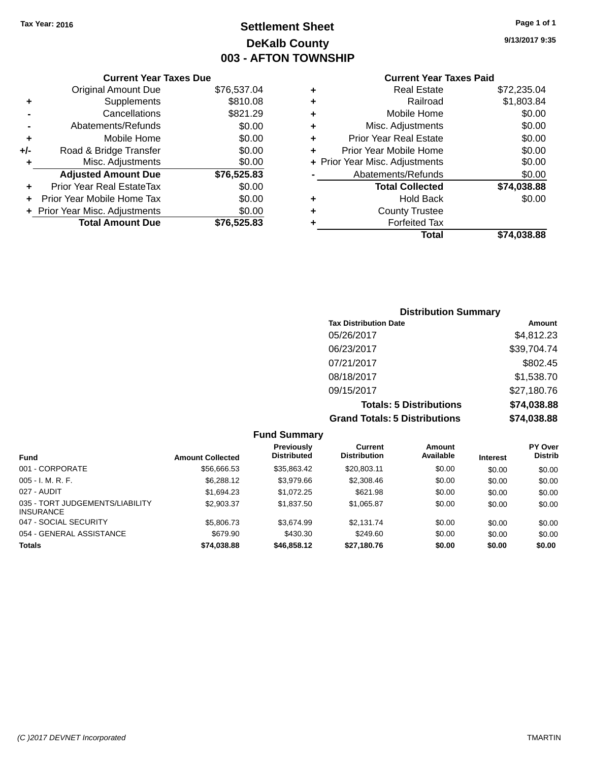# **Settlement Sheet Tax Year: 2016 Page 1 of 1 DeKalb County 003 - AFTON TOWNSHIP**

**9/13/2017 9:35**

|     | <b>Current Year Taxes Due</b>  |             |
|-----|--------------------------------|-------------|
|     | Original Amount Due            | \$76,537.04 |
| ٠   | Supplements                    | \$810.08    |
|     | Cancellations                  | \$821.29    |
|     | Abatements/Refunds             | \$0.00      |
| ٠   | Mobile Home                    | \$0.00      |
| +/- | Road & Bridge Transfer         | \$0.00      |
| ٠   | Misc. Adjustments              | \$0.00      |
|     | <b>Adjusted Amount Due</b>     | \$76,525.83 |
|     | Prior Year Real EstateTax      | \$0.00      |
|     | Prior Year Mobile Home Tax     | \$0.00      |
|     | + Prior Year Misc. Adjustments | \$0.00      |
|     | <b>Total Amount Due</b>        | \$76,525.83 |
|     |                                |             |

## **Current Year Taxes Paid**

| ٠ | <b>Real Estate</b>             | \$72,235.04 |
|---|--------------------------------|-------------|
| ٠ | Railroad                       | \$1,803.84  |
| ٠ | Mobile Home                    | \$0.00      |
| ٠ | Misc. Adjustments              | \$0.00      |
| ٠ | <b>Prior Year Real Estate</b>  | \$0.00      |
| ٠ | Prior Year Mobile Home         | \$0.00      |
|   | + Prior Year Misc. Adjustments | \$0.00      |
|   | Abatements/Refunds             | \$0.00      |
|   | <b>Total Collected</b>         | \$74,038.88 |
| ٠ | <b>Hold Back</b>               | \$0.00      |
| ٠ | <b>County Trustee</b>          |             |
| ٠ | <b>Forfeited Tax</b>           |             |
|   | Total                          | \$74,038.88 |
|   |                                |             |

## **Distribution Summary Tax Distribution Date Amount** 05/26/2017 \$4,812.23 06/23/2017 \$39,704.74 07/21/2017 \$802.45 08/18/2017 \$1,538.70 09/15/2017 \$27,180.76 **Totals: 5 Distributions \$74,038.88 Grand Totals: 5 Distributions \$74,038.88**

|                                                     |                         | <b>Fund Summary</b>              |                                |                     |                 |                                  |
|-----------------------------------------------------|-------------------------|----------------------------------|--------------------------------|---------------------|-----------------|----------------------------------|
| <b>Fund</b>                                         | <b>Amount Collected</b> | Previously<br><b>Distributed</b> | Current<br><b>Distribution</b> | Amount<br>Available | <b>Interest</b> | <b>PY Over</b><br><b>Distrib</b> |
| 001 - CORPORATE                                     | \$56,666.53             | \$35.863.42                      | \$20,803.11                    | \$0.00              | \$0.00          | \$0.00                           |
| $005 - I. M. R. F.$                                 | \$6,288.12              | \$3,979.66                       | \$2,308.46                     | \$0.00              | \$0.00          | \$0.00                           |
| 027 - AUDIT                                         | \$1,694.23              | \$1,072.25                       | \$621.98                       | \$0.00              | \$0.00          | \$0.00                           |
| 035 - TORT JUDGEMENTS/LIABILITY<br><b>INSURANCE</b> | \$2,903.37              | \$1,837.50                       | \$1,065.87                     | \$0.00              | \$0.00          | \$0.00                           |
| 047 - SOCIAL SECURITY                               | \$5,806.73              | \$3.674.99                       | \$2.131.74                     | \$0.00              | \$0.00          | \$0.00                           |
| 054 - GENERAL ASSISTANCE                            | \$679.90                | \$430.30                         | \$249.60                       | \$0.00              | \$0.00          | \$0.00                           |
| <b>Totals</b>                                       | \$74,038.88             | \$46,858.12                      | \$27,180.76                    | \$0.00              | \$0.00          | \$0.00                           |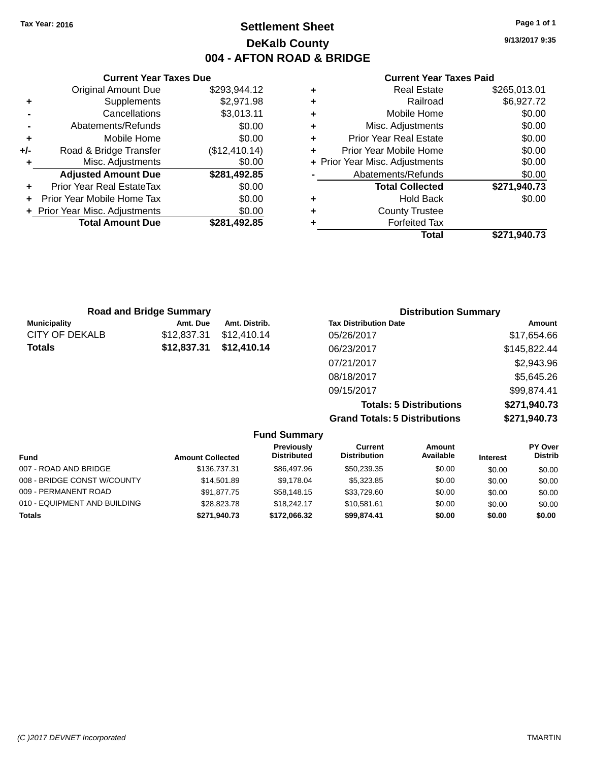# **Settlement Sheet Tax Year: 2016 Page 1 of 1 DeKalb County 004 - AFTON ROAD & BRIDGE**

**9/13/2017 9:35**

#### **Current Year Taxes Paid**

|       | <b>Current Year Taxes Due</b>  |               |
|-------|--------------------------------|---------------|
|       | <b>Original Amount Due</b>     | \$293.944.12  |
| ٠     | Supplements                    | \$2,971.98    |
|       | Cancellations                  | \$3,013.11    |
|       | Abatements/Refunds             | \$0.00        |
| ٠     | Mobile Home                    | \$0.00        |
| $+/-$ | Road & Bridge Transfer         | (\$12,410.14) |
| ÷     | Misc. Adjustments              | \$0.00        |
|       | <b>Adjusted Amount Due</b>     | \$281,492.85  |
| ٠     | Prior Year Real EstateTax      | \$0.00        |
|       | Prior Year Mobile Home Tax     | \$0.00        |
|       | + Prior Year Misc. Adjustments | \$0.00        |
|       | <b>Total Amount Due</b>        | \$281,492.85  |
|       |                                |               |

|   | <b>Real Estate</b>             | \$265,013.01 |
|---|--------------------------------|--------------|
| ٠ | Railroad                       | \$6,927.72   |
| ٠ | Mobile Home                    | \$0.00       |
| ٠ | Misc. Adjustments              | \$0.00       |
| ٠ | <b>Prior Year Real Estate</b>  | \$0.00       |
| ÷ | Prior Year Mobile Home         | \$0.00       |
|   | + Prior Year Misc. Adjustments | \$0.00       |
|   | Abatements/Refunds             | \$0.00       |
|   | <b>Total Collected</b>         | \$271,940.73 |
| ٠ | <b>Hold Back</b>               | \$0.00       |
| ٠ | <b>County Trustee</b>          |              |
| ٠ | <b>Forfeited Tax</b>           |              |
|   | Total                          | \$271,940.73 |
|   |                                |              |

| <b>Distribution Summary</b>                    |  |  |
|------------------------------------------------|--|--|
| <b>Tax Distribution Date</b><br>Amount         |  |  |
| \$17,654.66                                    |  |  |
| \$145,822.44                                   |  |  |
| \$2,943.96                                     |  |  |
| \$5,645.26                                     |  |  |
| \$99,874.41                                    |  |  |
| \$271,940.73<br><b>Totals: 5 Distributions</b> |  |  |
|                                                |  |  |

**Grand Totals: 5 Distributions \$271,940.73**

|                              |                         | <b>Fund Summary</b>                     |                                |                            |                 |                                  |
|------------------------------|-------------------------|-----------------------------------------|--------------------------------|----------------------------|-----------------|----------------------------------|
| <b>Fund</b>                  | <b>Amount Collected</b> | <b>Previously</b><br><b>Distributed</b> | Current<br><b>Distribution</b> | <b>Amount</b><br>Available | <b>Interest</b> | <b>PY Over</b><br><b>Distrib</b> |
| 007 - ROAD AND BRIDGE        | \$136,737.31            | \$86.497.96                             | \$50.239.35                    | \$0.00                     | \$0.00          | \$0.00                           |
| 008 - BRIDGE CONST W/COUNTY  | \$14.501.89             | \$9.178.04                              | \$5,323.85                     | \$0.00                     | \$0.00          | \$0.00                           |
| 009 - PERMANENT ROAD         | \$91.877.75             | \$58,148.15                             | \$33,729.60                    | \$0.00                     | \$0.00          | \$0.00                           |
| 010 - EQUIPMENT AND BUILDING | \$28,823,78             | \$18,242.17                             | \$10.581.61                    | \$0.00                     | \$0.00          | \$0.00                           |
| <b>Totals</b>                | \$271,940.73            | \$172,066.32                            | \$99.874.41                    | \$0.00                     | \$0.00          | \$0.00                           |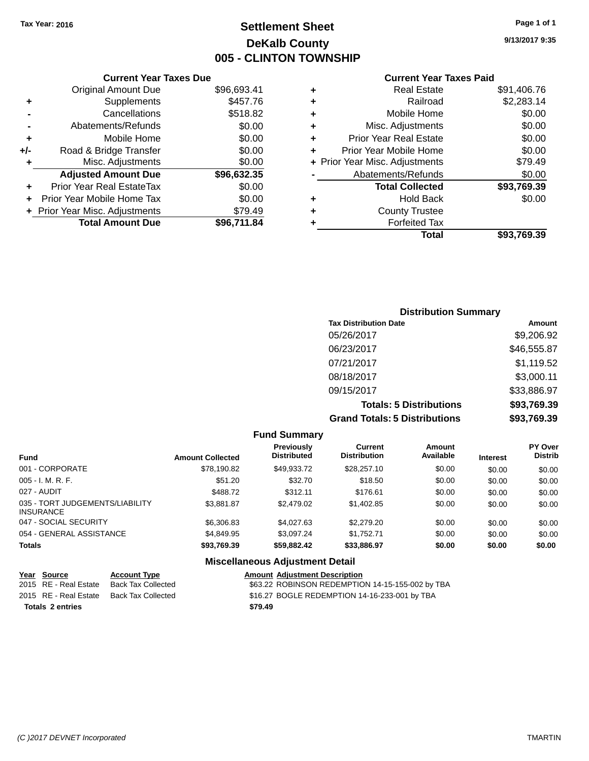# **Settlement Sheet Tax Year: 2016 Page 1 of 1 DeKalb County 005 - CLINTON TOWNSHIP**

**9/13/2017 9:35**

## **Current Year Taxes Paid**

|     | <b>Current Year Taxes Due</b>  |             |
|-----|--------------------------------|-------------|
|     | <b>Original Amount Due</b>     | \$96,693.41 |
| ٠   | Supplements                    | \$457.76    |
|     | Cancellations                  | \$518.82    |
|     | Abatements/Refunds             | \$0.00      |
| ٠   | Mobile Home                    | \$0.00      |
| +/- | Road & Bridge Transfer         | \$0.00      |
| ٠   | Misc. Adjustments              | \$0.00      |
|     | <b>Adjusted Amount Due</b>     | \$96,632.35 |
| ÷   | Prior Year Real EstateTax      | \$0.00      |
|     | Prior Year Mobile Home Tax     | \$0.00      |
|     | + Prior Year Misc. Adjustments | \$79.49     |
|     | <b>Total Amount Due</b>        | \$96,711.84 |
|     |                                |             |

|   | <b>Real Estate</b>             | \$91,406.76 |
|---|--------------------------------|-------------|
| ٠ | Railroad                       | \$2,283.14  |
| ٠ | Mobile Home                    | \$0.00      |
| ٠ | Misc. Adjustments              | \$0.00      |
| ٠ | <b>Prior Year Real Estate</b>  | \$0.00      |
| ÷ | Prior Year Mobile Home         | \$0.00      |
|   | + Prior Year Misc. Adjustments | \$79.49     |
|   | Abatements/Refunds             | \$0.00      |
|   | <b>Total Collected</b>         | \$93,769.39 |
| ٠ | <b>Hold Back</b>               | \$0.00      |
| ٠ | <b>County Trustee</b>          |             |
| ٠ | <b>Forfeited Tax</b>           |             |
|   | <b>Total</b>                   | \$93.769.39 |
|   |                                |             |

| <b>Distribution Summary</b>          |             |
|--------------------------------------|-------------|
| <b>Tax Distribution Date</b>         | Amount      |
| 05/26/2017                           | \$9,206.92  |
| 06/23/2017                           | \$46,555.87 |
| 07/21/2017                           | \$1,119.52  |
| 08/18/2017                           | \$3,000.11  |
| 09/15/2017                           | \$33,886.97 |
| <b>Totals: 5 Distributions</b>       | \$93,769.39 |
| <b>Grand Totals: 5 Distributions</b> | \$93,769.39 |

|                                                     |                         | <b>Fund Summary</b>              |                                |                     |                 |                                  |
|-----------------------------------------------------|-------------------------|----------------------------------|--------------------------------|---------------------|-----------------|----------------------------------|
| <b>Fund</b>                                         | <b>Amount Collected</b> | Previously<br><b>Distributed</b> | Current<br><b>Distribution</b> | Amount<br>Available | <b>Interest</b> | <b>PY Over</b><br><b>Distrib</b> |
| 001 - CORPORATE                                     | \$78,190.82             | \$49,933.72                      | \$28,257.10                    | \$0.00              | \$0.00          | \$0.00                           |
| $005 - I. M. R. F.$                                 | \$51.20                 | \$32.70                          | \$18.50                        | \$0.00              | \$0.00          | \$0.00                           |
| 027 - AUDIT                                         | \$488.72                | \$312.11                         | \$176.61                       | \$0.00              | \$0.00          | \$0.00                           |
| 035 - TORT JUDGEMENTS/LIABILITY<br><b>INSURANCE</b> | \$3,881.87              | \$2,479.02                       | \$1,402.85                     | \$0.00              | \$0.00          | \$0.00                           |
| 047 - SOCIAL SECURITY                               | \$6,306.83              | \$4,027.63                       | \$2,279.20                     | \$0.00              | \$0.00          | \$0.00                           |
| 054 - GENERAL ASSISTANCE                            | \$4,849.95              | \$3,097.24                       | \$1,752.71                     | \$0.00              | \$0.00          | \$0.00                           |
| Totals                                              | \$93,769.39             | \$59,882.42                      | \$33,886.97                    | \$0.00              | \$0.00          | \$0.00                           |
|                                                     |                         |                                  |                                |                     |                 |                                  |

| Year Source           | <b>Account Type</b> | <b>Amount Adjustment Description</b>             |
|-----------------------|---------------------|--------------------------------------------------|
| 2015 RE - Real Estate | Back Tax Collected  | \$63.22 ROBINSON REDEMPTION 14-15-155-002 by TBA |
| 2015 RE - Real Estate | Back Tax Collected  | \$16.27 BOGLE REDEMPTION 14-16-233-001 by TBA    |
| Totals 2 entries      |                     | \$79.49                                          |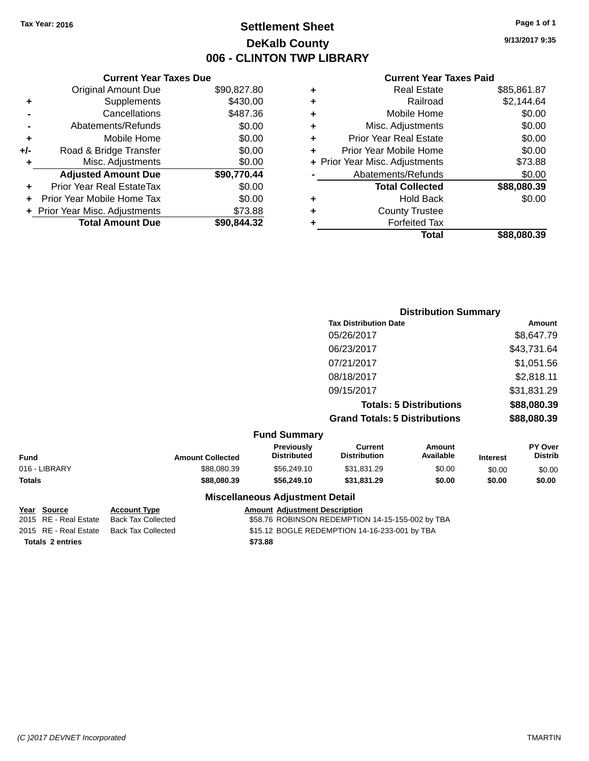## **Settlement Sheet Tax Year: 2016 Page 1 of 1 DeKalb County 006 - CLINTON TWP LIBRARY**

## **Current Year Taxes Due** Original Amount Due \$90,827.80 **+** Supplements \$430.00 **-** Cancellations \$487.36 **-** Abatements/Refunds \$0.00 **+** Mobile Home \$0.00 **+/-** Road & Bridge Transfer \$0.00 **+** Misc. Adjustments \$0.00 **Adjusted Amount Due \$90,770.44 +** Prior Year Real EstateTax \$0.00 **+** Prior Year Mobile Home Tax \$0.00 **+** Prior Year Misc. Adjustments \$73.88 **Total Amount Due \$90,844.32**

#### **Current Year Taxes Paid**

|   | <b>Real Estate</b>             | \$85,861.87 |
|---|--------------------------------|-------------|
| ٠ | Railroad                       | \$2,144.64  |
| ٠ | Mobile Home                    | \$0.00      |
| ٠ | Misc. Adjustments              | \$0.00      |
| ٠ | <b>Prior Year Real Estate</b>  | \$0.00      |
|   | Prior Year Mobile Home         | \$0.00      |
|   | + Prior Year Misc. Adjustments | \$73.88     |
|   | Abatements/Refunds             | \$0.00      |
|   | <b>Total Collected</b>         | \$88,080.39 |
| ٠ | <b>Hold Back</b>               | \$0.00      |
| ٠ | <b>County Trustee</b>          |             |
| ٠ | <b>Forfeited Tax</b>           |             |
|   | Total                          | \$88.080.39 |
|   |                                |             |

|                     | <b>Distribution Summary</b>          |             |  |  |
|---------------------|--------------------------------------|-------------|--|--|
|                     | <b>Tax Distribution Date</b>         | Amount      |  |  |
|                     | 05/26/2017                           | \$8,647.79  |  |  |
|                     | 06/23/2017                           | \$43,731.64 |  |  |
|                     | 07/21/2017                           | \$1,051.56  |  |  |
|                     | 08/18/2017                           | \$2,818.11  |  |  |
|                     | 09/15/2017                           | \$31,831.29 |  |  |
|                     | <b>Totals: 5 Distributions</b>       | \$88,080.39 |  |  |
|                     | <b>Grand Totals: 5 Distributions</b> | \$88,080.39 |  |  |
| <b>Fund Summary</b> |                                      |             |  |  |

| Fund          | <b>Amount Collected</b> | Previously<br><b>Distributed</b>       | Current<br><b>Distribution</b> | Amount<br>Available | <b>Interest</b> | <b>PY Over</b><br><b>Distrib</b> |
|---------------|-------------------------|----------------------------------------|--------------------------------|---------------------|-----------------|----------------------------------|
| 016 - LIBRARY | \$88,080.39             | \$56,249.10                            | \$31.831.29                    | \$0.00              | \$0.00          | \$0.00                           |
| Totals        | \$88,080,39             | \$56,249.10                            | \$31.831.29                    | \$0.00              | \$0.00          | \$0.00                           |
|               |                         | <b>Miscellaneous Adjustment Detail</b> |                                |                     |                 |                                  |

## **Year Source Account Type Amount Adjustment Description**

2015 RE - Real Estate Back Tax Collected \$58.76 ROBINSON REDEMPTION 14-15-155-002 by TBA 2015 RE - Real Estate Back Tax Collected \$15.12 BOGLE REDEMPTION 14-16-233-001 by TBA

**Totals \$73.88 2 entries**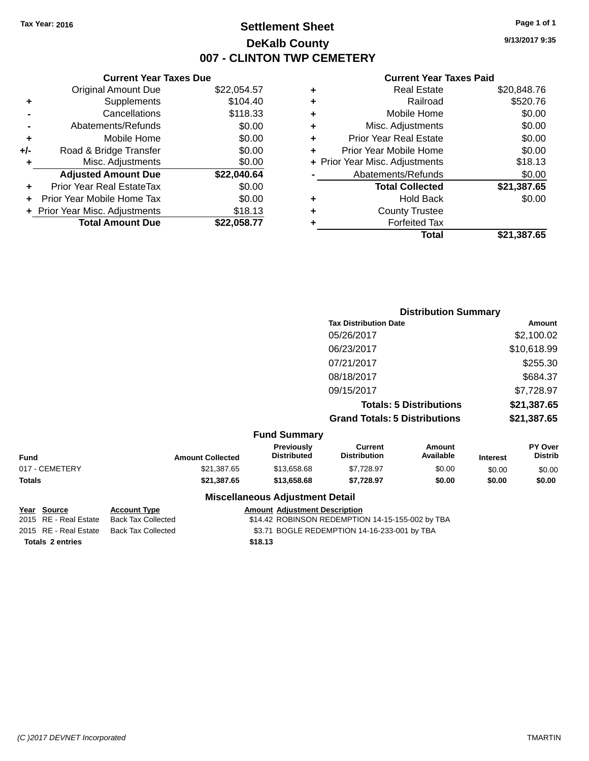## **Settlement Sheet Tax Year: 2016 Page 1 of 1 DeKalb County 007 - CLINTON TWP CEMETERY**

**9/13/2017 9:35**

|     | <b>Current Year Taxes Due</b> |             |
|-----|-------------------------------|-------------|
|     | <b>Original Amount Due</b>    | \$22,054.57 |
| ٠   | Supplements                   | \$104.40    |
|     | Cancellations                 | \$118.33    |
|     | Abatements/Refunds            | \$0.00      |
| ٠   | Mobile Home                   | \$0.00      |
| +/- | Road & Bridge Transfer        | \$0.00      |
| ٠   | Misc. Adjustments             | \$0.00      |
|     | <b>Adjusted Amount Due</b>    | \$22,040.64 |
| ÷   | Prior Year Real EstateTax     | \$0.00      |
| ÷   | Prior Year Mobile Home Tax    | \$0.00      |
|     | Prior Year Misc. Adjustments  | \$18.13     |
|     | <b>Total Amount Due</b>       | \$22,058.77 |

| <b>Real Estate</b>             | \$20,848.76 |
|--------------------------------|-------------|
| Railroad                       | \$520.76    |
| Mobile Home                    | \$0.00      |
| Misc. Adjustments              | \$0.00      |
| <b>Prior Year Real Estate</b>  | \$0.00      |
| Prior Year Mobile Home         | \$0.00      |
| + Prior Year Misc. Adjustments | \$18.13     |
| Abatements/Refunds             | \$0.00      |
| <b>Total Collected</b>         | \$21,387.65 |
| <b>Hold Back</b>               | \$0.00      |
| <b>County Trustee</b>          |             |
| <b>Forfeited Tax</b>           |             |
| Total                          | \$21,387.65 |
|                                |             |

| <b>Distribution Summary</b>          |             |  |  |
|--------------------------------------|-------------|--|--|
| <b>Tax Distribution Date</b>         | Amount      |  |  |
| 05/26/2017                           | \$2,100.02  |  |  |
| 06/23/2017                           | \$10,618.99 |  |  |
| 07/21/2017                           | \$255.30    |  |  |
| 08/18/2017                           | \$684.37    |  |  |
| 09/15/2017                           | \$7,728.97  |  |  |
| <b>Totals: 5 Distributions</b>       | \$21,387.65 |  |  |
| <b>Grand Totals: 5 Distributions</b> | \$21,387.65 |  |  |

|                |                         | <b>Fund Summary</b>                     |                                |                     |                 |                           |
|----------------|-------------------------|-----------------------------------------|--------------------------------|---------------------|-----------------|---------------------------|
| <b>Fund</b>    | <b>Amount Collected</b> | <b>Previously</b><br><b>Distributed</b> | Current<br><b>Distribution</b> | Amount<br>Available | <b>Interest</b> | PY Over<br><b>Distrib</b> |
| 017 - CEMETERY | \$21.387.65             | \$13,658,68                             | \$7.728.97                     | \$0.00              | \$0.00          | \$0.00                    |
| Totals         | \$21,387.65             | \$13,658,68                             | \$7.728.97                     | \$0.00              | \$0.00          | \$0.00                    |
|                |                         | <b>Miscellaneous Adjustment Detail</b>  |                                |                     |                 |                           |

| Year Source             | <b>Account Type</b> | <b>Amount Adiustment Description</b>             |
|-------------------------|---------------------|--------------------------------------------------|
| 2015 RE - Real Estate   | Back Tax Collected  | \$14.42 ROBINSON REDEMPTION 14-15-155-002 by TBA |
| 2015 RE - Real Estate   | Back Tax Collected  | \$3.71 BOGLE REDEMPTION 14-16-233-001 by TBA     |
| <b>Totals 2 entries</b> |                     | \$18.13                                          |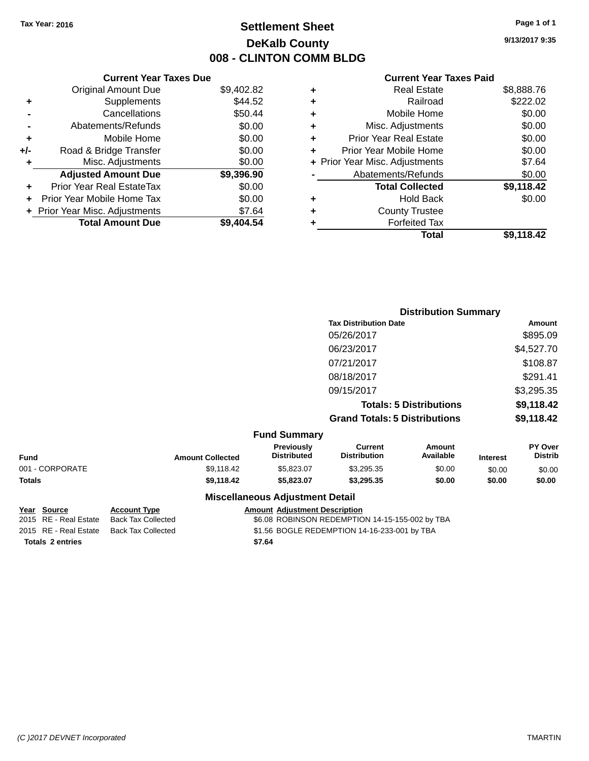# **Settlement Sheet Tax Year: 2016 Page 1 of 1 DeKalb County 008 - CLINTON COMM BLDG**

**9/13/2017 9:35**

## **Current Year Taxes Paid**

|     | <b>Current Year Taxes Due</b>  |            |  |  |
|-----|--------------------------------|------------|--|--|
|     | <b>Original Amount Due</b>     | \$9,402.82 |  |  |
| ٠   | Supplements                    | \$44.52    |  |  |
|     | Cancellations                  | \$50.44    |  |  |
|     | Abatements/Refunds             | \$0.00     |  |  |
| ٠   | Mobile Home                    | \$0.00     |  |  |
| +/- | Road & Bridge Transfer         | \$0.00     |  |  |
| ٠   | Misc. Adjustments              | \$0.00     |  |  |
|     | <b>Adjusted Amount Due</b>     | \$9,396.90 |  |  |
| ÷   | Prior Year Real EstateTax      | \$0.00     |  |  |
| ÷   | Prior Year Mobile Home Tax     | \$0.00     |  |  |
|     | + Prior Year Misc. Adjustments | \$7.64     |  |  |
|     | <b>Total Amount Due</b>        | \$9,404.54 |  |  |
|     |                                |            |  |  |

|   | <b>Real Estate</b>             | \$8,888.76 |
|---|--------------------------------|------------|
| ٠ | Railroad                       | \$222.02   |
| ٠ | Mobile Home                    | \$0.00     |
| ٠ | Misc. Adjustments              | \$0.00     |
| ٠ | <b>Prior Year Real Estate</b>  | \$0.00     |
| ÷ | Prior Year Mobile Home         | \$0.00     |
|   | + Prior Year Misc. Adjustments | \$7.64     |
|   | Abatements/Refunds             | \$0.00     |
|   | <b>Total Collected</b>         | \$9,118.42 |
| ٠ | <b>Hold Back</b>               | \$0.00     |
| ٠ | <b>County Trustee</b>          |            |
| ٠ | <b>Forfeited Tax</b>           |            |
|   | <b>Total</b>                   | \$9,118,42 |
|   |                                |            |

|                     | <b>Distribution Summary</b>          |            |
|---------------------|--------------------------------------|------------|
|                     | <b>Tax Distribution Date</b>         | Amount     |
|                     | 05/26/2017                           | \$895.09   |
|                     | 06/23/2017                           | \$4,527.70 |
|                     | 07/21/2017                           | \$108.87   |
|                     | 08/18/2017                           | \$291.41   |
|                     | 09/15/2017                           | \$3,295.35 |
|                     | <b>Totals: 5 Distributions</b>       | \$9,118.42 |
|                     | <b>Grand Totals: 5 Distributions</b> | \$9,118.42 |
| <b>Fund Summary</b> |                                      |            |

| <b>Fund</b>     | <b>Amount Collected</b> | <b>Previously</b><br><b>Distributed</b> | Current<br><b>Distribution</b> | <b>Amount</b><br>Available | <b>Interest</b> | <b>PY Over</b><br><b>Distrib</b> |
|-----------------|-------------------------|-----------------------------------------|--------------------------------|----------------------------|-----------------|----------------------------------|
| 001 - CORPORATE | \$9.118.42              | \$5.823.07                              | \$3.295.35                     | \$0.00                     | \$0.00          | \$0.00                           |
| Totals          | \$9.118.42              | \$5.823.07                              | \$3.295.35                     | \$0.00                     | \$0.00          | \$0.00                           |
|                 |                         | Miscellaneous Adiustment Detail         |                                |                            |                 |                                  |

## **Miscellaneous Adjustment Detail**

**Year** Source **Account Type Account Type Amount Adjustment Description** 2015 RE - Real Estate Back Tax Collected \$6.08 ROBINSON REDEMPTION 14-15-155-002 by TBA 2015 RE - Real Estate Back Tax Collected \$1.56 BOGLE REDEMPTION 14-16-233-001 by TBA

**Totals \$7.64 2 entries**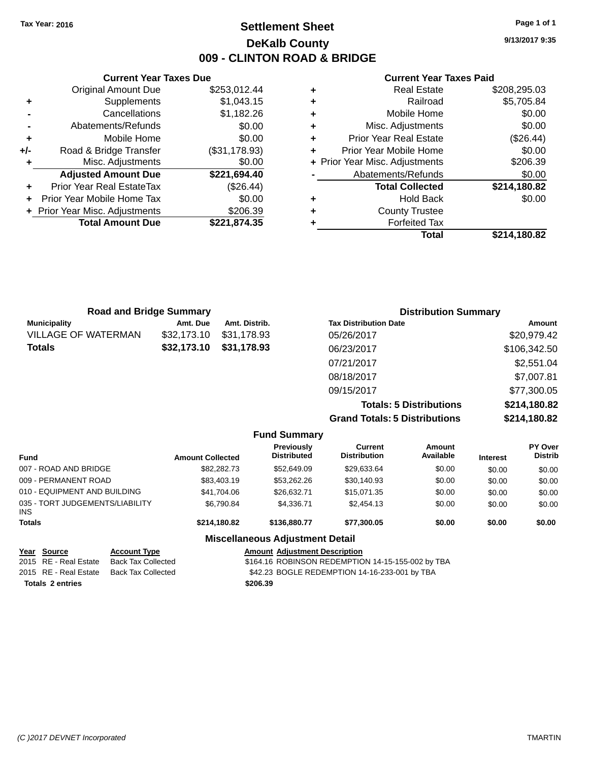## **Settlement Sheet Tax Year: 2016 Page 1 of 1 DeKalb County 009 - CLINTON ROAD & BRIDGE**

**9/13/2017 9:35**

#### **Current Year Taxes Paid**

| <b>Current Year Taxes Due</b> |                                |
|-------------------------------|--------------------------------|
| <b>Original Amount Due</b>    | \$253,012.44                   |
| Supplements                   | \$1,043.15                     |
| Cancellations                 | \$1,182.26                     |
| Abatements/Refunds            | \$0.00                         |
| Mobile Home                   | \$0.00                         |
| Road & Bridge Transfer        | (\$31,178.93)                  |
| Misc. Adjustments             | \$0.00                         |
| <b>Adjusted Amount Due</b>    | \$221,694.40                   |
| Prior Year Real EstateTax     | (\$26.44)                      |
| Prior Year Mobile Home Tax    | \$0.00                         |
|                               | \$206.39                       |
| <b>Total Amount Due</b>       | \$221,874.35                   |
|                               |                                |
|                               | + Prior Year Misc. Adjustments |

| <b>Road and Bridge Summary</b> |                            |               | <b>Distribution Summary</b>    |              |
|--------------------------------|----------------------------|---------------|--------------------------------|--------------|
| <b>Municipality</b>            | Amt. Due                   | Amt. Distrib. | <b>Tax Distribution Date</b>   | Amount       |
| <b>VILLAGE OF WATERMAN</b>     | \$32,173.10                | \$31.178.93   | 05/26/2017                     | \$20,979.42  |
| <b>Totals</b>                  | \$32,173.10<br>\$31,178.93 |               | 06/23/2017                     | \$106,342.50 |
|                                |                            |               | 07/21/2017                     | \$2,551.04   |
|                                |                            |               | 08/18/2017                     | \$7,007.81   |
|                                |                            |               | 09/15/2017                     | \$77,300.05  |
|                                |                            |               | <b>Totals: 5 Distributions</b> | \$214,180.82 |

**Grand Totals: 5 Distributions \$214,180.82**

|                                         |                         | <b>Fund Summary</b>                     |                                |                     |                 |                           |
|-----------------------------------------|-------------------------|-----------------------------------------|--------------------------------|---------------------|-----------------|---------------------------|
| <b>Fund</b>                             | <b>Amount Collected</b> | <b>Previously</b><br><b>Distributed</b> | Current<br><b>Distribution</b> | Amount<br>Available | <b>Interest</b> | PY Over<br><b>Distrib</b> |
| 007 - ROAD AND BRIDGE                   | \$82,282,73             | \$52,649.09                             | \$29,633.64                    | \$0.00              | \$0.00          | \$0.00                    |
| 009 - PERMANENT ROAD                    | \$83,403.19             | \$53,262.26                             | \$30,140.93                    | \$0.00              | \$0.00          | \$0.00                    |
| 010 - EQUIPMENT AND BUILDING            | \$41,704.06             | \$26.632.71                             | \$15,071.35                    | \$0.00              | \$0.00          | \$0.00                    |
| 035 - TORT JUDGEMENTS/LIABILITY<br>INS. | \$6,790.84              | \$4,336.71                              | \$2,454.13                     | \$0.00              | \$0.00          | \$0.00                    |
| <b>Totals</b>                           | \$214,180.82            | \$136,880.77                            | \$77.300.05                    | \$0.00              | \$0.00          | \$0.00                    |
|                                         |                         | <b>Miscellaneous Adjustment Detail</b>  |                                |                     |                 |                           |

| Year Source             | <b>Account Type</b> | <b>Amount Adjustment Description</b>              |
|-------------------------|---------------------|---------------------------------------------------|
| 2015 RE - Real Estate   | Back Tax Collected  | \$164.16 ROBINSON REDEMPTION 14-15-155-002 by TBA |
| 2015 RE - Real Estate   | Back Tax Collected  | \$42.23 BOGLE REDEMPTION 14-16-233-001 by TBA     |
| <b>Totals 2 entries</b> |                     | \$206.39                                          |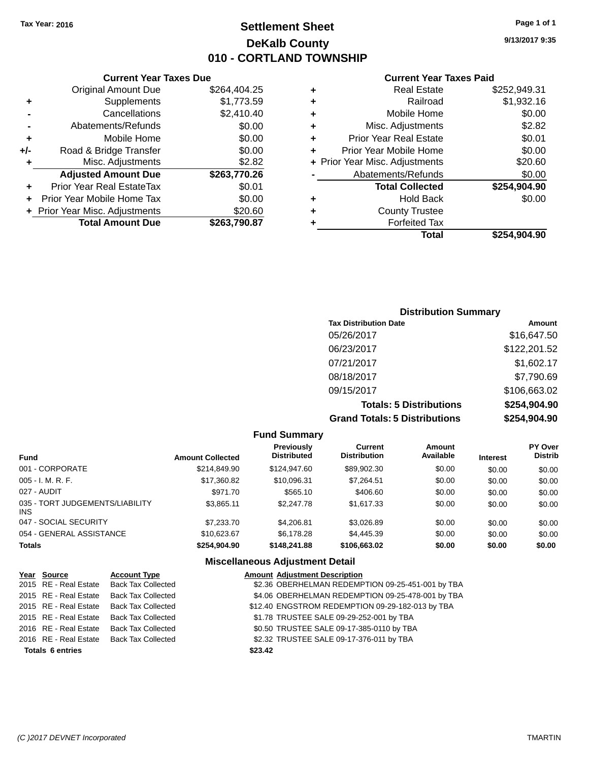# **Settlement Sheet Tax Year: 2016 Page 1 of 1 DeKalb County 010 - CORTLAND TOWNSHIP**

**9/13/2017 9:35**

#### **Current Year Taxes Paid**

|     | <b>Current Year Taxes Due</b>  |              |  |  |  |  |  |
|-----|--------------------------------|--------------|--|--|--|--|--|
|     | <b>Original Amount Due</b>     | \$264,404.25 |  |  |  |  |  |
| ٠   | Supplements                    | \$1,773.59   |  |  |  |  |  |
|     | Cancellations                  | \$2,410.40   |  |  |  |  |  |
|     | Abatements/Refunds             | \$0.00       |  |  |  |  |  |
| ٠   | Mobile Home                    | \$0.00       |  |  |  |  |  |
| +/- | Road & Bridge Transfer         | \$0.00       |  |  |  |  |  |
| ٠   | Misc. Adjustments              | \$2.82       |  |  |  |  |  |
|     | <b>Adjusted Amount Due</b>     | \$263,770.26 |  |  |  |  |  |
| ٠   | Prior Year Real EstateTax      | \$0.01       |  |  |  |  |  |
| ÷   | Prior Year Mobile Home Tax     | \$0.00       |  |  |  |  |  |
|     | + Prior Year Misc. Adjustments | \$20.60      |  |  |  |  |  |
|     | <b>Total Amount Due</b>        | \$263,790.87 |  |  |  |  |  |
|     |                                |              |  |  |  |  |  |

|   | <b>Real Estate</b>             | \$252,949.31 |
|---|--------------------------------|--------------|
| ٠ | Railroad                       | \$1,932.16   |
| ٠ | Mobile Home                    | \$0.00       |
| ٠ | Misc. Adjustments              | \$2.82       |
| ٠ | <b>Prior Year Real Estate</b>  | \$0.01       |
| ٠ | Prior Year Mobile Home         | \$0.00       |
|   | + Prior Year Misc. Adjustments | \$20.60      |
|   | Abatements/Refunds             | \$0.00       |
|   | <b>Total Collected</b>         | \$254,904.90 |
| ٠ | <b>Hold Back</b>               | \$0.00       |
| ٠ | <b>County Trustee</b>          |              |
| ٠ | <b>Forfeited Tax</b>           |              |
|   | Total                          | \$254,904.90 |
|   |                                |              |

## **Distribution Summary Tax Distribution Date Amount** 05/26/2017 \$16,647.50 06/23/2017 \$122,201.52 07/21/2017 \$1,602.17 08/18/2017 \$7,790.69 09/15/2017 \$106,663.02 **Totals: 5 Distributions \$254,904.90 Grand Totals: 5 Distributions \$254,904.90**

|                                               |                         | <b>Fund Summary</b>                     |                                       |                     |                 |                                  |
|-----------------------------------------------|-------------------------|-----------------------------------------|---------------------------------------|---------------------|-----------------|----------------------------------|
| <b>Fund</b>                                   | <b>Amount Collected</b> | <b>Previously</b><br><b>Distributed</b> | <b>Current</b><br><b>Distribution</b> | Amount<br>Available | <b>Interest</b> | <b>PY Over</b><br><b>Distrib</b> |
| 001 - CORPORATE                               | \$214,849.90            | \$124,947,60                            | \$89,902.30                           | \$0.00              | \$0.00          | \$0.00                           |
| $005 - I. M. R. F.$                           | \$17,360.82             | \$10,096.31                             | \$7,264.51                            | \$0.00              | \$0.00          | \$0.00                           |
| 027 - AUDIT                                   | \$971.70                | \$565.10                                | \$406.60                              | \$0.00              | \$0.00          | \$0.00                           |
| 035 - TORT JUDGEMENTS/LIABILITY<br><b>INS</b> | \$3.865.11              | \$2,247.78                              | \$1,617.33                            | \$0.00              | \$0.00          | \$0.00                           |
| 047 - SOCIAL SECURITY                         | \$7,233.70              | \$4,206.81                              | \$3,026.89                            | \$0.00              | \$0.00          | \$0.00                           |
| 054 - GENERAL ASSISTANCE                      | \$10.623.67             | \$6,178.28                              | \$4,445.39                            | \$0.00              | \$0.00          | \$0.00                           |
| <b>Totals</b>                                 | \$254.904.90            | \$148,241,88                            | \$106,663.02                          | \$0.00              | \$0.00          | \$0.00                           |

|                         | Year Source           | <b>Account Type</b>                      | <b>Amount Adjustment Description</b>              |  |
|-------------------------|-----------------------|------------------------------------------|---------------------------------------------------|--|
|                         | 2015 RE - Real Estate | <b>Back Tax Collected</b>                | \$2.36 OBERHELMAN REDEMPTION 09-25-451-001 by TBA |  |
|                         | 2015 RE - Real Estate | <b>Back Tax Collected</b>                | \$4.06 OBERHELMAN REDEMPTION 09-25-478-001 by TBA |  |
|                         | 2015 RE - Real Estate | <b>Back Tax Collected</b>                | \$12.40 ENGSTROM REDEMPTION 09-29-182-013 by TBA  |  |
|                         | 2015 RE - Real Estate | <b>Back Tax Collected</b>                | \$1.78 TRUSTEE SALE 09-29-252-001 by TBA          |  |
|                         | 2016 RE - Real Estate | <b>Back Tax Collected</b>                | \$0.50 TRUSTEE SALE 09-17-385-0110 by TBA         |  |
|                         |                       | 2016 RE - Real Estate Back Tax Collected | \$2.32 TRUSTEE SALE 09-17-376-011 by TBA          |  |
| <b>Totals 6 entries</b> |                       |                                          | \$23.42                                           |  |
|                         |                       |                                          |                                                   |  |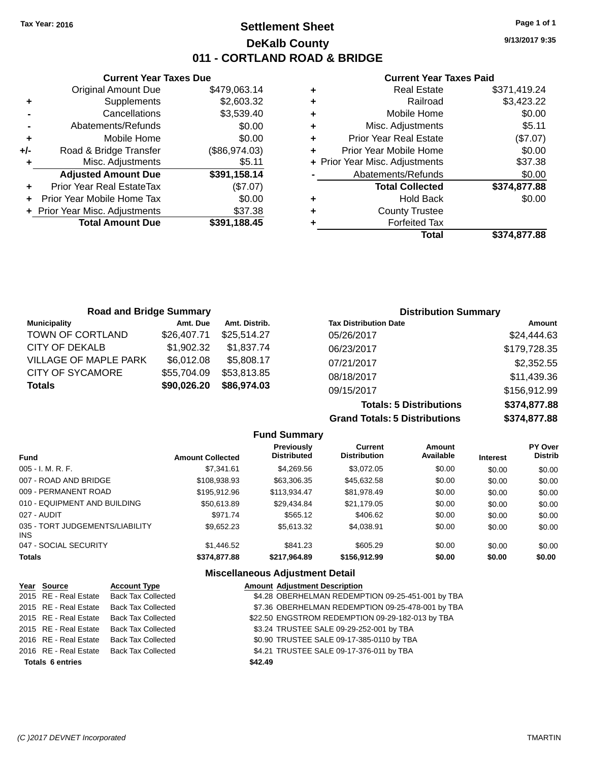## **Settlement Sheet Tax Year: 2016 Page 1 of 1 DeKalb County 011 - CORTLAND ROAD & BRIDGE**

**9/13/2017 9:35**

#### **Current Year Taxes Paid**

|     | <b>Current Year Taxes Due</b>  |               |  |  |  |
|-----|--------------------------------|---------------|--|--|--|
|     | <b>Original Amount Due</b>     | \$479,063.14  |  |  |  |
| ٠   | Supplements                    | \$2,603.32    |  |  |  |
|     | Cancellations                  | \$3,539.40    |  |  |  |
|     | \$0.00<br>Abatements/Refunds   |               |  |  |  |
| ٠   | Mobile Home                    | \$0.00        |  |  |  |
| +/- | Road & Bridge Transfer         | (\$86,974.03) |  |  |  |
|     | Misc. Adjustments              | \$5.11        |  |  |  |
|     | <b>Adjusted Amount Due</b>     | \$391,158.14  |  |  |  |
|     | Prior Year Real EstateTax      | (\$7.07)      |  |  |  |
|     | Prior Year Mobile Home Tax     | \$0.00        |  |  |  |
|     | + Prior Year Misc. Adjustments | \$37.38       |  |  |  |
|     | <b>Total Amount Due</b>        | \$391.188.45  |  |  |  |
|     |                                |               |  |  |  |

| ٠ | <b>Real Estate</b>             | \$371,419.24 |
|---|--------------------------------|--------------|
| ٠ | Railroad                       | \$3,423.22   |
| ٠ | Mobile Home                    | \$0.00       |
| ٠ | Misc. Adjustments              | \$5.11       |
| ٠ | <b>Prior Year Real Estate</b>  | (\$7.07)     |
| ٠ | Prior Year Mobile Home         | \$0.00       |
|   | + Prior Year Misc. Adjustments | \$37.38      |
|   | Abatements/Refunds             | \$0.00       |
|   | <b>Total Collected</b>         | \$374,877.88 |
| ٠ | <b>Hold Back</b>               | \$0.00       |
| ٠ | <b>County Trustee</b>          |              |
| ٠ | <b>Forfeited Tax</b>           |              |
|   | Total                          | \$374,877.88 |
|   |                                |              |

| <b>Road and Bridge Summary</b> |             |               | <b>Distribution Summary</b>  |              |  |
|--------------------------------|-------------|---------------|------------------------------|--------------|--|
| <b>Municipality</b>            | Amt. Due    | Amt. Distrib. | <b>Tax Distribution Date</b> | Amount       |  |
| TOWN OF CORTLAND               | \$26,407.71 | \$25,514.27   | 05/26/2017                   | \$24,444.63  |  |
| CITY OF DEKALB                 | \$1,902.32  | \$1,837.74    | 06/23/2017                   | \$179,728.35 |  |
| <b>VILLAGE OF MAPLE PARK</b>   | \$6,012.08  | \$5,808.17    | 07/21/2017                   | \$2,352.55   |  |
| CITY OF SYCAMORE               | \$55,704.09 | \$53,813.85   | 08/18/2017                   | \$11,439.36  |  |
| Totals                         | \$90,026.20 | \$86,974.03   | 09/15/2017                   | \$156,912.99 |  |
|                                |             |               | Tatalan F. Biatollandiana.   | 0.77107700   |  |

**Totals: 5 Distributions \$374,877.88 Grand Totals: 5 Distributions \$374,877.88**

|                                         |                         | <b>Fund Summary</b>              |                                       |                     |          |                           |
|-----------------------------------------|-------------------------|----------------------------------|---------------------------------------|---------------------|----------|---------------------------|
| <b>Fund</b>                             | <b>Amount Collected</b> | Previously<br><b>Distributed</b> | <b>Current</b><br><b>Distribution</b> | Amount<br>Available | Interest | PY Over<br><b>Distrib</b> |
| 005 - I. M. R. F.                       | \$7.341.61              | \$4.269.56                       | \$3,072.05                            | \$0.00              | \$0.00   | \$0.00                    |
| 007 - ROAD AND BRIDGE                   | \$108,938.93            | \$63.306.35                      | \$45,632.58                           | \$0.00              | \$0.00   | \$0.00                    |
| 009 - PERMANENT ROAD                    | \$195,912.96            | \$113.934.47                     | \$81,978.49                           | \$0.00              | \$0.00   | \$0.00                    |
| 010 - EQUIPMENT AND BUILDING            | \$50,613.89             | \$29.434.84                      | \$21,179.05                           | \$0.00              | \$0.00   | \$0.00                    |
| 027 - AUDIT                             | \$971.74                | \$565.12                         | \$406.62                              | \$0.00              | \$0.00   | \$0.00                    |
| 035 - TORT JUDGEMENTS/LIABILITY<br>INS. | \$9.652.23              | \$5,613.32                       | \$4.038.91                            | \$0.00              | \$0.00   | \$0.00                    |
| 047 - SOCIAL SECURITY                   | \$1,446.52              | \$841.23                         | \$605.29                              | \$0.00              | \$0.00   | \$0.00                    |
| <b>Totals</b>                           | \$374,877.88            | \$217,964.89                     | \$156,912.99                          | \$0.00              | \$0.00   | \$0.00                    |

| Year Source             | <b>Account Type</b>       |         | <b>Amount Adjustment Description</b>              |
|-------------------------|---------------------------|---------|---------------------------------------------------|
| 2015 RE - Real Estate   | <b>Back Tax Collected</b> |         | \$4.28 OBERHELMAN REDEMPTION 09-25-451-001 by TBA |
| 2015 RE - Real Estate   | <b>Back Tax Collected</b> |         | \$7.36 OBERHELMAN REDEMPTION 09-25-478-001 by TBA |
| 2015 RE - Real Estate   | <b>Back Tax Collected</b> |         | \$22.50 ENGSTROM REDEMPTION 09-29-182-013 by TBA  |
| 2015 RE - Real Estate   | <b>Back Tax Collected</b> |         | \$3.24 TRUSTEE SALE 09-29-252-001 by TBA          |
| 2016 RE - Real Estate   | <b>Back Tax Collected</b> |         | \$0.90 TRUSTEE SALE 09-17-385-0110 by TBA         |
| 2016 RE - Real Estate   | <b>Back Tax Collected</b> |         | \$4.21 TRUSTEE SALE 09-17-376-011 by TBA          |
| <b>Totals 6 entries</b> |                           | \$42.49 |                                                   |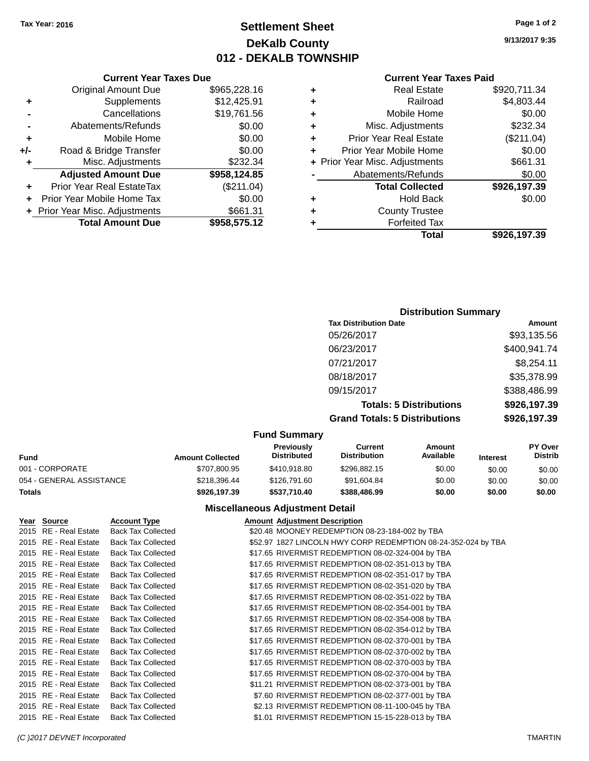# **Settlement Sheet Tax Year: 2016 Page 1 of 2 DeKalb County 012 - DEKALB TOWNSHIP**

**9/13/2017 9:35**

#### **Current Year Taxes Paid**

|     | <b>Original Amount Due</b>     | \$965,228.16 |     |
|-----|--------------------------------|--------------|-----|
|     | Supplements                    | \$12,425.91  |     |
|     | Cancellations                  | \$19,761.56  |     |
|     | Abatements/Refunds             | \$0.00       |     |
|     | Mobile Home                    | \$0.00       |     |
| +/- | Road & Bridge Transfer         | \$0.00       |     |
|     | Misc. Adjustments              | \$232.34     | + F |
|     | <b>Adjusted Amount Due</b>     | \$958,124.85 |     |
|     | Prior Year Real EstateTax      | (\$211.04)   |     |
|     | Prior Year Mobile Home Tax     | \$0.00       |     |
|     | + Prior Year Misc. Adjustments | \$661.31     |     |
|     | <b>Total Amount Due</b>        | \$958,575.12 |     |
|     |                                |              |     |

**Current Year Taxes Due**

|   | <b>Real Estate</b>             | \$920,711.34 |
|---|--------------------------------|--------------|
| ٠ | Railroad                       | \$4,803.44   |
| ٠ | Mobile Home                    | \$0.00       |
| ٠ | Misc. Adjustments              | \$232.34     |
| ٠ | <b>Prior Year Real Estate</b>  | (\$211.04)   |
| ٠ | Prior Year Mobile Home         | \$0.00       |
|   | + Prior Year Misc. Adjustments | \$661.31     |
|   | Abatements/Refunds             | \$0.00       |
|   | <b>Total Collected</b>         | \$926,197.39 |
| ٠ | <b>Hold Back</b>               | \$0.00       |
| ٠ | <b>County Trustee</b>          |              |
|   | <b>Forfeited Tax</b>           |              |
|   | Total                          | \$926,197.39 |
|   |                                |              |

## **Distribution Summary Tax Distribution Date Amount** 05/26/2017 \$93,135.56 06/23/2017 \$400,941.74 07/21/2017 \$8,254.11 08/18/2017 \$35,378.99 09/15/2017 \$388,486.99 **Totals: 5 Distributions \$926,197.39 Grand Totals: 5 Distributions \$926,197.39**

#### **Fund Summary**

| <b>Amount Collected</b> | <b>Previously</b><br><b>Distributed</b> | Current<br><b>Distribution</b> | Amount<br>Available | <b>Interest</b> | <b>PY Over</b><br><b>Distrib</b> |
|-------------------------|-----------------------------------------|--------------------------------|---------------------|-----------------|----------------------------------|
| \$707,800.95            | \$410.918.80                            | \$296.882.15                   | \$0.00              | \$0.00          | \$0.00                           |
| \$218.396.44            | \$126,791.60                            | \$91,604.84                    | \$0.00              | \$0.00          | \$0.00                           |
| \$926,197.39            | \$537.710.40                            | \$388,486.99                   | \$0.00              | \$0.00          | \$0.00                           |
|                         |                                         |                                |                     |                 |                                  |

| Year Source           | <b>Account Type</b>       | <b>Amount Adjustment Description</b>                          |
|-----------------------|---------------------------|---------------------------------------------------------------|
| 2015 RE - Real Estate | <b>Back Tax Collected</b> | \$20.48 MOONEY REDEMPTION 08-23-184-002 by TBA                |
| 2015 RE - Real Estate | <b>Back Tax Collected</b> | \$52.97 1827 LINCOLN HWY CORP REDEMPTION 08-24-352-024 by TBA |
| 2015 RE - Real Estate | <b>Back Tax Collected</b> | \$17.65 RIVERMIST REDEMPTION 08-02-324-004 by TBA             |
| 2015 RE - Real Estate | <b>Back Tax Collected</b> | \$17.65 RIVERMIST REDEMPTION 08-02-351-013 by TBA             |
| 2015 RE - Real Estate | <b>Back Tax Collected</b> | \$17.65 RIVERMIST REDEMPTION 08-02-351-017 by TBA             |
| 2015 RE - Real Estate | <b>Back Tax Collected</b> | \$17.65 RIVERMIST REDEMPTION 08-02-351-020 by TBA             |
| 2015 RE - Real Estate | <b>Back Tax Collected</b> | \$17.65 RIVERMIST REDEMPTION 08-02-351-022 by TBA             |
| 2015 RE - Real Estate | <b>Back Tax Collected</b> | \$17.65 RIVERMIST REDEMPTION 08-02-354-001 by TBA             |
| 2015 RE - Real Estate | <b>Back Tax Collected</b> | \$17.65 RIVERMIST REDEMPTION 08-02-354-008 by TBA             |
| 2015 RE - Real Estate | <b>Back Tax Collected</b> | \$17.65 RIVERMIST REDEMPTION 08-02-354-012 by TBA             |
| 2015 RE - Real Estate | <b>Back Tax Collected</b> | \$17.65 RIVERMIST REDEMPTION 08-02-370-001 by TBA             |
| 2015 RE - Real Estate | <b>Back Tax Collected</b> | \$17.65 RIVERMIST REDEMPTION 08-02-370-002 by TBA             |
| 2015 RE - Real Estate | <b>Back Tax Collected</b> | \$17.65 RIVERMIST REDEMPTION 08-02-370-003 by TBA             |
| 2015 RE - Real Estate | <b>Back Tax Collected</b> | \$17.65 RIVERMIST REDEMPTION 08-02-370-004 by TBA             |
| 2015 RE - Real Estate | <b>Back Tax Collected</b> | \$11.21 RIVERMIST REDEMPTION 08-02-373-001 by TBA             |
| 2015 RE - Real Estate | <b>Back Tax Collected</b> | \$7.60 RIVERMIST REDEMPTION 08-02-377-001 by TBA              |
| 2015 RE - Real Estate | <b>Back Tax Collected</b> | \$2.13 RIVERMIST REDEMPTION 08-11-100-045 by TBA              |
| 2015 RE - Real Estate | <b>Back Tax Collected</b> | \$1.01 RIVERMIST REDEMPTION 15-15-228-013 by TBA              |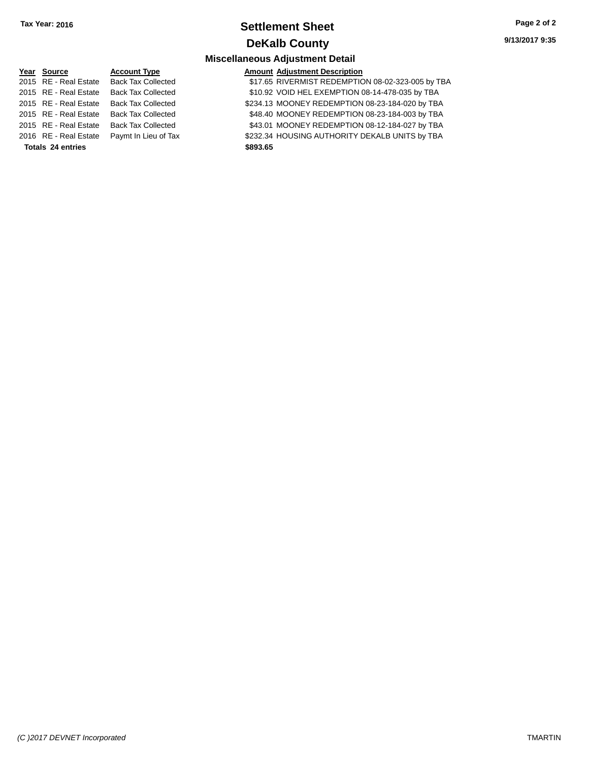# **Settlement Sheet Tax Year: 2016 Page 2 of 2 DeKalb County**

**9/13/2017 9:35**

## **Miscellaneous Adjustment Detail**

| Year Source           | <b>Account Type</b>       | <b>Amount</b> |
|-----------------------|---------------------------|---------------|
| 2015 RE - Real Estate | <b>Back Tax Collected</b> | \$17.65       |
| 2015 RE - Real Estate | <b>Back Tax Collected</b> | \$10.92       |
| 2015 RE - Real Estate | <b>Back Tax Collected</b> | \$234.13      |
| 2015 RE - Real Estate | <b>Back Tax Collected</b> | \$48.40       |
| 2015 RE - Real Estate | <b>Back Tax Collected</b> | \$43.01       |
| 2016 RE - Real Estate | Paymt In Lieu of Tax      | \$232.34      |
| Totals 24 entries     |                           | \$893.65      |

**Year Source Account Adjustment Description** 

20llected - \$17.65 RIVERMIST REDEMPTION 08-02-323-005 by TBA 20llected **\$10.92 VOID HEL EXEMPTION 08-14-478-035 by TBA** 2016 Collected **\$234.13 MOONEY REDEMPTION 08-23-184-020 by TBA** 2011 Collected **\$48.40 MOONEY REDEMPTION 08-23-184-003 by TBA** 20llected **2006 Collected** \$43.01 MOONEY REDEMPTION 08-12-184-027 by TBA ieu of Tax  $$232.34$  HOUSING AUTHORITY DEKALB UNITS by TBA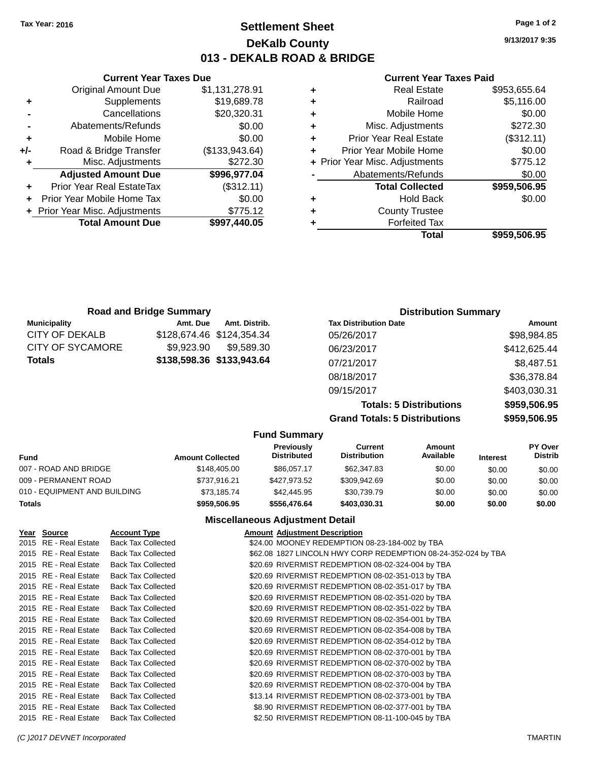## **Settlement Sheet Tax Year: 2016 Page 1 of 2 DeKalb County 013 - DEKALB ROAD & BRIDGE**

**9/13/2017 9:35**

### **Current Year Taxes Paid**

|   | <b>Real Estate</b>             | \$953,655.64 |
|---|--------------------------------|--------------|
| ٠ | Railroad                       | \$5,116.00   |
| ٠ | Mobile Home                    | \$0.00       |
| ٠ | Misc. Adjustments              | \$272.30     |
| ٠ | <b>Prior Year Real Estate</b>  | (\$312.11)   |
|   | Prior Year Mobile Home         | \$0.00       |
|   | + Prior Year Misc. Adjustments | \$775.12     |
|   | Abatements/Refunds             | \$0.00       |
|   | <b>Total Collected</b>         | \$959,506.95 |
| ٠ | <b>Hold Back</b>               | \$0.00       |
| ٠ | <b>County Trustee</b>          |              |
|   | <b>Forfeited Tax</b>           |              |
|   | Total                          | \$959,506.95 |

|     | <b>Current Year Taxes Due</b>    |                |
|-----|----------------------------------|----------------|
|     | <b>Original Amount Due</b>       | \$1,131,278.91 |
| ٠   | Supplements                      | \$19,689.78    |
|     | Cancellations                    | \$20,320.31    |
|     | Abatements/Refunds               | \$0.00         |
| ٠   | Mobile Home                      | \$0.00         |
| +/- | Road & Bridge Transfer           | (\$133,943.64) |
| ٠   | Misc. Adjustments                | \$272.30       |
|     | <b>Adjusted Amount Due</b>       | \$996,977.04   |
| ٠   | <b>Prior Year Real EstateTax</b> | (\$312.11)     |
|     | Prior Year Mobile Home Tax       | \$0.00         |
|     | + Prior Year Misc. Adjustments   | \$775.12       |
|     | <b>Total Amount Due</b>          | \$997,440.05   |
|     |                                  |                |

| <b>Road and Bridge Summary</b> |            |                           | <b>Distribution Summary</b>    |              |  |
|--------------------------------|------------|---------------------------|--------------------------------|--------------|--|
| <b>Municipality</b>            | Amt. Due   | Amt. Distrib.             | <b>Tax Distribution Date</b>   | Amount       |  |
| CITY OF DEKALB                 |            | \$128,674.46 \$124,354.34 | 05/26/2017                     | \$98,984.85  |  |
| CITY OF SYCAMORE               | \$9.923.90 | \$9,589.30                | 06/23/2017                     | \$412,625.44 |  |
| Totals                         |            | \$138,598.36 \$133,943.64 | 07/21/2017                     | \$8,487.51   |  |
|                                |            |                           | 08/18/2017                     | \$36,378.84  |  |
|                                |            |                           | 09/15/2017                     | \$403,030.31 |  |
|                                |            |                           | <b>Totals: 5 Distributions</b> | \$959,506.95 |  |

**Grand Totals: 5 Distributions \$959,506.95**

|                              |                         | <b>Fund Summary</b>                     |                                |                     |                 |                                  |
|------------------------------|-------------------------|-----------------------------------------|--------------------------------|---------------------|-----------------|----------------------------------|
| <b>Fund</b>                  | <b>Amount Collected</b> | <b>Previously</b><br><b>Distributed</b> | Current<br><b>Distribution</b> | Amount<br>Available | <b>Interest</b> | <b>PY Over</b><br><b>Distrib</b> |
| 007 - ROAD AND BRIDGE        | \$148,405,00            | \$86,057.17                             | \$62,347.83                    | \$0.00              | \$0.00          | \$0.00                           |
| 009 - PERMANENT ROAD         | \$737.916.21            | \$427.973.52                            | \$309.942.69                   | \$0.00              | \$0.00          | \$0.00                           |
| 010 - EQUIPMENT AND BUILDING | \$73.185.74             | \$42,445.95                             | \$30.739.79                    | \$0.00              | \$0.00          | \$0.00                           |
| Totals                       | \$959,506.95            | \$556,476.64                            | \$403.030.31                   | \$0.00              | \$0.00          | \$0.00                           |

| Year Source           | <b>Account Type</b>       | <b>Amount Adjustment Description</b>                          |
|-----------------------|---------------------------|---------------------------------------------------------------|
| 2015 RE - Real Estate | <b>Back Tax Collected</b> | \$24.00 MOONEY REDEMPTION 08-23-184-002 by TBA                |
| 2015 RE - Real Estate | <b>Back Tax Collected</b> | \$62.08 1827 LINCOLN HWY CORP REDEMPTION 08-24-352-024 by TBA |
| 2015 RE - Real Estate | <b>Back Tax Collected</b> | \$20.69 RIVERMIST REDEMPTION 08-02-324-004 by TBA             |
| 2015 RE - Real Estate | <b>Back Tax Collected</b> | \$20.69 RIVERMIST REDEMPTION 08-02-351-013 by TBA             |
| 2015 RE - Real Estate | <b>Back Tax Collected</b> | \$20.69 RIVERMIST REDEMPTION 08-02-351-017 by TBA             |
| 2015 RE - Real Estate | <b>Back Tax Collected</b> | \$20.69 RIVERMIST REDEMPTION 08-02-351-020 by TBA             |
| 2015 RE - Real Estate | <b>Back Tax Collected</b> | \$20.69 RIVERMIST REDEMPTION 08-02-351-022 by TBA             |
| 2015 RE - Real Estate | <b>Back Tax Collected</b> | \$20.69 RIVERMIST REDEMPTION 08-02-354-001 by TBA             |
| 2015 RE - Real Estate | <b>Back Tax Collected</b> | \$20.69 RIVERMIST REDEMPTION 08-02-354-008 by TBA             |
| 2015 RE - Real Estate | <b>Back Tax Collected</b> | \$20.69 RIVERMIST REDEMPTION 08-02-354-012 by TBA             |
| 2015 RE - Real Estate | <b>Back Tax Collected</b> | \$20.69 RIVERMIST REDEMPTION 08-02-370-001 by TBA             |
| 2015 RE - Real Estate | <b>Back Tax Collected</b> | \$20.69 RIVERMIST REDEMPTION 08-02-370-002 by TBA             |
| 2015 RE - Real Estate | <b>Back Tax Collected</b> | \$20.69 RIVERMIST REDEMPTION 08-02-370-003 by TBA             |
| 2015 RE - Real Estate | <b>Back Tax Collected</b> | \$20.69 RIVERMIST REDEMPTION 08-02-370-004 by TBA             |
| 2015 RE - Real Estate | <b>Back Tax Collected</b> | \$13.14 RIVERMIST REDEMPTION 08-02-373-001 by TBA             |
| 2015 RE - Real Estate | <b>Back Tax Collected</b> | \$8.90 RIVERMIST REDEMPTION 08-02-377-001 by TBA              |
| 2015 RE - Real Estate | <b>Back Tax Collected</b> | \$2.50 RIVERMIST REDEMPTION 08-11-100-045 by TBA              |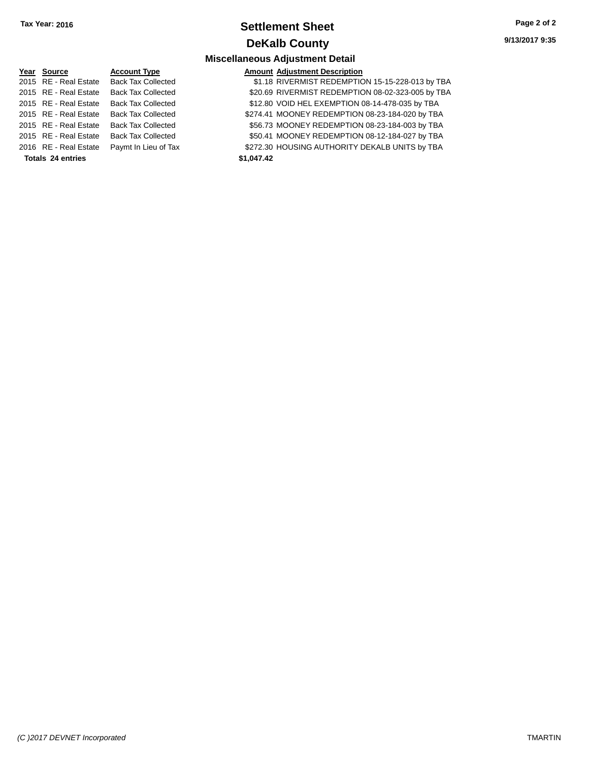# **Settlement Sheet Tax Year: 2016 Page 2 of 2 DeKalb County**

**9/13/2017 9:35**

| <u>Year Source</u>    | <b>Account Type</b>       |            | <b>Amount Adjustment Description</b>              |
|-----------------------|---------------------------|------------|---------------------------------------------------|
| 2015 RE - Real Estate | <b>Back Tax Collected</b> |            | \$1.18 RIVERMIST REDEMPTION 15-15-228-013 by TBA  |
| 2015 RE - Real Estate | <b>Back Tax Collected</b> |            | \$20.69 RIVERMIST REDEMPTION 08-02-323-005 by TBA |
| 2015 RE - Real Estate | <b>Back Tax Collected</b> |            | \$12.80 VOID HEL EXEMPTION 08-14-478-035 by TBA   |
| 2015 RE - Real Estate | <b>Back Tax Collected</b> |            | \$274.41 MOONEY REDEMPTION 08-23-184-020 by TBA   |
| 2015 RE - Real Estate | <b>Back Tax Collected</b> |            | \$56.73 MOONEY REDEMPTION 08-23-184-003 by TBA    |
| 2015 RE - Real Estate | <b>Back Tax Collected</b> |            | \$50.41 MOONEY REDEMPTION 08-12-184-027 by TBA    |
| 2016 RE - Real Estate | Paymt In Lieu of Tax      |            | \$272.30 HOUSING AUTHORITY DEKALB UNITS by TBA    |
| Totals 24 entries     |                           | \$1,047.42 |                                                   |
|                       |                           |            |                                                   |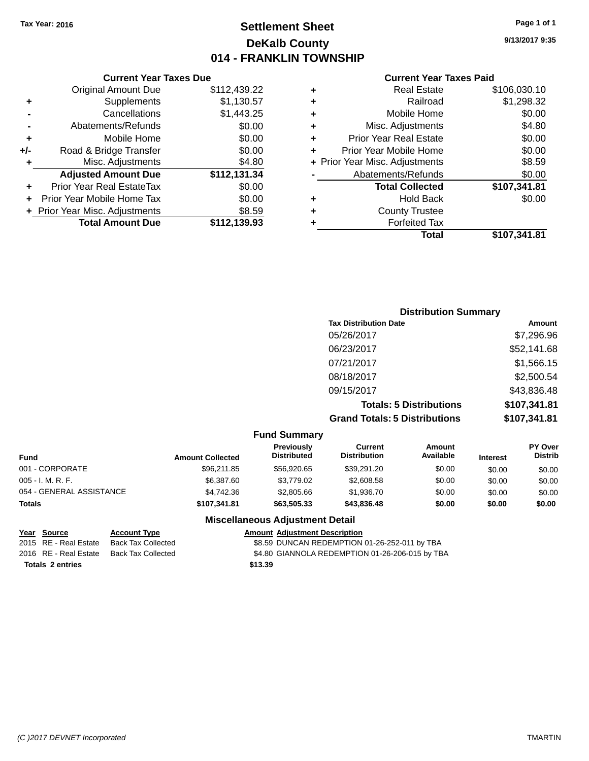# **Settlement Sheet Tax Year: 2016 Page 1 of 1 DeKalb County 014 - FRANKLIN TOWNSHIP**

**9/13/2017 9:35**

#### **Current Year Taxes Paid**

|       | <b>Current Year Taxes Due</b>  |              |
|-------|--------------------------------|--------------|
|       | <b>Original Amount Due</b>     | \$112,439.22 |
| ٠     | Supplements                    | \$1,130.57   |
|       | Cancellations                  | \$1,443.25   |
|       | Abatements/Refunds             | \$0.00       |
| ٠     | Mobile Home                    | \$0.00       |
| $+/-$ | Road & Bridge Transfer         | \$0.00       |
| ٠     | Misc. Adjustments              | \$4.80       |
|       | <b>Adjusted Amount Due</b>     | \$112,131.34 |
|       | Prior Year Real EstateTax      | \$0.00       |
|       | Prior Year Mobile Home Tax     | \$0.00       |
|       | + Prior Year Misc. Adjustments | \$8.59       |
|       | <b>Total Amount Due</b>        | \$112.139.93 |
|       |                                |              |

| ٠ | <b>Real Estate</b>             | \$106,030.10 |
|---|--------------------------------|--------------|
| ٠ | Railroad                       | \$1,298.32   |
| ٠ | Mobile Home                    | \$0.00       |
| ٠ | Misc. Adjustments              | \$4.80       |
| ٠ | <b>Prior Year Real Estate</b>  | \$0.00       |
| ٠ | Prior Year Mobile Home         | \$0.00       |
|   | + Prior Year Misc. Adjustments | \$8.59       |
|   | Abatements/Refunds             | \$0.00       |
|   | <b>Total Collected</b>         | \$107,341.81 |
| ٠ | <b>Hold Back</b>               | \$0.00       |
| ٠ | <b>County Trustee</b>          |              |
|   | <b>Forfeited Tax</b>           |              |
|   | Total                          | \$107,341.81 |
|   |                                |              |

| <b>Distribution Summary</b>          |              |
|--------------------------------------|--------------|
| <b>Tax Distribution Date</b>         | Amount       |
| 05/26/2017                           | \$7,296.96   |
| 06/23/2017                           | \$52,141.68  |
| 07/21/2017                           | \$1,566.15   |
| 08/18/2017                           | \$2,500.54   |
| 09/15/2017                           | \$43,836.48  |
| <b>Totals: 5 Distributions</b>       | \$107,341.81 |
| <b>Grand Totals: 5 Distributions</b> | \$107,341.81 |

|                          |                         | <b>Fund Summary</b>              |                                |                            |                 |                                  |
|--------------------------|-------------------------|----------------------------------|--------------------------------|----------------------------|-----------------|----------------------------------|
| <b>Fund</b>              | <b>Amount Collected</b> | Previously<br><b>Distributed</b> | Current<br><b>Distribution</b> | <b>Amount</b><br>Available | <b>Interest</b> | <b>PY Over</b><br><b>Distrib</b> |
| 001 - CORPORATE          | \$96,211.85             | \$56,920.65                      | \$39,291.20                    | \$0.00                     | \$0.00          | \$0.00                           |
| $005 - I. M. R. F.$      | \$6,387.60              | \$3,779.02                       | \$2,608.58                     | \$0.00                     | \$0.00          | \$0.00                           |
| 054 - GENERAL ASSISTANCE | \$4,742,36              | \$2,805.66                       | \$1,936.70                     | \$0.00                     | \$0.00          | \$0.00                           |
| <b>Totals</b>            | \$107.341.81            | \$63,505,33                      | \$43,836,48                    | \$0.00                     | \$0.00          | \$0.00                           |

| Year Source             | <b>Account Type</b> |         | <b>Amount Adjustment Description</b>            |
|-------------------------|---------------------|---------|-------------------------------------------------|
| 2015 RE - Real Estate   | Back Tax Collected  |         | \$8.59 DUNCAN REDEMPTION 01-26-252-011 by TBA   |
| 2016 RE - Real Estate   | Back Tax Collected  |         | \$4.80 GIANNOLA REDEMPTION 01-26-206-015 by TBA |
| <b>Totals 2 entries</b> |                     | \$13.39 |                                                 |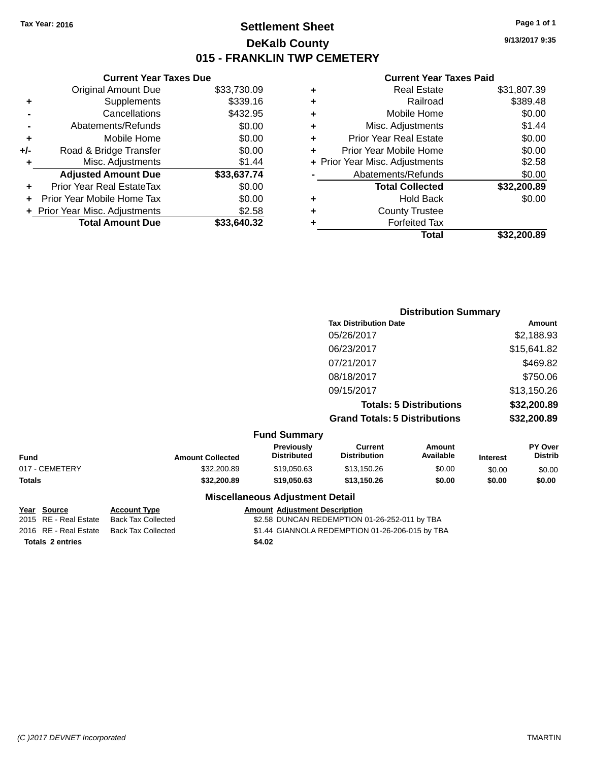# **Settlement Sheet Tax Year: 2016 Page 1 of 1 DeKalb County 015 - FRANKLIN TWP CEMETERY**

**9/13/2017 9:35**

|     | <b>Current Year Taxes Due</b>  |             |      |
|-----|--------------------------------|-------------|------|
|     | <b>Original Amount Due</b>     | \$33,730.09 |      |
|     | Supplements                    | \$339.16    |      |
|     | Cancellations                  | \$432.95    |      |
|     | Abatements/Refunds             | \$0.00      | ٠    |
|     | Mobile Home                    | \$0.00      |      |
| +/- | Road & Bridge Transfer         | \$0.00      |      |
|     | Misc. Adjustments              | \$1.44      | Prio |
|     | <b>Adjusted Amount Due</b>     | \$33,637.74 |      |
|     | Prior Year Real EstateTax      | \$0.00      |      |
|     | Prior Year Mobile Home Tax     | \$0.00      |      |
|     | + Prior Year Misc. Adjustments | \$2.58      |      |
|     | <b>Total Amount Due</b>        | \$33,640.32 |      |
|     |                                |             |      |

|   | <b>Real Estate</b>             | \$31,807.39 |
|---|--------------------------------|-------------|
| ٠ | Railroad                       | \$389.48    |
| ÷ | Mobile Home                    | \$0.00      |
| ٠ | Misc. Adjustments              | \$1.44      |
| ٠ | <b>Prior Year Real Estate</b>  | \$0.00      |
| ٠ | Prior Year Mobile Home         | \$0.00      |
|   | + Prior Year Misc. Adjustments | \$2.58      |
|   | Abatements/Refunds             | \$0.00      |
|   | <b>Total Collected</b>         | \$32,200.89 |
| ٠ | <b>Hold Back</b>               | \$0.00      |
| ٠ | <b>County Trustee</b>          |             |
| ٠ | <b>Forfeited Tax</b>           |             |
|   | Total                          | \$32,200.89 |
|   |                                |             |

|                     | <b>Distribution Summary</b>          |             |
|---------------------|--------------------------------------|-------------|
|                     | <b>Tax Distribution Date</b>         | Amount      |
|                     | 05/26/2017                           | \$2,188.93  |
|                     | 06/23/2017                           | \$15,641.82 |
|                     | 07/21/2017                           | \$469.82    |
|                     | 08/18/2017                           | \$750.06    |
|                     | 09/15/2017                           | \$13,150.26 |
|                     | <b>Totals: 5 Distributions</b>       | \$32,200.89 |
|                     | <b>Grand Totals: 5 Distributions</b> | \$32,200.89 |
| <b>Fund Summary</b> |                                      |             |

|                |                     |                         | Fund Summary                            |                                |                     |                 |                                  |
|----------------|---------------------|-------------------------|-----------------------------------------|--------------------------------|---------------------|-----------------|----------------------------------|
| <b>Fund</b>    |                     | <b>Amount Collected</b> | <b>Previously</b><br><b>Distributed</b> | Current<br><b>Distribution</b> | Amount<br>Available | <b>Interest</b> | <b>PY Over</b><br><b>Distrib</b> |
| 017 - CEMETERY |                     | \$32,200.89             | \$19,050.63                             | \$13,150.26                    | \$0.00              | \$0.00          | \$0.00                           |
| Totals         |                     | \$32,200.89             | \$19,050,63                             | \$13.150.26                    | \$0.00              | \$0.00          | \$0.00                           |
|                |                     |                         | <b>Miscellaneous Adjustment Detail</b>  |                                |                     |                 |                                  |
| Year Source    | <b>Account Type</b> |                         | <b>Amount Adjustment Description</b>    |                                |                     |                 |                                  |

| Year Source             | <b>Account Type</b> | <b>Amount Adjustment Description</b>            |
|-------------------------|---------------------|-------------------------------------------------|
| 2015 RE - Real Estate   | Back Tax Collected  | \$2.58 DUNCAN REDEMPTION 01-26-252-011 by TBA   |
| 2016 RE - Real Estate   | Back Tax Collected  | \$1.44 GIANNOLA REDEMPTION 01-26-206-015 by TBA |
| <b>Totals 2 entries</b> |                     | \$4.02                                          |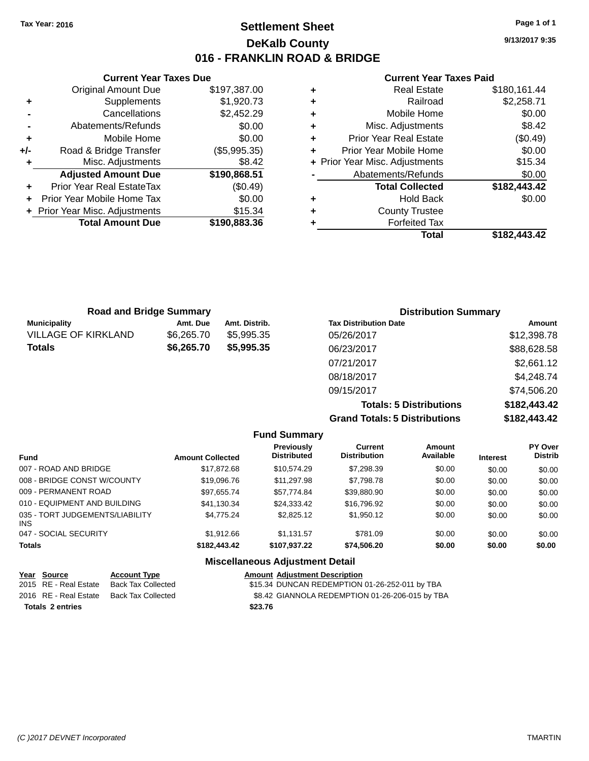## **Settlement Sheet Tax Year: 2016 Page 1 of 1 DeKalb County 016 - FRANKLIN ROAD & BRIDGE**

**9/13/2017 9:35**

#### **Current Year Taxes Paid**

|       | <b>Current Year Taxes Due</b>  |              |
|-------|--------------------------------|--------------|
|       | Original Amount Due            | \$197,387.00 |
| ٠     | Supplements                    | \$1,920.73   |
|       | Cancellations                  | \$2,452.29   |
|       | Abatements/Refunds             | \$0.00       |
| ٠     | Mobile Home                    | \$0.00       |
| $+/-$ | Road & Bridge Transfer         | (\$5,995.35) |
|       | Misc. Adjustments              | \$8.42       |
|       | <b>Adjusted Amount Due</b>     | \$190,868.51 |
|       | Prior Year Real EstateTax      | (\$0.49)     |
|       | Prior Year Mobile Home Tax     | \$0.00       |
|       | + Prior Year Misc. Adjustments | \$15.34      |
|       | <b>Total Amount Due</b>        | \$190,883.36 |
|       |                                |              |

| \$2,258.71   |
|--------------|
| \$0.00       |
| \$8.42       |
| (\$0.49)     |
| \$0.00       |
| \$15.34      |
| \$0.00       |
| \$182,443.42 |
| \$0.00       |
|              |
|              |
| \$182,443.42 |
|              |

| <b>Road and Bridge Summary</b> |            |               | <b>Distribution Summary</b>  |             |  |
|--------------------------------|------------|---------------|------------------------------|-------------|--|
| <b>Municipality</b>            | Amt. Due   | Amt. Distrib. | <b>Tax Distribution Date</b> | Amount      |  |
| <b>VILLAGE OF KIRKLAND</b>     | \$6,265,70 | \$5.995.35    | 05/26/2017                   | \$12,398.78 |  |
| <b>Totals</b>                  | \$6,265.70 | \$5,995.35    | 06/23/2017                   | \$88,628.58 |  |
|                                |            |               | 07/21/2017                   | \$2,661.12  |  |
|                                |            |               | 08/18/2017                   | \$4,248.74  |  |

**Totals: 5 Distributions \$182,443.42 Grand Totals: 5 Distributions \$182,443.42**

09/15/2017 \$74,506.20

|                                         |                         | <b>Fund Summary</b>              |                                       |                     |                 |                                  |
|-----------------------------------------|-------------------------|----------------------------------|---------------------------------------|---------------------|-----------------|----------------------------------|
| <b>Fund</b>                             | <b>Amount Collected</b> | Previously<br><b>Distributed</b> | <b>Current</b><br><b>Distribution</b> | Amount<br>Available | <b>Interest</b> | <b>PY Over</b><br><b>Distrib</b> |
| 007 - ROAD AND BRIDGE                   | \$17,872.68             | \$10.574.29                      | \$7,298.39                            | \$0.00              | \$0.00          | \$0.00                           |
| 008 - BRIDGE CONST W/COUNTY             | \$19,096.76             | \$11.297.98                      | \$7,798.78                            | \$0.00              | \$0.00          | \$0.00                           |
| 009 - PERMANENT ROAD                    | \$97,655.74             | \$57,774.84                      | \$39,880.90                           | \$0.00              | \$0.00          | \$0.00                           |
| 010 - EQUIPMENT AND BUILDING            | \$41,130.34             | \$24,333.42                      | \$16,796.92                           | \$0.00              | \$0.00          | \$0.00                           |
| 035 - TORT JUDGEMENTS/LIABILITY<br>INS. | \$4,775.24              | \$2,825.12                       | \$1,950.12                            | \$0.00              | \$0.00          | \$0.00                           |
| 047 - SOCIAL SECURITY                   | \$1,912.66              | \$1,131.57                       | \$781.09                              | \$0.00              | \$0.00          | \$0.00                           |
| <b>Totals</b>                           | \$182,443.42            | \$107,937.22                     | \$74,506.20                           | \$0.00              | \$0.00          | \$0.00                           |
|                                         |                         |                                  |                                       |                     |                 |                                  |

| Year Source           | <b>Account Type</b>                      | <b>Amount Adjustment Description</b>            |
|-----------------------|------------------------------------------|-------------------------------------------------|
| 2015 RE - Real Estate | Back Tax Collected                       | \$15.34 DUNCAN REDEMPTION 01-26-252-011 by TBA  |
|                       | 2016 RE - Real Estate Back Tax Collected | \$8.42 GIANNOLA REDEMPTION 01-26-206-015 by TBA |
| Totals 2 entries      |                                          | \$23.76                                         |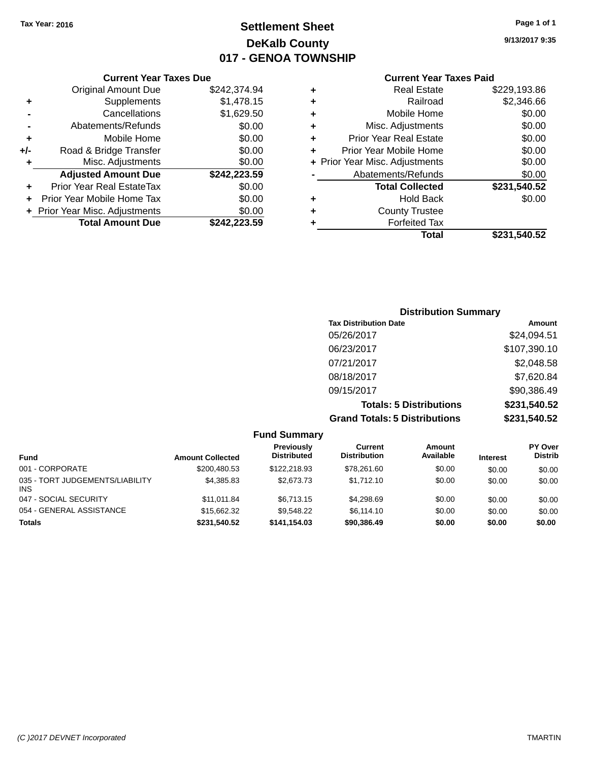# **Settlement Sheet Tax Year: 2016 Page 1 of 1 DeKalb County 017 - GENOA TOWNSHIP**

**9/13/2017 9:35**

|     | <b>Current Year Taxes Due</b>  |              |
|-----|--------------------------------|--------------|
|     | <b>Original Amount Due</b>     | \$242,374.94 |
| ٠   | Supplements                    | \$1,478.15   |
|     | Cancellations                  | \$1,629.50   |
|     | Abatements/Refunds             | \$0.00       |
| ٠   | Mobile Home                    | \$0.00       |
| +/- | Road & Bridge Transfer         | \$0.00       |
| ٠   | Misc. Adjustments              | \$0.00       |
|     | <b>Adjusted Amount Due</b>     | \$242,223.59 |
| ٠   | Prior Year Real EstateTax      | \$0.00       |
| ÷   | Prior Year Mobile Home Tax     | \$0.00       |
|     | + Prior Year Misc. Adjustments | \$0.00       |
|     | <b>Total Amount Due</b>        | \$242,223.59 |

|   | <b>Real Estate</b>             | \$229,193.86 |
|---|--------------------------------|--------------|
| ٠ | Railroad                       | \$2,346.66   |
| ٠ | Mobile Home                    | \$0.00       |
| ٠ | Misc. Adjustments              | \$0.00       |
| ٠ | <b>Prior Year Real Estate</b>  | \$0.00       |
| ÷ | Prior Year Mobile Home         | \$0.00       |
|   | + Prior Year Misc. Adjustments | \$0.00       |
|   | Abatements/Refunds             | \$0.00       |
|   | <b>Total Collected</b>         | \$231,540.52 |
| ٠ | <b>Hold Back</b>               | \$0.00       |
| ٠ | <b>County Trustee</b>          |              |
| ٠ | <b>Forfeited Tax</b>           |              |
|   | Total                          | \$231,540.52 |
|   |                                |              |

| <b>Distribution Summary</b>          |              |
|--------------------------------------|--------------|
| <b>Tax Distribution Date</b>         | Amount       |
| 05/26/2017                           | \$24,094.51  |
| 06/23/2017                           | \$107,390.10 |
| 07/21/2017                           | \$2,048.58   |
| 08/18/2017                           | \$7,620.84   |
| 09/15/2017                           | \$90,386.49  |
| <b>Totals: 5 Distributions</b>       | \$231,540.52 |
| <b>Grand Totals: 5 Distributions</b> | \$231,540.52 |

|                                         |                         | <b>Fund Summary</b>              |                                |                     |                 |                                  |
|-----------------------------------------|-------------------------|----------------------------------|--------------------------------|---------------------|-----------------|----------------------------------|
| <b>Fund</b>                             | <b>Amount Collected</b> | Previously<br><b>Distributed</b> | Current<br><b>Distribution</b> | Amount<br>Available | <b>Interest</b> | <b>PY Over</b><br><b>Distrib</b> |
| 001 - CORPORATE                         | \$200,480.53            | \$122,218.93                     | \$78,261.60                    | \$0.00              | \$0.00          | \$0.00                           |
| 035 - TORT JUDGEMENTS/LIABILITY<br>INS. | \$4.385.83              | \$2,673.73                       | \$1,712.10                     | \$0.00              | \$0.00          | \$0.00                           |
| 047 - SOCIAL SECURITY                   | \$11.011.84             | \$6.713.15                       | \$4,298.69                     | \$0.00              | \$0.00          | \$0.00                           |
| 054 - GENERAL ASSISTANCE                | \$15,662.32             | \$9,548.22                       | \$6,114.10                     | \$0.00              | \$0.00          | \$0.00                           |
| Totals                                  | \$231,540.52            | \$141.154.03                     | \$90,386.49                    | \$0.00              | \$0.00          | \$0.00                           |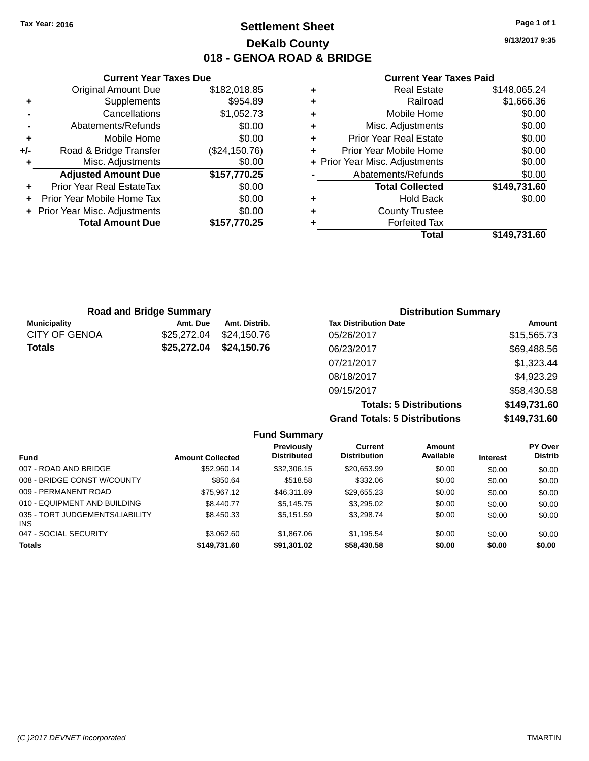# **Settlement Sheet Tax Year: 2016 Page 1 of 1 DeKalb County 018 - GENOA ROAD & BRIDGE**

**9/13/2017 9:35**

#### **Current Year Taxes Paid**

|     | <b>Current Year Taxes Due</b>  |               |                     |
|-----|--------------------------------|---------------|---------------------|
|     | <b>Original Amount Due</b>     | \$182,018.85  | ٠                   |
|     | Supplements                    | \$954.89      | ٠                   |
|     | Cancellations                  | \$1,052.73    | ٠                   |
|     | Abatements/Refunds             | \$0.00        | ٠                   |
|     | Mobile Home                    | \$0.00        | ٠                   |
| +/- | Road & Bridge Transfer         | (\$24,150.76) | F                   |
|     | Misc. Adjustments              | \$0.00        | $+$ Prior $\lambda$ |
|     | <b>Adjusted Amount Due</b>     | \$157,770.25  |                     |
|     | Prior Year Real EstateTax      | \$0.00        |                     |
|     | Prior Year Mobile Home Tax     | \$0.00        | ٠                   |
|     | + Prior Year Misc. Adjustments | \$0.00        |                     |
|     | <b>Total Amount Due</b>        | \$157,770.25  |                     |
|     |                                |               |                     |

|   | Total                          | \$149,731.60 |
|---|--------------------------------|--------------|
|   | <b>Forfeited Tax</b>           |              |
|   | <b>County Trustee</b>          |              |
| ٠ | <b>Hold Back</b>               | \$0.00       |
|   | <b>Total Collected</b>         | \$149,731.60 |
|   | Abatements/Refunds             | \$0.00       |
|   | + Prior Year Misc. Adjustments | \$0.00       |
|   | Prior Year Mobile Home         | \$0.00       |
| ٠ | <b>Prior Year Real Estate</b>  | \$0.00       |
| ٠ | Misc. Adjustments              | \$0.00       |
| ٠ | Mobile Home                    | \$0.00       |
| ٠ | Railroad                       | \$1,666.36   |
|   | <b>Real Estate</b>             | \$148,065.24 |

| <b>Road and Bridge Summary</b> |             |               | <b>Distribution Summary</b>  |               |
|--------------------------------|-------------|---------------|------------------------------|---------------|
| <b>Municipality</b>            | Amt. Due    | Amt. Distrib. | <b>Tax Distribution Date</b> | Amount        |
| <b>CITY OF GENOA</b>           | \$25,272.04 | \$24.150.76   | 05/26/2017                   | \$15,565.73   |
| <b>Totals</b>                  | \$25,272.04 | \$24,150.76   | 06/23/2017                   | \$69,488.56   |
|                                |             |               | 07/21/2017                   | \$1,323.44    |
|                                |             |               | 08/18/2017                   | \$4,923.29    |
|                                |             |               | 09/15/2017                   | \$58,430.58   |
|                                |             |               | エスキュレス こうこうしょうけい はっしょう       | $A$ in Thi ca |

**Totals: 5 Distributions \$149,731.60 Grand Totals: 5 Distributions \$149,731.60**

|                                         |                         | <b>Fund Summary</b>              |                                       |                     |                 |                           |
|-----------------------------------------|-------------------------|----------------------------------|---------------------------------------|---------------------|-----------------|---------------------------|
| <b>Fund</b>                             | <b>Amount Collected</b> | Previously<br><b>Distributed</b> | <b>Current</b><br><b>Distribution</b> | Amount<br>Available | <b>Interest</b> | PY Over<br><b>Distrib</b> |
| 007 - ROAD AND BRIDGE                   | \$52,960,14             | \$32,306.15                      | \$20,653.99                           | \$0.00              | \$0.00          | \$0.00                    |
| 008 - BRIDGE CONST W/COUNTY             | \$850.64                | \$518.58                         | \$332.06                              | \$0.00              | \$0.00          | \$0.00                    |
| 009 - PERMANENT ROAD                    | \$75.967.12             | \$46,311.89                      | \$29,655.23                           | \$0.00              | \$0.00          | \$0.00                    |
| 010 - EQUIPMENT AND BUILDING            | \$8,440.77              | \$5.145.75                       | \$3.295.02                            | \$0.00              | \$0.00          | \$0.00                    |
| 035 - TORT JUDGEMENTS/LIABILITY<br>INS. | \$8,450.33              | \$5.151.59                       | \$3,298.74                            | \$0.00              | \$0.00          | \$0.00                    |
| 047 - SOCIAL SECURITY                   | \$3.062.60              | \$1,867.06                       | \$1,195.54                            | \$0.00              | \$0.00          | \$0.00                    |
| <b>Totals</b>                           | \$149,731.60            | \$91,301.02                      | \$58,430.58                           | \$0.00              | \$0.00          | \$0.00                    |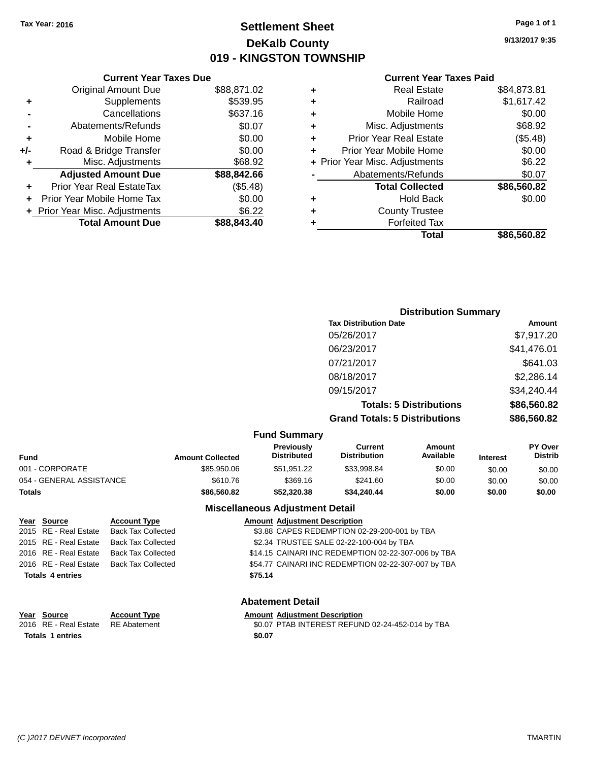# **Settlement Sheet Tax Year: 2016 Page 1 of 1 DeKalb County 019 - KINGSTON TOWNSHIP**

**9/13/2017 9:35**

## **Current Year Taxes Paid**

|     | <b>Current Year Taxes Due</b>  |             |
|-----|--------------------------------|-------------|
|     | <b>Original Amount Due</b>     | \$88,871.02 |
| ÷   | Supplements                    | \$539.95    |
|     | Cancellations                  | \$637.16    |
|     | Abatements/Refunds             | \$0.07      |
| ٠   | Mobile Home                    | \$0.00      |
| +/- | Road & Bridge Transfer         | \$0.00      |
| ٠   | Misc. Adjustments              | \$68.92     |
|     | <b>Adjusted Amount Due</b>     | \$88,842.66 |
| ÷   | Prior Year Real EstateTax      | (\$5.48)    |
|     | Prior Year Mobile Home Tax     | \$0.00      |
|     | + Prior Year Misc. Adjustments | \$6.22      |
|     | <b>Total Amount Due</b>        | \$88,843.40 |
|     |                                |             |

| ٠ | <b>Real Estate</b>             | \$84,873.81 |
|---|--------------------------------|-------------|
| ٠ | Railroad                       | \$1,617.42  |
| ٠ | Mobile Home                    | \$0.00      |
| ٠ | Misc. Adjustments              | \$68.92     |
| ٠ | <b>Prior Year Real Estate</b>  | (\$5.48)    |
| ٠ | Prior Year Mobile Home         | \$0.00      |
|   | + Prior Year Misc. Adjustments | \$6.22      |
|   | Abatements/Refunds             | \$0.07      |
|   | <b>Total Collected</b>         | \$86,560.82 |
| ٠ | Hold Back                      | \$0.00      |
| ٠ | <b>County Trustee</b>          |             |
| ٠ | <b>Forfeited Tax</b>           |             |
|   | Total                          | \$86,560.82 |
|   |                                |             |

| <b>Distribution Summary</b>          |             |
|--------------------------------------|-------------|
| <b>Tax Distribution Date</b>         | Amount      |
| 05/26/2017                           | \$7,917.20  |
| 06/23/2017                           | \$41,476.01 |
| 07/21/2017                           | \$641.03    |
| 08/18/2017                           | \$2,286.14  |
| 09/15/2017                           | \$34,240.44 |
| <b>Totals: 5 Distributions</b>       | \$86,560.82 |
| <b>Grand Totals: 5 Distributions</b> | \$86,560.82 |

|  |  | <b>Fund Summary</b> |
|--|--|---------------------|
|--|--|---------------------|

| <b>Amount Collected</b> | <b>Previously</b><br><b>Distributed</b> | Current<br><b>Distribution</b> | Amount<br>Available | <b>Interest</b> | <b>PY Over</b><br><b>Distrib</b> |
|-------------------------|-----------------------------------------|--------------------------------|---------------------|-----------------|----------------------------------|
| \$85,950.06             | \$51,951.22                             | \$33.998.84                    | \$0.00              | \$0.00          | \$0.00                           |
| \$610.76                | \$369.16                                | \$241.60                       | \$0.00              | \$0.00          | \$0.00                           |
| \$86,560.82             | \$52,320,38                             | \$34.240.44                    | \$0.00              | \$0.00          | \$0.00                           |
|                         |                                         |                                |                     |                 |                                  |

| <b>Totals 4 entries</b> |                       |  |  |  |  |  |  |
|-------------------------|-----------------------|--|--|--|--|--|--|
|                         | 2016 RE - Real Estate |  |  |  |  |  |  |
|                         | 2016 RE - Real Estate |  |  |  |  |  |  |
|                         | 2015 RE - Real Estate |  |  |  |  |  |  |
| 2015 RE - Real Estate   |                       |  |  |  |  |  |  |

## **Miscellaneous Adjustment Detail**

**Year Source Account Type Amount Adjustment Description** \$3.88 CAPES REDEMPTION 02-29-200-001 by TBA Back Tax Collected **2015 82.34 TRUSTEE SALE 02-22-100-004 by TBA** Back Tax Collected **2016 CAINARI INC REDEMPTION 02-22-307-006 by TBA** Back Tax Collected **2016 STATE STATE STATE STATE STATE STATE STATE STATE STATE STATE STATE STATE STATE STATE STATE STATE STATE STATE STATE STATE STATE STATE STATE STATE STATE STATE STATE STATE STATE STATE STATE STATE STATE Totals \$75.14 4 entries**

## **Abatement Detail**

#### **Year** Source **Account Type Account Adjustment Description**

2016 RE - Real Estate RE Abatement \$0.07 PTAB INTEREST REFUND 02-24-452-014 by TBA **Totals 1 entries** \$0.07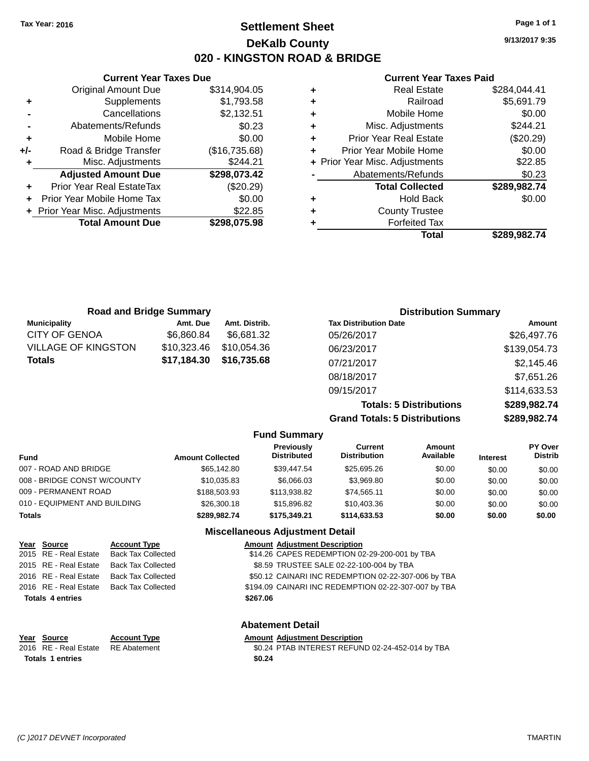**Current Year Taxes Due** Original Amount Due \$314,904.05

**Adjusted Amount Due \$298,073.42**

**Total Amount Due \$298,075.98**

**+** Supplements \$1,793.58 **-** Cancellations \$2,132.51 **-** Abatements/Refunds \$0.23 **+** Mobile Home \$0.00 **+/-** Road & Bridge Transfer (\$16,735.68) **+** Misc. Adjustments \$244.21

**+** Prior Year Real EstateTax (\$20.29) **+** Prior Year Mobile Home Tax \$0.00 **+** Prior Year Misc. Adjustments \$22.85

## **Settlement Sheet Tax Year: 2016 Page 1 of 1 DeKalb County 020 - KINGSTON ROAD & BRIDGE**

**9/13/2017 9:35**

#### **Current Year Taxes Paid**

|   | Total                          | \$289.982.74 |
|---|--------------------------------|--------------|
|   | <b>Forfeited Tax</b>           |              |
| ٠ | <b>County Trustee</b>          |              |
| ٠ | <b>Hold Back</b>               | \$0.00       |
|   | <b>Total Collected</b>         | \$289,982.74 |
|   | Abatements/Refunds             | \$0.23       |
|   | + Prior Year Misc. Adjustments | \$22.85      |
| ٠ | Prior Year Mobile Home         | \$0.00       |
| ٠ | <b>Prior Year Real Estate</b>  | (\$20.29)    |
| ٠ | Misc. Adjustments              | \$244.21     |
| ٠ | Mobile Home                    | \$0.00       |
| ٠ | Railroad                       | \$5,691.79   |
| ٠ | <b>Real Estate</b>             | \$284,044.41 |

| <b>Road and Bridge Summary</b> |             | <b>Distribution Summary</b> |                                |              |
|--------------------------------|-------------|-----------------------------|--------------------------------|--------------|
| <b>Municipality</b>            | Amt. Due    | Amt. Distrib.               | <b>Tax Distribution Date</b>   | Amount       |
| CITY OF GENOA                  | \$6,860.84  | \$6,681.32                  | 05/26/2017                     | \$26,497.76  |
| VILLAGE OF KINGSTON            | \$10,323.46 | \$10,054.36                 | 06/23/2017                     | \$139,054.73 |
| Totals                         | \$17,184.30 | \$16,735.68                 | 07/21/2017                     | \$2,145.46   |
|                                |             |                             | 08/18/2017                     | \$7,651.26   |
|                                |             |                             | 09/15/2017                     | \$114,633.53 |
|                                |             |                             | <b>Totals: 5 Distributions</b> | \$289,982.74 |

**Grand Totals: 5 Distributions \$289,982.74**

|                              |                         |                                         | \$289,982.74                   |                     |                 |                                  |
|------------------------------|-------------------------|-----------------------------------------|--------------------------------|---------------------|-----------------|----------------------------------|
|                              |                         | <b>Fund Summary</b>                     |                                |                     |                 |                                  |
| <b>Fund</b>                  | <b>Amount Collected</b> | <b>Previously</b><br><b>Distributed</b> | Current<br><b>Distribution</b> | Amount<br>Available | <b>Interest</b> | <b>PY Over</b><br><b>Distrib</b> |
| 007 - ROAD AND BRIDGE        | \$65,142.80             | \$39.447.54                             | \$25,695.26                    | \$0.00              | \$0.00          | \$0.00                           |
| 008 - BRIDGE CONST W/COUNTY  | \$10,035.83             | \$6,066.03                              | \$3,969.80                     | \$0.00              | \$0.00          | \$0.00                           |
| 009 - PERMANENT ROAD         | \$188,503.93            | \$113,938.82                            | \$74,565.11                    | \$0.00              | \$0.00          | \$0.00                           |
| 010 - EQUIPMENT AND BUILDING | \$26,300.18             | \$15,896.82                             | \$10,403.36                    | \$0.00              | \$0.00          | \$0.00                           |
| <b>Totals</b>                | \$289,982.74            | \$175,349.21                            | \$114,633.53                   | \$0.00              | \$0.00          | \$0.00                           |
|                              |                         | <b>Miscellaneous Adjustment Detail</b>  |                                |                     |                 |                                  |

| Year Source             | <b>Account Type</b>       | <b>Amount Adjustment Description</b>                 |
|-------------------------|---------------------------|------------------------------------------------------|
| 2015 RE - Real Estate   | <b>Back Tax Collected</b> | \$14.26 CAPES REDEMPTION 02-29-200-001 by TBA        |
| 2015 RE - Real Estate   | <b>Back Tax Collected</b> | \$8.59 TRUSTEE SALE 02-22-100-004 by TBA             |
| 2016 RE - Real Estate   | <b>Back Tax Collected</b> | \$50.12 CAINARI INC REDEMPTION 02-22-307-006 by TBA  |
| 2016 RE - Real Estate   | <b>Back Tax Collected</b> | \$194.09 CAINARI INC REDEMPTION 02-22-307-007 by TBA |
| <b>Totals 4 entries</b> |                           | \$267.06                                             |
|                         |                           | <b>Abatement Detail</b>                              |
| $M = 100$ $M = 100$     | A T.                      | Associated Address and Property of Land              |

## **Year Source Account Type Amount Adjustment Description Totals \$0.24 1 entries**

2016 RE - Real Estate RE Abatement \$0.24 PTAB INTEREST REFUND 02-24-452-014 by TBA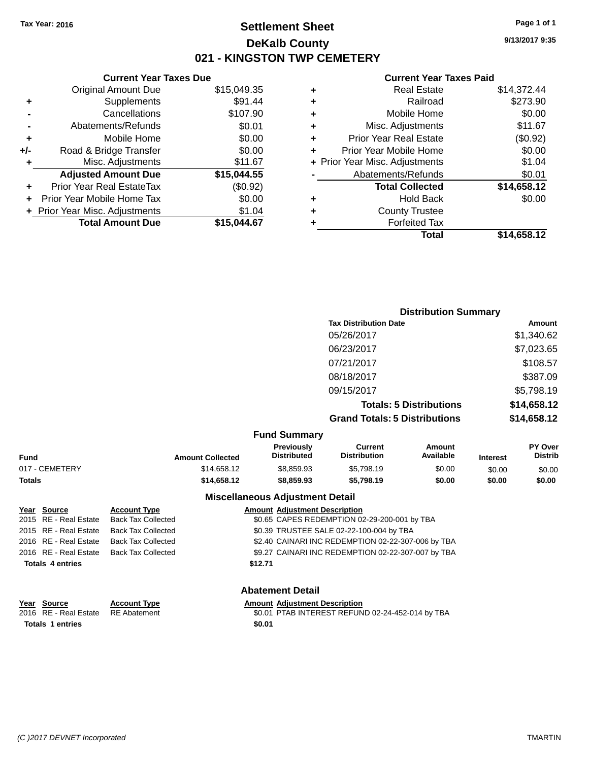# **Settlement Sheet Tax Year: 2016 Page 1 of 1 DeKalb County 021 - KINGSTON TWP CEMETERY**

**9/13/2017 9:35**

#### **Current Year Taxes Paid**

|     | <b>Current Year Taxes Due</b>  |             |
|-----|--------------------------------|-------------|
|     | <b>Original Amount Due</b>     | \$15,049.35 |
| ٠   | Supplements                    | \$91.44     |
|     | Cancellations                  | \$107.90    |
|     | Abatements/Refunds             | \$0.01      |
| ٠   | Mobile Home                    | \$0.00      |
| +/- | Road & Bridge Transfer         | \$0.00      |
| ٠   | Misc. Adjustments              | \$11.67     |
|     | <b>Adjusted Amount Due</b>     | \$15,044.55 |
|     | Prior Year Real EstateTax      | (\$0.92)    |
|     | Prior Year Mobile Home Tax     | \$0.00      |
|     | + Prior Year Misc. Adjustments | \$1.04      |
|     | <b>Total Amount Due</b>        | \$15,044.67 |
|     |                                |             |

| ٠ | <b>Real Estate</b>             | \$14,372.44 |
|---|--------------------------------|-------------|
| ٠ | Railroad                       | \$273.90    |
| ٠ | Mobile Home                    | \$0.00      |
| ٠ | Misc. Adjustments              | \$11.67     |
| ٠ | <b>Prior Year Real Estate</b>  | (\$0.92)    |
| ÷ | Prior Year Mobile Home         | \$0.00      |
|   | + Prior Year Misc. Adjustments | \$1.04      |
|   | Abatements/Refunds             | \$0.01      |
|   | <b>Total Collected</b>         | \$14,658.12 |
| ٠ | <b>Hold Back</b>               | \$0.00      |
| ٠ | <b>County Trustee</b>          |             |
| ٠ | <b>Forfeited Tax</b>           |             |
|   | Total                          | \$14,658.12 |
|   |                                |             |

| <b>Distribution Summary</b>          |             |
|--------------------------------------|-------------|
| <b>Tax Distribution Date</b>         | Amount      |
| 05/26/2017                           | \$1,340.62  |
| 06/23/2017                           | \$7,023.65  |
| 07/21/2017                           | \$108.57    |
| 08/18/2017                           | \$387.09    |
| 09/15/2017                           | \$5,798.19  |
| <b>Totals: 5 Distributions</b>       | \$14,658.12 |
| <b>Grand Totals: 5 Distributions</b> | \$14,658.12 |

|                |                         | <b>Fund Summary</b>                     |                                |                     |                 |                                  |
|----------------|-------------------------|-----------------------------------------|--------------------------------|---------------------|-----------------|----------------------------------|
| Fund           | <b>Amount Collected</b> | <b>Previously</b><br><b>Distributed</b> | Current<br><b>Distribution</b> | Amount<br>Available | <b>Interest</b> | <b>PY Over</b><br><b>Distrib</b> |
| 017 - CEMETERY | \$14,658.12             | \$8,859.93                              | \$5,798.19                     | \$0.00              | \$0.00          | \$0.00                           |
| Totals         | \$14,658.12             | \$8,859.93                              | \$5,798.19                     | \$0.00              | \$0.00          | \$0.00                           |

| <b>Miscellaneous Adjustment Detail</b> |  |
|----------------------------------------|--|
|                                        |  |

| Year Source             | <b>Account Type</b>       |         | <b>Amount Adjustment Description</b>               |
|-------------------------|---------------------------|---------|----------------------------------------------------|
| 2015 RE - Real Estate   | <b>Back Tax Collected</b> |         | \$0.65 CAPES REDEMPTION 02-29-200-001 by TBA       |
| 2015 RE - Real Estate   | <b>Back Tax Collected</b> |         | \$0.39 TRUSTEE SALE 02-22-100-004 by TBA           |
| 2016 RE - Real Estate   | <b>Back Tax Collected</b> |         | \$2.40 CAINARI INC REDEMPTION 02-22-307-006 by TBA |
| 2016 RE - Real Estate   | Back Tax Collected        |         | \$9.27 CAINARI INC REDEMPTION 02-22-307-007 by TBA |
| <b>Totals 4 entries</b> |                           | \$12.71 |                                                    |
|                         |                           |         |                                                    |

## **Year Source Account Type Amount Adjustment Description**<br>2016 RE - Real Estate RE Abatement **Amount 1998** 1999 40.01 PTAB INTEREST REFUN **Totals 1 entries** \$0.01

#### **Abatement Detail**

\$0.01 PTAB INTEREST REFUND 02-24-452-014 by TBA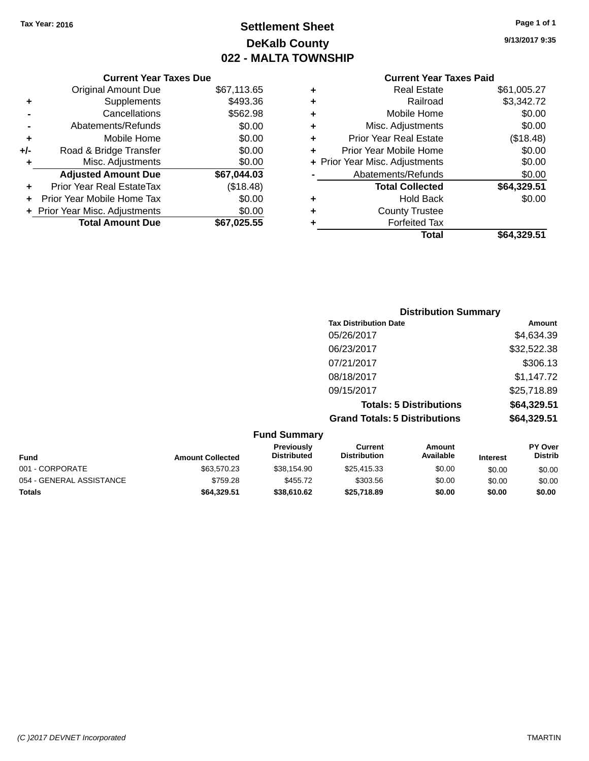# **Settlement Sheet Tax Year: 2016 Page 1 of 1 DeKalb County 022 - MALTA TOWNSHIP**

**9/13/2017 9:35**

# **Current Year Taxes Paid +** Real Estate \$61,005.27 **+** Railroad \$3,342.72

|   | Total                          | \$64,329.51 |
|---|--------------------------------|-------------|
|   | <b>Forfeited Tax</b>           |             |
| ٠ | <b>County Trustee</b>          |             |
| ٠ | <b>Hold Back</b>               | \$0.00      |
|   | <b>Total Collected</b>         | \$64,329.51 |
|   | Abatements/Refunds             | \$0.00      |
|   | + Prior Year Misc. Adjustments | \$0.00      |
| ÷ | Prior Year Mobile Home         | \$0.00      |
| ÷ | <b>Prior Year Real Estate</b>  | (\$18.48)   |
| ÷ | Misc. Adjustments              | \$0.00      |
|   | Mobile Home                    | \$0.00      |

## **Current Year Taxes Due** Original Amount Due \$67,113.65 **+** Supplements \$493.36 **-** Cancellations \$562.98 **-** Abatements/Refunds \$0.00 **+** Mobile Home \$0.00 **+/-** Road & Bridge Transfer \$0.00<br> **+** Misc. Adjustments \$0.00 **+** Misc. Adjustments **Adjusted Amount Due \$67,044.03 +** Prior Year Real EstateTax (\$18.48) **+** Prior Year Mobile Home Tax \$0.00 **+ Prior Year Misc. Adjustments**  $$0.00$ **Total Amount Due \$67,025.55**

| <b>Distribution Summary</b>          |             |
|--------------------------------------|-------------|
| <b>Tax Distribution Date</b>         | Amount      |
| 05/26/2017                           | \$4,634.39  |
| 06/23/2017                           | \$32,522.38 |
| 07/21/2017                           | \$306.13    |
| 08/18/2017                           | \$1,147.72  |
| 09/15/2017                           | \$25,718.89 |
| <b>Totals: 5 Distributions</b>       | \$64,329.51 |
| <b>Grand Totals: 5 Distributions</b> | \$64,329.51 |

|                                                                                                                                                        |             | <b>Fund Summary</b> |             |        |        |                                  |
|--------------------------------------------------------------------------------------------------------------------------------------------------------|-------------|---------------------|-------------|--------|--------|----------------------------------|
| Previously<br>Current<br>Amount<br>Available<br><b>Distribution</b><br><b>Distributed</b><br><b>Fund</b><br><b>Amount Collected</b><br><b>Interest</b> |             |                     |             |        |        | <b>PY Over</b><br><b>Distrib</b> |
| 001 - CORPORATE                                                                                                                                        | \$63,570.23 | \$38,154.90         | \$25,415.33 | \$0.00 | \$0.00 | \$0.00                           |
| 054 - GENERAL ASSISTANCE                                                                                                                               | \$759.28    | \$455.72            | \$303.56    | \$0.00 | \$0.00 | \$0.00                           |
| <b>Totals</b>                                                                                                                                          | \$64,329.51 | \$38,610.62         | \$25,718.89 | \$0.00 | \$0.00 | \$0.00                           |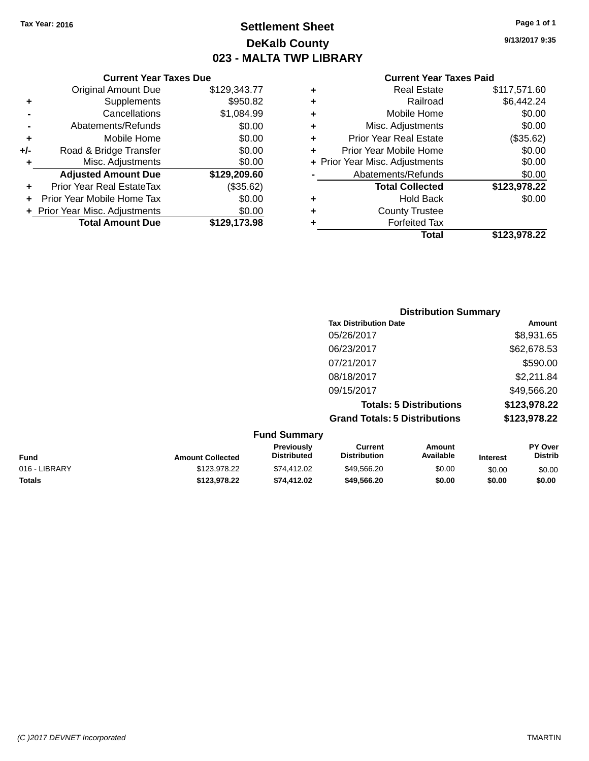# **Settlement Sheet Tax Year: 2016 Page 1 of 1 DeKalb County 023 - MALTA TWP LIBRARY**

**9/13/2017 9:35**

|     | <b>Current Year Taxes Due</b>  |              |       |  |  |
|-----|--------------------------------|--------------|-------|--|--|
|     | <b>Original Amount Due</b>     | \$129,343.77 | ٠     |  |  |
|     | Supplements                    | \$950.82     | ٠     |  |  |
|     | Cancellations                  | \$1,084.99   | ٠     |  |  |
|     | Abatements/Refunds             | \$0.00       | ٠     |  |  |
|     | Mobile Home                    | \$0.00       |       |  |  |
| +/- | Road & Bridge Transfer         | \$0.00       | ٠     |  |  |
|     | Misc. Adjustments              | \$0.00       | + Pri |  |  |
|     | <b>Adjusted Amount Due</b>     | \$129,209.60 |       |  |  |
|     | Prior Year Real EstateTax      | (\$35.62)    |       |  |  |
|     | Prior Year Mobile Home Tax     | \$0.00       |       |  |  |
|     | + Prior Year Misc. Adjustments | \$0.00       |       |  |  |
|     | <b>Total Amount Due</b>        | \$129,173.98 |       |  |  |
|     |                                |              |       |  |  |

| ٠ | <b>Real Estate</b>             | \$117,571.60 |
|---|--------------------------------|--------------|
| ٠ | Railroad                       | \$6,442.24   |
| ٠ | Mobile Home                    | \$0.00       |
| ٠ | Misc. Adjustments              | \$0.00       |
| ٠ | <b>Prior Year Real Estate</b>  | (\$35.62)    |
| ÷ | Prior Year Mobile Home         | \$0.00       |
|   | + Prior Year Misc. Adjustments | \$0.00       |
|   | Abatements/Refunds             | \$0.00       |
|   | <b>Total Collected</b>         | \$123,978.22 |
| ٠ | <b>Hold Back</b>               | \$0.00       |
| ٠ | <b>County Trustee</b>          |              |
| ٠ | <b>Forfeited Tax</b>           |              |
|   | <b>Total</b>                   | \$123.978.22 |
|   |                                |              |

| <b>Distribution Summary</b>          |              |
|--------------------------------------|--------------|
| <b>Tax Distribution Date</b>         | Amount       |
| 05/26/2017                           | \$8,931.65   |
| 06/23/2017                           | \$62,678.53  |
| 07/21/2017                           | \$590.00     |
| 08/18/2017                           | \$2,211.84   |
| 09/15/2017                           | \$49,566.20  |
| <b>Totals: 5 Distributions</b>       | \$123,978.22 |
| <b>Grand Totals: 5 Distributions</b> | \$123,978.22 |

|               |                         | <b>Fund Summary</b>                     |                                |                     |                 |                                  |
|---------------|-------------------------|-----------------------------------------|--------------------------------|---------------------|-----------------|----------------------------------|
| <b>Fund</b>   | <b>Amount Collected</b> | <b>Previously</b><br><b>Distributed</b> | Current<br><b>Distribution</b> | Amount<br>Available | <b>Interest</b> | <b>PY Over</b><br><b>Distrib</b> |
| 016 - LIBRARY | \$123,978.22            | \$74.412.02                             | \$49,566.20                    | \$0.00              | \$0.00          | \$0.00                           |
| <b>Totals</b> | \$123.978.22            | \$74,412.02                             | \$49,566,20                    | \$0.00              | \$0.00          | \$0.00                           |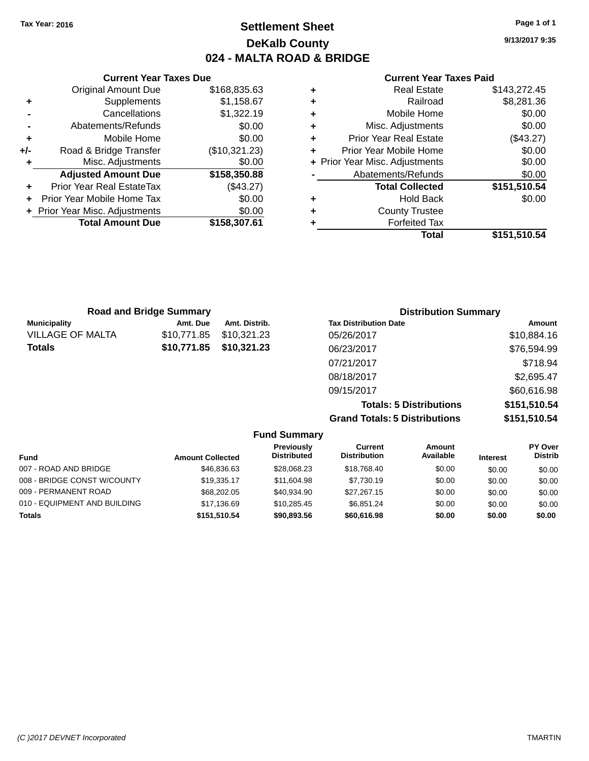## **Settlement Sheet Tax Year: 2016 Page 1 of 1 DeKalb County 024 - MALTA ROAD & BRIDGE**

**9/13/2017 9:35**

#### **Current Year Taxes Paid**

|     | <b>Current Year Taxes Due</b>  |               |  |  |  |
|-----|--------------------------------|---------------|--|--|--|
|     | <b>Original Amount Due</b>     | \$168,835.63  |  |  |  |
| ٠   | Supplements                    | \$1,158.67    |  |  |  |
|     | Cancellations                  | \$1,322.19    |  |  |  |
|     | Abatements/Refunds             | \$0.00        |  |  |  |
| ٠   | Mobile Home                    | \$0.00        |  |  |  |
| +/- | Road & Bridge Transfer         | (\$10,321.23) |  |  |  |
| ٠   | Misc. Adjustments              | \$0.00        |  |  |  |
|     | <b>Adjusted Amount Due</b>     | \$158,350.88  |  |  |  |
| ٠   | Prior Year Real EstateTax      | (\$43.27)     |  |  |  |
|     | Prior Year Mobile Home Tax     | \$0.00        |  |  |  |
|     | + Prior Year Misc. Adjustments | \$0.00        |  |  |  |
|     | <b>Total Amount Due</b>        | \$158,307.61  |  |  |  |
|     |                                |               |  |  |  |

| ٠ | <b>Real Estate</b>             | \$143.272.45 |
|---|--------------------------------|--------------|
| ٠ | Railroad                       | \$8,281.36   |
| ٠ | Mobile Home                    | \$0.00       |
| ٠ | Misc. Adjustments              | \$0.00       |
| ٠ | <b>Prior Year Real Estate</b>  | (\$43.27)    |
| ٠ | Prior Year Mobile Home         | \$0.00       |
|   | + Prior Year Misc. Adjustments | \$0.00       |
|   | Abatements/Refunds             | \$0.00       |
|   | <b>Total Collected</b>         | \$151,510.54 |
| ٠ | <b>Hold Back</b>               | \$0.00       |
| ٠ | <b>County Trustee</b>          |              |
| ٠ | <b>Forfeited Tax</b>           |              |
|   | Total                          | \$151,510.54 |
|   |                                |              |

| <b>Road and Bridge Summary</b> |             | <b>Distribution Summary</b> |                                |              |
|--------------------------------|-------------|-----------------------------|--------------------------------|--------------|
| <b>Municipality</b>            | Amt. Due    | Amt. Distrib.               | <b>Tax Distribution Date</b>   | Amount       |
| <b>VILLAGE OF MALTA</b>        | \$10,771.85 | \$10,321.23                 | 05/26/2017                     | \$10,884.16  |
| <b>Totals</b>                  | \$10,771.85 | \$10,321.23                 | 06/23/2017                     | \$76,594.99  |
|                                |             |                             | 07/21/2017                     | \$718.94     |
|                                |             |                             | 08/18/2017                     | \$2,695.47   |
|                                |             |                             | 09/15/2017                     | \$60,616.98  |
|                                |             |                             | <b>Totals: 5 Distributions</b> | \$151,510.54 |

**Grand Totals: 5 Distributions \$151,510.54**

|                              |                         | <b>Fund Summary</b>              |                                |                     |                 |                           |
|------------------------------|-------------------------|----------------------------------|--------------------------------|---------------------|-----------------|---------------------------|
| <b>Fund</b>                  | <b>Amount Collected</b> | Previously<br><b>Distributed</b> | Current<br><b>Distribution</b> | Amount<br>Available | <b>Interest</b> | PY Over<br><b>Distrib</b> |
| 007 - ROAD AND BRIDGE        | \$46,836,63             | \$28,068.23                      | \$18,768.40                    | \$0.00              | \$0.00          | \$0.00                    |
| 008 - BRIDGE CONST W/COUNTY  | \$19,335.17             | \$11,604.98                      | \$7,730.19                     | \$0.00              | \$0.00          | \$0.00                    |
| 009 - PERMANENT ROAD         | \$68,202,05             | \$40.934.90                      | \$27.267.15                    | \$0.00              | \$0.00          | \$0.00                    |
| 010 - EQUIPMENT AND BUILDING | \$17.136.69             | \$10.285.45                      | \$6.851.24                     | \$0.00              | \$0.00          | \$0.00                    |
| Totals                       | \$151.510.54            | \$90,893.56                      | \$60,616.98                    | \$0.00              | \$0.00          | \$0.00                    |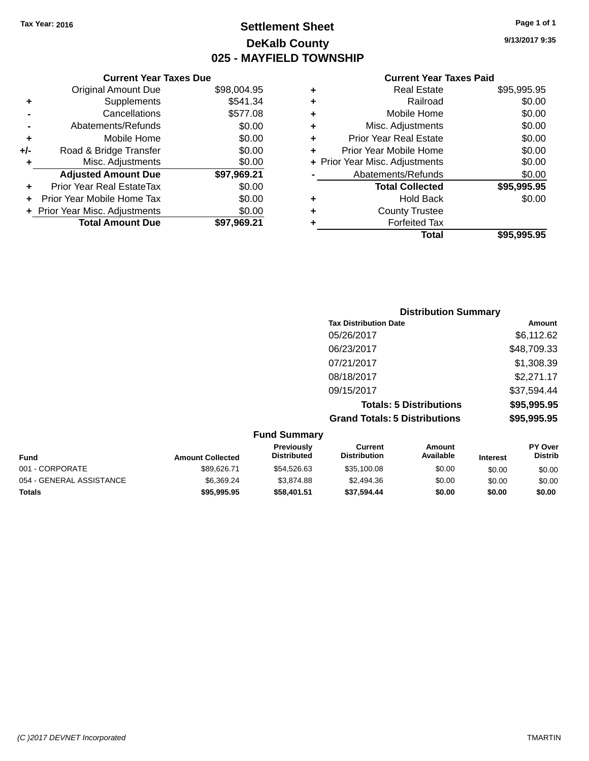# **Settlement Sheet Tax Year: 2016 Page 1 of 1 DeKalb County 025 - MAYFIELD TOWNSHIP**

**9/13/2017 9:35**

| \$541.34<br>\$577.08<br>\$0.00<br>\$0.00<br>\$0.00<br>\$0.00<br>\$97,969.21<br>\$0.00<br>\$0.00<br>\$0.00<br>\$97.969.21 |
|--------------------------------------------------------------------------------------------------------------------------|

|   | <b>Real Estate</b>             | \$95,995.95 |
|---|--------------------------------|-------------|
| ٠ | Railroad                       | \$0.00      |
| ٠ | Mobile Home                    | \$0.00      |
| ٠ | Misc. Adjustments              | \$0.00      |
| ٠ | <b>Prior Year Real Estate</b>  | \$0.00      |
| ٠ | Prior Year Mobile Home         | \$0.00      |
|   | + Prior Year Misc. Adjustments | \$0.00      |
|   | Abatements/Refunds             | \$0.00      |
|   | <b>Total Collected</b>         | \$95,995.95 |
| ٠ | <b>Hold Back</b>               | \$0.00      |
| ٠ | <b>County Trustee</b>          |             |
| ٠ | <b>Forfeited Tax</b>           |             |
|   | Total                          | \$95,995,95 |
|   |                                |             |

| <b>Distribution Summary</b>          |             |
|--------------------------------------|-------------|
| <b>Tax Distribution Date</b>         | Amount      |
| 05/26/2017                           | \$6,112.62  |
| 06/23/2017                           | \$48,709.33 |
| 07/21/2017                           | \$1,308.39  |
| 08/18/2017                           | \$2,271.17  |
| 09/15/2017                           | \$37,594.44 |
| <b>Totals: 5 Distributions</b>       | \$95,995.95 |
| <b>Grand Totals: 5 Distributions</b> | \$95,995.95 |

|                          |                         | <b>Fund Summary</b>                     |                                |                     |                 |                                  |
|--------------------------|-------------------------|-----------------------------------------|--------------------------------|---------------------|-----------------|----------------------------------|
| <b>Fund</b>              | <b>Amount Collected</b> | <b>Previously</b><br><b>Distributed</b> | Current<br><b>Distribution</b> | Amount<br>Available | <b>Interest</b> | <b>PY Over</b><br><b>Distrib</b> |
| 001 - CORPORATE          | \$89,626.71             | \$54.526.63                             | \$35,100.08                    | \$0.00              | \$0.00          | \$0.00                           |
| 054 - GENERAL ASSISTANCE | \$6.369.24              | \$3.874.88                              | \$2,494.36                     | \$0.00              | \$0.00          | \$0.00                           |
| <b>Totals</b>            | \$95,995.95             | \$58,401.51                             | \$37.594.44                    | \$0.00              | \$0.00          | \$0.00                           |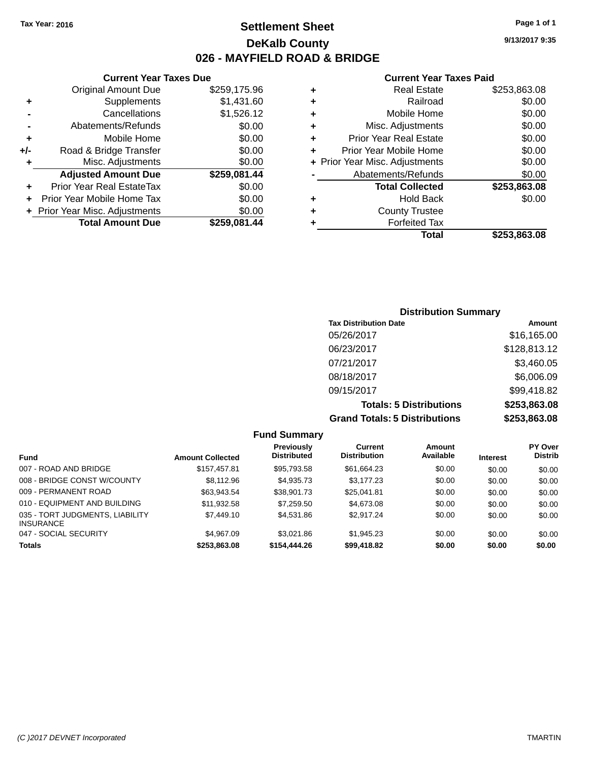## **Settlement Sheet Tax Year: 2016 Page 1 of 1 DeKalb County 026 - MAYFIELD ROAD & BRIDGE**

**Current Year Taxes Due**

| <b>Original Amount Due</b> | \$259,175.96                   |
|----------------------------|--------------------------------|
| Supplements                | \$1,431.60                     |
| Cancellations              | \$1,526.12                     |
| Abatements/Refunds         | \$0.00                         |
| Mobile Home                | \$0.00                         |
| Road & Bridge Transfer     | \$0.00                         |
| Misc. Adjustments          | \$0.00                         |
| <b>Adjusted Amount Due</b> | \$259,081.44                   |
| Prior Year Real EstateTax  | \$0.00                         |
| Prior Year Mobile Home Tax | \$0.00                         |
|                            | \$0.00                         |
| <b>Total Amount Due</b>    | \$259,081.44                   |
|                            | + Prior Year Misc. Adjustments |

| ٠ | <b>Real Estate</b>             | \$253,863.08 |
|---|--------------------------------|--------------|
| ٠ | Railroad                       | \$0.00       |
| ٠ | Mobile Home                    | \$0.00       |
| ٠ | Misc. Adjustments              | \$0.00       |
| ٠ | <b>Prior Year Real Estate</b>  | \$0.00       |
| ٠ | Prior Year Mobile Home         | \$0.00       |
|   | + Prior Year Misc. Adjustments | \$0.00       |
|   | Abatements/Refunds             | \$0.00       |
|   | <b>Total Collected</b>         | \$253,863.08 |
| ٠ | <b>Hold Back</b>               | \$0.00       |
| ٠ | <b>County Trustee</b>          |              |
| ٠ | <b>Forfeited Tax</b>           |              |
|   | Total                          | \$253,863.08 |
|   |                                |              |

| <b>Distribution Summary</b>          |              |  |  |  |  |  |
|--------------------------------------|--------------|--|--|--|--|--|
| <b>Tax Distribution Date</b>         | Amount       |  |  |  |  |  |
| 05/26/2017                           | \$16,165.00  |  |  |  |  |  |
| 06/23/2017                           | \$128,813.12 |  |  |  |  |  |
| 07/21/2017                           | \$3,460.05   |  |  |  |  |  |
| 08/18/2017                           | \$6,006.09   |  |  |  |  |  |
| 09/15/2017                           | \$99,418.82  |  |  |  |  |  |
| <b>Totals: 5 Distributions</b>       | \$253,863.08 |  |  |  |  |  |
| <b>Grand Totals: 5 Distributions</b> | \$253,863.08 |  |  |  |  |  |

|                                                     |                         | <b>Fund Summary</b>                     |                                       |                     |                 |                                  |
|-----------------------------------------------------|-------------------------|-----------------------------------------|---------------------------------------|---------------------|-----------------|----------------------------------|
| <b>Fund</b>                                         | <b>Amount Collected</b> | <b>Previously</b><br><b>Distributed</b> | <b>Current</b><br><b>Distribution</b> | Amount<br>Available | <b>Interest</b> | <b>PY Over</b><br><b>Distrib</b> |
| 007 - ROAD AND BRIDGE                               | \$157,457.81            | \$95,793.58                             | \$61,664.23                           | \$0.00              | \$0.00          | \$0.00                           |
| 008 - BRIDGE CONST W/COUNTY                         | \$8,112.96              | \$4,935.73                              | \$3.177.23                            | \$0.00              | \$0.00          | \$0.00                           |
| 009 - PERMANENT ROAD                                | \$63,943.54             | \$38,901.73                             | \$25,041.81                           | \$0.00              | \$0.00          | \$0.00                           |
| 010 - EQUIPMENT AND BUILDING                        | \$11.932.58             | \$7,259.50                              | \$4,673,08                            | \$0.00              | \$0.00          | \$0.00                           |
| 035 - TORT JUDGMENTS, LIABILITY<br><b>INSURANCE</b> | \$7,449.10              | \$4,531.86                              | \$2,917.24                            | \$0.00              | \$0.00          | \$0.00                           |
| 047 - SOCIAL SECURITY                               | \$4,967.09              | \$3.021.86                              | \$1,945.23                            | \$0.00              | \$0.00          | \$0.00                           |
| <b>Totals</b>                                       | \$253,863.08            | \$154,444,26                            | \$99,418.82                           | \$0.00              | \$0.00          | \$0.00                           |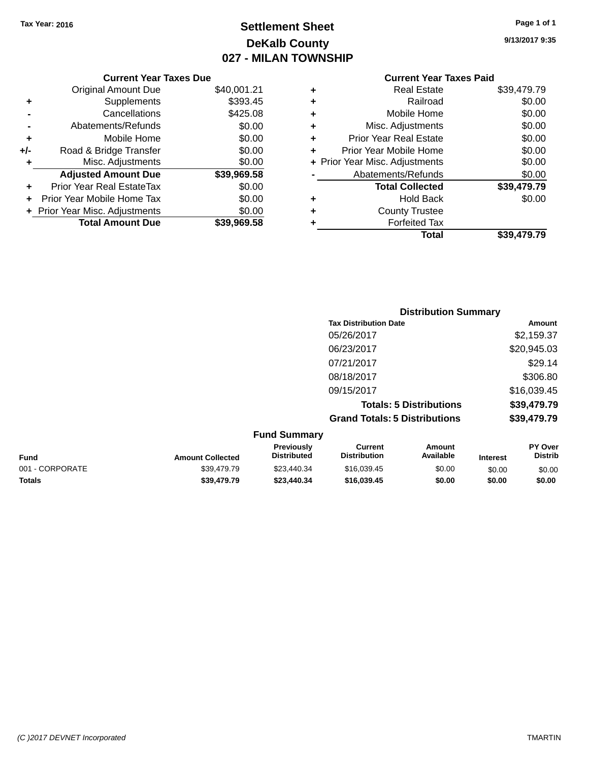**Current Year Taxes Due**

# **Settlement Sheet Tax Year: 2016 Page 1 of 1 DeKalb County 027 - MILAN TOWNSHIP**

**9/13/2017 9:35**

|                                  |                                       |   | Total                         | \$39,479.79                    |
|----------------------------------|---------------------------------------|---|-------------------------------|--------------------------------|
| <b>Total Amount Due</b>          | \$39,969.58                           |   | <b>Forfeited Tax</b>          |                                |
|                                  | \$0.00                                | ٠ | <b>County Trustee</b>         |                                |
| Prior Year Mobile Home Tax       | \$0.00                                | ٠ | <b>Hold Back</b>              | \$0.00                         |
| <b>Prior Year Real EstateTax</b> | \$0.00                                |   | <b>Total Collected</b>        | \$39,479.79                    |
| <b>Adjusted Amount Due</b>       | \$39,969.58                           |   | Abatements/Refunds            | \$0.00                         |
| Misc. Adjustments                | \$0.00                                |   |                               | \$0.00                         |
| Road & Bridge Transfer           | \$0.00                                | ٠ | Prior Year Mobile Home        | \$0.00                         |
| Mobile Home                      | \$0.00                                | ÷ | <b>Prior Year Real Estate</b> | \$0.00                         |
| Abatements/Refunds               | \$0.00                                | ٠ | Misc. Adjustments             | \$0.00                         |
| Cancellations                    | \$425.08                              | ٠ | Mobile Home                   | \$0.00                         |
| Supplements                      | \$393.45                              | ٠ | Railroad                      | \$0.00                         |
| Original Amount Due              | \$40,001.21                           | ٠ | <b>Real Estate</b>            | \$39,479.79                    |
|                                  | $+$<br>+ Prior Year Misc. Adjustments |   |                               | + Prior Year Misc. Adjustments |

|                     | <b>Distribution Summary</b>          |                                |             |  |
|---------------------|--------------------------------------|--------------------------------|-------------|--|
|                     | <b>Tax Distribution Date</b>         |                                | Amount      |  |
|                     | 05/26/2017                           |                                | \$2,159.37  |  |
|                     | 06/23/2017                           |                                | \$20,945.03 |  |
|                     | 07/21/2017                           |                                | \$29.14     |  |
|                     | 08/18/2017                           |                                | \$306.80    |  |
|                     | 09/15/2017                           |                                | \$16,039.45 |  |
|                     |                                      | <b>Totals: 5 Distributions</b> | \$39,479.79 |  |
|                     | <b>Grand Totals: 5 Distributions</b> |                                | \$39,479.79 |  |
| <b>Fund Summary</b> |                                      |                                |             |  |
| Previously          | <b>Current</b>                       | Amount                         | PY Over     |  |

| <b>Fund</b>     | <b>Amount Collected</b> | Previously<br><b>Distributed</b> | Current<br><b>Distribution</b> | Amount<br>Available | <b>Interest</b> | <b>PY Over</b><br>Distrib |
|-----------------|-------------------------|----------------------------------|--------------------------------|---------------------|-----------------|---------------------------|
| 001 - CORPORATE | \$39.479.79             | \$23,440.34                      | \$16,039.45                    | \$0.00              | \$0.00          | \$0.00                    |
| <b>Totals</b>   | \$39.479.79             | \$23,440.34                      | \$16,039.45                    | \$0.00              | \$0.00          | \$0.00                    |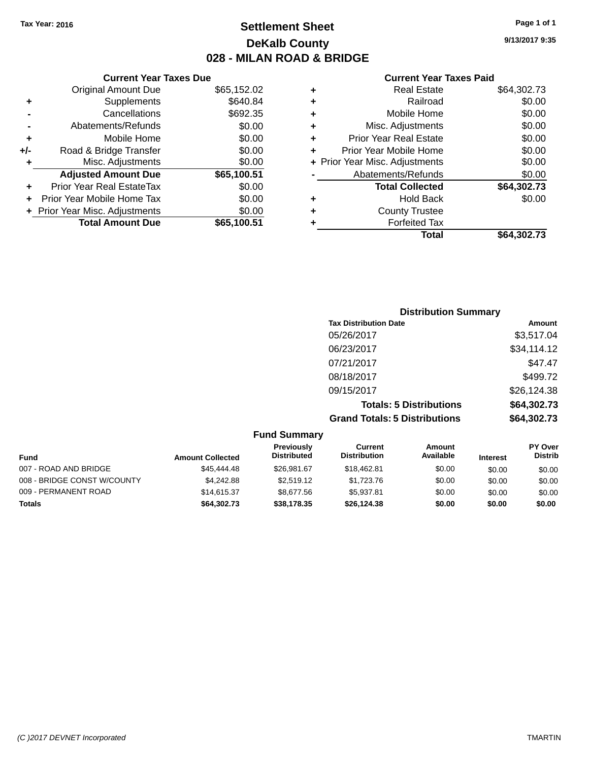**Current Year Taxes Due**

# **Settlement Sheet Tax Year: 2016 Page 1 of 1 DeKalb County 028 - MILAN ROAD & BRIDGE**

|                      | <b>Current Year Taxes Due</b>  |             |   | <b>Current Year Taxes Paid</b> |             |
|----------------------|--------------------------------|-------------|---|--------------------------------|-------------|
|                      | <b>Original Amount Due</b>     | \$65,152.02 | ٠ | <b>Real Estate</b>             | \$64,302.73 |
| ÷                    | Supplements                    | \$640.84    | ٠ | Railroad                       | \$0.00      |
|                      | Cancellations                  | \$692.35    | ٠ | Mobile Home                    | \$0.00      |
|                      | Abatements/Refunds             | \$0.00      | ٠ | Misc. Adjustments              | \$0.00      |
| ٠                    | Mobile Home                    | \$0.00      | ٠ | <b>Prior Year Real Estate</b>  | \$0.00      |
| I-                   | Road & Bridge Transfer         | \$0.00      |   | Prior Year Mobile Home         | \$0.00      |
| ٠                    | Misc. Adjustments              | \$0.00      |   | + Prior Year Misc. Adjustments | \$0.00      |
|                      | <b>Adjusted Amount Due</b>     | \$65,100.51 |   | Abatements/Refunds             | \$0.00      |
| $\ddot{\phantom{1}}$ | Prior Year Real EstateTax      | \$0.00      |   | <b>Total Collected</b>         | \$64,302.73 |
|                      | + Prior Year Mobile Home Tax   | \$0.00      | ٠ | <b>Hold Back</b>               | \$0.00      |
|                      | + Prior Year Misc. Adjustments | \$0.00      | ٠ | <b>County Trustee</b>          |             |
|                      | <b>Total Amount Due</b>        | \$65,100.51 |   | <b>Forfeited Tax</b>           |             |
|                      |                                |             |   | Total                          | \$64,302.73 |

| <b>Distribution Summary</b>          |             |
|--------------------------------------|-------------|
| <b>Tax Distribution Date</b>         | Amount      |
| 05/26/2017                           | \$3,517.04  |
| 06/23/2017                           | \$34,114.12 |
| 07/21/2017                           | \$47.47     |
| 08/18/2017                           | \$499.72    |
| 09/15/2017                           | \$26,124.38 |
| <b>Totals: 5 Distributions</b>       | \$64,302.73 |
| <b>Grand Totals: 5 Distributions</b> | \$64,302.73 |

| <b>Fund Summary</b>         |                         |                                         |                                |                            |                 |                                  |  |
|-----------------------------|-------------------------|-----------------------------------------|--------------------------------|----------------------------|-----------------|----------------------------------|--|
| <b>Fund</b>                 | <b>Amount Collected</b> | <b>Previously</b><br><b>Distributed</b> | Current<br><b>Distribution</b> | <b>Amount</b><br>Available | <b>Interest</b> | <b>PY Over</b><br><b>Distrib</b> |  |
| 007 - ROAD AND BRIDGE       | \$45,444.48             | \$26,981.67                             | \$18,462.81                    | \$0.00                     | \$0.00          | \$0.00                           |  |
| 008 - BRIDGE CONST W/COUNTY | \$4.242.88              | \$2,519.12                              | \$1.723.76                     | \$0.00                     | \$0.00          | \$0.00                           |  |
| 009 - PERMANENT ROAD        | \$14,615.37             | \$8.677.56                              | \$5.937.81                     | \$0.00                     | \$0.00          | \$0.00                           |  |
| <b>Totals</b>               | \$64,302.73             | \$38,178.35                             | \$26,124.38                    | \$0.00                     | \$0.00          | \$0.00                           |  |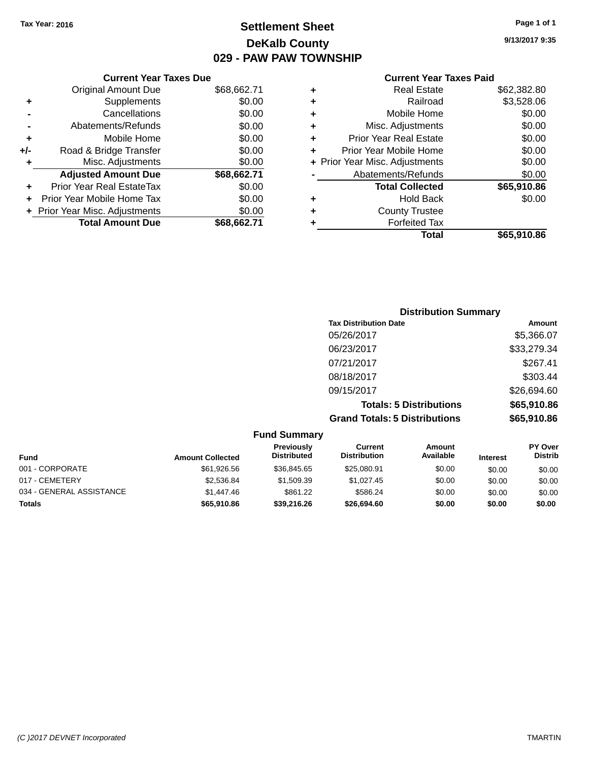**Current Year Taxes Due** Original Amount Due \$68,662.71

**Adjusted Amount Due \$68,662.71**

**Total Amount Due \$68,662.71**

**+** Supplements \$0.00 **-** Cancellations \$0.00 **-** Abatements/Refunds \$0.00 **+** Mobile Home \$0.00 **+/-** Road & Bridge Transfer \$0.00<br> **+** Misc. Adjustments \$0.00

**+** Prior Year Real EstateTax \$0.00 **+** Prior Year Mobile Home Tax \$0.00 **+ Prior Year Misc. Adjustments**  $$0.00$ 

**+** Misc. Adjustments

# **Settlement Sheet Tax Year: 2016 Page 1 of 1 DeKalb County 029 - PAW PAW TOWNSHIP**

| <b>Current Year Taxes Paid</b> |
|--------------------------------|
| \$62,382.80                    |
| \$3,528.06                     |
| \$0.00                         |
| \$0.00                         |
| \$0.00                         |
| \$0.00                         |
| \$0.00                         |
| \$0.00                         |
| \$65,910.86                    |
| \$0.00                         |
|                                |
|                                |
| \$65,910.86                    |
|                                |

| <b>Distribution Summary</b>          |             |
|--------------------------------------|-------------|
| <b>Tax Distribution Date</b>         | Amount      |
| 05/26/2017                           | \$5,366.07  |
| 06/23/2017                           | \$33,279.34 |
| 07/21/2017                           | \$267.41    |
| 08/18/2017                           | \$303.44    |
| 09/15/2017                           | \$26,694.60 |
| <b>Totals: 5 Distributions</b>       | \$65,910.86 |
| <b>Grand Totals: 5 Distributions</b> | \$65,910.86 |

| <b>Fund Summary</b>      |                         |                                  |                                |                            |                 |                                  |
|--------------------------|-------------------------|----------------------------------|--------------------------------|----------------------------|-----------------|----------------------------------|
| <b>Fund</b>              | <b>Amount Collected</b> | Previously<br><b>Distributed</b> | Current<br><b>Distribution</b> | <b>Amount</b><br>Available | <b>Interest</b> | <b>PY Over</b><br><b>Distrib</b> |
| 001 - CORPORATE          | \$61,926.56             | \$36,845.65                      | \$25,080.91                    | \$0.00                     | \$0.00          | \$0.00                           |
| 017 - CEMETERY           | \$2,536.84              | \$1,509.39                       | \$1.027.45                     | \$0.00                     | \$0.00          | \$0.00                           |
| 034 - GENERAL ASSISTANCE | \$1,447.46              | \$861.22                         | \$586.24                       | \$0.00                     | \$0.00          | \$0.00                           |
| <b>Totals</b>            | \$65,910.86             | \$39,216.26                      | \$26,694.60                    | \$0.00                     | \$0.00          | \$0.00                           |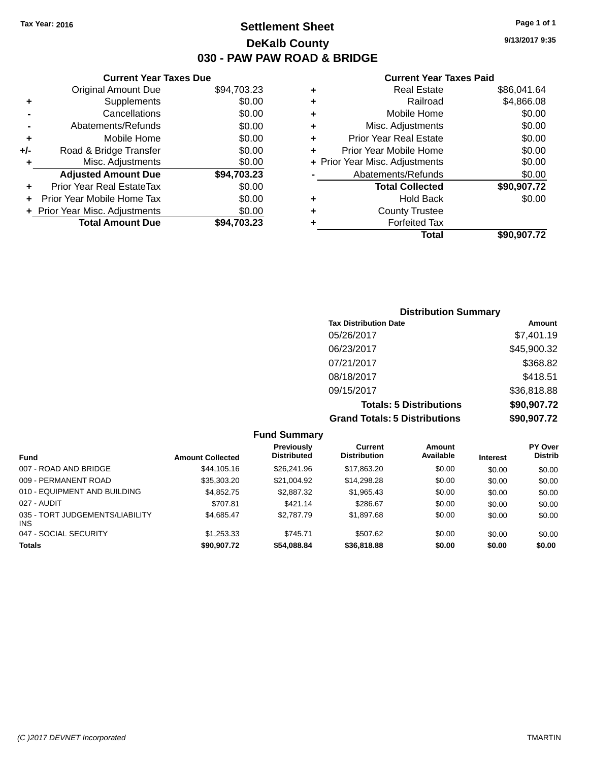**Current Year Taxes Due** Original Amount Due \$94,703.23

**Adjusted Amount Due \$94,703.23**

**Total Amount Due \$94,703.23**

**+** Supplements \$0.00 **-** Cancellations \$0.00 **-** Abatements/Refunds \$0.00 **+** Mobile Home \$0.00 **+/-** Road & Bridge Transfer \$0.00 **+** Misc. Adjustments \$0.00

**+** Prior Year Real EstateTax \$0.00 **+** Prior Year Mobile Home Tax \$0.00 **+ Prior Year Misc. Adjustments**  $$0.00$ 

## **Settlement Sheet Tax Year: 2016 Page 1 of 1 DeKalb County 030 - PAW PAW ROAD & BRIDGE**

**9/13/2017 9:35**

| <b>Distribution Summary</b>          |             |
|--------------------------------------|-------------|
| <b>Tax Distribution Date</b>         | Amount      |
| 05/26/2017                           | \$7,401.19  |
| 06/23/2017                           | \$45,900.32 |
| 07/21/2017                           | \$368.82    |
| 08/18/2017                           | \$418.51    |
| 09/15/2017                           | \$36,818.88 |
| <b>Totals: 5 Distributions</b>       | \$90,907.72 |
| <b>Grand Totals: 5 Distributions</b> | \$90,907.72 |

|                                               |                         | <b>Fund Summary</b>              |                                       |                     |                 |                                  |
|-----------------------------------------------|-------------------------|----------------------------------|---------------------------------------|---------------------|-----------------|----------------------------------|
| <b>Fund</b>                                   | <b>Amount Collected</b> | Previously<br><b>Distributed</b> | <b>Current</b><br><b>Distribution</b> | Amount<br>Available | <b>Interest</b> | <b>PY Over</b><br><b>Distrib</b> |
| 007 - ROAD AND BRIDGE                         | \$44,105.16             | \$26,241.96                      | \$17,863.20                           | \$0.00              | \$0.00          | \$0.00                           |
| 009 - PERMANENT ROAD                          | \$35,303.20             | \$21,004.92                      | \$14,298.28                           | \$0.00              | \$0.00          | \$0.00                           |
| 010 - EQUIPMENT AND BUILDING                  | \$4,852.75              | \$2,887.32                       | \$1,965.43                            | \$0.00              | \$0.00          | \$0.00                           |
| 027 - AUDIT                                   | \$707.81                | \$421.14                         | \$286.67                              | \$0.00              | \$0.00          | \$0.00                           |
| 035 - TORT JUDGEMENTS/LIABILITY<br><b>INS</b> | \$4.685.47              | \$2,787.79                       | \$1,897.68                            | \$0.00              | \$0.00          | \$0.00                           |
| 047 - SOCIAL SECURITY                         | \$1,253.33              | \$745.71                         | \$507.62                              | \$0.00              | \$0.00          | \$0.00                           |
| <b>Totals</b>                                 | \$90,907.72             | \$54,088.84                      | \$36,818.88                           | \$0.00              | \$0.00          | \$0.00                           |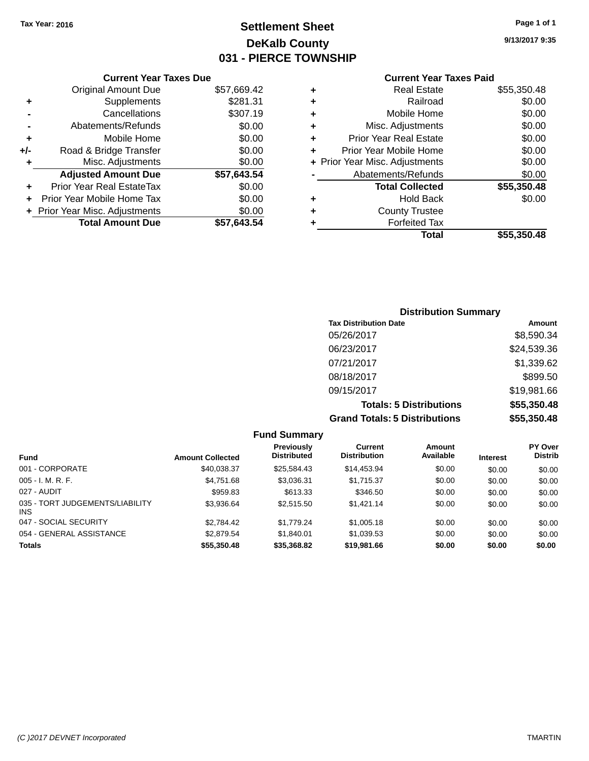**Current Year Taxes Due** Original Amount Due \$57,669.42

**Adjusted Amount Due \$57,643.54**

**Total Amount Due \$57,643.54**

**+** Supplements \$281.31 **-** Cancellations \$307.19 **-** Abatements/Refunds \$0.00 **+** Mobile Home \$0.00 **+/-** Road & Bridge Transfer \$0.00 **+** Misc. Adjustments \$0.00

**+** Prior Year Real EstateTax \$0.00 **+** Prior Year Mobile Home Tax \$0.00 **+ Prior Year Misc. Adjustments**  $$0.00$ 

# **Settlement Sheet Tax Year: 2016 Page 1 of 1 DeKalb County 031 - PIERCE TOWNSHIP**

**9/13/2017 9:35**

## **Current Year Taxes Paid**

|   | <b>Real Estate</b>             | \$55,350.48 |
|---|--------------------------------|-------------|
| ٠ | Railroad                       | \$0.00      |
| ٠ | Mobile Home                    | \$0.00      |
| ٠ | Misc. Adjustments              | \$0.00      |
| ٠ | <b>Prior Year Real Estate</b>  | \$0.00      |
|   | Prior Year Mobile Home         | \$0.00      |
|   | + Prior Year Misc. Adjustments | \$0.00      |
|   | Abatements/Refunds             | \$0.00      |
|   | <b>Total Collected</b>         | \$55,350.48 |
| ٠ | <b>Hold Back</b>               | \$0.00      |
| ٠ | <b>County Trustee</b>          |             |
|   | <b>Forfeited Tax</b>           |             |
|   | Total                          | \$55.350.48 |

## **Distribution Summary Tax Distribution Date Amount** 05/26/2017 \$8,590.34 06/23/2017 \$24,539.36 07/21/2017 \$1,339.62 08/18/2017 \$899.50 09/15/2017 \$19,981.66 **Totals: 5 Distributions \$55,350.48 Grand Totals: 5 Distributions \$55,350.48**

|                                         |                         | <b>Fund Summary</b>              |                                |                     |                 |                                  |
|-----------------------------------------|-------------------------|----------------------------------|--------------------------------|---------------------|-----------------|----------------------------------|
| <b>Fund</b>                             | <b>Amount Collected</b> | Previously<br><b>Distributed</b> | Current<br><b>Distribution</b> | Amount<br>Available | <b>Interest</b> | <b>PY Over</b><br><b>Distrib</b> |
| 001 - CORPORATE                         | \$40.038.37             | \$25.584.43                      | \$14,453.94                    | \$0.00              | \$0.00          | \$0.00                           |
| $005 - I. M. R. F.$                     | \$4,751.68              | \$3,036.31                       | \$1,715.37                     | \$0.00              | \$0.00          | \$0.00                           |
| 027 - AUDIT                             | \$959.83                | \$613.33                         | \$346.50                       | \$0.00              | \$0.00          | \$0.00                           |
| 035 - TORT JUDGEMENTS/LIABILITY<br>INS. | \$3.936.64              | \$2,515.50                       | \$1,421.14                     | \$0.00              | \$0.00          | \$0.00                           |
| 047 - SOCIAL SECURITY                   | \$2,784.42              | \$1,779.24                       | \$1,005.18                     | \$0.00              | \$0.00          | \$0.00                           |
| 054 - GENERAL ASSISTANCE                | \$2,879.54              | \$1,840.01                       | \$1,039.53                     | \$0.00              | \$0.00          | \$0.00                           |
| <b>Totals</b>                           | \$55,350.48             | \$35,368.82                      | \$19,981.66                    | \$0.00              | \$0.00          | \$0.00                           |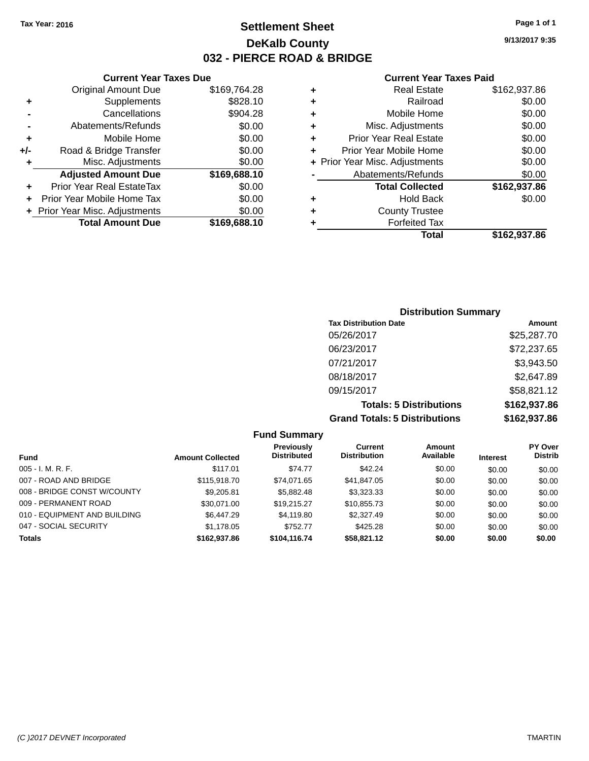## **Settlement Sheet Tax Year: 2016 Page 1 of 1 DeKalb County 032 - PIERCE ROAD & BRIDGE**

**9/13/2017 9:35**

|     | <b>Current Year Taxes Due</b>    |              |  |  |  |
|-----|----------------------------------|--------------|--|--|--|
|     | <b>Original Amount Due</b>       | \$169,764.28 |  |  |  |
| ٠   | Supplements                      | \$828.10     |  |  |  |
|     | Cancellations                    | \$904.28     |  |  |  |
|     | Abatements/Refunds               | \$0.00       |  |  |  |
| ٠   | Mobile Home                      | \$0.00       |  |  |  |
| +/- | Road & Bridge Transfer           | \$0.00       |  |  |  |
| ٠   | Misc. Adjustments                | \$0.00       |  |  |  |
|     | <b>Adjusted Amount Due</b>       | \$169,688.10 |  |  |  |
| ٠   | <b>Prior Year Real EstateTax</b> | \$0.00       |  |  |  |
|     | Prior Year Mobile Home Tax       | \$0.00       |  |  |  |
|     | + Prior Year Misc. Adjustments   | \$0.00       |  |  |  |
|     | <b>Total Amount Due</b>          | \$169,688.10 |  |  |  |
|     |                                  |              |  |  |  |

| ٠ | <b>Real Estate</b>             | \$162,937.86 |
|---|--------------------------------|--------------|
| ٠ | Railroad                       | \$0.00       |
| ٠ | Mobile Home                    | \$0.00       |
| ٠ | Misc. Adjustments              | \$0.00       |
| ٠ | <b>Prior Year Real Estate</b>  | \$0.00       |
| ٠ | Prior Year Mobile Home         | \$0.00       |
|   | + Prior Year Misc. Adjustments | \$0.00       |
|   | Abatements/Refunds             | \$0.00       |
|   | <b>Total Collected</b>         | \$162,937.86 |
| ٠ | Hold Back                      | \$0.00       |
| ٠ | <b>County Trustee</b>          |              |
| ٠ | <b>Forfeited Tax</b>           |              |
|   | Total                          | \$162,937.86 |
|   |                                |              |

| <b>Distribution Summary</b>          |                                |              |  |  |  |  |
|--------------------------------------|--------------------------------|--------------|--|--|--|--|
| <b>Tax Distribution Date</b>         |                                | Amount       |  |  |  |  |
| 05/26/2017                           |                                | \$25,287.70  |  |  |  |  |
| 06/23/2017                           |                                | \$72,237.65  |  |  |  |  |
| 07/21/2017                           |                                | \$3,943.50   |  |  |  |  |
| 08/18/2017                           |                                | \$2,647.89   |  |  |  |  |
| 09/15/2017                           |                                | \$58,821.12  |  |  |  |  |
|                                      | <b>Totals: 5 Distributions</b> | \$162,937.86 |  |  |  |  |
| <b>Grand Totals: 5 Distributions</b> |                                | \$162,937.86 |  |  |  |  |

| <b>Fund Summary</b>          |                         |                                  |                                |                     |                 |                                  |
|------------------------------|-------------------------|----------------------------------|--------------------------------|---------------------|-----------------|----------------------------------|
| <b>Fund</b>                  | <b>Amount Collected</b> | Previously<br><b>Distributed</b> | Current<br><b>Distribution</b> | Amount<br>Available | <b>Interest</b> | <b>PY Over</b><br><b>Distrib</b> |
| $005 - I. M. R. F.$          | \$117.01                | \$74.77                          | \$42.24                        | \$0.00              | \$0.00          | \$0.00                           |
| 007 - ROAD AND BRIDGE        | \$115,918.70            | \$74,071.65                      | \$41,847.05                    | \$0.00              | \$0.00          | \$0.00                           |
| 008 - BRIDGE CONST W/COUNTY  | \$9,205.81              | \$5,882.48                       | \$3,323.33                     | \$0.00              | \$0.00          | \$0.00                           |
| 009 - PERMANENT ROAD         | \$30.071.00             | \$19,215.27                      | \$10,855.73                    | \$0.00              | \$0.00          | \$0.00                           |
| 010 - EQUIPMENT AND BUILDING | \$6,447.29              | \$4,119.80                       | \$2,327.49                     | \$0.00              | \$0.00          | \$0.00                           |
| 047 - SOCIAL SECURITY        | \$1,178.05              | \$752.77                         | \$425.28                       | \$0.00              | \$0.00          | \$0.00                           |
| <b>Totals</b>                | \$162,937.86            | \$104,116.74                     | \$58,821.12                    | \$0.00              | \$0.00          | \$0.00                           |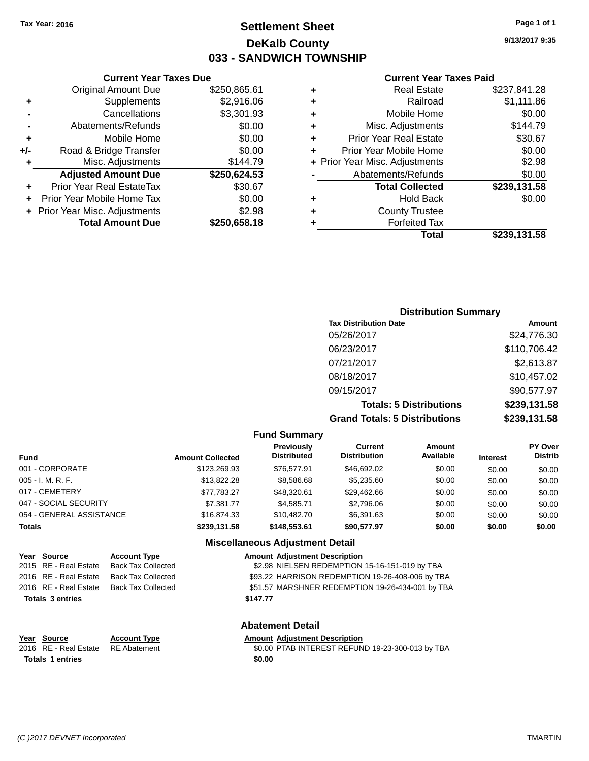## **Settlement Sheet Tax Year: 2016 Page 1 of 1 DeKalb County 033 - SANDWICH TOWNSHIP**

**9/13/2017 9:35**

#### **Current Year Taxes Paid**

|     | <b>Current Year Taxes Due</b>  |              |  |  |  |  |
|-----|--------------------------------|--------------|--|--|--|--|
|     | <b>Original Amount Due</b>     | \$250,865.61 |  |  |  |  |
| ٠   | Supplements                    | \$2,916.06   |  |  |  |  |
|     | Cancellations                  | \$3,301.93   |  |  |  |  |
|     | Abatements/Refunds             | \$0.00       |  |  |  |  |
| ٠   | Mobile Home                    | \$0.00       |  |  |  |  |
| +/- | Road & Bridge Transfer         | \$0.00       |  |  |  |  |
| ٠   | Misc. Adjustments              | \$144.79     |  |  |  |  |
|     | <b>Adjusted Amount Due</b>     | \$250,624.53 |  |  |  |  |
| ٠   | Prior Year Real EstateTax      | \$30.67      |  |  |  |  |
|     | Prior Year Mobile Home Tax     | \$0.00       |  |  |  |  |
|     | + Prior Year Misc. Adjustments | \$2.98       |  |  |  |  |
|     | <b>Total Amount Due</b>        | \$250,658.18 |  |  |  |  |

|   | <b>Real Estate</b>             | \$237,841.28 |
|---|--------------------------------|--------------|
| ٠ | Railroad                       | \$1,111.86   |
| ٠ | Mobile Home                    | \$0.00       |
| ٠ | Misc. Adjustments              | \$144.79     |
| ٠ | <b>Prior Year Real Estate</b>  | \$30.67      |
| ٠ | Prior Year Mobile Home         | \$0.00       |
|   | + Prior Year Misc. Adjustments | \$2.98       |
|   | Abatements/Refunds             | \$0.00       |
|   | <b>Total Collected</b>         | \$239,131.58 |
| ٠ | <b>Hold Back</b>               | \$0.00       |
| ٠ | <b>County Trustee</b>          |              |
| ٠ | <b>Forfeited Tax</b>           |              |
|   | Total                          | \$239,131.58 |
|   |                                |              |

## **Distribution Summary Tax Distribution Date Amount** 05/26/2017 \$24,776.30 06/23/2017 \$110,706.42 07/21/2017 \$2,613.87 08/18/2017 \$10,457.02 09/15/2017 \$90,577.97 **Totals: 5 Distributions \$239,131.58 Grand Totals: 5 Distributions \$239,131.58**

|                          |                         | <b>Fund Summary</b>                     |                                |                            |                 |                                  |
|--------------------------|-------------------------|-----------------------------------------|--------------------------------|----------------------------|-----------------|----------------------------------|
| <b>Fund</b>              | <b>Amount Collected</b> | <b>Previously</b><br><b>Distributed</b> | Current<br><b>Distribution</b> | <b>Amount</b><br>Available | <b>Interest</b> | <b>PY Over</b><br><b>Distrib</b> |
| 001 - CORPORATE          | \$123,269.93            | \$76,577.91                             | \$46,692,02                    | \$0.00                     | \$0.00          | \$0.00                           |
| 005 - I. M. R. F.        | \$13,822,28             | \$8,586.68                              | \$5,235.60                     | \$0.00                     | \$0.00          | \$0.00                           |
| 017 - CEMETERY           | \$77,783.27             | \$48,320.61                             | \$29.462.66                    | \$0.00                     | \$0.00          | \$0.00                           |
| 047 - SOCIAL SECURITY    | \$7,381.77              | \$4,585.71                              | \$2,796.06                     | \$0.00                     | \$0.00          | \$0.00                           |
| 054 - GENERAL ASSISTANCE | \$16,874.33             | \$10,482.70                             | \$6,391.63                     | \$0.00                     | \$0.00          | \$0.00                           |
| <b>Totals</b>            | \$239,131.58            | \$148,553,61                            | \$90,577.97                    | \$0.00                     | \$0.00          | \$0.00                           |
|                          |                         | <b>Miscellaneous Adjustment Detail</b>  |                                |                            |                 |                                  |

**Fund Summary**

#### **Miscellaneous Adjustment Detail**

| Year Source             | <b>Account Type</b> | <b>Amount Adjustment Description</b>             |  |
|-------------------------|---------------------|--------------------------------------------------|--|
| 2015 RE - Real Estate   | Back Tax Collected  | \$2.98 NIELSEN REDEMPTION 15-16-151-019 by TBA   |  |
| 2016 RE - Real Estate   | Back Tax Collected  | \$93.22 HARRISON REDEMPTION 19-26-408-006 by TBA |  |
| 2016 RE - Real Estate   | Back Tax Collected  | \$51.57 MARSHNER REDEMPTION 19-26-434-001 by TBA |  |
| <b>Totals 3 entries</b> |                     | \$147.77                                         |  |

**Year Source Account Type Amount Adjustment Description** Totals 1 entries \$0.00

**<u>Year Source</u>** 

**Abatement Detail**

RE Abatement **2016 2016 CONFIDENT CONTREST REFUND 19-23-300-013 by TBA**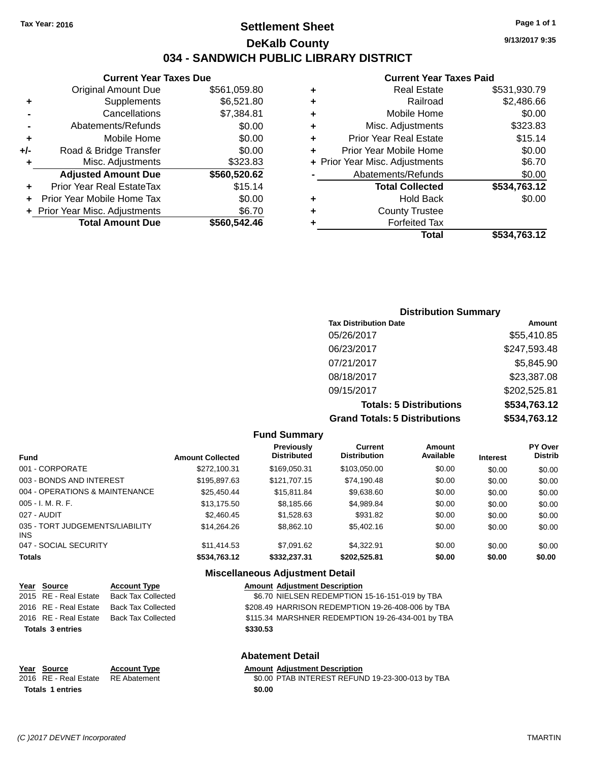## **Settlement Sheet Tax Year: 2016 Page 1 of 1 DeKalb County 034 - SANDWICH PUBLIC LIBRARY DISTRICT**

#### **Current Year Taxes Due** Original Amount Due \$561,059.80 **+** Supplements \$6,521.80 **-** Cancellations \$7,384.81 **-** Abatements/Refunds **\$0.00 +** Mobile Home \$0.00 **+/-** Road & Bridge Transfer \$0.00 **+** Misc. Adjustments \$323.83 **Adjusted Amount Due \$560,520.62 +** Prior Year Real EstateTax \$15.14 **+** Prior Year Mobile Home Tax \$0.00 **+** Prior Year Misc. Adjustments  $$6.70$ **Total Amount Due \$560,542.46**

#### **Current Year Taxes Paid**

| ٠ | <b>Real Estate</b>             | \$531,930.79 |
|---|--------------------------------|--------------|
| ٠ | Railroad                       | \$2,486.66   |
| ٠ | Mobile Home                    | \$0.00       |
| ٠ | Misc. Adjustments              | \$323.83     |
| ٠ | <b>Prior Year Real Estate</b>  | \$15.14      |
| ٠ | Prior Year Mobile Home         | \$0.00       |
|   | + Prior Year Misc. Adjustments | \$6.70       |
|   | Abatements/Refunds             | \$0.00       |
|   | <b>Total Collected</b>         | \$534,763.12 |
| ٠ | <b>Hold Back</b>               | \$0.00       |
|   | <b>County Trustee</b>          |              |
| ٠ | <b>Forfeited Tax</b>           |              |
|   | Total                          | \$534,763.12 |
|   |                                |              |

#### **Distribution Summary Tax Distribution Date Amount** 05/26/2017 \$55,410.85 06/23/2017 \$247,593.48 07/21/2017 \$5,845.90 08/18/2017 \$23,387.08 09/15/2017 \$202,525.81 **Totals: 5 Distributions \$534,763.12 Grand Totals: 5 Distributions \$534,763.12**

**Fund Summary Fund Interest Amount Collected Distributed PY Over Distrib Amount Available Current Distribution Previously** 001 - CORPORATE \$272,100.31 \$169,050.31 \$103,050.00 \$0.00 \$0.00 \$0.00 003 - BONDS AND INTEREST 6195,897.63 \$121,707.15 \$74,190.48 \$0.00 \$0.00 \$0.00 004 - OPERATIONS & MAINTENANCE  $$25,450.44$   $$15,811.84$   $$9,638.60$   $$0.00$   $$0.00$   $$0.00$ 005 - I. M. R. F. \$13,175.50 \$8,185.66 \$4,989.84 \$0.00 \$0.00 \$0.00 027 - AUDIT \$2,460.45 \$1,528.63 \$931.82 \$0.00 \$0.00 \$0.00 035 - TORT JUDGEMENTS/LIABILITY INS \$14,264.26 \$8,862.10 \$5,402.16 \$0.00 \$0.00 \$0.00 047 - SOCIAL SECURITY \$11,414.53 \$7,091.62 \$4,322.91 \$0.00 \$0.00 \$0.00 **Totals \$534,763.12 \$332,237.31 \$202,525.81 \$0.00 \$0.00 \$0.00 Miscellaneous Adjustment Detail**

#### **Year Source Account Type Amount Adjustment Description** 2015 RE - Real Estate Back Tax Collected \$6.70 NIELSEN REDEMPTION 15-16-151-019 by TBA 2016 RE - Real Estate Back Tax Collected \$208.49 HARRISON REDEMPTION 19-26-408-006 by TBA 2016 RE - Real Estate Back Tax Collected \$115.34 MARSHNER REDEMPTION 19-26-434-001 by TBA

| <b>Totals 3 entries</b> |  |  |  |  |
|-------------------------|--|--|--|--|

# **Abatement Detail**

**Totals \$330.53 3 entries**

#### **Year Source Account Type Amount Adjustment Description** 2016 RE - Real Estate RE Abatement \$0.00 PTAB INTEREST REFUND 19-23-300-013 by TBA **Totals \$0.00 1 entries**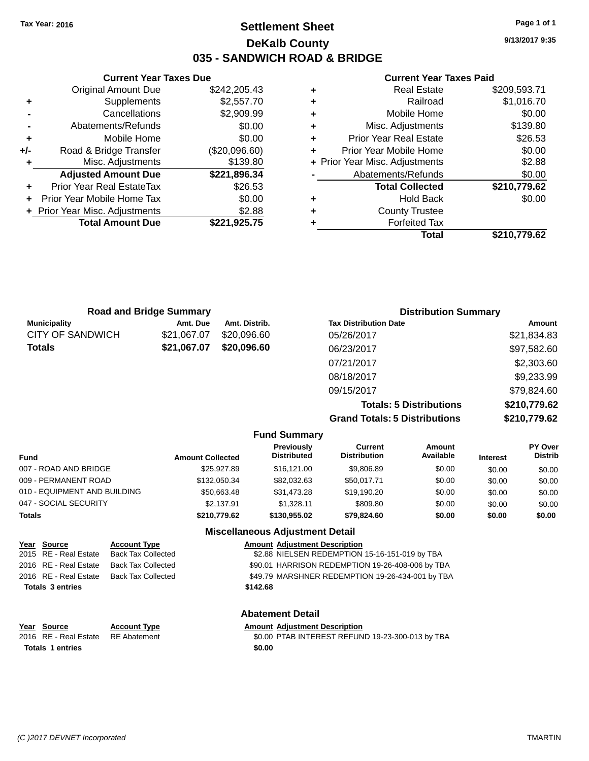## **Settlement Sheet Tax Year: 2016 Page 1 of 1 DeKalb County 035 - SANDWICH ROAD & BRIDGE**

**9/13/2017 9:35**

#### **Current Year Taxes Paid**

|     | <b>Current Year Taxes Due</b>  |               |
|-----|--------------------------------|---------------|
|     | <b>Original Amount Due</b>     | \$242,205.43  |
| ٠   | Supplements                    | \$2,557.70    |
|     | Cancellations                  | \$2,909.99    |
|     | Abatements/Refunds             | \$0.00        |
| ٠   | Mobile Home                    | \$0.00        |
| +/- | Road & Bridge Transfer         | (\$20,096.60) |
| ٠   | Misc. Adjustments              | \$139.80      |
|     | <b>Adjusted Amount Due</b>     | \$221,896.34  |
| ٠   | Prior Year Real EstateTax      | \$26.53       |
|     | Prior Year Mobile Home Tax     | \$0.00        |
|     | + Prior Year Misc. Adjustments | \$2.88        |
|     | <b>Total Amount Due</b>        | \$221,925.75  |
|     |                                |               |

| <b>Real Estate</b>            | \$209,593.71                   |
|-------------------------------|--------------------------------|
| Railroad                      | \$1,016.70                     |
| Mobile Home                   | \$0.00                         |
| Misc. Adjustments             | \$139.80                       |
| <b>Prior Year Real Estate</b> | \$26.53                        |
| Prior Year Mobile Home        | \$0.00                         |
|                               | \$2.88                         |
| Abatements/Refunds            | \$0.00                         |
| <b>Total Collected</b>        | \$210,779.62                   |
| <b>Hold Back</b>              | \$0.00                         |
| <b>County Trustee</b>         |                                |
| <b>Forfeited Tax</b>          |                                |
| Total                         | \$210,779.62                   |
|                               | + Prior Year Misc. Adjustments |

| <b>Road and Bridge Summary</b> |             |               | <b>Distribution Summary</b>    |               |  |
|--------------------------------|-------------|---------------|--------------------------------|---------------|--|
| <b>Municipality</b>            | Amt. Due    | Amt. Distrib. | <b>Tax Distribution Date</b>   | <b>Amount</b> |  |
| <b>CITY OF SANDWICH</b>        | \$21,067.07 | \$20,096.60   | 05/26/2017                     | \$21,834.83   |  |
| <b>Totals</b>                  | \$21,067.07 | \$20,096.60   | 06/23/2017                     | \$97,582.60   |  |
|                                |             |               | 07/21/2017                     | \$2,303.60    |  |
|                                |             |               | 08/18/2017                     | \$9,233.99    |  |
|                                |             |               | 09/15/2017                     | \$79,824.60   |  |
|                                |             |               | <b>Totals: 5 Distributions</b> | \$210,779.62  |  |

**Grand Totals: 5 Distributions \$210,779.62**

|                              |                         | <b>Fund Summary</b>                     |                                |                     |                 |                                  |
|------------------------------|-------------------------|-----------------------------------------|--------------------------------|---------------------|-----------------|----------------------------------|
| <b>Fund</b>                  | <b>Amount Collected</b> | <b>Previously</b><br><b>Distributed</b> | Current<br><b>Distribution</b> | Amount<br>Available | <b>Interest</b> | <b>PY Over</b><br><b>Distrib</b> |
| 007 - ROAD AND BRIDGE        | \$25.927.89             | \$16,121,00                             | \$9,806.89                     | \$0.00              | \$0.00          | \$0.00                           |
| 009 - PERMANENT ROAD         | \$132,050.34            | \$82,032.63                             | \$50,017.71                    | \$0.00              | \$0.00          | \$0.00                           |
| 010 - EQUIPMENT AND BUILDING | \$50.663.48             | \$31.473.28                             | \$19,190.20                    | \$0.00              | \$0.00          | \$0.00                           |
| 047 - SOCIAL SECURITY        | \$2.137.91              | \$1.328.11                              | \$809.80                       | \$0.00              | \$0.00          | \$0.00                           |
| <b>Totals</b>                | \$210,779.62            | \$130,955.02                            | \$79.824.60                    | \$0.00              | \$0.00          | \$0.00                           |
|                              |                         | Miscellaneous Adjustment Detail         |                                |                     |                 |                                  |

| Year Source             | <b>Account Type</b>       |          | <b>Amount Adjustment Description</b>             |
|-------------------------|---------------------------|----------|--------------------------------------------------|
| 2015 RE - Real Estate   | <b>Back Tax Collected</b> |          | \$2.88 NIELSEN REDEMPTION 15-16-151-019 by TBA   |
| 2016 RE - Real Estate   | <b>Back Tax Collected</b> |          | \$90.01 HARRISON REDEMPTION 19-26-408-006 by TBA |
| 2016 RE - Real Estate   | <b>Back Tax Collected</b> |          | \$49.79 MARSHNER REDEMPTION 19-26-434-001 by TBA |
| <b>Totals 3 entries</b> |                           | \$142.68 |                                                  |
|                         |                           |          | <b>Abatement Detail</b>                          |
| Year Source             | <b>Account Type</b>       |          | <b>Amount Adjustment Description</b>             |
| 2016 RE - Real Estate   | <b>RE</b> Abatement       |          | \$0.00 PTAB INTEREST REFUND 19-23-300-013 by TBA |
| <b>Totals 1 entries</b> |                           | \$0.00   |                                                  |
|                         |                           |          |                                                  |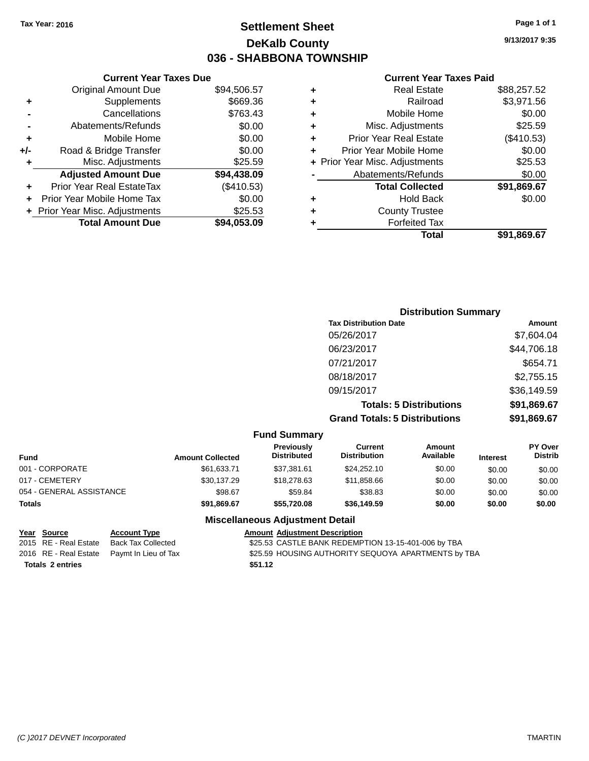## **Settlement Sheet Tax Year: 2016 Page 1 of 1 DeKalb County 036 - SHABBONA TOWNSHIP**

**9/13/2017 9:35**

#### **Current Year Taxes Paid**

|     | <b>Current Year Taxes Due</b>    |             |  |  |  |  |
|-----|----------------------------------|-------------|--|--|--|--|
|     | <b>Original Amount Due</b>       | \$94,506.57 |  |  |  |  |
| ٠   | \$669.36<br>Supplements          |             |  |  |  |  |
|     | \$763.43<br>Cancellations        |             |  |  |  |  |
|     | \$0.00<br>Abatements/Refunds     |             |  |  |  |  |
| ٠   | Mobile Home                      | \$0.00      |  |  |  |  |
| +/- | \$0.00<br>Road & Bridge Transfer |             |  |  |  |  |
| ٠   | Misc. Adjustments                | \$25.59     |  |  |  |  |
|     | <b>Adjusted Amount Due</b>       | \$94,438.09 |  |  |  |  |
| ٠   | Prior Year Real EstateTax        | (\$410.53)  |  |  |  |  |
|     | Prior Year Mobile Home Tax       | \$0.00      |  |  |  |  |
|     | + Prior Year Misc. Adjustments   | \$25.53     |  |  |  |  |
|     | <b>Total Amount Due</b>          | \$94,053.09 |  |  |  |  |
|     |                                  |             |  |  |  |  |

| ٠ | <b>Real Estate</b>             | \$88,257.52 |
|---|--------------------------------|-------------|
| ٠ | Railroad                       | \$3,971.56  |
| ٠ | Mobile Home                    | \$0.00      |
| ٠ | Misc. Adjustments              | \$25.59     |
| ٠ | <b>Prior Year Real Estate</b>  | (\$410.53)  |
| ٠ | Prior Year Mobile Home         | \$0.00      |
|   | + Prior Year Misc. Adjustments | \$25.53     |
|   | Abatements/Refunds             | \$0.00      |
|   | <b>Total Collected</b>         | \$91,869.67 |
| ٠ | Hold Back                      | \$0.00      |
| ٠ | <b>County Trustee</b>          |             |
| ٠ | <b>Forfeited Tax</b>           |             |
|   | Total                          | \$91,869.67 |
|   |                                |             |

| <b>Distribution Summary</b>          |             |
|--------------------------------------|-------------|
| <b>Tax Distribution Date</b>         | Amount      |
| 05/26/2017                           | \$7,604.04  |
| 06/23/2017                           | \$44,706.18 |
| 07/21/2017                           | \$654.71    |
| 08/18/2017                           | \$2,755.15  |
| 09/15/2017                           | \$36,149.59 |
| <b>Totals: 5 Distributions</b>       | \$91,869.67 |
| <b>Grand Totals: 5 Distributions</b> | \$91,869.67 |

|                          |                         | <b>Fund Summary</b>              |                                |                            |                 |                                  |
|--------------------------|-------------------------|----------------------------------|--------------------------------|----------------------------|-----------------|----------------------------------|
| <b>Fund</b>              | <b>Amount Collected</b> | Previously<br><b>Distributed</b> | Current<br><b>Distribution</b> | <b>Amount</b><br>Available | <b>Interest</b> | <b>PY Over</b><br><b>Distrib</b> |
| 001 - CORPORATE          | \$61,633.71             | \$37.381.61                      | \$24.252.10                    | \$0.00                     | \$0.00          | \$0.00                           |
| 017 - CEMETERY           | \$30.137.29             | \$18,278.63                      | \$11.858.66                    | \$0.00                     | \$0.00          | \$0.00                           |
| 054 - GENERAL ASSISTANCE | \$98.67                 | \$59.84                          | \$38.83                        | \$0.00                     | \$0.00          | \$0.00                           |
| <b>Totals</b>            | \$91.869.67             | \$55.720.08                      | \$36.149.59                    | \$0.00                     | \$0.00          | \$0.00                           |

| Year Source             | <b>Account Type</b>                        | <b>Amount Adiustment Description</b>                |
|-------------------------|--------------------------------------------|-----------------------------------------------------|
| 2015 RE - Real Estate   | Back Tax Collected                         | \$25.53 CASTLE BANK REDEMPTION 13-15-401-006 by TBA |
|                         | 2016 RE - Real Estate Paymt In Lieu of Tax | \$25.59 HOUSING AUTHORITY SEQUOYA APARTMENTS by TBA |
| <b>Totals 2 entries</b> |                                            | \$51.12                                             |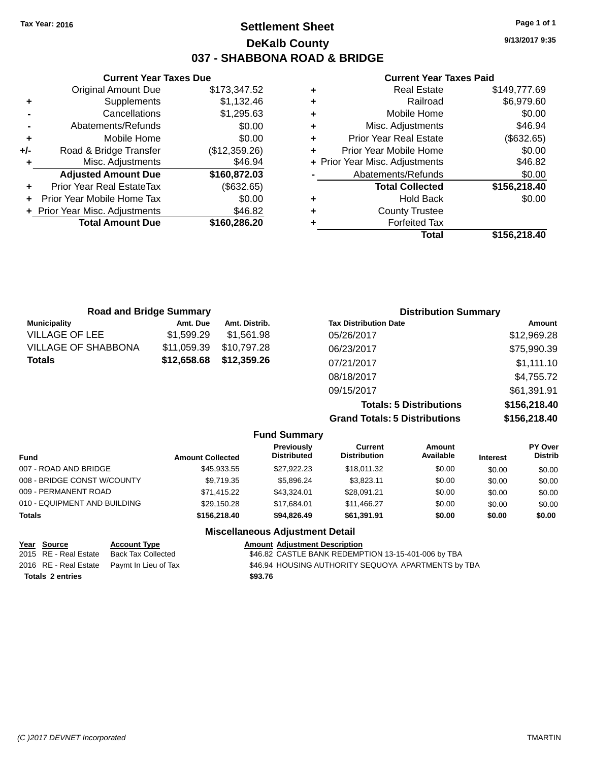## **Settlement Sheet Tax Year: 2016 Page 1 of 1 DeKalb County 037 - SHABBONA ROAD & BRIDGE**

**Current Year Taxes Due** Original Amount Due \$173,347.52 **+** Supplements \$1,132.46 **-** Cancellations \$1,295.63 **-** Abatements/Refunds \$0.00 **+** Mobile Home \$0.00 **+/-** Road & Bridge Transfer (\$12,359.26) **+** Misc. Adjustments \$46.94 **Adjusted Amount Due \$160,872.03 +** Prior Year Real EstateTax (\$632.65) **+** Prior Year Mobile Home Tax \$0.00 **+ Prior Year Misc. Adjustments \$46.82 Total Amount Due \$160,286.20**

#### **Current Year Taxes Paid**

| ٠ | <b>Real Estate</b>             | \$149,777.69 |
|---|--------------------------------|--------------|
| ٠ | Railroad                       | \$6,979.60   |
| ٠ | Mobile Home                    | \$0.00       |
| ٠ | Misc. Adjustments              | \$46.94      |
| ٠ | <b>Prior Year Real Estate</b>  | (\$632.65)   |
| ٠ | Prior Year Mobile Home         | \$0.00       |
|   | + Prior Year Misc. Adjustments | \$46.82      |
|   | Abatements/Refunds             | \$0.00       |
|   | <b>Total Collected</b>         | \$156,218.40 |
| ٠ | <b>Hold Back</b>               | \$0.00       |
| ٠ | <b>County Trustee</b>          |              |
| ٠ | <b>Forfeited Tax</b>           |              |
|   | Total                          | \$156,218.40 |
|   |                                |              |

| <b>Road and Bridge Summary</b> |             |               | <b>Distribution Summary</b>    |              |
|--------------------------------|-------------|---------------|--------------------------------|--------------|
| <b>Municipality</b>            | Amt. Due    | Amt. Distrib. | <b>Tax Distribution Date</b>   | Amount       |
| <b>VILLAGE OF LEE</b>          | \$1,599.29  | \$1,561.98    | 05/26/2017                     | \$12,969.28  |
| VILLAGE OF SHABBONA            | \$11,059.39 | \$10,797.28   | 06/23/2017                     | \$75,990.39  |
| Totals                         | \$12,658.68 | \$12,359.26   | 07/21/2017                     | \$1,111.10   |
|                                |             |               | 08/18/2017                     | \$4,755.72   |
|                                |             |               | 09/15/2017                     | \$61,391.91  |
|                                |             |               | <b>Totals: 5 Distributions</b> | \$156,218.40 |

**Grand Totals: 5 Distributions \$156,218.40**

|                              |                         | <b>Fund Summary</b>                     |                                |                     |                 |                                  |
|------------------------------|-------------------------|-----------------------------------------|--------------------------------|---------------------|-----------------|----------------------------------|
| <b>Fund</b>                  | <b>Amount Collected</b> | <b>Previously</b><br><b>Distributed</b> | Current<br><b>Distribution</b> | Amount<br>Available | <b>Interest</b> | <b>PY Over</b><br><b>Distrib</b> |
| 007 - ROAD AND BRIDGE        | \$45,933.55             | \$27.922.23                             | \$18,011.32                    | \$0.00              | \$0.00          | \$0.00                           |
| 008 - BRIDGE CONST W/COUNTY  | \$9.719.35              | \$5,896.24                              | \$3.823.11                     | \$0.00              | \$0.00          | \$0.00                           |
| 009 - PERMANENT ROAD         | \$71.415.22             | \$43,324,01                             | \$28,091.21                    | \$0.00              | \$0.00          | \$0.00                           |
| 010 - EQUIPMENT AND BUILDING | \$29,150.28             | \$17.684.01                             | \$11,466.27                    | \$0.00              | \$0.00          | \$0.00                           |
| <b>Totals</b>                | \$156,218.40            | \$94,826,49                             | \$61,391.91                    | \$0.00              | \$0.00          | \$0.00                           |
|                              |                         | <b>Miscellaneous Adiustment Detail</b>  |                                |                     |                 |                                  |

| Year Source             | <b>Account Type</b>                        | <b>Amount Adjustment Description</b>                |  |
|-------------------------|--------------------------------------------|-----------------------------------------------------|--|
| 2015 RE - Real Estate   | Back Tax Collected                         | \$46.82 CASTLE BANK REDEMPTION 13-15-401-006 by TBA |  |
|                         | 2016 RE - Real Estate Paymt In Lieu of Tax | \$46.94 HOUSING AUTHORITY SEQUOYA APARTMENTS by TBA |  |
| <b>Totals 2 entries</b> |                                            | \$93.76                                             |  |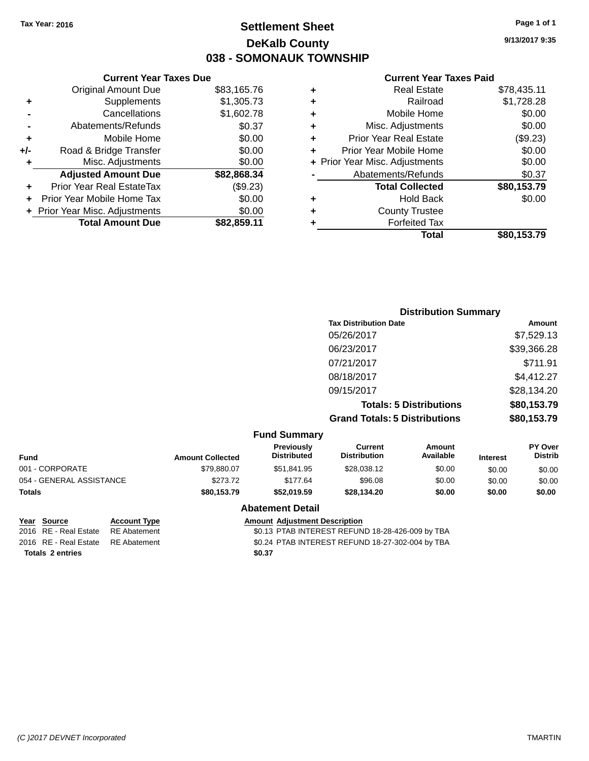## **Settlement Sheet Tax Year: 2016 Page 1 of 1 DeKalb County 038 - SOMONAUK TOWNSHIP**

**9/13/2017 9:35**

#### **Current Year Taxes Paid**

|     | <b>Current Year Taxes Due</b>  |             |
|-----|--------------------------------|-------------|
|     | <b>Original Amount Due</b>     | \$83,165.76 |
| ٠   | Supplements                    | \$1,305.73  |
|     | Cancellations                  | \$1,602.78  |
|     | Abatements/Refunds             | \$0.37      |
| ٠   | Mobile Home                    | \$0.00      |
| +/- | Road & Bridge Transfer         | \$0.00      |
|     | Misc. Adjustments              | \$0.00      |
|     | <b>Adjusted Amount Due</b>     | \$82,868.34 |
| ٠   | Prior Year Real EstateTax      | (\$9.23)    |
|     | Prior Year Mobile Home Tax     | \$0.00      |
|     | + Prior Year Misc. Adjustments | \$0.00      |
|     | <b>Total Amount Due</b>        | \$82.859.11 |
|     |                                |             |

|   | <b>Real Estate</b>             | \$78,435.11 |
|---|--------------------------------|-------------|
| ٠ | Railroad                       | \$1,728.28  |
| ٠ | Mobile Home                    | \$0.00      |
| ٠ | Misc. Adjustments              | \$0.00      |
| ٠ | <b>Prior Year Real Estate</b>  | (\$9.23)    |
| ٠ | Prior Year Mobile Home         | \$0.00      |
|   | + Prior Year Misc. Adjustments | \$0.00      |
|   | Abatements/Refunds             | \$0.37      |
|   | <b>Total Collected</b>         | \$80,153.79 |
| ٠ | <b>Hold Back</b>               | \$0.00      |
| ٠ | <b>County Trustee</b>          |             |
| ٠ | <b>Forfeited Tax</b>           |             |
|   | Total                          | \$80,153.79 |
|   |                                |             |

| <b>Distribution Summary</b>          |             |
|--------------------------------------|-------------|
| <b>Tax Distribution Date</b>         | Amount      |
| 05/26/2017                           | \$7,529.13  |
| 06/23/2017                           | \$39,366.28 |
| 07/21/2017                           | \$711.91    |
| 08/18/2017                           | \$4,412.27  |
| 09/15/2017                           | \$28,134.20 |
| <b>Totals: 5 Distributions</b>       | \$80,153.79 |
| <b>Grand Totals: 5 Distributions</b> | \$80,153.79 |

|                          |                         | <b>Fund Summary</b>              |                                |                            |                 |                                  |
|--------------------------|-------------------------|----------------------------------|--------------------------------|----------------------------|-----------------|----------------------------------|
| <b>Fund</b>              | <b>Amount Collected</b> | Previously<br><b>Distributed</b> | Current<br><b>Distribution</b> | <b>Amount</b><br>Available | <b>Interest</b> | <b>PY Over</b><br><b>Distrib</b> |
| 001 - CORPORATE          | \$79,880.07             | \$51.841.95                      | \$28,038.12                    | \$0.00                     | \$0.00          | \$0.00                           |
| 054 - GENERAL ASSISTANCE | \$273.72                | \$177.64                         | \$96.08                        | \$0.00                     | \$0.00          | \$0.00                           |
| <b>Totals</b>            | \$80.153.79             | \$52,019.59                      | \$28.134.20                    | \$0.00                     | \$0.00          | \$0.00                           |
|                          |                         | <b>Abatement Detail</b>          |                                |                            |                 |                                  |

**Totals \$0.37 2 entries**

## **Year Source Account Type Amount Adjustment Description**<br>2016 RE - Real Estate RE Abatement \$0.13 PTAB INTEREST REFUN

\$0.13 PTAB INTEREST REFUND 18-28-426-009 by TBA 2016 RE - Real Estate RE Abatement \$0.24 PTAB INTEREST REFUND 18-27-302-004 by TBA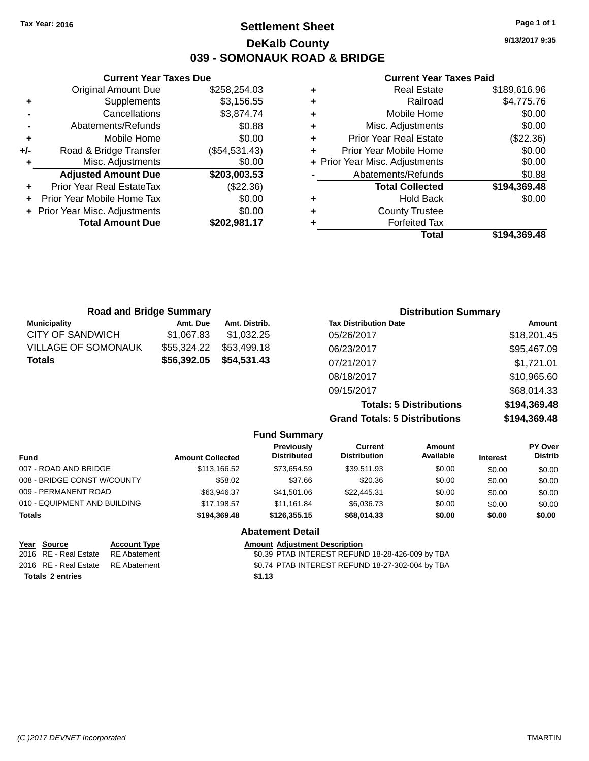## **Settlement Sheet Tax Year: 2016 Page 1 of 1 DeKalb County 039 - SOMONAUK ROAD & BRIDGE**

**Current Year Taxes Due** Original Amount Due \$258,254.03 **+** Supplements \$3,156.55 **-** Cancellations \$3,874.74 **-** Abatements/Refunds \$0.88 **+** Mobile Home \$0.00 **+/-** Road & Bridge Transfer (\$54,531.43) **+** Misc. Adjustments \$0.00 **Adjusted Amount Due \$203,003.53 +** Prior Year Real EstateTax (\$22.36) **+** Prior Year Mobile Home Tax \$0.00 **+ Prior Year Misc. Adjustments**  $$0.00$ **Total Amount Due \$202,981.17**

#### **Current Year Taxes Paid**

| ٠ | <b>Real Estate</b>             | \$189,616.96 |
|---|--------------------------------|--------------|
| ٠ | Railroad                       | \$4,775.76   |
| ٠ | Mobile Home                    | \$0.00       |
| ٠ | Misc. Adjustments              | \$0.00       |
| ٠ | <b>Prior Year Real Estate</b>  | $(\$22.36)$  |
| ٠ | Prior Year Mobile Home         | \$0.00       |
|   | + Prior Year Misc. Adjustments | \$0.00       |
|   | Abatements/Refunds             | \$0.88       |
|   | <b>Total Collected</b>         | \$194,369.48 |
| ٠ | <b>Hold Back</b>               | \$0.00       |
| ٠ | <b>County Trustee</b>          |              |
| ٠ | <b>Forfeited Tax</b>           |              |
|   | Total                          | \$194,369.48 |
|   |                                |              |

| <b>Road and Bridge Summary</b> |             |               | <b>Distribution Summary</b>  |             |
|--------------------------------|-------------|---------------|------------------------------|-------------|
| <b>Municipality</b>            | Amt. Due    | Amt. Distrib. | <b>Tax Distribution Date</b> | Amount      |
| <b>CITY OF SANDWICH</b>        | \$1,067.83  | \$1,032.25    | 05/26/2017                   | \$18,201.45 |
| VILLAGE OF SOMONAUK            | \$55,324.22 | \$53,499.18   | 06/23/2017                   | \$95,467.09 |
| Totals                         | \$56,392.05 | \$54,531.43   | 07/21/2017                   | \$1,721.01  |
|                                |             |               | 08/18/2017                   | \$10,965.60 |
|                                |             |               | 09/15/2017                   | \$68,014.33 |

**Totals: 5 Distributions \$194,369.48 Grand Totals: 5 Distributions \$194,369.48**

|                              |                     |                         | <b>Fund Summary</b>                     |                                |                     |                 |                                  |
|------------------------------|---------------------|-------------------------|-----------------------------------------|--------------------------------|---------------------|-----------------|----------------------------------|
| <b>Fund</b>                  |                     | <b>Amount Collected</b> | <b>Previously</b><br><b>Distributed</b> | Current<br><b>Distribution</b> | Amount<br>Available | <b>Interest</b> | <b>PY Over</b><br><b>Distrib</b> |
| 007 - ROAD AND BRIDGE        |                     | \$113,166.52            | \$73,654.59                             | \$39,511.93                    | \$0.00              | \$0.00          | \$0.00                           |
| 008 - BRIDGE CONST W/COUNTY  |                     | \$58.02                 | \$37.66                                 | \$20.36                        | \$0.00              | \$0.00          | \$0.00                           |
| 009 - PERMANENT ROAD         |                     | \$63,946.37             | \$41,501.06                             | \$22,445.31                    | \$0.00              | \$0.00          | \$0.00                           |
| 010 - EQUIPMENT AND BUILDING |                     | \$17,198.57             | \$11.161.84                             | \$6,036.73                     | \$0.00              | \$0.00          | \$0.00                           |
| <b>Totals</b>                |                     | \$194,369.48            | \$126,355,15                            | \$68,014.33                    | \$0.00              | \$0.00          | \$0.00                           |
|                              |                     |                         | <b>Abatement Detail</b>                 |                                |                     |                 |                                  |
| Year<br><b>Source</b>        | <b>Account Type</b> |                         | <b>Amount Adiustment Description</b>    |                                |                     |                 |                                  |

| Totals 2 entries                   | \$1.13                                           |
|------------------------------------|--------------------------------------------------|
| 2016 RE - Real Estate RE Abatement | \$0.74 PTAB INTEREST REFUND 18-27-302-004 by TBA |
| 2016 RE - Real Estate RE Abatement | \$0.39 PTAB INTEREST REFUND 18-28-426-009 by TBA |

**9/13/2017 9:35**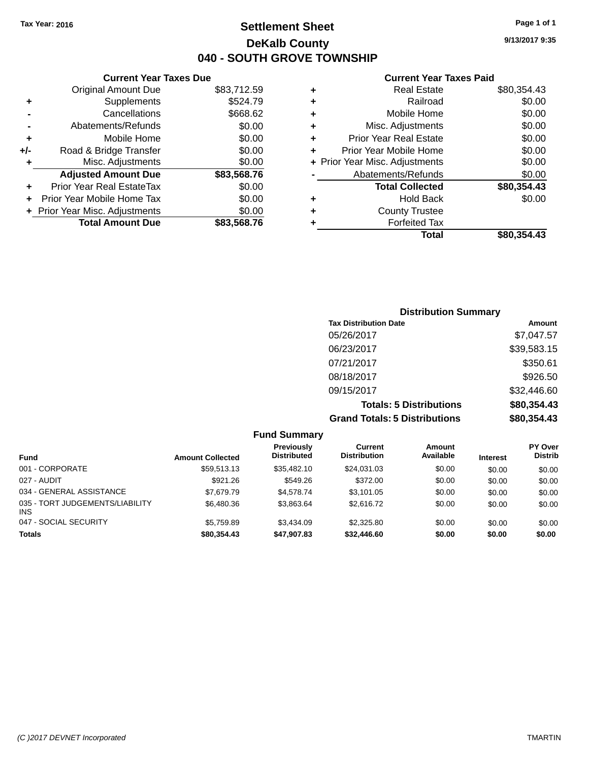## **Settlement Sheet Tax Year: 2016 Page 1 of 1 DeKalb County 040 - SOUTH GROVE TOWNSHIP**

**9/13/2017 9:35**

#### **Current Year Taxes Paid**

| ٠ | <b>Real Estate</b>             | \$80,354.43 |
|---|--------------------------------|-------------|
| ٠ | Railroad                       | \$0.00      |
| ٠ | Mobile Home                    | \$0.00      |
| ٠ | Misc. Adjustments              | \$0.00      |
| ٠ | <b>Prior Year Real Estate</b>  | \$0.00      |
| ÷ | Prior Year Mobile Home         | \$0.00      |
|   | + Prior Year Misc. Adjustments | \$0.00      |
|   | Abatements/Refunds             | \$0.00      |
|   | <b>Total Collected</b>         | \$80,354.43 |
| ٠ | <b>Hold Back</b>               | \$0.00      |
| ٠ | <b>County Trustee</b>          |             |
|   | <b>Forfeited Tax</b>           |             |
|   | Total                          | \$80.354.43 |
|   |                                |             |

|     | <b>Current Year Taxes Due</b>  |             |
|-----|--------------------------------|-------------|
|     | <b>Original Amount Due</b>     | \$83,712.59 |
| ٠   | Supplements                    | \$524.79    |
|     | Cancellations                  | \$668.62    |
|     | Abatements/Refunds             | \$0.00      |
| ٠   | Mobile Home                    | \$0.00      |
| +/- | Road & Bridge Transfer         | \$0.00      |
| ٠   | Misc. Adjustments              | \$0.00      |
|     | <b>Adjusted Amount Due</b>     | \$83,568.76 |
|     | Prior Year Real EstateTax      | \$0.00      |
| ٠   | Prior Year Mobile Home Tax     | \$0.00      |
|     | + Prior Year Misc. Adjustments | \$0.00      |
|     | <b>Total Amount Due</b>        | \$83,568.76 |

| <b>Distribution Summary</b>          |             |  |  |  |  |
|--------------------------------------|-------------|--|--|--|--|
| <b>Tax Distribution Date</b>         | Amount      |  |  |  |  |
| 05/26/2017                           | \$7,047.57  |  |  |  |  |
| 06/23/2017                           | \$39,583.15 |  |  |  |  |
| 07/21/2017                           | \$350.61    |  |  |  |  |
| 08/18/2017                           | \$926.50    |  |  |  |  |
| 09/15/2017                           | \$32,446.60 |  |  |  |  |
| <b>Totals: 5 Distributions</b>       | \$80,354.43 |  |  |  |  |
| <b>Grand Totals: 5 Distributions</b> | \$80,354.43 |  |  |  |  |

|                                               |                         | <b>Fund Summary</b>              |                                |                     |                 |                                  |
|-----------------------------------------------|-------------------------|----------------------------------|--------------------------------|---------------------|-----------------|----------------------------------|
| <b>Fund</b>                                   | <b>Amount Collected</b> | Previously<br><b>Distributed</b> | Current<br><b>Distribution</b> | Amount<br>Available | <b>Interest</b> | <b>PY Over</b><br><b>Distrib</b> |
| 001 - CORPORATE                               | \$59,513.13             | \$35,482.10                      | \$24,031.03                    | \$0.00              | \$0.00          | \$0.00                           |
| 027 - AUDIT                                   | \$921.26                | \$549.26                         | \$372.00                       | \$0.00              | \$0.00          | \$0.00                           |
| 034 - GENERAL ASSISTANCE                      | \$7.679.79              | \$4,578,74                       | \$3.101.05                     | \$0.00              | \$0.00          | \$0.00                           |
| 035 - TORT JUDGEMENTS/LIABILITY<br><b>INS</b> | \$6,480.36              | \$3,863.64                       | \$2,616.72                     | \$0.00              | \$0.00          | \$0.00                           |
| 047 - SOCIAL SECURITY                         | \$5.759.89              | \$3,434.09                       | \$2,325.80                     | \$0.00              | \$0.00          | \$0.00                           |
| <b>Totals</b>                                 | \$80,354.43             | \$47,907.83                      | \$32,446.60                    | \$0.00              | \$0.00          | \$0.00                           |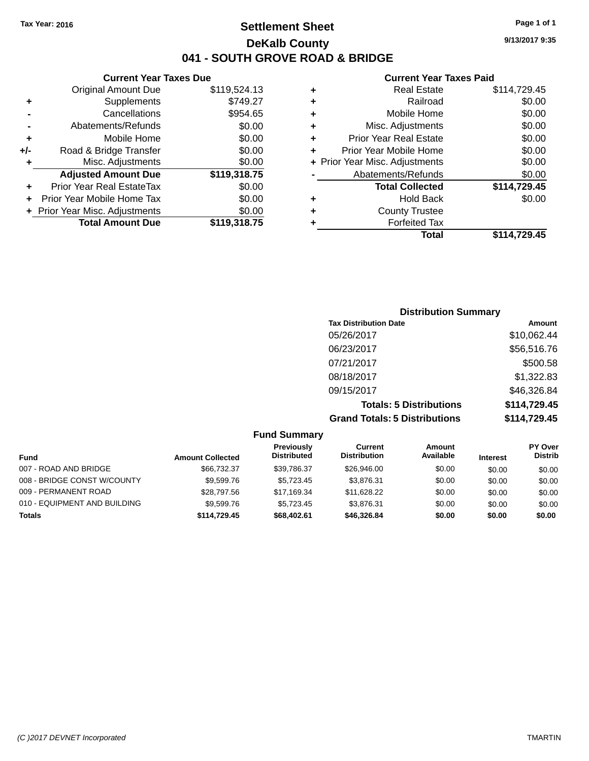## **Settlement Sheet Tax Year: 2016 Page 1 of 1 DeKalb County 041 - SOUTH GROVE ROAD & BRIDGE**

|   | <b>Current Year Taxes Paid</b> |              |
|---|--------------------------------|--------------|
| ٠ | Real Estate                    | \$114,729.45 |
| ٠ | Railroad                       | \$0.00       |
| ٠ | Mobile Home                    | \$0.00       |
| ٠ | Misc. Adjustments              | \$0.00       |
| ٠ | <b>Prior Year Real Estate</b>  | \$0.00       |
|   | Prior Year Mobile Home         | \$0.00       |
|   | + Prior Year Misc. Adjustments | \$0.00       |
|   | Abatements/Refunds             | \$0.00       |
|   | <b>Total Collected</b>         | \$114,729.45 |
| ٠ | <b>Hold Back</b>               | \$0.00       |
| ٠ | <b>County Trustee</b>          |              |
|   | <b>Forfeited Tax</b>           |              |
|   | Total                          | \$114,729.45 |

| <b>Distribution Summary</b>          |              |
|--------------------------------------|--------------|
| <b>Tax Distribution Date</b>         | Amount       |
| 05/26/2017                           | \$10,062.44  |
| 06/23/2017                           | \$56,516.76  |
| 07/21/2017                           | \$500.58     |
| 08/18/2017                           | \$1,322.83   |
| 09/15/2017                           | \$46,326.84  |
| <b>Totals: 5 Distributions</b>       | \$114,729.45 |
| <b>Grand Totals: 5 Distributions</b> | \$114,729.45 |

| <b>Fund Summary</b>          |                         |                                         |                                |                     |                 |                                  |
|------------------------------|-------------------------|-----------------------------------------|--------------------------------|---------------------|-----------------|----------------------------------|
| <b>Fund</b>                  | <b>Amount Collected</b> | <b>Previously</b><br><b>Distributed</b> | Current<br><b>Distribution</b> | Amount<br>Available | <b>Interest</b> | <b>PY Over</b><br><b>Distrib</b> |
| 007 - ROAD AND BRIDGE        | \$66,732,37             | \$39.786.37                             | \$26,946,00                    | \$0.00              | \$0.00          | \$0.00                           |
| 008 - BRIDGE CONST W/COUNTY  | \$9,599.76              | \$5.723.45                              | \$3.876.31                     | \$0.00              | \$0.00          | \$0.00                           |
| 009 - PERMANENT ROAD         | \$28.797.56             | \$17.169.34                             | \$11,628.22                    | \$0.00              | \$0.00          | \$0.00                           |
| 010 - EQUIPMENT AND BUILDING | \$9,599.76              | \$5.723.45                              | \$3.876.31                     | \$0.00              | \$0.00          | \$0.00                           |
| <b>Totals</b>                | \$114.729.45            | \$68,402.61                             | \$46,326,84                    | \$0.00              | \$0.00          | \$0.00                           |

**Current Year Taxes Due** Original Amount Due \$119,524.13

**Adjusted Amount Due \$119,318.75**

**Total Amount Due \$119,318.75**

**+** Supplements \$749.27 **-** Cancellations \$954.65 **-** Abatements/Refunds \$0.00 **+** Mobile Home \$0.00 **+/-** Road & Bridge Transfer \$0.00 **+** Misc. Adjustments \$0.00

**+** Prior Year Real EstateTax \$0.00 **+** Prior Year Mobile Home Tax \$0.00 **+ Prior Year Misc. Adjustments**  $$0.00$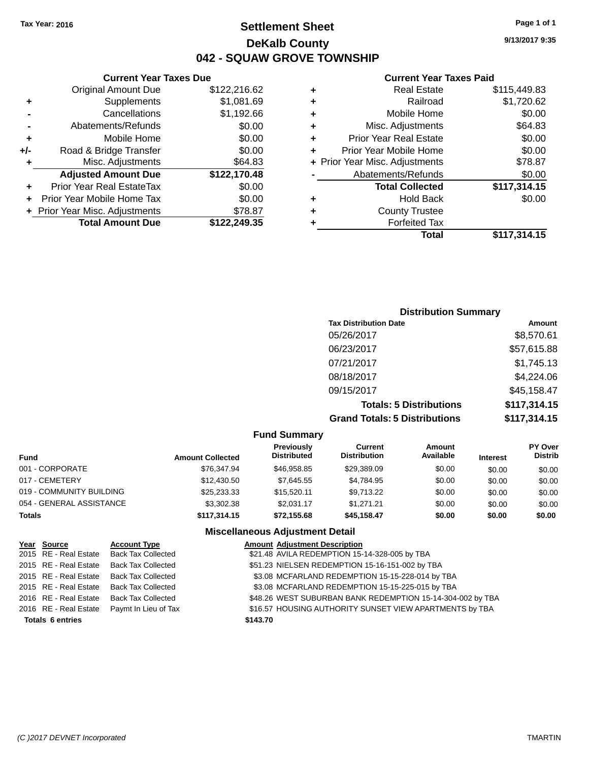## **Settlement Sheet Tax Year: 2016 Page 1 of 1 DeKalb County 042 - SQUAW GROVE TOWNSHIP**

**9/13/2017 9:35**

#### **Current Year Taxes Paid**

|     | <b>Current Year Taxes Due</b>    |              |   |             |
|-----|----------------------------------|--------------|---|-------------|
|     | <b>Original Amount Due</b>       | \$122,216.62 | ٠ |             |
|     | <b>Supplements</b>               | \$1,081.69   | ٠ |             |
|     | Cancellations                    | \$1,192.66   | ٠ |             |
|     | Abatements/Refunds               | \$0.00       | ٠ |             |
|     | Mobile Home                      | \$0.00       |   | Pr          |
| +/- | Road & Bridge Transfer           | \$0.00       |   | Prio        |
| ٠   | Misc. Adjustments                | \$64.83      |   | + Prior Yea |
|     | <b>Adjusted Amount Due</b>       | \$122,170.48 |   | А           |
|     | <b>Prior Year Real EstateTax</b> | \$0.00       |   |             |
|     | Prior Year Mobile Home Tax       | \$0.00       | ٠ |             |
|     | + Prior Year Misc. Adjustments   | \$78.87      | ٠ |             |
|     | <b>Total Amount Due</b>          | \$122,249.35 |   |             |
|     |                                  |              |   |             |

|   | <b>Real Estate</b>             | \$115,449.83 |
|---|--------------------------------|--------------|
| ٠ | Railroad                       | \$1,720.62   |
| ٠ | Mobile Home                    | \$0.00       |
| ٠ | Misc. Adjustments              | \$64.83      |
| ٠ | <b>Prior Year Real Estate</b>  | \$0.00       |
| ٠ | Prior Year Mobile Home         | \$0.00       |
|   | + Prior Year Misc. Adjustments | \$78.87      |
|   | Abatements/Refunds             | \$0.00       |
|   | <b>Total Collected</b>         | \$117,314.15 |
| ٠ | Hold Back                      | \$0.00       |
| ٠ | <b>County Trustee</b>          |              |
| ٠ | <b>Forfeited Tax</b>           |              |
|   | Total                          | \$117,314.15 |
|   |                                |              |

## **Distribution Summary Tax Distribution Date Amount** 05/26/2017 \$8,570.61 06/23/2017 \$57,615.88 07/21/2017 \$1,745.13 08/18/2017 \$4,224.06 09/15/2017 \$45,158.47 **Totals: 5 Distributions \$117,314.15 Grand Totals: 5 Distributions \$117,314.15**

| <b>Fund Summary</b>      |                         |                                  |                                |                     |                 |                                  |  |
|--------------------------|-------------------------|----------------------------------|--------------------------------|---------------------|-----------------|----------------------------------|--|
| <b>Fund</b>              | <b>Amount Collected</b> | Previously<br><b>Distributed</b> | Current<br><b>Distribution</b> | Amount<br>Available | <b>Interest</b> | <b>PY Over</b><br><b>Distrib</b> |  |
| 001 - CORPORATE          | \$76,347.94             | \$46.958.85                      | \$29,389.09                    | \$0.00              | \$0.00          | \$0.00                           |  |
| 017 - CEMETERY           | \$12,430.50             | \$7,645.55                       | \$4,784.95                     | \$0.00              | \$0.00          | \$0.00                           |  |
| 019 - COMMUNITY BUILDING | \$25,233.33             | \$15,520.11                      | \$9,713.22                     | \$0.00              | \$0.00          | \$0.00                           |  |
| 054 - GENERAL ASSISTANCE | \$3,302.38              | \$2,031.17                       | \$1.271.21                     | \$0.00              | \$0.00          | \$0.00                           |  |
| <b>Totals</b>            | \$117.314.15            | \$72.155.68                      | \$45.158.47                    | \$0.00              | \$0.00          | \$0.00                           |  |

| Year Source             | <b>Account Type</b>                        | <b>Amount Adjustment Description</b>                       |
|-------------------------|--------------------------------------------|------------------------------------------------------------|
|                         | 2015 RE - Real Estate Back Tax Collected   | \$21.48 AVILA REDEMPTION 15-14-328-005 by TBA              |
| 2015 RE - Real Estate   | <b>Back Tax Collected</b>                  | \$51.23 NIELSEN REDEMPTION 15-16-151-002 by TBA            |
| 2015 RE - Real Estate   | <b>Back Tax Collected</b>                  | \$3.08 MCFARLAND REDEMPTION 15-15-228-014 by TBA           |
|                         | 2015 RE - Real Estate Back Tax Collected   | \$3.08 MCFARLAND REDEMPTION 15-15-225-015 by TBA           |
|                         | 2016 RE - Real Estate Back Tax Collected   | \$48.26 WEST SUBURBAN BANK REDEMPTION 15-14-304-002 by TBA |
|                         | 2016 RE - Real Estate Paymt In Lieu of Tax | \$16.57 HOUSING AUTHORITY SUNSET VIEW APARTMENTS by TBA    |
| <b>Totals 6 entries</b> |                                            | \$143.70                                                   |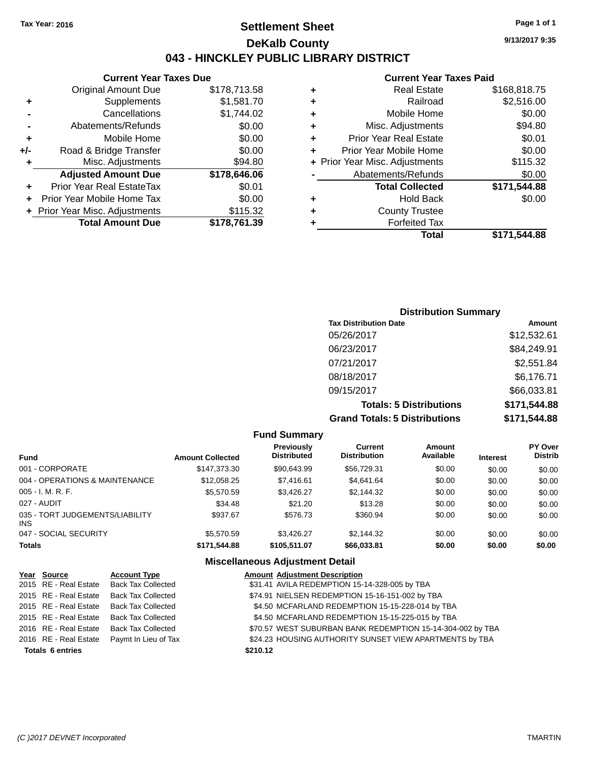## **Settlement Sheet Tax Year: 2016 Page 1 of 1 DeKalb County 043 - HINCKLEY PUBLIC LIBRARY DISTRICT**

**9/13/2017 9:35**

## **Current Year Taxes Paid**

|       | <b>Current Year Taxes Due</b>  |              |
|-------|--------------------------------|--------------|
|       | <b>Original Amount Due</b>     | \$178,713.58 |
| ٠     | Supplements                    | \$1,581.70   |
|       | Cancellations                  | \$1,744.02   |
|       | Abatements/Refunds             | \$0.00       |
| ٠     | Mobile Home                    | \$0.00       |
| $+/-$ | Road & Bridge Transfer         | \$0.00       |
| ٠     | Misc. Adjustments              | \$94.80      |
|       | <b>Adjusted Amount Due</b>     | \$178,646.06 |
| ٠     | Prior Year Real EstateTax      | \$0.01       |
|       | Prior Year Mobile Home Tax     | \$0.00       |
|       | + Prior Year Misc. Adjustments | \$115.32     |
|       | <b>Total Amount Due</b>        | \$178,761.39 |
|       |                                |              |

|   | Railroad                       | \$2,516.00   |
|---|--------------------------------|--------------|
| ٠ |                                |              |
| ٠ | Mobile Home                    | \$0.00       |
| ٠ | Misc. Adjustments              | \$94.80      |
| ٠ | <b>Prior Year Real Estate</b>  | \$0.01       |
| ٠ | Prior Year Mobile Home         | \$0.00       |
|   | + Prior Year Misc. Adjustments | \$115.32     |
|   | Abatements/Refunds             | \$0.00       |
|   | <b>Total Collected</b>         | \$171,544.88 |
| ٠ | <b>Hold Back</b>               | \$0.00       |
| ٠ | <b>County Trustee</b>          |              |
|   |                                |              |
| ٠ | <b>Forfeited Tax</b>           |              |
|   | Total                          | \$171,544.88 |

|                              | <b>Distribution Summary</b>          |              |
|------------------------------|--------------------------------------|--------------|
| <b>Tax Distribution Date</b> |                                      | Amount       |
| 05/26/2017                   |                                      | \$12,532.61  |
| 06/23/2017                   |                                      | \$84,249.91  |
| 07/21/2017                   |                                      | \$2,551.84   |
| 08/18/2017                   |                                      | \$6,176.71   |
| 09/15/2017                   |                                      | \$66,033.81  |
|                              | <b>Totals: 5 Distributions</b>       | \$171,544.88 |
|                              | <b>Grand Totals: 5 Distributions</b> | \$171,544.88 |

|                                               |                         | <b>Fund Summary</b>              |                                |                     |                 |                                  |
|-----------------------------------------------|-------------------------|----------------------------------|--------------------------------|---------------------|-----------------|----------------------------------|
| <b>Fund</b>                                   | <b>Amount Collected</b> | Previously<br><b>Distributed</b> | Current<br><b>Distribution</b> | Amount<br>Available | <b>Interest</b> | <b>PY Over</b><br><b>Distrib</b> |
| 001 - CORPORATE                               | \$147,373.30            | \$90,643.99                      | \$56,729.31                    | \$0.00              | \$0.00          | \$0.00                           |
| 004 - OPERATIONS & MAINTENANCE                | \$12,058.25             | \$7,416.61                       | \$4,641.64                     | \$0.00              | \$0.00          | \$0.00                           |
| $005 - I. M. R. F.$                           | \$5,570.59              | \$3,426.27                       | \$2,144.32                     | \$0.00              | \$0.00          | \$0.00                           |
| 027 - AUDIT                                   | \$34.48                 | \$21.20                          | \$13.28                        | \$0.00              | \$0.00          | \$0.00                           |
| 035 - TORT JUDGEMENTS/LIABILITY<br><b>INS</b> | \$937.67                | \$576.73                         | \$360.94                       | \$0.00              | \$0.00          | \$0.00                           |
| 047 - SOCIAL SECURITY                         | \$5,570.59              | \$3.426.27                       | \$2,144.32                     | \$0.00              | \$0.00          | \$0.00                           |
| <b>Totals</b>                                 | \$171,544.88            | \$105.511.07                     | \$66,033.81                    | \$0.00              | \$0.00          | \$0.00                           |

| Year Source             | <b>Account Type</b>                        |          | <b>Amount Adjustment Description</b>                       |
|-------------------------|--------------------------------------------|----------|------------------------------------------------------------|
|                         | 2015 RE - Real Estate Back Tax Collected   |          | \$31.41 AVILA REDEMPTION 15-14-328-005 by TBA              |
| 2015 RE - Real Estate   | <b>Back Tax Collected</b>                  |          | \$74.91 NIELSEN REDEMPTION 15-16-151-002 by TBA            |
| 2015 RE - Real Estate   | Back Tax Collected                         |          | \$4.50 MCFARLAND REDEMPTION 15-15-228-014 by TBA           |
|                         | 2015 RE - Real Estate Back Tax Collected   |          | \$4.50 MCFARLAND REDEMPTION 15-15-225-015 by TBA           |
| 2016 RE - Real Estate   | <b>Back Tax Collected</b>                  |          | \$70.57 WEST SUBURBAN BANK REDEMPTION 15-14-304-002 by TBA |
|                         | 2016 RE - Real Estate Paymt In Lieu of Tax |          | \$24.23 HOUSING AUTHORITY SUNSET VIEW APARTMENTS by TBA    |
| <b>Totals 6 entries</b> |                                            | \$210.12 |                                                            |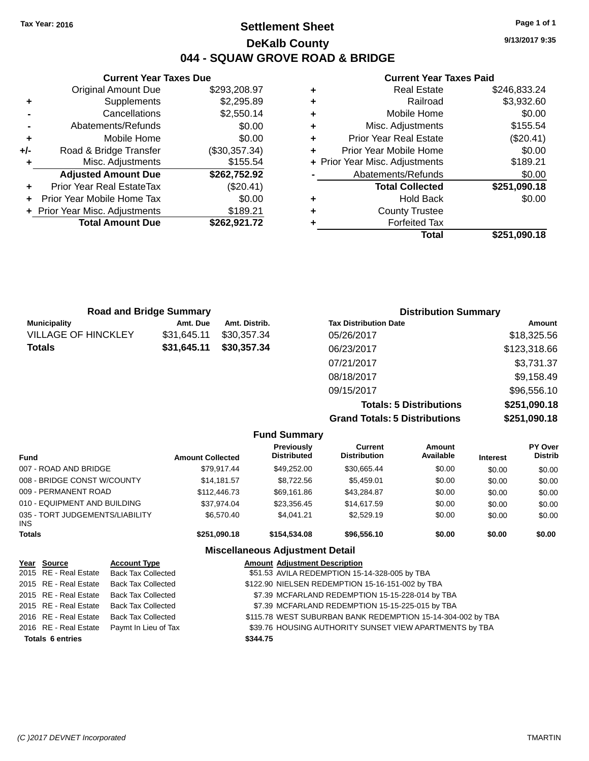## **Settlement Sheet Tax Year: 2016 Page 1 of 1 DeKalb County 044 - SQUAW GROVE ROAD & BRIDGE**

**9/13/2017 9:35**

#### **Current Year Taxes Paid**

|     | <b>Current Year Taxes Due</b>  |               |         |
|-----|--------------------------------|---------------|---------|
|     | <b>Original Amount Due</b>     | \$293,208.97  | ٠       |
|     | <b>Supplements</b>             | \$2,295.89    | ٠       |
|     | Cancellations                  | \$2,550.14    | ٠       |
|     | Abatements/Refunds             | \$0.00        |         |
|     | Mobile Home                    | \$0.00        |         |
| +/- | Road & Bridge Transfer         | (\$30,357.34) |         |
|     | Misc. Adjustments              | \$155.54      | + Prior |
|     | <b>Adjusted Amount Due</b>     | \$262,752.92  |         |
|     | Prior Year Real EstateTax      | (\$20.41)     |         |
|     | Prior Year Mobile Home Tax     | \$0.00        |         |
|     | + Prior Year Misc. Adjustments | \$189.21      |         |
|     | <b>Total Amount Due</b>        | \$262,921.72  |         |
|     |                                |               |         |

|   | <b>Real Estate</b>             | \$246,833.24 |
|---|--------------------------------|--------------|
| ٠ | Railroad                       | \$3,932.60   |
| ٠ | Mobile Home                    | \$0.00       |
| ٠ | Misc. Adjustments              | \$155.54     |
| ٠ | <b>Prior Year Real Estate</b>  | (\$20.41)    |
| ÷ | Prior Year Mobile Home         | \$0.00       |
|   | + Prior Year Misc. Adjustments | \$189.21     |
|   | Abatements/Refunds             | \$0.00       |
|   | <b>Total Collected</b>         | \$251,090.18 |
|   | <b>Hold Back</b>               | \$0.00       |
| ٠ | <b>County Trustee</b>          |              |
|   | <b>Forfeited Tax</b>           |              |
|   | Total                          | \$251,090.18 |
|   |                                |              |

| <b>Road and Bridge Summary</b> |             |               | <b>Distribution Summary</b>  |              |  |
|--------------------------------|-------------|---------------|------------------------------|--------------|--|
| <b>Municipality</b>            | Amt. Due    | Amt. Distrib. | <b>Tax Distribution Date</b> | Amount       |  |
| <b>VILLAGE OF HINCKLEY</b>     | \$31,645.11 | \$30,357,34   | 05/26/2017                   | \$18,325.56  |  |
| <b>Totals</b>                  | \$31,645.11 | \$30,357.34   | 06/23/2017                   | \$123,318.66 |  |
|                                |             |               | 07/21/2017                   | \$3,731.37   |  |
|                                |             |               | 08/18/2017                   | \$9,158.49   |  |
|                                |             |               | 09/15/2017                   | \$96,556.10  |  |

**Totals: 5 Distributions \$251,090.18 Grand Totals: 5 Distributions \$251,090.18**

|                                               |              |                         | <b>Fund Summary</b>                     |                                       |                     |                 |                           |
|-----------------------------------------------|--------------|-------------------------|-----------------------------------------|---------------------------------------|---------------------|-----------------|---------------------------|
| <b>Fund</b>                                   |              | <b>Amount Collected</b> | <b>Previously</b><br><b>Distributed</b> | <b>Current</b><br><b>Distribution</b> | Amount<br>Available | <b>Interest</b> | PY Over<br><b>Distrib</b> |
| 007 - ROAD AND BRIDGE                         |              | \$79.917.44             | \$49.252.00                             | \$30.665.44                           | \$0.00              | \$0.00          | \$0.00                    |
| 008 - BRIDGE CONST W/COUNTY                   |              | \$14.181.57             | \$8,722.56                              | \$5.459.01                            | \$0.00              | \$0.00          | \$0.00                    |
| 009 - PERMANENT ROAD                          |              | \$112,446.73            | \$69.161.86                             | \$43.284.87                           | \$0.00              | \$0.00          | \$0.00                    |
| 010 - EQUIPMENT AND BUILDING                  |              | \$37.974.04             | \$23.356.45                             | \$14,617.59                           | \$0.00              | \$0.00          | \$0.00                    |
| 035 - TORT JUDGEMENTS/LIABILITY<br><b>INS</b> |              | \$6,570.40              | \$4.041.21                              | \$2,529.19                            | \$0.00              | \$0.00          | \$0.00                    |
| <b>Totals</b>                                 |              | \$251.090.18            | \$154,534,08                            | \$96,556,10                           | \$0.00              | \$0.00          | \$0.00                    |
|                                               |              |                         | <b>Miscellaneous Adjustment Detail</b>  |                                       |                     |                 |                           |
| Year Source                                   | Account Tyne |                         | <b>Amount Adjustment Description</b>    |                                       |                     |                 |                           |

|                         | Year Source           | <b>Account Type</b>                      | <b>Amount Adjustment Description</b>                        |
|-------------------------|-----------------------|------------------------------------------|-------------------------------------------------------------|
|                         |                       | 2015 RE - Real Estate Back Tax Collected | \$51.53 AVILA REDEMPTION 15-14-328-005 by TBA               |
|                         | 2015 RE - Real Estate | <b>Back Tax Collected</b>                | \$122.90 NIELSEN REDEMPTION 15-16-151-002 by TBA            |
|                         | 2015 RE - Real Estate | <b>Back Tax Collected</b>                | \$7.39 MCFARLAND REDEMPTION 15-15-228-014 by TBA            |
|                         | 2015 RE - Real Estate | <b>Back Tax Collected</b>                | \$7.39 MCFARLAND REDEMPTION 15-15-225-015 by TBA            |
|                         | 2016 RE - Real Estate | <b>Back Tax Collected</b>                | \$115.78 WEST SUBURBAN BANK REDEMPTION 15-14-304-002 by TBA |
|                         | 2016 RE - Real Estate | Paymt In Lieu of Tax                     | \$39.76 HOUSING AUTHORITY SUNSET VIEW APARTMENTS by TBA     |
| <b>Totals 6 entries</b> |                       |                                          | \$344.75                                                    |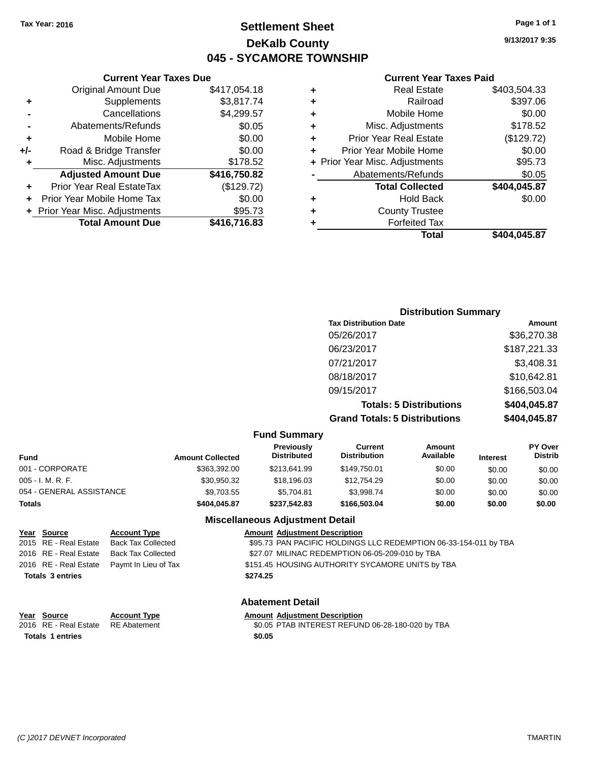## **Settlement Sheet Tax Year: 2016 Page 1 of 1 DeKalb County 045 - SYCAMORE TOWNSHIP**

**9/13/2017 9:35**

#### **Current Year Taxes Paid**

| ٠ | <b>Real Estate</b>             | \$403,504.33 |
|---|--------------------------------|--------------|
| ٠ | Railroad                       | \$397.06     |
| ÷ | Mobile Home                    | \$0.00       |
| ٠ | Misc. Adjustments              | \$178.52     |
| ٠ | Prior Year Real Estate         | (\$129.72)   |
| ÷ | Prior Year Mobile Home         | \$0.00       |
|   | + Prior Year Misc. Adjustments | \$95.73      |
|   | Abatements/Refunds             | \$0.05       |
|   | <b>Total Collected</b>         | \$404,045.87 |
| ٠ | <b>Hold Back</b>               | \$0.00       |
| ٠ | <b>County Trustee</b>          |              |
|   | <b>Forfeited Tax</b>           |              |
|   | Total                          | \$404,045.87 |
|   |                                |              |

|     | <b>Current Year Taxes Due</b>    |              |
|-----|----------------------------------|--------------|
|     | <b>Original Amount Due</b>       | \$417,054.18 |
| ٠   | Supplements                      | \$3,817.74   |
|     | Cancellations                    | \$4,299.57   |
|     | Abatements/Refunds               | \$0.05       |
| ٠   | Mobile Home                      | \$0.00       |
| +/- | Road & Bridge Transfer           | \$0.00       |
| ٠   | Misc. Adjustments                | \$178.52     |
|     | <b>Adjusted Amount Due</b>       | \$416,750.82 |
| ٠   | <b>Prior Year Real EstateTax</b> | (\$129.72)   |
|     | Prior Year Mobile Home Tax       | \$0.00       |
|     | + Prior Year Misc. Adjustments   | \$95.73      |
|     | <b>Total Amount Due</b>          | \$416,716.83 |
|     |                                  |              |

| <b>Distribution Summary</b>          |              |
|--------------------------------------|--------------|
| <b>Tax Distribution Date</b>         | Amount       |
| 05/26/2017                           | \$36,270.38  |
| 06/23/2017                           | \$187,221.33 |
| 07/21/2017                           | \$3,408.31   |
| 08/18/2017                           | \$10,642.81  |
| 09/15/2017                           | \$166,503.04 |
| <b>Totals: 5 Distributions</b>       | \$404,045.87 |
| <b>Grand Totals: 5 Distributions</b> | \$404,045.87 |

|                          |                         | <b>Fund Summary</b>              |                                |                     |                 |                                  |
|--------------------------|-------------------------|----------------------------------|--------------------------------|---------------------|-----------------|----------------------------------|
| <b>Fund</b>              | <b>Amount Collected</b> | Previously<br><b>Distributed</b> | Current<br><b>Distribution</b> | Amount<br>Available | <b>Interest</b> | <b>PY Over</b><br><b>Distrib</b> |
| 001 - CORPORATE          | \$363,392,00            | \$213.641.99                     | \$149.750.01                   | \$0.00              | \$0.00          | \$0.00                           |
| 005 - I. M. R. F.        | \$30,950.32             | \$18,196,03                      | \$12,754.29                    | \$0.00              | \$0.00          | \$0.00                           |
| 054 - GENERAL ASSISTANCE | \$9.703.55              | \$5.704.81                       | \$3.998.74                     | \$0.00              | \$0.00          | \$0.00                           |
| <b>Totals</b>            | \$404.045.87            | \$237.542.83                     | \$166,503,04                   | \$0.00              | \$0.00          | \$0.00                           |

#### **Miscellaneous Adjustment Detail**

| Year Source             | <b>Account Type</b>       | <b>Amount Adjustment Description</b>                             |
|-------------------------|---------------------------|------------------------------------------------------------------|
| 2015 RE - Real Estate   | <b>Back Tax Collected</b> | \$95.73 PAN PACIFIC HOLDINGS LLC REDEMPTION 06-33-154-011 by TBA |
| 2016 RE - Real Estate   | <b>Back Tax Collected</b> | \$27.07 MILINAC REDEMPTION 06-05-209-010 by TBA                  |
| 2016 RE - Real Estate   | Paymt In Lieu of Tax      | \$151.45 HOUSING AUTHORITY SYCAMORE UNITS by TBA                 |
| <b>Totals 3 entries</b> |                           | \$274.25                                                         |
|                         |                           | <b>Abatement Detail</b>                                          |
| Year Source             | <b>Account Type</b>       | <b>Amount Adjustment Description</b>                             |
| 2016 RE - Real Estate   | <b>RE</b> Abatement       | \$0.05 PTAB INTEREST REFUND 06-28-180-020 by TBA                 |

**Totals \$0.05 1 entries**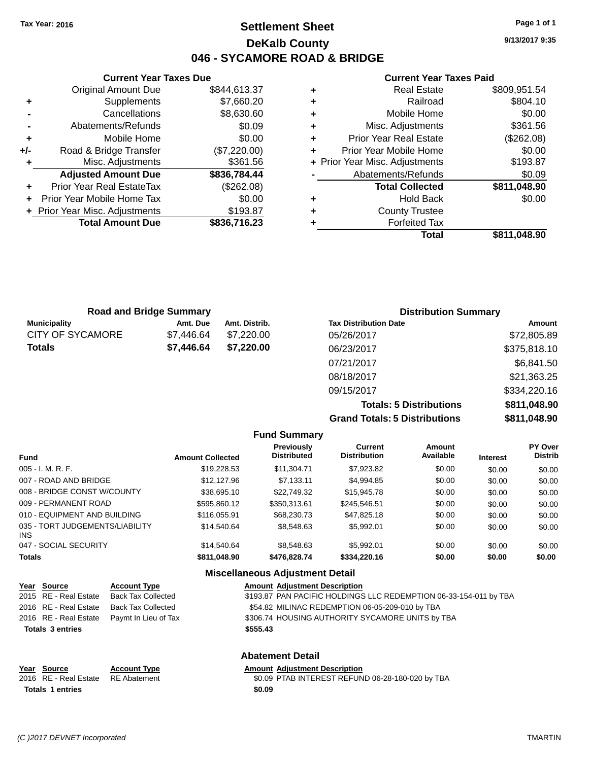## **Settlement Sheet Tax Year: 2016 Page 1 of 1 DeKalb County 046 - SYCAMORE ROAD & BRIDGE**

**9/13/2017 9:35**

#### **Current Year Taxes Paid**

| ٠ | <b>Real Estate</b>             | \$809,951.54 |
|---|--------------------------------|--------------|
| ٠ | Railroad                       | \$804.10     |
| ٠ | Mobile Home                    | \$0.00       |
| ٠ | Misc. Adjustments              | \$361.56     |
| ٠ | <b>Prior Year Real Estate</b>  | (\$262.08)   |
| ٠ | Prior Year Mobile Home         | \$0.00       |
|   | + Prior Year Misc. Adjustments | \$193.87     |
|   | Abatements/Refunds             | \$0.09       |
|   | <b>Total Collected</b>         | \$811,048.90 |
| ٠ | <b>Hold Back</b>               | \$0.00       |
| ٠ | <b>County Trustee</b>          |              |
| ٠ | <b>Forfeited Tax</b>           |              |
|   | Total                          | \$811,048.90 |

|     | <b>Current Year Taxes Due</b>  |              |
|-----|--------------------------------|--------------|
|     | <b>Original Amount Due</b>     | \$844,613.37 |
| ٠   | Supplements                    | \$7,660.20   |
|     | Cancellations                  | \$8,630.60   |
|     | Abatements/Refunds             | \$0.09       |
| ٠   | Mobile Home                    | \$0.00       |
| +/- | Road & Bridge Transfer         | (\$7,220.00) |
| ٠   | Misc. Adjustments              | \$361.56     |
|     | <b>Adjusted Amount Due</b>     | \$836,784.44 |
|     | Prior Year Real EstateTax      | (\$262.08)   |
|     | Prior Year Mobile Home Tax     | \$0.00       |
|     | + Prior Year Misc. Adjustments | \$193.87     |
|     | <b>Total Amount Due</b>        | \$836,716.23 |
|     |                                |              |

| <b>Road and Bridge Summary</b> |                          |               | <b>Distribution Summary</b>    |              |  |
|--------------------------------|--------------------------|---------------|--------------------------------|--------------|--|
| <b>Municipality</b>            | Amt. Due                 | Amt. Distrib. | <b>Tax Distribution Date</b>   | Amount       |  |
| <b>CITY OF SYCAMORE</b>        | \$7,446.64               | \$7,220.00    | 05/26/2017                     | \$72,805.89  |  |
| <b>Totals</b>                  | \$7,446.64<br>\$7,220.00 |               | 06/23/2017                     | \$375,818.10 |  |
|                                |                          |               | 07/21/2017                     | \$6,841.50   |  |
|                                |                          |               | 08/18/2017                     | \$21,363.25  |  |
|                                |                          |               | 09/15/2017                     | \$334,220.16 |  |
|                                |                          |               | <b>Totals: 5 Distributions</b> | \$811,048.90 |  |

**Grand Totals: 5 Distributions \$811,048.90**

|                                         |                         | <b>Fund Summary</b>                     |                                       |                     |                 |                           |
|-----------------------------------------|-------------------------|-----------------------------------------|---------------------------------------|---------------------|-----------------|---------------------------|
| <b>Fund</b>                             | <b>Amount Collected</b> | <b>Previously</b><br><b>Distributed</b> | <b>Current</b><br><b>Distribution</b> | Amount<br>Available | <b>Interest</b> | PY Over<br><b>Distrib</b> |
| 005 - I. M. R. F.                       | \$19,228.53             | \$11,304.71                             | \$7,923.82                            | \$0.00              | \$0.00          | \$0.00                    |
| 007 - ROAD AND BRIDGE                   | \$12,127.96             | \$7.133.11                              | \$4.994.85                            | \$0.00              | \$0.00          | \$0.00                    |
| 008 - BRIDGE CONST W/COUNTY             | \$38,695.10             | \$22.749.32                             | \$15,945.78                           | \$0.00              | \$0.00          | \$0.00                    |
| 009 - PERMANENT ROAD                    | \$595.860.12            | \$350.313.61                            | \$245.546.51                          | \$0.00              | \$0.00          | \$0.00                    |
| 010 - EQUIPMENT AND BUILDING            | \$116,055.91            | \$68,230.73                             | \$47,825.18                           | \$0.00              | \$0.00          | \$0.00                    |
| 035 - TORT JUDGEMENTS/LIABILITY<br>INS. | \$14.540.64             | \$8.548.63                              | \$5.992.01                            | \$0.00              | \$0.00          | \$0.00                    |
| 047 - SOCIAL SECURITY                   | \$14.540.64             | \$8.548.63                              | \$5.992.01                            | \$0.00              | \$0.00          | \$0.00                    |
| <b>Totals</b>                           | \$811,048.90            | \$476,828.74                            | \$334,220.16                          | \$0.00              | \$0.00          | \$0.00                    |

#### **Miscellaneous Adjustment Detail**

| Year Source             | <b>Account Type</b>                        |          | <b>Amount Adjustment Description</b>                              |
|-------------------------|--------------------------------------------|----------|-------------------------------------------------------------------|
| 2015 RE - Real Estate   | Back Tax Collected                         |          | \$193.87 PAN PACIFIC HOLDINGS LLC REDEMPTION 06-33-154-011 by TBA |
| 2016 RE - Real Estate   | Back Tax Collected                         |          | \$54.82 MILINAC REDEMPTION 06-05-209-010 by TBA                   |
|                         | 2016 RE - Real Estate Paymt In Lieu of Tax |          | \$306.74 HOUSING AUTHORITY SYCAMORE UNITS by TBA                  |
| <b>Totals 3 entries</b> |                                            | \$555.43 |                                                                   |
|                         |                                            |          |                                                                   |

#### **Abatement Detail**

#### **Year Source Account Type Amount Adjustment Description**  $\overline{$0.09}$  PTAB INTEREST REFUND 06-28-180-020 by TBA **Totals 1 entries** \$0.09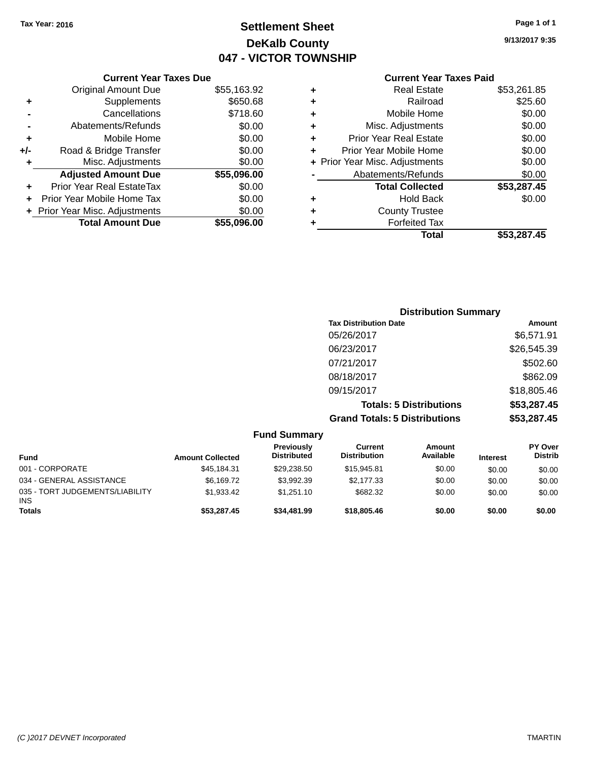## **Settlement Sheet Tax Year: 2016 Page 1 of 1 DeKalb County 047 - VICTOR TOWNSHIP**

**9/13/2017 9:35**

## **Current Year Taxes Paid**

|       | <b>Current Year Taxes Due</b>  |             |
|-------|--------------------------------|-------------|
|       | <b>Original Amount Due</b>     | \$55,163.92 |
| ٠     | Supplements                    | \$650.68    |
|       | Cancellations                  | \$718.60    |
|       | Abatements/Refunds             | \$0.00      |
| ٠     | Mobile Home                    | \$0.00      |
| $+/-$ | Road & Bridge Transfer         | \$0.00      |
| ٠     | Misc. Adjustments              | \$0.00      |
|       | <b>Adjusted Amount Due</b>     | \$55,096.00 |
| ٠     | Prior Year Real EstateTax      | \$0.00      |
|       | Prior Year Mobile Home Tax     | \$0.00      |
|       | + Prior Year Misc. Adjustments | \$0.00      |
|       | <b>Total Amount Due</b>        | \$55,096.00 |
|       |                                |             |

| ٠ | Real Estate                    | \$53,261.85 |
|---|--------------------------------|-------------|
| ٠ | Railroad                       | \$25.60     |
| ٠ | Mobile Home                    | \$0.00      |
| ٠ | Misc. Adjustments              | \$0.00      |
| ٠ | <b>Prior Year Real Estate</b>  | \$0.00      |
| ٠ | Prior Year Mobile Home         | \$0.00      |
|   | + Prior Year Misc. Adjustments | \$0.00      |
|   | Abatements/Refunds             | \$0.00      |
|   | <b>Total Collected</b>         | \$53,287.45 |
| ٠ | Hold Back                      | \$0.00      |
| ٠ | <b>County Trustee</b>          |             |
| ٠ | <b>Forfeited Tax</b>           |             |
|   | Total                          | \$53,287.45 |
|   |                                |             |

| <b>Distribution Summary</b>          |             |
|--------------------------------------|-------------|
| <b>Tax Distribution Date</b>         | Amount      |
| 05/26/2017                           | \$6,571.91  |
| 06/23/2017                           | \$26,545.39 |
| 07/21/2017                           | \$502.60    |
| 08/18/2017                           | \$862.09    |
| 09/15/2017                           | \$18,805.46 |
| <b>Totals: 5 Distributions</b>       | \$53,287.45 |
| <b>Grand Totals: 5 Distributions</b> | \$53,287.45 |

|                                         |                         | <b>Fund Summary</b>              |                                       |                            |                 |                                  |
|-----------------------------------------|-------------------------|----------------------------------|---------------------------------------|----------------------------|-----------------|----------------------------------|
| <b>Fund</b>                             | <b>Amount Collected</b> | Previously<br><b>Distributed</b> | <b>Current</b><br><b>Distribution</b> | <b>Amount</b><br>Available | <b>Interest</b> | <b>PY Over</b><br><b>Distrib</b> |
| 001 - CORPORATE                         | \$45.184.31             | \$29,238.50                      | \$15,945.81                           | \$0.00                     | \$0.00          | \$0.00                           |
| 034 - GENERAL ASSISTANCE                | \$6,169.72              | \$3.992.39                       | \$2,177.33                            | \$0.00                     | \$0.00          | \$0.00                           |
| 035 - TORT JUDGEMENTS/LIABILITY<br>INS. | \$1.933.42              | \$1.251.10                       | \$682.32                              | \$0.00                     | \$0.00          | \$0.00                           |
| <b>Totals</b>                           | \$53,287.45             | \$34.481.99                      | \$18,805,46                           | \$0.00                     | \$0.00          | \$0.00                           |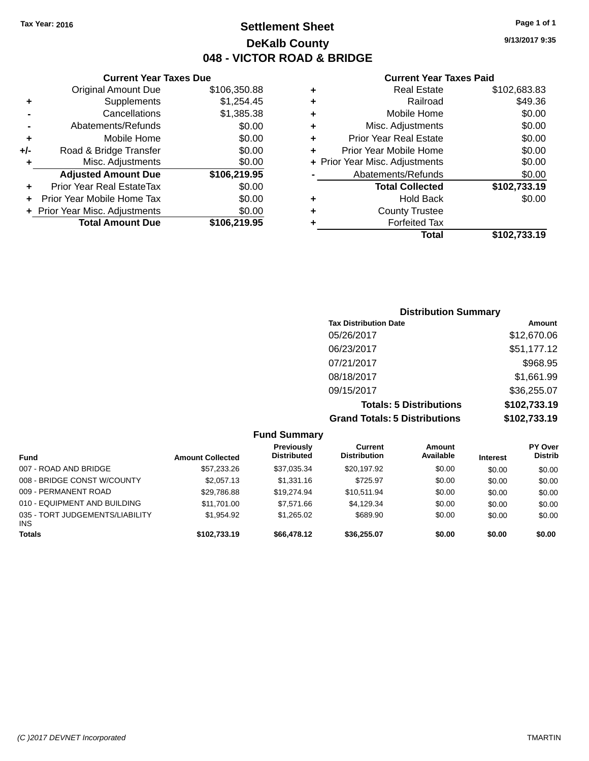## **Settlement Sheet Tax Year: 2016 Page 1 of 1 DeKalb County 048 - VICTOR ROAD & BRIDGE**

**9/13/2017 9:35**

#### **Current Year Taxes Paid**

|     | <b>Current Year Taxes Due</b>  |              |    |
|-----|--------------------------------|--------------|----|
|     | <b>Original Amount Due</b>     | \$106,350.88 | ٠  |
|     | Supplements                    | \$1,254.45   | ٠  |
|     | Cancellations                  | \$1,385.38   | ٠  |
|     | Abatements/Refunds             | \$0.00       | ٠  |
|     | Mobile Home                    | \$0.00       | ٠  |
| +/- | Road & Bridge Transfer         | \$0.00       | ٠  |
|     | Misc. Adjustments              | \$0.00       | Pr |
|     | <b>Adjusted Amount Due</b>     | \$106,219.95 |    |
|     | Prior Year Real EstateTax      | \$0.00       |    |
|     | Prior Year Mobile Home Tax     | \$0.00       |    |
|     | + Prior Year Misc. Adjustments | \$0.00       |    |
|     | <b>Total Amount Due</b>        | \$106,219.95 |    |
|     |                                |              |    |

| ٠ | <b>Real Estate</b>             | \$102,683.83 |
|---|--------------------------------|--------------|
| ٠ | Railroad                       | \$49.36      |
| ٠ | Mobile Home                    | \$0.00       |
| ٠ | Misc. Adjustments              | \$0.00       |
| ٠ | <b>Prior Year Real Estate</b>  | \$0.00       |
| ٠ | Prior Year Mobile Home         | \$0.00       |
|   | + Prior Year Misc. Adjustments | \$0.00       |
|   | Abatements/Refunds             | \$0.00       |
|   | <b>Total Collected</b>         | \$102,733.19 |
| ٠ | Hold Back                      | \$0.00       |
| ٠ | <b>County Trustee</b>          |              |
| ٠ | <b>Forfeited Tax</b>           |              |
|   | Total                          | \$102,733.19 |
|   |                                |              |

| <b>Distribution Summary</b>          |              |  |  |  |
|--------------------------------------|--------------|--|--|--|
| <b>Tax Distribution Date</b>         | Amount       |  |  |  |
| 05/26/2017                           | \$12,670.06  |  |  |  |
| 06/23/2017                           | \$51,177.12  |  |  |  |
| 07/21/2017                           | \$968.95     |  |  |  |
| 08/18/2017                           | \$1,661.99   |  |  |  |
| 09/15/2017                           | \$36,255.07  |  |  |  |
| <b>Totals: 5 Distributions</b>       | \$102,733.19 |  |  |  |
| <b>Grand Totals: 5 Distributions</b> | \$102,733.19 |  |  |  |

| <b>Fund Summary</b>                     |                         |                                  |                                |                            |                 |                                  |
|-----------------------------------------|-------------------------|----------------------------------|--------------------------------|----------------------------|-----------------|----------------------------------|
| <b>Fund</b>                             | <b>Amount Collected</b> | Previously<br><b>Distributed</b> | Current<br><b>Distribution</b> | <b>Amount</b><br>Available | <b>Interest</b> | <b>PY Over</b><br><b>Distrib</b> |
| 007 - ROAD AND BRIDGE                   | \$57,233.26             | \$37,035.34                      | \$20.197.92                    | \$0.00                     | \$0.00          | \$0.00                           |
| 008 - BRIDGE CONST W/COUNTY             | \$2,057.13              | \$1,331.16                       | \$725.97                       | \$0.00                     | \$0.00          | \$0.00                           |
| 009 - PERMANENT ROAD                    | \$29,786.88             | \$19,274.94                      | \$10,511.94                    | \$0.00                     | \$0.00          | \$0.00                           |
| 010 - EQUIPMENT AND BUILDING            | \$11.701.00             | \$7.571.66                       | \$4.129.34                     | \$0.00                     | \$0.00          | \$0.00                           |
| 035 - TORT JUDGEMENTS/LIABILITY<br>INS. | \$1.954.92              | \$1,265.02                       | \$689.90                       | \$0.00                     | \$0.00          | \$0.00                           |
| <b>Totals</b>                           | \$102,733.19            | \$66,478.12                      | \$36,255.07                    | \$0.00                     | \$0.00          | \$0.00                           |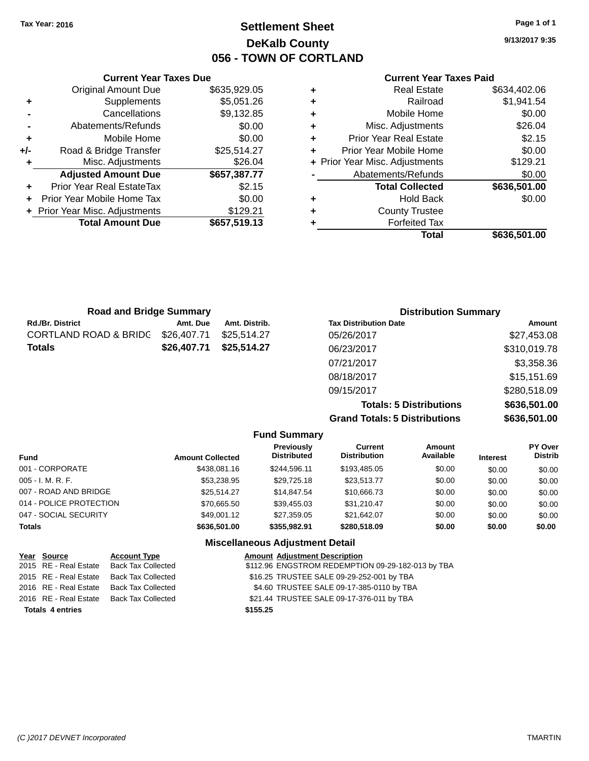## **Settlement Sheet Tax Year: 2016 Page 1 of 1 DeKalb County 056 - TOWN OF CORTLAND**

**9/13/2017 9:35**

#### **Current Year Taxes Paid**

|     | <b>Current Year Taxes Due</b>  |              |  |  |  |
|-----|--------------------------------|--------------|--|--|--|
|     | <b>Original Amount Due</b>     | \$635,929.05 |  |  |  |
| ٠   | Supplements                    | \$5,051.26   |  |  |  |
|     | Cancellations                  | \$9,132.85   |  |  |  |
|     | Abatements/Refunds             | \$0.00       |  |  |  |
| ٠   | Mobile Home                    | \$0.00       |  |  |  |
| +/- | Road & Bridge Transfer         | \$25,514.27  |  |  |  |
| ٠   | Misc. Adjustments              | \$26.04      |  |  |  |
|     | <b>Adjusted Amount Due</b>     | \$657,387.77 |  |  |  |
| ٠   | Prior Year Real EstateTax      | \$2.15       |  |  |  |
|     | Prior Year Mobile Home Tax     | \$0.00       |  |  |  |
|     | + Prior Year Misc. Adjustments | \$129.21     |  |  |  |
|     | <b>Total Amount Due</b>        | \$657,519.13 |  |  |  |
|     |                                |              |  |  |  |

| ٠ | <b>Real Estate</b>             | \$634,402.06 |
|---|--------------------------------|--------------|
| ٠ | Railroad                       | \$1,941.54   |
| ٠ | Mobile Home                    | \$0.00       |
| ٠ | Misc. Adjustments              | \$26.04      |
| ٠ | <b>Prior Year Real Estate</b>  | \$2.15       |
| ٠ | Prior Year Mobile Home         | \$0.00       |
|   | + Prior Year Misc. Adjustments | \$129.21     |
|   | Abatements/Refunds             | \$0.00       |
|   | <b>Total Collected</b>         | \$636,501.00 |
| ٠ | <b>Hold Back</b>               | \$0.00       |
| ٠ | <b>County Trustee</b>          |              |
| ٠ | <b>Forfeited Tax</b>           |              |
|   | Total                          | \$636,501.00 |
|   |                                |              |

| <b>Road and Bridge Summary</b> |             |               | <b>Distribution Summary</b>  |              |  |
|--------------------------------|-------------|---------------|------------------------------|--------------|--|
| Rd./Br. District               | Amt. Due    | Amt. Distrib. | <b>Tax Distribution Date</b> | Amount       |  |
| CORTLAND ROAD & BRIDG          | \$26,407.71 | \$25.514.27   | 05/26/2017                   | \$27,453.08  |  |
| Totals                         | \$26,407.71 | \$25,514.27   | 06/23/2017                   | \$310,019.78 |  |
|                                |             |               | 07/21/2017                   | \$3,358.36   |  |
|                                |             |               | 08/18/2017                   | \$15,151.69  |  |
|                                |             |               | 09/15/2017                   | \$280,518.09 |  |
|                                |             |               |                              |              |  |

**Totals: 5 Distributions \$636,501.00 Grand Totals: 5 Distributions \$636,501.00**

|                         |                         | <b>Fund Summary</b>                    |                                |                     |                 |                           |
|-------------------------|-------------------------|----------------------------------------|--------------------------------|---------------------|-----------------|---------------------------|
| <b>Fund</b>             | <b>Amount Collected</b> | Previously<br><b>Distributed</b>       | Current<br><b>Distribution</b> | Amount<br>Available | <b>Interest</b> | PY Over<br><b>Distrib</b> |
| 001 - CORPORATE         | \$438,081.16            | \$244.596.11                           | \$193,485.05                   | \$0.00              | \$0.00          | \$0.00                    |
| $005 - I. M. R. F.$     | \$53,238.95             | \$29,725.18                            | \$23,513.77                    | \$0.00              | \$0.00          | \$0.00                    |
| 007 - ROAD AND BRIDGE   | \$25,514.27             | \$14,847.54                            | \$10,666.73                    | \$0.00              | \$0.00          | \$0.00                    |
| 014 - POLICE PROTECTION | \$70,665.50             | \$39,455.03                            | \$31,210.47                    | \$0.00              | \$0.00          | \$0.00                    |
| 047 - SOCIAL SECURITY   | \$49,001.12             | \$27,359.05                            | \$21,642.07                    | \$0.00              | \$0.00          | \$0.00                    |
| <b>Totals</b>           | \$636,501.00            | \$355,982.91                           | \$280,518.09                   | \$0.00              | \$0.00          | \$0.00                    |
|                         |                         | <b>Miscellaneous Adjustment Detail</b> |                                |                     |                 |                           |

|                         | Year Source           | <b>Account Type</b>       | <b>Amount Adjustment Description</b>              |
|-------------------------|-----------------------|---------------------------|---------------------------------------------------|
|                         | 2015 RE - Real Estate | <b>Back Tax Collected</b> | \$112.96 ENGSTROM REDEMPTION 09-29-182-013 by TBA |
|                         | 2015 RE - Real Estate | Back Tax Collected        | \$16.25 TRUSTEE SALE 09-29-252-001 by TBA         |
|                         | 2016 RE - Real Estate | Back Tax Collected        | \$4.60 TRUSTEE SALE 09-17-385-0110 by TBA         |
|                         | 2016 RE - Real Estate | Back Tax Collected        | \$21.44 TRUSTEE SALE 09-17-376-011 by TBA         |
| <b>Totals 4 entries</b> |                       |                           | \$155.25                                          |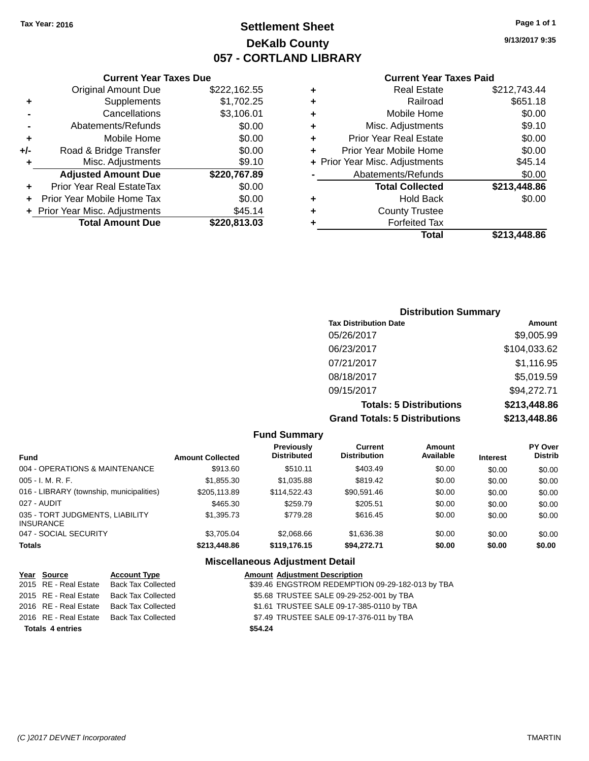## **Settlement Sheet Tax Year: 2016 Page 1 of 1 DeKalb County 057 - CORTLAND LIBRARY**

**9/13/2017 9:35**

#### **Current Year Taxes Paid**

|       | <b>Current Year Taxes Due</b>  |              |  |  |  |
|-------|--------------------------------|--------------|--|--|--|
|       | <b>Original Amount Due</b>     | \$222,162.55 |  |  |  |
| ٠     | Supplements                    | \$1,702.25   |  |  |  |
|       | Cancellations                  | \$3,106.01   |  |  |  |
|       | Abatements/Refunds             | \$0.00       |  |  |  |
| ٠     | Mobile Home                    | \$0.00       |  |  |  |
| $+/-$ | Road & Bridge Transfer         | \$0.00       |  |  |  |
| ٠     | Misc. Adjustments              | \$9.10       |  |  |  |
|       | <b>Adjusted Amount Due</b>     | \$220,767.89 |  |  |  |
| ٠     | Prior Year Real EstateTax      | \$0.00       |  |  |  |
|       | Prior Year Mobile Home Tax     | \$0.00       |  |  |  |
|       | + Prior Year Misc. Adjustments | \$45.14      |  |  |  |
|       | <b>Total Amount Due</b>        | \$220,813,03 |  |  |  |
|       |                                |              |  |  |  |

| ٠ | <b>Real Estate</b>             | \$212,743.44 |
|---|--------------------------------|--------------|
| ٠ | Railroad                       | \$651.18     |
| ٠ | Mobile Home                    | \$0.00       |
| ٠ | Misc. Adjustments              | \$9.10       |
| ٠ | <b>Prior Year Real Estate</b>  | \$0.00       |
| ٠ | Prior Year Mobile Home         | \$0.00       |
|   | + Prior Year Misc. Adjustments | \$45.14      |
|   | Abatements/Refunds             | \$0.00       |
|   | <b>Total Collected</b>         | \$213,448.86 |
| ٠ | <b>Hold Back</b>               | \$0.00       |
| ٠ | <b>County Trustee</b>          |              |
| ٠ | <b>Forfeited Tax</b>           |              |
|   | Total                          | \$213,448.86 |
|   |                                |              |

| <b>Distribution Summary</b>          |              |
|--------------------------------------|--------------|
| <b>Tax Distribution Date</b>         | Amount       |
| 05/26/2017                           | \$9,005.99   |
| 06/23/2017                           | \$104,033.62 |
| 07/21/2017                           | \$1,116.95   |
| 08/18/2017                           | \$5,019.59   |
| 09/15/2017                           | \$94,272.71  |
| <b>Totals: 5 Distributions</b>       | \$213,448.86 |
| <b>Grand Totals: 5 Distributions</b> | \$213,448.86 |

| <b>Fund Summary</b>                                 |                         |                                         |                                       |                     |                 |                                  |
|-----------------------------------------------------|-------------------------|-----------------------------------------|---------------------------------------|---------------------|-----------------|----------------------------------|
| <b>Fund</b>                                         | <b>Amount Collected</b> | <b>Previously</b><br><b>Distributed</b> | <b>Current</b><br><b>Distribution</b> | Amount<br>Available | <b>Interest</b> | <b>PY Over</b><br><b>Distrib</b> |
| 004 - OPERATIONS & MAINTENANCE                      | \$913.60                | \$510.11                                | \$403.49                              | \$0.00              | \$0.00          | \$0.00                           |
| $005 - I. M. R. F.$                                 | \$1,855.30              | \$1,035.88                              | \$819.42                              | \$0.00              | \$0.00          | \$0.00                           |
| 016 - LIBRARY (township, municipalities)            | \$205,113.89            | \$114,522.43                            | \$90,591.46                           | \$0.00              | \$0.00          | \$0.00                           |
| 027 - AUDIT                                         | \$465.30                | \$259.79                                | \$205.51                              | \$0.00              | \$0.00          | \$0.00                           |
| 035 - TORT JUDGMENTS, LIABILITY<br><b>INSURANCE</b> | \$1,395.73              | \$779.28                                | \$616.45                              | \$0.00              | \$0.00          | \$0.00                           |
| 047 - SOCIAL SECURITY                               | \$3.705.04              | \$2,068.66                              | \$1,636.38                            | \$0.00              | \$0.00          | \$0.00                           |
| <b>Totals</b>                                       | \$213,448.86            | \$119,176.15                            | \$94.272.71                           | \$0.00              | \$0.00          | \$0.00                           |

|                         | Year Source           | <b>Account Type</b>       | <b>Amount Adjustment Description</b>             |
|-------------------------|-----------------------|---------------------------|--------------------------------------------------|
|                         | 2015 RE - Real Estate | <b>Back Tax Collected</b> | \$39.46 ENGSTROM REDEMPTION 09-29-182-013 by TBA |
|                         | 2015 RE - Real Estate | <b>Back Tax Collected</b> | \$5.68 TRUSTEE SALE 09-29-252-001 by TBA         |
|                         | 2016 RE - Real Estate | Back Tax Collected        | \$1.61 TRUSTEE SALE 09-17-385-0110 by TBA        |
|                         | 2016 RE - Real Estate | Back Tax Collected        | \$7.49 TRUSTEE SALE 09-17-376-011 by TBA         |
| <b>Totals 4 entries</b> |                       |                           | \$54.24                                          |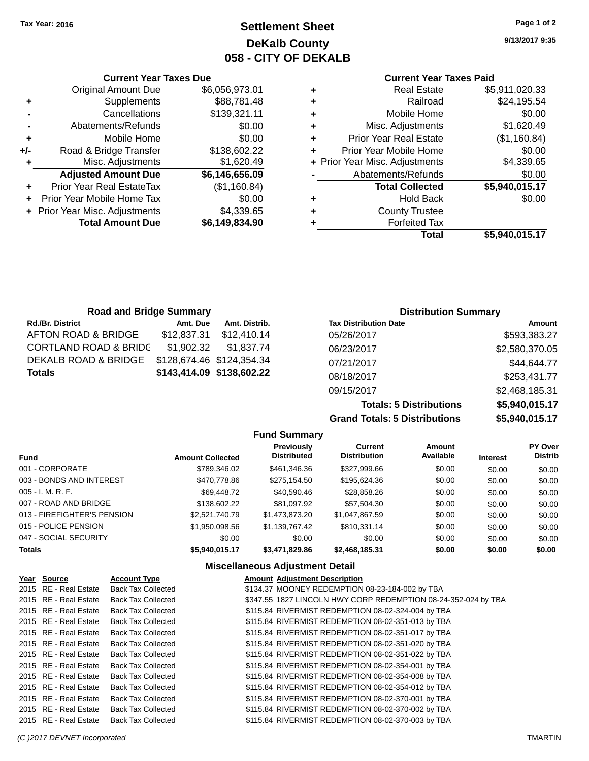## **Settlement Sheet Tax Year: 2016 Page 1 of 2 DeKalb County 058 - CITY OF DEKALB**

**9/13/2017 9:35**

#### **Current Year Taxes Paid**

| ٠ | <b>Real Estate</b>             | \$5,911,020.33 |
|---|--------------------------------|----------------|
| ٠ | Railroad                       | \$24,195.54    |
| ٠ | Mobile Home                    | \$0.00         |
| ٠ | Misc. Adjustments              | \$1,620.49     |
| ٠ | <b>Prior Year Real Estate</b>  | (\$1,160.84)   |
| ÷ | Prior Year Mobile Home         | \$0.00         |
|   | + Prior Year Misc. Adjustments | \$4,339.65     |
|   | Abatements/Refunds             | \$0.00         |
|   | <b>Total Collected</b>         | \$5,940,015.17 |
| ٠ | <b>Hold Back</b>               | \$0.00         |
| ٠ | <b>County Trustee</b>          |                |
| ٠ | <b>Forfeited Tax</b>           |                |
|   | Total                          | \$5,940,015.17 |
|   |                                |                |

|     | <b>Current Year Taxes Due</b>  |                |  |  |  |
|-----|--------------------------------|----------------|--|--|--|
|     | <b>Original Amount Due</b>     | \$6,056,973.01 |  |  |  |
| ٠   | Supplements                    | \$88,781.48    |  |  |  |
|     | Cancellations                  | \$139,321.11   |  |  |  |
|     | Abatements/Refunds             | \$0.00         |  |  |  |
| ٠   | Mobile Home                    | \$0.00         |  |  |  |
| +/- | Road & Bridge Transfer         | \$138,602.22   |  |  |  |
|     | Misc. Adjustments              | \$1,620.49     |  |  |  |
|     | <b>Adjusted Amount Due</b>     | \$6,146,656.09 |  |  |  |
|     | Prior Year Real EstateTax      | (\$1,160.84)   |  |  |  |
|     | Prior Year Mobile Home Tax     | \$0.00         |  |  |  |
|     | + Prior Year Misc. Adjustments | \$4,339.65     |  |  |  |
|     | <b>Total Amount Due</b>        | \$6,149,834.90 |  |  |  |

| <b>Road and Bridge Summary</b> |                           |                           | <b>Distribution Summary</b>  |                |  |
|--------------------------------|---------------------------|---------------------------|------------------------------|----------------|--|
| Rd./Br. District               | Amt. Due                  | Amt. Distrib.             | <b>Tax Distribution Date</b> | Amount         |  |
| AFTON ROAD & BRIDGE            | \$12,837.31               | \$12,410.14               | 05/26/2017                   | \$593,383.27   |  |
| CORTLAND ROAD & BRIDC          | \$1,902.32                | \$1.837.74                | 06/23/2017                   | \$2,580,370.05 |  |
| DEKALB ROAD & BRIDGE           | \$128,674.46 \$124,354.34 |                           | 07/21/2017                   | \$44,644.77    |  |
| Totals                         |                           | \$143,414.09 \$138,602.22 | 08/18/2017                   | \$253,431.77   |  |
|                                |                           |                           | 09/15/2017                   | \$2,468,185.31 |  |

**Totals: 5 Distributions Grand Totals: 5 Distributions** 

| \$5,940,015.17 |
|----------------|
| \$5,940,015.17 |
|                |

|                             |                         | <b>Fund Summary</b>                     |                                |                     |                 |                                  |
|-----------------------------|-------------------------|-----------------------------------------|--------------------------------|---------------------|-----------------|----------------------------------|
| <b>Fund</b>                 | <b>Amount Collected</b> | <b>Previously</b><br><b>Distributed</b> | Current<br><b>Distribution</b> | Amount<br>Available | <b>Interest</b> | <b>PY Over</b><br><b>Distrib</b> |
| 001 - CORPORATE             | \$789,346.02            | \$461,346.36                            | \$327,999.66                   | \$0.00              | \$0.00          | \$0.00                           |
| 003 - BONDS AND INTEREST    | \$470,778.86            | \$275,154.50                            | \$195,624.36                   | \$0.00              | \$0.00          | \$0.00                           |
| $005 - I. M. R. F.$         | \$69,448.72             | \$40,590.46                             | \$28,858.26                    | \$0.00              | \$0.00          | \$0.00                           |
| 007 - ROAD AND BRIDGE       | \$138,602.22            | \$81,097.92                             | \$57,504.30                    | \$0.00              | \$0.00          | \$0.00                           |
| 013 - FIREFIGHTER'S PENSION | \$2.521.740.79          | \$1,473,873.20                          | \$1,047,867.59                 | \$0.00              | \$0.00          | \$0.00                           |
| 015 - POLICE PENSION        | \$1,950,098.56          | \$1,139,767.42                          | \$810.331.14                   | \$0.00              | \$0.00          | \$0.00                           |
| 047 - SOCIAL SECURITY       | \$0.00                  | \$0.00                                  | \$0.00                         | \$0.00              | \$0.00          | \$0.00                           |
| <b>Totals</b>               | \$5,940,015.17          | \$3,471,829.86                          | \$2,468,185.31                 | \$0.00              | \$0.00          | \$0.00                           |

| Year Source           | <b>Account Type</b>       | <b>Amount Adjustment Description</b>                           |
|-----------------------|---------------------------|----------------------------------------------------------------|
| 2015 RE - Real Estate | <b>Back Tax Collected</b> | \$134.37 MOONEY REDEMPTION 08-23-184-002 by TBA                |
| 2015 RE - Real Estate | <b>Back Tax Collected</b> | \$347.55 1827 LINCOLN HWY CORP REDEMPTION 08-24-352-024 by TBA |
| 2015 RE - Real Estate | <b>Back Tax Collected</b> | \$115.84 RIVERMIST REDEMPTION 08-02-324-004 by TBA             |
| 2015 RE - Real Estate | <b>Back Tax Collected</b> | \$115.84 RIVERMIST REDEMPTION 08-02-351-013 by TBA             |
| 2015 RE - Real Estate | Back Tax Collected        | \$115.84 RIVERMIST REDEMPTION 08-02-351-017 by TBA             |
| 2015 RE - Real Estate | <b>Back Tax Collected</b> | \$115.84 RIVERMIST REDEMPTION 08-02-351-020 by TBA             |
| 2015 RE - Real Estate | <b>Back Tax Collected</b> | \$115.84 RIVERMIST REDEMPTION 08-02-351-022 by TBA             |
| 2015 RE - Real Estate | <b>Back Tax Collected</b> | \$115.84 RIVERMIST REDEMPTION 08-02-354-001 by TBA             |
| 2015 RE - Real Estate | <b>Back Tax Collected</b> | \$115.84 RIVERMIST REDEMPTION 08-02-354-008 by TBA             |
| 2015 RE - Real Estate | <b>Back Tax Collected</b> | \$115.84 RIVERMIST REDEMPTION 08-02-354-012 by TBA             |
| 2015 RE - Real Estate | <b>Back Tax Collected</b> | \$115.84 RIVERMIST REDEMPTION 08-02-370-001 by TBA             |
| 2015 RE - Real Estate | <b>Back Tax Collected</b> | \$115.84 RIVERMIST REDEMPTION 08-02-370-002 by TBA             |
| 2015 RE - Real Estate | <b>Back Tax Collected</b> | \$115.84 RIVERMIST REDEMPTION 08-02-370-003 by TBA             |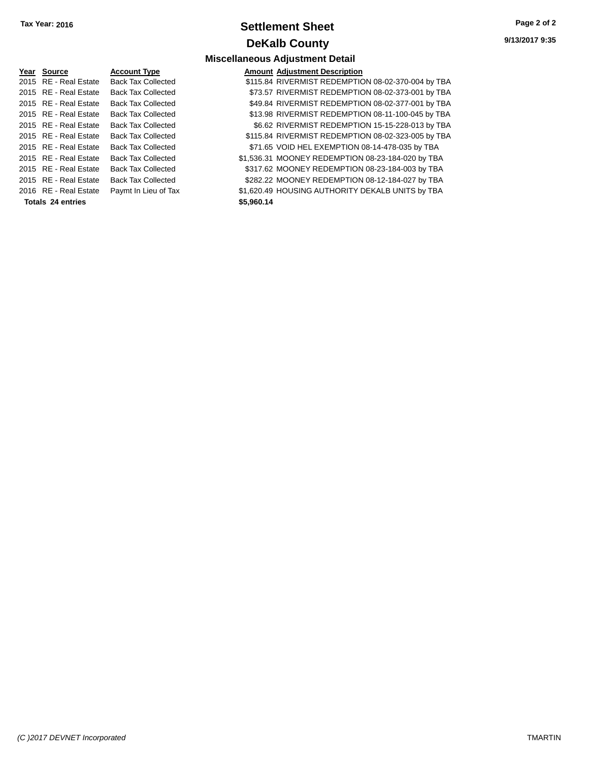## **Settlement Sheet Tax Year: 2016 Page 2 of 2 DeKalb County**

**Miscellaneous Adjustment Detail**

**9/13/2017 9:35**

# **Totals \$5,960.14 24 entries**

#### **Year** Source **Account Type Account Adjustment Description** 2015 RE - Real Estate Back Tax Collected \$115.84 RIVERMIST REDEMPTION 08-02-370-004 by TBA 2015 RE - Real Estate Back Tax Collected \$73.57 RIVERMIST REDEMPTION 08-02-373-001 by TBA 2015 RE - Real Estate Back Tax Collected \$49.84 RIVERMIST REDEMPTION 08-02-377-001 by TBA 2015 RE - Real Estate Back Tax Collected \$13.98 RIVERMIST REDEMPTION 08-11-100-045 by TBA 2015 RE - Real Estate Back Tax Collected **\$6.62 RIVERMIST REDEMPTION 15-15-228-013** by TBA 2015 RE - Real Estate Back Tax Collected \$115.84 RIVERMIST REDEMPTION 08-02-323-005 by TBA 2015 RE - Real Estate Back Tax Collected \$71.65 VOID HEL EXEMPTION 08-14-478-035 by TBA 2015 RE - Real Estate Back Tax Collected \$1,536.31 MOONEY REDEMPTION 08-23-184-020 by TBA 2015 RE - Real Estate Back Tax Collected \$317.62 MOONEY REDEMPTION 08-23-184-003 by TBA 2015 RE - Real Estate Back Tax Collected \$282.22 MOONEY REDEMPTION 08-12-184-027 by TBA 2016 RE - Real Estate Paymt In Lieu of Tax \$1,620.49 HOUSING AUTHORITY DEKALB UNITS by TBA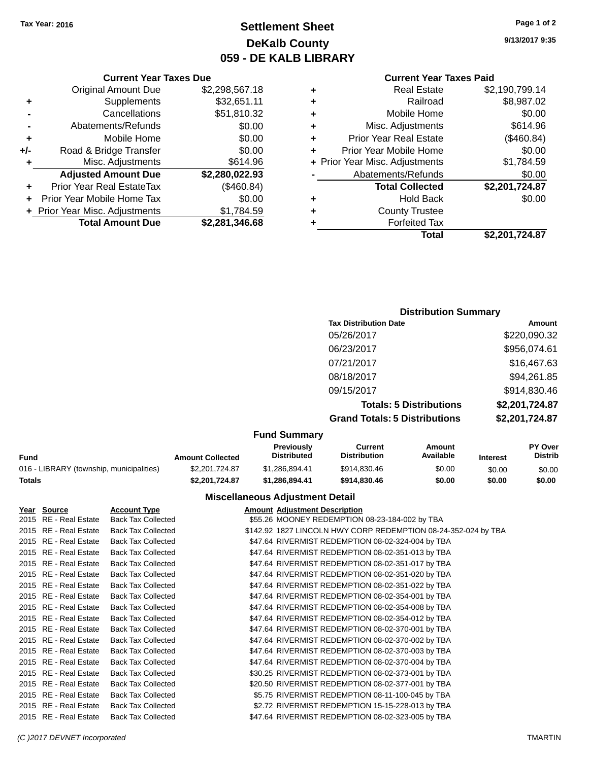**Current Year Taxes Due**

## **Settlement Sheet Tax Year: 2016 Page 1 of 2 DeKalb County 059 - DE KALB LIBRARY**

**9/13/2017 9:35**

#### **Current Year Taxes Paid**

|    |                                |                |   | <b>Total</b>                   | \$2,201,724.87 |  |
|----|--------------------------------|----------------|---|--------------------------------|----------------|--|
|    | <b>Total Amount Due</b>        | \$2,281,346.68 |   | <b>Forfeited Tax</b>           |                |  |
|    | + Prior Year Misc. Adjustments | \$1,784.59     | ٠ | <b>County Trustee</b>          |                |  |
|    | + Prior Year Mobile Home Tax   | \$0.00         | ٠ | <b>Hold Back</b>               | \$0.00         |  |
| ÷  | Prior Year Real EstateTax      | (\$460.84)     |   | <b>Total Collected</b>         | \$2,201,724.87 |  |
|    | <b>Adjusted Amount Due</b>     | \$2,280,022.93 |   | Abatements/Refunds             | \$0.00         |  |
| ٠  | Misc. Adjustments              | \$614.96       |   | + Prior Year Misc. Adjustments | \$1,784.59     |  |
| I- | Road & Bridge Transfer         | \$0.00         | ٠ | Prior Year Mobile Home         | \$0.00         |  |
| ÷  | Mobile Home                    | \$0.00         | ٠ | <b>Prior Year Real Estate</b>  | (\$460.84)     |  |
|    | Abatements/Refunds             | \$0.00         | ٠ | Misc. Adjustments              | \$614.96       |  |
|    | Cancellations                  | \$51,810.32    | ٠ | Mobile Home                    | \$0.00         |  |
| ÷  | <b>Supplements</b>             | \$32,651.11    | ٠ | Railroad                       | \$8,987.02     |  |
|    | <b>Original Amount Due</b>     | \$2,298,567.18 | ٠ | <b>Real Estate</b>             | \$2,190,799.14 |  |
|    |                                |                |   |                                |                |  |

## **Distribution Summary Tax Distribution Date Amount** 05/26/2017 \$220,090.32 06/23/2017 \$956,074.61 07/21/2017 \$16,467.63 08/18/2017 \$94,261.85 09/15/2017 \$914,830.46 **Totals: 5 Distributions \$2,201,724.87 Grand Totals: 5 Distributions \$2,201,724.87**

#### **Fund Summary**

| Fund                                     | <b>Amount Collected</b> | <b>Previously</b><br><b>Distributed</b> | Current<br><b>Distribution</b> | Amount<br>Available | <b>Interest</b> | <b>PY Over</b><br><b>Distrib</b> |
|------------------------------------------|-------------------------|-----------------------------------------|--------------------------------|---------------------|-----------------|----------------------------------|
| 016 - LIBRARY (township, municipalities) | \$2,201,724.87          | \$1,286,894,41                          | \$914,830.46                   | \$0.00              | \$0.00          | \$0.00                           |
| Totals                                   | \$2.201.724.87          | \$1.286.894.41                          | \$914.830.46                   | \$0.00              | \$0.00          | \$0.00                           |

| Year Source           | <b>Account Type</b>       | <b>Amount Adjustment Description</b>                           |
|-----------------------|---------------------------|----------------------------------------------------------------|
| 2015 RE - Real Estate | <b>Back Tax Collected</b> | \$55.26 MOONEY REDEMPTION 08-23-184-002 by TBA                 |
| 2015 RE - Real Estate | <b>Back Tax Collected</b> | \$142.92 1827 LINCOLN HWY CORP REDEMPTION 08-24-352-024 by TBA |
| 2015 RE - Real Estate | <b>Back Tax Collected</b> | \$47.64 RIVERMIST REDEMPTION 08-02-324-004 by TBA              |
| 2015 RE - Real Estate | <b>Back Tax Collected</b> | \$47.64 RIVERMIST REDEMPTION 08-02-351-013 by TBA              |
| 2015 RE - Real Estate | <b>Back Tax Collected</b> | \$47.64 RIVERMIST REDEMPTION 08-02-351-017 by TBA              |
| 2015 RE - Real Estate | <b>Back Tax Collected</b> | \$47.64 RIVERMIST REDEMPTION 08-02-351-020 by TBA              |
| 2015 RE - Real Estate | <b>Back Tax Collected</b> | \$47.64 RIVERMIST REDEMPTION 08-02-351-022 by TBA              |
| 2015 RE - Real Estate | <b>Back Tax Collected</b> | \$47.64 RIVERMIST REDEMPTION 08-02-354-001 by TBA              |
| 2015 RE - Real Estate | <b>Back Tax Collected</b> | \$47.64 RIVERMIST REDEMPTION 08-02-354-008 by TBA              |
| 2015 RE - Real Estate | <b>Back Tax Collected</b> | \$47.64 RIVERMIST REDEMPTION 08-02-354-012 by TBA              |
| 2015 RE - Real Estate | <b>Back Tax Collected</b> | \$47.64 RIVERMIST REDEMPTION 08-02-370-001 by TBA              |
| 2015 RE - Real Estate | <b>Back Tax Collected</b> | \$47.64 RIVERMIST REDEMPTION 08-02-370-002 by TBA              |
| 2015 RE - Real Estate | <b>Back Tax Collected</b> | \$47.64 RIVERMIST REDEMPTION 08-02-370-003 by TBA              |
| 2015 RE - Real Estate | <b>Back Tax Collected</b> | \$47.64 RIVERMIST REDEMPTION 08-02-370-004 by TBA              |
| 2015 RE - Real Estate | <b>Back Tax Collected</b> | \$30.25 RIVERMIST REDEMPTION 08-02-373-001 by TBA              |
| 2015 RE - Real Estate | <b>Back Tax Collected</b> | \$20.50 RIVERMIST REDEMPTION 08-02-377-001 by TBA              |
| 2015 RE - Real Estate | <b>Back Tax Collected</b> | \$5.75 RIVERMIST REDEMPTION 08-11-100-045 by TBA               |
| 2015 RE - Real Estate | <b>Back Tax Collected</b> | \$2.72 RIVERMIST REDEMPTION 15-15-228-013 by TBA               |
| 2015 RE - Real Estate | <b>Back Tax Collected</b> | \$47.64 RIVERMIST REDEMPTION 08-02-323-005 by TBA              |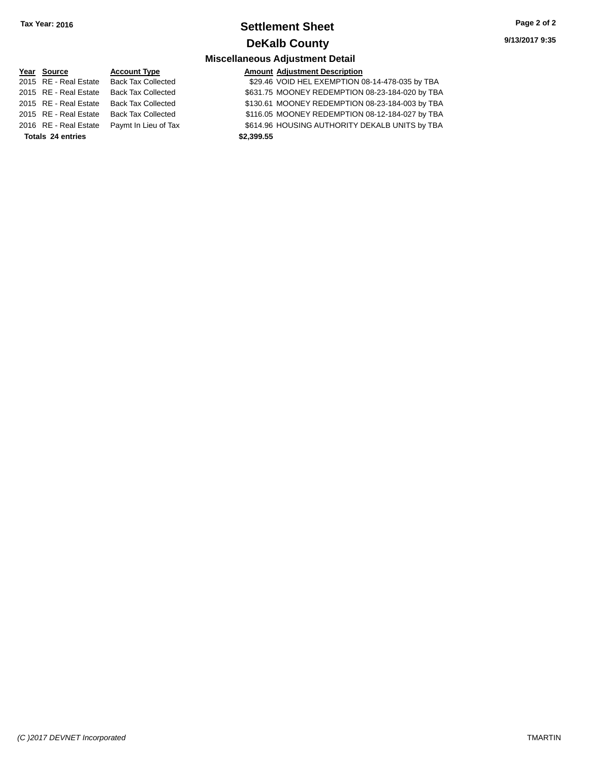## **Settlement Sheet Tax Year: 2016 Page 2 of 2 DeKalb County**

**9/13/2017 9:35**

## **Miscellaneous Adjustment Detail**

| Year Source              | <b>Account Type</b>       | Amount     |
|--------------------------|---------------------------|------------|
| 2015 RE - Real Estate    | <b>Back Tax Collected</b> | \$29.46    |
| 2015 RE - Real Estate    | <b>Back Tax Collected</b> | \$631.75   |
| 2015 RE - Real Estate    | <b>Back Tax Collected</b> | \$130.61   |
| 2015 RE - Real Estate    | <b>Back Tax Collected</b> | \$116.05   |
| 2016 RE - Real Estate    | Paymt In Lieu of Tax      | \$614.96   |
| <b>Totals 24 entries</b> |                           | \$2,399.55 |

**Amount Adjustment Description** 

cted **\$29.46 VOID HEL EXEMPTION 08-14-478-035 by TBA** 2015 real Estated to the Sected \$631.75 MOONEY REDEMPTION 08-23-184-020 by TBA 2015 cted  $$130.61$  MOONEY REDEMPTION 08-23-184-003 by TBA 2015 acted \$116.05 MOONEY REDEMPTION 08-12-184-027 by TBA 0f Tax 6014.96 HOUSING AUTHORITY DEKALB UNITS by TBA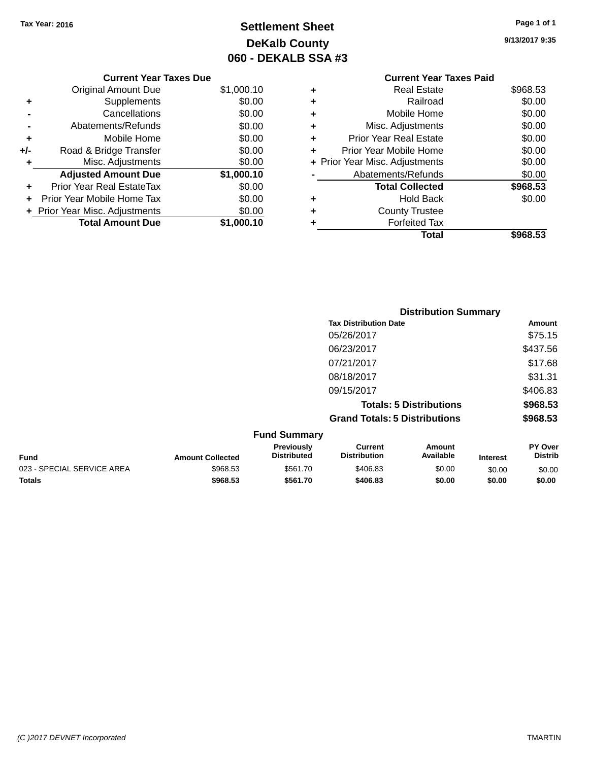## **Settlement Sheet Tax Year: 2016 Page 1 of 1 DeKalb County 060 - DEKALB SSA #3**

**9/13/2017 9:35**

|   | <b>Current Year Taxes Paid</b> |          |
|---|--------------------------------|----------|
| ٠ | Real Estate                    | \$968.53 |
| ٠ | Railroad                       | \$0.00   |
| ٠ | Mobile Home                    | \$0.00   |
| ٠ | Misc. Adjustments              | \$0.00   |
| ٠ | <b>Prior Year Real Estate</b>  | \$0.00   |
| ٠ | Prior Year Mobile Home         | \$0.00   |
|   | + Prior Year Misc. Adjustments | \$0.00   |
|   | Abatements/Refunds             | \$0.00   |
|   | <b>Total Collected</b>         | \$968.53 |
| ٠ | <b>Hold Back</b>               | \$0.00   |
| ٠ | <b>County Trustee</b>          |          |
| ٠ | <b>Forfeited Tax</b>           |          |
|   | Total                          | \$968.53 |
|   |                                |          |

|     | <b>Current Year Taxes Due</b>  |            |
|-----|--------------------------------|------------|
|     | <b>Original Amount Due</b>     | \$1,000.10 |
| ٠   | Supplements                    | \$0.00     |
|     | Cancellations                  | \$0.00     |
|     | Abatements/Refunds             | \$0.00     |
| ٠   | Mobile Home                    | \$0.00     |
| +/- | Road & Bridge Transfer         | \$0.00     |
| ٠   | Misc. Adjustments              | \$0.00     |
|     | <b>Adjusted Amount Due</b>     | \$1,000.10 |
| ٠   | Prior Year Real EstateTax      | \$0.00     |
|     | Prior Year Mobile Home Tax     | \$0.00     |
|     | + Prior Year Misc. Adjustments | \$0.00     |
|     | <b>Total Amount Due</b>        | \$1,000.10 |
|     |                                |            |

|                     |                                      | <b>Distribution Summary</b>    |                |
|---------------------|--------------------------------------|--------------------------------|----------------|
|                     | <b>Tax Distribution Date</b>         |                                | Amount         |
|                     | 05/26/2017                           |                                | \$75.15        |
|                     | 06/23/2017                           |                                | \$437.56       |
|                     | 07/21/2017                           |                                | \$17.68        |
|                     | 08/18/2017                           |                                | \$31.31        |
|                     | 09/15/2017                           |                                | \$406.83       |
|                     |                                      | <b>Totals: 5 Distributions</b> | \$968.53       |
|                     | <b>Grand Totals: 5 Distributions</b> |                                | \$968.53       |
| <b>Fund Summary</b> |                                      |                                |                |
| Previously          | Current                              | Amount                         | <b>PY Over</b> |

|                         | <b>Previously</b>  | Current      | Amount    |                 | <b>PY Over</b> |
|-------------------------|--------------------|--------------|-----------|-----------------|----------------|
| <b>Amount Collected</b> | <b>Distributed</b> | Distribution | Available | <b>Interest</b> | <b>Distrib</b> |
| \$968.53                | \$561.70           | \$406.83     | \$0.00    | \$0.00          | \$0.00         |
| \$968.53                | \$561.70           | \$406.83     | \$0.00    | \$0.00          | \$0.00         |
|                         |                    |              |           |                 |                |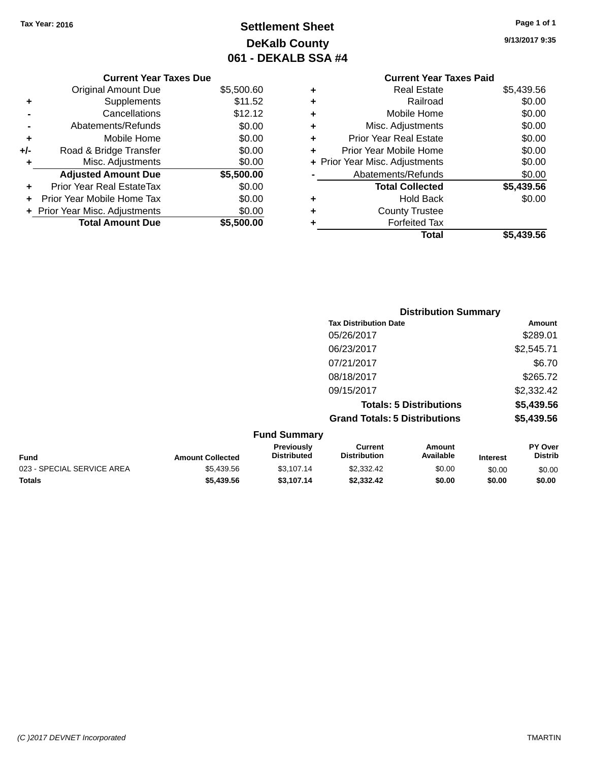## **Settlement Sheet Tax Year: 2016 Page 1 of 1 DeKalb County 061 - DEKALB SSA #4**

**9/13/2017 9:35**

|   | <b>Current Year Taxes Paid</b> |            |
|---|--------------------------------|------------|
| ٠ | <b>Real Estate</b>             | \$5,439.56 |
| ٠ | Railroad                       | \$0.00     |
| ٠ | Mobile Home                    | \$0.00     |
| ٠ | Misc. Adjustments              | \$0.00     |
| ٠ | <b>Prior Year Real Estate</b>  | \$0.00     |
| ÷ | Prior Year Mobile Home         | \$0.00     |
|   | + Prior Year Misc. Adjustments | \$0.00     |
|   | Abatements/Refunds             | \$0.00     |
|   | <b>Total Collected</b>         | \$5,439.56 |
| ٠ | <b>Hold Back</b>               | \$0.00     |
|   | <b>County Trustee</b>          |            |
|   | <b>Forfeited Tax</b>           |            |
|   | Total                          | \$5,439.56 |
|   |                                |            |

|     | <b>Current Year Taxes Due</b>  |            |
|-----|--------------------------------|------------|
|     | <b>Original Amount Due</b>     | \$5,500.60 |
| ٠   | Supplements                    | \$11.52    |
|     | Cancellations                  | \$12.12    |
|     | Abatements/Refunds             | \$0.00     |
| ٠   | Mobile Home                    | \$0.00     |
| +/- | Road & Bridge Transfer         | \$0.00     |
| ٠   | Misc. Adjustments              | \$0.00     |
|     | <b>Adjusted Amount Due</b>     | \$5,500.00 |
| ٠   | Prior Year Real EstateTax      | \$0.00     |
|     | Prior Year Mobile Home Tax     | \$0.00     |
|     | + Prior Year Misc. Adjustments | \$0.00     |
|     | <b>Total Amount Due</b>        | \$5,500.00 |
|     |                                |            |

|                     | <b>Distribution Summary</b>          |            |
|---------------------|--------------------------------------|------------|
|                     | <b>Tax Distribution Date</b>         | Amount     |
|                     | 05/26/2017                           | \$289.01   |
|                     | 06/23/2017                           | \$2,545.71 |
|                     | 07/21/2017                           | \$6.70     |
|                     | 08/18/2017                           | \$265.72   |
|                     | 09/15/2017                           | \$2,332.42 |
|                     | <b>Totals: 5 Distributions</b>       | \$5,439.56 |
|                     | <b>Grand Totals: 5 Distributions</b> | \$5,439.56 |
| <b>Fund Summary</b> |                                      |            |

|                            |                         | <b>Fully Sullillialy</b>                |                                |                     |                 |                                  |
|----------------------------|-------------------------|-----------------------------------------|--------------------------------|---------------------|-----------------|----------------------------------|
| <b>Fund</b>                | <b>Amount Collected</b> | <b>Previously</b><br><b>Distributed</b> | Current<br><b>Distribution</b> | Amount<br>Available | <b>Interest</b> | <b>PY Over</b><br><b>Distrib</b> |
| 023 - SPECIAL SERVICE AREA | \$5,439.56              | \$3.107.14                              | \$2,332.42                     | \$0.00              | \$0.00          | \$0.00                           |
| <b>Totals</b>              | \$5,439.56              | \$3.107.14                              | \$2,332.42                     | \$0.00              | \$0.00          | \$0.00                           |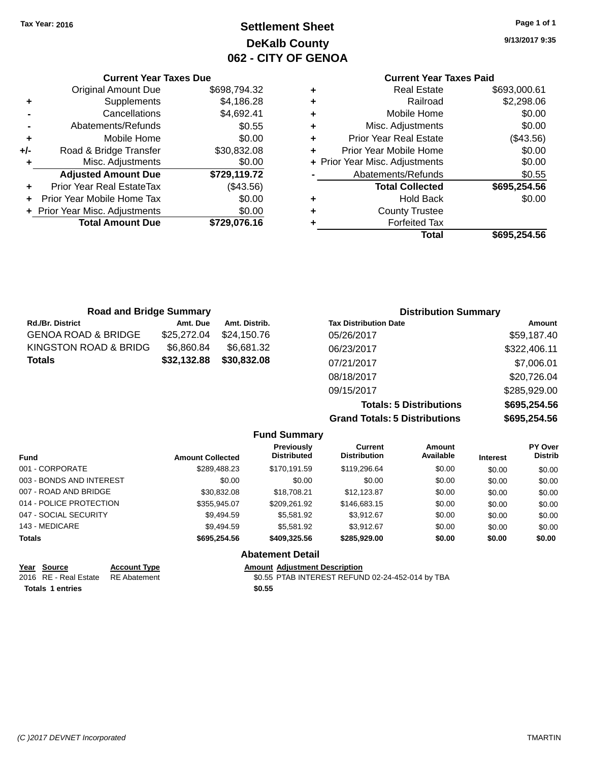## **Settlement Sheet Tax Year: 2016 Page 1 of 1 DeKalb County 062 - CITY OF GENOA**

**9/13/2017 9:35**

## **Current Year Taxes Paid**

|     | <b>Current Year Taxes Due</b>  |              |   |
|-----|--------------------------------|--------------|---|
|     | <b>Original Amount Due</b>     | \$698,794.32 |   |
| ٠   | Supplements                    | \$4,186.28   | ٠ |
|     | Cancellations                  | \$4,692.41   | ٠ |
|     | Abatements/Refunds             | \$0.55       | ٠ |
|     | Mobile Home                    | \$0.00       | ٠ |
| +/- | Road & Bridge Transfer         | \$30,832.08  |   |
|     | Misc. Adjustments              | \$0.00       |   |
|     | <b>Adjusted Amount Due</b>     | \$729,119.72 |   |
|     | Prior Year Real EstateTax      | (\$43.56)    |   |
|     | Prior Year Mobile Home Tax     | \$0.00       |   |
|     | + Prior Year Misc. Adjustments | \$0.00       |   |
|     | <b>Total Amount Due</b>        | \$729,076.16 |   |
|     |                                |              |   |

| ٠ | <b>Real Estate</b>             | \$693,000.61 |
|---|--------------------------------|--------------|
| ٠ | Railroad                       | \$2,298.06   |
| ٠ | Mobile Home                    | \$0.00       |
| ٠ | Misc. Adjustments              | \$0.00       |
| ٠ | <b>Prior Year Real Estate</b>  | $(\$43.56)$  |
| ٠ | Prior Year Mobile Home         | \$0.00       |
|   | + Prior Year Misc. Adjustments | \$0.00       |
|   | Abatements/Refunds             | \$0.55       |
|   | <b>Total Collected</b>         | \$695,254.56 |
| ٠ | <b>Hold Back</b>               | \$0.00       |
|   | <b>County Trustee</b>          |              |
| ٠ | <b>Forfeited Tax</b>           |              |
|   | Total                          | \$695,254.56 |
|   |                                |              |

| <b>Road and Bridge Summary</b> |             |               | <b>Distribution Summary</b>  |              |
|--------------------------------|-------------|---------------|------------------------------|--------------|
| <b>Rd./Br. District</b>        | Amt. Due    | Amt. Distrib. | <b>Tax Distribution Date</b> | Amount       |
| <b>GENOA ROAD &amp; BRIDGE</b> | \$25,272.04 | \$24,150.76   | 05/26/2017                   | \$59,187.40  |
| KINGSTON ROAD & BRIDG          | \$6,860.84  | \$6.681.32    | 06/23/2017                   | \$322,406.11 |
| <b>Totals</b>                  | \$32,132.88 | \$30,832.08   | 07/21/2017                   | \$7,006.01   |
|                                |             |               | 08/18/2017                   | \$20,726.04  |
|                                |             |               | 09/15/2017                   | \$285,929.00 |

**Totals: 5 Distributions \$695,254.56 Grand Totals: 5 Distributions \$695,254.56**

|                                       |                         | <b>Fund Summary</b>                  |                                       |                     |                 |                           |
|---------------------------------------|-------------------------|--------------------------------------|---------------------------------------|---------------------|-----------------|---------------------------|
| Fund                                  | <b>Amount Collected</b> | Previously<br><b>Distributed</b>     | <b>Current</b><br><b>Distribution</b> | Amount<br>Available | <b>Interest</b> | PY Over<br><b>Distrib</b> |
| 001 - CORPORATE                       | \$289.488.23            | \$170.191.59                         | \$119,296.64                          | \$0.00              | \$0.00          | \$0.00                    |
| 003 - BONDS AND INTEREST              | \$0.00                  | \$0.00                               | \$0.00                                | \$0.00              | \$0.00          | \$0.00                    |
| 007 - ROAD AND BRIDGE                 | \$30.832.08             | \$18,708.21                          | \$12,123.87                           | \$0.00              | \$0.00          | \$0.00                    |
| 014 - POLICE PROTECTION               | \$355,945.07            | \$209.261.92                         | \$146.683.15                          | \$0.00              | \$0.00          | \$0.00                    |
| 047 - SOCIAL SECURITY                 | \$9.494.59              | \$5,581.92                           | \$3.912.67                            | \$0.00              | \$0.00          | \$0.00                    |
| 143 - MEDICARE                        | \$9.494.59              | \$5.581.92                           | \$3.912.67                            | \$0.00              | \$0.00          | \$0.00                    |
| <b>Totals</b>                         | \$695,254.56            | \$409,325.56                         | \$285,929,00                          | \$0.00              | \$0.00          | \$0.00                    |
|                                       |                         | <b>Abatement Detail</b>              |                                       |                     |                 |                           |
| Year<br>Source<br><b>Account Type</b> |                         | <b>Amount Adiustment Description</b> |                                       |                     |                 |                           |

| <b>IGAI JUULUG</b>                 | AGGOUIL IVDE | Allivulli Aulustilleilt Describtion              |
|------------------------------------|--------------|--------------------------------------------------|
| 2016 RE - Real Estate RE Abatement |              | \$0.55 PTAB INTEREST REFUND 02-24-452-014 by TBA |
| <b>Totals 1 entries</b>            |              | \$0.55                                           |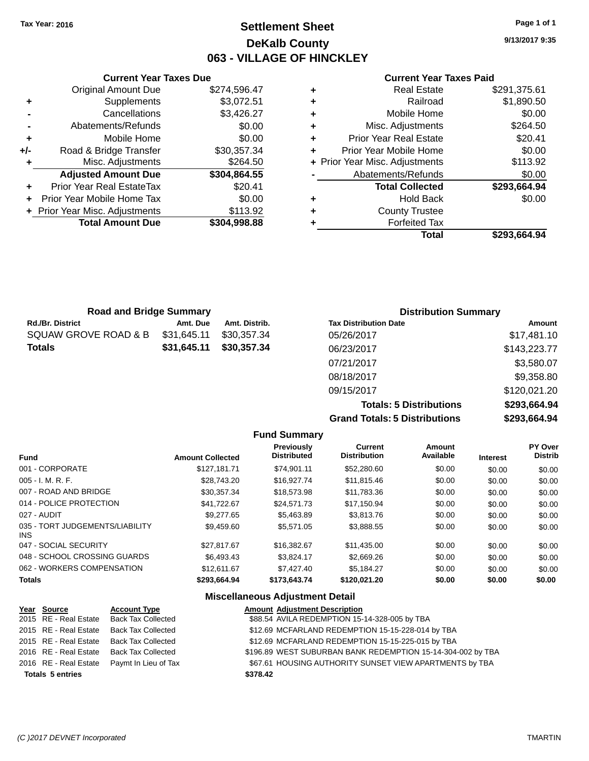## **Settlement Sheet Tax Year: 2016 Page 1 of 1 DeKalb County 063 - VILLAGE OF HINCKLEY**

**9/13/2017 9:35**

#### **Current Year Taxes Paid**

|     | <b>Current Year Taxes Due</b>  |              |  |  |  |  |  |
|-----|--------------------------------|--------------|--|--|--|--|--|
|     | <b>Original Amount Due</b>     | \$274,596.47 |  |  |  |  |  |
| ٠   | Supplements                    | \$3,072.51   |  |  |  |  |  |
|     | Cancellations                  | \$3,426.27   |  |  |  |  |  |
|     | Abatements/Refunds             | \$0.00       |  |  |  |  |  |
| ٠   | Mobile Home                    | \$0.00       |  |  |  |  |  |
| +/- | Road & Bridge Transfer         | \$30,357.34  |  |  |  |  |  |
| ٠   | Misc. Adjustments              | \$264.50     |  |  |  |  |  |
|     | <b>Adjusted Amount Due</b>     | \$304,864.55 |  |  |  |  |  |
| ٠   | Prior Year Real EstateTax      | \$20.41      |  |  |  |  |  |
|     | Prior Year Mobile Home Tax     | \$0.00       |  |  |  |  |  |
|     | + Prior Year Misc. Adjustments | \$113.92     |  |  |  |  |  |
|     | <b>Total Amount Due</b>        | \$304,998.88 |  |  |  |  |  |
|     |                                |              |  |  |  |  |  |

| ٠ | <b>Real Estate</b>             | \$291,375.61 |
|---|--------------------------------|--------------|
| ÷ | Railroad                       | \$1,890.50   |
| ٠ | Mobile Home                    | \$0.00       |
| ٠ | Misc. Adjustments              | \$264.50     |
| ٠ | <b>Prior Year Real Estate</b>  | \$20.41      |
| ٠ | Prior Year Mobile Home         | \$0.00       |
|   | + Prior Year Misc. Adjustments | \$113.92     |
|   | Abatements/Refunds             | \$0.00       |
|   | <b>Total Collected</b>         | \$293,664.94 |
| ٠ | Hold Back                      | \$0.00       |
| ٠ | <b>County Trustee</b>          |              |
| ٠ | <b>Forfeited Tax</b>           |              |
|   | Total                          | \$293,664.94 |
|   |                                |              |

| <b>Road and Bridge Summary</b> |             |               | <b>Distribution Summary</b>  |              |  |
|--------------------------------|-------------|---------------|------------------------------|--------------|--|
| <b>Rd./Br. District</b>        | Amt. Due    | Amt. Distrib. | <b>Tax Distribution Date</b> | Amount       |  |
| SQUAW GROVE ROAD & B           | \$31,645.11 | \$30,357.34   | 05/26/2017                   | \$17,481.10  |  |
| <b>Totals</b>                  | \$31,645.11 | \$30,357.34   | 06/23/2017                   | \$143,223.77 |  |
|                                |             |               | 07/21/2017                   | \$3,580.07   |  |
|                                |             |               | 08/18/2017                   | \$9,358.80   |  |
|                                |             |               | 09/15/2017                   | \$120,021.20 |  |

**Totals: 5 Distributions \$293,664.94 Grand Totals: 5 Distributions \$293,664.94**

|                                         |                         | <b>Fund Summary</b>                     |                                       |                     |                 |                           |
|-----------------------------------------|-------------------------|-----------------------------------------|---------------------------------------|---------------------|-----------------|---------------------------|
| <b>Fund</b>                             | <b>Amount Collected</b> | <b>Previously</b><br><b>Distributed</b> | <b>Current</b><br><b>Distribution</b> | Amount<br>Available | <b>Interest</b> | PY Over<br><b>Distrib</b> |
| 001 - CORPORATE                         | \$127.181.71            | \$74.901.11                             | \$52,280.60                           | \$0.00              | \$0.00          | \$0.00                    |
| 005 - I. M. R. F.                       | \$28,743.20             | \$16.927.74                             | \$11,815.46                           | \$0.00              | \$0.00          | \$0.00                    |
| 007 - ROAD AND BRIDGE                   | \$30.357.34             | \$18,573.98                             | \$11,783.36                           | \$0.00              | \$0.00          | \$0.00                    |
| 014 - POLICE PROTECTION                 | \$41.722.67             | \$24.571.73                             | \$17,150.94                           | \$0.00              | \$0.00          | \$0.00                    |
| 027 - AUDIT                             | \$9,277.65              | \$5,463.89                              | \$3,813.76                            | \$0.00              | \$0.00          | \$0.00                    |
| 035 - TORT JUDGEMENTS/LIABILITY<br>INS. | \$9.459.60              | \$5,571.05                              | \$3,888.55                            | \$0.00              | \$0.00          | \$0.00                    |
| 047 - SOCIAL SECURITY                   | \$27.817.67             | \$16,382.67                             | \$11,435.00                           | \$0.00              | \$0.00          | \$0.00                    |
| 048 - SCHOOL CROSSING GUARDS            | \$6,493.43              | \$3.824.17                              | \$2,669.26                            | \$0.00              | \$0.00          | \$0.00                    |
| 062 - WORKERS COMPENSATION              | \$12,611.67             | \$7,427.40                              | \$5,184.27                            | \$0.00              | \$0.00          | \$0.00                    |
| Totals                                  | \$293,664.94            | \$173,643.74                            | \$120,021.20                          | \$0.00              | \$0.00          | \$0.00                    |

| Year Source             | <b>Account Type</b>                        |          | <b>Amount Adjustment Description</b>                        |
|-------------------------|--------------------------------------------|----------|-------------------------------------------------------------|
|                         | 2015 RE - Real Estate Back Tax Collected   |          | \$88.54 AVILA REDEMPTION 15-14-328-005 by TBA               |
| 2015 RE - Real Estate   | Back Tax Collected                         |          | \$12.69 MCFARLAND REDEMPTION 15-15-228-014 by TBA           |
|                         | 2015 RE - Real Estate Back Tax Collected   |          | \$12.69 MCFARLAND REDEMPTION 15-15-225-015 by TBA           |
|                         | 2016 RE - Real Estate Back Tax Collected   |          | \$196.89 WEST SUBURBAN BANK REDEMPTION 15-14-304-002 by TBA |
|                         | 2016 RE - Real Estate Paymt In Lieu of Tax |          | \$67.61 HOUSING AUTHORITY SUNSET VIEW APARTMENTS by TBA     |
| <b>Totals 5 entries</b> |                                            | \$378.42 |                                                             |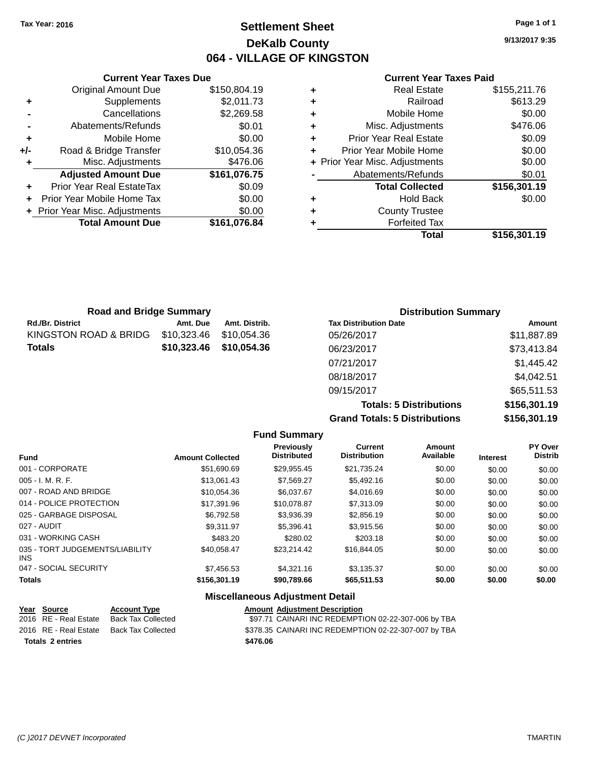## **Settlement Sheet Tax Year: 2016 Page 1 of 1 DeKalb County 064 - VILLAGE OF KINGSTON**

**9/13/2017 9:35**

#### **Current Year Taxes Paid**

|     | <b>Current Year Taxes Due</b>  |              |  |  |  |
|-----|--------------------------------|--------------|--|--|--|
|     | <b>Original Amount Due</b>     | \$150,804.19 |  |  |  |
| ٠   | Supplements                    | \$2,011.73   |  |  |  |
|     | Cancellations                  | \$2,269.58   |  |  |  |
|     | Abatements/Refunds             | \$0.01       |  |  |  |
| ٠   | Mobile Home                    | \$0.00       |  |  |  |
| +/- | Road & Bridge Transfer         | \$10,054.36  |  |  |  |
| ٠   | Misc. Adjustments              | \$476.06     |  |  |  |
|     | <b>Adjusted Amount Due</b>     | \$161,076.75 |  |  |  |
| ٠   | Prior Year Real EstateTax      | \$0.09       |  |  |  |
|     | Prior Year Mobile Home Tax     | \$0.00       |  |  |  |
|     | + Prior Year Misc. Adjustments | \$0.00       |  |  |  |
|     | <b>Total Amount Due</b>        | \$161,076.84 |  |  |  |
|     |                                |              |  |  |  |

| ٠ | <b>Real Estate</b>             | \$155,211.76 |
|---|--------------------------------|--------------|
| ٠ | Railroad                       | \$613.29     |
| ٠ | Mobile Home                    | \$0.00       |
| ٠ | Misc. Adjustments              | \$476.06     |
| ٠ | <b>Prior Year Real Estate</b>  | \$0.09       |
| ٠ | Prior Year Mobile Home         | \$0.00       |
|   | + Prior Year Misc. Adjustments | \$0.00       |
|   | Abatements/Refunds             | \$0.01       |
|   | <b>Total Collected</b>         | \$156,301.19 |
| ٠ | Hold Back                      | \$0.00       |
| ٠ | <b>County Trustee</b>          |              |
| ٠ | <b>Forfeited Tax</b>           |              |
|   | Total                          | \$156,301.19 |
|   |                                |              |

| <b>Road and Bridge Summary</b> |             |               | <b>Distribution Summary</b>  |             |  |
|--------------------------------|-------------|---------------|------------------------------|-------------|--|
| <b>Rd./Br. District</b>        | Amt. Due    | Amt. Distrib. | <b>Tax Distribution Date</b> | Amount      |  |
| KINGSTON ROAD & BRIDG          | \$10,323.46 | \$10.054.36   | 05/26/2017                   | \$11,887.89 |  |
| <b>Totals</b>                  | \$10,323.46 | \$10,054.36   | 06/23/2017                   | \$73,413.84 |  |
|                                |             |               | 07/21/2017                   | \$1,445.42  |  |
|                                |             |               | 08/18/2017                   | \$4,042.51  |  |
|                                |             |               | 09/15/2017                   | \$65,511.53 |  |

**Totals: 5 Distributions \$156,301.19 Grand Totals: 5 Distributions \$156,301.19**

|                                         |                         | <b>Fund Summary</b>                     |                                       |                     |                 |                           |
|-----------------------------------------|-------------------------|-----------------------------------------|---------------------------------------|---------------------|-----------------|---------------------------|
| <b>Fund</b>                             | <b>Amount Collected</b> | <b>Previously</b><br><b>Distributed</b> | <b>Current</b><br><b>Distribution</b> | Amount<br>Available | <b>Interest</b> | PY Over<br><b>Distrib</b> |
| 001 - CORPORATE                         | \$51,690.69             | \$29,955.45                             | \$21,735.24                           | \$0.00              | \$0.00          | \$0.00                    |
| $005 - I. M. R. F.$                     | \$13,061.43             | \$7,569.27                              | \$5,492.16                            | \$0.00              | \$0.00          | \$0.00                    |
| 007 - ROAD AND BRIDGE                   | \$10.054.36             | \$6,037.67                              | \$4,016,69                            | \$0.00              | \$0.00          | \$0.00                    |
| 014 - POLICE PROTECTION                 | \$17,391.96             | \$10,078.87                             | \$7,313.09                            | \$0.00              | \$0.00          | \$0.00                    |
| 025 - GARBAGE DISPOSAL                  | \$6,792.58              | \$3,936.39                              | \$2,856.19                            | \$0.00              | \$0.00          | \$0.00                    |
| 027 - AUDIT                             | \$9,311.97              | \$5,396.41                              | \$3,915.56                            | \$0.00              | \$0.00          | \$0.00                    |
| 031 - WORKING CASH                      | \$483.20                | \$280.02                                | \$203.18                              | \$0.00              | \$0.00          | \$0.00                    |
| 035 - TORT JUDGEMENTS/LIABILITY<br>INS. | \$40,058.47             | \$23,214.42                             | \$16,844.05                           | \$0.00              | \$0.00          | \$0.00                    |
| 047 - SOCIAL SECURITY                   | \$7,456.53              | \$4,321.16                              | \$3,135.37                            | \$0.00              | \$0.00          | \$0.00                    |
| <b>Totals</b>                           | \$156,301.19            | \$90,789.66                             | \$65,511.53                           | \$0.00              | \$0.00          | \$0.00                    |
|                                         |                         |                                         |                                       |                     |                 |                           |

| <u>Year Source</u>      | <b>Account Type</b> | <b>Amount Adjustment Description</b>                 |
|-------------------------|---------------------|------------------------------------------------------|
| 2016 RE - Real Estate   | Back Tax Collected  | \$97.71 CAINARI INC REDEMPTION 02-22-307-006 by TBA  |
| 2016 RE - Real Estate   | Back Tax Collected  | \$378.35 CAINARI INC REDEMPTION 02-22-307-007 by TBA |
| <b>Totals 2 entries</b> |                     | \$476.06                                             |
|                         |                     |                                                      |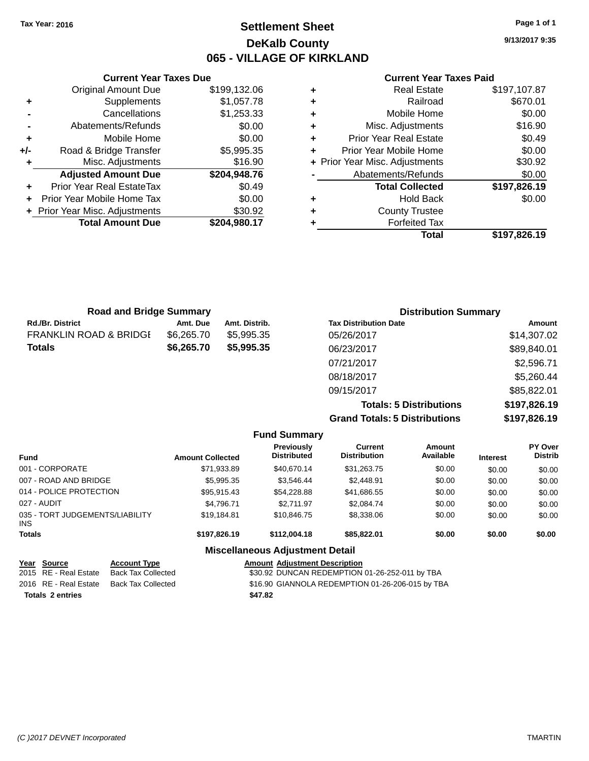## **Settlement Sheet Tax Year: 2016 Page 1 of 1 DeKalb County 065 - VILLAGE OF KIRKLAND**

**9/13/2017 9:35**

#### **Current Year Taxes Paid**

|     | <b>Current Year Taxes Due</b>  |              |
|-----|--------------------------------|--------------|
|     | <b>Original Amount Due</b>     | \$199,132.06 |
| ٠   | Supplements                    | \$1,057.78   |
|     | Cancellations                  | \$1,253.33   |
|     | Abatements/Refunds             | \$0.00       |
| ٠   | Mobile Home                    | \$0.00       |
| +/- | Road & Bridge Transfer         | \$5,995.35   |
|     | Misc. Adjustments              | \$16.90      |
|     | <b>Adjusted Amount Due</b>     | \$204,948.76 |
| ٠   | Prior Year Real EstateTax      | \$0.49       |
|     | Prior Year Mobile Home Tax     | \$0.00       |
|     | + Prior Year Misc. Adjustments | \$30.92      |
|     | <b>Total Amount Due</b>        | \$204,980.17 |
|     |                                |              |

|   | <b>Real Estate</b>             | \$197,107.87 |
|---|--------------------------------|--------------|
| ٠ | Railroad                       | \$670.01     |
| ٠ | Mobile Home                    | \$0.00       |
| ٠ | Misc. Adjustments              | \$16.90      |
| ٠ | <b>Prior Year Real Estate</b>  | \$0.49       |
| ٠ | Prior Year Mobile Home         | \$0.00       |
|   | + Prior Year Misc. Adjustments | \$30.92      |
|   | Abatements/Refunds             | \$0.00       |
|   | <b>Total Collected</b>         | \$197,826.19 |
| ٠ | <b>Hold Back</b>               | \$0.00       |
| ٠ | <b>County Trustee</b>          |              |
|   | <b>Forfeited Tax</b>           |              |
|   | Total                          | \$197,826.19 |

| <b>Road and Bridge Summary</b>    |            |               | <b>Distribution Summary</b>  |             |
|-----------------------------------|------------|---------------|------------------------------|-------------|
| <b>Rd./Br. District</b>           | Amt. Due   | Amt. Distrib. | <b>Tax Distribution Date</b> | Amount      |
| <b>FRANKLIN ROAD &amp; BRIDGE</b> | \$6,265.70 | \$5,995.35    | 05/26/2017                   | \$14,307.02 |
| <b>Totals</b>                     | \$6,265.70 | \$5,995.35    | 06/23/2017                   | \$89,840.01 |
|                                   |            |               | 07/21/2017                   | \$2,596.71  |
|                                   |            |               | 08/18/2017                   | \$5,260.44  |
|                                   |            |               | 09/15/2017                   | \$85,822.01 |

**Totals: 5 Distributions \$197,826.19 Grand Totals: 5 Distributions \$197,826.19**

|                                         |                         | <b>Fund Summary</b>                     |                                       |                     |                 |                           |
|-----------------------------------------|-------------------------|-----------------------------------------|---------------------------------------|---------------------|-----------------|---------------------------|
| Fund                                    | <b>Amount Collected</b> | <b>Previously</b><br><b>Distributed</b> | <b>Current</b><br><b>Distribution</b> | Amount<br>Available | <b>Interest</b> | PY Over<br><b>Distrib</b> |
| 001 - CORPORATE                         | \$71,933.89             | \$40,670.14                             | \$31.263.75                           | \$0.00              | \$0.00          | \$0.00                    |
| 007 - ROAD AND BRIDGE                   | \$5,995.35              | \$3.546.44                              | \$2,448.91                            | \$0.00              | \$0.00          | \$0.00                    |
| 014 - POLICE PROTECTION                 | \$95,915.43             | \$54,228.88                             | \$41,686.55                           | \$0.00              | \$0.00          | \$0.00                    |
| 027 - AUDIT                             | \$4.796.71              | \$2.711.97                              | \$2,084.74                            | \$0.00              | \$0.00          | \$0.00                    |
| 035 - TORT JUDGEMENTS/LIABILITY<br>INS. | \$19,184.81             | \$10,846.75                             | \$8,338,06                            | \$0.00              | \$0.00          | \$0.00                    |
| <b>Totals</b>                           | \$197.826.19            | \$112,004.18                            | \$85.822.01                           | \$0.00              | \$0.00          | \$0.00                    |
|                                         |                         | <b>Miscellaneous Adjustment Detail</b>  |                                       |                     |                 |                           |
| $V_{max}$ $C_{min}$<br>Accessod Trees   |                         | Amarrat Adjustment Desariation          |                                       |                     |                 |                           |

| Year Source           | <b>Account Type</b>                      | <b>Amount Adjustment Description</b>             |
|-----------------------|------------------------------------------|--------------------------------------------------|
| 2015 RE - Real Estate | Back Tax Collected                       | \$30.92 DUNCAN REDEMPTION 01-26-252-011 by TBA   |
|                       | 2016 RE - Real Estate Back Tax Collected | \$16.90 GIANNOLA REDEMPTION 01-26-206-015 by TBA |
| Totals 2 entries      |                                          | \$47.82                                          |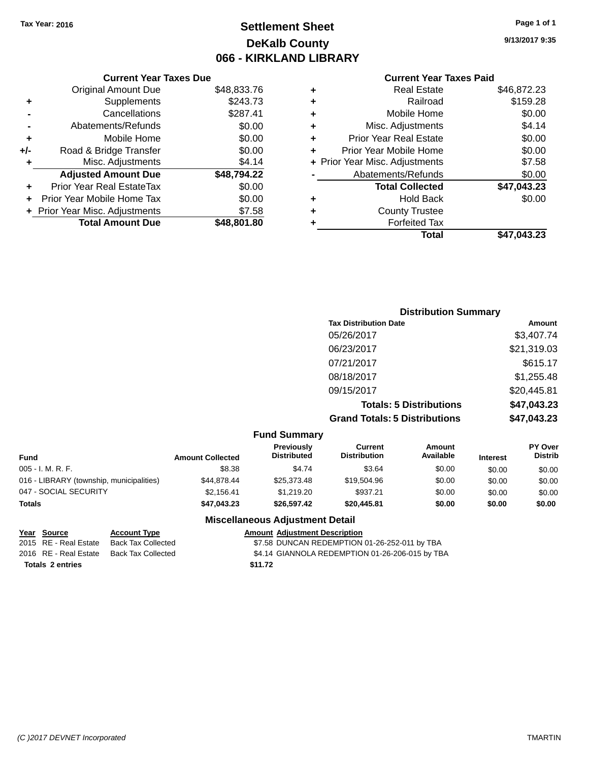## **Settlement Sheet Tax Year: 2016 Page 1 of 1 DeKalb County 066 - KIRKLAND LIBRARY**

#### **Current Year Taxes Due**

|     | <b>Original Amount Due</b>     | \$48,833.76 |
|-----|--------------------------------|-------------|
| ٠   | Supplements                    | \$243.73    |
|     | Cancellations                  | \$287.41    |
|     | Abatements/Refunds             | \$0.00      |
| ٠   | Mobile Home                    | \$0.00      |
| +/- | Road & Bridge Transfer         | \$0.00      |
| ٠   | Misc. Adjustments              | \$4.14      |
|     | <b>Adjusted Amount Due</b>     | \$48,794.22 |
| ٠   | Prior Year Real EstateTax      | \$0.00      |
|     | Prior Year Mobile Home Tax     | \$0.00      |
|     | + Prior Year Misc. Adjustments | \$7.58      |
|     | <b>Total Amount Due</b>        | \$48,801,80 |

## **Current Year Taxes Paid**

| ٠ | <b>Real Estate</b>             | \$46,872.23 |
|---|--------------------------------|-------------|
| ÷ | Railroad                       | \$159.28    |
| ٠ | Mobile Home                    | \$0.00      |
| ٠ | Misc. Adjustments              | \$4.14      |
| ٠ | <b>Prior Year Real Estate</b>  | \$0.00      |
| ٠ | Prior Year Mobile Home         | \$0.00      |
|   | + Prior Year Misc. Adjustments | \$7.58      |
|   | Abatements/Refunds             | \$0.00      |
|   | <b>Total Collected</b>         | \$47,043.23 |
| ٠ | Hold Back                      | \$0.00      |
| ٠ | <b>County Trustee</b>          |             |
| ٠ | <b>Forfeited Tax</b>           |             |
|   | Total                          | \$47.043.23 |
|   |                                |             |

| <b>Distribution Summary</b>          |             |
|--------------------------------------|-------------|
| <b>Tax Distribution Date</b>         | Amount      |
| 05/26/2017                           | \$3,407.74  |
| 06/23/2017                           | \$21,319.03 |
| 07/21/2017                           | \$615.17    |
| 08/18/2017                           | \$1,255.48  |
| 09/15/2017                           | \$20,445.81 |
| <b>Totals: 5 Distributions</b>       | \$47,043.23 |
| <b>Grand Totals: 5 Distributions</b> | \$47,043.23 |

#### **Fund Interest Amount Collected Distributed PY Over Distrib Amount Available Current Distribution Previously** 005 - I. M. R. F. Channel Communication of the State State State State State State State State State State Sta 016 - LIBRARY (township, municipalities)  $$44,878.44$   $$25,373.48$   $$19,504.96$  \$0.00 \$0.00 \$0.00 \$0.00 047 - SOCIAL SECURITY 62,156.41 \$2,156.41 \$1,219.20 \$937.21 \$0.00 \$0.00 \$0.00 \$0.00 **Totals \$47,043.23 \$26,597.42 \$20,445.81 \$0.00 \$0.00 \$0.00**

#### **Miscellaneous Adjustment Detail**

| Year Source             | <b>Account Type</b> |         | <b>Amount Adiustment Description</b>            |
|-------------------------|---------------------|---------|-------------------------------------------------|
| 2015 RE - Real Estate   | Back Tax Collected  |         | \$7.58 DUNCAN REDEMPTION 01-26-252-011 by TBA   |
| 2016 RE - Real Estate   | Back Tax Collected  |         | \$4.14 GIANNOLA REDEMPTION 01-26-206-015 by TBA |
| <b>Totals 2 entries</b> |                     | \$11.72 |                                                 |

## **Fund Summary**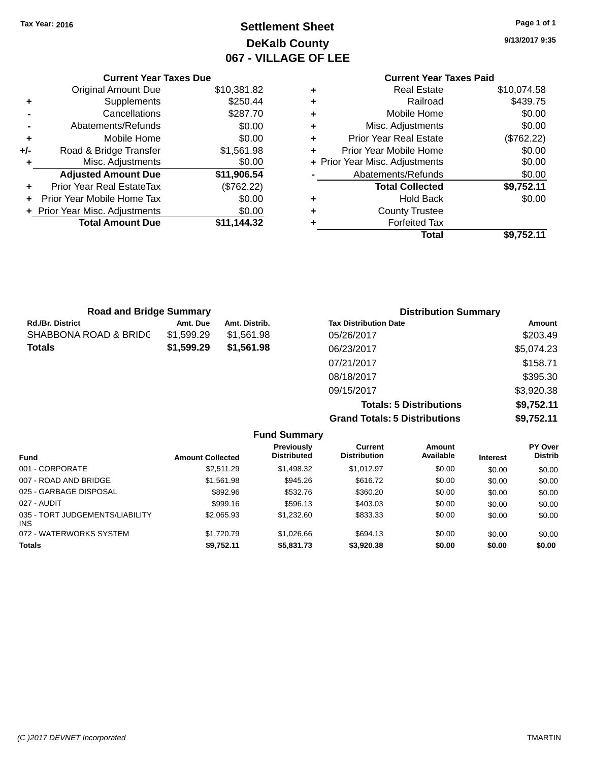## **Settlement Sheet Tax Year: 2016 Page 1 of 1 DeKalb County 067 - VILLAGE OF LEE**

**9/13/2017 9:35**

# **Current Year Taxes Paid**<br>Real Estate **+** Real Estate \$10,074.58

| <b>Original Amount Due</b>     | \$10,381.82 |
|--------------------------------|-------------|
| Supplements                    | \$250.44    |
| Cancellations                  | \$287.70    |
| Abatements/Refunds             | \$0.00      |
| Mobile Home                    | \$0.00      |
| Road & Bridge Transfer         | \$1,561.98  |
| Misc. Adjustments              | \$0.00      |
| <b>Adjusted Amount Due</b>     | \$11,906.54 |
| Prior Year Real EstateTax      | (\$762.22)  |
| Prior Year Mobile Home Tax     | \$0.00      |
| + Prior Year Misc. Adjustments | \$0.00      |
| <b>Total Amount Due</b>        | \$11,144.32 |
|                                |             |

|   | Total                          | \$9,752.11                   |
|---|--------------------------------|------------------------------|
| ٠ | <b>Forfeited Tax</b>           |                              |
| ٠ | <b>County Trustee</b>          |                              |
| ٠ | <b>Hold Back</b>               | \$0.00                       |
|   | <b>Total Collected</b>         | \$9,752.11                   |
|   | Abatements/Refunds             | \$0.00                       |
|   | + Prior Year Misc. Adjustments | \$0.00                       |
| ٠ | Prior Year Mobile Home         | \$0.00                       |
| ٠ | <b>Prior Year Real Estate</b>  | (\$762.22)                   |
| ٠ | Misc. Adjustments              | \$0.00                       |
| ٠ | Mobile Home                    | \$0.00                       |
| ٠ | Railroad                       | \$439.75                     |
| т | ngal Lolal <del>c</del>        | $0.007$ . The set of $0.007$ |

| <b>Road and Bridge Summary</b> |            |               | <b>Distribution Summary</b>  |            |
|--------------------------------|------------|---------------|------------------------------|------------|
| <b>Rd./Br. District</b>        | Amt. Due   | Amt. Distrib. | <b>Tax Distribution Date</b> | Amount     |
| SHABBONA ROAD & BRIDC          | \$1,599.29 | \$1.561.98    | 05/26/2017                   | \$203.49   |
| <b>Totals</b>                  | \$1,599.29 | \$1,561.98    | 06/23/2017                   | \$5,074.23 |
|                                |            |               | 07/21/2017                   | \$158.71   |
|                                |            |               | 08/18/2017                   | \$395.30   |
|                                |            |               | 09/15/2017                   | \$3,920.38 |

**Totals: 5 Distributions \$9,752.11 Grand Totals: 5 Distributions \$9,752.11**

|                                         |                         | <b>Fund Summary</b>                     |                                |                     |                 |                           |
|-----------------------------------------|-------------------------|-----------------------------------------|--------------------------------|---------------------|-----------------|---------------------------|
| <b>Fund</b>                             | <b>Amount Collected</b> | <b>Previously</b><br><b>Distributed</b> | Current<br><b>Distribution</b> | Amount<br>Available | <b>Interest</b> | PY Over<br><b>Distrib</b> |
| 001 - CORPORATE                         | \$2,511.29              | \$1,498.32                              | \$1.012.97                     | \$0.00              | \$0.00          | \$0.00                    |
| 007 - ROAD AND BRIDGE                   | \$1,561.98              | \$945.26                                | \$616.72                       | \$0.00              | \$0.00          | \$0.00                    |
| 025 - GARBAGE DISPOSAL                  | \$892.96                | \$532.76                                | \$360.20                       | \$0.00              | \$0.00          | \$0.00                    |
| 027 - AUDIT                             | \$999.16                | \$596.13                                | \$403.03                       | \$0.00              | \$0.00          | \$0.00                    |
| 035 - TORT JUDGEMENTS/LIABILITY<br>INS. | \$2,065.93              | \$1,232.60                              | \$833.33                       | \$0.00              | \$0.00          | \$0.00                    |
| 072 - WATERWORKS SYSTEM                 | \$1,720.79              | \$1,026.66                              | \$694.13                       | \$0.00              | \$0.00          | \$0.00                    |
| <b>Totals</b>                           | \$9,752.11              | \$5,831.73                              | \$3,920.38                     | \$0.00              | \$0.00          | \$0.00                    |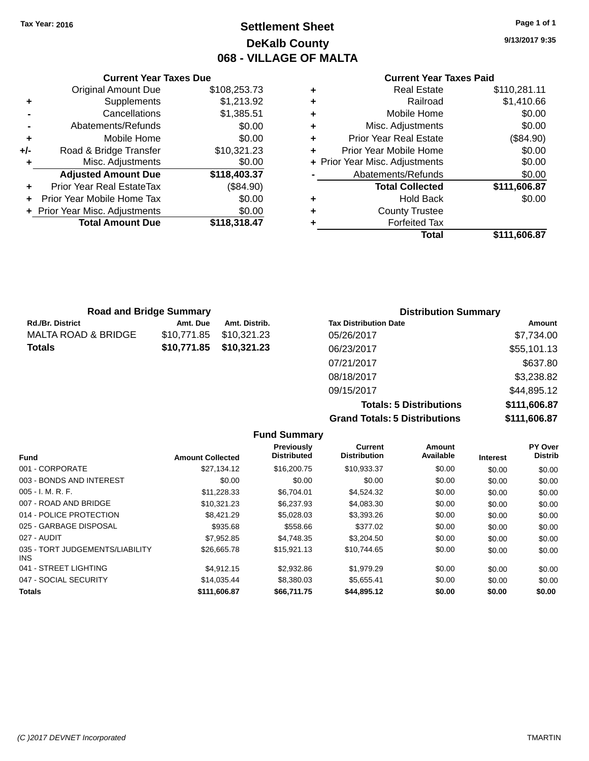## **Settlement Sheet Tax Year: 2016 Page 1 of 1 DeKalb County 068 - VILLAGE OF MALTA**

**9/13/2017 9:35**

#### **Current Year Taxes Paid**

|     | <b>Current Year Taxes Due</b>    |              |
|-----|----------------------------------|--------------|
|     | <b>Original Amount Due</b>       | \$108,253.73 |
| ٠   | Supplements                      | \$1,213.92   |
|     | Cancellations                    | \$1,385.51   |
|     | Abatements/Refunds               | \$0.00       |
| ٠   | Mobile Home                      | \$0.00       |
| +/- | Road & Bridge Transfer           | \$10,321.23  |
|     | Misc. Adjustments                | \$0.00       |
|     | <b>Adjusted Amount Due</b>       | \$118,403.37 |
|     | <b>Prior Year Real EstateTax</b> | (\$84.90)    |
|     | Prior Year Mobile Home Tax       | \$0.00       |
|     | + Prior Year Misc. Adjustments   | \$0.00       |
|     | <b>Total Amount Due</b>          | \$118,318.47 |
|     |                                  |              |

|   | <b>Real Estate</b>             | \$110,281.11 |
|---|--------------------------------|--------------|
| ÷ | Railroad                       | \$1,410.66   |
| ٠ | Mobile Home                    | \$0.00       |
| ٠ | Misc. Adjustments              | \$0.00       |
| ٠ | <b>Prior Year Real Estate</b>  | (\$84.90)    |
| ٠ | Prior Year Mobile Home         | \$0.00       |
|   | + Prior Year Misc. Adjustments | \$0.00       |
|   | Abatements/Refunds             | \$0.00       |
|   | <b>Total Collected</b>         | \$111,606.87 |
| ٠ | <b>Hold Back</b>               | \$0.00       |
| ٠ | <b>County Trustee</b>          |              |
| ٠ | <b>Forfeited Tax</b>           |              |
|   | Total                          | \$111,606.87 |
|   |                                |              |

| <b>Road and Bridge Summary</b> |             |               | <b>Distribution Summary</b>  |             |
|--------------------------------|-------------|---------------|------------------------------|-------------|
| Rd./Br. District               | Amt. Due    | Amt. Distrib. | <b>Tax Distribution Date</b> | Amount      |
| MALTA ROAD & BRIDGE            | \$10,771.85 | \$10,321.23   | 05/26/2017                   | \$7,734.00  |
| Totals                         | \$10,771.85 | \$10,321.23   | 06/23/2017                   | \$55,101.13 |
|                                |             |               | 07/21/2017                   | \$637.80    |
|                                |             |               | 08/18/2017                   | \$3,238.82  |
|                                |             |               | 09/15/2017                   | \$44,895.12 |

**Totals: 5 Distributions \$111,606.87 Grand Totals: 5 Distributions \$111,606.87**

|                                         |                         | <b>Fund Summary</b>              |                                |                     |                 |                           |
|-----------------------------------------|-------------------------|----------------------------------|--------------------------------|---------------------|-----------------|---------------------------|
| <b>Fund</b>                             | <b>Amount Collected</b> | Previously<br><b>Distributed</b> | Current<br><b>Distribution</b> | Amount<br>Available | <b>Interest</b> | PY Over<br><b>Distrib</b> |
| 001 - CORPORATE                         | \$27.134.12             | \$16,200.75                      | \$10,933.37                    | \$0.00              | \$0.00          | \$0.00                    |
| 003 - BONDS AND INTEREST                | \$0.00                  | \$0.00                           | \$0.00                         | \$0.00              | \$0.00          | \$0.00                    |
| $005 - I. M. R. F.$                     | \$11,228.33             | \$6,704.01                       | \$4,524.32                     | \$0.00              | \$0.00          | \$0.00                    |
| 007 - ROAD AND BRIDGE                   | \$10,321.23             | \$6,237.93                       | \$4,083.30                     | \$0.00              | \$0.00          | \$0.00                    |
| 014 - POLICE PROTECTION                 | \$8,421.29              | \$5,028.03                       | \$3,393.26                     | \$0.00              | \$0.00          | \$0.00                    |
| 025 - GARBAGE DISPOSAL                  | \$935.68                | \$558.66                         | \$377.02                       | \$0.00              | \$0.00          | \$0.00                    |
| 027 - AUDIT                             | \$7.952.85              | \$4.748.35                       | \$3,204.50                     | \$0.00              | \$0.00          | \$0.00                    |
| 035 - TORT JUDGEMENTS/LIABILITY<br>INS. | \$26,665.78             | \$15,921.13                      | \$10,744.65                    | \$0.00              | \$0.00          | \$0.00                    |
| 041 - STREET LIGHTING                   | \$4.912.15              | \$2,932.86                       | \$1.979.29                     | \$0.00              | \$0.00          | \$0.00                    |
| 047 - SOCIAL SECURITY                   | \$14.035.44             | \$8,380.03                       | \$5,655.41                     | \$0.00              | \$0.00          | \$0.00                    |
| <b>Totals</b>                           | \$111,606.87            | \$66,711.75                      | \$44,895.12                    | \$0.00              | \$0.00          | \$0.00                    |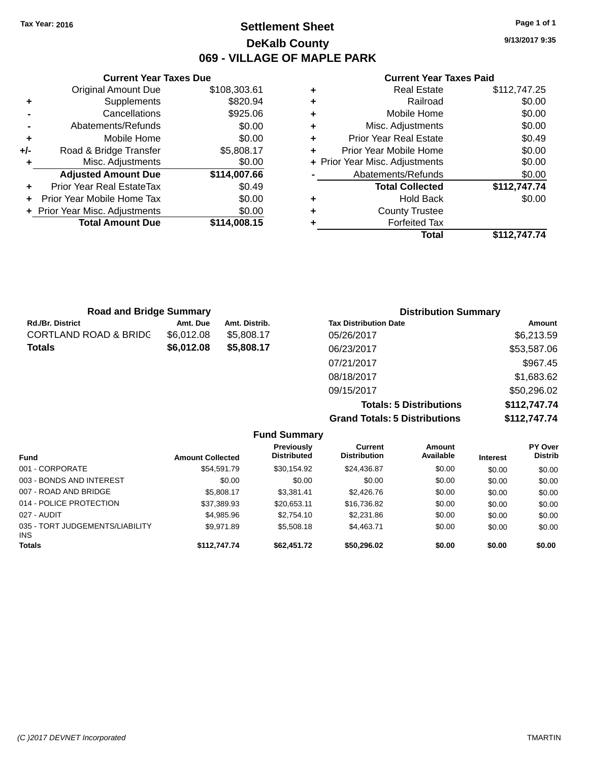## **Settlement Sheet Tax Year: 2016 Page 1 of 1 DeKalb County 069 - VILLAGE OF MAPLE PARK**

**9/13/2017 9:35**

#### **Current Year Taxes Paid**

|     | <b>Current Year Taxes Due</b>  |              |
|-----|--------------------------------|--------------|
|     | <b>Original Amount Due</b>     | \$108,303.61 |
| ٠   | Supplements                    | \$820.94     |
|     | Cancellations                  | \$925.06     |
|     | Abatements/Refunds             | \$0.00       |
| ٠   | Mobile Home                    | \$0.00       |
| +/- | Road & Bridge Transfer         | \$5,808.17   |
|     | Misc. Adjustments              | \$0.00       |
|     | <b>Adjusted Amount Due</b>     | \$114,007.66 |
| ٠   | Prior Year Real EstateTax      | \$0.49       |
| ÷   | Prior Year Mobile Home Tax     | \$0.00       |
|     | + Prior Year Misc. Adjustments | \$0.00       |
|     | <b>Total Amount Due</b>        | \$114,008.15 |
|     |                                |              |

|   | <b>Real Estate</b>             | \$112,747.25 |
|---|--------------------------------|--------------|
| ٠ | Railroad                       | \$0.00       |
| ٠ | Mobile Home                    | \$0.00       |
| ٠ | Misc. Adjustments              | \$0.00       |
| ٠ | <b>Prior Year Real Estate</b>  | \$0.49       |
| ٠ | Prior Year Mobile Home         | \$0.00       |
|   | + Prior Year Misc. Adjustments | \$0.00       |
|   | Abatements/Refunds             | \$0.00       |
|   | <b>Total Collected</b>         | \$112,747.74 |
| ٠ | <b>Hold Back</b>               | \$0.00       |
| ٠ | <b>County Trustee</b>          |              |
|   | <b>Forfeited Tax</b>           |              |
|   | Total                          | \$112,747.74 |

| <b>Road and Bridge Summary</b>   |            |               | <b>Distribution Summary</b>  |             |
|----------------------------------|------------|---------------|------------------------------|-------------|
| <b>Rd./Br. District</b>          | Amt. Due   | Amt. Distrib. | <b>Tax Distribution Date</b> | Amount      |
| <b>CORTLAND ROAD &amp; BRIDC</b> | \$6,012.08 | \$5,808,17    | 05/26/2017                   | \$6,213.59  |
| <b>Totals</b>                    | \$6,012.08 | \$5,808.17    | 06/23/2017                   | \$53,587.06 |
|                                  |            |               | 07/21/2017                   | \$967.45    |
|                                  |            |               | 08/18/2017                   | \$1,683.62  |
|                                  |            |               | 09/15/2017                   | \$50,296.02 |
|                                  |            |               | Tatalan F. Biatollantiana.   | 0.44071774  |

**Totals: 5 Distributions \$112,747.74 Grand Totals: 5 Distributions \$112,747.74**

|                                               |                         | <b>Fund Summary</b>                     |                                |                     |                 |                                  |
|-----------------------------------------------|-------------------------|-----------------------------------------|--------------------------------|---------------------|-----------------|----------------------------------|
| <b>Fund</b>                                   | <b>Amount Collected</b> | <b>Previously</b><br><b>Distributed</b> | Current<br><b>Distribution</b> | Amount<br>Available | <b>Interest</b> | <b>PY Over</b><br><b>Distrib</b> |
| 001 - CORPORATE                               | \$54.591.79             | \$30,154.92                             | \$24,436.87                    | \$0.00              | \$0.00          | \$0.00                           |
| 003 - BONDS AND INTEREST                      | \$0.00                  | \$0.00                                  | \$0.00                         | \$0.00              | \$0.00          | \$0.00                           |
| 007 - ROAD AND BRIDGE                         | \$5,808.17              | \$3.381.41                              | \$2,426.76                     | \$0.00              | \$0.00          | \$0.00                           |
| 014 - POLICE PROTECTION                       | \$37,389.93             | \$20,653.11                             | \$16,736.82                    | \$0.00              | \$0.00          | \$0.00                           |
| 027 - AUDIT                                   | \$4.985.96              | \$2,754.10                              | \$2,231.86                     | \$0.00              | \$0.00          | \$0.00                           |
| 035 - TORT JUDGEMENTS/LIABILITY<br><b>INS</b> | \$9,971.89              | \$5,508.18                              | \$4,463.71                     | \$0.00              | \$0.00          | \$0.00                           |
| <b>Totals</b>                                 | \$112,747.74            | \$62,451,72                             | \$50.296.02                    | \$0.00              | \$0.00          | \$0.00                           |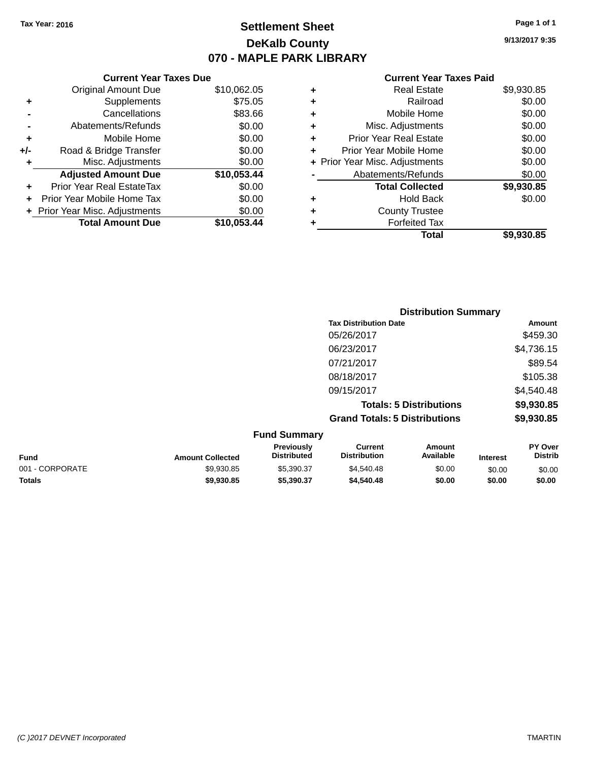## **Settlement Sheet Tax Year: 2016 Page 1 of 1 DeKalb County 070 - MAPLE PARK LIBRARY**

**9/13/2017 9:35**

#### **Current Year Taxes Paid**

|     | <b>Current Year Taxes Due</b>  |             |
|-----|--------------------------------|-------------|
|     | <b>Original Amount Due</b>     | \$10,062.05 |
| ٠   | Supplements                    | \$75.05     |
|     | Cancellations                  | \$83.66     |
|     | Abatements/Refunds             | \$0.00      |
| ٠   | Mobile Home                    | \$0.00      |
| +/- | Road & Bridge Transfer         | \$0.00      |
| ٠   | Misc. Adjustments              | \$0.00      |
|     | <b>Adjusted Amount Due</b>     | \$10,053.44 |
| ٠   | Prior Year Real EstateTax      | \$0.00      |
| ÷   | Prior Year Mobile Home Tax     | \$0.00      |
|     | + Prior Year Misc. Adjustments | \$0.00      |
|     | <b>Total Amount Due</b>        | \$10,053,44 |

| ٠ | <b>Real Estate</b>             | \$9,930.85 |
|---|--------------------------------|------------|
| ٠ | Railroad                       | \$0.00     |
| ٠ | Mobile Home                    | \$0.00     |
| ٠ | Misc. Adjustments              | \$0.00     |
| ٠ | <b>Prior Year Real Estate</b>  | \$0.00     |
| ٠ | Prior Year Mobile Home         | \$0.00     |
|   | + Prior Year Misc. Adjustments | \$0.00     |
|   | Abatements/Refunds             | \$0.00     |
|   | <b>Total Collected</b>         | \$9,930.85 |
| ٠ | <b>Hold Back</b>               | \$0.00     |
| ٠ | <b>County Trustee</b>          |            |
| ٠ | <b>Forfeited Tax</b>           |            |
|   | Total                          | \$9,930.85 |
|   |                                |            |

|                     | <b>Distribution Summary</b>          |            |
|---------------------|--------------------------------------|------------|
|                     | <b>Tax Distribution Date</b>         | Amount     |
|                     | 05/26/2017                           | \$459.30   |
|                     | 06/23/2017                           | \$4,736.15 |
|                     | 07/21/2017                           | \$89.54    |
|                     | 08/18/2017                           | \$105.38   |
|                     | 09/15/2017                           | \$4,540.48 |
|                     | <b>Totals: 5 Distributions</b>       | \$9,930.85 |
|                     | <b>Grand Totals: 5 Distributions</b> | \$9,930.85 |
| <b>Fund Summary</b> |                                      |            |

| <b>Amount Collected</b> | <b>Previously</b><br><b>Distributed</b> | Current<br><b>Distribution</b> | Amount<br>Available | <b>Interest</b> | <b>PY Over</b><br><b>Distrib</b> |
|-------------------------|-----------------------------------------|--------------------------------|---------------------|-----------------|----------------------------------|
| \$9,930.85              | \$5,390.37                              | \$4,540.48                     | \$0.00              | \$0.00          | \$0.00                           |
| \$9,930.85              | \$5,390,37                              | \$4,540.48                     | \$0.00              | \$0.00          | \$0.00                           |
|                         |                                         |                                |                     |                 |                                  |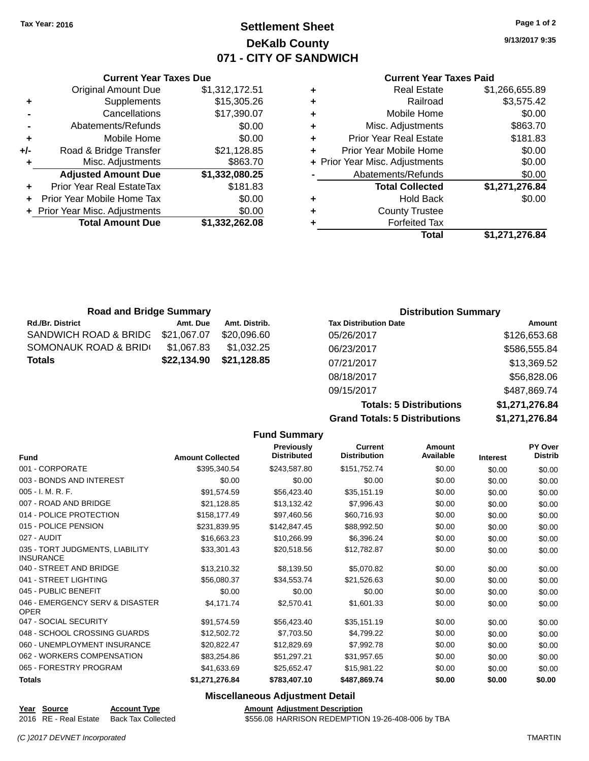## **Settlement Sheet Tax Year: 2016 Page 1 of 2 DeKalb County 071 - CITY OF SANDWICH**

**9/13/2017 9:35**

#### **Current Year Taxes Paid**

|     | <b>Original Amount Due</b>     | \$1,312,172.51 |
|-----|--------------------------------|----------------|
| ٠   | Supplements                    | \$15,305.26    |
|     | Cancellations                  | \$17,390.07    |
|     | Abatements/Refunds             | \$0.00         |
| ٠   | Mobile Home                    | \$0.00         |
| +/- | Road & Bridge Transfer         | \$21,128.85    |
|     | Misc. Adjustments              | \$863.70       |
|     | <b>Adjusted Amount Due</b>     | \$1,332,080.25 |
| ٠   | Prior Year Real EstateTax      | \$181.83       |
| ÷   | Prior Year Mobile Home Tax     | \$0.00         |
|     | + Prior Year Misc. Adjustments | \$0.00         |
|     | <b>Total Amount Due</b>        | \$1,332,262.08 |
|     |                                |                |

**Current Year Taxes Due**

| ٠ | <b>Real Estate</b>             | \$1,266,655.89 |
|---|--------------------------------|----------------|
| ٠ | Railroad                       | \$3,575.42     |
| ٠ | Mobile Home                    | \$0.00         |
| ٠ | Misc. Adjustments              | \$863.70       |
| ٠ | <b>Prior Year Real Estate</b>  | \$181.83       |
| ÷ | Prior Year Mobile Home         | \$0.00         |
|   | + Prior Year Misc. Adjustments | \$0.00         |
|   | Abatements/Refunds             | \$0.00         |
|   | <b>Total Collected</b>         | \$1,271,276.84 |
| ٠ | Hold Back                      | \$0.00         |
| ٠ | <b>County Trustee</b>          |                |
| ٠ | <b>Forfeited Tax</b>           |                |
|   | Total                          | \$1,271,276.84 |

| <b>Road and Bridge Summary</b> |             |               | <b>Distribution Summary</b>  |              |
|--------------------------------|-------------|---------------|------------------------------|--------------|
| <b>Rd./Br. District</b>        | Amt. Due    | Amt. Distrib. | <b>Tax Distribution Date</b> | Amount       |
| SANDWICH ROAD & BRIDG          | \$21,067.07 | \$20,096.60   | 05/26/2017                   | \$126,653.68 |
| SOMONAUK ROAD & BRID(          | \$1,067.83  | \$1,032.25    | 06/23/2017                   | \$586,555.84 |
| <b>Totals</b>                  | \$22,134.90 | \$21,128.85   | 07/21/2017                   | \$13,369.52  |
|                                |             |               | 08/18/2017                   | \$56,828.06  |

**Grand Totals: 5 Distributions \$1,271,276.84**

09/15/2017 \$487,869.74

**Totals: 5 Distributions \$1,271,276.84**

|                                                     |                         | <b>Fund Summary</b>                    |                                       |                     |                 |                           |
|-----------------------------------------------------|-------------------------|----------------------------------------|---------------------------------------|---------------------|-----------------|---------------------------|
| <b>Fund</b>                                         | <b>Amount Collected</b> | Previously<br><b>Distributed</b>       | <b>Current</b><br><b>Distribution</b> | Amount<br>Available | <b>Interest</b> | PY Over<br><b>Distrib</b> |
| 001 - CORPORATE                                     | \$395.340.54            | \$243,587.80                           | \$151,752.74                          | \$0.00              | \$0.00          | \$0.00                    |
| 003 - BONDS AND INTEREST                            | \$0.00                  | \$0.00                                 | \$0.00                                | \$0.00              | \$0.00          | \$0.00                    |
| $005 - I. M. R. F.$                                 | \$91.574.59             | \$56,423.40                            | \$35,151.19                           | \$0.00              | \$0.00          | \$0.00                    |
| 007 - ROAD AND BRIDGE                               | \$21,128.85             | \$13,132.42                            | \$7,996.43                            | \$0.00              | \$0.00          | \$0.00                    |
| 014 - POLICE PROTECTION                             | \$158,177.49            | \$97,460.56                            | \$60,716.93                           | \$0.00              | \$0.00          | \$0.00                    |
| 015 - POLICE PENSION                                | \$231,839.95            | \$142,847.45                           | \$88,992.50                           | \$0.00              | \$0.00          | \$0.00                    |
| 027 - AUDIT                                         | \$16,663.23             | \$10,266.99                            | \$6,396.24                            | \$0.00              | \$0.00          | \$0.00                    |
| 035 - TORT JUDGMENTS, LIABILITY<br><b>INSURANCE</b> | \$33,301.43             | \$20,518.56                            | \$12,782.87                           | \$0.00              | \$0.00          | \$0.00                    |
| 040 - STREET AND BRIDGE                             | \$13,210.32             | \$8,139.50                             | \$5,070.82                            | \$0.00              | \$0.00          | \$0.00                    |
| 041 - STREET LIGHTING                               | \$56,080.37             | \$34,553.74                            | \$21,526.63                           | \$0.00              | \$0.00          | \$0.00                    |
| 045 - PUBLIC BENEFIT                                | \$0.00                  | \$0.00                                 | \$0.00                                | \$0.00              | \$0.00          | \$0.00                    |
| 046 - EMERGENCY SERV & DISASTER<br><b>OPER</b>      | \$4,171.74              | \$2,570.41                             | \$1,601.33                            | \$0.00              | \$0.00          | \$0.00                    |
| 047 - SOCIAL SECURITY                               | \$91,574.59             | \$56,423.40                            | \$35,151.19                           | \$0.00              | \$0.00          | \$0.00                    |
| 048 - SCHOOL CROSSING GUARDS                        | \$12,502.72             | \$7,703.50                             | \$4,799.22                            | \$0.00              | \$0.00          | \$0.00                    |
| 060 - UNEMPLOYMENT INSURANCE                        | \$20,822.47             | \$12,829.69                            | \$7,992.78                            | \$0.00              | \$0.00          | \$0.00                    |
| 062 - WORKERS COMPENSATION                          | \$83,254.86             | \$51,297.21                            | \$31,957.65                           | \$0.00              | \$0.00          | \$0.00                    |
| 065 - FORESTRY PROGRAM                              | \$41,633.69             | \$25,652.47                            | \$15,981.22                           | \$0.00              | \$0.00          | \$0.00                    |
| <b>Totals</b>                                       | \$1,271,276.84          | \$783,407.10                           | \$487,869.74                          | \$0.00              | \$0.00          | \$0.00                    |
|                                                     |                         | <b>Miscellaneous Adjustment Detail</b> |                                       |                     |                 |                           |

# **Year Source Account Type Account Type Amount Adjustment Description**<br>2016 RE - Real Estate Back Tax Collected \$556.08 HARRISON REDEMPTIO

\$556.08 HARRISON REDEMPTION 19-26-408-006 by TBA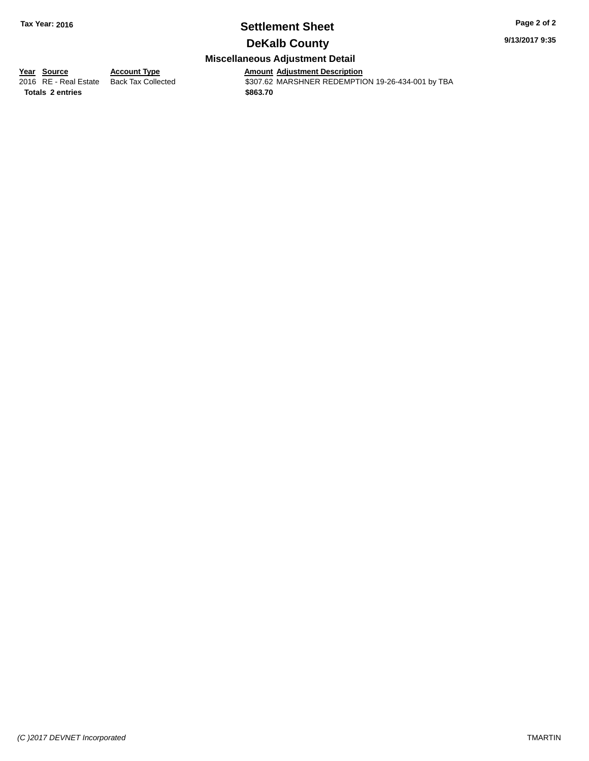## **Settlement Sheet Tax Year: 2016 Page 2 of 2**

**9/13/2017 9:35**

## **DeKalb County**

#### **Miscellaneous Adjustment Detail**

**<u>Year Source</u> Account Type<br>
2016 RE - Real Estate Back Tax Collected** 

**Totals \$863.70 2 entries**

Amount Adjustment Description<br>\$307.62 MARSHNER REDEMPTION 19-26-434-001 by TBA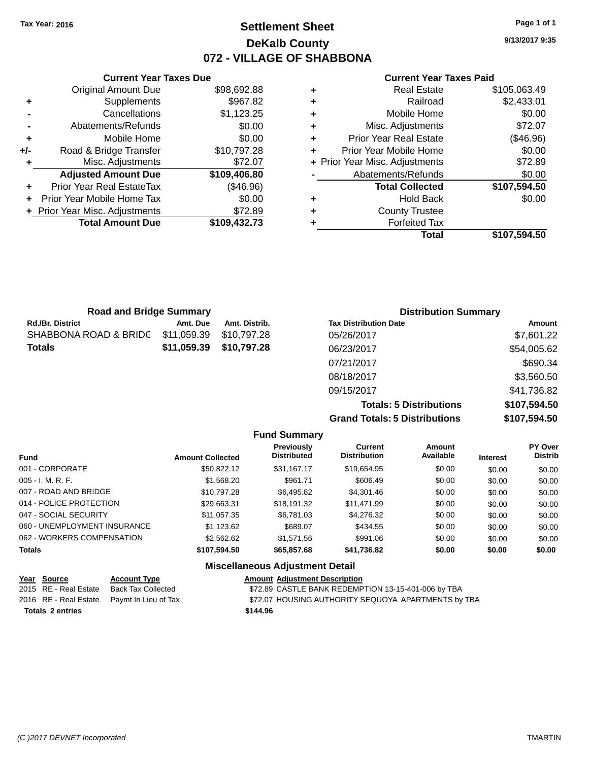## **Settlement Sheet Tax Year: 2016 Page 1 of 1 DeKalb County 072 - VILLAGE OF SHABBONA**

**9/13/2017 9:35**

#### **Current Year Taxes Paid**

|     | <b>Current Year Taxes Due</b>  |              |
|-----|--------------------------------|--------------|
|     | <b>Original Amount Due</b>     | \$98,692.88  |
| ٠   | Supplements                    | \$967.82     |
|     | Cancellations                  | \$1,123.25   |
|     | Abatements/Refunds             | \$0.00       |
| ٠   | Mobile Home                    | \$0.00       |
| +/- | Road & Bridge Transfer         | \$10,797.28  |
|     | Misc. Adjustments              | \$72.07      |
|     | <b>Adjusted Amount Due</b>     | \$109,406.80 |
| ٠   | Prior Year Real EstateTax      | (\$46.96)    |
|     | Prior Year Mobile Home Tax     | \$0.00       |
|     | + Prior Year Misc. Adjustments | \$72.89      |
|     | <b>Total Amount Due</b>        | \$109,432.73 |
|     |                                |              |

|   | <b>Real Estate</b>             | \$105,063.49 |
|---|--------------------------------|--------------|
| ٠ | Railroad                       | \$2,433.01   |
| ٠ | Mobile Home                    | \$0.00       |
| ٠ | Misc. Adjustments              | \$72.07      |
| ٠ | <b>Prior Year Real Estate</b>  | (\$46.96)    |
| ÷ | Prior Year Mobile Home         | \$0.00       |
|   | + Prior Year Misc. Adjustments | \$72.89      |
|   | Abatements/Refunds             | \$0.00       |
|   | <b>Total Collected</b>         | \$107,594.50 |
| ٠ | <b>Hold Back</b>               | \$0.00       |
| ٠ | <b>County Trustee</b>          |              |
| ٠ | <b>Forfeited Tax</b>           |              |
|   | Total                          | \$107,594.50 |
|   |                                |              |

| <b>Road and Bridge Summary</b> |             |               | <b>Distribution Summary</b>  |             |  |
|--------------------------------|-------------|---------------|------------------------------|-------------|--|
| Rd./Br. District               | Amt. Due    | Amt. Distrib. | <b>Tax Distribution Date</b> | Amount      |  |
| SHABBONA ROAD & BRIDG          | \$11,059.39 | \$10,797.28   | 05/26/2017                   | \$7,601.22  |  |
| Totals                         | \$11,059.39 | \$10,797.28   | 06/23/2017                   | \$54,005.62 |  |
|                                |             |               | 07/21/2017                   | \$690.34    |  |
|                                |             |               | 08/18/2017                   | \$3,560.50  |  |
|                                |             |               | 09/15/2017                   | \$41,736.82 |  |
|                                |             |               |                              |             |  |

**Totals: 5 Distributions \$107,594.50 Grand Totals: 5 Distributions \$107,594.50**

|                              |                         | <b>Fund Summary</b>                     |                                       |                     |                 |                           |
|------------------------------|-------------------------|-----------------------------------------|---------------------------------------|---------------------|-----------------|---------------------------|
| <b>Fund</b>                  | <b>Amount Collected</b> | <b>Previously</b><br><b>Distributed</b> | <b>Current</b><br><b>Distribution</b> | Amount<br>Available | <b>Interest</b> | PY Over<br><b>Distrib</b> |
| 001 - CORPORATE              | \$50.822.12             | \$31.167.17                             | \$19.654.95                           | \$0.00              | \$0.00          | \$0.00                    |
| $005 - I. M. R. F.$          | \$1,568.20              | \$961.71                                | \$606.49                              | \$0.00              | \$0.00          | \$0.00                    |
| 007 - ROAD AND BRIDGE        | \$10.797.28             | \$6.495.82                              | \$4,301.46                            | \$0.00              | \$0.00          | \$0.00                    |
| 014 - POLICE PROTECTION      | \$29.663.31             | \$18.191.32                             | \$11.471.99                           | \$0.00              | \$0.00          | \$0.00                    |
| 047 - SOCIAL SECURITY        | \$11.057.35             | \$6.781.03                              | \$4,276,32                            | \$0.00              | \$0.00          | \$0.00                    |
| 060 - UNEMPLOYMENT INSURANCE | \$1,123.62              | \$689.07                                | \$434.55                              | \$0.00              | \$0.00          | \$0.00                    |
| 062 - WORKERS COMPENSATION   | \$2,562.62              | \$1.571.56                              | \$991.06                              | \$0.00              | \$0.00          | \$0.00                    |
| <b>Totals</b>                | \$107,594.50            | \$65,857.68                             | \$41,736.82                           | \$0.00              | \$0.00          | \$0.00                    |
|                              |                         | <b>Miscellaneous Adjustment Detail</b>  |                                       |                     |                 |                           |

| Year Source             | <b>Account Type</b>                        | <b>Amount Adiustment Description</b>                |
|-------------------------|--------------------------------------------|-----------------------------------------------------|
| 2015 RE - Real Estate   | Back Tax Collected                         | \$72.89 CASTLE BANK REDEMPTION 13-15-401-006 by TBA |
|                         | 2016 RE - Real Estate Paymt In Lieu of Tax | \$72.07 HOUSING AUTHORITY SEQUOYA APARTMENTS by TBA |
| <b>Totals 2 entries</b> |                                            | \$144.96                                            |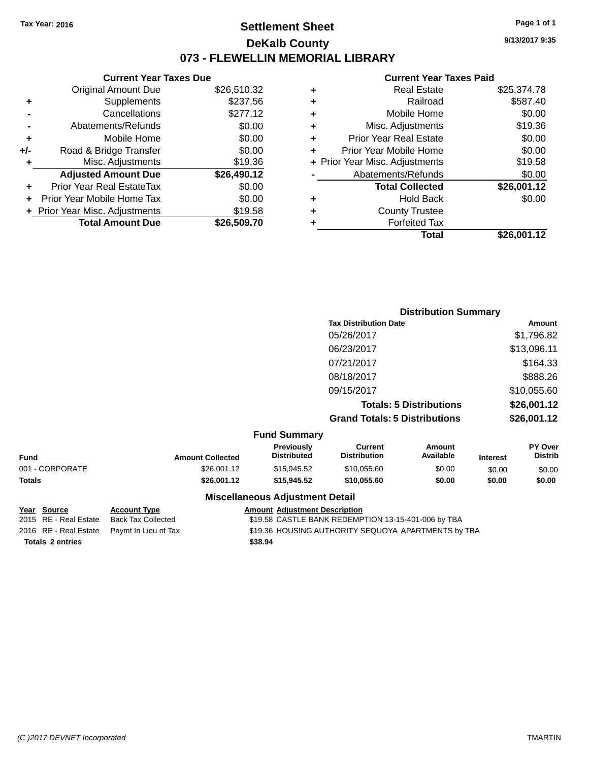## **Settlement Sheet Tax Year: 2016 Page 1 of 1 DeKalb County 073 - FLEWELLIN MEMORIAL LIBRARY**

**9/13/2017 9:35**

#### **Current Year Taxes Paid**

|                         |                                  |                                       | <b>Distribution Summary</b>    |                 |                                  |
|-------------------------|----------------------------------|---------------------------------------|--------------------------------|-----------------|----------------------------------|
|                         |                                  | <b>Tax Distribution Date</b>          |                                |                 | <b>Amount</b>                    |
|                         |                                  | 05/26/2017                            |                                |                 | \$1,796.82                       |
|                         |                                  | 06/23/2017                            |                                |                 | \$13,096.11                      |
|                         |                                  | 07/21/2017                            |                                |                 | \$164.33                         |
|                         |                                  | 08/18/2017                            |                                |                 | \$888.26                         |
|                         |                                  | 09/15/2017                            |                                |                 | \$10,055.60                      |
|                         |                                  |                                       | <b>Totals: 5 Distributions</b> |                 | \$26,001.12                      |
|                         |                                  | <b>Grand Totals: 5 Distributions</b>  |                                |                 | \$26,001.12                      |
|                         | <b>Fund Summary</b>              |                                       |                                |                 |                                  |
| <b>Amount Collected</b> | Previously<br><b>Distributed</b> | <b>Current</b><br><b>Distribution</b> | Amount<br>Available            | <b>Interest</b> | <b>PY Over</b><br><b>Distrib</b> |

| Fund            | <b>Amount Collected</b> | יונטשטויט<br><b>Distributed</b>        | <b>VALLVIIL</b><br><b>Distribution</b> | <u>Allivulit</u><br>Available | <b>Interest</b> | .<br><b>Distrib</b> |
|-----------------|-------------------------|----------------------------------------|----------------------------------------|-------------------------------|-----------------|---------------------|
| 001 - CORPORATE | \$26,001.12             | \$15.945.52                            | \$10,055.60                            | \$0.00                        | \$0.00          | \$0.00              |
| Totals          | \$26,001.12             | \$15,945,52                            | \$10,055,60                            | \$0.00                        | \$0.00          | \$0.00              |
|                 |                         | <b>Miscellaneous Adjustment Detail</b> |                                        |                               |                 |                     |

| rear Source           |
|-----------------------|
| 2015 RE - Real Estate |
| 2016 RE - Real Estate |

**Current Year Taxes Due** Original Amount Due \$26,510.32

**Adjusted Amount Due \$26,490.12**

**Total Amount Due \$26,509.70**

**+** Supplements \$237.56 **-** Cancellations \$277.12 **-** Abatements/Refunds \$0.00 **+** Mobile Home \$0.00 **+/-** Road & Bridge Transfer \$0.00 **+** Misc. Adjustments \$19.36

**+** Prior Year Real EstateTax \$0.00 **+** Prior Year Mobile Home Tax \$0.00 **+** Prior Year Misc. Adjustments \$19.58

> Account Type **Amount Adjustment Description** Back Tax Collected **2015 819.58 CASTLE BANK REDEMPTION 13-15-401-006 by TBA**

Paymt In Lieu of Tax **61016 State State State State State State State State State State State State State State State State State State State State State State State State State State State State State State State State St** 

**Totals \$38.94 2 entries**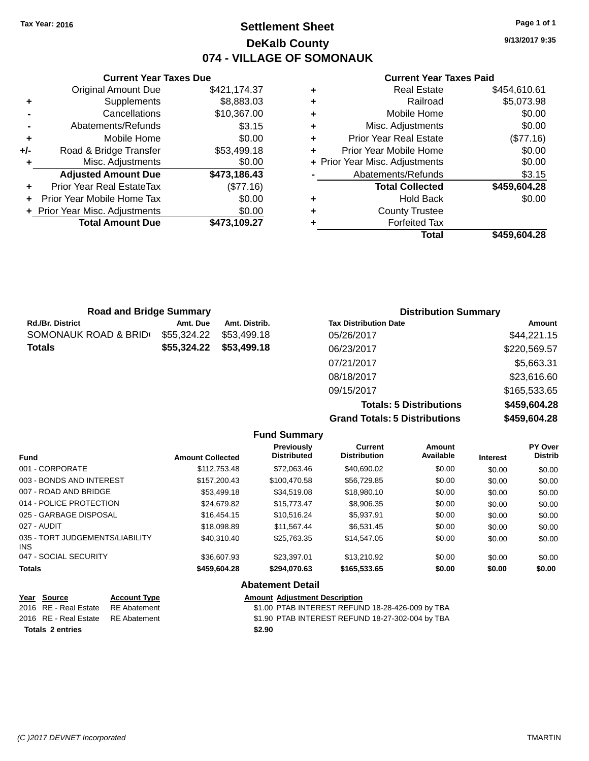## **Settlement Sheet Tax Year: 2016 Page 1 of 1 DeKalb County 074 - VILLAGE OF SOMONAUK**

**Current Year Taxes Due** Original Amount Due \$421,174.37 **+** Supplements \$8,883.03 **-** Cancellations \$10,367.00 **-** Abatements/Refunds **\$3.15 +** Mobile Home \$0.00 **+/-** Road & Bridge Transfer \$53,499.18 **+** Misc. Adjustments \$0.00 **Adjusted Amount Due \$473,186.43 +** Prior Year Real EstateTax (\$77.16) **+** Prior Year Mobile Home Tax \$0.00 **+ Prior Year Misc. Adjustments**  $$0.00$ **Total Amount Due \$473,109.27**

#### **Current Year Taxes Paid**

| ٠ | <b>Real Estate</b>             | \$454,610.61 |
|---|--------------------------------|--------------|
| ٠ | Railroad                       | \$5,073.98   |
| ٠ | Mobile Home                    | \$0.00       |
| ٠ | Misc. Adjustments              | \$0.00       |
| ٠ | <b>Prior Year Real Estate</b>  | (\$77.16)    |
| ÷ | Prior Year Mobile Home         | \$0.00       |
|   | + Prior Year Misc. Adjustments | \$0.00       |
|   | Abatements/Refunds             | \$3.15       |
|   | <b>Total Collected</b>         | \$459,604.28 |
| ٠ | <b>Hold Back</b>               | \$0.00       |
| ٠ | <b>County Trustee</b>          |              |
| ٠ | <b>Forfeited Tax</b>           |              |
|   | Total                          | \$459,604.28 |
|   |                                |              |

| <b>Road and Bridge Summary</b> |             |               | <b>Distribution Summary</b>  |              |  |
|--------------------------------|-------------|---------------|------------------------------|--------------|--|
| <b>Rd./Br. District</b>        | Amt. Due    | Amt. Distrib. | <b>Tax Distribution Date</b> | Amount       |  |
| SOMONAUK ROAD & BRID(          | \$55,324.22 | \$53.499.18   | 05/26/2017                   | \$44,221.15  |  |
| Totals                         | \$55,324.22 | \$53,499.18   | 06/23/2017                   | \$220,569.57 |  |
|                                |             |               | 07/21/2017                   | \$5,663.31   |  |
|                                |             |               | 08/18/2017                   | \$23,616.60  |  |
|                                |             |               | 09/15/2017                   | \$165,533.65 |  |

**Totals: 5 Distributions \$459,604.28 Grand Totals: 5 Distributions \$459,604.28**

|                                               |                     |                         | <b>Fund Summary</b>                     |                                       |                     |                 |                           |
|-----------------------------------------------|---------------------|-------------------------|-----------------------------------------|---------------------------------------|---------------------|-----------------|---------------------------|
| <b>Fund</b>                                   |                     | <b>Amount Collected</b> | <b>Previously</b><br><b>Distributed</b> | <b>Current</b><br><b>Distribution</b> | Amount<br>Available | <b>Interest</b> | PY Over<br><b>Distrib</b> |
| 001 - CORPORATE                               |                     | \$112,753.48            | \$72,063.46                             | \$40,690.02                           | \$0.00              | \$0.00          | \$0.00                    |
| 003 - BONDS AND INTEREST                      |                     | \$157,200.43            | \$100,470.58                            | \$56,729.85                           | \$0.00              | \$0.00          | \$0.00                    |
| 007 - ROAD AND BRIDGE                         |                     | \$53.499.18             | \$34.519.08                             | \$18,980.10                           | \$0.00              | \$0.00          | \$0.00                    |
| 014 - POLICE PROTECTION                       |                     | \$24,679.82             | \$15,773.47                             | \$8,906.35                            | \$0.00              | \$0.00          | \$0.00                    |
| 025 - GARBAGE DISPOSAL                        |                     | \$16,454.15             | \$10,516.24                             | \$5,937.91                            | \$0.00              | \$0.00          | \$0.00                    |
| 027 - AUDIT                                   |                     | \$18,098.89             | \$11,567.44                             | \$6,531.45                            | \$0.00              | \$0.00          | \$0.00                    |
| 035 - TORT JUDGEMENTS/LIABILITY<br><b>INS</b> |                     | \$40,310.40             | \$25,763.35                             | \$14,547.05                           | \$0.00              | \$0.00          | \$0.00                    |
| 047 - SOCIAL SECURITY                         |                     | \$36,607.93             | \$23,397.01                             | \$13,210.92                           | \$0.00              | \$0.00          | \$0.00                    |
| <b>Totals</b>                                 |                     | \$459,604.28            | \$294,070.63                            | \$165,533.65                          | \$0.00              | \$0.00          | \$0.00                    |
|                                               |                     |                         | <b>Abatement Detail</b>                 |                                       |                     |                 |                           |
| Source<br>Year                                | <b>Account Type</b> |                         | <b>Amount Adjustment Description</b>    |                                       |                     |                 |                           |

2016 RE - Real Estate RE Abatement \$1.00 PTAB INTEREST REFUND 18-28-426-009 by TBA 2016 RE - Real Estate RE Abatement \$1.90 PTAB INTEREST REFUND 18-27-302-004 by TBA **Totals \$2.90 2 entries**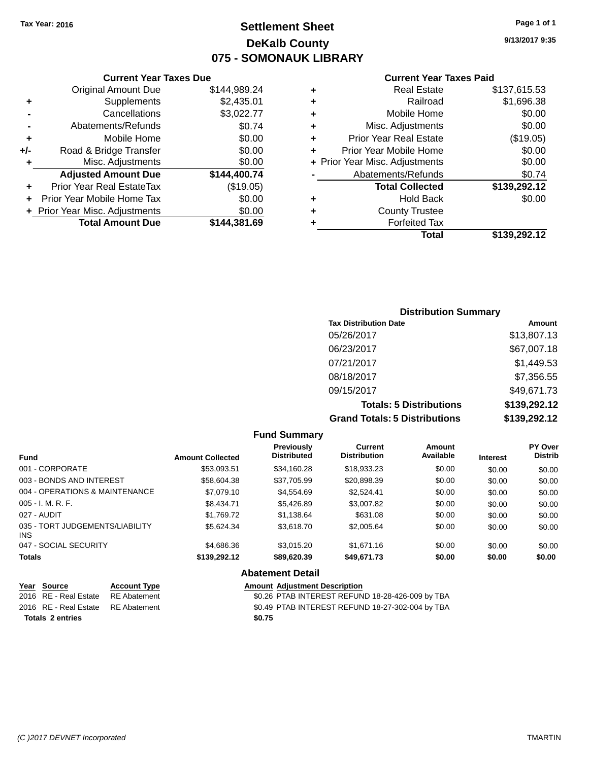# **Settlement Sheet Tax Year: 2016 Page 1 of 1 DeKalb County 075 - SOMONAUK LIBRARY**

**9/13/2017 9:35**

## **Current Year Taxes Paid**

|       | <b>Current Year Taxes Due</b>  |              |
|-------|--------------------------------|--------------|
|       | <b>Original Amount Due</b>     | \$144,989.24 |
| ٠     | Supplements                    | \$2,435.01   |
|       | Cancellations                  | \$3,022.77   |
|       | Abatements/Refunds             | \$0.74       |
| ٠     | Mobile Home                    | \$0.00       |
| $+/-$ | Road & Bridge Transfer         | \$0.00       |
| ٠     | Misc. Adjustments              | \$0.00       |
|       | <b>Adjusted Amount Due</b>     | \$144,400.74 |
| ٠     | Prior Year Real EstateTax      | (\$19.05)    |
|       | Prior Year Mobile Home Tax     | \$0.00       |
|       | + Prior Year Misc. Adjustments | \$0.00       |
|       | <b>Total Amount Due</b>        | \$144,381.69 |
|       |                                |              |

|   | <b>Real Estate</b>             | \$137,615.53 |
|---|--------------------------------|--------------|
| ٠ | Railroad                       | \$1,696.38   |
| ٠ | Mobile Home                    | \$0.00       |
| ٠ | Misc. Adjustments              | \$0.00       |
| ٠ | <b>Prior Year Real Estate</b>  | (\$19.05)    |
| ÷ | Prior Year Mobile Home         | \$0.00       |
|   | + Prior Year Misc. Adjustments | \$0.00       |
|   | Abatements/Refunds             | \$0.74       |
|   | <b>Total Collected</b>         | \$139,292.12 |
| ٠ | <b>Hold Back</b>               | \$0.00       |
| ٠ | <b>County Trustee</b>          |              |
| ٠ | <b>Forfeited Tax</b>           |              |
|   | Total                          | \$139,292.12 |
|   |                                |              |

| <b>Distribution Summary</b>          |              |
|--------------------------------------|--------------|
| <b>Tax Distribution Date</b>         | Amount       |
| 05/26/2017                           | \$13,807.13  |
| 06/23/2017                           | \$67,007.18  |
| 07/21/2017                           | \$1,449.53   |
| 08/18/2017                           | \$7,356.55   |
| 09/15/2017                           | \$49,671.73  |
| <b>Totals: 5 Distributions</b>       | \$139,292.12 |
| <b>Grand Totals: 5 Distributions</b> | \$139,292.12 |

|                                         |                     |                         | <b>Fund Summary</b>                  |                                |                     |                 |                           |
|-----------------------------------------|---------------------|-------------------------|--------------------------------------|--------------------------------|---------------------|-----------------|---------------------------|
| <b>Fund</b>                             |                     | <b>Amount Collected</b> | Previously<br><b>Distributed</b>     | Current<br><b>Distribution</b> | Amount<br>Available | <b>Interest</b> | PY Over<br><b>Distrib</b> |
| 001 - CORPORATE                         |                     | \$53,093.51             | \$34,160.28                          | \$18,933.23                    | \$0.00              | \$0.00          | \$0.00                    |
| 003 - BONDS AND INTEREST                |                     | \$58,604.38             | \$37.705.99                          | \$20.898.39                    | \$0.00              | \$0.00          | \$0.00                    |
| 004 - OPERATIONS & MAINTENANCE          |                     | \$7,079.10              | \$4,554.69                           | \$2,524.41                     | \$0.00              | \$0.00          | \$0.00                    |
| $005 - I. M. R. F.$                     |                     | \$8,434.71              | \$5,426.89                           | \$3,007.82                     | \$0.00              | \$0.00          | \$0.00                    |
| 027 - AUDIT                             |                     | \$1,769.72              | \$1,138.64                           | \$631.08                       | \$0.00              | \$0.00          | \$0.00                    |
| 035 - TORT JUDGEMENTS/LIABILITY<br>INS. |                     | \$5.624.34              | \$3.618.70                           | \$2,005.64                     | \$0.00              | \$0.00          | \$0.00                    |
| 047 - SOCIAL SECURITY                   |                     | \$4,686.36              | \$3.015.20                           | \$1,671.16                     | \$0.00              | \$0.00          | \$0.00                    |
| <b>Totals</b>                           |                     | \$139,292.12            | \$89,620.39                          | \$49,671.73                    | \$0.00              | \$0.00          | \$0.00                    |
|                                         |                     |                         | <b>Abatement Detail</b>              |                                |                     |                 |                           |
| Year Source                             | <b>Account Type</b> |                         | <b>Amount Adiustment Description</b> |                                |                     |                 |                           |

| Year Source                        | <b>Account Type</b> | <b>Amount Adiustment Description</b>             |
|------------------------------------|---------------------|--------------------------------------------------|
| 2016 RE - Real Estate              | RE Abatement        | \$0.26 PTAB INTEREST REFUND 18-28-426-009 by TBA |
| 2016 RE - Real Estate RE Abatement |                     | \$0.49 PTAB INTEREST REFUND 18-27-302-004 by TBA |
| Totals 2 entries                   |                     | \$0.75                                           |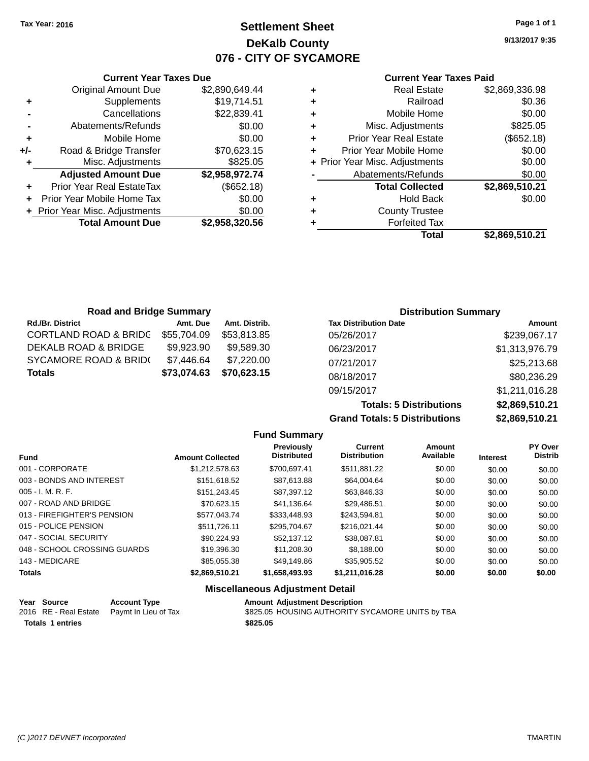# **Settlement Sheet Tax Year: 2016 Page 1 of 1 DeKalb County 076 - CITY OF SYCAMORE**

**9/13/2017 9:35**

|     | <b>Current Year Taxes Due</b>  |                |  |  |
|-----|--------------------------------|----------------|--|--|
|     | <b>Original Amount Due</b>     | \$2,890,649.44 |  |  |
| ٠   | Supplements                    | \$19,714.51    |  |  |
|     | Cancellations                  | \$22,839.41    |  |  |
|     | Abatements/Refunds             | \$0.00         |  |  |
| ٠   | Mobile Home                    | \$0.00         |  |  |
| +/- | Road & Bridge Transfer         | \$70,623.15    |  |  |
| ٠   | Misc. Adjustments              | \$825.05       |  |  |
|     | <b>Adjusted Amount Due</b>     | \$2,958,972.74 |  |  |
|     | Prior Year Real EstateTax      | (\$652.18)     |  |  |
|     | Prior Year Mobile Home Tax     | \$0.00         |  |  |
|     | + Prior Year Misc. Adjustments | \$0.00         |  |  |
|     | <b>Total Amount Due</b>        | \$2,958,320.56 |  |  |
|     |                                |                |  |  |

#### **Current Year Taxes Paid**

|   | Total                          | \$2,869,510.21 |
|---|--------------------------------|----------------|
| ٠ | <b>Forfeited Tax</b>           |                |
| ٠ | <b>County Trustee</b>          |                |
| ٠ | <b>Hold Back</b>               | \$0.00         |
|   | <b>Total Collected</b>         | \$2,869,510.21 |
|   | Abatements/Refunds             | \$0.00         |
|   | + Prior Year Misc. Adjustments | \$0.00         |
| ÷ | Prior Year Mobile Home         | \$0.00         |
| ٠ | <b>Prior Year Real Estate</b>  | (\$652.18)     |
| ٠ | Misc. Adjustments              | \$825.05       |
| ٠ | Mobile Home                    | \$0.00         |
| ٠ | Railroad                       | \$0.36         |
| ٠ | <b>Real Estate</b>             | \$2,869,336.98 |

| <b>Road and Bridge Summary</b>   |             |               |                              | <b>Distribution Summary</b> |
|----------------------------------|-------------|---------------|------------------------------|-----------------------------|
| <b>Rd./Br. District</b>          | Amt. Due    | Amt. Distrib. | <b>Tax Distribution Date</b> | <b>Amount</b>               |
| <b>CORTLAND ROAD &amp; BRIDC</b> | \$55,704.09 | \$53,813.85   | 05/26/2017                   | \$239,067.17                |
| DEKALB ROAD & BRIDGE             | \$9,923.90  | \$9.589.30    | 06/23/2017                   | \$1,313,976.79              |
| <b>SYCAMORE ROAD &amp; BRID(</b> | \$7,446.64  | \$7,220.00    | 07/21/2017                   | \$25,213.68                 |
| <b>Totals</b>                    | \$73,074.63 | \$70,623.15   | 08/18/2017                   | \$80,236.29                 |

| 09/15/2017                           | \$1,211,016.28 |
|--------------------------------------|----------------|
| <b>Totals: 5 Distributions</b>       | \$2,869,510.21 |
| <b>Grand Totals: 5 Distributions</b> | \$2,869,510.21 |
|                                      |                |

| <b>Amount Collected</b> | <b>Previously</b><br><b>Distributed</b> | <b>Current</b><br><b>Distribution</b> | Amount<br>Available | <b>Interest</b> | PY Over<br><b>Distrib</b> |
|-------------------------|-----------------------------------------|---------------------------------------|---------------------|-----------------|---------------------------|
| \$1,212,578.63          | \$700.697.41                            | \$511,881.22                          | \$0.00              | \$0.00          | \$0.00                    |
| \$151,618.52            | \$87,613.88                             | \$64,004.64                           | \$0.00              | \$0.00          | \$0.00                    |
| \$151,243.45            | \$87,397.12                             | \$63,846.33                           | \$0.00              | \$0.00          | \$0.00                    |
| \$70.623.15             | \$41,136.64                             | \$29,486.51                           | \$0.00              | \$0.00          | \$0.00                    |
| \$577,043.74            | \$333,448.93                            | \$243,594.81                          | \$0.00              | \$0.00          | \$0.00                    |
| \$511.726.11            | \$295,704.67                            | \$216,021.44                          | \$0.00              | \$0.00          | \$0.00                    |
| \$90.224.93             | \$52,137,12                             | \$38,087.81                           | \$0.00              | \$0.00          | \$0.00                    |
| \$19,396.30             | \$11,208.30                             | \$8,188.00                            | \$0.00              | \$0.00          | \$0.00                    |
| \$85,055.38             | \$49,149.86                             | \$35,905.52                           | \$0.00              | \$0.00          | \$0.00                    |
| \$2,869,510.21          | \$1,658,493.93                          | \$1,211,016.28                        | \$0.00              | \$0.00          | \$0.00                    |
|                         |                                         |                                       | <b>Fund Summary</b> |                 |                           |

|                         | Year Source | <b>Account Type</b>                        | <b>Amount Adiustment Description</b>             |
|-------------------------|-------------|--------------------------------------------|--------------------------------------------------|
|                         |             | 2016 RE - Real Estate Paymt In Lieu of Tax | \$825.05 HOUSING AUTHORITY SYCAMORE UNITS by TBA |
| <b>Totals 1 entries</b> |             |                                            | \$825.05                                         |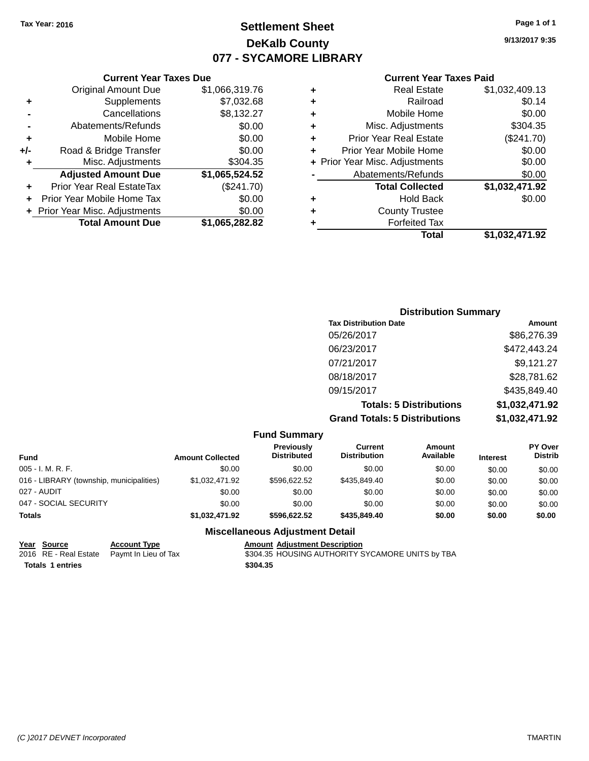# **Settlement Sheet Tax Year: 2016 Page 1 of 1 DeKalb County 077 - SYCAMORE LIBRARY**

**9/13/2017 9:35**

#### **Current Year Taxes Paid**

|     | <b>Current Year Taxes Due</b> |                |  |  |  |  |
|-----|-------------------------------|----------------|--|--|--|--|
|     | <b>Original Amount Due</b>    | \$1,066,319.76 |  |  |  |  |
| ٠   | Supplements                   | \$7,032.68     |  |  |  |  |
|     | Cancellations                 | \$8,132.27     |  |  |  |  |
|     | Abatements/Refunds            | \$0.00         |  |  |  |  |
| ٠   | Mobile Home                   | \$0.00         |  |  |  |  |
| +/- | Road & Bridge Transfer        | \$0.00         |  |  |  |  |
| ٠   | Misc. Adjustments             | \$304.35       |  |  |  |  |
|     | <b>Adjusted Amount Due</b>    | \$1,065,524.52 |  |  |  |  |
| ٠   | Prior Year Real EstateTax     | (\$241.70)     |  |  |  |  |
| ÷   | Prior Year Mobile Home Tax    | \$0.00         |  |  |  |  |
|     | Prior Year Misc. Adjustments  | \$0.00         |  |  |  |  |
|     | <b>Total Amount Due</b>       | \$1,065,282.82 |  |  |  |  |

| ٠ | <b>Real Estate</b>             | \$1,032,409.13 |
|---|--------------------------------|----------------|
| ٠ | Railroad                       | \$0.14         |
| ٠ | Mobile Home                    | \$0.00         |
| ٠ | Misc. Adjustments              | \$304.35       |
| ٠ | <b>Prior Year Real Estate</b>  | (\$241.70)     |
| ÷ | Prior Year Mobile Home         | \$0.00         |
|   | + Prior Year Misc. Adjustments | \$0.00         |
|   | Abatements/Refunds             | \$0.00         |
|   | <b>Total Collected</b>         | \$1,032,471.92 |
| ٠ | <b>Hold Back</b>               | \$0.00         |
| ٠ | <b>County Trustee</b>          |                |
| ٠ | <b>Forfeited Tax</b>           |                |
|   | Total                          | \$1,032,471.92 |
|   |                                |                |

| <b>Distribution Summary</b>          |                |  |  |  |
|--------------------------------------|----------------|--|--|--|
| <b>Tax Distribution Date</b>         | Amount         |  |  |  |
| 05/26/2017                           | \$86,276.39    |  |  |  |
| 06/23/2017                           | \$472,443.24   |  |  |  |
| 07/21/2017                           | \$9,121.27     |  |  |  |
| 08/18/2017                           | \$28,781.62    |  |  |  |
| 09/15/2017                           | \$435,849.40   |  |  |  |
| <b>Totals: 5 Distributions</b>       | \$1,032,471.92 |  |  |  |
| <b>Grand Totals: 5 Distributions</b> | \$1,032,471.92 |  |  |  |

|                                          |                         | <b>Fund Summary</b>                     |                                |                     |                 |                           |
|------------------------------------------|-------------------------|-----------------------------------------|--------------------------------|---------------------|-----------------|---------------------------|
| <b>Fund</b>                              | <b>Amount Collected</b> | <b>Previously</b><br><b>Distributed</b> | Current<br><b>Distribution</b> | Amount<br>Available | <b>Interest</b> | PY Over<br><b>Distrib</b> |
| $005 - I. M. R. F.$                      | \$0.00                  | \$0.00                                  | \$0.00                         | \$0.00              | \$0.00          | \$0.00                    |
| 016 - LIBRARY (township, municipalities) | \$1.032.471.92          | \$596.622.52                            | \$435.849.40                   | \$0.00              | \$0.00          | \$0.00                    |
| 027 - AUDIT                              | \$0.00                  | \$0.00                                  | \$0.00                         | \$0.00              | \$0.00          | \$0.00                    |
| 047 - SOCIAL SECURITY                    | \$0.00                  | \$0.00                                  | \$0.00                         | \$0.00              | \$0.00          | \$0.00                    |
| <b>Totals</b>                            | \$1,032,471.92          | \$596,622.52                            | \$435,849,40                   | \$0.00              | \$0.00          | \$0.00                    |

|                         | Year Source | <b>Account Type</b>                        | <b>Amount Adiustment Description</b>             |
|-------------------------|-------------|--------------------------------------------|--------------------------------------------------|
|                         |             | 2016 RE - Real Estate Paymt In Lieu of Tax | \$304.35 HOUSING AUTHORITY SYCAMORE UNITS by TBA |
| <b>Totals 1 entries</b> |             |                                            | \$304.35                                         |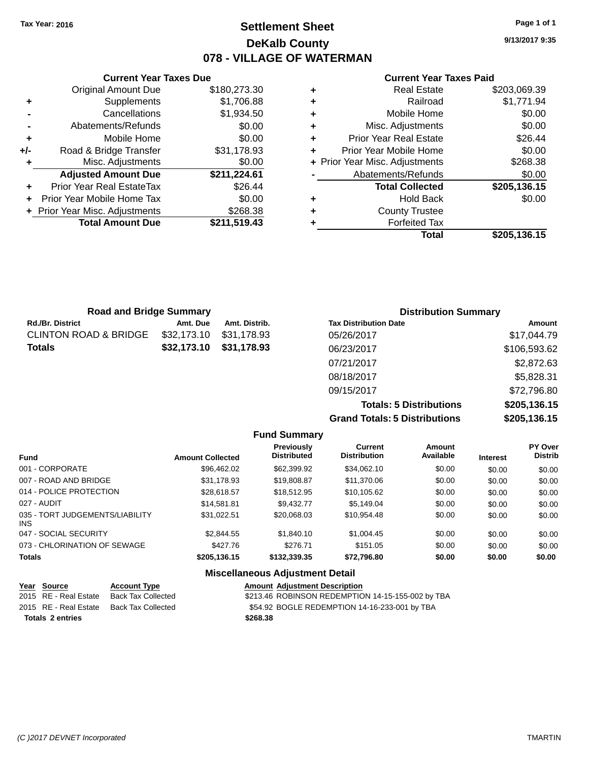# **Settlement Sheet Tax Year: 2016 Page 1 of 1 DeKalb County 078 - VILLAGE OF WATERMAN**

**9/13/2017 9:35**

#### **Current Year Taxes Paid**

|     | <b>Current Year Taxes Due</b>              |              |  |  |  |  |
|-----|--------------------------------------------|--------------|--|--|--|--|
|     | <b>Original Amount Due</b><br>\$180,273.30 |              |  |  |  |  |
| ٠   | Supplements                                | \$1,706.88   |  |  |  |  |
|     | Cancellations                              | \$1,934.50   |  |  |  |  |
|     | Abatements/Refunds                         | \$0.00       |  |  |  |  |
| ٠   | Mobile Home                                | \$0.00       |  |  |  |  |
| +/- | Road & Bridge Transfer                     | \$31,178.93  |  |  |  |  |
|     | Misc. Adjustments                          | \$0.00       |  |  |  |  |
|     | <b>Adjusted Amount Due</b>                 | \$211,224.61 |  |  |  |  |
|     | Prior Year Real EstateTax                  | \$26.44      |  |  |  |  |
|     | Prior Year Mobile Home Tax                 | \$0.00       |  |  |  |  |
|     | + Prior Year Misc. Adjustments             | \$268.38     |  |  |  |  |
|     | <b>Total Amount Due</b>                    | \$211,519.43 |  |  |  |  |
|     |                                            |              |  |  |  |  |

| <b>Real Estate</b>             | \$203,069.39 |
|--------------------------------|--------------|
| Railroad                       | \$1,771.94   |
| Mobile Home                    | \$0.00       |
| Misc. Adjustments              | \$0.00       |
| <b>Prior Year Real Estate</b>  | \$26.44      |
| Prior Year Mobile Home         | \$0.00       |
| + Prior Year Misc. Adjustments | \$268.38     |
| Abatements/Refunds             | \$0.00       |
| <b>Total Collected</b>         | \$205,136.15 |
| <b>Hold Back</b>               | \$0.00       |
| <b>County Trustee</b>          |              |
| <b>Forfeited Tax</b>           |              |
| Total                          | \$205,136.15 |
|                                |              |

| <b>Road and Bridge Summary</b>   |             | <b>Distribution Summary</b> |                              |              |
|----------------------------------|-------------|-----------------------------|------------------------------|--------------|
| Rd./Br. District                 | Amt. Due    | Amt. Distrib.               | <b>Tax Distribution Date</b> | Amount       |
| <b>CLINTON ROAD &amp; BRIDGE</b> | \$32,173.10 | \$31,178.93                 | 05/26/2017                   | \$17,044.79  |
| Totals                           | \$32,173.10 | \$31,178.93                 | 06/23/2017                   | \$106,593.62 |
|                                  |             |                             | 07/21/2017                   | \$2,872.63   |
|                                  |             |                             | 08/18/2017                   | \$5,828.31   |
|                                  |             |                             | 09/15/2017                   | \$72,796.80  |

**Totals: 5 Distributions \$205,136.15 Grand Totals: 5 Distributions \$205,136.15**

|                                         |                         | <b>Fund Summary</b>                                  |                                       |                            |                 |                                  |
|-----------------------------------------|-------------------------|------------------------------------------------------|---------------------------------------|----------------------------|-----------------|----------------------------------|
| <b>Fund</b>                             | <b>Amount Collected</b> | <b>Previously</b><br><b>Distributed</b>              | <b>Current</b><br><b>Distribution</b> | <b>Amount</b><br>Available | <b>Interest</b> | <b>PY Over</b><br><b>Distrib</b> |
| 001 - CORPORATE                         | \$96.462.02             | \$62,399.92                                          | \$34.062.10                           | \$0.00                     | \$0.00          | \$0.00                           |
| 007 - ROAD AND BRIDGE                   | \$31,178.93             | \$19,808.87                                          | \$11,370.06                           | \$0.00                     | \$0.00          | \$0.00                           |
| 014 - POLICE PROTECTION                 | \$28,618.57             | \$18,512.95                                          | \$10.105.62                           | \$0.00                     | \$0.00          | \$0.00                           |
| 027 - AUDIT                             | \$14.581.81             | \$9.432.77                                           | \$5.149.04                            | \$0.00                     | \$0.00          | \$0.00                           |
| 035 - TORT JUDGEMENTS/LIABILITY<br>INS. | \$31.022.51             | \$20.068.03                                          | \$10.954.48                           | \$0.00                     | \$0.00          | \$0.00                           |
| 047 - SOCIAL SECURITY                   | \$2.844.55              | \$1,840.10                                           | \$1,004.45                            | \$0.00                     | \$0.00          | \$0.00                           |
| 073 - CHLORINATION OF SEWAGE            | \$427.76                | \$276.71                                             | \$151.05                              | \$0.00                     | \$0.00          | \$0.00                           |
| <b>Totals</b>                           | \$205,136.15            | \$132,339.35                                         | \$72,796.80                           | \$0.00                     | \$0.00          | \$0.00                           |
|                                         |                         | <b>Address Hotel Control Address Control Protect</b> |                                       |                            |                 |                                  |

| Year Source             | <b>Account Type</b> | <b>Amount Adjustment Description</b>              |
|-------------------------|---------------------|---------------------------------------------------|
| 2015 RE - Real Estate   | Back Tax Collected  | \$213.46 ROBINSON REDEMPTION 14-15-155-002 by TBA |
| 2015 RE - Real Estate   | Back Tax Collected  | \$54.92 BOGLE REDEMPTION 14-16-233-001 by TBA     |
| <b>Totals 2 entries</b> |                     | \$268.38                                          |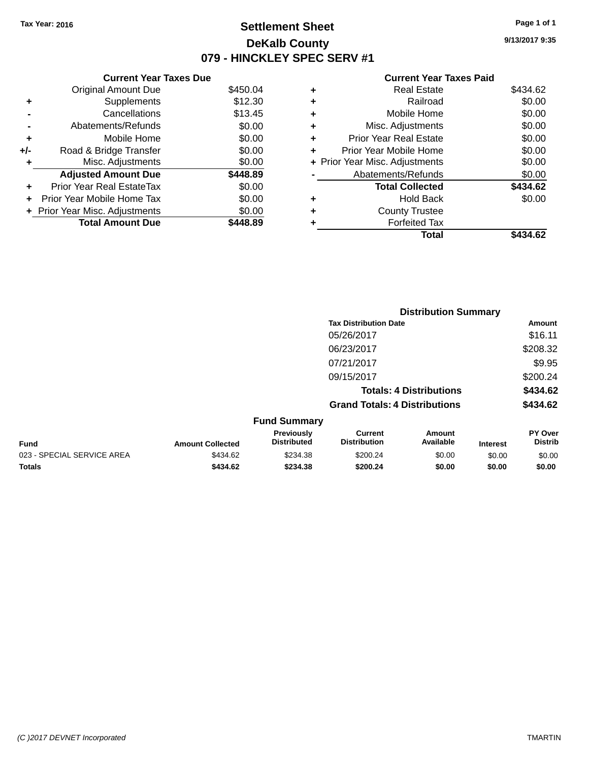# **Settlement Sheet Tax Year: 2016 Page 1 of 1 DeKalb County 079 - HINCKLEY SPEC SERV #1**

**9/13/2017 9:35**

## **Current Year Taxes Paid**

| <b>Current Year Taxes Due</b> |                                |
|-------------------------------|--------------------------------|
| <b>Original Amount Due</b>    | \$450.04                       |
| Supplements                   | \$12.30                        |
| Cancellations                 | \$13.45                        |
| Abatements/Refunds            | \$0.00                         |
| Mobile Home                   | \$0.00                         |
| Road & Bridge Transfer        | \$0.00                         |
| Misc. Adjustments             | \$0.00                         |
| <b>Adjusted Amount Due</b>    | \$448.89                       |
| Prior Year Real EstateTax     | \$0.00                         |
| Prior Year Mobile Home Tax    | \$0.00                         |
|                               | \$0.00                         |
| <b>Total Amount Due</b>       | 448.89                         |
|                               | + Prior Year Misc. Adjustments |

| ٠ | <b>Real Estate</b>             | \$434.62 |
|---|--------------------------------|----------|
| ٠ | Railroad                       | \$0.00   |
| ٠ | Mobile Home                    | \$0.00   |
| ٠ | Misc. Adjustments              | \$0.00   |
| ٠ | <b>Prior Year Real Estate</b>  | \$0.00   |
|   | Prior Year Mobile Home         | \$0.00   |
|   | + Prior Year Misc. Adjustments | \$0.00   |
|   | Abatements/Refunds             | \$0.00   |
|   | <b>Total Collected</b>         | \$434.62 |
| ٠ | Hold Back                      | \$0.00   |
| ٠ | <b>County Trustee</b>          |          |
| ٠ | <b>Forfeited Tax</b>           |          |
|   | Total                          | \$434.62 |
|   |                                |          |

|                            |                         |                                  | <b>Distribution Summary</b>           |                                |                 |                           |
|----------------------------|-------------------------|----------------------------------|---------------------------------------|--------------------------------|-----------------|---------------------------|
|                            |                         |                                  | <b>Tax Distribution Date</b>          |                                |                 | Amount                    |
|                            |                         |                                  | 05/26/2017                            |                                |                 | \$16.11                   |
|                            |                         |                                  | 06/23/2017                            |                                |                 | \$208.32                  |
|                            |                         |                                  | 07/21/2017                            |                                |                 | \$9.95                    |
|                            |                         |                                  | 09/15/2017                            |                                |                 | \$200.24                  |
|                            |                         |                                  |                                       | <b>Totals: 4 Distributions</b> |                 | \$434.62                  |
|                            |                         |                                  | <b>Grand Totals: 4 Distributions</b>  |                                |                 | \$434.62                  |
|                            |                         | <b>Fund Summary</b>              |                                       |                                |                 |                           |
| <b>Fund</b>                | <b>Amount Collected</b> | Previously<br><b>Distributed</b> | <b>Current</b><br><b>Distribution</b> | Amount<br>Available            | <b>Interest</b> | PY Over<br><b>Distrib</b> |
| 023 - SPECIAL SERVICE AREA | \$434.62                | \$234.38                         | \$200.24                              | \$0.00                         | \$0.00          | \$0.00                    |
| <b>Totals</b>              | \$434.62                | \$234.38                         | \$200.24                              | \$0.00                         | \$0.00          | \$0.00                    |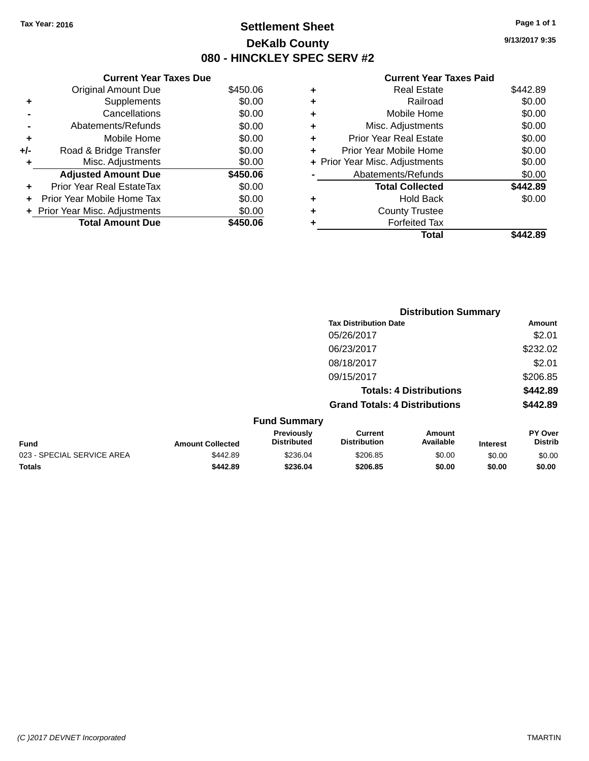# **Settlement Sheet Tax Year: 2016 Page 1 of 1 DeKalb County 080 - HINCKLEY SPEC SERV #2**

**9/13/2017 9:35**

#### **Current Year Taxes Paid**

|       | <b>Current Year Taxes Due</b>  |          |
|-------|--------------------------------|----------|
|       | <b>Original Amount Due</b>     | \$450.06 |
| ٠     | Supplements                    | \$0.00   |
|       | Cancellations                  | \$0.00   |
|       | Abatements/Refunds             | \$0.00   |
| ٠     | Mobile Home                    | \$0.00   |
| $+/-$ | Road & Bridge Transfer         | \$0.00   |
| ٠     | Misc. Adjustments              | \$0.00   |
|       | <b>Adjusted Amount Due</b>     | \$450.06 |
| ÷     | Prior Year Real EstateTax      | \$0.00   |
| ÷     | Prior Year Mobile Home Tax     | \$0.00   |
|       | + Prior Year Misc. Adjustments | \$0.00   |
|       | <b>Total Amount Due</b>        | \$450.06 |

|   | <b>Total</b>                   | \$442.89 |
|---|--------------------------------|----------|
| ٠ | <b>Forfeited Tax</b>           |          |
| ٠ | <b>County Trustee</b>          |          |
| ٠ | Hold Back                      | \$0.00   |
|   | <b>Total Collected</b>         | \$442.89 |
|   | Abatements/Refunds             | \$0.00   |
|   | + Prior Year Misc. Adjustments | \$0.00   |
| ٠ | Prior Year Mobile Home         | \$0.00   |
| ٠ | <b>Prior Year Real Estate</b>  | \$0.00   |
| ٠ | Misc. Adjustments              | \$0.00   |
| ٠ | Mobile Home                    | \$0.00   |
| ٠ | Railroad                       | \$0.00   |
| ٠ | <b>Real Estate</b>             | \$442.89 |
|   |                                |          |

|                            |                         |                                  | <b>Distribution Summary</b>          |                                |                 |                           |
|----------------------------|-------------------------|----------------------------------|--------------------------------------|--------------------------------|-----------------|---------------------------|
|                            |                         |                                  | <b>Tax Distribution Date</b>         |                                |                 | Amount                    |
|                            |                         |                                  | 05/26/2017                           |                                |                 | \$2.01                    |
|                            |                         |                                  | 06/23/2017                           |                                |                 | \$232.02                  |
|                            |                         |                                  | 08/18/2017                           |                                |                 | \$2.01                    |
|                            |                         |                                  | 09/15/2017                           |                                |                 | \$206.85                  |
|                            |                         |                                  |                                      | <b>Totals: 4 Distributions</b> |                 | \$442.89                  |
|                            |                         |                                  | <b>Grand Totals: 4 Distributions</b> |                                |                 | \$442.89                  |
|                            |                         | <b>Fund Summary</b>              |                                      |                                |                 |                           |
| <b>Fund</b>                | <b>Amount Collected</b> | Previously<br><b>Distributed</b> | Current<br><b>Distribution</b>       | Amount<br>Available            | <b>Interest</b> | PY Over<br><b>Distrib</b> |
| 023 - SPECIAL SERVICE AREA | \$442.89                | \$236.04                         | \$206.85                             | \$0.00                         | \$0.00          | \$0.00                    |
| <b>Totals</b>              | \$442.89                | \$236.04                         | \$206.85                             | \$0.00                         | \$0.00          | \$0.00                    |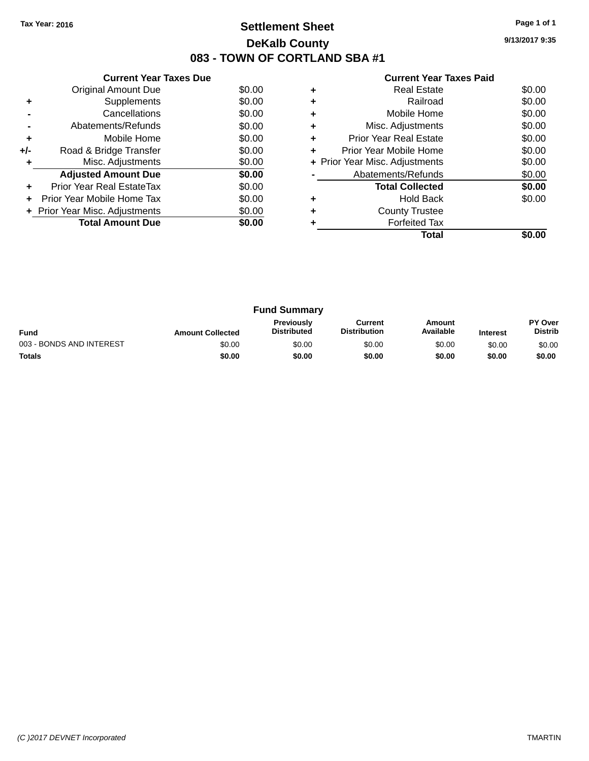# **Settlement Sheet Tax Year: 2016 Page 1 of 1 DeKalb County 083 - TOWN OF CORTLAND SBA #1**

**9/13/2017 9:35**

| <b>Current Year Taxes Paid</b> |  |  |  |
|--------------------------------|--|--|--|
|--------------------------------|--|--|--|

|     | <b>Current Year Taxes Due</b>  |        |
|-----|--------------------------------|--------|
|     | Original Amount Due            | \$0.00 |
| ٠   | Supplements                    | \$0.00 |
|     | Cancellations                  | \$0.00 |
|     | Abatements/Refunds             | \$0.00 |
| ٠   | Mobile Home                    | \$0.00 |
| +/- | Road & Bridge Transfer         | \$0.00 |
| ٠   | Misc. Adjustments              | \$0.00 |
|     | <b>Adjusted Amount Due</b>     | \$0.00 |
| ٠   | Prior Year Real EstateTax      | \$0.00 |
| ÷   | Prior Year Mobile Home Tax     | \$0.00 |
|     | + Prior Year Misc. Adjustments | \$0.00 |
|     | <b>Total Amount Due</b>        | \$0.00 |
|     |                                |        |

|   | <b>Real Estate</b>             | \$0.00 |
|---|--------------------------------|--------|
| ٠ | Railroad                       | \$0.00 |
| ٠ | Mobile Home                    | \$0.00 |
| ٠ | Misc. Adjustments              | \$0.00 |
| ٠ | <b>Prior Year Real Estate</b>  | \$0.00 |
| ٠ | Prior Year Mobile Home         | \$0.00 |
|   | + Prior Year Misc. Adjustments | \$0.00 |
|   | Abatements/Refunds             | \$0.00 |
|   | <b>Total Collected</b>         | \$0.00 |
| ٠ | <b>Hold Back</b>               | \$0.00 |
| ÷ | <b>County Trustee</b>          |        |
|   | <b>Forfeited Tax</b>           |        |
|   | Total                          |        |

|                          |                         | <b>Fund Summary</b>                     |                                |                     |                 |                                  |
|--------------------------|-------------------------|-----------------------------------------|--------------------------------|---------------------|-----------------|----------------------------------|
| <b>Fund</b>              | <b>Amount Collected</b> | <b>Previously</b><br><b>Distributed</b> | Current<br><b>Distribution</b> | Amount<br>Available | <b>Interest</b> | <b>PY Over</b><br><b>Distrib</b> |
| 003 - BONDS AND INTEREST | \$0.00                  | \$0.00                                  | \$0.00                         | \$0.00              | \$0.00          | \$0.00                           |
| <b>Totals</b>            | \$0.00                  | \$0.00                                  | \$0.00                         | \$0.00              | \$0.00          | \$0.00                           |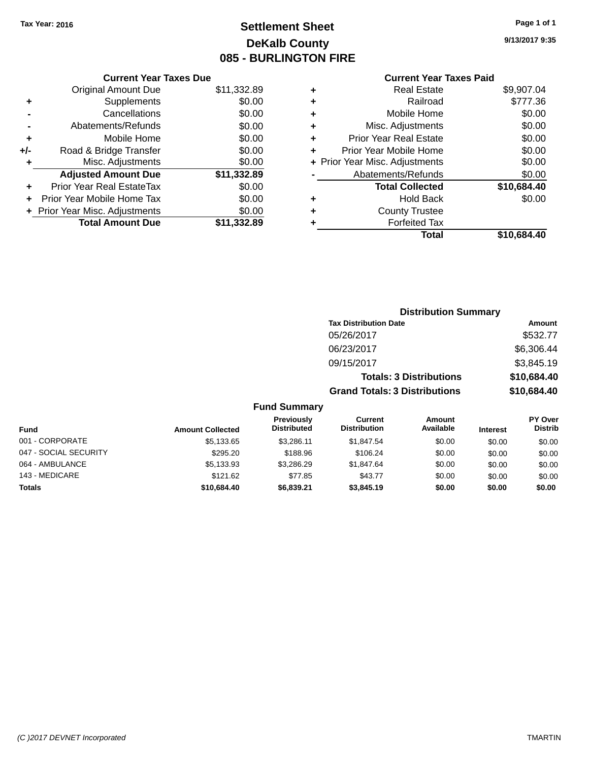# **Settlement Sheet Tax Year: 2016 Page 1 of 1 DeKalb County 085 - BURLINGTON FIRE**

| <b>Current Year Taxes Due</b>  |             |
|--------------------------------|-------------|
| <b>Original Amount Due</b>     | \$11,332.89 |
| Supplements                    | \$0.00      |
| Cancellations                  | \$0.00      |
| Abatements/Refunds             | \$0.00      |
| Mobile Home                    | \$0.00      |
| Road & Bridge Transfer         | \$0.00      |
| Misc. Adjustments              | \$0.00      |
| <b>Adjusted Amount Due</b>     | \$11,332.89 |
| Prior Year Real EstateTax      | \$0.00      |
| Prior Year Mobile Home Tax     | \$0.00      |
| + Prior Year Misc. Adjustments | \$0.00      |
| <b>Total Amount Due</b>        | \$11.332.89 |
|                                |             |

#### **Current Year Taxes Paid +** Real Estate \$9,907.04

|   | Total                          | \$10,684.40              |
|---|--------------------------------|--------------------------|
| ٠ | <b>Forfeited Tax</b>           |                          |
| ÷ | <b>County Trustee</b>          |                          |
| ٠ | <b>Hold Back</b>               | \$0.00                   |
|   | <b>Total Collected</b>         | \$10,684.40              |
|   | Abatements/Refunds             | \$0.00                   |
|   | + Prior Year Misc. Adjustments | \$0.00                   |
|   | Prior Year Mobile Home         | \$0.00                   |
| ٠ | <b>Prior Year Real Estate</b>  | \$0.00                   |
| ٠ | Misc. Adjustments              | \$0.00                   |
| ٠ | Mobile Home                    | \$0.00                   |
| ÷ | Railroad                       | \$777.36                 |
| т | ngal Lolal <del>o</del>        | <del>,,,,,,,,,,,,,</del> |

| Amount      |
|-------------|
| \$532.77    |
| \$6,306.44  |
| \$3,845.19  |
| \$10,684.40 |
| \$10,684.40 |
|             |

#### **Fund Summary**

| <b>Fund</b>           | <b>Amount Collected</b> | Previously<br><b>Distributed</b> | Current<br><b>Distribution</b> | <b>Amount</b><br>Available | <b>Interest</b> | <b>PY Over</b><br><b>Distrib</b> |
|-----------------------|-------------------------|----------------------------------|--------------------------------|----------------------------|-----------------|----------------------------------|
| 001 - CORPORATE       | \$5,133.65              | \$3.286.11                       | \$1.847.54                     | \$0.00                     | \$0.00          | \$0.00                           |
| 047 - SOCIAL SECURITY | \$295.20                | \$188.96                         | \$106.24                       | \$0.00                     | \$0.00          | \$0.00                           |
| 064 - AMBULANCE       | \$5,133.93              | \$3.286.29                       | \$1.847.64                     | \$0.00                     | \$0.00          | \$0.00                           |
| 143 - MEDICARE        | \$121.62                | \$77.85                          | \$43.77                        | \$0.00                     | \$0.00          | \$0.00                           |
| <b>Totals</b>         | \$10,684.40             | \$6,839,21                       | \$3,845.19                     | \$0.00                     | \$0.00          | \$0.00                           |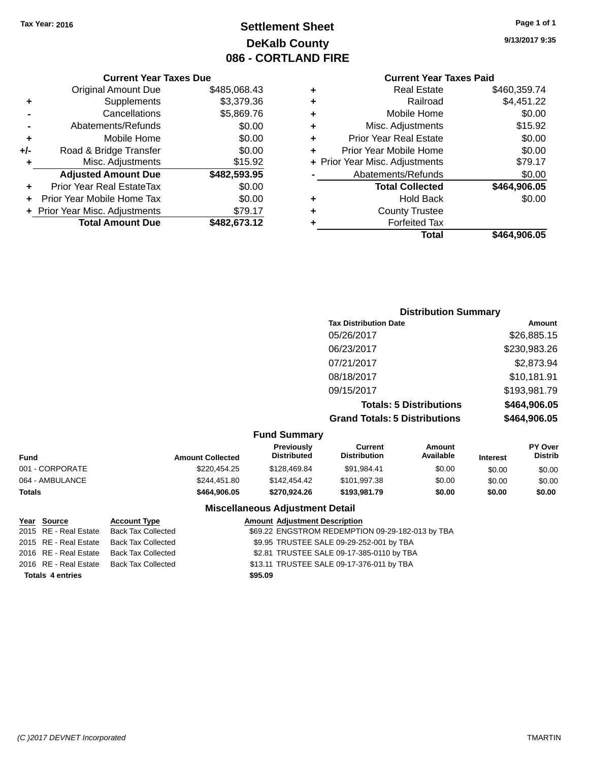# **Settlement Sheet Tax Year: 2016 Page 1 of 1 DeKalb County 086 - CORTLAND FIRE**

**9/13/2017 9:35**

## **Current Year Taxes Paid**

|     | <b>Current Year Taxes Due</b>  |              |
|-----|--------------------------------|--------------|
|     | <b>Original Amount Due</b>     | \$485,068.43 |
| ٠   | Supplements                    | \$3,379.36   |
|     | Cancellations                  | \$5,869.76   |
|     | Abatements/Refunds             | \$0.00       |
| ٠   | Mobile Home                    | \$0.00       |
| +/- | Road & Bridge Transfer         | \$0.00       |
| ٠   | Misc. Adjustments              | \$15.92      |
|     | <b>Adjusted Amount Due</b>     | \$482,593.95 |
| ٠   | Prior Year Real EstateTax      | \$0.00       |
|     | Prior Year Mobile Home Tax     | \$0.00       |
|     | + Prior Year Misc. Adjustments | \$79.17      |
|     | <b>Total Amount Due</b>        | \$482,673.12 |
|     |                                |              |

|   | <b>Real Estate</b>             | \$460,359.74 |
|---|--------------------------------|--------------|
| ٠ | Railroad                       | \$4,451.22   |
| ٠ | Mobile Home                    | \$0.00       |
| ٠ | Misc. Adjustments              | \$15.92      |
| ٠ | <b>Prior Year Real Estate</b>  | \$0.00       |
| ٠ | Prior Year Mobile Home         | \$0.00       |
|   | + Prior Year Misc. Adjustments | \$79.17      |
|   | Abatements/Refunds             | \$0.00       |
|   | <b>Total Collected</b>         | \$464,906.05 |
| ٠ | Hold Back                      | \$0.00       |
| ٠ | <b>County Trustee</b>          |              |
| ٠ | <b>Forfeited Tax</b>           |              |
|   | Total                          | \$464,906.05 |
|   |                                |              |

## **Distribution Summary Tax Distribution Date Amount** 05/26/2017 \$26,885.15 06/23/2017 \$230,983.26 07/21/2017 \$2,873.94 08/18/2017 \$10,181.91 09/15/2017 \$193,981.79 **Totals: 5 Distributions \$464,906.05 Grand Totals: 5 Distributions \$464,906.05**

|                 |                         | <b>Fund Summary</b>              |                                |                     |                 |                                  |
|-----------------|-------------------------|----------------------------------|--------------------------------|---------------------|-----------------|----------------------------------|
| Fund            | <b>Amount Collected</b> | Previously<br><b>Distributed</b> | Current<br><b>Distribution</b> | Amount<br>Available | <b>Interest</b> | <b>PY Over</b><br><b>Distrib</b> |
| 001 - CORPORATE | \$220,454.25            | \$128,469.84                     | \$91.984.41                    | \$0.00              | \$0.00          | \$0.00                           |
| 064 - AMBULANCE | \$244.451.80            | \$142,454.42                     | \$101.997.38                   | \$0.00              | \$0.00          | \$0.00                           |
| <b>Totals</b>   | \$464,906.05            | \$270,924.26                     | \$193,981.79                   | \$0.00              | \$0.00          | \$0.00                           |

| Year Source             | <b>Account Type</b>       |         | <b>Amount Adjustment Description</b>             |
|-------------------------|---------------------------|---------|--------------------------------------------------|
| 2015 RE - Real Estate   | <b>Back Tax Collected</b> |         | \$69.22 ENGSTROM REDEMPTION 09-29-182-013 by TBA |
| 2015 RE - Real Estate   | Back Tax Collected        |         | \$9.95 TRUSTEE SALE 09-29-252-001 by TBA         |
| 2016 RE - Real Estate   | <b>Back Tax Collected</b> |         | \$2.81 TRUSTEE SALE 09-17-385-0110 by TBA        |
| 2016 RE - Real Estate   | Back Tax Collected        |         | \$13.11 TRUSTEE SALE 09-17-376-011 by TBA        |
| <b>Totals 4 entries</b> |                           | \$95.09 |                                                  |
|                         |                           |         |                                                  |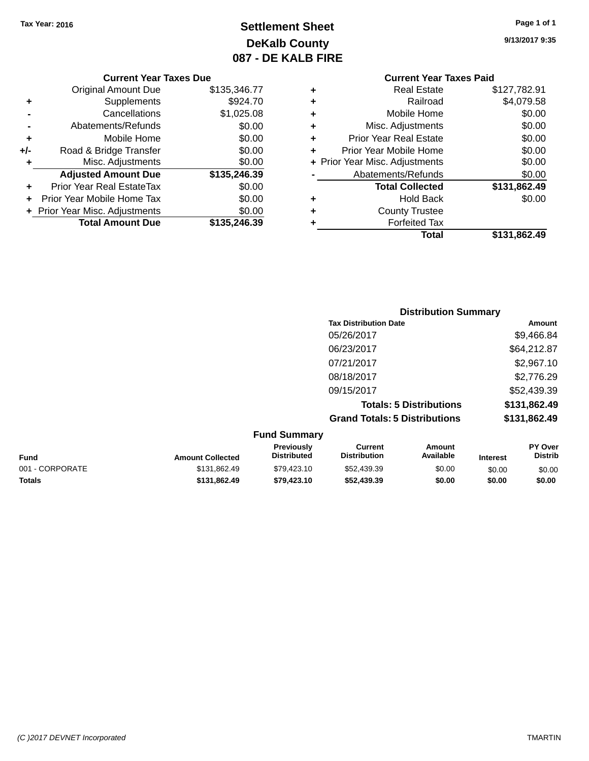# **Settlement Sheet Tax Year: 2016 Page 1 of 1 DeKalb County 087 - DE KALB FIRE**

**9/13/2017 9:35**

|  | <b>Current Year Taxes Due</b> |  |  |  |
|--|-------------------------------|--|--|--|
|--|-------------------------------|--|--|--|

|       | <b>Original Amount Due</b>     | \$135,346.77 |
|-------|--------------------------------|--------------|
| ٠     | Supplements                    | \$924.70     |
|       | Cancellations                  | \$1,025.08   |
|       | Abatements/Refunds             | \$0.00       |
| ٠     | Mobile Home                    | \$0.00       |
| $+/-$ | Road & Bridge Transfer         | \$0.00       |
| ٠     | Misc. Adjustments              | \$0.00       |
|       | <b>Adjusted Amount Due</b>     | \$135,246.39 |
| ÷     | Prior Year Real EstateTax      | \$0.00       |
|       | Prior Year Mobile Home Tax     | \$0.00       |
|       | + Prior Year Misc. Adjustments | \$0.00       |
|       | <b>Total Amount Due</b>        | \$135,246.39 |

# **Current Year Taxes Paid +** Real Estate \$127,782.91 **+** Railroad \$4,079.58 **+** Mobile Home \$0.00 **+** Misc. Adjustments \$0.00

|   | Total                          | \$131,862.49 |
|---|--------------------------------|--------------|
|   | <b>Forfeited Tax</b>           |              |
| ÷ | <b>County Trustee</b>          |              |
|   | <b>Hold Back</b>               | \$0.00       |
|   | <b>Total Collected</b>         | \$131,862.49 |
|   | Abatements/Refunds             | \$0.00       |
|   | + Prior Year Misc. Adjustments | \$0.00       |
|   | Prior Year Mobile Home         | \$0.00       |
|   | <b>Prior Year Real Estate</b>  | \$0.00       |

| <b>Distribution Summary</b>          |              |
|--------------------------------------|--------------|
| <b>Tax Distribution Date</b>         | Amount       |
| 05/26/2017                           | \$9,466.84   |
| 06/23/2017                           | \$64,212.87  |
| 07/21/2017                           | \$2,967.10   |
| 08/18/2017                           | \$2,776.29   |
| 09/15/2017                           | \$52,439.39  |
| <b>Totals: 5 Distributions</b>       | \$131,862.49 |
| <b>Grand Totals: 5 Distributions</b> | \$131,862.49 |

| <b>Fund Summary</b> |                         |                           |                                |                     |                 |                           |
|---------------------|-------------------------|---------------------------|--------------------------------|---------------------|-----------------|---------------------------|
| Fund                | <b>Amount Collected</b> | Previously<br>Distributed | Current<br><b>Distribution</b> | Amount<br>Available | <b>Interest</b> | PY Over<br><b>Distrib</b> |
| 001 - CORPORATE     | \$131,862.49            | \$79,423.10               | \$52,439.39                    | \$0.00              | \$0.00          | \$0.00                    |
| <b>Totals</b>       | \$131.862.49            | \$79,423.10               | \$52,439,39                    | \$0.00              | \$0.00          | \$0.00                    |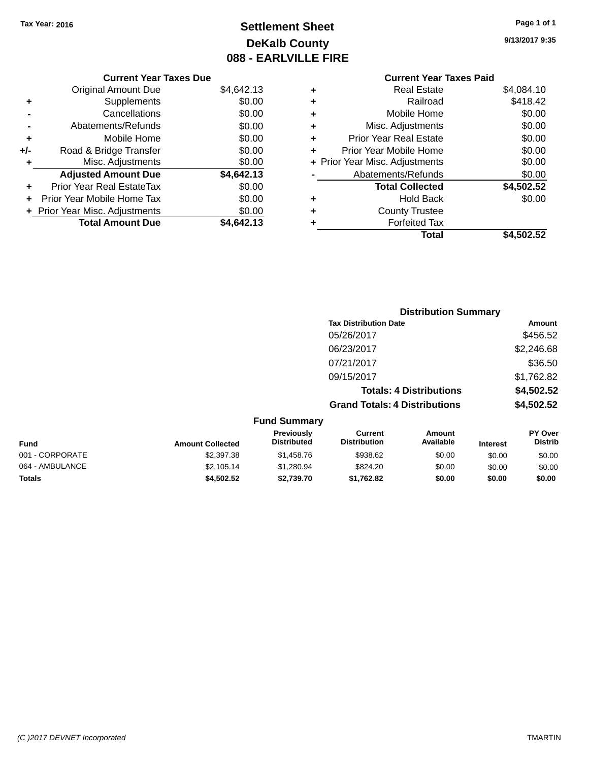# **Settlement Sheet Tax Year: 2016 Page 1 of 1 DeKalb County 088 - EARLVILLE FIRE**

**9/13/2017 9:35**

|     | <b>Current Year Taxes Due</b> |            |  |  |  |
|-----|-------------------------------|------------|--|--|--|
|     | <b>Original Amount Due</b>    | \$4,642.13 |  |  |  |
| ٠   | Supplements                   | \$0.00     |  |  |  |
|     | Cancellations                 | \$0.00     |  |  |  |
|     | Abatements/Refunds            | \$0.00     |  |  |  |
| ٠   | Mobile Home                   | \$0.00     |  |  |  |
| +/- | Road & Bridge Transfer        | \$0.00     |  |  |  |
| ٠   | Misc. Adjustments             | \$0.00     |  |  |  |
|     | <b>Adjusted Amount Due</b>    | \$4,642.13 |  |  |  |
| ٠   | Prior Year Real EstateTax     | \$0.00     |  |  |  |
|     | Prior Year Mobile Home Tax    | \$0.00     |  |  |  |
|     | Prior Year Misc. Adjustments  | \$0.00     |  |  |  |
|     | <b>Total Amount Due</b>       | \$4,642.13 |  |  |  |
|     |                               |            |  |  |  |

## **Current Year Taxes Paid +** Real Estate \$4,084.10 **+** Railroad \$418.42 **+** Mobile Home \$0.00 **+** Misc. Adjustments \$0.00 **+** Prior Year Real Estate \$0.00 **+** Prior Year Mobile Home \$0.00 **+ Prior Year Misc. Adjustments**  $$0.00$ **-** Abatements/Refunds \$0.00 **Total Collected \$4,502.52 +** Hold Back \$0.00 **+** County Trustee **+** Forfeited Tax **Total \$4,502.52**

|                 |                         |                                  | <b>Distribution Summary</b>           |                                |                 |                                  |
|-----------------|-------------------------|----------------------------------|---------------------------------------|--------------------------------|-----------------|----------------------------------|
|                 |                         |                                  | <b>Tax Distribution Date</b>          |                                |                 | Amount                           |
|                 |                         |                                  | 05/26/2017                            |                                |                 | \$456.52                         |
|                 |                         |                                  | 06/23/2017                            |                                |                 | \$2,246.68                       |
|                 |                         |                                  | 07/21/2017                            |                                |                 | \$36.50                          |
|                 |                         |                                  | 09/15/2017                            |                                |                 | \$1,762.82                       |
|                 |                         |                                  |                                       | <b>Totals: 4 Distributions</b> |                 | \$4,502.52                       |
|                 |                         |                                  | <b>Grand Totals: 4 Distributions</b>  |                                |                 | \$4,502.52                       |
|                 |                         | <b>Fund Summary</b>              |                                       |                                |                 |                                  |
| Fund            | <b>Amount Collected</b> | Previously<br><b>Distributed</b> | <b>Current</b><br><b>Distribution</b> | <b>Amount</b><br>Available     | <b>Interest</b> | <b>PY Over</b><br><b>Distrib</b> |
| 001 - CORPORATE | \$2,397.38              | \$1,458.76                       | \$938.62                              | \$0.00                         | \$0.00          | \$0.00                           |
| 064 - AMBULANCE | \$2,105.14              | \$1,280.94                       | \$824.20                              | \$0.00                         | \$0.00          | \$0.00                           |
| <b>Totals</b>   | \$4,502.52              | \$2,739.70                       | \$1,762.82                            | \$0.00                         | \$0.00          | \$0.00                           |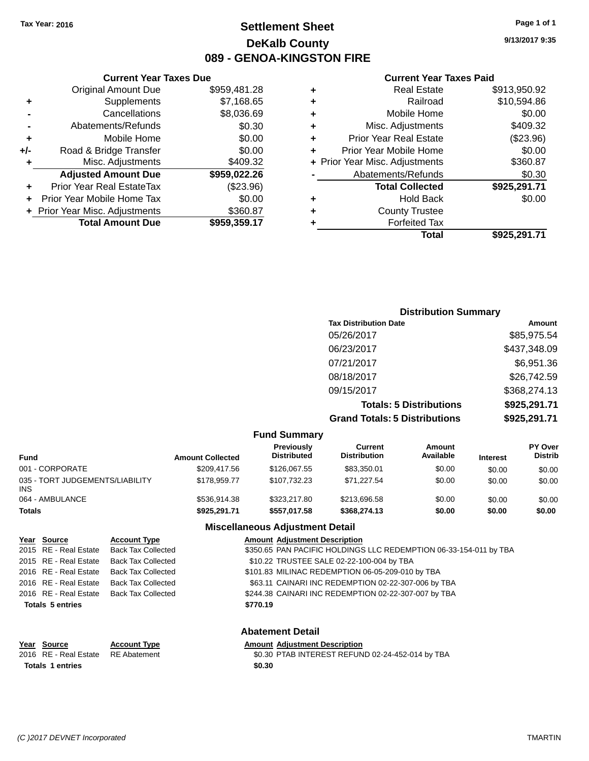# **Settlement Sheet Tax Year: 2016 Page 1 of 1 DeKalb County 089 - GENOA-KINGSTON FIRE**

**9/13/2017 9:35**

#### **Current Year Taxes Paid**

|   | Total                          | \$925.291.71 |
|---|--------------------------------|--------------|
| ٠ | <b>Forfeited Tax</b>           |              |
| ٠ | <b>County Trustee</b>          |              |
| ٠ | <b>Hold Back</b>               | \$0.00       |
|   | <b>Total Collected</b>         | \$925,291.71 |
|   | Abatements/Refunds             | \$0.30       |
|   | + Prior Year Misc. Adjustments | \$360.87     |
| ٠ | Prior Year Mobile Home         | \$0.00       |
| ٠ | <b>Prior Year Real Estate</b>  | (\$23.96)    |
| ٠ | Misc. Adjustments              | \$409.32     |
| ٠ | Mobile Home                    | \$0.00       |
| ٠ | Railroad                       | \$10,594.86  |
| ٠ | <b>Real Estate</b>             | \$913,950.92 |
|   |                                |              |

|     | <b>Current Year Taxes Due</b>    |              |
|-----|----------------------------------|--------------|
|     | <b>Original Amount Due</b>       | \$959,481.28 |
| ٠   | Supplements                      | \$7,168.65   |
|     | Cancellations                    | \$8,036.69   |
|     | Abatements/Refunds               | \$0.30       |
| ٠   | Mobile Home                      | \$0.00       |
| +/- | Road & Bridge Transfer           | \$0.00       |
| ٠   | Misc. Adjustments                | \$409.32     |
|     | <b>Adjusted Amount Due</b>       | \$959,022.26 |
|     | <b>Prior Year Real EstateTax</b> | (\$23.96)    |
|     | Prior Year Mobile Home Tax       | \$0.00       |
|     | + Prior Year Misc. Adjustments   | \$360.87     |
|     | <b>Total Amount Due</b>          | \$959,359.17 |

| <b>Distribution Summary</b>          |              |
|--------------------------------------|--------------|
| <b>Tax Distribution Date</b>         | Amount       |
| 05/26/2017                           | \$85,975.54  |
| 06/23/2017                           | \$437,348.09 |
| 07/21/2017                           | \$6,951.36   |
| 08/18/2017                           | \$26,742.59  |
| 09/15/2017                           | \$368,274.13 |
| <b>Totals: 5 Distributions</b>       | \$925,291.71 |
| <b>Grand Totals: 5 Distributions</b> | \$925,291.71 |

|                                        |                         | <b>Fund Summary</b>              |                                |                     |                 |                           |
|----------------------------------------|-------------------------|----------------------------------|--------------------------------|---------------------|-----------------|---------------------------|
| Fund                                   | <b>Amount Collected</b> | Previously<br><b>Distributed</b> | Current<br><b>Distribution</b> | Amount<br>Available | <b>Interest</b> | PY Over<br><b>Distrib</b> |
| 001 - CORPORATE                        | \$209.417.56            | \$126,067.55                     | \$83.350.01                    | \$0.00              | \$0.00          | \$0.00                    |
| 035 - TORT JUDGEMENTS/LIABILITY<br>INS | \$178,959.77            | \$107.732.23                     | \$71.227.54                    | \$0.00              | \$0.00          | \$0.00                    |
| 064 - AMBULANCE                        | \$536.914.38            | \$323.217.80                     | \$213,696.58                   | \$0.00              | \$0.00          | \$0.00                    |
| <b>Totals</b>                          | \$925.291.71            | \$557.017.58                     | \$368,274.13                   | \$0.00              | \$0.00          | \$0.00                    |

#### **Miscellaneous Adjustment Detail**

| Year Source             | <b>Account Type</b>                      |          | <b>Amount Adjustment Description</b>                              |
|-------------------------|------------------------------------------|----------|-------------------------------------------------------------------|
| 2015 RE - Real Estate   | Back Tax Collected                       |          | \$350.65 PAN PACIFIC HOLDINGS LLC REDEMPTION 06-33-154-011 by TBA |
| 2015 RE - Real Estate   | Back Tax Collected                       |          | \$10.22 TRUSTEE SALE 02-22-100-004 by TBA                         |
| 2016 RE - Real Estate   | <b>Back Tax Collected</b>                |          | \$101.83 MILINAC REDEMPTION 06-05-209-010 by TBA                  |
| 2016 RE - Real Estate   | <b>Back Tax Collected</b>                |          | \$63.11 CAINARI INC REDEMPTION 02-22-307-006 by TBA               |
|                         | 2016 RE - Real Estate Back Tax Collected |          | \$244.38 CAINARI INC REDEMPTION 02-22-307-007 by TBA              |
| <b>Totals 5 entries</b> |                                          | \$770.19 |                                                                   |
|                         |                                          |          | <b>Abatement Detail</b>                                           |
|                         |                                          |          |                                                                   |

# **Year Source Account Type Account Type Amount Adjustment Description**<br>2016 RE - Real Estate RE Abatement **Account 1998 AMOUNTEREST REFUN Totals 1 entries** \$0.30

\$0.30 PTAB INTEREST REFUND 02-24-452-014 by TBA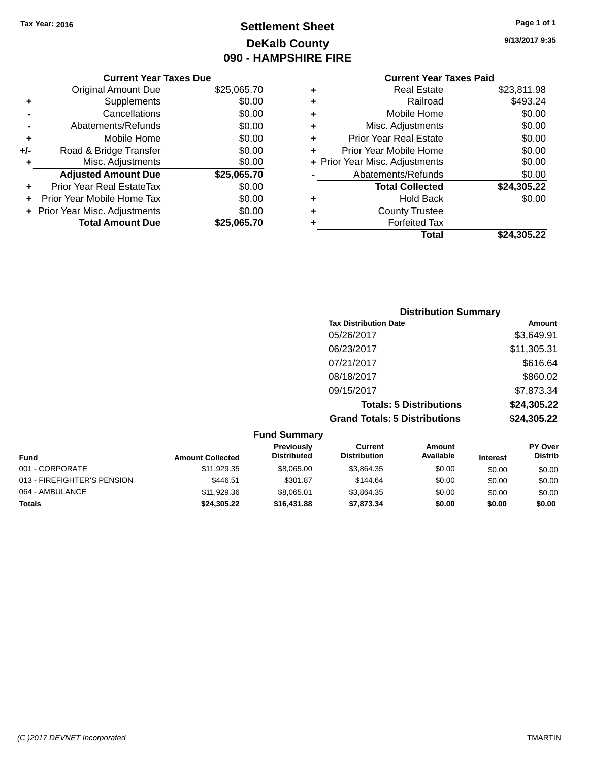# **Settlement Sheet Tax Year: 2016 Page 1 of 1 DeKalb County 090 - HAMPSHIRE FIRE**

**9/13/2017 9:35**

# **Current Year Taxes Paid**

|       | <b>Current Year Taxes Due</b>  |             |
|-------|--------------------------------|-------------|
|       | <b>Original Amount Due</b>     | \$25,065.70 |
| ٠     | Supplements                    | \$0.00      |
|       | Cancellations                  | \$0.00      |
|       | Abatements/Refunds             | \$0.00      |
| ٠     | Mobile Home                    | \$0.00      |
| $+/-$ | Road & Bridge Transfer         | \$0.00      |
| ٠     | Misc. Adjustments              | \$0.00      |
|       | <b>Adjusted Amount Due</b>     | \$25,065.70 |
|       | Prior Year Real EstateTax      | \$0.00      |
|       | Prior Year Mobile Home Tax     | \$0.00      |
|       | + Prior Year Misc. Adjustments | \$0.00      |
|       | <b>Total Amount Due</b>        | \$25.065.70 |

|   | <b>Real Estate</b>             | \$23,811.98 |
|---|--------------------------------|-------------|
| ٠ | Railroad                       | \$493.24    |
| ٠ | Mobile Home                    | \$0.00      |
| ٠ | Misc. Adjustments              | \$0.00      |
| ٠ | <b>Prior Year Real Estate</b>  | \$0.00      |
| ÷ | Prior Year Mobile Home         | \$0.00      |
|   | + Prior Year Misc. Adjustments | \$0.00      |
|   | Abatements/Refunds             | \$0.00      |
|   | <b>Total Collected</b>         | \$24,305.22 |
| ٠ | <b>Hold Back</b>               | \$0.00      |
| ٠ | <b>County Trustee</b>          |             |
|   | <b>Forfeited Tax</b>           |             |
|   | Total                          | \$24,305.22 |
|   |                                |             |

| <b>Distribution Summary</b>          |             |
|--------------------------------------|-------------|
| <b>Tax Distribution Date</b>         | Amount      |
| 05/26/2017                           | \$3,649.91  |
| 06/23/2017                           | \$11,305.31 |
| 07/21/2017                           | \$616.64    |
| 08/18/2017                           | \$860.02    |
| 09/15/2017                           | \$7,873.34  |
| <b>Totals: 5 Distributions</b>       | \$24,305.22 |
| <b>Grand Totals: 5 Distributions</b> | \$24,305.22 |

|                             |                         | <b>Fund Summary</b>                     |                                |                            |                 |                           |
|-----------------------------|-------------------------|-----------------------------------------|--------------------------------|----------------------------|-----------------|---------------------------|
| <b>Fund</b>                 | <b>Amount Collected</b> | <b>Previously</b><br><b>Distributed</b> | Current<br><b>Distribution</b> | <b>Amount</b><br>Available | <b>Interest</b> | PY Over<br><b>Distrib</b> |
| 001 - CORPORATE             | \$11,929.35             | \$8,065,00                              | \$3.864.35                     | \$0.00                     | \$0.00          | \$0.00                    |
| 013 - FIREFIGHTER'S PENSION | \$446.51                | \$301.87                                | \$144.64                       | \$0.00                     | \$0.00          | \$0.00                    |
| 064 - AMBULANCE             | \$11,929.36             | \$8,065.01                              | \$3,864.35                     | \$0.00                     | \$0.00          | \$0.00                    |
| <b>Totals</b>               | \$24,305.22             | \$16,431.88                             | \$7,873.34                     | \$0.00                     | \$0.00          | \$0.00                    |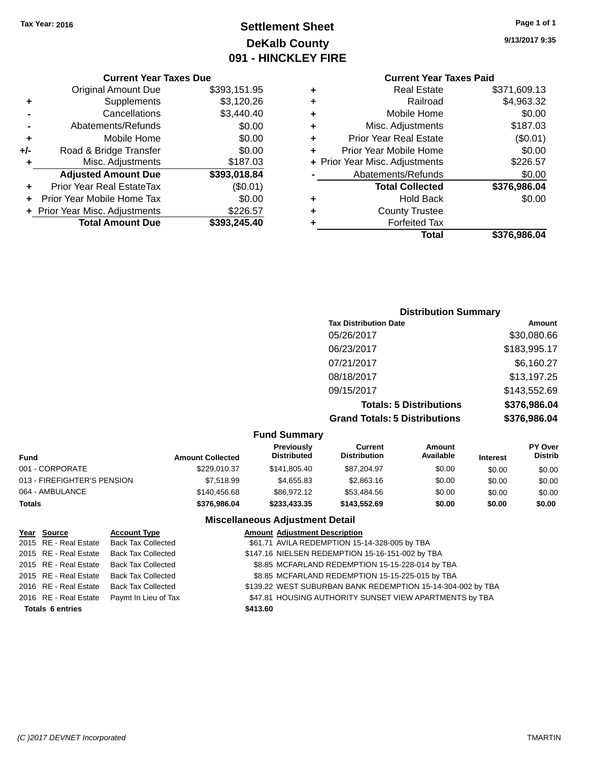# **Settlement Sheet Tax Year: 2016 Page 1 of 1 DeKalb County 091 - HINCKLEY FIRE**

**9/13/2017 9:35**

### **Current Year Taxes Paid**

|     | <b>Current Year Taxes Due</b>  |              |
|-----|--------------------------------|--------------|
|     | <b>Original Amount Due</b>     | \$393,151.95 |
| ٠   | Supplements                    | \$3,120.26   |
|     | Cancellations                  | \$3,440.40   |
|     | Abatements/Refunds             | \$0.00       |
| ٠   | Mobile Home                    | \$0.00       |
| +/- | Road & Bridge Transfer         | \$0.00       |
| ٠   | Misc. Adjustments              | \$187.03     |
|     | <b>Adjusted Amount Due</b>     | \$393,018.84 |
| ٠   | Prior Year Real EstateTax      | (\$0.01)     |
| ÷   | Prior Year Mobile Home Tax     | \$0.00       |
|     | + Prior Year Misc. Adjustments | \$226.57     |
|     | <b>Total Amount Due</b>        | \$393,245.40 |
|     |                                |              |

| ٠ | <b>Real Estate</b>             | \$371,609.13 |
|---|--------------------------------|--------------|
| ٠ | Railroad                       | \$4,963.32   |
| ٠ | Mobile Home                    | \$0.00       |
| ٠ | Misc. Adjustments              | \$187.03     |
| ٠ | <b>Prior Year Real Estate</b>  | (\$0.01)     |
| ÷ | Prior Year Mobile Home         | \$0.00       |
|   | + Prior Year Misc. Adjustments | \$226.57     |
|   | Abatements/Refunds             | \$0.00       |
|   | <b>Total Collected</b>         | \$376,986.04 |
| ٠ | <b>Hold Back</b>               | \$0.00       |
| ÷ | <b>County Trustee</b>          |              |
| ٠ | <b>Forfeited Tax</b>           |              |
|   | Total                          | \$376,986.04 |
|   |                                |              |

## **Distribution Summary Tax Distribution Date Amount** 05/26/2017 \$30,080.66 06/23/2017 \$183,995.17 07/21/2017 \$6,160.27 08/18/2017 \$13,197.25 09/15/2017 \$143,552.69 **Totals: 5 Distributions \$376,986.04 Grand Totals: 5 Distributions \$376,986.04**

|                             |                         | <b>Fund Summary</b>              |                                |                     |                 |                                  |
|-----------------------------|-------------------------|----------------------------------|--------------------------------|---------------------|-----------------|----------------------------------|
| Fund                        | <b>Amount Collected</b> | Previously<br><b>Distributed</b> | Current<br><b>Distribution</b> | Amount<br>Available | <b>Interest</b> | <b>PY Over</b><br><b>Distrib</b> |
| 001 - CORPORATE             | \$229,010.37            | \$141.805.40                     | \$87,204.97                    | \$0.00              | \$0.00          | \$0.00                           |
| 013 - FIREFIGHTER'S PENSION | \$7,518.99              | \$4.655.83                       | \$2,863.16                     | \$0.00              | \$0.00          | \$0.00                           |
| 064 - AMBULANCE             | \$140,456.68            | \$86,972.12                      | \$53,484.56                    | \$0.00              | \$0.00          | \$0.00                           |
| <b>Totals</b>               | \$376,986,04            | \$233,433,35                     | \$143,552.69                   | \$0.00              | \$0.00          | \$0.00                           |

| Year Source             | <b>Account Type</b>                        | <b>Amount Adjustment Description</b>                        |  |
|-------------------------|--------------------------------------------|-------------------------------------------------------------|--|
|                         | 2015 RE - Real Estate Back Tax Collected   | \$61.71 AVILA REDEMPTION 15-14-328-005 by TBA               |  |
| 2015 RE - Real Estate   | <b>Back Tax Collected</b>                  | \$147.16 NIELSEN REDEMPTION 15-16-151-002 by TBA            |  |
|                         | 2015 RE - Real Estate Back Tax Collected   | \$8.85 MCFARLAND REDEMPTION 15-15-228-014 by TBA            |  |
|                         | 2015 RE - Real Estate Back Tax Collected   | \$8.85 MCFARLAND REDEMPTION 15-15-225-015 by TBA            |  |
|                         | 2016 RE - Real Estate Back Tax Collected   | \$139.22 WEST SUBURBAN BANK REDEMPTION 15-14-304-002 by TBA |  |
|                         | 2016 RE - Real Estate Paymt In Lieu of Tax | \$47.81 HOUSING AUTHORITY SUNSET VIEW APARTMENTS by TBA     |  |
| <b>Totals 6 entries</b> |                                            | \$413.60                                                    |  |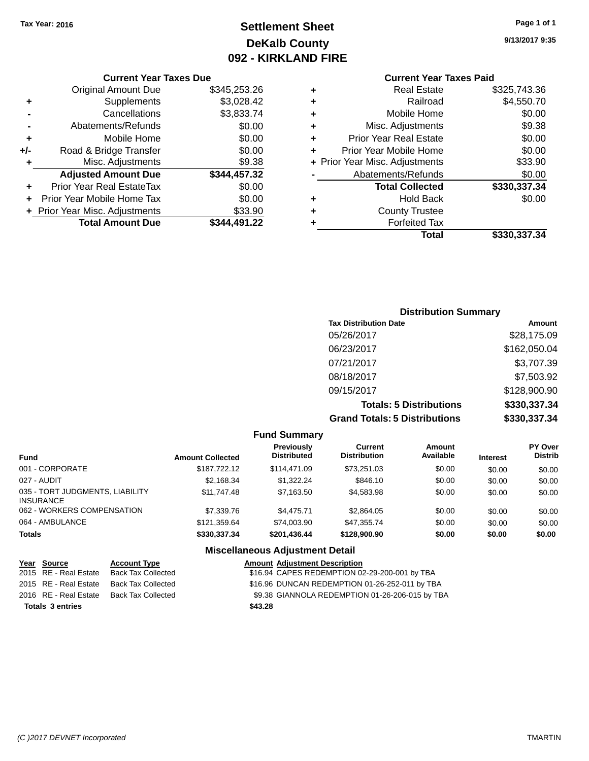# **Settlement Sheet Tax Year: 2016 Page 1 of 1 DeKalb County 092 - KIRKLAND FIRE**

**9/13/2017 9:35**

### **Current Year Taxes Paid**

|     | <b>Current Year Taxes Due</b>  |              |
|-----|--------------------------------|--------------|
|     | <b>Original Amount Due</b>     | \$345,253.26 |
| ٠   | Supplements                    | \$3,028.42   |
|     | Cancellations                  | \$3,833.74   |
|     | Abatements/Refunds             | \$0.00       |
| ٠   | Mobile Home                    | \$0.00       |
| +/- | Road & Bridge Transfer         | \$0.00       |
| ٠   | Misc. Adjustments              | \$9.38       |
|     | <b>Adjusted Amount Due</b>     | \$344,457.32 |
| ٠   | Prior Year Real EstateTax      | \$0.00       |
|     | Prior Year Mobile Home Tax     | \$0.00       |
|     | + Prior Year Misc. Adjustments | \$33.90      |
|     | <b>Total Amount Due</b>        | \$344,491.22 |
|     |                                |              |

| Hold Back<br><b>County Trustee</b><br><b>Forfeited Tax</b> | \$0.00       |
|------------------------------------------------------------|--------------|
|                                                            |              |
|                                                            |              |
|                                                            |              |
| <b>Total Collected</b>                                     | \$330,337.34 |
| Abatements/Refunds                                         | \$0.00       |
| + Prior Year Misc. Adjustments                             | \$33.90      |
| Prior Year Mobile Home                                     | \$0.00       |
| <b>Prior Year Real Estate</b>                              | \$0.00       |
| Misc. Adjustments                                          | \$9.38       |
| Mobile Home                                                | \$0.00       |
| Railroad                                                   | \$4,550.70   |
| <b>Real Estate</b>                                         | \$325.743.36 |
|                                                            |              |

### **Distribution Summary Tax Distribution Date Amount** 05/26/2017 \$28,175.09 06/23/2017 \$162,050.04 07/21/2017 \$3,707.39 08/18/2017 \$7,503.92 09/15/2017 \$128,900.90 **Totals: 5 Distributions \$330,337.34 Grand Totals: 5 Distributions \$330,337.34**

|                                                     |                         | <b>Fund Summary</b>                     |                                       |                     |                 |                                  |
|-----------------------------------------------------|-------------------------|-----------------------------------------|---------------------------------------|---------------------|-----------------|----------------------------------|
| <b>Fund</b>                                         | <b>Amount Collected</b> | <b>Previously</b><br><b>Distributed</b> | <b>Current</b><br><b>Distribution</b> | Amount<br>Available | <b>Interest</b> | <b>PY Over</b><br><b>Distrib</b> |
| 001 - CORPORATE                                     | \$187.722.12            | \$114,471.09                            | \$73,251.03                           | \$0.00              | \$0.00          | \$0.00                           |
| 027 - AUDIT                                         | \$2,168.34              | \$1,322,24                              | \$846.10                              | \$0.00              | \$0.00          | \$0.00                           |
| 035 - TORT JUDGMENTS, LIABILITY<br><b>INSURANCE</b> | \$11,747.48             | \$7,163.50                              | \$4,583.98                            | \$0.00              | \$0.00          | \$0.00                           |
| 062 - WORKERS COMPENSATION                          | \$7,339.76              | \$4,475.71                              | \$2,864.05                            | \$0.00              | \$0.00          | \$0.00                           |
| 064 - AMBULANCE                                     | \$121.359.64            | \$74,003.90                             | \$47,355.74                           | \$0.00              | \$0.00          | \$0.00                           |
| <b>Totals</b>                                       | \$330,337.34            | \$201.436.44                            | \$128,900.90                          | \$0.00              | \$0.00          | \$0.00                           |
|                                                     |                         | <b>Miscellaneous Adjustment Detail</b>  |                                       |                     |                 |                                  |

| Year Source             | <b>Account Type</b> |         | <b>Amount Adjustment Description</b>            |
|-------------------------|---------------------|---------|-------------------------------------------------|
| 2015 RE - Real Estate   | Back Tax Collected  |         | \$16.94 CAPES REDEMPTION 02-29-200-001 by TBA   |
| 2015 RE - Real Estate   | Back Tax Collected  |         | \$16.96 DUNCAN REDEMPTION 01-26-252-011 by TBA  |
| 2016 RE - Real Estate   | Back Tax Collected  |         | \$9.38 GIANNOLA REDEMPTION 01-26-206-015 by TBA |
| <b>Totals 3 entries</b> |                     | \$43.28 |                                                 |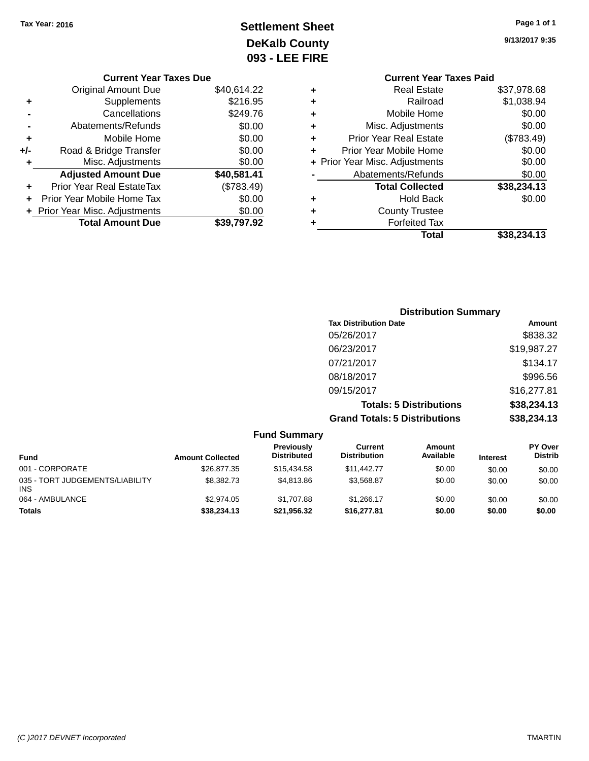# **Settlement Sheet Tax Year: 2016 Page 1 of 1 DeKalb County 093 - LEE FIRE**

**9/13/2017 9:35**

|   | <b>Current Year Taxes Paid</b> |             |
|---|--------------------------------|-------------|
| ٠ | Real Estate                    | \$37,978.68 |
| ٠ | Railroad                       | \$1,038.94  |
| ٠ | Mobile Home                    | \$0.00      |
| ٠ | Misc. Adjustments              | \$0.00      |
| ٠ | <b>Prior Year Real Estate</b>  | (\$783.49)  |
| ÷ | Prior Year Mobile Home         | \$0.00      |
|   | + Prior Year Misc. Adjustments | \$0.00      |
|   | Abatements/Refunds             | \$0.00      |
|   | <b>Total Collected</b>         | \$38,234.13 |
| ٠ | <b>Hold Back</b>               | \$0.00      |
|   | <b>County Trustee</b>          |             |
|   | <b>Forfeited Tax</b>           |             |
|   | Total                          | \$38,234.13 |
|   |                                |             |

|     | <b>Current Year Taxes Due</b>  |             |
|-----|--------------------------------|-------------|
|     | Original Amount Due            | \$40,614.22 |
| ٠   | Supplements                    | \$216.95    |
|     | Cancellations                  | \$249.76    |
|     | Abatements/Refunds             | \$0.00      |
| ٠   | Mobile Home                    | \$0.00      |
| +/- | Road & Bridge Transfer         | \$0.00      |
| ٠   | Misc. Adjustments              | \$0.00      |
|     | <b>Adjusted Amount Due</b>     | \$40,581.41 |
|     | Prior Year Real EstateTax      | (\$783.49)  |
|     | Prior Year Mobile Home Tax     | \$0.00      |
|     | + Prior Year Misc. Adjustments | \$0.00      |
|     | <b>Total Amount Due</b>        | \$39.797.92 |
|     |                                |             |

| <b>Distribution Summary</b>          |             |  |  |  |  |  |
|--------------------------------------|-------------|--|--|--|--|--|
| <b>Tax Distribution Date</b>         | Amount      |  |  |  |  |  |
| 05/26/2017                           | \$838.32    |  |  |  |  |  |
| 06/23/2017                           | \$19,987.27 |  |  |  |  |  |
| 07/21/2017                           | \$134.17    |  |  |  |  |  |
| 08/18/2017                           | \$996.56    |  |  |  |  |  |
| 09/15/2017                           | \$16,277.81 |  |  |  |  |  |
| <b>Totals: 5 Distributions</b>       | \$38,234.13 |  |  |  |  |  |
| <b>Grand Totals: 5 Distributions</b> | \$38,234.13 |  |  |  |  |  |

|                                        |                         | <b>Fund Summary</b>              |                                |                            |                 |                           |
|----------------------------------------|-------------------------|----------------------------------|--------------------------------|----------------------------|-----------------|---------------------------|
| <b>Fund</b>                            | <b>Amount Collected</b> | Previously<br><b>Distributed</b> | Current<br><b>Distribution</b> | <b>Amount</b><br>Available | <b>Interest</b> | PY Over<br><b>Distrib</b> |
| 001 - CORPORATE                        | \$26,877,35             | \$15,434.58                      | \$11,442,77                    | \$0.00                     | \$0.00          | \$0.00                    |
| 035 - TORT JUDGEMENTS/LIABILITY<br>INS | \$8,382.73              | \$4.813.86                       | \$3.568.87                     | \$0.00                     | \$0.00          | \$0.00                    |
| 064 - AMBULANCE                        | \$2,974.05              | \$1,707.88                       | \$1.266.17                     | \$0.00                     | \$0.00          | \$0.00                    |
| <b>Totals</b>                          | \$38,234.13             | \$21,956.32                      | \$16,277.81                    | \$0.00                     | \$0.00          | \$0.00                    |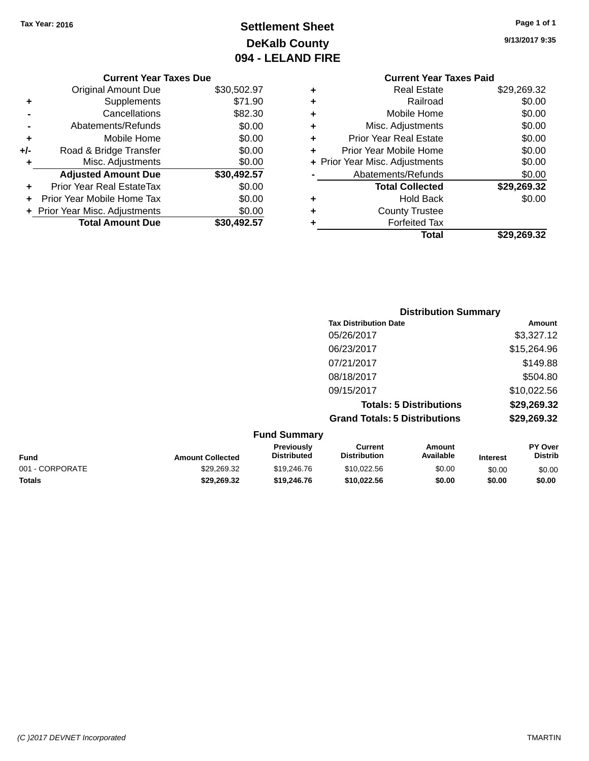# **Settlement Sheet Tax Year: 2016 Page 1 of 1 DeKalb County 094 - LELAND FIRE**

**9/13/2017 9:35**

|   | <b>Current Year Taxes Paid</b> |             |  |  |  |  |
|---|--------------------------------|-------------|--|--|--|--|
| ٠ | <b>Real Estate</b>             | \$29,269.32 |  |  |  |  |
| ٠ | Railroad                       | \$0.00      |  |  |  |  |
| ٠ | Mobile Home                    | \$0.00      |  |  |  |  |
| ٠ | Misc. Adjustments              | \$0.00      |  |  |  |  |
| ٠ | <b>Prior Year Real Estate</b>  | \$0.00      |  |  |  |  |
| ٠ | Prior Year Mobile Home         |             |  |  |  |  |
|   | + Prior Year Misc. Adjustments | \$0.00      |  |  |  |  |
|   | Abatements/Refunds             | \$0.00      |  |  |  |  |
|   | <b>Total Collected</b>         | \$29,269.32 |  |  |  |  |
|   | <b>Hold Back</b>               | \$0.00      |  |  |  |  |
| ٠ | <b>County Trustee</b>          |             |  |  |  |  |
|   | <b>Forfeited Tax</b>           |             |  |  |  |  |
|   | Total                          | \$29.269.32 |  |  |  |  |
|   |                                |             |  |  |  |  |

|     | <b>Current Year Taxes Due</b>  |             |  |  |  |  |
|-----|--------------------------------|-------------|--|--|--|--|
|     | <b>Original Amount Due</b>     | \$30,502.97 |  |  |  |  |
| ٠   | Supplements                    | \$71.90     |  |  |  |  |
|     | Cancellations                  | \$82.30     |  |  |  |  |
|     | Abatements/Refunds             | \$0.00      |  |  |  |  |
| ٠   | Mobile Home                    | \$0.00      |  |  |  |  |
| +/- | Road & Bridge Transfer         | \$0.00      |  |  |  |  |
| ٠   | Misc. Adjustments              | \$0.00      |  |  |  |  |
|     | <b>Adjusted Amount Due</b>     | \$30,492.57 |  |  |  |  |
| ٠   | Prior Year Real EstateTax      | \$0.00      |  |  |  |  |
|     | Prior Year Mobile Home Tax     | \$0.00      |  |  |  |  |
|     | + Prior Year Misc. Adjustments | \$0.00      |  |  |  |  |
|     | <b>Total Amount Due</b>        | \$30.492.57 |  |  |  |  |
|     |                                |             |  |  |  |  |

|                     | <b>Distribution Summary</b>          |             |
|---------------------|--------------------------------------|-------------|
|                     | <b>Tax Distribution Date</b>         | Amount      |
|                     | 05/26/2017                           | \$3,327.12  |
|                     | 06/23/2017                           | \$15,264.96 |
|                     | 07/21/2017                           | \$149.88    |
|                     | 08/18/2017                           | \$504.80    |
|                     | 09/15/2017                           | \$10,022.56 |
|                     | <b>Totals: 5 Distributions</b>       | \$29,269.32 |
|                     | <b>Grand Totals: 5 Distributions</b> | \$29,269.32 |
| <b>Fund Summary</b> |                                      |             |

|                 | <b>Fund Summary</b>     |                                         |                                |                     |                 |                                  |
|-----------------|-------------------------|-----------------------------------------|--------------------------------|---------------------|-----------------|----------------------------------|
| Fund            | <b>Amount Collected</b> | <b>Previously</b><br><b>Distributed</b> | Current<br><b>Distribution</b> | Amount<br>Available | <b>Interest</b> | <b>PY Over</b><br><b>Distrib</b> |
| 001 - CORPORATE | \$29,269.32             | \$19,246,76                             | \$10,022.56                    | \$0.00              | \$0.00          | \$0.00                           |
| <b>Totals</b>   | \$29.269.32             | \$19,246,76                             | \$10,022.56                    | \$0.00              | \$0.00          | \$0.00                           |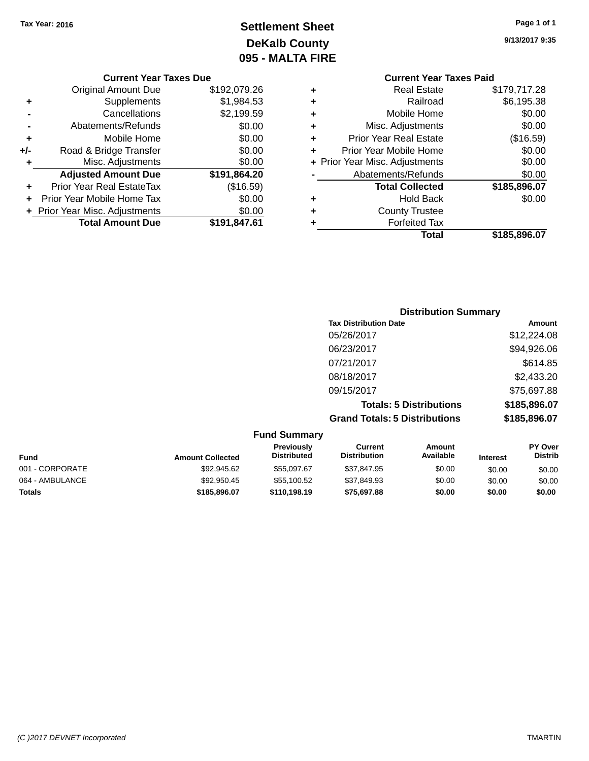**Current Year Taxes Due** Original Amount Due \$192,079.26

**Adjusted Amount Due \$191,864.20**

**Total Amount Due \$191,847.61**

**+** Supplements \$1,984.53 **-** Cancellations \$2,199.59 **-** Abatements/Refunds \$0.00 **+** Mobile Home \$0.00 **+/-** Road & Bridge Transfer \$0.00 **+** Misc. Adjustments \$0.00

**+** Prior Year Real EstateTax (\$16.59) **+** Prior Year Mobile Home Tax \$0.00 **+ Prior Year Misc. Adjustments**  $$0.00$ 

# **Settlement Sheet Tax Year: 2016 Page 1 of 1 DeKalb County 095 - MALTA FIRE**

**9/13/2017 9:35**

|   | <b>Current Year Taxes Paid</b> |              |
|---|--------------------------------|--------------|
| ٠ | <b>Real Estate</b>             | \$179,717.28 |
| ٠ | Railroad                       | \$6,195.38   |
| ٠ | Mobile Home                    | \$0.00       |
| ٠ | Misc. Adjustments              | \$0.00       |
| ٠ | <b>Prior Year Real Estate</b>  | (\$16.59)    |
| ÷ | Prior Year Mobile Home         | \$0.00       |
|   | + Prior Year Misc. Adjustments | \$0.00       |
|   | Abatements/Refunds             | \$0.00       |
|   | <b>Total Collected</b>         | \$185,896.07 |
| ٠ | <b>Hold Back</b>               | \$0.00       |
| ٠ | <b>County Trustee</b>          |              |
|   | <b>Forfeited Tax</b>           |              |
|   | Total                          | \$185,896.07 |
|   |                                |              |

## **Distribution Summary Tax Distribution Date Amount** 05/26/2017 \$12,224.08 06/23/2017 \$94,926.06 07/21/2017 \$614.85 08/18/2017 \$2,433.20 09/15/2017 \$75,697.88 **Totals: 5 Distributions \$185,896.07 Grand Totals: 5 Distributions \$185,896.07**

|                 |                         | <b>Fund Summary</b>              |                                |                     |                 |                                  |
|-----------------|-------------------------|----------------------------------|--------------------------------|---------------------|-----------------|----------------------------------|
| <b>Fund</b>     | <b>Amount Collected</b> | Previously<br><b>Distributed</b> | Current<br><b>Distribution</b> | Amount<br>Available | <b>Interest</b> | <b>PY Over</b><br><b>Distrib</b> |
| 001 - CORPORATE | \$92,945.62             | \$55,097.67                      | \$37,847.95                    | \$0.00              | \$0.00          | \$0.00                           |
| 064 - AMBULANCE | \$92,950.45             | \$55,100.52                      | \$37,849.93                    | \$0.00              | \$0.00          | \$0.00                           |
| <b>Totals</b>   | \$185,896,07            | \$110,198.19                     | \$75,697.88                    | \$0.00              | \$0.00          | \$0.00                           |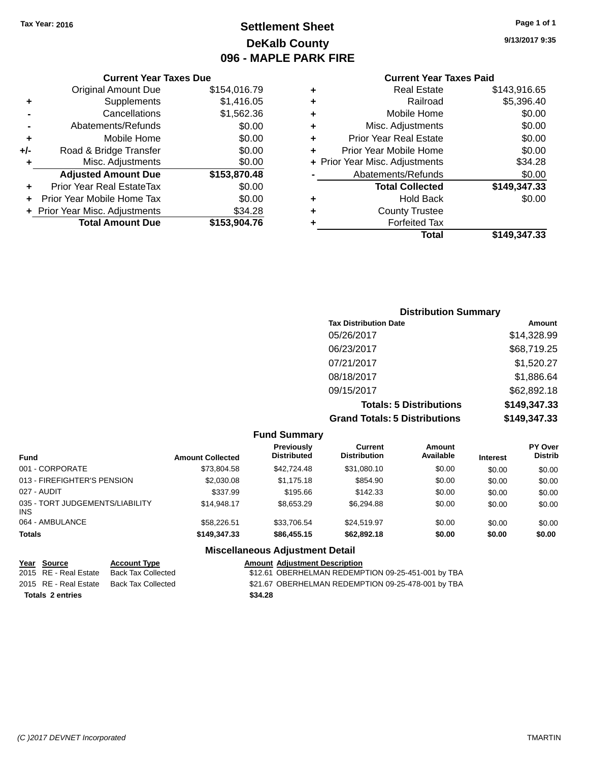# **Settlement Sheet Tax Year: 2016 Page 1 of 1 DeKalb County 096 - MAPLE PARK FIRE**

**9/13/2017 9:35**

#### **Current Year Taxes Paid**

|     | <b>Current Year Taxes Due</b>  |              |  |  |  |  |
|-----|--------------------------------|--------------|--|--|--|--|
|     | <b>Original Amount Due</b>     | \$154,016.79 |  |  |  |  |
| ٠   | Supplements                    | \$1,416.05   |  |  |  |  |
|     | Cancellations                  | \$1,562.36   |  |  |  |  |
|     | Abatements/Refunds             | \$0.00       |  |  |  |  |
| ٠   | Mobile Home                    | \$0.00       |  |  |  |  |
| +/- | \$0.00                         |              |  |  |  |  |
| ٠   | Misc. Adjustments              | \$0.00       |  |  |  |  |
|     | <b>Adjusted Amount Due</b>     | \$153,870.48 |  |  |  |  |
| ٠   | Prior Year Real EstateTax      | \$0.00       |  |  |  |  |
|     | Prior Year Mobile Home Tax     | \$0.00       |  |  |  |  |
|     | + Prior Year Misc. Adjustments | \$34.28      |  |  |  |  |
|     | <b>Total Amount Due</b>        | \$153,904.76 |  |  |  |  |
|     |                                |              |  |  |  |  |

| ٠ | <b>Real Estate</b>             | \$143,916.65 |
|---|--------------------------------|--------------|
| ٠ | Railroad                       | \$5,396.40   |
| ٠ | Mobile Home                    | \$0.00       |
| ٠ | Misc. Adjustments              | \$0.00       |
| ٠ | <b>Prior Year Real Estate</b>  | \$0.00       |
| ٠ | Prior Year Mobile Home         | \$0.00       |
|   | + Prior Year Misc. Adjustments | \$34.28      |
|   | Abatements/Refunds             | \$0.00       |
|   | <b>Total Collected</b>         | \$149,347.33 |
| ٠ | <b>Hold Back</b>               | \$0.00       |
| ٠ | <b>County Trustee</b>          |              |
| ٠ | <b>Forfeited Tax</b>           |              |
|   | Total                          | \$149,347.33 |
|   |                                |              |

## **Distribution Summary Tax Distribution Date Amount** 05/26/2017 \$14,328.99 06/23/2017 \$68,719.25 07/21/2017 \$1,520.27 08/18/2017 \$1,886.64 09/15/2017 \$62,892.18 **Totals: 5 Distributions \$149,347.33 Grand Totals: 5 Distributions \$149,347.33**

|                                         |                         | <b>Fund Summary</b>                     |                                |                     |                 |                                  |
|-----------------------------------------|-------------------------|-----------------------------------------|--------------------------------|---------------------|-----------------|----------------------------------|
| <b>Fund</b>                             | <b>Amount Collected</b> | <b>Previously</b><br><b>Distributed</b> | Current<br><b>Distribution</b> | Amount<br>Available | <b>Interest</b> | <b>PY Over</b><br><b>Distrib</b> |
| 001 - CORPORATE                         | \$73,804.58             | \$42,724.48                             | \$31,080.10                    | \$0.00              | \$0.00          | \$0.00                           |
| 013 - FIREFIGHTER'S PENSION             | \$2,030.08              | \$1,175.18                              | \$854.90                       | \$0.00              | \$0.00          | \$0.00                           |
| 027 - AUDIT                             | \$337.99                | \$195.66                                | \$142.33                       | \$0.00              | \$0.00          | \$0.00                           |
| 035 - TORT JUDGEMENTS/LIABILITY<br>INS. | \$14.948.17             | \$8,653.29                              | \$6,294.88                     | \$0.00              | \$0.00          | \$0.00                           |
| 064 - AMBULANCE                         | \$58,226.51             | \$33.706.54                             | \$24.519.97                    | \$0.00              | \$0.00          | \$0.00                           |
| <b>Totals</b>                           | \$149,347,33            | \$86,455.15                             | \$62,892.18                    | \$0.00              | \$0.00          | \$0.00                           |
|                                         |                         | <b>Miscellaneous Adjustment Detail</b>  |                                |                     |                 |                                  |

| Year Source             | <b>Account Type</b> | <b>Amount Adjustment Description</b>               |
|-------------------------|---------------------|----------------------------------------------------|
| 2015 RE - Real Estate   | Back Tax Collected  | \$12.61 OBERHELMAN REDEMPTION 09-25-451-001 by TBA |
| 2015 RE - Real Estate   | Back Tax Collected  | \$21.67 OBERHELMAN REDEMPTION 09-25-478-001 by TBA |
| <b>Totals 2 entries</b> |                     | \$34.28                                            |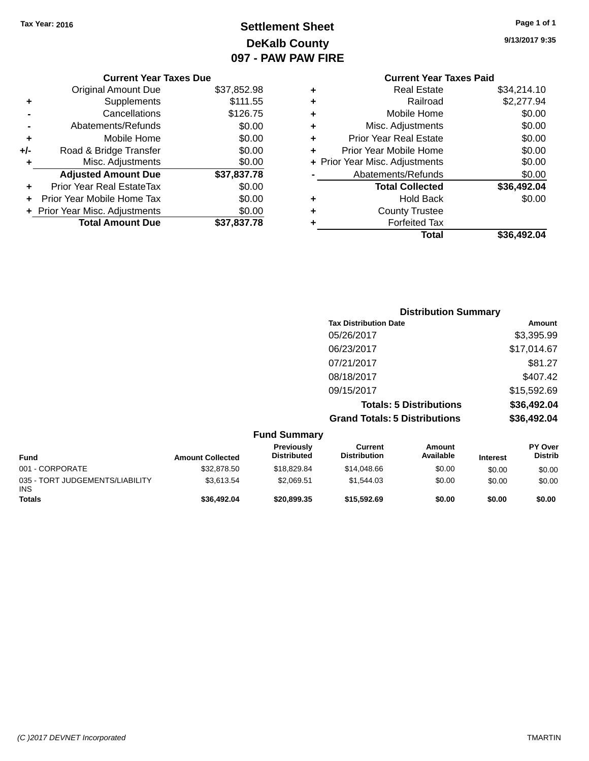# **Settlement Sheet Tax Year: 2016 Page 1 of 1 DeKalb County 097 - PAW PAW FIRE**

**9/13/2017 9:35**

|   | Total                          | \$36,492.04 |
|---|--------------------------------|-------------|
|   | <b>Forfeited Tax</b>           |             |
| ٠ | <b>County Trustee</b>          |             |
| ٠ | <b>Hold Back</b>               | \$0.00      |
|   | <b>Total Collected</b>         | \$36,492.04 |
|   | Abatements/Refunds             | \$0.00      |
|   | + Prior Year Misc. Adjustments | \$0.00      |
| ÷ | Prior Year Mobile Home         | \$0.00      |
| ٠ | <b>Prior Year Real Estate</b>  | \$0.00      |
| ٠ | Misc. Adjustments              | \$0.00      |
| ٠ | Mobile Home                    | \$0.00      |
| ٠ | Railroad                       | \$2,277.94  |
| ٠ | Real Estate                    | \$34,214.10 |
|   | <b>Current Year Taxes Paid</b> |             |
|   |                                |             |

#### **Current Year Taxes Due** Original Amount Due \$37,852.98 **+** Supplements \$111.55 **-** Cancellations \$126.75 **-** Abatements/Refunds \$0.00 **+** Mobile Home \$0.00 **+/-** Road & Bridge Transfer \$0.00<br> **+** Misc. Adjustments \$0.00 **+** Misc. Adjustments **Adjusted Amount Due \$37,837.78 +** Prior Year Real EstateTax \$0.00 **+** Prior Year Mobile Home Tax \$0.00 **+ Prior Year Misc. Adjustments**  $$0.00$ **Total Amount Due \$37,837.78**

| <b>Distribution Summary</b>          |             |
|--------------------------------------|-------------|
| <b>Tax Distribution Date</b>         | Amount      |
| 05/26/2017                           | \$3,395.99  |
| 06/23/2017                           | \$17,014.67 |
| 07/21/2017                           | \$81.27     |
| 08/18/2017                           | \$407.42    |
| 09/15/2017                           | \$15,592.69 |
| <b>Totals: 5 Distributions</b>       | \$36,492.04 |
| <b>Grand Totals: 5 Distributions</b> | \$36,492.04 |

|                                               |                         | <b>Fund Summary</b>              |                                |                     |                 |                                  |
|-----------------------------------------------|-------------------------|----------------------------------|--------------------------------|---------------------|-----------------|----------------------------------|
| <b>Fund</b>                                   | <b>Amount Collected</b> | Previously<br><b>Distributed</b> | Current<br><b>Distribution</b> | Amount<br>Available | <b>Interest</b> | <b>PY Over</b><br><b>Distrib</b> |
| 001 - CORPORATE                               | \$32,878.50             | \$18,829.84                      | \$14,048.66                    | \$0.00              | \$0.00          | \$0.00                           |
| 035 - TORT JUDGEMENTS/LIABILITY<br><b>INS</b> | \$3.613.54              | \$2.069.51                       | \$1,544.03                     | \$0.00              | \$0.00          | \$0.00                           |
| <b>Totals</b>                                 | \$36,492.04             | \$20,899,35                      | \$15,592.69                    | \$0.00              | \$0.00          | \$0.00                           |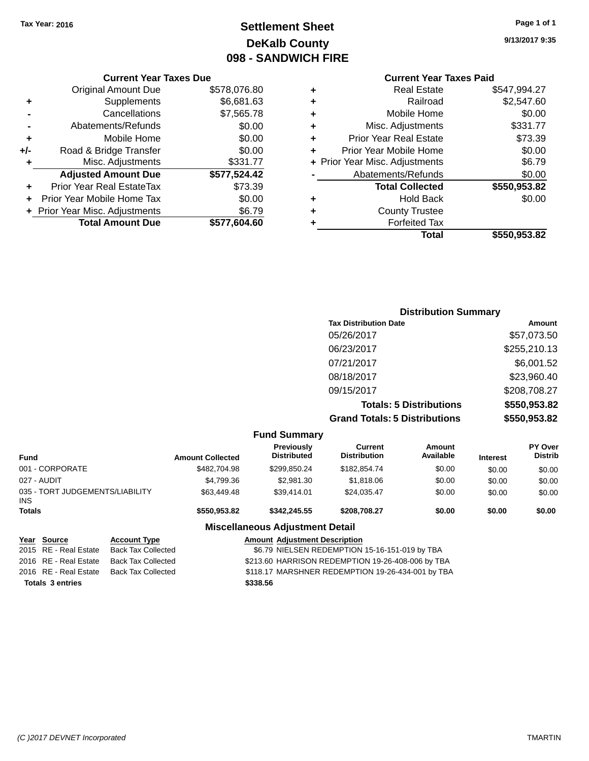# **Settlement Sheet Tax Year: 2016 Page 1 of 1 DeKalb County 098 - SANDWICH FIRE**

## **9/13/2017 9:35**

#### **Current Year Taxes Paid**

|       | <b>Original Amount Due</b>     | \$578,076.80 |
|-------|--------------------------------|--------------|
| ٠     | Supplements                    | \$6,681.63   |
|       | Cancellations                  | \$7,565.78   |
|       | Abatements/Refunds             | \$0.00       |
| ٠     | Mobile Home                    | \$0.00       |
| $+/-$ | Road & Bridge Transfer         | \$0.00       |
| ٠     | Misc. Adjustments              | \$331.77     |
|       | <b>Adjusted Amount Due</b>     | \$577,524.42 |
| ÷     | Prior Year Real EstateTax      | \$73.39      |
|       | Prior Year Mobile Home Tax     | \$0.00       |
|       | + Prior Year Misc. Adjustments | \$6.79       |
|       | <b>Total Amount Due</b>        | \$577,604.60 |
|       |                                |              |

**Current Year Taxes Due**

|   | <b>Real Estate</b>             | \$547.994.27 |
|---|--------------------------------|--------------|
| ٠ | Railroad                       | \$2,547.60   |
| ٠ | Mobile Home                    | \$0.00       |
| ٠ | Misc. Adjustments              | \$331.77     |
| ٠ | <b>Prior Year Real Estate</b>  | \$73.39      |
| ÷ | Prior Year Mobile Home         | \$0.00       |
|   | + Prior Year Misc. Adjustments | \$6.79       |
|   | Abatements/Refunds             | \$0.00       |
|   | <b>Total Collected</b>         | \$550,953.82 |
| ٠ | <b>Hold Back</b>               | \$0.00       |
| ٠ | <b>County Trustee</b>          |              |
| ٠ | <b>Forfeited Tax</b>           |              |
|   | Total                          | \$550,953.82 |
|   |                                |              |

## **Distribution Summary Tax Distribution Date Amount** 05/26/2017 \$57,073.50 06/23/2017 \$255,210.13 07/21/2017 \$6,001.52 08/18/2017 \$23,960.40 09/15/2017 \$208,708.27 **Totals: 5 Distributions \$550,953.82 Grand Totals: 5 Distributions \$550,953.82**

|                                         |                     |                         | <b>Fund Summary</b>                     |                                |                     |                 |                                  |
|-----------------------------------------|---------------------|-------------------------|-----------------------------------------|--------------------------------|---------------------|-----------------|----------------------------------|
| Fund                                    |                     | <b>Amount Collected</b> | <b>Previously</b><br><b>Distributed</b> | Current<br><b>Distribution</b> | Amount<br>Available | <b>Interest</b> | <b>PY Over</b><br><b>Distrib</b> |
| 001 - CORPORATE                         |                     | \$482,704.98            | \$299.850.24                            | \$182,854.74                   | \$0.00              | \$0.00          | \$0.00                           |
| 027 - AUDIT                             |                     | \$4,799.36              | \$2,981.30                              | \$1,818.06                     | \$0.00              | \$0.00          | \$0.00                           |
| 035 - TORT JUDGEMENTS/LIABILITY<br>INS. |                     | \$63,449.48             | \$39.414.01                             | \$24.035.47                    | \$0.00              | \$0.00          | \$0.00                           |
| <b>Totals</b>                           |                     | \$550,953.82            | \$342,245.55                            | \$208,708.27                   | \$0.00              | \$0.00          | \$0.00                           |
|                                         |                     |                         | <b>Miscellaneous Adjustment Detail</b>  |                                |                     |                 |                                  |
| Year Source                             | <b>Account Type</b> |                         | <b>Amount Adjustment Description</b>    |                                |                     |                 |                                  |

| Totals 3 entries |                       |  |  |
|------------------|-----------------------|--|--|
|                  | 2016 RE - Real Estate |  |  |
|                  | 2016 RE - Real Estate |  |  |
|                  | 2015 RE - Real Estate |  |  |

Back Tax Collected **2015 80.79** NIELSEN REDEMPTION 15-16-151-019 by TBA Back Tax Collected **213.60 HARRISON REDEMPTION 19-26-408-006 by TBA** 

Back Tax Collected **2016 S118.17 MARSHNER REDEMPTION 19-26-434-001 by TBA** 

**Totals \$338.56 3 entries**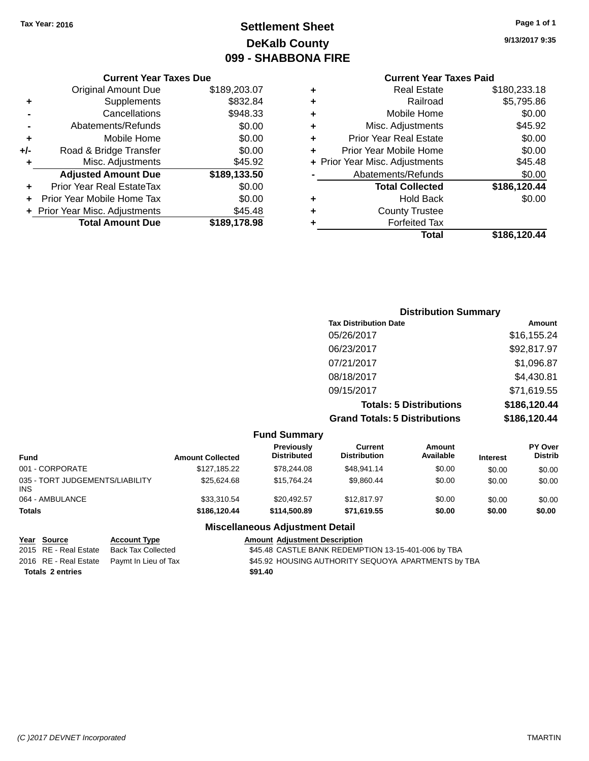# **Settlement Sheet Tax Year: 2016 Page 1 of 1 DeKalb County 099 - SHABBONA FIRE**

# **9/13/2017 9:35**

# **Current Year Taxes Paid**

|     | <b>Current Year Taxes Due</b>  |              |
|-----|--------------------------------|--------------|
|     | <b>Original Amount Due</b>     | \$189,203.07 |
| ٠   | Supplements                    | \$832.84     |
|     | Cancellations                  | \$948.33     |
|     | Abatements/Refunds             | \$0.00       |
| ٠   | Mobile Home                    | \$0.00       |
| +/- | Road & Bridge Transfer         | \$0.00       |
| ٠   | Misc. Adjustments              | \$45.92      |
|     | <b>Adjusted Amount Due</b>     | \$189,133.50 |
| ٠   | Prior Year Real EstateTax      | \$0.00       |
|     | Prior Year Mobile Home Tax     | \$0.00       |
|     | + Prior Year Misc. Adjustments | \$45.48      |
|     | <b>Total Amount Due</b>        | \$189,178.98 |
|     |                                |              |

|   | <b>Real Estate</b>             | \$180,233.18 |
|---|--------------------------------|--------------|
| ٠ | Railroad                       | \$5,795.86   |
| ٠ | Mobile Home                    | \$0.00       |
| ٠ | Misc. Adjustments              | \$45.92      |
| ٠ | <b>Prior Year Real Estate</b>  | \$0.00       |
| ÷ | Prior Year Mobile Home         | \$0.00       |
|   | + Prior Year Misc. Adjustments | \$45.48      |
|   | Abatements/Refunds             | \$0.00       |
|   | <b>Total Collected</b>         | \$186,120.44 |
| ٠ | <b>Hold Back</b>               | \$0.00       |
| ٠ | <b>County Trustee</b>          |              |
| ٠ | <b>Forfeited Tax</b>           |              |
|   | Total                          | \$186,120.44 |
|   |                                |              |

| <b>Distribution Summary</b>          |              |
|--------------------------------------|--------------|
| <b>Tax Distribution Date</b>         | Amount       |
| 05/26/2017                           | \$16,155.24  |
| 06/23/2017                           | \$92,817.97  |
| 07/21/2017                           | \$1,096.87   |
| 08/18/2017                           | \$4,430.81   |
| 09/15/2017                           | \$71,619.55  |
| <b>Totals: 5 Distributions</b>       | \$186,120.44 |
| <b>Grand Totals: 5 Distributions</b> | \$186,120.44 |

| <b>Fund Summary</b>                           |                         |                                  |                                |                     |                 |                           |
|-----------------------------------------------|-------------------------|----------------------------------|--------------------------------|---------------------|-----------------|---------------------------|
| <b>Fund</b>                                   | <b>Amount Collected</b> | Previously<br><b>Distributed</b> | Current<br><b>Distribution</b> | Amount<br>Available | <b>Interest</b> | PY Over<br><b>Distrib</b> |
| 001 - CORPORATE                               | \$127,185.22            | \$78,244.08                      | \$48,941.14                    | \$0.00              | \$0.00          | \$0.00                    |
| 035 - TORT JUDGEMENTS/LIABILITY<br><b>INS</b> | \$25,624,68             | \$15,764.24                      | \$9.860.44                     | \$0.00              | \$0.00          | \$0.00                    |
| 064 - AMBULANCE                               | \$33,310.54             | \$20.492.57                      | \$12,817.97                    | \$0.00              | \$0.00          | \$0.00                    |
| <b>Totals</b>                                 | \$186,120.44            | \$114,500.89                     | \$71,619.55                    | \$0.00              | \$0.00          | \$0.00                    |
|                                               |                         |                                  |                                |                     |                 |                           |

| <u>Year Source</u>      | <b>Account Type</b>                        | <b>Amount Adjustment Description</b>                |
|-------------------------|--------------------------------------------|-----------------------------------------------------|
| 2015 RE - Real Estate   | Back Tax Collected                         | \$45.48 CASTLE BANK REDEMPTION 13-15-401-006 by TBA |
|                         | 2016 RE - Real Estate Paymt In Lieu of Tax | \$45.92 HOUSING AUTHORITY SEQUOYA APARTMENTS by TBA |
| <b>Totals 2 entries</b> |                                            | \$91.40                                             |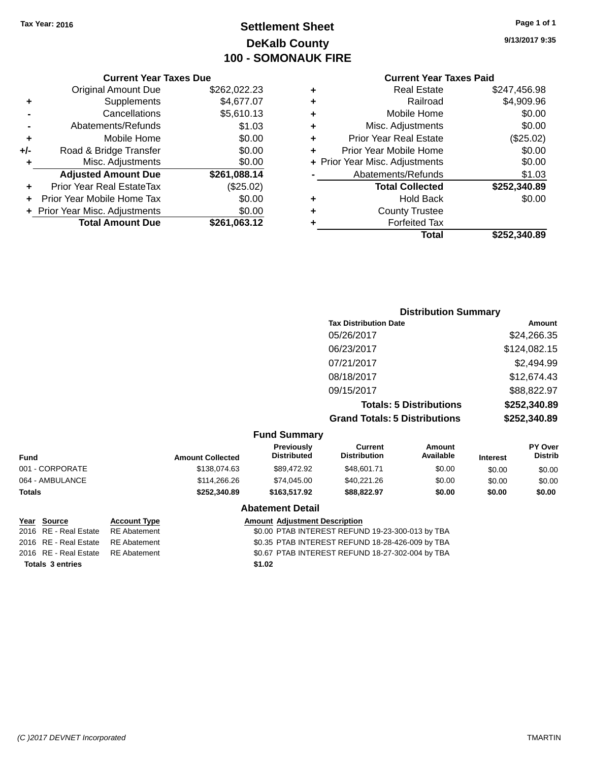# **Settlement Sheet Tax Year: 2016 Page 1 of 1 DeKalb County 100 - SOMONAUK FIRE**

**9/13/2017 9:35**

#### **Current Year Taxes Paid**

|     | <b>Current Year Taxes Due</b>  |              |
|-----|--------------------------------|--------------|
|     | <b>Original Amount Due</b>     | \$262,022.23 |
| ٠   | Supplements                    | \$4,677.07   |
|     | Cancellations                  | \$5,610.13   |
|     | Abatements/Refunds             | \$1.03       |
| ٠   | Mobile Home                    | \$0.00       |
| +/- | Road & Bridge Transfer         | \$0.00       |
| ٠   | Misc. Adjustments              | \$0.00       |
|     | <b>Adjusted Amount Due</b>     | \$261,088.14 |
| ٠   | Prior Year Real EstateTax      | (\$25.02)    |
|     | Prior Year Mobile Home Tax     | \$0.00       |
|     | + Prior Year Misc. Adjustments | \$0.00       |
|     | <b>Total Amount Due</b>        | \$261,063.12 |
|     |                                |              |

| ٠ | <b>Real Estate</b>             | \$247,456.98 |
|---|--------------------------------|--------------|
| ٠ | Railroad                       | \$4,909.96   |
| ٠ | Mobile Home                    | \$0.00       |
| ٠ | Misc. Adjustments              | \$0.00       |
| ٠ | <b>Prior Year Real Estate</b>  | (\$25.02)    |
| ÷ | Prior Year Mobile Home         | \$0.00       |
|   | + Prior Year Misc. Adjustments | \$0.00       |
|   | Abatements/Refunds             | \$1.03       |
|   | <b>Total Collected</b>         | \$252,340.89 |
| ٠ | <b>Hold Back</b>               | \$0.00       |
| ٠ | <b>County Trustee</b>          |              |
| ٠ | <b>Forfeited Tax</b>           |              |
|   | Total                          | \$252,340.89 |
|   |                                |              |

## **Distribution Summary Tax Distribution Date Amount** 05/26/2017 \$24,266.35 06/23/2017 \$124,082.15 07/21/2017 \$2,494.99 08/18/2017 \$12,674.43 09/15/2017 \$88,822.97 **Totals: 5 Distributions \$252,340.89 Grand Totals: 5 Distributions \$252,340.89**

|                 |                         | <b>Fund Summary</b>              |                                       |                     |                 |                                  |
|-----------------|-------------------------|----------------------------------|---------------------------------------|---------------------|-----------------|----------------------------------|
| <b>Fund</b>     | <b>Amount Collected</b> | Previously<br><b>Distributed</b> | <b>Current</b><br><b>Distribution</b> | Amount<br>Available | <b>Interest</b> | <b>PY Over</b><br><b>Distrib</b> |
| 001 - CORPORATE | \$138,074,63            | \$89.472.92                      | \$48.601.71                           | \$0.00              | \$0.00          | \$0.00                           |
| 064 - AMBULANCE | \$114,266,26            | \$74.045.00                      | \$40.221.26                           | \$0.00              | \$0.00          | \$0.00                           |
| <b>Totals</b>   | \$252,340.89            | \$163,517.92                     | \$88,822,97                           | \$0.00              | \$0.00          | \$0.00                           |
|                 |                         | <b>Abatement Detail</b>          |                                       |                     |                 |                                  |

**Totals \$1.02 3 entries**

#### **Year Source Account Type Amount Adjustment Description**

2016 RE - Real Estate RE Abatement \$0.00 PTAB INTEREST REFUND 19-23-300-013 by TBA 2016 RE - Real Estate RE Abatement \$0.35 PTAB INTEREST REFUND 18-28-426-009 by TBA 2016 RE - Real Estate RE Abatement \$0.67 PTAB INTEREST REFUND 18-27-302-004 by TBA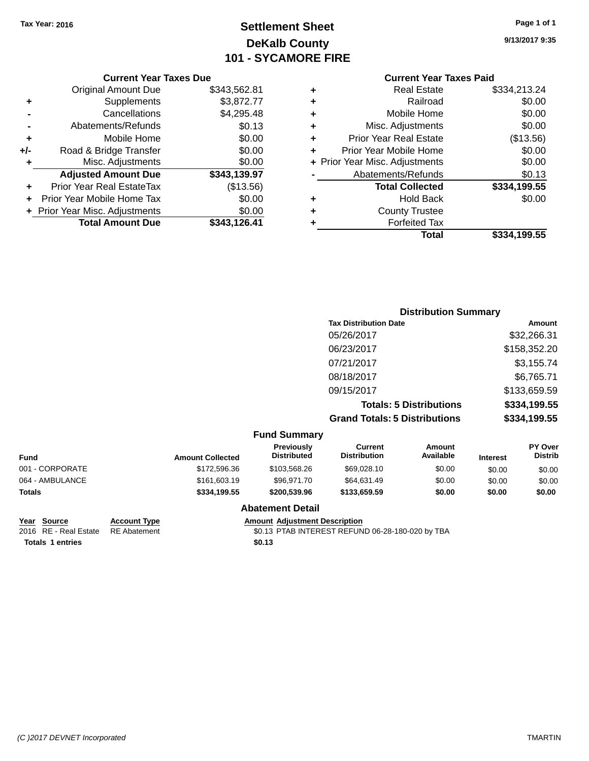# **Settlement Sheet Tax Year: 2016 Page 1 of 1 DeKalb County 101 - SYCAMORE FIRE**

**9/13/2017 9:35**

#### **Current Year Taxes Paid**

|     | <b>Current Year Taxes Due</b>    |              |
|-----|----------------------------------|--------------|
|     | <b>Original Amount Due</b>       | \$343,562.81 |
| ٠   | Supplements                      | \$3,872.77   |
|     | Cancellations                    | \$4,295.48   |
|     | Abatements/Refunds               | \$0.13       |
| ٠   | Mobile Home                      | \$0.00       |
| +/- | Road & Bridge Transfer           | \$0.00       |
| ٠   | Misc. Adjustments                | \$0.00       |
|     | <b>Adjusted Amount Due</b>       | \$343,139.97 |
| ٠   | <b>Prior Year Real EstateTax</b> | (\$13.56)    |
|     | Prior Year Mobile Home Tax       | \$0.00       |
|     | + Prior Year Misc. Adjustments   | \$0.00       |
|     | <b>Total Amount Due</b>          | \$343.126.41 |
|     |                                  |              |

|   | <b>Real Estate</b>             | \$334,213.24 |
|---|--------------------------------|--------------|
| ٠ | Railroad                       | \$0.00       |
| ٠ | Mobile Home                    | \$0.00       |
| ٠ | Misc. Adjustments              | \$0.00       |
| ٠ | <b>Prior Year Real Estate</b>  | (\$13.56)    |
| ٠ | Prior Year Mobile Home         | \$0.00       |
|   | + Prior Year Misc. Adjustments | \$0.00       |
|   | Abatements/Refunds             | \$0.13       |
|   | <b>Total Collected</b>         | \$334,199.55 |
| ٠ | <b>Hold Back</b>               | \$0.00       |
| ٠ | <b>County Trustee</b>          |              |
| ٠ | <b>Forfeited Tax</b>           |              |
|   | Total                          | \$334,199.55 |
|   |                                |              |

| <b>Distribution Summary</b>          |              |
|--------------------------------------|--------------|
| <b>Tax Distribution Date</b>         | Amount       |
| 05/26/2017                           | \$32,266.31  |
| 06/23/2017                           | \$158,352.20 |
| 07/21/2017                           | \$3,155.74   |
| 08/18/2017                           | \$6,765.71   |
| 09/15/2017                           | \$133,659.59 |
| <b>Totals: 5 Distributions</b>       | \$334,199.55 |
| <b>Grand Totals: 5 Distributions</b> | \$334,199.55 |

|                 |                         | <b>Fund Summary</b>                     |                                       |                     |                 |                           |
|-----------------|-------------------------|-----------------------------------------|---------------------------------------|---------------------|-----------------|---------------------------|
| <b>Fund</b>     | <b>Amount Collected</b> | <b>Previously</b><br><b>Distributed</b> | <b>Current</b><br><b>Distribution</b> | Amount<br>Available | <b>Interest</b> | PY Over<br><b>Distrib</b> |
| 001 - CORPORATE | \$172,596.36            | \$103.568.26                            | \$69,028,10                           | \$0.00              | \$0.00          | \$0.00                    |
| 064 - AMBULANCE | \$161,603.19            | \$96.971.70                             | \$64,631.49                           | \$0.00              | \$0.00          | \$0.00                    |
| <b>Totals</b>   | \$334,199.55            | \$200,539.96                            | \$133,659.59                          | \$0.00              | \$0.00          | \$0.00                    |
|                 |                         | <b>Abatement Detail</b>                 |                                       |                     |                 |                           |

**Totals 1 entries** \$0.13

**Year Source Account Type Amount Adjustment Description**<br>2016 RE - Real Estate RE Abatement \$0.13 PTAB INTEREST REFUN

\$0.13 PTAB INTEREST REFUND 06-28-180-020 by TBA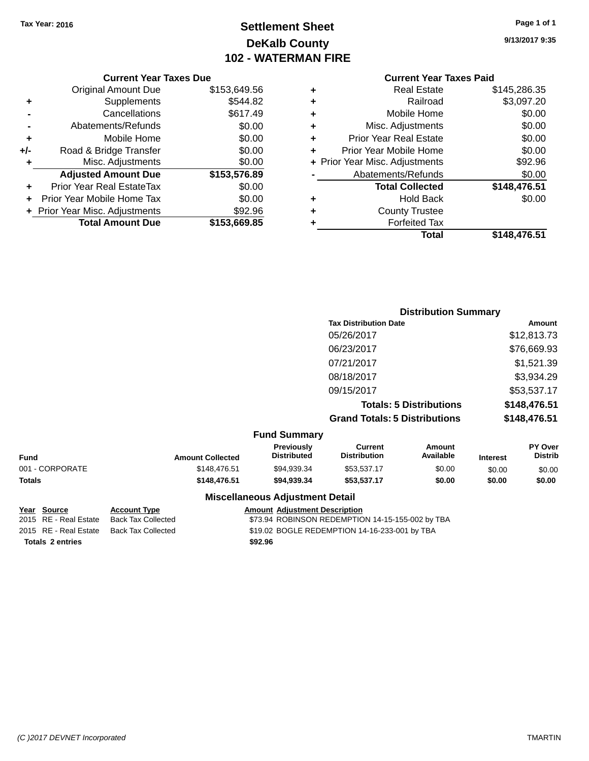# **Settlement Sheet Tax Year: 2016 Page 1 of 1 DeKalb County 102 - WATERMAN FIRE**

**9/13/2017 9:35**

#### **Current Year Taxes Paid**

|     | <b>Current Year Taxes Due</b>  |              |  |  |  |
|-----|--------------------------------|--------------|--|--|--|
|     | <b>Original Amount Due</b>     | \$153,649.56 |  |  |  |
| ٠   | Supplements                    | \$544.82     |  |  |  |
|     | Cancellations                  | \$617.49     |  |  |  |
|     | Abatements/Refunds             | \$0.00       |  |  |  |
| ٠   | Mobile Home                    | \$0.00       |  |  |  |
| +/- | Road & Bridge Transfer         | \$0.00       |  |  |  |
| ٠   | Misc. Adjustments              | \$0.00       |  |  |  |
|     | <b>Adjusted Amount Due</b>     | \$153,576.89 |  |  |  |
| ٠   | Prior Year Real EstateTax      | \$0.00       |  |  |  |
|     | Prior Year Mobile Home Tax     | \$0.00       |  |  |  |
|     | + Prior Year Misc. Adjustments | \$92.96      |  |  |  |
|     | <b>Total Amount Due</b>        | \$153,669.85 |  |  |  |
|     |                                |              |  |  |  |

|   | Total                          | \$148,476.51 |
|---|--------------------------------|--------------|
| ٠ | <b>Forfeited Tax</b>           |              |
| ٠ | <b>County Trustee</b>          |              |
| ٠ | <b>Hold Back</b>               | \$0.00       |
|   | <b>Total Collected</b>         | \$148,476.51 |
|   | Abatements/Refunds             | \$0.00       |
|   | + Prior Year Misc. Adjustments | \$92.96      |
| ٠ | Prior Year Mobile Home         | \$0.00       |
| ٠ | <b>Prior Year Real Estate</b>  | \$0.00       |
| ٠ | Misc. Adjustments              | \$0.00       |
| ٠ | Mobile Home                    | \$0.00       |
| ٠ | Railroad                       | \$3,097.20   |
| ٠ | Real Estate                    | \$145,286.35 |

| <b>Distribution Summary</b>          |              |
|--------------------------------------|--------------|
| <b>Tax Distribution Date</b>         | Amount       |
| 05/26/2017                           | \$12,813.73  |
| 06/23/2017                           | \$76,669.93  |
| 07/21/2017                           | \$1,521.39   |
| 08/18/2017                           | \$3,934.29   |
| 09/15/2017                           | \$53,537.17  |
| <b>Totals: 5 Distributions</b>       | \$148,476.51 |
| <b>Grand Totals: 5 Distributions</b> | \$148,476.51 |

|  | Fund Summary |  |
|--|--------------|--|
|--|--------------|--|

| Fund            | <b>Amount Collected</b> | <b>Previously</b><br><b>Distributed</b> | Current<br><b>Distribution</b> | Amount<br>Available | <b>Interest</b> | <b>PY Over</b><br><b>Distrib</b> |
|-----------------|-------------------------|-----------------------------------------|--------------------------------|---------------------|-----------------|----------------------------------|
| 001 - CORPORATE | \$148.476.51            | \$94,939.34                             | \$53.537.17                    | \$0.00              | \$0.00          | \$0.00                           |
| Totals          | \$148,476.51            | \$94.939.34                             | \$53.537.17                    | \$0.00              | \$0.00          | \$0.00                           |
|                 |                         |                                         |                                |                     |                 |                                  |

| <u>Year Source</u>      | <b>Account Type</b> | <b>Amount Adjustment Description</b>             |
|-------------------------|---------------------|--------------------------------------------------|
| 2015 RE - Real Estate   | Back Tax Collected  | \$73.94 ROBINSON REDEMPTION 14-15-155-002 by TBA |
| 2015 RE - Real Estate   | Back Tax Collected  | \$19.02 BOGLE REDEMPTION 14-16-233-001 by TBA    |
| <b>Totals 2 entries</b> |                     | \$92.96                                          |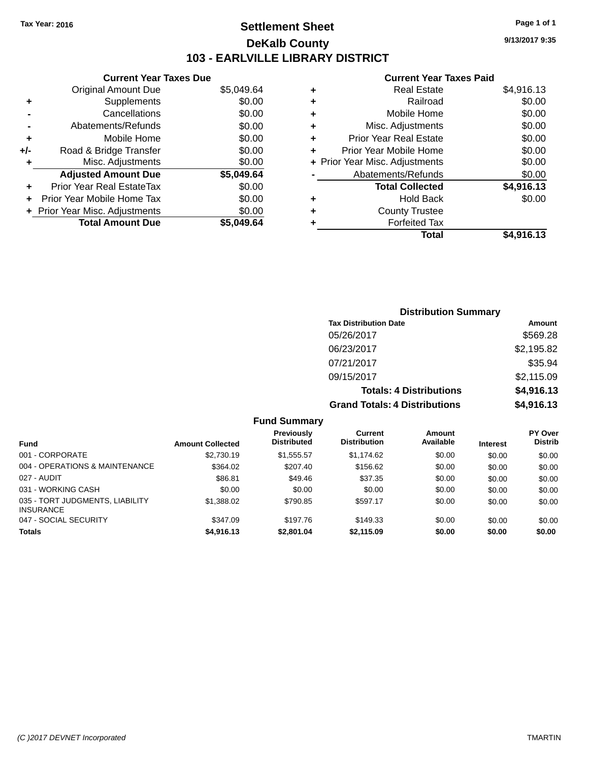# **Settlement Sheet Tax Year: 2016 Page 1 of 1 DeKalb County 103 - EARLVILLE LIBRARY DISTRICT**

**9/13/2017 9:35**

#### **Current Year Taxes Paid**

| <b>Current Year Taxes Due</b>  |            |
|--------------------------------|------------|
| <b>Original Amount Due</b>     | \$5,049.64 |
| Supplements                    | \$0.00     |
| Cancellations                  | \$0.00     |
| Abatements/Refunds             | \$0.00     |
| Mobile Home                    | \$0.00     |
| Road & Bridge Transfer         | \$0.00     |
| Misc. Adjustments              | \$0.00     |
| <b>Adjusted Amount Due</b>     | \$5,049.64 |
| Prior Year Real EstateTax      | \$0.00     |
| Prior Year Mobile Home Tax     | \$0.00     |
| + Prior Year Misc. Adjustments | \$0.00     |
| <b>Total Amount Due</b>        | \$5,049.64 |
|                                |            |

|   | Total                          | \$4,916.13 |
|---|--------------------------------|------------|
| ٠ | <b>Forfeited Tax</b>           |            |
| ٠ | <b>County Trustee</b>          |            |
| ٠ | <b>Hold Back</b>               | \$0.00     |
|   | <b>Total Collected</b>         | \$4,916.13 |
|   | Abatements/Refunds             | \$0.00     |
|   | + Prior Year Misc. Adjustments | \$0.00     |
| ٠ | Prior Year Mobile Home         | \$0.00     |
| ÷ | <b>Prior Year Real Estate</b>  | \$0.00     |
| ٠ | Misc. Adjustments              | \$0.00     |
| ٠ | Mobile Home                    | \$0.00     |
| ٠ | Railroad                       | \$0.00     |
| ٠ | <b>Real Estate</b>             | \$4,916.13 |
|   |                                |            |

| <b>Distribution Summary</b>          |            |
|--------------------------------------|------------|
| <b>Tax Distribution Date</b>         | Amount     |
| 05/26/2017                           | \$569.28   |
| 06/23/2017                           | \$2,195.82 |
| 07/21/2017                           | \$35.94    |
| 09/15/2017                           | \$2,115.09 |
| <b>Totals: 4 Distributions</b>       | \$4,916.13 |
| <b>Grand Totals: 4 Distributions</b> | \$4,916.13 |

| Fund Summary |
|--------------|
|--------------|

|                                                     |                         | <b>Previously</b>  | Current             | Amount    |                 | <b>PY Over</b> |
|-----------------------------------------------------|-------------------------|--------------------|---------------------|-----------|-----------------|----------------|
| <b>Fund</b>                                         | <b>Amount Collected</b> | <b>Distributed</b> | <b>Distribution</b> | Available | <b>Interest</b> | <b>Distrib</b> |
| 001 - CORPORATE                                     | \$2,730.19              | \$1,555.57         | \$1.174.62          | \$0.00    | \$0.00          | \$0.00         |
| 004 - OPERATIONS & MAINTENANCE                      | \$364.02                | \$207.40           | \$156.62            | \$0.00    | \$0.00          | \$0.00         |
| 027 - AUDIT                                         | \$86.81                 | \$49.46            | \$37.35             | \$0.00    | \$0.00          | \$0.00         |
| 031 - WORKING CASH                                  | \$0.00                  | \$0.00             | \$0.00              | \$0.00    | \$0.00          | \$0.00         |
| 035 - TORT JUDGMENTS, LIABILITY<br><b>INSURANCE</b> | \$1,388.02              | \$790.85           | \$597.17            | \$0.00    | \$0.00          | \$0.00         |
| 047 - SOCIAL SECURITY                               | \$347.09                | \$197.76           | \$149.33            | \$0.00    | \$0.00          | \$0.00         |
| Totals                                              | \$4,916.13              | \$2,801.04         | \$2,115.09          | \$0.00    | \$0.00          | \$0.00         |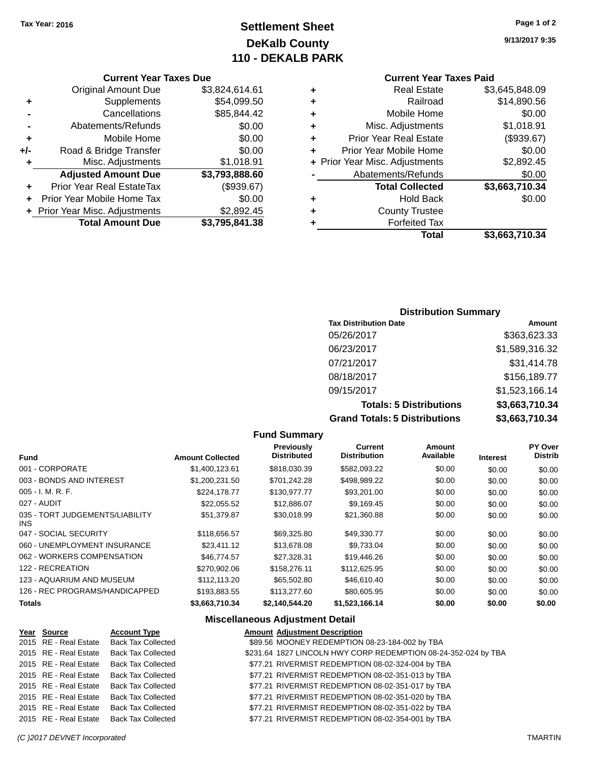# **Settlement Sheet Tax Year: 2016 Page 1 of 2 DeKalb County 110 - DEKALB PARK**

**9/13/2017 9:35**

#### **Current Year Taxes Paid**

| ٠ | <b>Real Estate</b>             | \$3,645,848.09 |
|---|--------------------------------|----------------|
| ٠ | Railroad                       | \$14,890.56    |
| ٠ | Mobile Home                    | \$0.00         |
| ٠ | Misc. Adjustments              | \$1,018.91     |
| ٠ | <b>Prior Year Real Estate</b>  | (\$939.67)     |
| ٠ | Prior Year Mobile Home         | \$0.00         |
|   | + Prior Year Misc. Adjustments | \$2,892.45     |
|   | Abatements/Refunds             | \$0.00         |
|   | <b>Total Collected</b>         | \$3,663,710.34 |
| ٠ | <b>Hold Back</b>               | \$0.00         |
| ٠ | <b>County Trustee</b>          |                |
| ٠ | <b>Forfeited Tax</b>           |                |
|   | Total                          | \$3,663,710.34 |

## **Current Year Taxes Due**

|     | <b>Total Amount Due</b>        | \$3,795,841.38 |
|-----|--------------------------------|----------------|
|     | + Prior Year Misc. Adjustments | \$2,892.45     |
|     | Prior Year Mobile Home Tax     | \$0.00         |
| ٠   | Prior Year Real EstateTax      | (\$939.67)     |
|     | <b>Adjusted Amount Due</b>     | \$3,793,888.60 |
|     | Misc. Adjustments              | \$1,018.91     |
| +/- | Road & Bridge Transfer         | \$0.00         |
| ٠   | Mobile Home                    | \$0.00         |
|     | Abatements/Refunds             | \$0.00         |
|     | Cancellations                  | \$85,844.42    |
| ٠   | Supplements                    | \$54,099.50    |
|     | <b>Original Amount Due</b>     | \$3,824,614.61 |
|     |                                |                |

| <b>Distribution Summary</b>          |                |  |  |
|--------------------------------------|----------------|--|--|
| <b>Tax Distribution Date</b>         | Amount         |  |  |
| 05/26/2017                           | \$363,623.33   |  |  |
| 06/23/2017                           | \$1,589,316.32 |  |  |
| 07/21/2017                           | \$31,414.78    |  |  |
| 08/18/2017                           | \$156,189.77   |  |  |
| 09/15/2017                           | \$1,523,166.14 |  |  |
| <b>Totals: 5 Distributions</b>       | \$3,663,710.34 |  |  |
| <b>Grand Totals: 5 Distributions</b> | \$3,663,710.34 |  |  |

|                                               |                         | <b>Fund Summary</b>              |                                       |                     |                 |                           |
|-----------------------------------------------|-------------------------|----------------------------------|---------------------------------------|---------------------|-----------------|---------------------------|
| <b>Fund</b>                                   | <b>Amount Collected</b> | Previously<br><b>Distributed</b> | <b>Current</b><br><b>Distribution</b> | Amount<br>Available | <b>Interest</b> | PY Over<br><b>Distrib</b> |
| 001 - CORPORATE                               | \$1,400,123.61          | \$818,030.39                     | \$582,093.22                          | \$0.00              | \$0.00          | \$0.00                    |
| 003 - BONDS AND INTEREST                      | \$1,200,231.50          | \$701,242.28                     | \$498,989.22                          | \$0.00              | \$0.00          | \$0.00                    |
| $005 - I. M. R. F.$                           | \$224,178.77            | \$130,977.77                     | \$93,201.00                           | \$0.00              | \$0.00          | \$0.00                    |
| 027 - AUDIT                                   | \$22,055.52             | \$12,886.07                      | \$9,169.45                            | \$0.00              | \$0.00          | \$0.00                    |
| 035 - TORT JUDGEMENTS/LIABILITY<br><b>INS</b> | \$51,379.87             | \$30,018.99                      | \$21,360.88                           | \$0.00              | \$0.00          | \$0.00                    |
| 047 - SOCIAL SECURITY                         | \$118,656.57            | \$69,325.80                      | \$49,330.77                           | \$0.00              | \$0.00          | \$0.00                    |
| 060 - UNEMPLOYMENT INSURANCE                  | \$23,411.12             | \$13,678.08                      | \$9,733.04                            | \$0.00              | \$0.00          | \$0.00                    |
| 062 - WORKERS COMPENSATION                    | \$46,774.57             | \$27,328.31                      | \$19,446.26                           | \$0.00              | \$0.00          | \$0.00                    |
| 122 - RECREATION                              | \$270,902.06            | \$158,276.11                     | \$112,625.95                          | \$0.00              | \$0.00          | \$0.00                    |
| 123 - AQUARIUM AND MUSEUM                     | \$112,113.20            | \$65,502.80                      | \$46,610.40                           | \$0.00              | \$0.00          | \$0.00                    |
| 126 - REC PROGRAMS/HANDICAPPED                | \$193.883.55            | \$113,277.60                     | \$80,605.95                           | \$0.00              | \$0.00          | \$0.00                    |
| <b>Totals</b>                                 | \$3,663,710.34          | \$2,140,544.20                   | \$1,523,166.14                        | \$0.00              | \$0.00          | \$0.00                    |

| Year Source | <b>Account Type</b>                      | <b>Amount Adjustment Description</b>                           |
|-------------|------------------------------------------|----------------------------------------------------------------|
|             | 2015 RE - Real Estate Back Tax Collected | \$89.56 MOONEY REDEMPTION 08-23-184-002 by TBA                 |
|             | 2015 RE - Real Estate Back Tax Collected | \$231.64 1827 LINCOLN HWY CORP REDEMPTION 08-24-352-024 by TBA |
|             | 2015 RE - Real Estate Back Tax Collected | \$77.21 RIVERMIST REDEMPTION 08-02-324-004 by TBA              |
|             | 2015 RE - Real Estate Back Tax Collected | \$77.21 RIVERMIST REDEMPTION 08-02-351-013 by TBA              |
|             | 2015 RE - Real Estate Back Tax Collected | \$77.21 RIVERMIST REDEMPTION 08-02-351-017 by TBA              |
|             | 2015 RE - Real Estate Back Tax Collected | \$77.21 RIVERMIST REDEMPTION 08-02-351-020 by TBA              |
|             | 2015 RE - Real Estate Back Tax Collected | \$77.21 RIVERMIST REDEMPTION 08-02-351-022 by TBA              |
|             | 2015 RE - Real Estate Back Tax Collected | \$77.21 RIVERMIST REDEMPTION 08-02-354-001 by TBA              |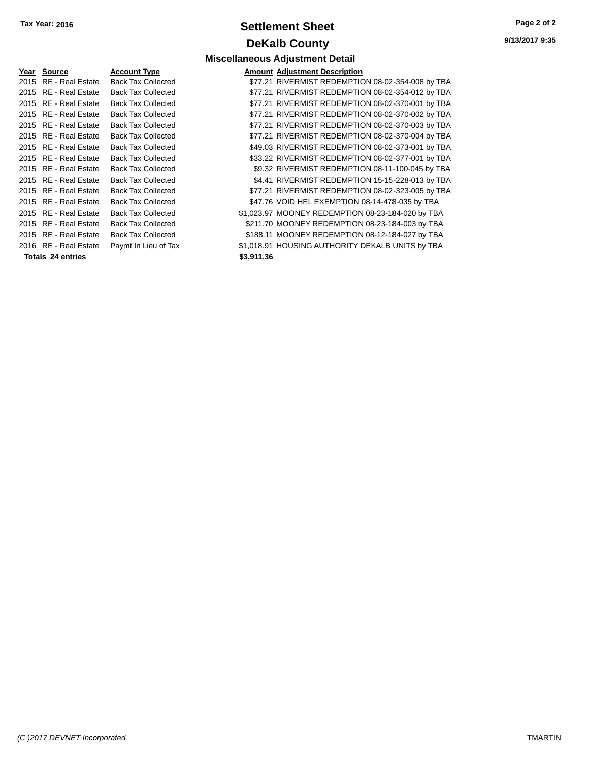# **Settlement Sheet Tax Year: 2016 Page 2 of 2 DeKalb County**

**Miscellaneous Adjustment Detail**

**9/13/2017 9:35**

#### **Year** Source **Account Type Account Adjustment Description** 2015 RE - Real Estate Back Tax Collected 2015 RE - Real Estate Back Tax Collected 2015 RE - Real Estate Back Tax Collected 2015 RE - Real Estate Back Tax Collected 2015 RE - Real Estate Back Tax Collected 2015 RE - Real Estate Back Tax Collected 2015 RE - Real Estate Back Tax Collected 2015 RE - Real Estate Back Tax Collected 2015 RE - Real Estate Back Tax Collected 2015 RE - Real Estate Back Tax Collected 2015 RE - Real Estate Back Tax Collected 2015 RE - Real Estate Back Tax Collected 2015 RE - Real Estate Back Tax Collected 2015 RE - Real Estate Back Tax Collected 2015 RE - Real Estate Back Tax Collected 2016 RE - Real Estate Paymt In Lieu of Tax **Totals \$3,911.36 24 entries**

|            | \$77.21 RIVERMIST REDEMPTION 08-02-354-008 by TBA |
|------------|---------------------------------------------------|
|            | \$77.21 RIVERMIST REDEMPTION 08-02-354-012 by TBA |
|            | \$77.21 RIVERMIST REDEMPTION 08-02-370-001 by TBA |
|            | \$77.21 RIVERMIST REDEMPTION 08-02-370-002 by TBA |
|            | \$77.21 RIVERMIST REDEMPTION 08-02-370-003 by TBA |
|            | \$77.21 RIVERMIST REDEMPTION 08-02-370-004 by TBA |
|            | \$49.03 RIVERMIST REDEMPTION 08-02-373-001 by TBA |
|            | \$33.22 RIVERMIST REDEMPTION 08-02-377-001 by TBA |
|            | \$9.32 RIVERMIST REDEMPTION 08-11-100-045 by TBA  |
|            | \$4.41 RIVERMIST REDEMPTION 15-15-228-013 by TBA  |
|            | \$77.21 RIVERMIST REDEMPTION 08-02-323-005 by TBA |
|            | \$47.76 VOID HEL EXEMPTION 08-14-478-035 by TBA   |
|            | \$1,023.97 MOONEY REDEMPTION 08-23-184-020 by TBA |
|            | \$211.70 MOONEY REDEMPTION 08-23-184-003 by TBA   |
|            | \$188.11 MOONEY REDEMPTION 08-12-184-027 by TBA   |
|            | \$1,018.91 HOUSING AUTHORITY DEKALB UNITS by TBA  |
| \$3.911.36 |                                                   |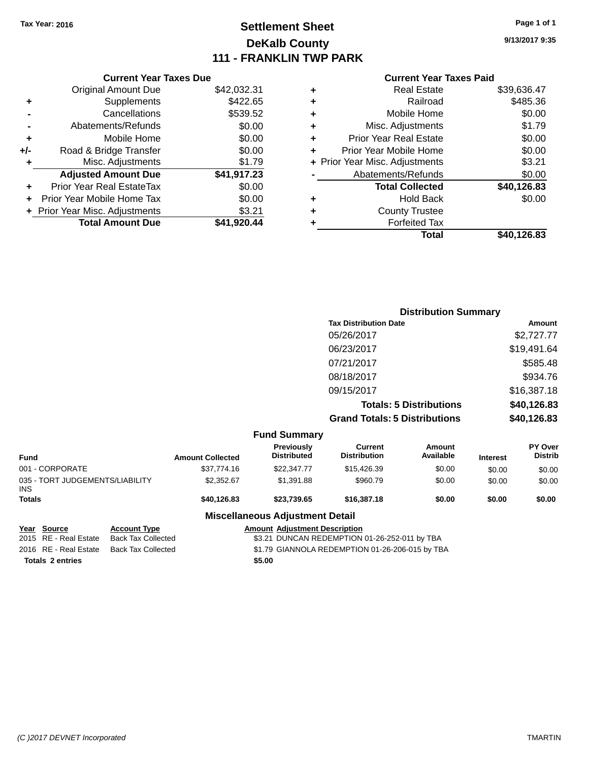# **Settlement Sheet Tax Year: 2016 Page 1 of 1 DeKalb County 111 - FRANKLIN TWP PARK**

**9/13/2017 9:35**

| <b>Current Year Taxes Paid</b> |  |  |  |
|--------------------------------|--|--|--|
|--------------------------------|--|--|--|

|       | <b>Current Year Taxes Due</b>  |             |
|-------|--------------------------------|-------------|
|       | <b>Original Amount Due</b>     | \$42,032.31 |
| ٠     | Supplements                    | \$422.65    |
|       | Cancellations                  | \$539.52    |
|       | Abatements/Refunds             | \$0.00      |
| ÷     | Mobile Home                    | \$0.00      |
| $+/-$ | Road & Bridge Transfer         | \$0.00      |
|       | Misc. Adjustments              | \$1.79      |
|       | <b>Adjusted Amount Due</b>     | \$41,917.23 |
| ٠     | Prior Year Real EstateTax      | \$0.00      |
|       | Prior Year Mobile Home Tax     | \$0.00      |
|       | + Prior Year Misc. Adjustments | \$3.21      |
|       | <b>Total Amount Due</b>        | \$41,920.44 |
|       |                                |             |

| ٠ | <b>Real Estate</b>             | \$39,636.47 |
|---|--------------------------------|-------------|
| ٠ | Railroad                       | \$485.36    |
| ٠ | Mobile Home                    | \$0.00      |
| ٠ | Misc. Adjustments              | \$1.79      |
| ٠ | <b>Prior Year Real Estate</b>  | \$0.00      |
| ÷ | Prior Year Mobile Home         | \$0.00      |
|   | + Prior Year Misc. Adjustments | \$3.21      |
|   | Abatements/Refunds             | \$0.00      |
|   | <b>Total Collected</b>         | \$40,126.83 |
| ٠ | <b>Hold Back</b>               | \$0.00      |
| ٠ | <b>County Trustee</b>          |             |
| ٠ | <b>Forfeited Tax</b>           |             |
|   | Total                          | \$40,126.83 |
|   |                                |             |

|                     | <b>Distribution Summary</b>          |             |  |
|---------------------|--------------------------------------|-------------|--|
|                     | <b>Tax Distribution Date</b>         | Amount      |  |
|                     | 05/26/2017                           | \$2,727.77  |  |
|                     | 06/23/2017                           | \$19,491.64 |  |
|                     | 07/21/2017                           | \$585.48    |  |
|                     | 08/18/2017                           | \$934.76    |  |
|                     | 09/15/2017                           | \$16,387.18 |  |
|                     | <b>Totals: 5 Distributions</b>       | \$40,126.83 |  |
|                     | <b>Grand Totals: 5 Distributions</b> | \$40,126.83 |  |
| <b>Fund Summary</b> |                                      |             |  |

| <b>Fund</b>                                   | <b>Amount Collected</b> | Previously<br><b>Distributed</b> | Current<br><b>Distribution</b> | <b>Amount</b><br>Available | <b>Interest</b> | PY Over<br><b>Distrib</b> |
|-----------------------------------------------|-------------------------|----------------------------------|--------------------------------|----------------------------|-----------------|---------------------------|
| 001 - CORPORATE                               | \$37,774.16             | \$22,347.77                      | \$15,426.39                    | \$0.00                     | \$0.00          | \$0.00                    |
| 035 - TORT JUDGEMENTS/LIABILITY<br><b>INS</b> | \$2,352.67              | \$1.391.88                       | \$960.79                       | \$0.00                     | \$0.00          | \$0.00                    |
| <b>Totals</b>                                 | \$40,126.83             | \$23.739.65                      | \$16,387.18                    | \$0.00                     | \$0.00          | \$0.00                    |
|                                               |                         |                                  |                                |                            |                 |                           |

| Year Source             | <b>Account Type</b> | <b>Amount Adjustment Description</b>            |
|-------------------------|---------------------|-------------------------------------------------|
| 2015 RE - Real Estate   | Back Tax Collected  | \$3.21 DUNCAN REDEMPTION 01-26-252-011 by TBA   |
| 2016 RE - Real Estate   | Back Tax Collected  | \$1.79 GIANNOLA REDEMPTION 01-26-206-015 by TBA |
| <b>Totals 2 entries</b> |                     | \$5.00                                          |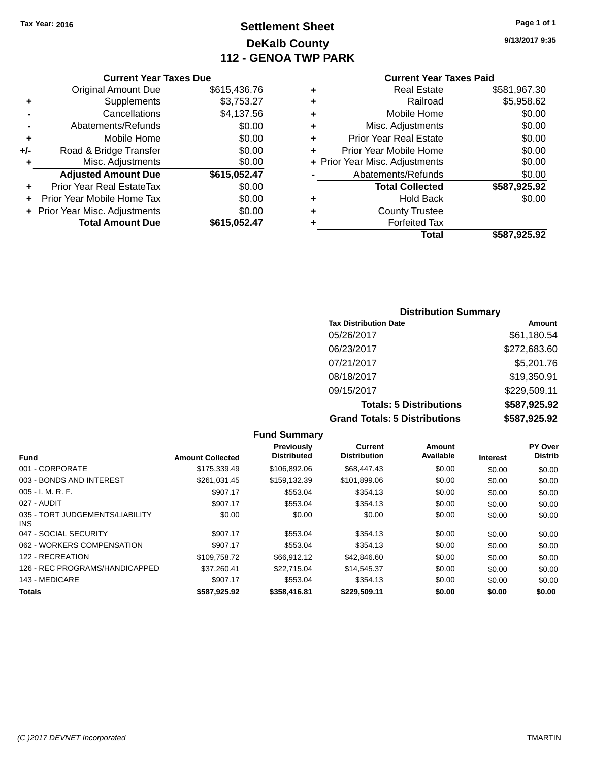# **Settlement Sheet Tax Year: 2016 Page 1 of 1 DeKalb County 112 - GENOA TWP PARK**

**9/13/2017 9:35**

#### **Current Year Taxes Paid**

|     | <b>Current Year Taxes Due</b>  |              |
|-----|--------------------------------|--------------|
|     | <b>Original Amount Due</b>     | \$615,436.76 |
| ٠   | Supplements                    | \$3,753.27   |
|     | Cancellations                  | \$4,137.56   |
|     | Abatements/Refunds             | \$0.00       |
| ٠   | Mobile Home                    | \$0.00       |
| +/- | Road & Bridge Transfer         | \$0.00       |
| ٠   | Misc. Adjustments              | \$0.00       |
|     | <b>Adjusted Amount Due</b>     | \$615,052.47 |
|     | Prior Year Real EstateTax      | \$0.00       |
|     | Prior Year Mobile Home Tax     | \$0.00       |
|     | + Prior Year Misc. Adjustments | \$0.00       |
|     | <b>Total Amount Due</b>        | \$615,052.47 |
|     |                                |              |

|   | <b>Real Estate</b>             | \$581,967.30 |
|---|--------------------------------|--------------|
| ٠ | Railroad                       | \$5,958.62   |
| ٠ | Mobile Home                    | \$0.00       |
| ٠ | Misc. Adjustments              | \$0.00       |
| ٠ | <b>Prior Year Real Estate</b>  | \$0.00       |
| ÷ | Prior Year Mobile Home         | \$0.00       |
|   | + Prior Year Misc. Adjustments | \$0.00       |
|   | Abatements/Refunds             | \$0.00       |
|   | <b>Total Collected</b>         | \$587,925.92 |
| ٠ | <b>Hold Back</b>               | \$0.00       |
| ٠ | <b>County Trustee</b>          |              |
| ٠ | <b>Forfeited Tax</b>           |              |
|   | Total                          | \$587,925.92 |
|   |                                |              |

### **Distribution Summary Tax Distribution Date Amount** 05/26/2017 \$61,180.54 06/23/2017 \$272,683.60 07/21/2017 \$5,201.76 08/18/2017 \$19,350.91 09/15/2017 \$229,509.11 **Totals: 5 Distributions \$587,925.92 Grand Totals: 5 Distributions \$587,925.92**

|                                         |                         | <b>Fund Summary</b>              |                                |                     |                 |                           |
|-----------------------------------------|-------------------------|----------------------------------|--------------------------------|---------------------|-----------------|---------------------------|
| <b>Fund</b>                             | <b>Amount Collected</b> | Previously<br><b>Distributed</b> | Current<br><b>Distribution</b> | Amount<br>Available | <b>Interest</b> | PY Over<br><b>Distrib</b> |
| 001 - CORPORATE                         | \$175,339.49            | \$106,892.06                     | \$68,447.43                    | \$0.00              | \$0.00          | \$0.00                    |
| 003 - BONDS AND INTEREST                | \$261,031.45            | \$159,132.39                     | \$101,899.06                   | \$0.00              | \$0.00          | \$0.00                    |
| $005 - I. M. R. F.$                     | \$907.17                | \$553.04                         | \$354.13                       | \$0.00              | \$0.00          | \$0.00                    |
| 027 - AUDIT                             | \$907.17                | \$553.04                         | \$354.13                       | \$0.00              | \$0.00          | \$0.00                    |
| 035 - TORT JUDGEMENTS/LIABILITY<br>INS. | \$0.00                  | \$0.00                           | \$0.00                         | \$0.00              | \$0.00          | \$0.00                    |
| 047 - SOCIAL SECURITY                   | \$907.17                | \$553.04                         | \$354.13                       | \$0.00              | \$0.00          | \$0.00                    |
| 062 - WORKERS COMPENSATION              | \$907.17                | \$553.04                         | \$354.13                       | \$0.00              | \$0.00          | \$0.00                    |
| 122 - RECREATION                        | \$109,758.72            | \$66,912.12                      | \$42,846.60                    | \$0.00              | \$0.00          | \$0.00                    |
| 126 - REC PROGRAMS/HANDICAPPED          | \$37.260.41             | \$22.715.04                      | \$14,545.37                    | \$0.00              | \$0.00          | \$0.00                    |
| 143 - MEDICARE                          | \$907.17                | \$553.04                         | \$354.13                       | \$0.00              | \$0.00          | \$0.00                    |
| <b>Totals</b>                           | \$587.925.92            | \$358,416.81                     | \$229.509.11                   | \$0.00              | \$0.00          | \$0.00                    |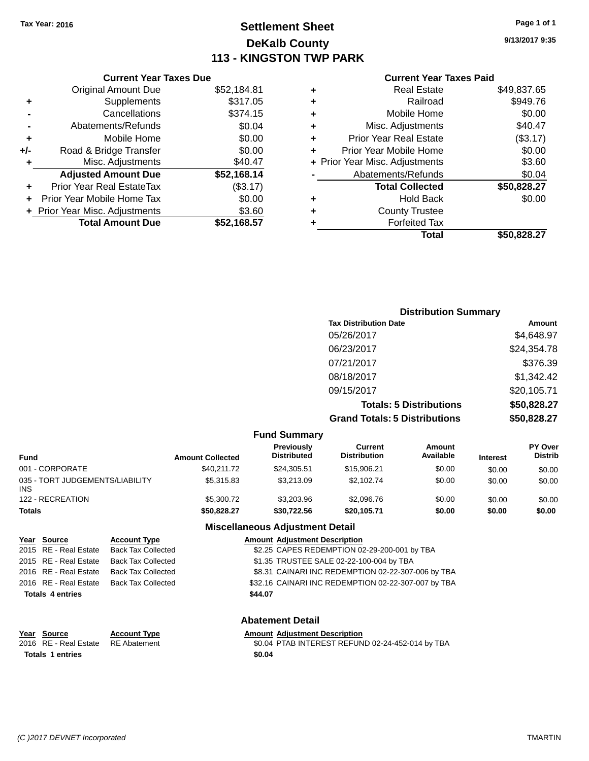# **Settlement Sheet Tax Year: 2016 Page 1 of 1 DeKalb County 113 - KINGSTON TWP PARK**

**9/13/2017 9:35**

#### **Current Year Taxes Paid**

|       | <b>Current Year Taxes Due</b>  |             |
|-------|--------------------------------|-------------|
|       | <b>Original Amount Due</b>     | \$52,184.81 |
| ٠     | Supplements                    | \$317.05    |
|       | Cancellations                  | \$374.15    |
|       | Abatements/Refunds             | \$0.04      |
| ٠     | Mobile Home                    | \$0.00      |
| $+/-$ | Road & Bridge Transfer         | \$0.00      |
| ٠     | Misc. Adjustments              | \$40.47     |
|       | <b>Adjusted Amount Due</b>     | \$52,168.14 |
| ٠     | Prior Year Real EstateTax      | (\$3.17)    |
|       | Prior Year Mobile Home Tax     | \$0.00      |
|       | + Prior Year Misc. Adjustments | \$3.60      |
|       | <b>Total Amount Due</b>        | \$52,168.57 |
|       |                                |             |

| ٠ | <b>Real Estate</b>             | \$49,837.65 |
|---|--------------------------------|-------------|
| ٠ | Railroad                       | \$949.76    |
| ٠ | Mobile Home                    | \$0.00      |
| ٠ | Misc. Adjustments              | \$40.47     |
| ٠ | <b>Prior Year Real Estate</b>  | (\$3.17)    |
| ÷ | Prior Year Mobile Home         | \$0.00      |
|   | + Prior Year Misc. Adjustments | \$3.60      |
|   | Abatements/Refunds             | \$0.04      |
|   | <b>Total Collected</b>         | \$50,828.27 |
| ٠ | <b>Hold Back</b>               | \$0.00      |
| ٠ | <b>County Trustee</b>          |             |
| ٠ | <b>Forfeited Tax</b>           |             |
|   | Total                          | \$50,828.27 |
|   |                                |             |

| <b>Distribution Summary</b>          |             |
|--------------------------------------|-------------|
| <b>Tax Distribution Date</b>         | Amount      |
| 05/26/2017                           | \$4,648.97  |
| 06/23/2017                           | \$24,354.78 |
| 07/21/2017                           | \$376.39    |
| 08/18/2017                           | \$1,342.42  |
| 09/15/2017                           | \$20,105.71 |
| <b>Totals: 5 Distributions</b>       | \$50,828.27 |
| <b>Grand Totals: 5 Distributions</b> | \$50,828.27 |

| <b>Fund Summary</b>                     |                         |                                         |                                |                     |                 |                                  |
|-----------------------------------------|-------------------------|-----------------------------------------|--------------------------------|---------------------|-----------------|----------------------------------|
| Fund                                    | <b>Amount Collected</b> | <b>Previously</b><br><b>Distributed</b> | Current<br><b>Distribution</b> | Amount<br>Available | <b>Interest</b> | <b>PY Over</b><br><b>Distrib</b> |
| 001 - CORPORATE                         | \$40.211.72             | \$24.305.51                             | \$15,906.21                    | \$0.00              | \$0.00          | \$0.00                           |
| 035 - TORT JUDGEMENTS/LIABILITY<br>INS. | \$5.315.83              | \$3,213.09                              | \$2.102.74                     | \$0.00              | \$0.00          | \$0.00                           |
| 122 - RECREATION                        | \$5,300.72              | \$3,203.96                              | \$2,096.76                     | \$0.00              | \$0.00          | \$0.00                           |
| <b>Totals</b>                           | \$50,828.27             | \$30.722.56                             | \$20.105.71                    | \$0.00              | \$0.00          | \$0.00                           |
|                                         |                         | Miscellaneous Adjustment Detail         |                                |                     |                 |                                  |

|                         |                           | <b>MISCONDICOUS AUJUSTINGIIL DOLUI</b> I            |
|-------------------------|---------------------------|-----------------------------------------------------|
| Year Source             | <b>Account Type</b>       | <b>Amount Adjustment Description</b>                |
| 2015 RE - Real Estate   | <b>Back Tax Collected</b> | \$2.25 CAPES REDEMPTION 02-29-200-001 by TBA        |
| 2015 RE - Real Estate   | <b>Back Tax Collected</b> | \$1.35 TRUSTEE SALE 02-22-100-004 by TBA            |
| 2016 RE - Real Estate   | <b>Back Tax Collected</b> | \$8.31 CAINARI INC REDEMPTION 02-22-307-006 by TBA  |
| 2016 RE - Real Estate   | Back Tax Collected        | \$32.16 CAINARI INC REDEMPTION 02-22-307-007 by TBA |
| <b>Totals 4 entries</b> |                           | \$44.07                                             |
|                         |                           | <b>Abatement Detail</b>                             |
| Year Source             | <b>Account Type</b>       | <b>Amount Adjustment Description</b>                |
| 2016 RE - Real Estate   | <b>RE</b> Abatement       | \$0.04 PTAB INTEREST REFUND 02-24-452-014 by TBA    |

**Totals \$0.04 1 entries**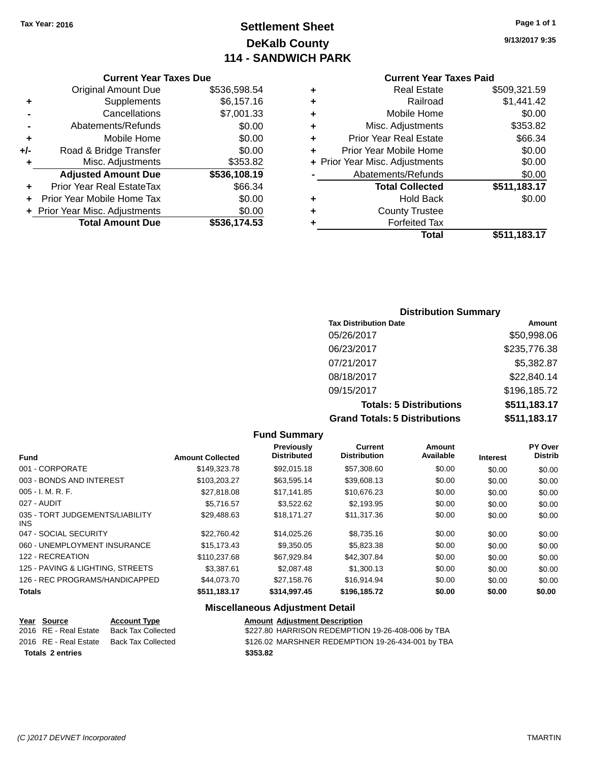# **Settlement Sheet Tax Year: 2016 Page 1 of 1 DeKalb County 114 - SANDWICH PARK**

**9/13/2017 9:35**

#### **Current Year Taxes Paid**

|     | <b>Current Year Taxes Due</b>  |              |  |  |  |
|-----|--------------------------------|--------------|--|--|--|
|     | <b>Original Amount Due</b>     | \$536,598.54 |  |  |  |
| ٠   | Supplements                    | \$6,157.16   |  |  |  |
|     | Cancellations                  | \$7,001.33   |  |  |  |
|     | Abatements/Refunds             | \$0.00       |  |  |  |
| ٠   | \$0.00<br>Mobile Home          |              |  |  |  |
| +/- | Road & Bridge Transfer         | \$0.00       |  |  |  |
| ٠   | Misc. Adjustments              | \$353.82     |  |  |  |
|     | <b>Adjusted Amount Due</b>     | \$536,108.19 |  |  |  |
| ٠   | Prior Year Real EstateTax      | \$66.34      |  |  |  |
|     | Prior Year Mobile Home Tax     | \$0.00       |  |  |  |
|     | + Prior Year Misc. Adjustments | \$0.00       |  |  |  |
|     | <b>Total Amount Due</b>        | \$536,174.53 |  |  |  |
|     |                                |              |  |  |  |

|   | <b>Real Estate</b>             | \$509,321.59 |
|---|--------------------------------|--------------|
| ٠ | Railroad                       | \$1,441.42   |
| ٠ | Mobile Home                    | \$0.00       |
| ٠ | Misc. Adjustments              | \$353.82     |
| ٠ | <b>Prior Year Real Estate</b>  | \$66.34      |
| ÷ | Prior Year Mobile Home         | \$0.00       |
|   | + Prior Year Misc. Adjustments | \$0.00       |
|   | Abatements/Refunds             | \$0.00       |
|   | <b>Total Collected</b>         | \$511,183.17 |
| ٠ | <b>Hold Back</b>               | \$0.00       |
| ٠ | <b>County Trustee</b>          |              |
| ٠ | <b>Forfeited Tax</b>           |              |
|   | Total                          | \$511,183.17 |
|   |                                |              |

### **Distribution Summary Tax Distribution Date Amount** 05/26/2017 \$50,998.06 06/23/2017 \$235,776.38 07/21/2017 \$5,382.87 08/18/2017 \$22,840.14 09/15/2017 \$196,185.72 **Totals: 5 Distributions \$511,183.17 Grand Totals: 5 Distributions \$511,183.17**

| <b>Fund Summary</b>                     |                         |                                         |                                |                            |                 |                           |
|-----------------------------------------|-------------------------|-----------------------------------------|--------------------------------|----------------------------|-----------------|---------------------------|
| <b>Fund</b>                             | <b>Amount Collected</b> | <b>Previously</b><br><b>Distributed</b> | Current<br><b>Distribution</b> | <b>Amount</b><br>Available | <b>Interest</b> | PY Over<br><b>Distrib</b> |
| 001 - CORPORATE                         | \$149,323,78            | \$92,015.18                             | \$57,308.60                    | \$0.00                     | \$0.00          | \$0.00                    |
| 003 - BONDS AND INTEREST                | \$103,203.27            | \$63,595.14                             | \$39,608.13                    | \$0.00                     | \$0.00          | \$0.00                    |
| 005 - I. M. R. F.                       | \$27,818.08             | \$17,141.85                             | \$10,676.23                    | \$0.00                     | \$0.00          | \$0.00                    |
| 027 - AUDIT                             | \$5.716.57              | \$3.522.62                              | \$2,193.95                     | \$0.00                     | \$0.00          | \$0.00                    |
| 035 - TORT JUDGEMENTS/LIABILITY<br>INS. | \$29,488.63             | \$18,171.27                             | \$11,317.36                    | \$0.00                     | \$0.00          | \$0.00                    |
| 047 - SOCIAL SECURITY                   | \$22,760.42             | \$14,025.26                             | \$8,735.16                     | \$0.00                     | \$0.00          | \$0.00                    |
| 060 - UNEMPLOYMENT INSURANCE            | \$15,173.43             | \$9,350.05                              | \$5,823.38                     | \$0.00                     | \$0.00          | \$0.00                    |
| 122 - RECREATION                        | \$110,237.68            | \$67.929.84                             | \$42,307.84                    | \$0.00                     | \$0.00          | \$0.00                    |
| 125 - PAVING & LIGHTING, STREETS        | \$3,387.61              | \$2,087.48                              | \$1,300.13                     | \$0.00                     | \$0.00          | \$0.00                    |
| 126 - REC PROGRAMS/HANDICAPPED          | \$44.073.70             | \$27,158.76                             | \$16,914.94                    | \$0.00                     | \$0.00          | \$0.00                    |
| <b>Totals</b>                           | \$511,183.17            | \$314,997.45                            | \$196,185.72                   | \$0.00                     | \$0.00          | \$0.00                    |

| Year Source             | <b>Account Type</b> | <b>Amount Adjustment Description</b>              |
|-------------------------|---------------------|---------------------------------------------------|
| 2016 RE - Real Estate   | Back Tax Collected  | \$227.80 HARRISON REDEMPTION 19-26-408-006 by TBA |
| 2016 RE - Real Estate   | Back Tax Collected  | \$126.02 MARSHNER REDEMPTION 19-26-434-001 by TBA |
| <b>Totals 2 entries</b> |                     | \$353.82                                          |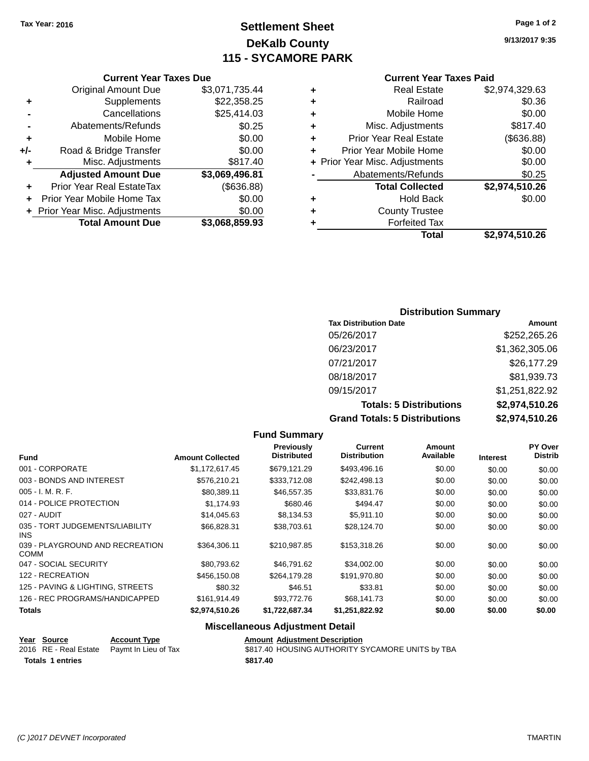**Current Year Taxes Due** Original Amount Due \$3,071,735.44

**Adjusted Amount Due \$3,069,496.81**

**Total Amount Due \$3,068,859.93**

**+** Supplements \$22,358.25 **-** Cancellations \$25,414.03 **-** Abatements/Refunds \$0.25 **+** Mobile Home \$0.00 **+/-** Road & Bridge Transfer \$0.00 **+** Misc. Adjustments \$817.40

**+** Prior Year Real EstateTax (\$636.88) **+** Prior Year Mobile Home Tax \$0.00 **+** Prior Year Misc. Adjustments  $$0.00$ 

# **Settlement Sheet Tax Year: 2016 Page 1 of 2 DeKalb County 115 - SYCAMORE PARK**

**9/13/2017 9:35**

#### **Current Year Taxes Paid**

| <b>Total Collected</b><br><b>Hold Back</b><br><b>County Trustee</b><br><b>Forfeited Tax</b> | \$2,974,510.26<br>\$0.00       |
|---------------------------------------------------------------------------------------------|--------------------------------|
|                                                                                             |                                |
|                                                                                             |                                |
|                                                                                             |                                |
|                                                                                             |                                |
| Abatements/Refunds                                                                          | \$0.25                         |
|                                                                                             | \$0.00                         |
| Prior Year Mobile Home                                                                      | \$0.00                         |
| <b>Prior Year Real Estate</b>                                                               | (\$636.88)                     |
| Misc. Adjustments                                                                           | \$817.40                       |
| Mobile Home                                                                                 | \$0.00                         |
| Railroad                                                                                    | \$0.36                         |
| <b>Real Estate</b>                                                                          | \$2,974,329.63                 |
|                                                                                             | + Prior Year Misc. Adjustments |

## **Distribution Summary Tax Distribution Date Amount** 05/26/2017 \$252,265.26 06/23/2017 \$1,362,305.06 07/21/2017 \$26,177.29 08/18/2017 \$81,939.73 09/15/2017 \$1,251,822.92 **Totals: 5 Distributions \$2,974,510.26**

**Grand Totals: 5 Distributions \$2,974,510.26**

| ributions |  |
|-----------|--|
|           |  |

| <b>Fund Summary</b>                            |                         |                                  |                                       |                     |                 |                           |
|------------------------------------------------|-------------------------|----------------------------------|---------------------------------------|---------------------|-----------------|---------------------------|
| <b>Fund</b>                                    | <b>Amount Collected</b> | Previously<br><b>Distributed</b> | <b>Current</b><br><b>Distribution</b> | Amount<br>Available | <b>Interest</b> | PY Over<br><b>Distrib</b> |
| 001 - CORPORATE                                | \$1,172,617.45          | \$679,121.29                     | \$493,496.16                          | \$0.00              | \$0.00          | \$0.00                    |
| 003 - BONDS AND INTEREST                       | \$576,210.21            | \$333,712.08                     | \$242,498.13                          | \$0.00              | \$0.00          | \$0.00                    |
| $005 - I. M. R. F.$                            | \$80,389.11             | \$46,557.35                      | \$33,831.76                           | \$0.00              | \$0.00          | \$0.00                    |
| 014 - POLICE PROTECTION                        | \$1,174.93              | \$680.46                         | \$494.47                              | \$0.00              | \$0.00          | \$0.00                    |
| 027 - AUDIT                                    | \$14,045.63             | \$8,134.53                       | \$5,911.10                            | \$0.00              | \$0.00          | \$0.00                    |
| 035 - TORT JUDGEMENTS/LIABILITY<br>INS.        | \$66,828.31             | \$38,703.61                      | \$28,124.70                           | \$0.00              | \$0.00          | \$0.00                    |
| 039 - PLAYGROUND AND RECREATION<br><b>COMM</b> | \$364,306.11            | \$210,987.85                     | \$153,318.26                          | \$0.00              | \$0.00          | \$0.00                    |
| 047 - SOCIAL SECURITY                          | \$80,793.62             | \$46,791.62                      | \$34,002.00                           | \$0.00              | \$0.00          | \$0.00                    |
| 122 - RECREATION                               | \$456,150.08            | \$264,179.28                     | \$191,970.80                          | \$0.00              | \$0.00          | \$0.00                    |
| 125 - PAVING & LIGHTING, STREETS               | \$80.32                 | \$46.51                          | \$33.81                               | \$0.00              | \$0.00          | \$0.00                    |
| 126 - REC PROGRAMS/HANDICAPPED                 | \$161,914.49            | \$93,772.76                      | \$68,141.73                           | \$0.00              | \$0.00          | \$0.00                    |
| <b>Totals</b>                                  | \$2,974,510.26          | \$1,722,687.34                   | \$1,251,822.92                        | \$0.00              | \$0.00          | \$0.00                    |

#### **Miscellaneous Adjustment Detail**

#### **Year** Source **Account Type Account Account Adjustment Description** 2016 RE - Real Estate Paymt In Lieu of Tax \$817.40 HOUSING AUTHORITY SYCAMORE UNITS by TBA **Totals 1 entries** \$817.40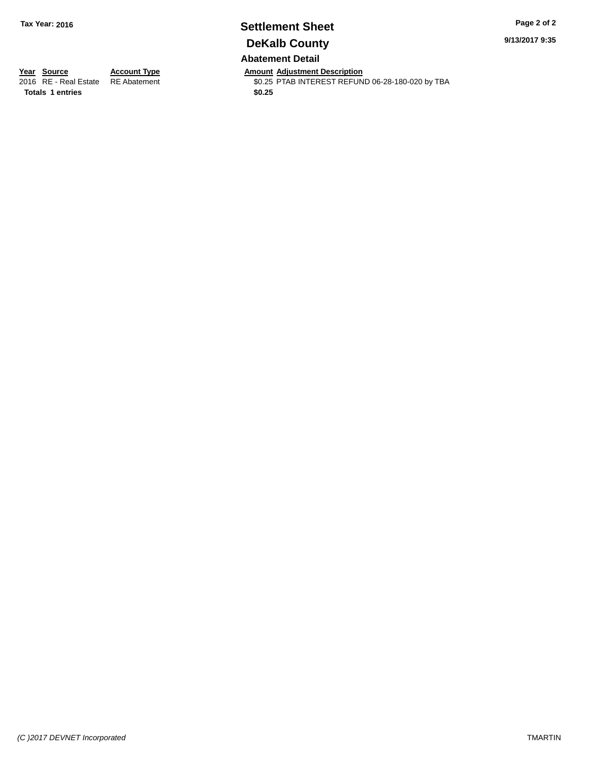## **Settlement Sheet Tax Year: 2016 Page 2 of 2 DeKalb County Abatement Detail**

**9/13/2017 9:35**

**Totals 1 entries** \$0.25

**Year Source Account Type And Amount Adjustment Description**<br>2016 RE - Real Estate RE Abatement **Amount Adjustment REFUN** \$0.25 PTAB INTEREST REFUND 06-28-180-020 by TBA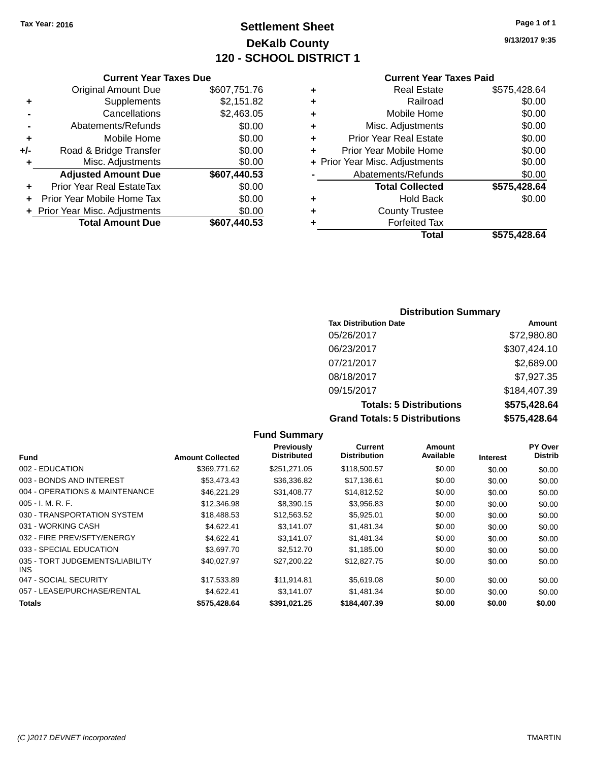## **Settlement Sheet Tax Year: 2016 Page 1 of 1 DeKalb County 120 - SCHOOL DISTRICT 1**

**9/13/2017 9:35**

## **Current Year Taxes Paid**

|       | <b>Current Year Taxes Due</b>  |              |
|-------|--------------------------------|--------------|
|       | <b>Original Amount Due</b>     | \$607,751.76 |
| ٠     | Supplements                    | \$2,151.82   |
|       | Cancellations                  | \$2,463.05   |
|       | Abatements/Refunds             | \$0.00       |
| ٠     | Mobile Home                    | \$0.00       |
| $+/-$ | Road & Bridge Transfer         | \$0.00       |
|       | Misc. Adjustments              | \$0.00       |
|       | <b>Adjusted Amount Due</b>     | \$607,440.53 |
| ٠     | Prior Year Real EstateTax      | \$0.00       |
|       | Prior Year Mobile Home Tax     | \$0.00       |
|       | + Prior Year Misc. Adjustments | \$0.00       |
|       | <b>Total Amount Due</b>        | \$607,440.53 |
|       |                                |              |

|   | <b>Real Estate</b>             | \$575,428.64 |
|---|--------------------------------|--------------|
| ٠ | Railroad                       | \$0.00       |
| ٠ | Mobile Home                    | \$0.00       |
| ٠ | Misc. Adjustments              | \$0.00       |
| ٠ | <b>Prior Year Real Estate</b>  | \$0.00       |
|   | Prior Year Mobile Home         | \$0.00       |
|   | + Prior Year Misc. Adjustments | \$0.00       |
|   | Abatements/Refunds             | \$0.00       |
|   | <b>Total Collected</b>         | \$575,428.64 |
| ٠ | <b>Hold Back</b>               | \$0.00       |
| ٠ | <b>County Trustee</b>          |              |
|   | <b>Forfeited Tax</b>           |              |
|   | Total                          | \$575,428.64 |
|   |                                |              |

## **Distribution Summary Tax Distribution Date Amount** 05/26/2017 \$72,980.80 06/23/2017 \$307,424.10 07/21/2017 \$2,689.00 08/18/2017 \$7,927.35 09/15/2017 \$184,407.39 **Totals: 5 Distributions \$575,428.64 Grand Totals: 5 Distributions \$575,428.64**

|                                         |                         | <b>Fund Summary</b>              |                                       |                            |                 |                           |
|-----------------------------------------|-------------------------|----------------------------------|---------------------------------------|----------------------------|-----------------|---------------------------|
| <b>Fund</b>                             | <b>Amount Collected</b> | Previously<br><b>Distributed</b> | <b>Current</b><br><b>Distribution</b> | <b>Amount</b><br>Available | <b>Interest</b> | PY Over<br><b>Distrib</b> |
| 002 - EDUCATION                         | \$369,771.62            | \$251,271.05                     | \$118,500.57                          | \$0.00                     | \$0.00          | \$0.00                    |
| 003 - BONDS AND INTEREST                | \$53,473.43             | \$36,336.82                      | \$17,136.61                           | \$0.00                     | \$0.00          | \$0.00                    |
| 004 - OPERATIONS & MAINTENANCE          | \$46,221,29             | \$31,408.77                      | \$14,812.52                           | \$0.00                     | \$0.00          | \$0.00                    |
| $005 - I. M. R. F.$                     | \$12,346.98             | \$8,390.15                       | \$3,956.83                            | \$0.00                     | \$0.00          | \$0.00                    |
| 030 - TRANSPORTATION SYSTEM             | \$18,488.53             | \$12,563.52                      | \$5,925.01                            | \$0.00                     | \$0.00          | \$0.00                    |
| 031 - WORKING CASH                      | \$4,622.41              | \$3.141.07                       | \$1,481.34                            | \$0.00                     | \$0.00          | \$0.00                    |
| 032 - FIRE PREV/SFTY/ENERGY             | \$4,622.41              | \$3.141.07                       | \$1,481.34                            | \$0.00                     | \$0.00          | \$0.00                    |
| 033 - SPECIAL EDUCATION                 | \$3,697.70              | \$2,512.70                       | \$1,185.00                            | \$0.00                     | \$0.00          | \$0.00                    |
| 035 - TORT JUDGEMENTS/LIABILITY<br>INS. | \$40,027.97             | \$27,200.22                      | \$12,827.75                           | \$0.00                     | \$0.00          | \$0.00                    |
| 047 - SOCIAL SECURITY                   | \$17,533.89             | \$11,914.81                      | \$5,619.08                            | \$0.00                     | \$0.00          | \$0.00                    |
| 057 - LEASE/PURCHASE/RENTAL             | \$4,622.41              | \$3.141.07                       | \$1,481.34                            | \$0.00                     | \$0.00          | \$0.00                    |
| Totals                                  | \$575,428.64            | \$391,021.25                     | \$184,407.39                          | \$0.00                     | \$0.00          | \$0.00                    |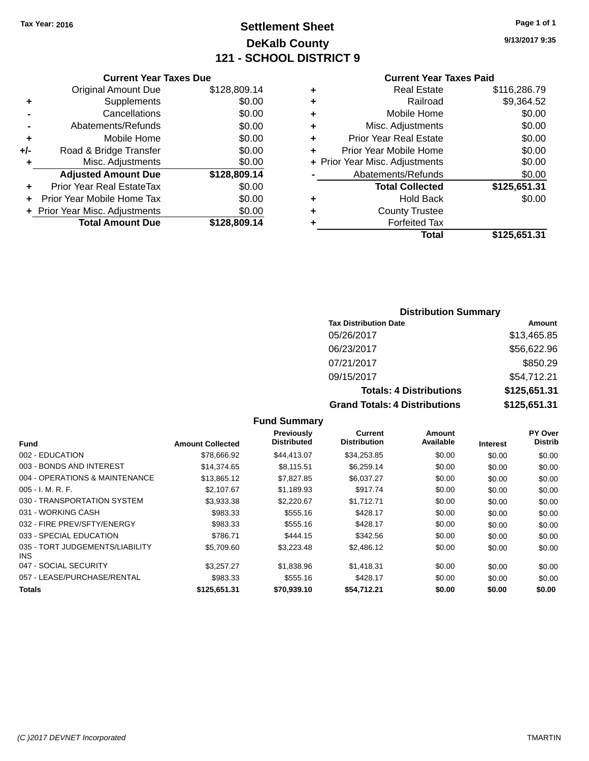## **Settlement Sheet Tax Year: 2016 Page 1 of 1 DeKalb County 121 - SCHOOL DISTRICT 9**

**9/13/2017 9:35**

### **Current Year Taxes Paid**

|     | <b>Original Amount Due</b>       | \$128,809.14 |
|-----|----------------------------------|--------------|
| ٠   | Supplements                      | \$0.00       |
|     | Cancellations                    | \$0.00       |
|     | Abatements/Refunds               | \$0.00       |
| ÷   | Mobile Home                      | \$0.00       |
| +/- | Road & Bridge Transfer           | \$0.00       |
| ٠   | Misc. Adjustments                | \$0.00       |
|     | <b>Adjusted Amount Due</b>       | \$128,809.14 |
|     | <b>Prior Year Real EstateTax</b> | \$0.00       |
| ٠   | Prior Year Mobile Home Tax       | \$0.00       |
|     | + Prior Year Misc. Adjustments   | \$0.00       |
|     | <b>Total Amount Due</b>          | \$128,809.14 |
|     |                                  |              |

**Current Year Taxes Due**

| ٠ | <b>Real Estate</b>             | \$116,286.79 |
|---|--------------------------------|--------------|
| ٠ | Railroad                       | \$9,364.52   |
| ٠ | Mobile Home                    | \$0.00       |
| ٠ | Misc. Adjustments              | \$0.00       |
| ٠ | <b>Prior Year Real Estate</b>  | \$0.00       |
| ÷ | Prior Year Mobile Home         | \$0.00       |
|   | + Prior Year Misc. Adjustments | \$0.00       |
|   | Abatements/Refunds             | \$0.00       |
|   | <b>Total Collected</b>         | \$125,651.31 |
| ٠ | <b>Hold Back</b>               | \$0.00       |
| ٠ | <b>County Trustee</b>          |              |
| ٠ | <b>Forfeited Tax</b>           |              |
|   | Total                          | \$125,651.31 |
|   |                                |              |

## **Distribution Summary Tax Distribution Date Amount** 05/26/2017 \$13,465.85 06/23/2017 \$56,622.96 07/21/2017 \$850.29 09/15/2017 \$54,712.21 **Totals: 4 Distributions \$125,651.31 Grand Totals: 4 Distributions \$125,651.31**

### **Fund Summary Fund Interest Amount Collected Distributed PY Over Distrib Amount Available Current Distribution Previously** 002 - EDUCATION \$78,666.92 \$44,413.07 \$34,253.85 \$0.00 \$0.00 \$0.00 003 - BONDS AND INTEREST 60.00 \$14,374.65 \$8,115.51 \$6,259.14 \$0.00 \$0.00 \$0.00 \$0.00 004 - OPERATIONS & MAINTENANCE \$13,865.12 \$7,827.85 \$6,037.27 \$0.00 \$0.00 \$0.00 005 - I. M. R. F. \$2,107.67 \$1,189.93 \$917.74 \$0.00 \$0.00 \$0.00 030 - TRANSPORTATION SYSTEM \$3,933.38 \$2,220.67 \$1,712.71 \$0.00 \$0.00 \$0.00 \$0.00 031 - WORKING CASH \$983.33 \$555.16 \$428.17 \$0.00 \$0.00 \$0.00 032 - FIRE PREV/SFTY/ENERGY \$983.33 \$555.16 \$428.17 \$0.00 \$0.00 \$0.00 033 - SPECIAL EDUCATION 6786.71 \$444.15 \$342.56 \$0.00 \$0.00 \$0.00 \$0.00 035 - TORT JUDGEMENTS/LIABILITY INS \$5,709.60 \$3,223.48 \$2,486.12 \$0.00 \$0.00 \$0.00 047 - SOCIAL SECURITY \$3,257.27 \$1,838.96 \$1,418.31 \$0.00 \$0.00 \$0.00 \$0.00 057 - LEASE/PURCHASE/RENTAL \$983.33 \$555.16 \$428.17 \$0.00 \$0.00 \$0.00 \$0.00 **Totals \$125,651.31 \$70,939.10 \$54,712.21 \$0.00 \$0.00 \$0.00**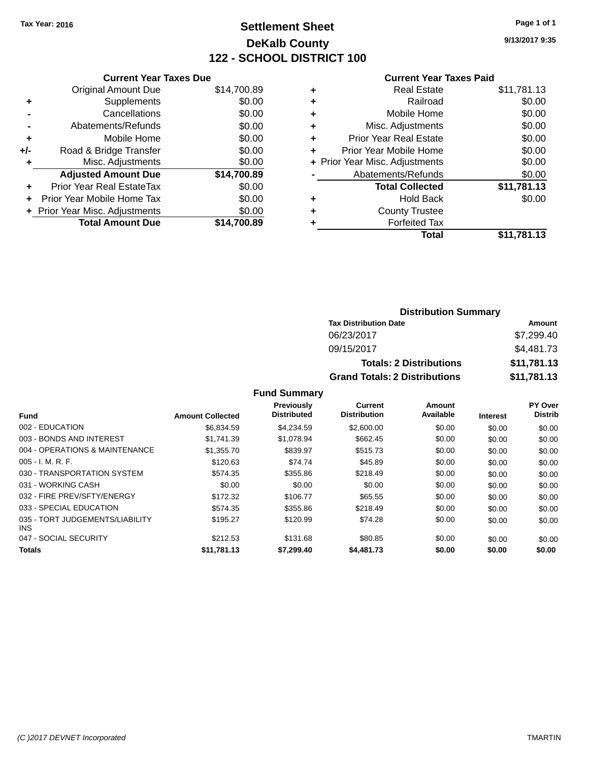## **Settlement Sheet Tax Year: 2016 Page 1 of 1 DeKalb County 122 - SCHOOL DISTRICT 100**

**9/13/2017 9:35**

### **Current Year Taxes Paid**

|     | <b>Current Year Taxes Due</b>  |             |
|-----|--------------------------------|-------------|
|     | <b>Original Amount Due</b>     | \$14,700.89 |
| ٠   | Supplements                    | \$0.00      |
|     | Cancellations                  | \$0.00      |
|     | Abatements/Refunds             | \$0.00      |
| ٠   | Mobile Home                    | \$0.00      |
| +/- | Road & Bridge Transfer         | \$0.00      |
| ٠   | Misc. Adjustments              | \$0.00      |
|     | <b>Adjusted Amount Due</b>     | \$14,700.89 |
| ÷   | Prior Year Real EstateTax      | \$0.00      |
| ÷   | Prior Year Mobile Home Tax     | \$0.00      |
|     | + Prior Year Misc. Adjustments | \$0.00      |
|     | <b>Total Amount Due</b>        | \$14,700.89 |
|     |                                |             |

|   | <b>Real Estate</b>             | \$11,781.13 |
|---|--------------------------------|-------------|
| ٠ | Railroad                       | \$0.00      |
| ٠ | Mobile Home                    | \$0.00      |
| ٠ | Misc. Adjustments              | \$0.00      |
| ٠ | <b>Prior Year Real Estate</b>  | \$0.00      |
| ٠ | Prior Year Mobile Home         | \$0.00      |
|   | + Prior Year Misc. Adjustments | \$0.00      |
|   | Abatements/Refunds             | \$0.00      |
|   | <b>Total Collected</b>         | \$11,781.13 |
| ٠ | <b>Hold Back</b>               | \$0.00      |
| ٠ | <b>County Trustee</b>          |             |
| ٠ | <b>Forfeited Tax</b>           |             |
|   | Total                          | \$11.781.13 |
|   |                                |             |

## **Distribution Summary Tax Distribution Date Amount** 06/23/2017 \$7,299.40 09/15/2017 \$4,481.73 **Totals: 2 Distributions \$11,781.13 Grand Totals: 2 Distributions \$11,781.13**

## **Fund Summary**

|                                               |                         | <b>Previously</b>  | Current             | Amount    |                 | PY Over        |
|-----------------------------------------------|-------------------------|--------------------|---------------------|-----------|-----------------|----------------|
| <b>Fund</b>                                   | <b>Amount Collected</b> | <b>Distributed</b> | <b>Distribution</b> | Available | <b>Interest</b> | <b>Distrib</b> |
| 002 - EDUCATION                               | \$6.834.59              | \$4.234.59         | \$2,600.00          | \$0.00    | \$0.00          | \$0.00         |
| 003 - BONDS AND INTEREST                      | \$1.741.39              | \$1.078.94         | \$662.45            | \$0.00    | \$0.00          | \$0.00         |
| 004 - OPERATIONS & MAINTENANCE                | \$1,355.70              | \$839.97           | \$515.73            | \$0.00    | \$0.00          | \$0.00         |
| $005 - I. M. R. F.$                           | \$120.63                | \$74.74            | \$45.89             | \$0.00    | \$0.00          | \$0.00         |
| 030 - TRANSPORTATION SYSTEM                   | \$574.35                | \$355.86           | \$218.49            | \$0.00    | \$0.00          | \$0.00         |
| 031 - WORKING CASH                            | \$0.00                  | \$0.00             | \$0.00              | \$0.00    | \$0.00          | \$0.00         |
| 032 - FIRE PREV/SFTY/ENERGY                   | \$172.32                | \$106.77           | \$65.55             | \$0.00    | \$0.00          | \$0.00         |
| 033 - SPECIAL EDUCATION                       | \$574.35                | \$355.86           | \$218.49            | \$0.00    | \$0.00          | \$0.00         |
| 035 - TORT JUDGEMENTS/LIABILITY<br><b>INS</b> | \$195.27                | \$120.99           | \$74.28             | \$0.00    | \$0.00          | \$0.00         |
| 047 - SOCIAL SECURITY                         | \$212.53                | \$131.68           | \$80.85             | \$0.00    | \$0.00          | \$0.00         |
| <b>Totals</b>                                 | \$11.781.13             | \$7.299.40         | \$4,481.73          | \$0.00    | \$0.00          | \$0.00         |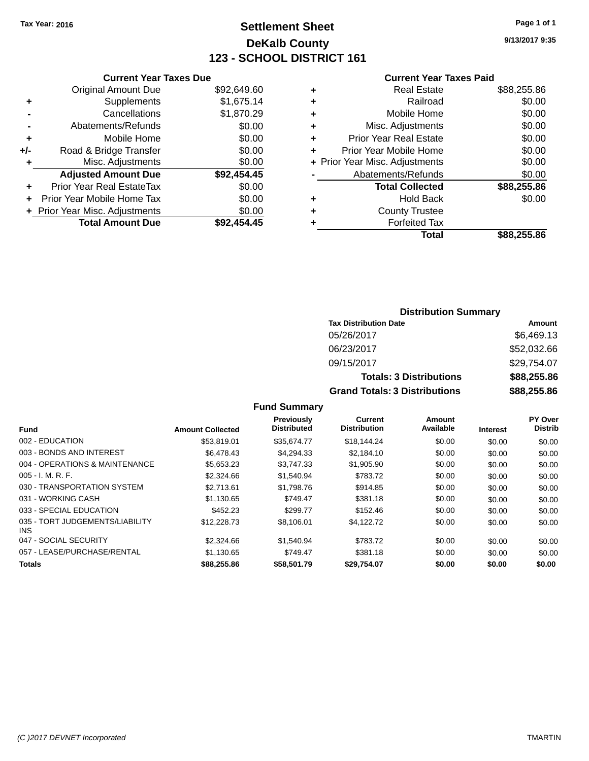## **Settlement Sheet Tax Year: 2016 Page 1 of 1 DeKalb County 123 - SCHOOL DISTRICT 161**

**9/13/2017 9:35**

### **Current Year Taxes Paid**

|     | <b>Current Year Taxes Due</b> |             |
|-----|-------------------------------|-------------|
|     | <b>Original Amount Due</b>    | \$92,649.60 |
| ٠   | Supplements                   | \$1,675.14  |
|     | Cancellations                 | \$1,870.29  |
|     | Abatements/Refunds            | \$0.00      |
| ÷   | Mobile Home                   | \$0.00      |
| +/- | Road & Bridge Transfer        | \$0.00      |
|     | Misc. Adjustments             | \$0.00      |
|     | <b>Adjusted Amount Due</b>    | \$92,454.45 |
| ÷   | Prior Year Real EstateTax     | \$0.00      |
|     | Prior Year Mobile Home Tax    | \$0.00      |
|     | Prior Year Misc. Adjustments  | \$0.00      |
|     | <b>Total Amount Due</b>       | \$92.454.45 |
|     |                               |             |

| ٠ | <b>Real Estate</b>             | \$88,255.86 |
|---|--------------------------------|-------------|
| ٠ | Railroad                       | \$0.00      |
| ٠ | Mobile Home                    | \$0.00      |
| ٠ | Misc. Adjustments              | \$0.00      |
| ٠ | <b>Prior Year Real Estate</b>  | \$0.00      |
|   | Prior Year Mobile Home         | \$0.00      |
|   | + Prior Year Misc. Adjustments | \$0.00      |
|   | Abatements/Refunds             | \$0.00      |
|   | <b>Total Collected</b>         | \$88,255.86 |
| ٠ | <b>Hold Back</b>               | \$0.00      |
|   | <b>County Trustee</b>          |             |
| ٠ | <b>Forfeited Tax</b>           |             |
|   | Total                          | \$88,255.86 |
|   |                                |             |

## **Distribution Summary Tax Distribution Date Amount** 05/26/2017 \$6,469.13 06/23/2017 \$52,032.66 09/15/2017 \$29,754.07 **Totals: 3 Distributions \$88,255.86 Grand Totals: 3 Distributions \$88,255.86**

### **Fund Summary**

| <b>Fund</b>                             | <b>Amount Collected</b> | Previously<br><b>Distributed</b> | <b>Current</b><br><b>Distribution</b> | Amount<br>Available | <b>Interest</b> | PY Over<br><b>Distrib</b> |
|-----------------------------------------|-------------------------|----------------------------------|---------------------------------------|---------------------|-----------------|---------------------------|
| 002 - EDUCATION                         | \$53,819.01             | \$35.674.77                      | \$18,144.24                           | \$0.00              | \$0.00          | \$0.00                    |
| 003 - BONDS AND INTEREST                | \$6,478.43              | \$4,294.33                       | \$2,184.10                            | \$0.00              | \$0.00          | \$0.00                    |
| 004 - OPERATIONS & MAINTENANCE          | \$5,653.23              | \$3,747,33                       | \$1,905.90                            | \$0.00              | \$0.00          | \$0.00                    |
| $005 - I. M. R. F.$                     | \$2,324.66              | \$1,540.94                       | \$783.72                              | \$0.00              | \$0.00          | \$0.00                    |
| 030 - TRANSPORTATION SYSTEM             | \$2.713.61              | \$1,798.76                       | \$914.85                              | \$0.00              | \$0.00          | \$0.00                    |
| 031 - WORKING CASH                      | \$1.130.65              | \$749.47                         | \$381.18                              | \$0.00              | \$0.00          | \$0.00                    |
| 033 - SPECIAL EDUCATION                 | \$452.23                | \$299.77                         | \$152.46                              | \$0.00              | \$0.00          | \$0.00                    |
| 035 - TORT JUDGEMENTS/LIABILITY<br>INS. | \$12,228,73             | \$8.106.01                       | \$4.122.72                            | \$0.00              | \$0.00          | \$0.00                    |
| 047 - SOCIAL SECURITY                   | \$2,324.66              | \$1,540.94                       | \$783.72                              | \$0.00              | \$0.00          | \$0.00                    |
| 057 - LEASE/PURCHASE/RENTAL             | \$1,130.65              | \$749.47                         | \$381.18                              | \$0.00              | \$0.00          | \$0.00                    |
| <b>Totals</b>                           | \$88,255.86             | \$58,501.79                      | \$29.754.07                           | \$0.00              | \$0.00          | \$0.00                    |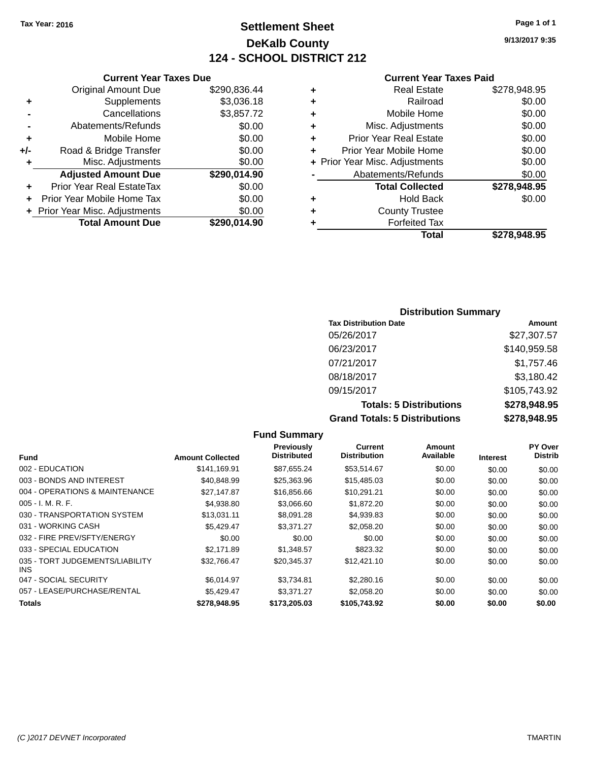## **Settlement Sheet Tax Year: 2016 Page 1 of 1 DeKalb County 124 - SCHOOL DISTRICT 212**

**9/13/2017 9:35**

### **Current Year Taxes Paid**

|     | <b>Original Amount Due</b>     | \$290,836.44 |
|-----|--------------------------------|--------------|
| ٠   | Supplements                    | \$3,036.18   |
|     | Cancellations                  | \$3,857.72   |
|     | Abatements/Refunds             | \$0.00       |
| ٠   | Mobile Home                    | \$0.00       |
| +/- | Road & Bridge Transfer         | \$0.00       |
| ٠   | Misc. Adjustments              | \$0.00       |
|     | <b>Adjusted Amount Due</b>     | \$290,014.90 |
|     | Prior Year Real EstateTax      | \$0.00       |
| ٠   | Prior Year Mobile Home Tax     | \$0.00       |
|     | + Prior Year Misc. Adjustments | \$0.00       |
|     | <b>Total Amount Due</b>        | \$290,014.90 |
|     |                                |              |

**Current Year Taxes Due**

|   | <b>Real Estate</b>             | \$278,948.95 |
|---|--------------------------------|--------------|
| ٠ | Railroad                       | \$0.00       |
| ٠ | Mobile Home                    | \$0.00       |
| ٠ | Misc. Adjustments              | \$0.00       |
| ٠ | <b>Prior Year Real Estate</b>  | \$0.00       |
| ٠ | Prior Year Mobile Home         | \$0.00       |
|   | + Prior Year Misc. Adjustments | \$0.00       |
|   | Abatements/Refunds             | \$0.00       |
|   | <b>Total Collected</b>         | \$278,948.95 |
| ٠ | <b>Hold Back</b>               | \$0.00       |
| ٠ | <b>County Trustee</b>          |              |
|   | <b>Forfeited Tax</b>           |              |
|   | Total                          | \$278,948,95 |
|   |                                |              |

## **Distribution Summary Tax Distribution Date Amount** 05/26/2017 \$27,307.57 06/23/2017 \$140,959.58 07/21/2017 \$1,757.46 08/18/2017 \$3,180.42 09/15/2017 \$105,743.92 **Totals: 5 Distributions \$278,948.95 Grand Totals: 5 Distributions \$278,948.95**

|                                               |                         | <b>Fund Summary</b>              |                                       |                     |                 |                           |
|-----------------------------------------------|-------------------------|----------------------------------|---------------------------------------|---------------------|-----------------|---------------------------|
| Fund                                          | <b>Amount Collected</b> | Previously<br><b>Distributed</b> | <b>Current</b><br><b>Distribution</b> | Amount<br>Available | <b>Interest</b> | PY Over<br><b>Distrib</b> |
| 002 - EDUCATION                               | \$141,169.91            | \$87,655.24                      | \$53,514.67                           | \$0.00              | \$0.00          | \$0.00                    |
| 003 - BONDS AND INTEREST                      | \$40,848.99             | \$25,363.96                      | \$15,485.03                           | \$0.00              | \$0.00          | \$0.00                    |
| 004 - OPERATIONS & MAINTENANCE                | \$27.147.87             | \$16,856.66                      | \$10.291.21                           | \$0.00              | \$0.00          | \$0.00                    |
| $005 - I. M. R. F.$                           | \$4,938.80              | \$3,066.60                       | \$1,872.20                            | \$0.00              | \$0.00          | \$0.00                    |
| 030 - TRANSPORTATION SYSTEM                   | \$13,031.11             | \$8,091.28                       | \$4,939.83                            | \$0.00              | \$0.00          | \$0.00                    |
| 031 - WORKING CASH                            | \$5.429.47              | \$3,371,27                       | \$2,058.20                            | \$0.00              | \$0.00          | \$0.00                    |
| 032 - FIRE PREV/SFTY/ENERGY                   | \$0.00                  | \$0.00                           | \$0.00                                | \$0.00              | \$0.00          | \$0.00                    |
| 033 - SPECIAL EDUCATION                       | \$2.171.89              | \$1,348.57                       | \$823.32                              | \$0.00              | \$0.00          | \$0.00                    |
| 035 - TORT JUDGEMENTS/LIABILITY<br><b>INS</b> | \$32,766.47             | \$20,345.37                      | \$12,421.10                           | \$0.00              | \$0.00          | \$0.00                    |
| 047 - SOCIAL SECURITY                         | \$6.014.97              | \$3,734.81                       | \$2,280.16                            | \$0.00              | \$0.00          | \$0.00                    |
| 057 - LEASE/PURCHASE/RENTAL                   | \$5,429.47              | \$3,371,27                       | \$2,058.20                            | \$0.00              | \$0.00          | \$0.00                    |
| Totals                                        | \$278.948.95            | \$173,205.03                     | \$105.743.92                          | \$0.00              | \$0.00          | \$0.00                    |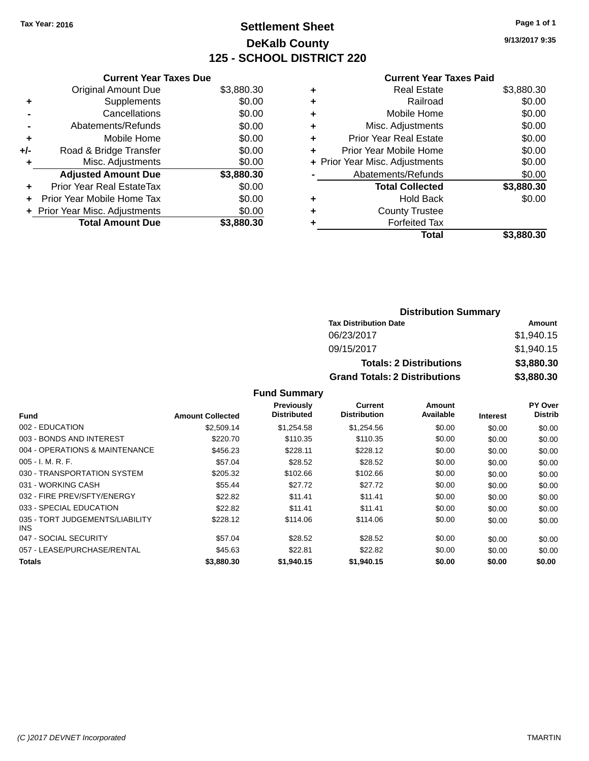## **Settlement Sheet Tax Year: 2016 Page 1 of 1 DeKalb County 125 - SCHOOL DISTRICT 220**

**9/13/2017 9:35**

### **Current Year Taxes Paid**

| <b>Current Year Taxes Due</b> |                                |
|-------------------------------|--------------------------------|
| <b>Original Amount Due</b>    | \$3,880.30                     |
| Supplements                   | \$0.00                         |
| Cancellations                 | \$0.00                         |
| Abatements/Refunds            | \$0.00                         |
| Mobile Home                   | \$0.00                         |
| Road & Bridge Transfer        | \$0.00                         |
| Misc. Adjustments             | \$0.00                         |
| <b>Adjusted Amount Due</b>    | \$3,880.30                     |
| Prior Year Real EstateTax     | \$0.00                         |
| Prior Year Mobile Home Tax    | \$0.00                         |
|                               | \$0.00                         |
|                               |                                |
|                               | + Prior Year Misc. Adjustments |

|   | <b>Real Estate</b>             | \$3,880.30 |
|---|--------------------------------|------------|
| ٠ | Railroad                       | \$0.00     |
| ٠ | Mobile Home                    | \$0.00     |
| ٠ | Misc. Adjustments              | \$0.00     |
| ٠ | <b>Prior Year Real Estate</b>  | \$0.00     |
| ٠ | Prior Year Mobile Home         | \$0.00     |
|   | + Prior Year Misc. Adjustments | \$0.00     |
|   | Abatements/Refunds             | \$0.00     |
|   | <b>Total Collected</b>         | \$3,880.30 |
| ٠ | <b>Hold Back</b>               | \$0.00     |
| ٠ | <b>County Trustee</b>          |            |
| ٠ | <b>Forfeited Tax</b>           |            |
|   | Total                          | \$3,880.30 |
|   |                                |            |

## **Distribution Summary Tax Distribution Date Amount** 06/23/2017 \$1,940.15 09/15/2017 \$1,940.15 **Totals: 2 Distributions \$3,880.30 Grand Totals: 2 Distributions \$3,880.30**

### **Fund Summary**

|                                         |                         | Previously         | <b>Current</b>      | <b>Amount</b> |                 | PY Over        |
|-----------------------------------------|-------------------------|--------------------|---------------------|---------------|-----------------|----------------|
| <b>Fund</b>                             | <b>Amount Collected</b> | <b>Distributed</b> | <b>Distribution</b> | Available     | <b>Interest</b> | <b>Distrib</b> |
| 002 - EDUCATION                         | \$2,509.14              | \$1,254.58         | \$1,254.56          | \$0.00        | \$0.00          | \$0.00         |
| 003 - BONDS AND INTEREST                | \$220.70                | \$110.35           | \$110.35            | \$0.00        | \$0.00          | \$0.00         |
| 004 - OPERATIONS & MAINTENANCE          | \$456.23                | \$228.11           | \$228.12            | \$0.00        | \$0.00          | \$0.00         |
| $005 - I. M. R. F.$                     | \$57.04                 | \$28.52            | \$28.52             | \$0.00        | \$0.00          | \$0.00         |
| 030 - TRANSPORTATION SYSTEM             | \$205.32                | \$102.66           | \$102.66            | \$0.00        | \$0.00          | \$0.00         |
| 031 - WORKING CASH                      | \$55.44                 | \$27.72            | \$27.72             | \$0.00        | \$0.00          | \$0.00         |
| 032 - FIRE PREV/SFTY/ENERGY             | \$22.82                 | \$11.41            | \$11.41             | \$0.00        | \$0.00          | \$0.00         |
| 033 - SPECIAL EDUCATION                 | \$22.82                 | \$11.41            | \$11.41             | \$0.00        | \$0.00          | \$0.00         |
| 035 - TORT JUDGEMENTS/LIABILITY<br>INS. | \$228.12                | \$114.06           | \$114.06            | \$0.00        | \$0.00          | \$0.00         |
| 047 - SOCIAL SECURITY                   | \$57.04                 | \$28.52            | \$28.52             | \$0.00        | \$0.00          | \$0.00         |
| 057 - LEASE/PURCHASE/RENTAL             | \$45.63                 | \$22.81            | \$22.82             | \$0.00        | \$0.00          | \$0.00         |
| <b>Totals</b>                           | \$3,880,30              | \$1,940.15         | \$1,940.15          | \$0.00        | \$0.00          | \$0.00         |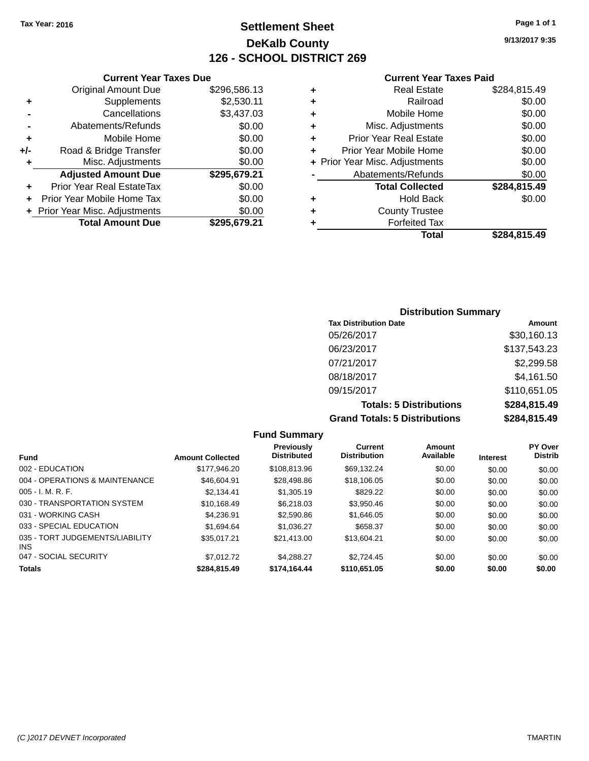Original Amount Due

**Adjusted Amount Due** 

**Total Amount Due** 

**+** Supplements **-** Cancellations **-** Abatements/Refunds  $+$  Mobile Home **+/-** Road & Bridge Transfer **+** Misc. Adjustments

**+** Prior Year Real EstateTax \$0.00 **+** Prior Year Mobile Home Tax **+** Prior Year Misc. Adjustments

## **Settlement Sheet Tax Year: 2016 Page 1 of 1 DeKalb County 126 - SCHOOL DISTRICT 269**

**9/13/2017 9:35**

## **Current Year Taxes Paid**

| <b>Current Year Taxes Due</b> |              | <b>Current Year Taxes Paid</b> |                                |              |
|-------------------------------|--------------|--------------------------------|--------------------------------|--------------|
| ่<br>เl Amount Due            | \$296,586.13 | ٠                              | <b>Real Estate</b>             | \$284,815.49 |
| Supplements                   | \$2,530.11   | ٠                              | Railroad                       | \$0.00       |
| Cancellations                 | \$3,437.03   | ٠                              | Mobile Home                    | \$0.00       |
| าents/Refunds                 | \$0.00       | ٠                              | Misc. Adjustments              | \$0.00       |
| Mobile Home                   | \$0.00       | ٠                              | <b>Prior Year Real Estate</b>  | \$0.00       |
| ridge Transfer                | \$0.00       | ÷                              | Prior Year Mobile Home         | \$0.00       |
| . Adjustments                 | \$0.00       |                                | + Prior Year Misc. Adjustments | \$0.00       |
| <b>Amount Due</b>             | \$295,679.21 |                                | Abatements/Refunds             | \$0.00       |
| leal EstateTax≀               | \$0.00       |                                | <b>Total Collected</b>         | \$284,815.49 |
| bile Home Tax                 | \$0.00       | ٠                              | <b>Hold Back</b>               | \$0.00       |
| . Adjustments                 | \$0.00       | ٠                              | <b>County Trustee</b>          |              |
| <b>Amount Due</b>             | \$295,679.21 |                                | <b>Forfeited Tax</b>           |              |
|                               |              |                                | Total                          | \$284,815.49 |

# **Total \$284,815.49**

| <b>Distribution Summary</b>          |              |
|--------------------------------------|--------------|
| <b>Tax Distribution Date</b>         | Amount       |
| 05/26/2017                           | \$30,160.13  |
| 06/23/2017                           | \$137,543.23 |
| 07/21/2017                           | \$2,299.58   |
| 08/18/2017                           | \$4,161.50   |
| 09/15/2017                           | \$110,651.05 |
| <b>Totals: 5 Distributions</b>       | \$284,815.49 |
| <b>Grand Totals: 5 Distributions</b> | \$284,815.49 |

|                                         |                         | <b>Fund Summary</b>                     |                                       |                     |                 |                                  |
|-----------------------------------------|-------------------------|-----------------------------------------|---------------------------------------|---------------------|-----------------|----------------------------------|
| <b>Fund</b>                             | <b>Amount Collected</b> | <b>Previously</b><br><b>Distributed</b> | <b>Current</b><br><b>Distribution</b> | Amount<br>Available | <b>Interest</b> | <b>PY Over</b><br><b>Distrib</b> |
| 002 - EDUCATION                         | \$177,946.20            | \$108.813.96                            | \$69.132.24                           | \$0.00              | \$0.00          | \$0.00                           |
| 004 - OPERATIONS & MAINTENANCE          | \$46,604.91             | \$28,498.86                             | \$18,106.05                           | \$0.00              | \$0.00          | \$0.00                           |
| $005 - I. M. R. F.$                     | \$2.134.41              | \$1,305.19                              | \$829.22                              | \$0.00              | \$0.00          | \$0.00                           |
| 030 - TRANSPORTATION SYSTEM             | \$10.168.49             | \$6,218,03                              | \$3,950.46                            | \$0.00              | \$0.00          | \$0.00                           |
| 031 - WORKING CASH                      | \$4.236.91              | \$2,590.86                              | \$1,646.05                            | \$0.00              | \$0.00          | \$0.00                           |
| 033 - SPECIAL EDUCATION                 | \$1.694.64              | \$1.036.27                              | \$658.37                              | \$0.00              | \$0.00          | \$0.00                           |
| 035 - TORT JUDGEMENTS/LIABILITY<br>INS. | \$35,017.21             | \$21.413.00                             | \$13.604.21                           | \$0.00              | \$0.00          | \$0.00                           |
| 047 - SOCIAL SECURITY                   | \$7,012.72              | \$4.288.27                              | \$2.724.45                            | \$0.00              | \$0.00          | \$0.00                           |
| <b>Totals</b>                           | \$284,815.49            | \$174,164,44                            | \$110,651.05                          | \$0.00              | \$0.00          | \$0.00                           |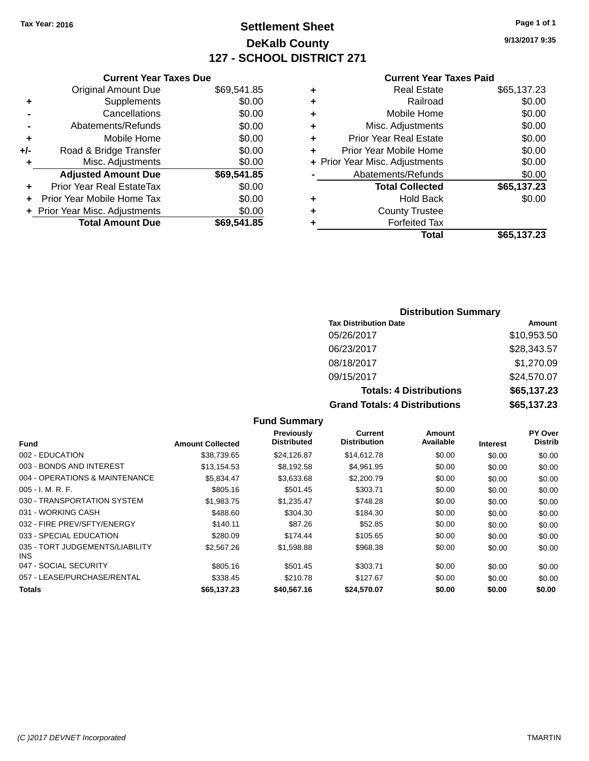## **Settlement Sheet Tax Year: 2016 Page 1 of 1 DeKalb County 127 - SCHOOL DISTRICT 271**

**9/13/2017 9:35**

### **Current Year Taxes Paid**

|       | <b>Current Year Taxes Due</b>  |             |
|-------|--------------------------------|-------------|
|       | <b>Original Amount Due</b>     | \$69,541.85 |
| ٠     | Supplements                    | \$0.00      |
|       | Cancellations                  | \$0.00      |
|       | Abatements/Refunds             | \$0.00      |
| ÷     | Mobile Home                    | \$0.00      |
| $+/-$ | Road & Bridge Transfer         | \$0.00      |
|       | Misc. Adjustments              | \$0.00      |
|       | <b>Adjusted Amount Due</b>     | \$69,541.85 |
| ٠     | Prior Year Real EstateTax      | \$0.00      |
|       | Prior Year Mobile Home Tax     | \$0.00      |
|       | + Prior Year Misc. Adjustments | \$0.00      |
|       | <b>Total Amount Due</b>        | \$69,541.85 |
|       |                                |             |

| ٠ | <b>Real Estate</b>             | \$65,137.23 |
|---|--------------------------------|-------------|
| ٠ | Railroad                       | \$0.00      |
| ٠ | Mobile Home                    | \$0.00      |
| ٠ | Misc. Adjustments              | \$0.00      |
| ٠ | <b>Prior Year Real Estate</b>  | \$0.00      |
| ٠ | Prior Year Mobile Home         | \$0.00      |
|   | + Prior Year Misc. Adjustments | \$0.00      |
|   | Abatements/Refunds             | \$0.00      |
|   | <b>Total Collected</b>         | \$65,137.23 |
| ٠ | <b>Hold Back</b>               | \$0.00      |
| ٠ | <b>County Trustee</b>          |             |
| ٠ | <b>Forfeited Tax</b>           |             |
|   | Total                          | \$65,137.23 |
|   |                                |             |

## **Distribution Summary**

| <b>Tax Distribution Date</b>         | Amount      |
|--------------------------------------|-------------|
| 05/26/2017                           | \$10,953.50 |
| 06/23/2017                           | \$28,343.57 |
| 08/18/2017                           | \$1,270.09  |
| 09/15/2017                           | \$24,570.07 |
| <b>Totals: 4 Distributions</b>       | \$65,137.23 |
| <b>Grand Totals: 4 Distributions</b> | \$65,137.23 |

### **Fund Summary Fund Interest Amount Collected Distributed PY Over Distrib Amount Available Current Distribution Previously** 002 - EDUCATION \$38,739.65 \$24,126.87 \$14,612.78 \$0.00 \$0.00 \$0.00 003 - BONDS AND INTEREST 60.00 \$13,154.53 \$8,192.58 \$4,961.95 \$0.00 \$0.00 \$0.00 \$0.00 004 - OPERATIONS & MAINTENANCE  $$5,834.47$   $$3,633.68$   $$2,200.79$   $$0.00$   $$0.00$   $$0.00$ 005 - I. M. R. F. \$805.16 \$501.45 \$303.71 \$0.00 \$0.00 \$0.00 030 - TRANSPORTATION SYSTEM \$1,983.75 \$1,235.47 \$748.28 \$0.00 \$0.00 \$0.00 \$0.00 031 - WORKING CASH \$488.60 \$304.30 \$184.30 \$0.00 \$0.00 \$0.00 032 - FIRE PREV/SFTY/ENERGY \$140.11 \$87.26 \$52.85 \$0.00 \$0.00 \$0.00 \$0.00 033 - SPECIAL EDUCATION 6280.09 \$280.09 \$174.44 \$105.65 \$0.00 \$0.00 \$0.00 \$0.00 035 - TORT JUDGEMENTS/LIABILITY INS \$2,567.26 \$1,598.88 \$968.38 \$0.00 \$0.00 \$0.00 047 - SOCIAL SECURITY \$805.16 \$501.45 \$303.71 \$0.00 \$0.00 \$0.00 057 - LEASE/PURCHASE/RENTAL  $$338.45$   $$210.78$   $$127.67$   $$0.00$   $$0.00$   $$0.00$ **Totals \$65,137.23 \$40,567.16 \$24,570.07 \$0.00 \$0.00 \$0.00**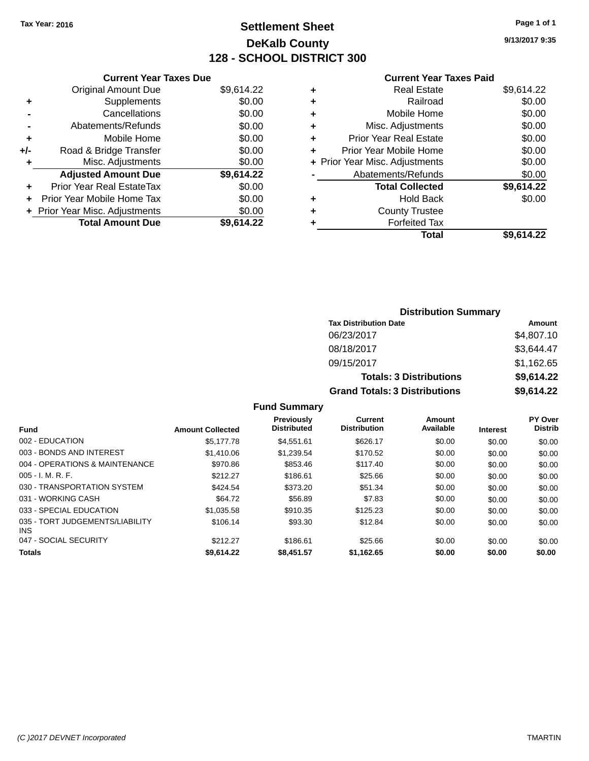## **Settlement Sheet Tax Year: 2016 Page 1 of 1 DeKalb County 128 - SCHOOL DISTRICT 300**

**9/13/2017 9:35**

## **Current Year Taxes Paid**

|     | <b>Current Year Taxes Due</b>  |            |
|-----|--------------------------------|------------|
|     | <b>Original Amount Due</b>     | \$9,614.22 |
| ٠   | Supplements                    | \$0.00     |
|     | Cancellations                  | \$0.00     |
|     | Abatements/Refunds             | \$0.00     |
| ٠   | Mobile Home                    | \$0.00     |
| +/- | Road & Bridge Transfer         | \$0.00     |
| ٠   | Misc. Adjustments              | \$0.00     |
|     | <b>Adjusted Amount Due</b>     | \$9,614.22 |
| ٠   | Prior Year Real EstateTax      | \$0.00     |
| ÷   | Prior Year Mobile Home Tax     | \$0.00     |
|     | + Prior Year Misc. Adjustments | \$0.00     |
|     | <b>Total Amount Due</b>        | \$9.614.22 |

| ٠ | <b>Real Estate</b>             | \$9,614.22 |
|---|--------------------------------|------------|
| ٠ | Railroad                       | \$0.00     |
| ٠ | Mobile Home                    | \$0.00     |
| ٠ | Misc. Adjustments              | \$0.00     |
| ٠ | <b>Prior Year Real Estate</b>  | \$0.00     |
|   | Prior Year Mobile Home         | \$0.00     |
|   | + Prior Year Misc. Adjustments | \$0.00     |
|   | Abatements/Refunds             | \$0.00     |
|   | <b>Total Collected</b>         | \$9,614.22 |
| ٠ | <b>Hold Back</b>               | \$0.00     |
|   | <b>County Trustee</b>          |            |
| ٠ | <b>Forfeited Tax</b>           |            |
|   | Total                          | \$9,614.22 |
|   |                                |            |

| <b>Distribution Summary</b>          |            |  |  |
|--------------------------------------|------------|--|--|
| <b>Tax Distribution Date</b>         | Amount     |  |  |
| 06/23/2017                           | \$4,807.10 |  |  |
| 08/18/2017                           | \$3,644.47 |  |  |
| 09/15/2017                           | \$1,162.65 |  |  |
| <b>Totals: 3 Distributions</b>       | \$9,614.22 |  |  |
| <b>Grand Totals: 3 Distributions</b> | \$9,614.22 |  |  |

## **Fund Summary**

| <b>Amount Collected</b> | Previously<br><b>Distributed</b> | Current<br><b>Distribution</b> | Amount<br>Available | <b>Interest</b> | <b>PY Over</b><br><b>Distrib</b> |
|-------------------------|----------------------------------|--------------------------------|---------------------|-----------------|----------------------------------|
| \$5,177.78              | \$4.551.61                       | \$626.17                       | \$0.00              | \$0.00          | \$0.00                           |
| \$1,410.06              | \$1,239.54                       | \$170.52                       | \$0.00              | \$0.00          | \$0.00                           |
| \$970.86                | \$853.46                         | \$117.40                       | \$0.00              | \$0.00          | \$0.00                           |
| \$212.27                | \$186.61                         | \$25.66                        | \$0.00              | \$0.00          | \$0.00                           |
| \$424.54                | \$373.20                         | \$51.34                        | \$0.00              | \$0.00          | \$0.00                           |
| \$64.72                 | \$56.89                          | \$7.83                         | \$0.00              | \$0.00          | \$0.00                           |
| \$1,035.58              | \$910.35                         | \$125.23                       | \$0.00              | \$0.00          | \$0.00                           |
| \$106.14                | \$93.30                          | \$12.84                        | \$0.00              | \$0.00          | \$0.00                           |
| \$212.27                | \$186.61                         | \$25.66                        | \$0.00              | \$0.00          | \$0.00                           |
| \$9.614.22              | \$8,451.57                       | \$1,162.65                     | \$0.00              | \$0.00          | \$0.00                           |
|                         |                                  |                                |                     |                 |                                  |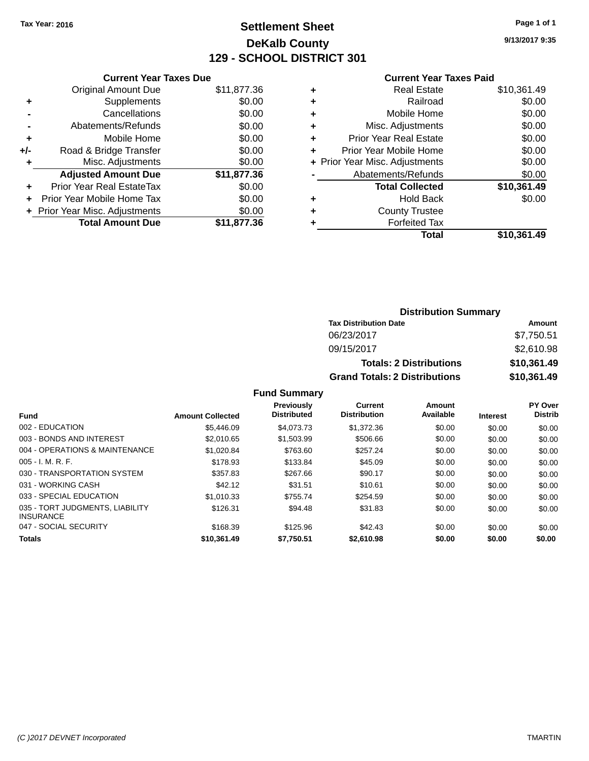## **Settlement Sheet Tax Year: 2016 Page 1 of 1 DeKalb County 129 - SCHOOL DISTRICT 301**

**9/13/2017 9:35**

### **Current Year Taxes Paid**

|     | <b>Current Year Taxes Due</b>  |             |
|-----|--------------------------------|-------------|
|     | <b>Original Amount Due</b>     | \$11,877.36 |
| ٠   | Supplements                    | \$0.00      |
|     | Cancellations                  | \$0.00      |
|     | Abatements/Refunds             | \$0.00      |
| ٠   | Mobile Home                    | \$0.00      |
| +/- | Road & Bridge Transfer         | \$0.00      |
|     | Misc. Adjustments              | \$0.00      |
|     | <b>Adjusted Amount Due</b>     | \$11,877.36 |
| ÷   | Prior Year Real EstateTax      | \$0.00      |
|     | Prior Year Mobile Home Tax     | \$0.00      |
|     | + Prior Year Misc. Adjustments | \$0.00      |
|     | <b>Total Amount Due</b>        | \$11.877.36 |

|   | <b>Real Estate</b>             | \$10,361.49 |
|---|--------------------------------|-------------|
| ٠ | Railroad                       | \$0.00      |
| ٠ | Mobile Home                    | \$0.00      |
| ٠ | Misc. Adjustments              | \$0.00      |
| ٠ | <b>Prior Year Real Estate</b>  | \$0.00      |
|   | Prior Year Mobile Home         | \$0.00      |
|   | + Prior Year Misc. Adjustments | \$0.00      |
|   | Abatements/Refunds             | \$0.00      |
|   | <b>Total Collected</b>         | \$10,361.49 |
| ٠ | <b>Hold Back</b>               | \$0.00      |
| ٠ | <b>County Trustee</b>          |             |
| ٠ | <b>Forfeited Tax</b>           |             |
|   | Total                          | \$10,361.49 |
|   |                                |             |

| <b>Distribution Summary</b>          |             |  |  |  |
|--------------------------------------|-------------|--|--|--|
| <b>Tax Distribution Date</b>         | Amount      |  |  |  |
| 06/23/2017                           | \$7,750.51  |  |  |  |
| 09/15/2017                           | \$2,610.98  |  |  |  |
| <b>Totals: 2 Distributions</b>       | \$10,361.49 |  |  |  |
| <b>Grand Totals: 2 Distributions</b> | \$10,361.49 |  |  |  |

## **Fund Summary**

| Fund                                                | <b>Amount Collected</b> | Previously<br><b>Distributed</b> | Current<br><b>Distribution</b> | Amount<br>Available | <b>Interest</b> | PY Over<br><b>Distrib</b> |
|-----------------------------------------------------|-------------------------|----------------------------------|--------------------------------|---------------------|-----------------|---------------------------|
| 002 - EDUCATION                                     |                         |                                  |                                |                     |                 |                           |
|                                                     | \$5,446.09              | \$4,073,73                       | \$1,372.36                     | \$0.00              | \$0.00          | \$0.00                    |
| 003 - BONDS AND INTEREST                            | \$2.010.65              | \$1,503.99                       | \$506.66                       | \$0.00              | \$0.00          | \$0.00                    |
| 004 - OPERATIONS & MAINTENANCE                      | \$1.020.84              | \$763.60                         | \$257.24                       | \$0.00              | \$0.00          | \$0.00                    |
| $005 - I. M. R. F.$                                 | \$178.93                | \$133.84                         | \$45.09                        | \$0.00              | \$0.00          | \$0.00                    |
| 030 - TRANSPORTATION SYSTEM                         | \$357.83                | \$267.66                         | \$90.17                        | \$0.00              | \$0.00          | \$0.00                    |
| 031 - WORKING CASH                                  | \$42.12                 | \$31.51                          | \$10.61                        | \$0.00              | \$0.00          | \$0.00                    |
| 033 - SPECIAL EDUCATION                             | \$1.010.33              | \$755.74                         | \$254.59                       | \$0.00              | \$0.00          | \$0.00                    |
| 035 - TORT JUDGMENTS, LIABILITY<br><b>INSURANCE</b> | \$126.31                | \$94.48                          | \$31.83                        | \$0.00              | \$0.00          | \$0.00                    |
| 047 - SOCIAL SECURITY                               | \$168.39                | \$125.96                         | \$42.43                        | \$0.00              | \$0.00          | \$0.00                    |
| <b>Totals</b>                                       | \$10,361.49             | \$7,750.51                       | \$2,610.98                     | \$0.00              | \$0.00          | \$0.00                    |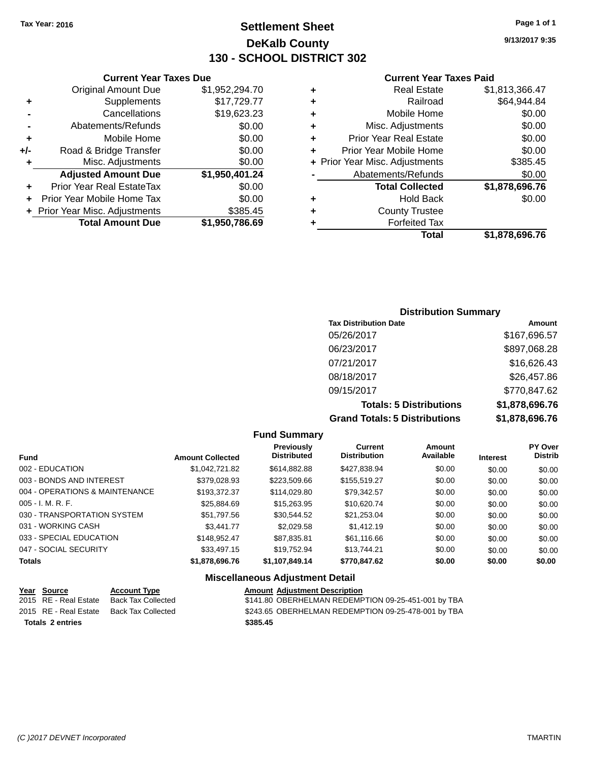## **Settlement Sheet Tax Year: 2016 Page 1 of 1 DeKalb County 130 - SCHOOL DISTRICT 302**

**9/13/2017 9:35**

### **Current Year Taxes Paid**

|   | Total                          | \$1,878,696,76 |
|---|--------------------------------|----------------|
| ٠ | <b>Forfeited Tax</b>           |                |
| ٠ | <b>County Trustee</b>          |                |
| ٠ | <b>Hold Back</b>               | \$0.00         |
|   | <b>Total Collected</b>         | \$1,878,696.76 |
|   | Abatements/Refunds             | \$0.00         |
|   | + Prior Year Misc. Adjustments | \$385.45       |
| ٠ | Prior Year Mobile Home         | \$0.00         |
| ٠ | <b>Prior Year Real Estate</b>  | \$0.00         |
| ٠ | Misc. Adjustments              | \$0.00         |
| ٠ | Mobile Home                    | \$0.00         |
| ٠ | Railroad                       | \$64,944.84    |
| ٠ | <b>Real Estate</b>             | \$1,813,366.47 |
|   |                                |                |

## **-** Abatements/Refunds **\$0.00 +** Mobile Home \$0.00 **+/-** Road & Bridge Transfer \$0.00 **+** Misc. Adjustments \$0.00 **Adjusted Amount Due \$1,950,401.24 +** Prior Year Real EstateTax \$0.00 **+** Prior Year Mobile Home Tax \$0.00 **+ Prior Year Misc. Adjustments \$385.45 Total Amount Due \$1,950,786.69**

**Current Year Taxes Due** Original Amount Due \$1,952,294.70

**+** Supplements \$17,729.77 **-** Cancellations \$19,623.23

## **Distribution Summary Tax Distribution Date Amount** 05/26/2017 \$167.696.57 06/23/2017 \$897,068.28 07/21/2017 \$16,626.43 08/18/2017 \$26,457.86 09/15/2017 \$770,847.62 **Totals: 5 Distributions \$1,878,696.76 Grand Totals: 5 Distributions \$1,878,696.76**

### **Fund Summary Fund Interest Amount Collected Distributed PY Over Distrib Amount Available Current Distribution Previously** 002 - EDUCATION \$1,042,721.82 \$614,882.88 \$427,838.94 \$0.00 \$0.00 \$0.00 003 - BONDS AND INTEREST 60.00 \$379,028.93 \$223,509.66 \$155,519.27 \$0.00 \$0.00 \$0.00 \$0.00 004 - OPERATIONS & MAINTENANCE \$193,372.37 \$114,029.80 \$79,342.57 \$0.00 \$0.00 \$0.00 005 - I. M. R. F. \$25,884.69 \$15,263.95 \$10,620.74 \$0.00 \$0.00 \$0.00 030 - TRANSPORTATION SYSTEM  $$51,797.56$   $$30,544.52$   $$21,253.04$   $$0.00$   $$0.00$   $$0.00$ 031 - WORKING CASH \$3,441.77 \$2,029.58 \$1,412.19 \$0.00 \$0.00 \$0.00 033 - SPECIAL EDUCATION \$ \$148,952.47 \$87,835.81 \$61,116.66 \$0.00 \$0.00 \$0.00 \$0.00 047 - SOCIAL SECURITY 633,497.15 \$19,752.94 \$13,744.21 \$0.00 \$0.00 \$0.00 \$0.00 **Totals \$1,878,696.76 \$1,107,849.14 \$770,847.62 \$0.00 \$0.00 \$0.00 Miscellaneous Adjustment Detail**

| Year Source           | <b>Account Type</b> | <b>Amount Adjustment Description</b>                |
|-----------------------|---------------------|-----------------------------------------------------|
| 2015 RE - Real Estate | Back Tax Collected  | \$141.80 OBERHELMAN REDEMPTION 09-25-451-001 by TBA |
| 2015 RE - Real Estate | Back Tax Collected  | \$243.65 OBERHELMAN REDEMPTION 09-25-478-001 by TBA |
| Totals 2 entries      |                     | \$385.45                                            |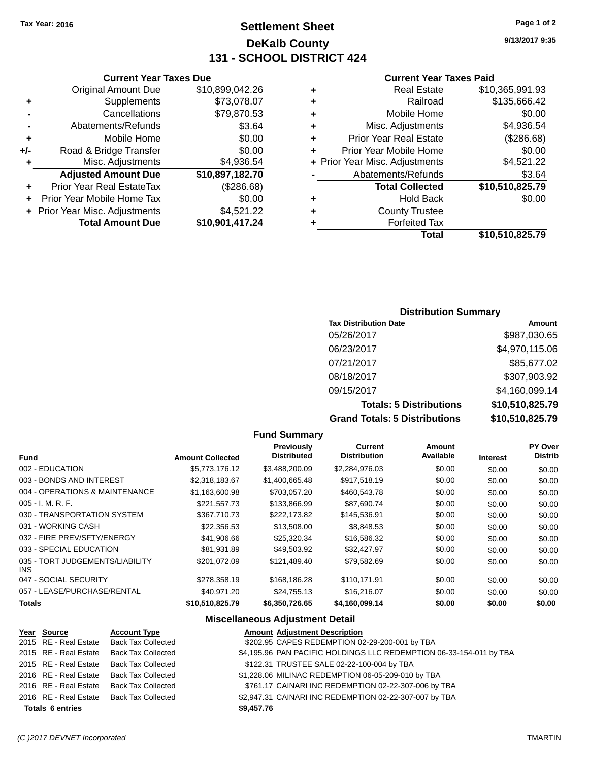## **Settlement Sheet Tax Year: 2016 Page 1 of 2 DeKalb County 131 - SCHOOL DISTRICT 424**

**9/13/2017 9:35**

### **Current Year Taxes Paid**

| ٠ | Real Estate                    | \$10,365,991.93 |
|---|--------------------------------|-----------------|
| ٠ | Railroad                       | \$135,666.42    |
| ٠ | Mobile Home                    | \$0.00          |
| ٠ | Misc. Adjustments              | \$4,936.54      |
| ٠ | <b>Prior Year Real Estate</b>  | (\$286.68)      |
| ÷ | Prior Year Mobile Home         | \$0.00          |
|   | + Prior Year Misc. Adjustments | \$4,521.22      |
|   | Abatements/Refunds             | \$3.64          |
|   | <b>Total Collected</b>         | \$10,510,825.79 |
|   | <b>Hold Back</b>               | \$0.00          |
| ÷ | <b>County Trustee</b>          |                 |
|   | <b>Forfeited Tax</b>           |                 |
|   | Total                          | \$10.510.825.79 |

|     | <b>Current Year Taxes Due</b>    |                 |
|-----|----------------------------------|-----------------|
|     | <b>Original Amount Due</b>       | \$10,899,042.26 |
| ٠   | Supplements                      | \$73,078.07     |
|     | Cancellations                    | \$79,870.53     |
|     | Abatements/Refunds               | \$3.64          |
| ٠   | Mobile Home                      | \$0.00          |
| +/- | Road & Bridge Transfer           | \$0.00          |
| ٠   | Misc. Adjustments                | \$4,936.54      |
|     | <b>Adjusted Amount Due</b>       | \$10,897,182.70 |
|     | <b>Prior Year Real EstateTax</b> | (\$286.68)      |
|     | Prior Year Mobile Home Tax       | \$0.00          |
|     | + Prior Year Misc. Adjustments   | \$4,521.22      |
|     | <b>Total Amount Due</b>          | \$10,901,417.24 |

## **Distribution Summary**

| <b>Tax Distribution Date</b>         | Amount          |
|--------------------------------------|-----------------|
| 05/26/2017                           | \$987,030.65    |
| 06/23/2017                           | \$4,970,115.06  |
| 07/21/2017                           | \$85,677.02     |
| 08/18/2017                           | \$307,903.92    |
| 09/15/2017                           | \$4,160,099.14  |
| <b>Totals: 5 Distributions</b>       | \$10,510,825.79 |
| <b>Grand Totals: 5 Distributions</b> | \$10,510,825.79 |

|                                         |                         | <b>Fund Summary</b>              |                                |                     |                 |                           |
|-----------------------------------------|-------------------------|----------------------------------|--------------------------------|---------------------|-----------------|---------------------------|
| <b>Fund</b>                             | <b>Amount Collected</b> | Previously<br><b>Distributed</b> | Current<br><b>Distribution</b> | Amount<br>Available | <b>Interest</b> | PY Over<br><b>Distrib</b> |
| 002 - EDUCATION                         | \$5,773,176.12          | \$3,488,200.09                   | \$2,284,976.03                 | \$0.00              | \$0.00          | \$0.00                    |
| 003 - BONDS AND INTEREST                | \$2,318,183.67          | \$1,400,665.48                   | \$917,518.19                   | \$0.00              | \$0.00          | \$0.00                    |
| 004 - OPERATIONS & MAINTENANCE          | \$1,163,600.98          | \$703,057.20                     | \$460,543.78                   | \$0.00              | \$0.00          | \$0.00                    |
| 005 - I. M. R. F.                       | \$221,557.73            | \$133,866.99                     | \$87,690.74                    | \$0.00              | \$0.00          | \$0.00                    |
| 030 - TRANSPORTATION SYSTEM             | \$367,710.73            | \$222,173.82                     | \$145,536.91                   | \$0.00              | \$0.00          | \$0.00                    |
| 031 - WORKING CASH                      | \$22.356.53             | \$13,508.00                      | \$8.848.53                     | \$0.00              | \$0.00          | \$0.00                    |
| 032 - FIRE PREV/SFTY/ENERGY             | \$41,906.66             | \$25,320.34                      | \$16,586.32                    | \$0.00              | \$0.00          | \$0.00                    |
| 033 - SPECIAL EDUCATION                 | \$81.931.89             | \$49.503.92                      | \$32,427.97                    | \$0.00              | \$0.00          | \$0.00                    |
| 035 - TORT JUDGEMENTS/LIABILITY<br>INS. | \$201,072.09            | \$121,489.40                     | \$79,582.69                    | \$0.00              | \$0.00          | \$0.00                    |
| 047 - SOCIAL SECURITY                   | \$278,358.19            | \$168,186.28                     | \$110,171.91                   | \$0.00              | \$0.00          | \$0.00                    |
| 057 - LEASE/PURCHASE/RENTAL             | \$40,971.20             | \$24,755.13                      | \$16,216.07                    | \$0.00              | \$0.00          | \$0.00                    |
| <b>Totals</b>                           | \$10,510,825.79         | \$6,350,726.65                   | \$4,160,099.14                 | \$0.00              | \$0.00          | \$0.00                    |

## **Miscellaneous Adjustment Detail**

| Year Source             | <b>Account Type</b>                      | <b>Amount Adjustment Description</b>                                |  |
|-------------------------|------------------------------------------|---------------------------------------------------------------------|--|
|                         | 2015 RE - Real Estate Back Tax Collected | \$202.95 CAPES REDEMPTION 02-29-200-001 by TBA                      |  |
| 2015 RE - Real Estate   | Back Tax Collected                       | \$4,195.96 PAN PACIFIC HOLDINGS LLC REDEMPTION 06-33-154-011 by TBA |  |
|                         | 2015 RE - Real Estate Back Tax Collected | \$122.31 TRUSTEE SALE 02-22-100-004 by TBA                          |  |
|                         | 2016 RE - Real Estate Back Tax Collected | \$1,228.06 MILINAC REDEMPTION 06-05-209-010 by TBA                  |  |
|                         | 2016 RE - Real Estate Back Tax Collected | \$761.17 CAINARI INC REDEMPTION 02-22-307-006 by TBA                |  |
|                         | 2016 RE - Real Estate Back Tax Collected | \$2,947.31 CAINARI INC REDEMPTION 02-22-307-007 by TBA              |  |
| <b>Totals 6 entries</b> |                                          | \$9,457.76                                                          |  |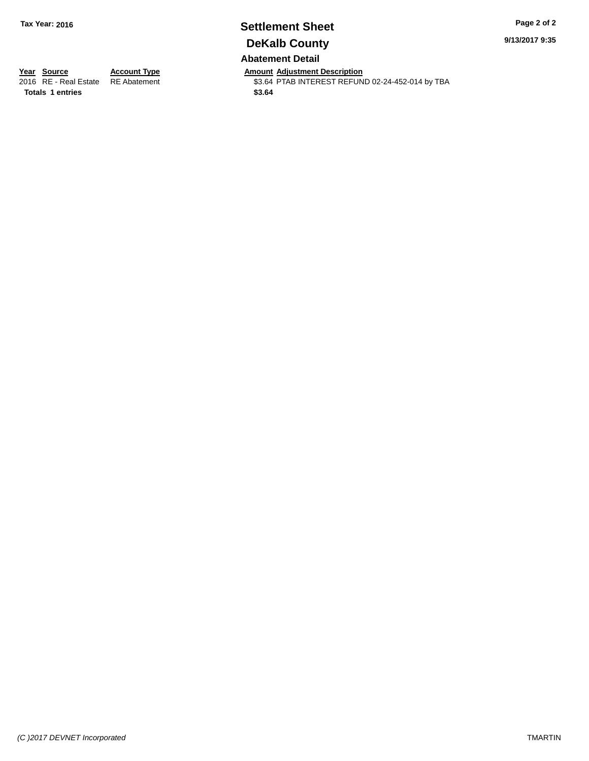# **Settlement Sheet Tax Year: 2016 Page 2 of 2 DeKalb County**

**9/13/2017 9:35**

## **Abatement Detail**

**Totals 1 entries** \$3.64

**Year Source Account Type Amount Adjustment Description** \$3.64 PTAB INTEREST REFUND 02-24-452-014 by TBA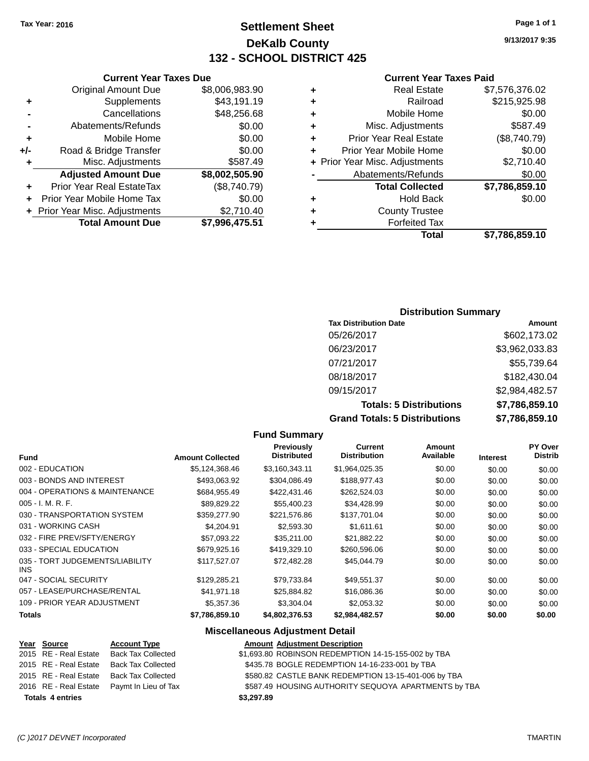## **Settlement Sheet Tax Year: 2016 Page 1 of 1 DeKalb County 132 - SCHOOL DISTRICT 425**

**9/13/2017 9:35**

### **Current Year Taxes Paid**

### Original Amount Due \$8,006,983.90 **+** Supplements \$43,191.19 **-** Cancellations \$48,256.68 Abatements/Refunds \$0.00

**Current Year Taxes Due**

| ٠   | Mobile Home                      | \$0.00         |
|-----|----------------------------------|----------------|
| +/- | Road & Bridge Transfer           | \$0.00         |
| ÷   | Misc. Adjustments                | \$587.49       |
|     | <b>Adjusted Amount Due</b>       | \$8,002,505.90 |
| ÷   | <b>Prior Year Real EstateTax</b> | (\$8,740.79)   |
|     | + Prior Year Mobile Home Tax     | \$0.00         |
|     | + Prior Year Misc. Adjustments   | \$2,710.40     |
|     | <b>Total Amount Due</b>          | \$7,996,475.51 |

### **Distribution Summary**

| <b>Tax Distribution Date</b>         | Amount         |
|--------------------------------------|----------------|
| 05/26/2017                           | \$602,173.02   |
| 06/23/2017                           | \$3,962,033.83 |
| 07/21/2017                           | \$55,739.64    |
| 08/18/2017                           | \$182,430.04   |
| 09/15/2017                           | \$2,984,482.57 |
| <b>Totals: 5 Distributions</b>       | \$7,786,859.10 |
| <b>Grand Totals: 5 Distributions</b> | \$7,786,859.10 |

### **Fund Summary Fund Interest Amount Collected Distributed PY Over Distrib Amount Available Current Distribution Previously** 002 - EDUCATION \$5,124,368.46 \$3,160,343.11 \$1,964,025.35 \$0.00 \$0.00 \$0.00 003 - BONDS AND INTEREST  $$493,063.92$   $$304,086.49$   $$188,977.43$  \$0.00 \$0.00 \$0.00 004 - OPERATIONS & MAINTENANCE \$684,955.49 \$422,431.46 \$262,524.03 \$0.00 \$0.00 \$0.00 005 - I. M. R. F. \$89,829.22 \$55,400.23 \$34,428.99 \$0.00 \$0.00 \$0.00 030 - TRANSPORTATION SYSTEM \$359,277.90 \$221,576.86 \$137,701.04 \$0.00 \$0.00 \$0.00 \$0.00 031 - WORKING CASH \$4,204.91 \$2,593.30 \$1,611.61 \$0.00 \$0.00 \$0.00 032 - FIRE PREV/SFTY/ENERGY \$57,093.22 \$35,211.00 \$21,882.22 \$0.00 \$0.00 \$0.00 \$0.00 033 - SPECIAL EDUCATION \$ \$679,925.16 \$419,329.10 \$260,596.06 \$0.00 \$0.00 \$0.00 \$0.00 035 - TORT JUDGEMENTS/LIABILITY INS \$117,527.07 \$72,482.28 \$45,044.79 \$0.00 \$0.00 \$0.00 047 - SOCIAL SECURITY \$129,285.21 \$79,733.84 \$49,551.37 \$0.00 \$0.00 \$0.00 057 - LEASE/PURCHASE/RENTAL \$41,971.18 \$25,884.82 \$16,086.36 \$0.00 \$0.00 \$0.00 109 - PRIOR YEAR ADJUSTMENT \$5,357.36 \$3,304.04 \$2,053.32 \$0.00 \$0.00 \$0.00 **Totals \$7,786,859.10 \$4,802,376.53 \$2,984,482.57 \$0.00 \$0.00 \$0.00**

## **Miscellaneous Adjustment Detail**

### **Year Source Account Type Amount Adjustment Description**

| <b>Totals 4 entries</b> |                                            | \$3,297.89                                           |
|-------------------------|--------------------------------------------|------------------------------------------------------|
|                         | 2016 RE - Real Estate Paymt In Lieu of Tax | \$587.49 HOUSING AUTHORITY SEQUOYA APARTMENTS by TBA |
| 2015 RE - Real Estate   | Back Tax Collected                         | \$580.82 CASTLE BANK REDEMPTION 13-15-401-006 by TBA |
| 2015 RE - Real Estate   | <b>Back Tax Collected</b>                  | \$435.78 BOGLE REDEMPTION 14-16-233-001 by TBA       |
| 2015 RE - Real Estate   |                                            | \$1,693.80 ROBINSON REDEMPTION 14-15-155-002 by TBA  |
|                         |                                            | Back Tax Collected                                   |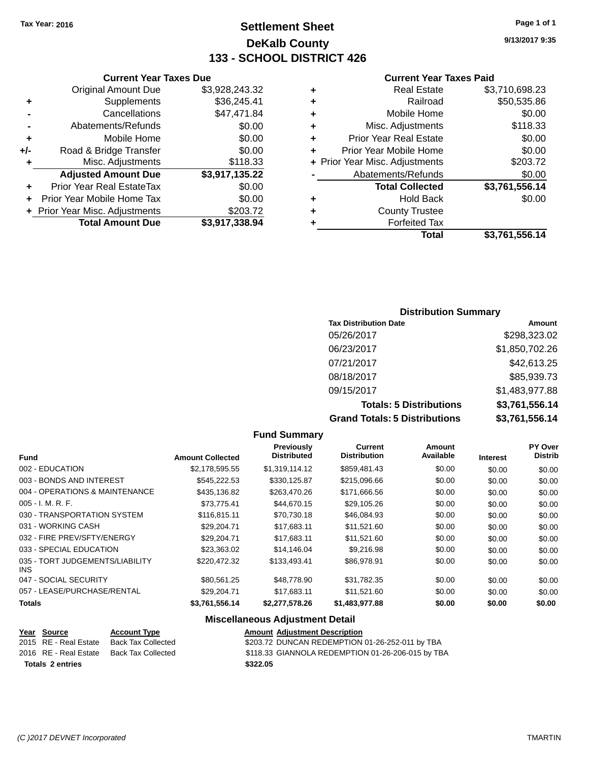## **Settlement Sheet Tax Year: 2016 Page 1 of 1 DeKalb County 133 - SCHOOL DISTRICT 426**

**9/13/2017 9:35**

### **Current Year Taxes Paid**

|   | Total                          | \$3,761,556.14 |
|---|--------------------------------|----------------|
|   | <b>Forfeited Tax</b>           |                |
| ٠ | <b>County Trustee</b>          |                |
| ٠ | <b>Hold Back</b>               | \$0.00         |
|   | <b>Total Collected</b>         | \$3,761,556.14 |
|   | Abatements/Refunds             | \$0.00         |
|   | + Prior Year Misc. Adjustments | \$203.72       |
|   | Prior Year Mobile Home         | \$0.00         |
| ٠ | <b>Prior Year Real Estate</b>  | \$0.00         |
| ٠ | Misc. Adjustments              | \$118.33       |
| ٠ | Mobile Home                    | \$0.00         |
| ٠ | Railroad                       | \$50,535.86    |
| ٠ | <b>Real Estate</b>             | \$3,710,698.23 |
|   |                                |                |

|     | <b>Current Year Taxes Due</b>  |                |
|-----|--------------------------------|----------------|
|     | <b>Original Amount Due</b>     | \$3,928,243.32 |
| ٠   | Supplements                    | \$36,245.41    |
|     | Cancellations                  | \$47,471.84    |
|     | Abatements/Refunds             | \$0.00         |
| ٠   | Mobile Home                    | \$0.00         |
| +/- | Road & Bridge Transfer         | \$0.00         |
| ٠   | Misc. Adjustments              | \$118.33       |
|     | <b>Adjusted Amount Due</b>     | \$3,917,135.22 |
| ٠   | Prior Year Real EstateTax      | \$0.00         |
| ٠   | Prior Year Mobile Home Tax     | \$0.00         |
|     | + Prior Year Misc. Adjustments | \$203.72       |
|     | <b>Total Amount Due</b>        | \$3,917,338.94 |

## **Distribution Summary**

| <b>Tax Distribution Date</b>         | Amount         |
|--------------------------------------|----------------|
| 05/26/2017                           | \$298,323.02   |
| 06/23/2017                           | \$1,850,702.26 |
| 07/21/2017                           | \$42,613.25    |
| 08/18/2017                           | \$85,939.73    |
| 09/15/2017                           | \$1,483,977.88 |
| <b>Totals: 5 Distributions</b>       | \$3,761,556.14 |
| <b>Grand Totals: 5 Distributions</b> | \$3,761,556.14 |

### **Fund Summary Fund Interest Amount Collected Distributed PY Over Distrib Amount Available Current Distribution Previously** 002 - EDUCATION \$2,178,595.55 \$1,319,114.12 \$859,481.43 \$0.00 \$0.00 \$0.00 003 - BONDS AND INTEREST  $$545,222.53$   $$330,125.87$   $$215,096.66$   $$0.00$   $$0.00$   $$0.00$ 004 - OPERATIONS & MAINTENANCE \$435,136.82 \$263,470.26 \$171,666.56 \$0.00 \$0.00 \$0.00 005 - I. M. R. F. \$73,775.41 \$44,670.15 \$29,105.26 \$0.00 \$0.00 \$0.00 030 - TRANSPORTATION SYSTEM \$116,815.11 \$70,730.18 \$46,084.93 \$0.00 \$0.00 \$0.00 031 - WORKING CASH \$29,204.71 \$17,683.11 \$11,521.60 \$0.00 \$0.00 \$0.00 032 - FIRE PREV/SFTY/ENERGY **\$29,204.71** \$17,683.11 \$11,521.60 \$0.00 \$0.00 \$0.00 \$0.00 033 - SPECIAL EDUCATION \$23,363.02 \$14,146.04 \$9,216.98 \$0.00 \$0.00 \$0.00 \$0.00 035 - TORT JUDGEMENTS/LIABILITY INS  $$220,472.32$   $$133,493.41$   $$86,978.91$   $$0.00$   $$0.00$   $$0.00$ 047 - SOCIAL SECURITY \$80,561.25 \$48,778.90 \$31,782.35 \$0.00 \$0.00 \$0.00 057 - LEASE/PURCHASE/RENTAL  $$29,204.71$   $$17,683.11$   $$11,521.60$   $$0.00$   $$0.00$   $$0.00$ **Totals \$3,761,556.14 \$2,277,578.26 \$1,483,977.88 \$0.00 \$0.00 \$0.00 Miscellaneous Adjustment Detail**

## **Year Source Account Type Amount Adjustment Description**

2015 RE - Real Estate Back Tax Collected \$203.72 DUNCAN REDEMPTION 01-26-252-011 by TBA 2016 RE - Real Estate Back Tax Collected \$118.33 GIANNO LA REDEMPTION 01-26-206-015 by TBA **Totals \$322.05 2 entries**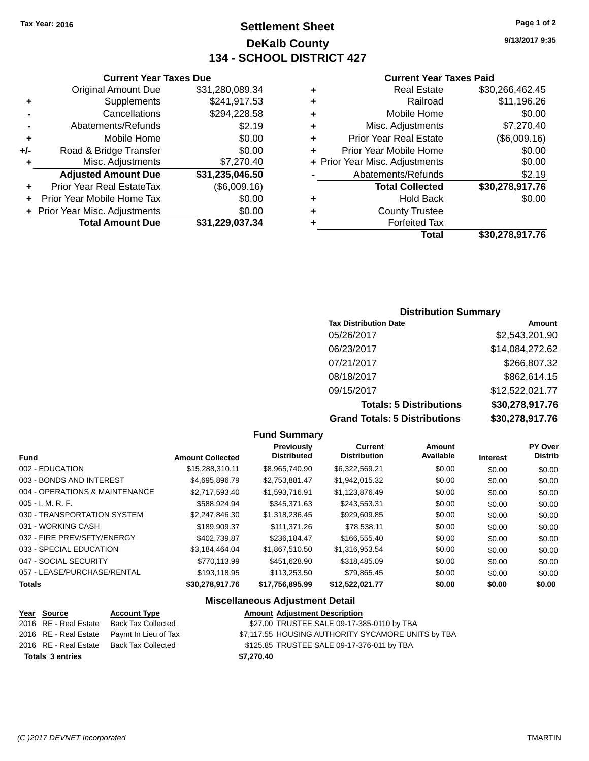## **Settlement Sheet Tax Year: 2016 Page 1 of 2 DeKalb County 134 - SCHOOL DISTRICT 427**

**9/13/2017 9:35**

### **Current Year Taxes Paid**

| ٠ | <b>Real Estate</b>             | \$30,266,462.45 |
|---|--------------------------------|-----------------|
| ٠ | Railroad                       | \$11,196.26     |
| ٠ | Mobile Home                    | \$0.00          |
| ٠ | Misc. Adjustments              | \$7,270.40      |
| ٠ | <b>Prior Year Real Estate</b>  | (\$6,009.16)    |
| ÷ | Prior Year Mobile Home         | \$0.00          |
|   | + Prior Year Misc. Adjustments | \$0.00          |
|   | Abatements/Refunds             | \$2.19          |
|   | <b>Total Collected</b>         | \$30,278,917.76 |
| ٠ | <b>Hold Back</b>               | \$0.00          |
| ٠ | <b>County Trustee</b>          |                 |
|   | <b>Forfeited Tax</b>           |                 |
|   | Total                          | \$30,278,917.76 |

|     | <b>Current Year Taxes Due</b>    |                 |  |  |
|-----|----------------------------------|-----------------|--|--|
|     | <b>Original Amount Due</b>       | \$31,280,089.34 |  |  |
| ٠   | Supplements                      | \$241,917.53    |  |  |
|     | Cancellations                    | \$294,228.58    |  |  |
|     | Abatements/Refunds               | \$2.19          |  |  |
| ٠   | Mobile Home                      | \$0.00          |  |  |
| +/- | Road & Bridge Transfer           | \$0.00          |  |  |
| ٠   | Misc. Adjustments                | \$7,270.40      |  |  |
|     | <b>Adjusted Amount Due</b>       | \$31,235,046.50 |  |  |
|     | <b>Prior Year Real EstateTax</b> | (\$6,009.16)    |  |  |
|     | Prior Year Mobile Home Tax       | \$0.00          |  |  |
|     | + Prior Year Misc. Adjustments   | \$0.00          |  |  |
|     | <b>Total Amount Due</b>          | \$31.229.037.34 |  |  |

## **Distribution Summary**

| <b>Tax Distribution Date</b>         | Amount          |
|--------------------------------------|-----------------|
| 05/26/2017                           | \$2,543,201.90  |
| 06/23/2017                           | \$14,084,272.62 |
| 07/21/2017                           | \$266,807.32    |
| 08/18/2017                           | \$862,614.15    |
| 09/15/2017                           | \$12,522,021.77 |
| <b>Totals: 5 Distributions</b>       | \$30,278,917.76 |
| <b>Grand Totals: 5 Distributions</b> | \$30,278,917.76 |

|                                        |                         | <b>Fund Summary</b>                     |                                |                     |                 |                           |
|----------------------------------------|-------------------------|-----------------------------------------|--------------------------------|---------------------|-----------------|---------------------------|
| <b>Fund</b>                            | <b>Amount Collected</b> | <b>Previously</b><br><b>Distributed</b> | Current<br><b>Distribution</b> | Amount<br>Available | <b>Interest</b> | PY Over<br><b>Distrib</b> |
| 002 - EDUCATION                        | \$15,288,310.11         | \$8,965,740.90                          | \$6,322,569.21                 | \$0.00              | \$0.00          | \$0.00                    |
| 003 - BONDS AND INTEREST               | \$4,695,896.79          | \$2,753,881.47                          | \$1,942,015.32                 | \$0.00              | \$0.00          | \$0.00                    |
| 004 - OPERATIONS & MAINTENANCE         | \$2,717,593.40          | \$1,593,716.91                          | \$1,123,876.49                 | \$0.00              | \$0.00          | \$0.00                    |
| $005 - I. M. R. F.$                    | \$588,924.94            | \$345,371.63                            | \$243,553.31                   | \$0.00              | \$0.00          | \$0.00                    |
| 030 - TRANSPORTATION SYSTEM            | \$2,247,846.30          | \$1,318,236.45                          | \$929,609.85                   | \$0.00              | \$0.00          | \$0.00                    |
| 031 - WORKING CASH                     | \$189,909.37            | \$111,371.26                            | \$78,538.11                    | \$0.00              | \$0.00          | \$0.00                    |
| 032 - FIRE PREV/SFTY/ENERGY            | \$402.739.87            | \$236.184.47                            | \$166,555.40                   | \$0.00              | \$0.00          | \$0.00                    |
| 033 - SPECIAL EDUCATION                | \$3,184,464.04          | \$1.867.510.50                          | \$1,316,953.54                 | \$0.00              | \$0.00          | \$0.00                    |
| 047 - SOCIAL SECURITY                  | \$770.113.99            | \$451,628.90                            | \$318,485.09                   | \$0.00              | \$0.00          | \$0.00                    |
| 057 - LEASE/PURCHASE/RENTAL            | \$193,118.95            | \$113,253.50                            | \$79,865.45                    | \$0.00              | \$0.00          | \$0.00                    |
| <b>Totals</b>                          | \$30,278,917.76         | \$17,756,895.99                         | \$12,522,021.77                | \$0.00              | \$0.00          | \$0.00                    |
| <b>Miscellaneous Adjustment Detail</b> |                         |                                         |                                |                     |                 |                           |

| Year Source             | <b>Account Type</b>                        | <b>Amount Adjustment Description</b>               |
|-------------------------|--------------------------------------------|----------------------------------------------------|
| 2016 RE - Real Estate   | Back Tax Collected                         | \$27.00 TRUSTEE SALE 09-17-385-0110 by TBA         |
|                         | 2016 RE - Real Estate Paymt In Lieu of Tax | \$7,117.55 HOUSING AUTHORITY SYCAMORE UNITS by TBA |
|                         | 2016 RE - Real Estate Back Tax Collected   | \$125.85 TRUSTEE SALE 09-17-376-011 by TBA         |
| <b>Totals 3 entries</b> |                                            | \$7.270.40                                         |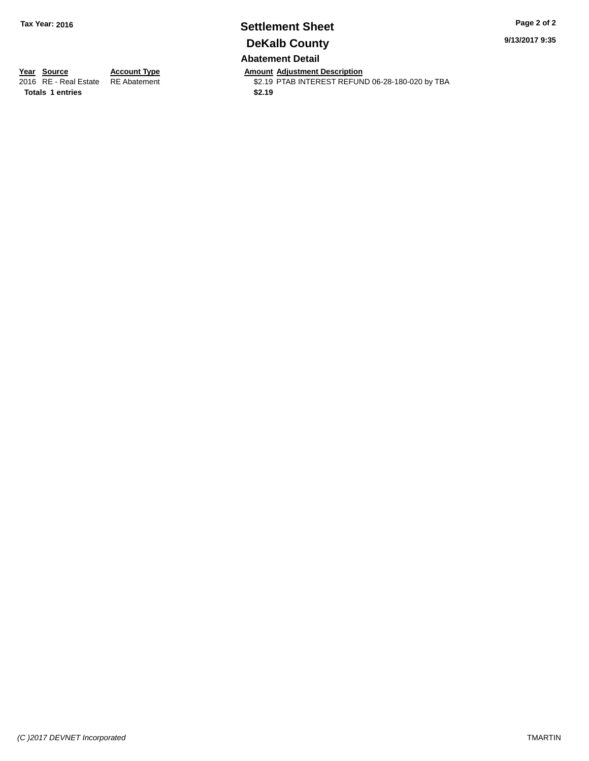## **Settlement Sheet Tax Year: 2016 Page 2 of 2 DeKalb County Abatement Detail**

**9/13/2017 9:35**

**Totals 1 entries** \$2.19

**Year Source Account Type And Amount Adjustment Description**<br>2016 RE - Real Estate RE Abatement **Account 1998 AMOU ACCOUNTEREST REFUN** \$2.19 PTAB INTEREST REFUND 06-28-180-020 by TBA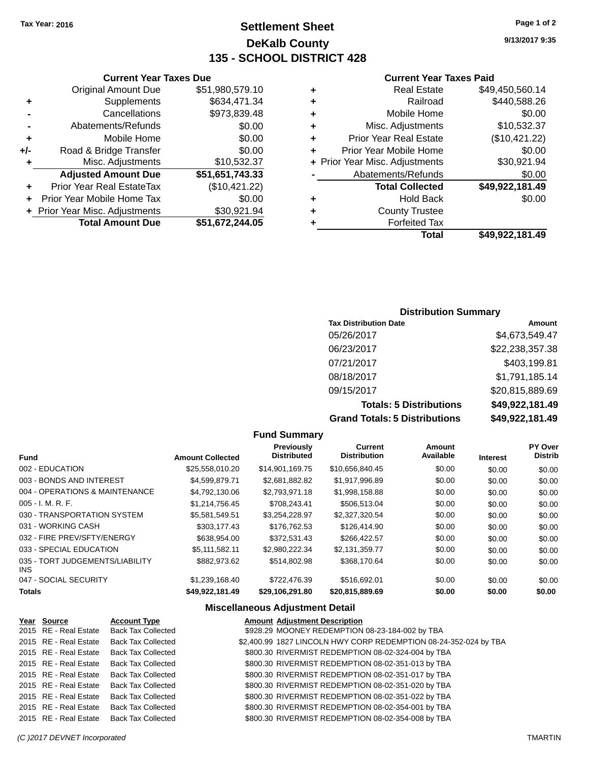## **Settlement Sheet Tax Year: 2016 Page 1 of 2 DeKalb County 135 - SCHOOL DISTRICT 428**

**9/13/2017 9:35**

### **Current Year Taxes Paid**

| ٠ | <b>Real Estate</b>             | \$49,450,560.14 |
|---|--------------------------------|-----------------|
| ٠ | Railroad                       | \$440,588.26    |
| ٠ | Mobile Home                    | \$0.00          |
| ٠ | Misc. Adjustments              | \$10,532.37     |
| ٠ | <b>Prior Year Real Estate</b>  | (\$10,421.22)   |
| ٠ | Prior Year Mobile Home         | \$0.00          |
|   | + Prior Year Misc. Adjustments | \$30,921.94     |
|   | Abatements/Refunds             | \$0.00          |
|   | <b>Total Collected</b>         | \$49,922,181.49 |
|   | <b>Hold Back</b>               | \$0.00          |
| ٠ | <b>County Trustee</b>          |                 |
|   | <b>Forfeited Tax</b>           |                 |
|   | Total                          | \$49.922.181.49 |

## **Current Year Taxes Due** Original Amount Due \$51,980,579.10 **+** Supplements \$634,471.34 **-** Cancellations \$973,839.48 **-** Abatements/Refunds **\$0.00 +** Mobile Home \$0.00 **+/-** Road & Bridge Transfer \$0.00 **+** Misc. Adjustments \$10,532.37 **Adjusted Amount Due \$51,651,743.33 +** Prior Year Real EstateTax (\$10,421.22) **+** Prior Year Mobile Home Tax \$0.00 **+** Prior Year Misc. Adjustments \$30,921.94 **Total Amount Due \$51,672,244.05**

### **Distribution Summary**

| <b>Tax Distribution Date</b>         | Amount          |
|--------------------------------------|-----------------|
| 05/26/2017                           | \$4,673,549.47  |
| 06/23/2017                           | \$22,238,357.38 |
| 07/21/2017                           | \$403,199.81    |
| 08/18/2017                           | \$1,791,185.14  |
| 09/15/2017                           | \$20,815,889.69 |
| <b>Totals: 5 Distributions</b>       | \$49,922,181.49 |
| <b>Grand Totals: 5 Distributions</b> | \$49,922,181.49 |

### **Fund Summary Fund Interest Amount Collected Distributed PY Over Distrib Amount Available Current Distribution Previously** 002 - EDUCATION \$25,558,010.20 \$14,901,169.75 \$10,656,840.45 \$0.00 \$0.00 \$0.00 003 - BONDS AND INTEREST  $$4,599,879.71$   $$2,681,882.82$   $$1,917,996.89$  \$0.00 \$0.00 \$0.00 \$0.00 004 - OPERATIONS & MAINTENANCE  $$4,792,130.06$   $$2,793,971.18$   $$1,998,158.88$   $$0.00$   $$0.00$   $$0.00$ 005 - I. M. R. F. \$1,214,756.45 \$708,243.41 \$506,513.04 \$0.00 \$0.00 \$0.00 030 - TRANSPORTATION SYSTEM  $$5,581,549.51$   $$3,254,228.97$   $$2,327,320.54$   $$0.00$   $$0.00$   $$0.00$ 031 - WORKING CASH \$303,177.43 \$176,762.53 \$126,414.90 \$0.00 \$0.00 \$0.00 032 - FIRE PREV/SFTY/ENERGY \$638,954.00 \$372,531.43 \$266,422.57 \$0.00 \$0.00 \$0.00 \$0.00 033 - SPECIAL EDUCATION \$5,000 \$0.00 \$6,111,582.11 \$2,980,222.34 \$2,131,359.77 \$0.00 \$0.00 \$0.00 035 - TORT JUDGEMENTS/LIABILITY INS  $$882,973.62$   $$514,802.98$   $$368,170.64$  \$0.00 \$0.00 \$0.00 047 - SOCIAL SECURITY 66.00 \$1,239,168.40 \$722,476.39 \$516,692.01 \$0.00 \$0.00 \$0.00 \$0.00 **Totals \$49,922,181.49 \$29,106,291.80 \$20,815,889.69 \$0.00 \$0.00 \$0.00**

### **Miscellaneous Adjustment Detail**

| Year Source           | <b>Account Type</b>                      | <b>Amount Adjustment Description</b>                             |  |
|-----------------------|------------------------------------------|------------------------------------------------------------------|--|
| 2015 RE - Real Estate | <b>Back Tax Collected</b>                | \$928.29 MOONEY REDEMPTION 08-23-184-002 by TBA                  |  |
| 2015 RE - Real Estate | Back Tax Collected                       | \$2,400.99 1827 LINCOLN HWY CORP REDEMPTION 08-24-352-024 by TBA |  |
| 2015 RE - Real Estate | <b>Back Tax Collected</b>                | \$800.30 RIVERMIST REDEMPTION 08-02-324-004 by TBA               |  |
| 2015 RE - Real Estate | <b>Back Tax Collected</b>                | \$800.30 RIVERMIST REDEMPTION 08-02-351-013 by TBA               |  |
| 2015 RE - Real Estate | <b>Back Tax Collected</b>                | \$800.30 RIVERMIST REDEMPTION 08-02-351-017 by TBA               |  |
| 2015 RE - Real Estate | <b>Back Tax Collected</b>                | \$800.30 RIVERMIST REDEMPTION 08-02-351-020 by TBA               |  |
| 2015 RE - Real Estate | <b>Back Tax Collected</b>                | \$800.30 RIVERMIST REDEMPTION 08-02-351-022 by TBA               |  |
| 2015 RE - Real Estate | <b>Back Tax Collected</b>                | \$800.30 RIVERMIST REDEMPTION 08-02-354-001 by TBA               |  |
|                       | 2015 RE - Real Estate Back Tax Collected | \$800.30 RIVERMIST REDEMPTION 08-02-354-008 by TBA               |  |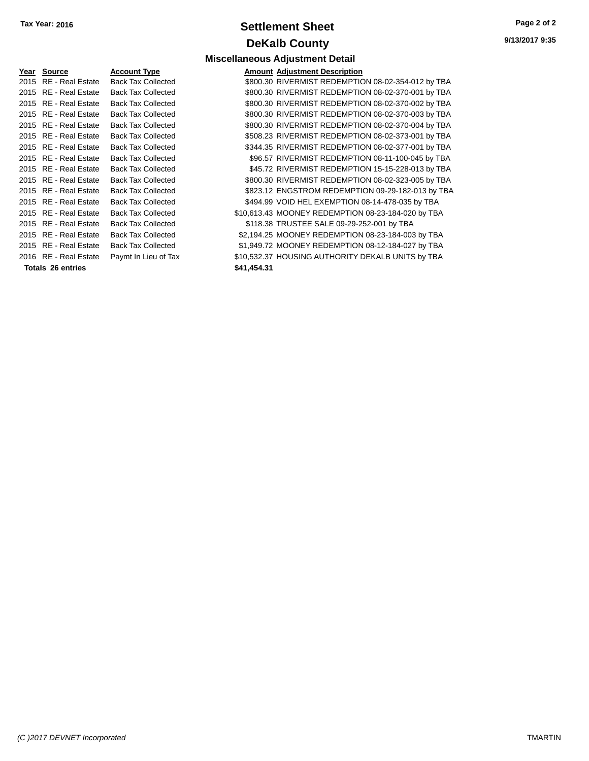## **Settlement Sheet Tax Year: 2016 Page 2 of 2 DeKalb County**

**Miscellaneous Adjustment Detail**

**9/13/2017 9:35**

| Year | Source                   | <b>Account Ty</b> |
|------|--------------------------|-------------------|
| 2015 | RE - Real Estate         | Back Tax Co       |
| 2015 | RE - Real Estate         | Back Tax Cc       |
| 2015 | <b>RE</b> - Real Estate  | Back Tax Co       |
| 2015 | <b>RE</b> - Real Estate  | Back Tax Co       |
| 2015 | <b>RE</b> - Real Estate  | Back Tax Co       |
| 2015 | <b>RE</b> - Real Estate  | Back Tax Co       |
| 2015 | RE - Real Estate         | Back Tax Co       |
| 2015 | <b>RE</b> - Real Estate  | Back Tax Co       |
| 2015 | <b>RE</b> - Real Estate  | Back Tax Cc       |
| 2015 | <b>RE</b> - Real Estate  | Back Tax Cc       |
| 2015 | RE - Real Estate         | Back Tax Co       |
| 2015 | RE - Real Estate         | Back Tax Cc       |
| 2015 | RE - Real Estate         | Back Tax Co       |
| 2015 | <b>RE</b> - Real Estate  | Back Tax Cc       |
| 2015 | <b>RE</b> - Real Estate  | Back Tax Cc       |
| 2015 | <b>RE</b> - Real Estate  | Back Tax Co       |
| 2016 | RE - Real Estate         | Paymt In Lie      |
|      | <b>Totals 26 entries</b> |                   |

| Year Source              | <b>Account Type</b>       |             | <b>Amount Adjustment Description</b>               |
|--------------------------|---------------------------|-------------|----------------------------------------------------|
| 2015 RE - Real Estate    | <b>Back Tax Collected</b> |             | \$800.30 RIVERMIST REDEMPTION 08-02-354-012 by TBA |
| 2015 RE - Real Estate    | <b>Back Tax Collected</b> |             | \$800.30 RIVERMIST REDEMPTION 08-02-370-001 by TBA |
| 2015 RE - Real Estate    | <b>Back Tax Collected</b> |             | \$800.30 RIVERMIST REDEMPTION 08-02-370-002 by TBA |
| 2015 RE - Real Estate    | <b>Back Tax Collected</b> |             | \$800.30 RIVERMIST REDEMPTION 08-02-370-003 by TBA |
| 2015 RE - Real Estate    | <b>Back Tax Collected</b> |             | \$800.30 RIVERMIST REDEMPTION 08-02-370-004 by TBA |
| 2015 RE - Real Estate    | <b>Back Tax Collected</b> |             | \$508.23 RIVERMIST REDEMPTION 08-02-373-001 by TBA |
| 2015 RE - Real Estate    | <b>Back Tax Collected</b> |             | \$344.35 RIVERMIST REDEMPTION 08-02-377-001 by TBA |
| 2015 RE - Real Estate    | <b>Back Tax Collected</b> |             | \$96.57 RIVERMIST REDEMPTION 08-11-100-045 by TBA  |
| 2015 RE - Real Estate    | <b>Back Tax Collected</b> |             | \$45.72 RIVERMIST REDEMPTION 15-15-228-013 by TBA  |
| 2015 RE - Real Estate    | <b>Back Tax Collected</b> |             | \$800.30 RIVERMIST REDEMPTION 08-02-323-005 by TBA |
| 2015 RE - Real Estate    | <b>Back Tax Collected</b> |             | \$823.12 ENGSTROM REDEMPTION 09-29-182-013 by TBA  |
| 2015 RE - Real Estate    | <b>Back Tax Collected</b> |             | \$494.99 VOID HEL EXEMPTION 08-14-478-035 by TBA   |
| 2015 RE - Real Estate    | <b>Back Tax Collected</b> |             | \$10,613.43 MOONEY REDEMPTION 08-23-184-020 by TBA |
| 2015 RE - Real Estate    | <b>Back Tax Collected</b> |             | \$118.38 TRUSTEE SALE 09-29-252-001 by TBA         |
| 2015 RE - Real Estate    | <b>Back Tax Collected</b> |             | \$2,194.25 MOONEY REDEMPTION 08-23-184-003 by TBA  |
| 2015 RE - Real Estate    | <b>Back Tax Collected</b> |             | \$1,949.72 MOONEY REDEMPTION 08-12-184-027 by TBA  |
| 2016 RE - Real Estate    | Paymt In Lieu of Tax      |             | \$10,532.37 HOUSING AUTHORITY DEKALB UNITS by TBA  |
| <b>Totals 26 entries</b> |                           | \$41,454.31 |                                                    |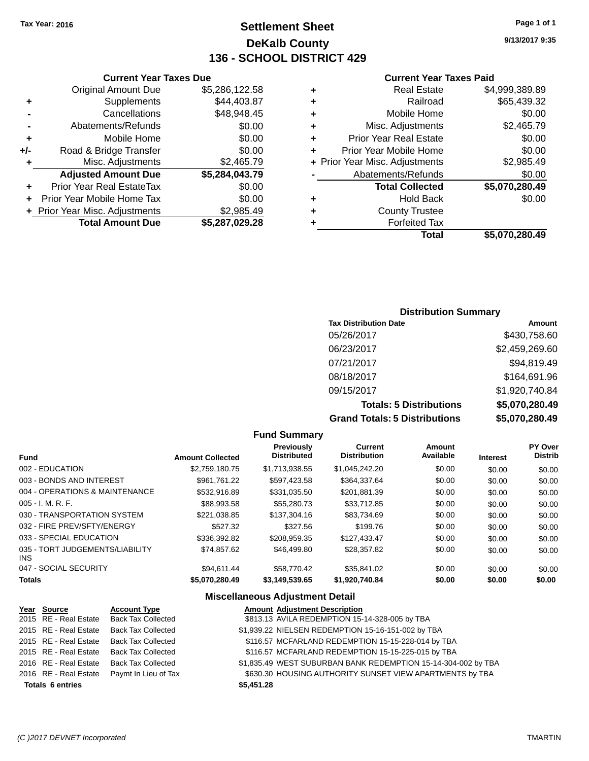## **Settlement Sheet Tax Year: 2016 Page 1 of 1 DeKalb County 136 - SCHOOL DISTRICT 429**

**9/13/2017 9:35**

### **Current Year Taxes Paid**

|   | Total                          | \$5,070,280.49 |
|---|--------------------------------|----------------|
| ٠ | <b>Forfeited Tax</b>           |                |
| ٠ | <b>County Trustee</b>          |                |
| ٠ | <b>Hold Back</b>               | \$0.00         |
|   | <b>Total Collected</b>         | \$5,070,280.49 |
|   | Abatements/Refunds             | \$0.00         |
|   | + Prior Year Misc. Adjustments | \$2,985.49     |
| ÷ | Prior Year Mobile Home         | \$0.00         |
| ٠ | <b>Prior Year Real Estate</b>  | \$0.00         |
| ٠ | Misc. Adjustments              | \$2,465.79     |
| ٠ | Mobile Home                    | \$0.00         |
| ٠ | Railroad                       | \$65,439.32    |
| ٠ | <b>Real Estate</b>             | \$4,999,389.89 |
|   |                                |                |

|     | <b>Current Year Taxes Due</b>    |                |
|-----|----------------------------------|----------------|
|     | <b>Original Amount Due</b>       | \$5,286,122.58 |
| ٠   | Supplements                      | \$44,403.87    |
|     | Cancellations                    | \$48,948.45    |
|     | Abatements/Refunds               | \$0.00         |
| ٠   | Mobile Home                      | \$0.00         |
| +/- | Road & Bridge Transfer           | \$0.00         |
| ٠   | Misc. Adjustments                | \$2,465.79     |
|     | <b>Adjusted Amount Due</b>       | \$5,284,043.79 |
|     | <b>Prior Year Real EstateTax</b> | \$0.00         |
| ٠   | Prior Year Mobile Home Tax       | \$0.00         |
|     | + Prior Year Misc. Adjustments   | \$2,985.49     |
|     | <b>Total Amount Due</b>          | \$5,287,029.28 |

## **Distribution Summary**

| <b>Tax Distribution Date</b>         | Amount         |
|--------------------------------------|----------------|
| 05/26/2017                           | \$430,758.60   |
| 06/23/2017                           | \$2,459,269.60 |
| 07/21/2017                           | \$94,819.49    |
| 08/18/2017                           | \$164,691.96   |
| 09/15/2017                           | \$1,920,740.84 |
| <b>Totals: 5 Distributions</b>       | \$5,070,280.49 |
| <b>Grand Totals: 5 Distributions</b> | \$5,070,280.49 |

|                                         |                         | <b>Fund Summary</b>                     |                                       |                     |                 |                           |
|-----------------------------------------|-------------------------|-----------------------------------------|---------------------------------------|---------------------|-----------------|---------------------------|
| <b>Fund</b>                             | <b>Amount Collected</b> | <b>Previously</b><br><b>Distributed</b> | <b>Current</b><br><b>Distribution</b> | Amount<br>Available | <b>Interest</b> | PY Over<br><b>Distrib</b> |
| 002 - EDUCATION                         | \$2,759,180.75          | \$1,713,938.55                          | \$1,045,242.20                        | \$0.00              | \$0.00          | \$0.00                    |
| 003 - BONDS AND INTEREST                | \$961,761.22            | \$597,423.58                            | \$364,337.64                          | \$0.00              | \$0.00          | \$0.00                    |
| 004 - OPERATIONS & MAINTENANCE          | \$532,916.89            | \$331,035.50                            | \$201,881.39                          | \$0.00              | \$0.00          | \$0.00                    |
| $005 - I. M. R. F.$                     | \$88.993.58             | \$55,280.73                             | \$33.712.85                           | \$0.00              | \$0.00          | \$0.00                    |
| 030 - TRANSPORTATION SYSTEM             | \$221,038.85            | \$137,304.16                            | \$83,734.69                           | \$0.00              | \$0.00          | \$0.00                    |
| 032 - FIRE PREV/SFTY/ENERGY             | \$527.32                | \$327.56                                | \$199.76                              | \$0.00              | \$0.00          | \$0.00                    |
| 033 - SPECIAL EDUCATION                 | \$336,392.82            | \$208,959.35                            | \$127,433.47                          | \$0.00              | \$0.00          | \$0.00                    |
| 035 - TORT JUDGEMENTS/LIABILITY<br>INS. | \$74,857.62             | \$46,499.80                             | \$28,357.82                           | \$0.00              | \$0.00          | \$0.00                    |
| 047 - SOCIAL SECURITY                   | \$94,611.44             | \$58,770.42                             | \$35,841.02                           | \$0.00              | \$0.00          | \$0.00                    |
| <b>Totals</b>                           | \$5,070,280.49          | \$3,149,539.65                          | \$1,920,740.84                        | \$0.00              | \$0.00          | \$0.00                    |
|                                         |                         |                                         |                                       |                     |                 |                           |

### **Miscellaneous Adjustment Detail**

| Year Source             | <b>Account Type</b>                        | <b>Amount Adjustment Description</b>                          |
|-------------------------|--------------------------------------------|---------------------------------------------------------------|
| 2015 RE - Real Estate   | <b>Back Tax Collected</b>                  | \$813.13 AVILA REDEMPTION 15-14-328-005 by TBA                |
| 2015 RE - Real Estate   | <b>Back Tax Collected</b>                  | \$1,939.22 NIELSEN REDEMPTION 15-16-151-002 by TBA            |
| 2015 RE - Real Estate   | <b>Back Tax Collected</b>                  | \$116.57 MCFARLAND REDEMPTION 15-15-228-014 by TBA            |
|                         | 2015 RE - Real Estate Back Tax Collected   | \$116.57 MCFARLAND REDEMPTION 15-15-225-015 by TBA            |
| 2016 RE - Real Estate   | <b>Back Tax Collected</b>                  | \$1,835.49 WEST SUBURBAN BANK REDEMPTION 15-14-304-002 by TBA |
|                         | 2016 RE - Real Estate Paymt In Lieu of Tax | \$630.30 HOUSING AUTHORITY SUNSET VIEW APARTMENTS by TBA      |
| <b>Totals 6 entries</b> |                                            | \$5,451.28                                                    |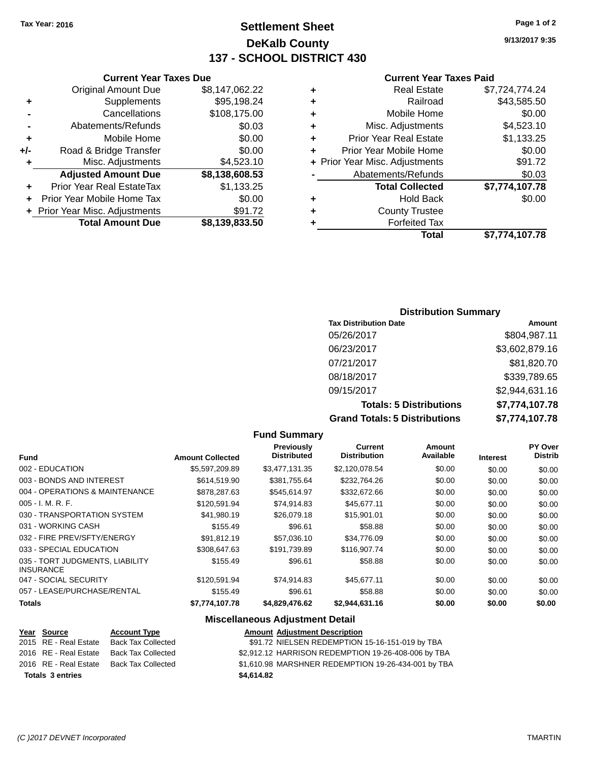## **Settlement Sheet Tax Year: 2016 Page 1 of 2 DeKalb County 137 - SCHOOL DISTRICT 430**

**9/13/2017 9:35**

### **Current Year Taxes Paid**

|     | <b>Current Year Taxes Due</b>  |                |       |
|-----|--------------------------------|----------------|-------|
|     | <b>Original Amount Due</b>     | \$8,147,062.22 | ٠     |
|     | Supplements                    | \$95,198.24    | ٠     |
|     | Cancellations                  | \$108,175.00   | ٠     |
|     | Abatements/Refunds             | \$0.03         | ٠     |
|     | Mobile Home                    | \$0.00         | ٠     |
| +/- | Road & Bridge Transfer         | \$0.00         | ٠     |
|     | Misc. Adjustments              | \$4,523.10     | + Pri |
|     | <b>Adjusted Amount Due</b>     | \$8,138,608.53 |       |
|     | Prior Year Real EstateTax      | \$1,133.25     |       |
|     | Prior Year Mobile Home Tax     | \$0.00         |       |
|     | + Prior Year Misc. Adjustments | \$91.72        |       |
|     | <b>Total Amount Due</b>        | \$8,139,833.50 |       |
|     |                                |                |       |

|   | <b>Real Estate</b>             | \$7,724,774.24 |
|---|--------------------------------|----------------|
| ٠ | Railroad                       | \$43,585.50    |
| ٠ | Mobile Home                    | \$0.00         |
| ٠ | Misc. Adjustments              | \$4,523.10     |
| ٠ | <b>Prior Year Real Estate</b>  | \$1,133.25     |
| ٠ | Prior Year Mobile Home         | \$0.00         |
|   | + Prior Year Misc. Adjustments | \$91.72        |
|   | Abatements/Refunds             | \$0.03         |
|   | <b>Total Collected</b>         | \$7,774,107.78 |
| ٠ | <b>Hold Back</b>               | \$0.00         |
| ٠ | <b>County Trustee</b>          |                |
| ٠ | <b>Forfeited Tax</b>           |                |
|   | Total                          | \$7,774,107.78 |
|   |                                |                |

## **Distribution Summary Tax Distribution Date Amount** 05/26/2017 \$804,987.11 06/23/2017 \$3,602,879.16 07/21/2017 \$81,820.70 08/18/2017 \$339,789.65 09/15/2017 \$2,944,631.16 **Totals: 5 Distributions \$7,774,107.78 Grand Totals: 5 Distributions \$7,774,107.78**

|                                                     |                         | <b>Fund Summary</b>                     |                                |                     |                 |                           |
|-----------------------------------------------------|-------------------------|-----------------------------------------|--------------------------------|---------------------|-----------------|---------------------------|
| <b>Fund</b>                                         | <b>Amount Collected</b> | <b>Previously</b><br><b>Distributed</b> | Current<br><b>Distribution</b> | Amount<br>Available | <b>Interest</b> | PY Over<br><b>Distrib</b> |
| 002 - EDUCATION                                     | \$5,597,209.89          | \$3,477,131.35                          | \$2,120,078.54                 | \$0.00              | \$0.00          | \$0.00                    |
| 003 - BONDS AND INTEREST                            | \$614,519.90            | \$381,755.64                            | \$232,764.26                   | \$0.00              | \$0.00          | \$0.00                    |
| 004 - OPERATIONS & MAINTENANCE                      | \$878,287.63            | \$545,614.97                            | \$332,672.66                   | \$0.00              | \$0.00          | \$0.00                    |
| $005 - I. M. R. F.$                                 | \$120,591.94            | \$74,914.83                             | \$45,677.11                    | \$0.00              | \$0.00          | \$0.00                    |
| 030 - TRANSPORTATION SYSTEM                         | \$41,980.19             | \$26,079.18                             | \$15,901.01                    | \$0.00              | \$0.00          | \$0.00                    |
| 031 - WORKING CASH                                  | \$155.49                | \$96.61                                 | \$58.88                        | \$0.00              | \$0.00          | \$0.00                    |
| 032 - FIRE PREV/SFTY/ENERGY                         | \$91,812.19             | \$57,036.10                             | \$34,776.09                    | \$0.00              | \$0.00          | \$0.00                    |
| 033 - SPECIAL EDUCATION                             | \$308,647.63            | \$191.739.89                            | \$116,907.74                   | \$0.00              | \$0.00          | \$0.00                    |
| 035 - TORT JUDGMENTS, LIABILITY<br><b>INSURANCE</b> | \$155.49                | \$96.61                                 | \$58.88                        | \$0.00              | \$0.00          | \$0.00                    |
| 047 - SOCIAL SECURITY                               | \$120.591.94            | \$74.914.83                             | \$45,677.11                    | \$0.00              | \$0.00          | \$0.00                    |
| 057 - LEASE/PURCHASE/RENTAL                         | \$155.49                | \$96.61                                 | \$58.88                        | \$0.00              | \$0.00          | \$0.00                    |
| <b>Totals</b>                                       | \$7,774,107.78          | \$4,829,476.62                          | \$2,944,631.16                 | \$0.00              | \$0.00          | \$0.00                    |
|                                                     |                         |                                         |                                |                     |                 |                           |

### **Miscellaneous Adjustment Detail**

### **Year Source Account Type Amount Adjustment Description** 2015 RE - Real Estate Back Tax Collected \$91.72 NIELSEN REDEMPTION 15-16-151-019 by TBA<br>2016 RE - Real Estate Back Tax Collected \$2.912.12 HARRISON REDEMPTION 19-26-408-006 by TB 2016 RE - Real Estate Back Tax Collected \$2,912.12 HARRISON REDEMPTION 19-26-408-006 by TBA 2016 RE - Real Estate Back Tax Collected \$1,610.98 MARSHNER REDEMPTION 19-26-434-001 by TBA **Totals \$4,614.82 3 entries**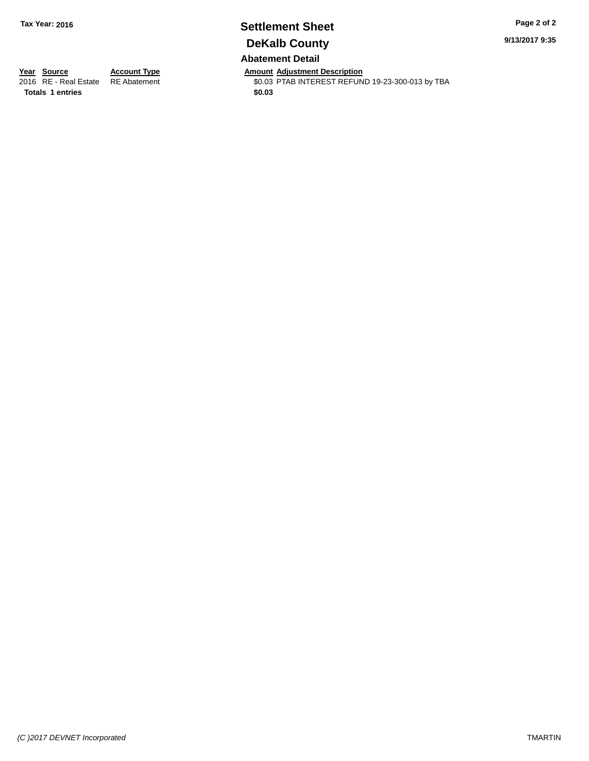# **Settlement Sheet Tax Year: 2016 Page 2 of 2 DeKalb County**

**9/13/2017 9:35**

## **Abatement Detail**

**Totals 1 entries** \$0.03

**Year Source Account Type Account Type Amount Adjustment Description**<br>2016 RE - Real Estate RE Abatement **Account 1991 Amount Adjustment REFUN** \$0.03 PTAB INTEREST REFUND 19-23-300-013 by TBA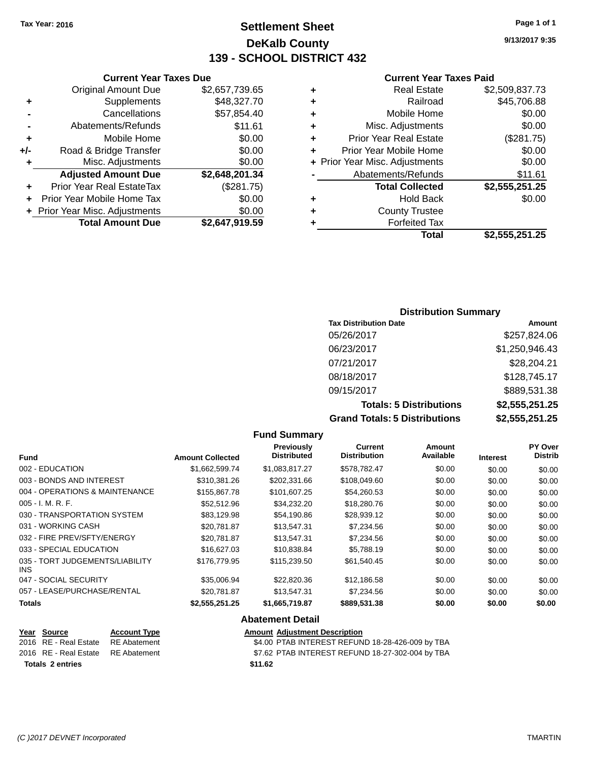## **Settlement Sheet Tax Year: 2016 Page 1 of 1 DeKalb County 139 - SCHOOL DISTRICT 432**

**9/13/2017 9:35**

### **Current Year Taxes Paid**

|     | <b>Original Amount Due</b>       | \$2,657,739.65 |
|-----|----------------------------------|----------------|
| ٠   | Supplements                      | \$48,327.70    |
|     | Cancellations                    | \$57,854.40    |
|     | Abatements/Refunds               | \$11.61        |
| ٠   | Mobile Home                      | \$0.00         |
| +/- | Road & Bridge Transfer           | \$0.00         |
| ٠   | Misc. Adjustments                | \$0.00         |
|     | <b>Adjusted Amount Due</b>       | \$2,648,201.34 |
| ٠   | <b>Prior Year Real EstateTax</b> | (\$281.75)     |
| ٠   | Prior Year Mobile Home Tax       | \$0.00         |
|     | + Prior Year Misc. Adjustments   | \$0.00         |
|     | <b>Total Amount Due</b>          | \$2,647,919.59 |
|     |                                  |                |

**Current Year Taxes Due**

|   | <b>Real Estate</b>             | \$2,509,837.73 |
|---|--------------------------------|----------------|
| ٠ | Railroad                       | \$45,706.88    |
| ٠ | Mobile Home                    | \$0.00         |
| ٠ | Misc. Adjustments              | \$0.00         |
| ٠ | <b>Prior Year Real Estate</b>  | (\$281.75)     |
|   | Prior Year Mobile Home         | \$0.00         |
|   | + Prior Year Misc. Adjustments | \$0.00         |
|   | Abatements/Refunds             | \$11.61        |
|   | <b>Total Collected</b>         | \$2,555,251.25 |
| ٠ | <b>Hold Back</b>               | \$0.00         |
| ٠ | <b>County Trustee</b>          |                |
|   | <b>Forfeited Tax</b>           |                |
|   | <b>Total</b>                   | \$2,555,251.25 |
|   |                                |                |

## **Distribution Summary Tax Distribution Date Amount** 05/26/2017 \$257,824.06 06/23/2017 \$1,250,946.43 07/21/2017 \$28,204.21 08/18/2017 \$128,745.17 09/15/2017 \$889,531.38 **Totals: 5 Distributions \$2,555,251.25 Grand Totals: 5 Distributions \$2,555,251.25**

|                                                                          |                         | <b>Fund Summary</b>                     |                                                                     |                     |                 |                                  |
|--------------------------------------------------------------------------|-------------------------|-----------------------------------------|---------------------------------------------------------------------|---------------------|-----------------|----------------------------------|
| <b>Fund</b>                                                              | <b>Amount Collected</b> | <b>Previously</b><br><b>Distributed</b> | Current<br><b>Distribution</b>                                      | Amount<br>Available | <b>Interest</b> | <b>PY Over</b><br><b>Distrib</b> |
| 002 - EDUCATION                                                          | \$1,662,599.74          | \$1,083,817.27                          | \$578,782.47                                                        | \$0.00              | \$0.00          | \$0.00                           |
| 003 - BONDS AND INTEREST                                                 | \$310,381.26            | \$202,331.66                            | \$108,049.60                                                        | \$0.00              | \$0.00          | \$0.00                           |
| 004 - OPERATIONS & MAINTENANCE                                           | \$155,867.78            | \$101,607.25                            | \$54,260.53                                                         | \$0.00              | \$0.00          | \$0.00                           |
| $005 - I. M. R. F.$                                                      | \$52,512.96             | \$34,232.20                             | \$18,280.76                                                         | \$0.00              | \$0.00          | \$0.00                           |
| 030 - TRANSPORTATION SYSTEM                                              | \$83,129.98             | \$54,190.86                             | \$28,939.12                                                         | \$0.00              | \$0.00          | \$0.00                           |
| 031 - WORKING CASH                                                       | \$20,781.87             | \$13,547.31                             | \$7,234.56                                                          | \$0.00              | \$0.00          | \$0.00                           |
| 032 - FIRE PREV/SFTY/ENERGY                                              | \$20,781.87             | \$13,547.31                             | \$7,234.56                                                          | \$0.00              | \$0.00          | \$0.00                           |
| 033 - SPECIAL EDUCATION                                                  | \$16,627.03             | \$10,838.84                             | \$5,788.19                                                          | \$0.00              | \$0.00          | \$0.00                           |
| 035 - TORT JUDGEMENTS/LIABILITY<br>INS.                                  | \$176,779.95            | \$115,239.50                            | \$61,540.45                                                         | \$0.00              | \$0.00          | \$0.00                           |
| 047 - SOCIAL SECURITY                                                    | \$35,006.94             | \$22,820.36                             | \$12,186.58                                                         | \$0.00              | \$0.00          | \$0.00                           |
| 057 - LEASE/PURCHASE/RENTAL                                              | \$20,781.87             | \$13,547.31                             | \$7,234.56                                                          | \$0.00              | \$0.00          | \$0.00                           |
| <b>Totals</b>                                                            | \$2,555,251.25          | \$1,665,719.87                          | \$889,531.38                                                        | \$0.00              | \$0.00          | \$0.00                           |
|                                                                          |                         | <b>Abatement Detail</b>                 |                                                                     |                     |                 |                                  |
| <b>Account Type</b><br><b>Source</b><br><u>Year</u><br>$D = A L + L + L$ |                         | <b>Amount Adjustment Description</b>    | $A A A B T A D H T T D T A T T T T H D A A A A A A A A A A L T D A$ |                     |                 |                                  |

# **Totals \$11.62 2 entries**

2016 RE - Real Estate RE Abatement \$4.00 PTAB INTEREST REFUND 18-28-426-009 by TBA 2016 RE - Real Estate RE Abatement \$7.62 PTAB INTEREST REFUND 18-27-302-004 by TBA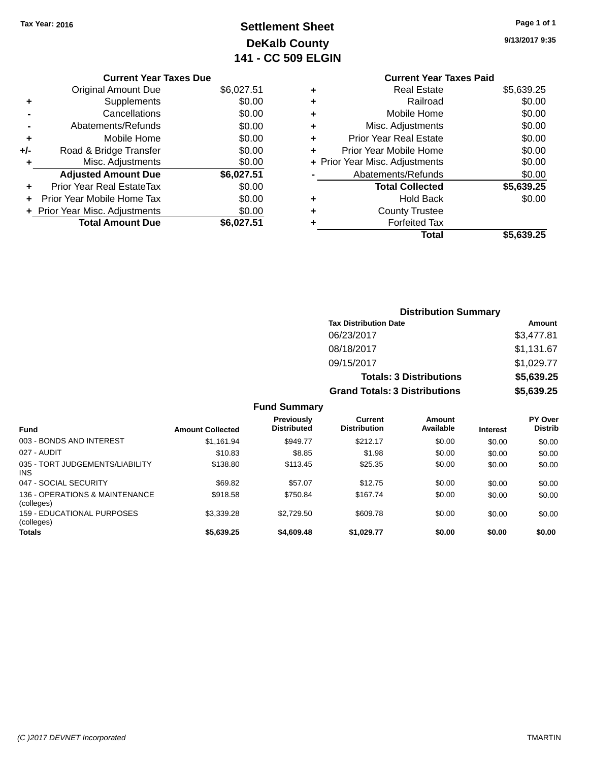# **Settlement Sheet Tax Year: 2016 Page 1 of 1 DeKalb County 141 - CC 509 ELGIN**

**9/13/2017 9:35**

|       | <b>Current Year Taxes Due</b>  |            |
|-------|--------------------------------|------------|
|       | <b>Original Amount Due</b>     | \$6,027.51 |
| ٠     | Supplements                    | \$0.00     |
|       | Cancellations                  | \$0.00     |
|       | Abatements/Refunds             | \$0.00     |
| ٠     | Mobile Home                    | \$0.00     |
| $+/-$ | Road & Bridge Transfer         | \$0.00     |
|       | Misc. Adjustments              | \$0.00     |
|       | <b>Adjusted Amount Due</b>     | \$6,027.51 |
| ٠     | Prior Year Real EstateTax      | \$0.00     |
|       | Prior Year Mobile Home Tax     | \$0.00     |
|       | + Prior Year Misc. Adjustments | \$0.00     |
|       | <b>Total Amount Due</b>        | \$6.027.51 |

## **Current Year Taxes Paid +** Real Estate \$5,639.25 **+** Railroad \$0.00 **+** Mobile Home \$0.00 **+** Misc. Adjustments \$0.00

|   | Total                          | \$5,639.25 |
|---|--------------------------------|------------|
| ÷ | <b>Forfeited Tax</b>           |            |
| ÷ | <b>County Trustee</b>          |            |
|   | <b>Hold Back</b>               | \$0.00     |
|   | <b>Total Collected</b>         | \$5,639.25 |
|   | Abatements/Refunds             | \$0.00     |
|   | + Prior Year Misc. Adjustments | \$0.00     |
| ÷ | Prior Year Mobile Home         | \$0.00     |
|   | <b>Prior Year Real Estate</b>  | \$0.00     |

## **Distribution Summary Tax Distribution Date Amount** 06/23/2017 \$3,477.81 08/18/2017 \$1,131.67 09/15/2017 \$1,029.77 **Totals: 3 Distributions \$5,639.25 Grand Totals: 3 Distributions \$5,639.25**

### **Fund Summary**

| <b>Fund</b>                                   | <b>Amount Collected</b> | <b>Previously</b><br><b>Distributed</b> | Current<br><b>Distribution</b> | Amount<br>Available | <b>Interest</b> | <b>PY Over</b><br><b>Distrib</b> |
|-----------------------------------------------|-------------------------|-----------------------------------------|--------------------------------|---------------------|-----------------|----------------------------------|
| 003 - BONDS AND INTEREST                      | \$1,161.94              | \$949.77                                | \$212.17                       | \$0.00              | \$0.00          | \$0.00                           |
| 027 - AUDIT                                   | \$10.83                 | \$8.85                                  | \$1.98                         | \$0.00              | \$0.00          | \$0.00                           |
| 035 - TORT JUDGEMENTS/LIABILITY<br><b>INS</b> | \$138.80                | \$113.45                                | \$25.35                        | \$0.00              | \$0.00          | \$0.00                           |
| 047 - SOCIAL SECURITY                         | \$69.82                 | \$57.07                                 | \$12.75                        | \$0.00              | \$0.00          | \$0.00                           |
| 136 - OPERATIONS & MAINTENANCE<br>(colleges)  | \$918.58                | \$750.84                                | \$167.74                       | \$0.00              | \$0.00          | \$0.00                           |
| 159 - FDUCATIONAL PURPOSES<br>(colleges)      | \$3,339.28              | \$2,729.50                              | \$609.78                       | \$0.00              | \$0.00          | \$0.00                           |
| <b>Totals</b>                                 | \$5,639.25              | \$4,609.48                              | \$1,029.77                     | \$0.00              | \$0.00          | \$0.00                           |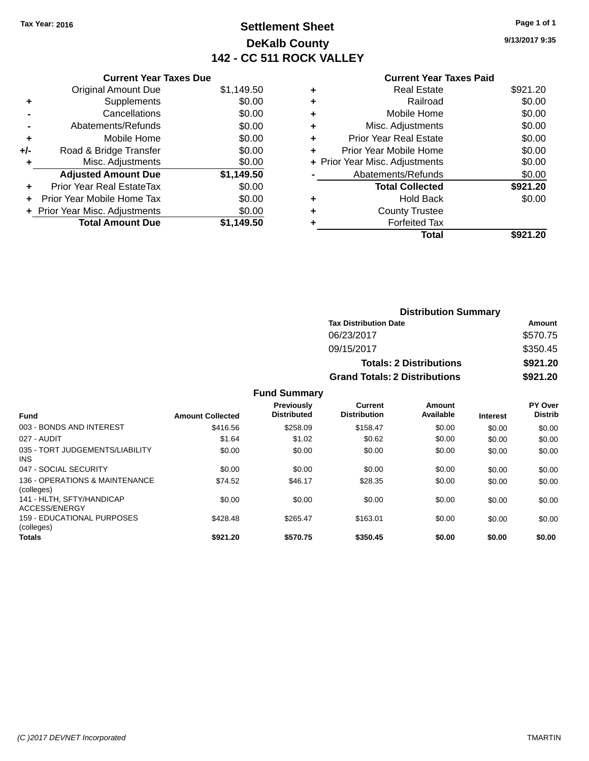## **Settlement Sheet Tax Year: 2016 Page 1 of 1 DeKalb County 142 - CC 511 ROCK VALLEY**

**9/13/2017 9:35**

## **Current Year Taxes Paid**

| \$1,149.50<br>\$0.00 |
|----------------------|
|                      |
|                      |
| \$0.00               |
| \$0.00               |
| \$0.00               |
| \$0.00               |
| \$0.00               |
| \$1,149.50           |
| \$0.00               |
| \$0.00               |
| \$0.00               |
| \$1,149.50           |
|                      |

| ٠ | <b>Real Estate</b>             | \$921.20 |
|---|--------------------------------|----------|
| ٠ | Railroad                       | \$0.00   |
| ٠ | Mobile Home                    | \$0.00   |
| ٠ | Misc. Adjustments              | \$0.00   |
| ٠ | <b>Prior Year Real Estate</b>  | \$0.00   |
|   | Prior Year Mobile Home         | \$0.00   |
|   | + Prior Year Misc. Adjustments | \$0.00   |
|   | Abatements/Refunds             | \$0.00   |
|   | <b>Total Collected</b>         | \$921.20 |
| ٠ | <b>Hold Back</b>               | \$0.00   |
|   | <b>County Trustee</b>          |          |
| ٠ | <b>Forfeited Tax</b>           |          |
|   | Total                          | \$921.20 |
|   |                                |          |

| <b>Distribution Summary</b>          |          |
|--------------------------------------|----------|
| <b>Tax Distribution Date</b>         | Amount   |
| 06/23/2017                           | \$570.75 |
| 09/15/2017                           | \$350.45 |
| <b>Totals: 2 Distributions</b>       | \$921.20 |
| <b>Grand Totals: 2 Distributions</b> | \$921.20 |

## **Fund Summary**

| <b>Fund</b>                                     | <b>Amount Collected</b> | Previously<br><b>Distributed</b> | Current<br><b>Distribution</b> | Amount<br>Available | <b>Interest</b> | PY Over<br><b>Distrib</b> |
|-------------------------------------------------|-------------------------|----------------------------------|--------------------------------|---------------------|-----------------|---------------------------|
| 003 - BONDS AND INTEREST                        | \$416.56                | \$258.09                         | \$158.47                       | \$0.00              | \$0.00          | \$0.00                    |
| 027 - AUDIT                                     | \$1.64                  | \$1.02                           | \$0.62                         | \$0.00              | \$0.00          | \$0.00                    |
| 035 - TORT JUDGEMENTS/LIABILITY<br><b>INS</b>   | \$0.00                  | \$0.00                           | \$0.00                         | \$0.00              | \$0.00          | \$0.00                    |
| 047 - SOCIAL SECURITY                           | \$0.00                  | \$0.00                           | \$0.00                         | \$0.00              | \$0.00          | \$0.00                    |
| 136 - OPERATIONS & MAINTENANCE<br>(colleges)    | \$74.52                 | \$46.17                          | \$28.35                        | \$0.00              | \$0.00          | \$0.00                    |
| 141 - HLTH, SFTY/HANDICAP<br>ACCESS/ENERGY      | \$0.00                  | \$0.00                           | \$0.00                         | \$0.00              | \$0.00          | \$0.00                    |
| <b>159 - EDUCATIONAL PURPOSES</b><br>(colleges) | \$428.48                | \$265.47                         | \$163.01                       | \$0.00              | \$0.00          | \$0.00                    |
| <b>Totals</b>                                   | \$921.20                | \$570.75                         | \$350.45                       | \$0.00              | \$0.00          | \$0.00                    |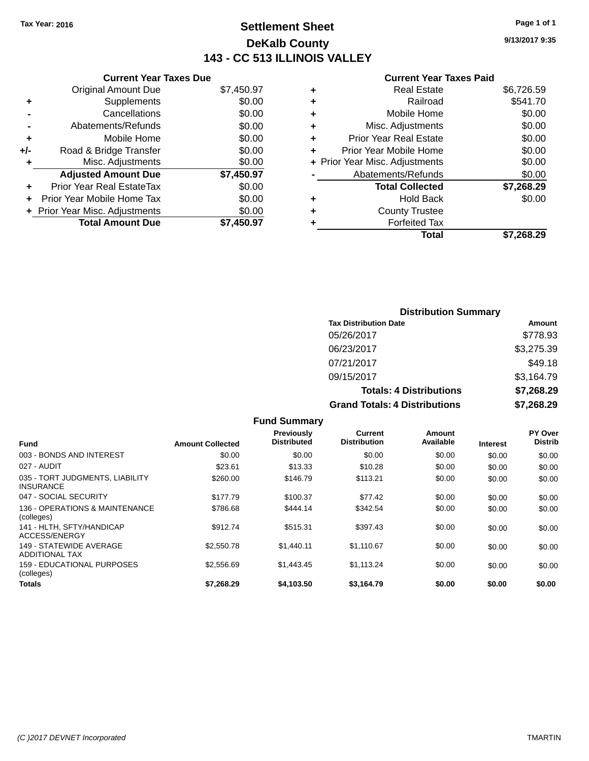## **Settlement Sheet Tax Year: 2016 Page 1 of 1 DeKalb County 143 - CC 513 ILLINOIS VALLEY**

**9/13/2017 9:35**

| <b>Current Year Taxes Due</b> |            |
|-------------------------------|------------|
| <b>Original Amount Due</b>    | \$7,450.97 |
| Supplements                   | \$0.00     |
| Cancellations                 | \$0.00     |
| Abatements/Refunds            | \$0.00     |
| Mobile Home                   | \$0.00     |
| Road & Bridge Transfer        | \$0.00     |
| Misc. Adjustments             | \$0.00     |
| <b>Adjusted Amount Due</b>    | \$7,450.97 |
| Prior Year Real EstateTax     | \$0.00     |
| Prior Year Mobile Home Tax    | \$0.00     |
| Prior Year Misc. Adjustments  | \$0.00     |
| <b>Total Amount Due</b>       | \$7,450.97 |
|                               |            |

| ٠ | <b>Real Estate</b>             | \$6,726.59 |
|---|--------------------------------|------------|
| ٠ | Railroad                       | \$541.70   |
| ٠ | Mobile Home                    | \$0.00     |
| ٠ | Misc. Adjustments              | \$0.00     |
| ٠ | <b>Prior Year Real Estate</b>  | \$0.00     |
| ٠ | Prior Year Mobile Home         | \$0.00     |
|   | + Prior Year Misc. Adjustments | \$0.00     |
|   | Abatements/Refunds             | \$0.00     |
|   | <b>Total Collected</b>         | \$7,268.29 |
| ٠ | <b>Hold Back</b>               | \$0.00     |
| ٠ | <b>County Trustee</b>          |            |
| ٠ | <b>Forfeited Tax</b>           |            |
|   | <b>Total</b>                   | \$7.268.29 |
|   |                                |            |

| <b>Distribution Summary</b>          |            |  |  |  |
|--------------------------------------|------------|--|--|--|
| <b>Tax Distribution Date</b>         | Amount     |  |  |  |
| 05/26/2017                           | \$778.93   |  |  |  |
| 06/23/2017                           | \$3,275.39 |  |  |  |
| 07/21/2017                           | \$49.18    |  |  |  |
| 09/15/2017                           | \$3,164.79 |  |  |  |
| <b>Totals: 4 Distributions</b>       | \$7,268.29 |  |  |  |
| <b>Grand Totals: 4 Distributions</b> | \$7,268.29 |  |  |  |

|                                                     |                         | <b>Fund Summary</b>              |                                |                     |                 |                                  |
|-----------------------------------------------------|-------------------------|----------------------------------|--------------------------------|---------------------|-----------------|----------------------------------|
| <b>Fund</b>                                         | <b>Amount Collected</b> | Previously<br><b>Distributed</b> | Current<br><b>Distribution</b> | Amount<br>Available | <b>Interest</b> | <b>PY Over</b><br><b>Distrib</b> |
| 003 - BONDS AND INTEREST                            | \$0.00                  | \$0.00                           | \$0.00                         | \$0.00              | \$0.00          | \$0.00                           |
| 027 - AUDIT                                         | \$23.61                 | \$13.33                          | \$10.28                        | \$0.00              | \$0.00          | \$0.00                           |
| 035 - TORT JUDGMENTS, LIABILITY<br><b>INSURANCE</b> | \$260.00                | \$146.79                         | \$113.21                       | \$0.00              | \$0.00          | \$0.00                           |
| 047 - SOCIAL SECURITY                               | \$177.79                | \$100.37                         | \$77.42                        | \$0.00              | \$0.00          | \$0.00                           |
| 136 - OPERATIONS & MAINTENANCE<br>(colleges)        | \$786.68                | \$444.14                         | \$342.54                       | \$0.00              | \$0.00          | \$0.00                           |
| 141 - HLTH, SFTY/HANDICAP<br>ACCESS/ENERGY          | \$912.74                | \$515.31                         | \$397.43                       | \$0.00              | \$0.00          | \$0.00                           |
| 149 - STATEWIDE AVERAGE<br><b>ADDITIONAL TAX</b>    | \$2,550.78              | \$1.440.11                       | \$1,110.67                     | \$0.00              | \$0.00          | \$0.00                           |
| 159 - EDUCATIONAL PURPOSES<br>(colleges)            | \$2,556.69              | \$1,443.45                       | \$1,113.24                     | \$0.00              | \$0.00          | \$0.00                           |
| <b>Totals</b>                                       | \$7,268.29              | \$4,103.50                       | \$3.164.79                     | \$0.00              | \$0.00          | \$0.00                           |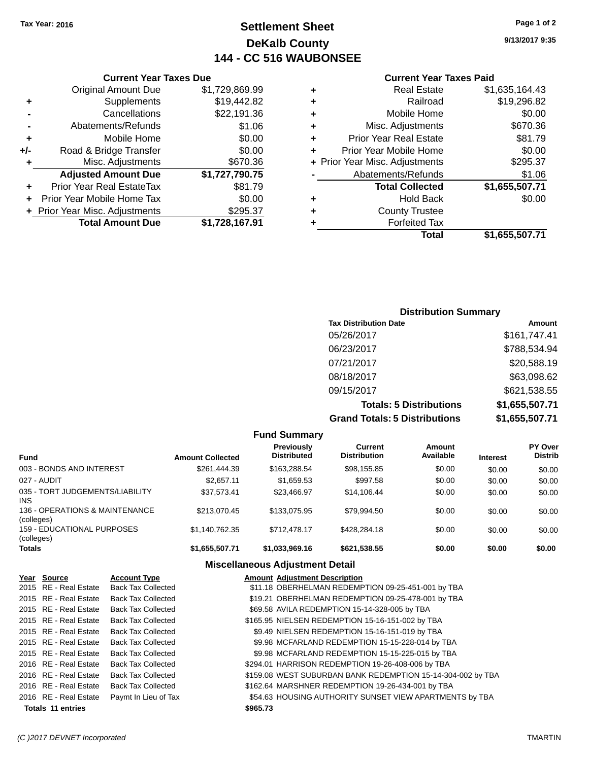## **Settlement Sheet Tax Year: 2016 Page 1 of 2 DeKalb County 144 - CC 516 WAUBONSEE**

**9/13/2017 9:35**

| <b>Current Year Taxes Paid</b> |  |  |  |
|--------------------------------|--|--|--|
|--------------------------------|--|--|--|

|     | <b>Current Year Taxes Due</b>  |                |
|-----|--------------------------------|----------------|
|     | <b>Original Amount Due</b>     | \$1,729,869.99 |
| ٠   | Supplements                    | \$19,442.82    |
|     | Cancellations                  | \$22,191.36    |
|     | Abatements/Refunds             | \$1.06         |
| ٠   | Mobile Home                    | \$0.00         |
| +/- | Road & Bridge Transfer         | \$0.00         |
| ٠   | Misc. Adjustments              | \$670.36       |
|     | <b>Adjusted Amount Due</b>     | \$1,727,790.75 |
| ٠   | Prior Year Real EstateTax      | \$81.79        |
| ÷   | Prior Year Mobile Home Tax     | \$0.00         |
|     | + Prior Year Misc. Adjustments | \$295.37       |
|     | <b>Total Amount Due</b>        | \$1,728,167.91 |
|     |                                |                |

| ٠ | <b>Real Estate</b>             | \$1,635,164.43 |
|---|--------------------------------|----------------|
| ٠ | Railroad                       | \$19,296.82    |
| ٠ | Mobile Home                    | \$0.00         |
| ٠ | Misc. Adjustments              | \$670.36       |
| ٠ | <b>Prior Year Real Estate</b>  | \$81.79        |
| ÷ | Prior Year Mobile Home         | \$0.00         |
|   | + Prior Year Misc. Adjustments | \$295.37       |
|   | Abatements/Refunds             | \$1.06         |
|   | <b>Total Collected</b>         | \$1,655,507.71 |
| ٠ | <b>Hold Back</b>               | \$0.00         |
| ٠ | <b>County Trustee</b>          |                |
| ٠ | <b>Forfeited Tax</b>           |                |
|   | Total                          | \$1,655,507.71 |
|   |                                |                |

| <b>Distribution Summary</b>          |                |  |  |  |  |
|--------------------------------------|----------------|--|--|--|--|
| <b>Tax Distribution Date</b>         | Amount         |  |  |  |  |
| 05/26/2017                           | \$161,747.41   |  |  |  |  |
| 06/23/2017                           | \$788,534.94   |  |  |  |  |
| 07/21/2017                           | \$20,588.19    |  |  |  |  |
| 08/18/2017                           | \$63,098.62    |  |  |  |  |
| 09/15/2017                           | \$621,538.55   |  |  |  |  |
| <b>Totals: 5 Distributions</b>       | \$1,655,507.71 |  |  |  |  |
| <b>Grand Totals: 5 Distributions</b> | \$1,655,507.71 |  |  |  |  |

|                                                 |                         | <b>Fund Summary</b>                     |                                |                     |                 |                           |
|-------------------------------------------------|-------------------------|-----------------------------------------|--------------------------------|---------------------|-----------------|---------------------------|
| <b>Fund</b>                                     | <b>Amount Collected</b> | <b>Previously</b><br><b>Distributed</b> | Current<br><b>Distribution</b> | Amount<br>Available | <b>Interest</b> | PY Over<br><b>Distrib</b> |
| 003 - BONDS AND INTEREST                        | \$261.444.39            | \$163,288.54                            | \$98.155.85                    | \$0.00              | \$0.00          | \$0.00                    |
| 027 - AUDIT                                     | \$2.657.11              | \$1,659.53                              | \$997.58                       | \$0.00              | \$0.00          | \$0.00                    |
| 035 - TORT JUDGEMENTS/LIABILITY<br>INS.         | \$37.573.41             | \$23,466.97                             | \$14,106,44                    | \$0.00              | \$0.00          | \$0.00                    |
| 136 - OPERATIONS & MAINTENANCE<br>(colleges)    | \$213.070.45            | \$133,075.95                            | \$79.994.50                    | \$0.00              | \$0.00          | \$0.00                    |
| <b>159 - EDUCATIONAL PURPOSES</b><br>(colleges) | \$1,140,762.35          | \$712,478.17                            | \$428,284.18                   | \$0.00              | \$0.00          | \$0.00                    |
| Totals                                          | \$1,655,507.71          | \$1.033.969.16                          | \$621,538.55                   | \$0.00              | \$0.00          | \$0.00                    |

## **Miscellaneous Adjustment Detail**

| Year Source              | <b>Account Type</b>       |          | <b>Amount Adjustment Description</b>                        |
|--------------------------|---------------------------|----------|-------------------------------------------------------------|
| 2015 RE - Real Estate    | <b>Back Tax Collected</b> |          | \$11.18 OBERHELMAN REDEMPTION 09-25-451-001 by TBA          |
| 2015 RE - Real Estate    | <b>Back Tax Collected</b> |          | \$19.21 OBERHELMAN REDEMPTION 09-25-478-001 by TBA          |
| 2015 RE - Real Estate    | <b>Back Tax Collected</b> |          | \$69.58 AVILA REDEMPTION 15-14-328-005 by TBA               |
| 2015 RE - Real Estate    | <b>Back Tax Collected</b> |          | \$165.95 NIELSEN REDEMPTION 15-16-151-002 by TBA            |
| 2015 RE - Real Estate    | <b>Back Tax Collected</b> |          | \$9.49 NIELSEN REDEMPTION 15-16-151-019 by TBA              |
| 2015 RE - Real Estate    | <b>Back Tax Collected</b> |          | \$9.98 MCFARLAND REDEMPTION 15-15-228-014 by TBA            |
| 2015 RE - Real Estate    | <b>Back Tax Collected</b> |          | \$9.98 MCFARLAND REDEMPTION 15-15-225-015 by TBA            |
| 2016 RE - Real Estate    | <b>Back Tax Collected</b> |          | \$294.01 HARRISON REDEMPTION 19-26-408-006 by TBA           |
| 2016 RE - Real Estate    | <b>Back Tax Collected</b> |          | \$159.08 WEST SUBURBAN BANK REDEMPTION 15-14-304-002 by TBA |
| 2016 RE - Real Estate    | <b>Back Tax Collected</b> |          | \$162.64 MARSHNER REDEMPTION 19-26-434-001 by TBA           |
| 2016 RE - Real Estate    | Paymt In Lieu of Tax      |          | \$54.63 HOUSING AUTHORITY SUNSET VIEW APARTMENTS by TBA     |
| <b>Totals 11 entries</b> |                           | \$965.73 |                                                             |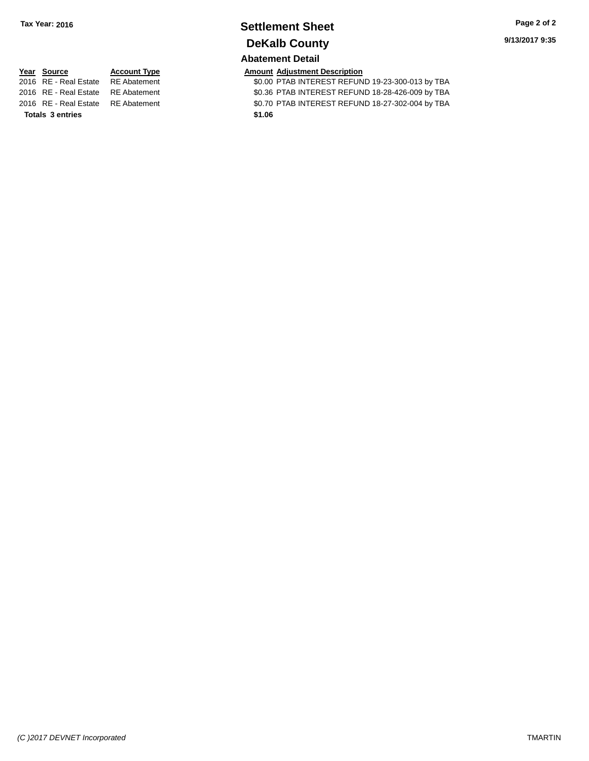## **Settlement Sheet Tax Year: 2016 Page 2 of 2 DeKalb County Abatement Detail**

**Totals \$1.06 3 entries**

**Year Source Account Type Amount Adjustment Description**<br>2016 RE - Real Estate RE Abatement \$0.00 PTAB INTEREST REFUN \$0.00 PTAB INTEREST REFUND 19-23-300-013 by TBA 2016 RE - Real Estate RE Abatement \$0.36 PTAB INTEREST REFUND 18-28-426-009 by TBA 2016 RE - Real Estate RE Abatement \$0.70 PTAB INTEREST REFUND 18-27-302-004 by TBA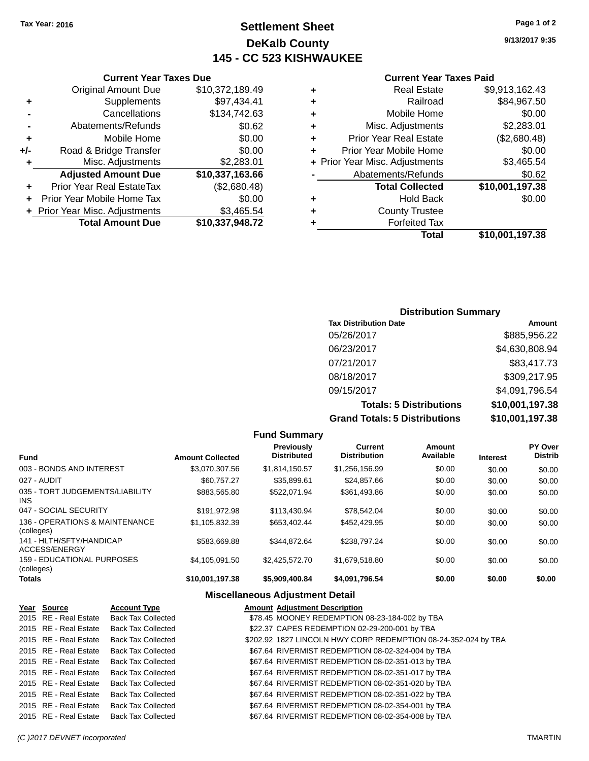## **Settlement Sheet Tax Year: 2016 Page 1 of 2 DeKalb County 145 - CC 523 KISHWAUKEE**

**9/13/2017 9:35**

## **Current Year Taxes Paid**

| ٠ | <b>Real Estate</b>             | \$9,913,162.43  |
|---|--------------------------------|-----------------|
| ٠ | Railroad                       | \$84,967.50     |
| ٠ | Mobile Home                    | \$0.00          |
| ٠ | Misc. Adjustments              | \$2,283.01      |
| ٠ | <b>Prior Year Real Estate</b>  | (\$2,680.48)    |
| ٠ | Prior Year Mobile Home         | \$0.00          |
|   | + Prior Year Misc. Adjustments | \$3,465.54      |
|   | Abatements/Refunds             | \$0.62          |
|   | <b>Total Collected</b>         | \$10,001,197.38 |
| ٠ | <b>Hold Back</b>               | \$0.00          |
| ٠ | <b>County Trustee</b>          |                 |
|   | <b>Forfeited Tax</b>           |                 |
|   | Total                          | \$10,001,197.38 |

|     | <b>Current Year Taxes Due</b>    |                 |  |  |
|-----|----------------------------------|-----------------|--|--|
|     | <b>Original Amount Due</b>       | \$10,372,189.49 |  |  |
| ٠   | Supplements                      | \$97,434.41     |  |  |
|     | Cancellations                    | \$134,742.63    |  |  |
|     | Abatements/Refunds               | \$0.62          |  |  |
| ٠   | Mobile Home                      | \$0.00          |  |  |
| +/- | Road & Bridge Transfer           | \$0.00          |  |  |
| ٠   | Misc. Adjustments                | \$2,283.01      |  |  |
|     | <b>Adjusted Amount Due</b>       | \$10,337,163.66 |  |  |
| ٠   | <b>Prior Year Real EstateTax</b> | (\$2,680.48)    |  |  |
| ÷   | Prior Year Mobile Home Tax       | \$0.00          |  |  |
|     | + Prior Year Misc. Adjustments   | \$3,465.54      |  |  |
|     | <b>Total Amount Due</b>          | \$10,337,948.72 |  |  |

## **Distribution Summary**

| <b>Tax Distribution Date</b>         | Amount          |
|--------------------------------------|-----------------|
| 05/26/2017                           | \$885,956.22    |
| 06/23/2017                           | \$4,630,808.94  |
| 07/21/2017                           | \$83,417.73     |
| 08/18/2017                           | \$309,217.95    |
| 09/15/2017                           | \$4,091,796.54  |
| <b>Totals: 5 Distributions</b>       | \$10,001,197.38 |
| <b>Grand Totals: 5 Distributions</b> | \$10,001,197.38 |

|                                              |                         | <b>Fund Summary</b>              |                                |                     |                 |                           |
|----------------------------------------------|-------------------------|----------------------------------|--------------------------------|---------------------|-----------------|---------------------------|
| Fund                                         | <b>Amount Collected</b> | Previously<br><b>Distributed</b> | Current<br><b>Distribution</b> | Amount<br>Available | <b>Interest</b> | PY Over<br><b>Distrib</b> |
| 003 - BONDS AND INTEREST                     | \$3,070,307.56          | \$1,814,150.57                   | \$1,256,156.99                 | \$0.00              | \$0.00          | \$0.00                    |
| 027 - AUDIT                                  | \$60.757.27             | \$35.899.61                      | \$24,857.66                    | \$0.00              | \$0.00          | \$0.00                    |
| 035 - TORT JUDGEMENTS/LIABILITY<br>INS       | \$883.565.80            | \$522.071.94                     | \$361.493.86                   | \$0.00              | \$0.00          | \$0.00                    |
| 047 - SOCIAL SECURITY                        | \$191.972.98            | \$113,430.94                     | \$78,542.04                    | \$0.00              | \$0.00          | \$0.00                    |
| 136 - OPERATIONS & MAINTENANCE<br>(colleges) | \$1.105.832.39          | \$653.402.44                     | \$452,429.95                   | \$0.00              | \$0.00          | \$0.00                    |
| 141 - HLTH/SFTY/HANDICAP<br>ACCESS/ENERGY    | \$583,669.88            | \$344.872.64                     | \$238,797.24                   | \$0.00              | \$0.00          | \$0.00                    |
| 159 - EDUCATIONAL PURPOSES<br>(colleges)     | \$4,105,091.50          | \$2,425,572.70                   | \$1,679,518.80                 | \$0.00              | \$0.00          | \$0.00                    |
| Totals                                       | \$10,001,197.38         | \$5,909,400.84                   | \$4,091,796.54                 | \$0.00              | \$0.00          | \$0.00                    |

## **Miscellaneous Adjustment Detail**

| Year Source           | <b>Account Type</b>                      | <b>Amount Adjustment Description</b>                           |  |
|-----------------------|------------------------------------------|----------------------------------------------------------------|--|
|                       | 2015 RE - Real Estate Back Tax Collected | \$78.45 MOONEY REDEMPTION 08-23-184-002 by TBA                 |  |
| 2015 RE - Real Estate | <b>Back Tax Collected</b>                | \$22.37 CAPES REDEMPTION 02-29-200-001 by TBA                  |  |
| 2015 RE - Real Estate | Back Tax Collected                       | \$202.92 1827 LINCOLN HWY CORP REDEMPTION 08-24-352-024 by TBA |  |
| 2015 RE - Real Estate | Back Tax Collected                       | \$67.64 RIVERMIST REDEMPTION 08-02-324-004 by TBA              |  |
| 2015 RE - Real Estate | Back Tax Collected                       | \$67.64 RIVERMIST REDEMPTION 08-02-351-013 by TBA              |  |
|                       | 2015 RE - Real Estate Back Tax Collected | \$67.64 RIVERMIST REDEMPTION 08-02-351-017 by TBA              |  |
| 2015 RE - Real Estate | Back Tax Collected                       | \$67.64 RIVERMIST REDEMPTION 08-02-351-020 by TBA              |  |
| 2015 RE - Real Estate | <b>Back Tax Collected</b>                | \$67.64 RIVERMIST REDEMPTION 08-02-351-022 by TBA              |  |
|                       | 2015 RE - Real Estate Back Tax Collected | \$67.64 RIVERMIST REDEMPTION 08-02-354-001 by TBA              |  |
|                       | 2015 RE - Real Estate Back Tax Collected | \$67.64 RIVERMIST REDEMPTION 08-02-354-008 by TBA              |  |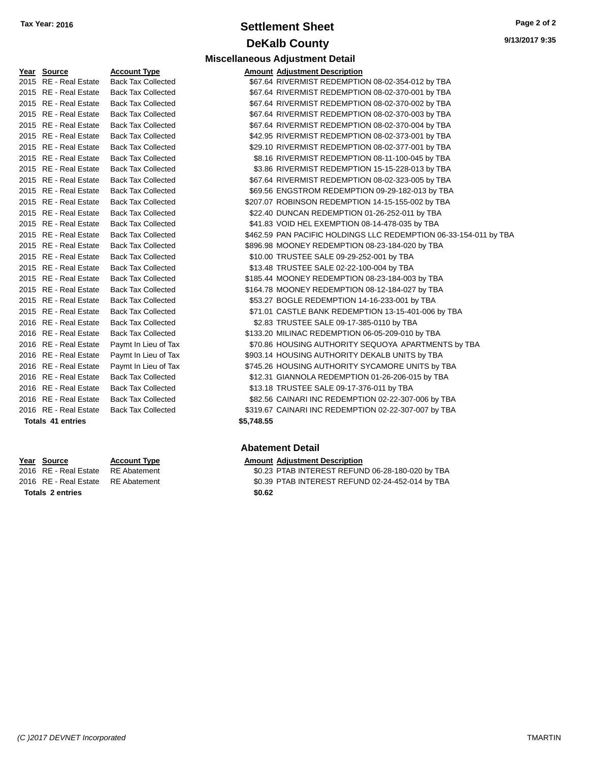## **Settlement Sheet Tax Year: 2016 Page 2 of 2 DeKalb County**

**Miscellaneous Adjustment Detail**

**9/13/2017 9:35**

| Year | Source                   | <b>Account Type</b>       | <u>Ai</u>   |
|------|--------------------------|---------------------------|-------------|
| 2015 | <b>RE</b> - Real Estate  | <b>Back Tax Collected</b> |             |
|      | 2015 RE - Real Estate    | <b>Back Tax Collected</b> |             |
| 2015 | RE - Real Estate         | <b>Back Tax Collected</b> |             |
| 2015 | <b>RE</b> - Real Estate  | <b>Back Tax Collected</b> |             |
|      | 2015 RE - Real Estate    | <b>Back Tax Collected</b> |             |
| 2015 | RE - Real Estate         | <b>Back Tax Collected</b> |             |
| 2015 | <b>RE</b> - Real Estate  | <b>Back Tax Collected</b> |             |
| 2015 | <b>RE</b> - Real Estate  | <b>Back Tax Collected</b> |             |
| 2015 | RE - Real Estate         | <b>Back Tax Collected</b> |             |
| 2015 | <b>RE</b> - Real Estate  | <b>Back Tax Collected</b> |             |
| 2015 | <b>RE</b> - Real Estate  | <b>Back Tax Collected</b> |             |
|      | 2015 RE - Real Estate    | <b>Back Tax Collected</b> | \$:         |
| 2015 | <b>RE</b> - Real Estate  | <b>Back Tax Collected</b> |             |
| 2015 | <b>RE</b> - Real Estate  | <b>Back Tax Collected</b> |             |
|      | 2015 RE - Real Estate    | <b>Back Tax Collected</b> | \$          |
| 2015 | <b>RE</b> - Real Estate  | <b>Back Tax Collected</b> | \$          |
| 2015 | <b>RE</b> - Real Estate  | <b>Back Tax Collected</b> |             |
|      | 2015 RE - Real Estate    | <b>Back Tax Collected</b> |             |
| 2015 | RE - Real Estate         | <b>Back Tax Collected</b> | $$^{\circ}$ |
| 2015 | <b>RE</b> - Real Estate  | <b>Back Tax Collected</b> | \$          |
| 2015 | <b>RE</b> - Real Estate  | <b>Back Tax Collected</b> |             |
| 2015 | RE - Real Estate         | <b>Back Tax Collected</b> |             |
| 2016 | <b>RE</b> - Real Estate  | <b>Back Tax Collected</b> |             |
| 2016 | <b>RE</b> - Real Estate  | <b>Back Tax Collected</b> | \$          |
|      | 2016 RE - Real Estate    | Paymt In Lieu of Tax      |             |
| 2016 | <b>RE</b> - Real Estate  | Paymt In Lieu of Tax      | \$          |
| 2016 | <b>RE</b> - Real Estate  | Paymt In Lieu of Tax      | \$          |
| 2016 | RE - Real Estate         | <b>Back Tax Collected</b> |             |
| 2016 | <b>RE</b> - Real Estate  | <b>Back Tax Collected</b> |             |
| 2016 | <b>RE</b> - Real Estate  | <b>Back Tax Collected</b> |             |
|      | 2016 RE - Real Estate    | <b>Back Tax Collected</b> | \$:         |
|      | <b>Totals 41 entries</b> |                           | \$5,        |

**Totals \$0.62 2 entries**

| Year Source              | <b>Account Type</b>       |            | <b>Amount Adjustment Description</b>                              |
|--------------------------|---------------------------|------------|-------------------------------------------------------------------|
| 2015 RE - Real Estate    | <b>Back Tax Collected</b> |            | \$67.64 RIVERMIST REDEMPTION 08-02-354-012 by TBA                 |
| 2015 RE - Real Estate    | <b>Back Tax Collected</b> |            | \$67.64 RIVERMIST REDEMPTION 08-02-370-001 by TBA                 |
| 2015 RE - Real Estate    | <b>Back Tax Collected</b> |            | \$67.64 RIVERMIST REDEMPTION 08-02-370-002 by TBA                 |
| 2015 RE - Real Estate    | <b>Back Tax Collected</b> |            | \$67.64 RIVERMIST REDEMPTION 08-02-370-003 by TBA                 |
| 2015 RE - Real Estate    | <b>Back Tax Collected</b> |            | \$67.64 RIVERMIST REDEMPTION 08-02-370-004 by TBA                 |
| 2015 RE - Real Estate    | <b>Back Tax Collected</b> |            | \$42.95 RIVERMIST REDEMPTION 08-02-373-001 by TBA                 |
| 2015 RE - Real Estate    | <b>Back Tax Collected</b> |            | \$29.10 RIVERMIST REDEMPTION 08-02-377-001 by TBA                 |
| 2015 RE - Real Estate    | <b>Back Tax Collected</b> |            | \$8.16 RIVERMIST REDEMPTION 08-11-100-045 by TBA                  |
| 2015 RE - Real Estate    | <b>Back Tax Collected</b> |            | \$3.86 RIVERMIST REDEMPTION 15-15-228-013 by TBA                  |
| 2015 RE - Real Estate    | <b>Back Tax Collected</b> |            | \$67.64 RIVERMIST REDEMPTION 08-02-323-005 by TBA                 |
| 2015 RE - Real Estate    | <b>Back Tax Collected</b> |            | \$69.56 ENGSTROM REDEMPTION 09-29-182-013 by TBA                  |
| 2015 RE - Real Estate    | <b>Back Tax Collected</b> |            | \$207.07 ROBINSON REDEMPTION 14-15-155-002 by TBA                 |
| 2015 RE - Real Estate    | <b>Back Tax Collected</b> |            | \$22.40 DUNCAN REDEMPTION 01-26-252-011 by TBA                    |
| 2015 RE - Real Estate    | <b>Back Tax Collected</b> |            | \$41.83 VOID HEL EXEMPTION 08-14-478-035 by TBA                   |
| 2015 RE - Real Estate    | <b>Back Tax Collected</b> |            | \$462.59 PAN PACIFIC HOLDINGS LLC REDEMPTION 06-33-154-011 by TBA |
| 2015 RE - Real Estate    | <b>Back Tax Collected</b> |            | \$896.98 MOONEY REDEMPTION 08-23-184-020 by TBA                   |
| 2015 RE - Real Estate    | <b>Back Tax Collected</b> |            | \$10.00 TRUSTEE SALE 09-29-252-001 by TBA                         |
| 2015 RE - Real Estate    | <b>Back Tax Collected</b> |            | \$13.48 TRUSTEE SALE 02-22-100-004 by TBA                         |
| 2015 RE - Real Estate    | <b>Back Tax Collected</b> |            | \$185.44 MOONEY REDEMPTION 08-23-184-003 by TBA                   |
| 2015 RE - Real Estate    | <b>Back Tax Collected</b> |            | \$164.78 MOONEY REDEMPTION 08-12-184-027 by TBA                   |
| 2015 RE - Real Estate    | <b>Back Tax Collected</b> |            | \$53.27 BOGLE REDEMPTION 14-16-233-001 by TBA                     |
| 2015 RE - Real Estate    | <b>Back Tax Collected</b> |            | \$71.01 CASTLE BANK REDEMPTION 13-15-401-006 by TBA               |
| 2016 RE - Real Estate    | <b>Back Tax Collected</b> |            | \$2.83 TRUSTEE SALE 09-17-385-0110 by TBA                         |
| 2016 RE - Real Estate    | <b>Back Tax Collected</b> |            | \$133.20 MILINAC REDEMPTION 06-05-209-010 by TBA                  |
| 2016 RE - Real Estate    | Paymt In Lieu of Tax      |            | \$70.86 HOUSING AUTHORITY SEQUOYA APARTMENTS by TBA               |
| 2016 RE - Real Estate    | Paymt In Lieu of Tax      |            | \$903.14 HOUSING AUTHORITY DEKALB UNITS by TBA                    |
| 2016 RE - Real Estate    | Paymt In Lieu of Tax      |            | \$745.26 HOUSING AUTHORITY SYCAMORE UNITS by TBA                  |
| 2016 RE - Real Estate    | <b>Back Tax Collected</b> |            | \$12.31 GIANNOLA REDEMPTION 01-26-206-015 by TBA                  |
| 2016 RE - Real Estate    | <b>Back Tax Collected</b> |            | \$13.18 TRUSTEE SALE 09-17-376-011 by TBA                         |
| 2016 RE - Real Estate    | <b>Back Tax Collected</b> |            | \$82.56 CAINARI INC REDEMPTION 02-22-307-006 by TBA               |
| 2016 RE - Real Estate    | <b>Back Tax Collected</b> |            | \$319.67 CAINARI INC REDEMPTION 02-22-307-007 by TBA              |
| <b>Totals 41 entries</b> |                           | \$5.748.55 |                                                                   |

### **Abatement Detail**

# **Year Source Account Type Amount Adjustment Description**

\$0.23 PTAB INTEREST REFUND 06-28-180-020 by TBA 2016 RE - Real Estate RE Abatement \$0.39 PTAB INTEREST REFUND 02-24-452-014 by TBA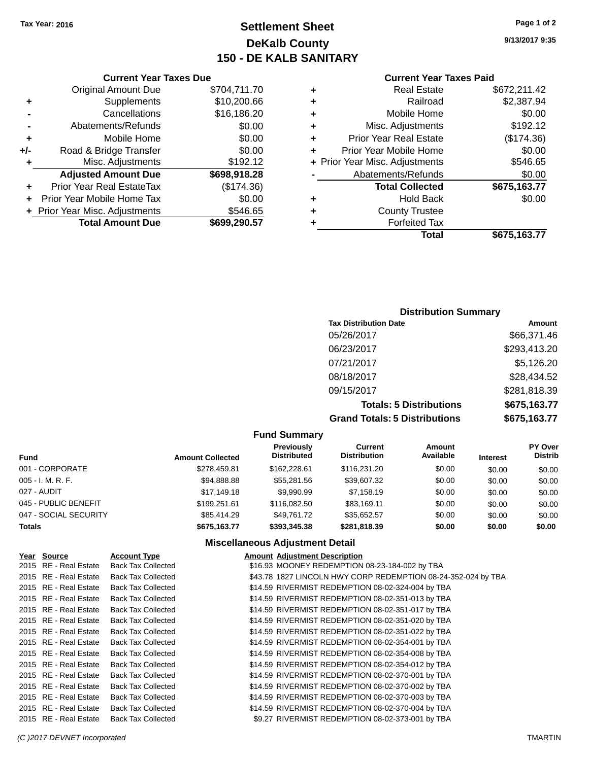## **Settlement Sheet Tax Year: 2016 Page 1 of 2 DeKalb County 150 - DE KALB SANITARY**

**9/13/2017 9:35**

### **Current Year Taxes Paid**

|   | Total                          | \$675,163.77 |
|---|--------------------------------|--------------|
|   | <b>Forfeited Tax</b>           |              |
| ٠ | <b>County Trustee</b>          |              |
| ٠ | <b>Hold Back</b>               | \$0.00       |
|   | <b>Total Collected</b>         | \$675,163.77 |
|   | Abatements/Refunds             | \$0.00       |
|   | + Prior Year Misc. Adjustments | \$546.65     |
|   | Prior Year Mobile Home         | \$0.00       |
| ٠ | <b>Prior Year Real Estate</b>  | (\$174.36)   |
| ٠ | Misc. Adjustments              | \$192.12     |
| ٠ | Mobile Home                    | \$0.00       |
| ٠ | Railroad                       | \$2,387.94   |
| ٠ | <b>Real Estate</b>             | \$672,211.42 |
|   |                                |              |

## **Current Year Taxes Due** Original Amount Due \$704,711.70 **+** Supplements \$10,200.66 **-** Cancellations \$16,186.20 **-** Abatements/Refunds \$0.00 **+** Mobile Home \$0.00 **+/-** Road & Bridge Transfer \$0.00 **+** Misc. Adjustments \$192.12 **Adjusted Amount Due \$698,918.28 +** Prior Year Real EstateTax (\$174.36) **+** Prior Year Mobile Home Tax \$0.00 **+** Prior Year Misc. Adjustments \$546.65 **Total Amount Due \$699,290.57**

### **Distribution Summary**

| <b>Tax Distribution Date</b>         | Amount       |
|--------------------------------------|--------------|
| 05/26/2017                           | \$66,371.46  |
| 06/23/2017                           | \$293,413.20 |
| 07/21/2017                           | \$5,126.20   |
| 08/18/2017                           | \$28,434.52  |
| 09/15/2017                           | \$281,818.39 |
| <b>Totals: 5 Distributions</b>       | \$675,163.77 |
| <b>Grand Totals: 5 Distributions</b> | \$675,163.77 |

### **Fund Summary Fund Interest Amount Collected Distributed PY Over Distrib Amount Available Current Distribution Previously** 001 - CORPORATE \$278,459.81 \$162,228.61 \$116,231.20 \$0.00 \$0.00 \$0.00 005 - I. M. R. F. \$94,888.88 \$55,281.56 \$39,607.32 \$0.00 \$0.00 \$0.00 027 - AUDIT \$17,149.18 \$9,990.99 \$7,158.19 \$0.00 \$0.00 \$0.00 045 - PUBLIC BENEFIT 6 - \$199,251.61 \$199,251.61 \$116,082.50 \$83,169.11 \$0.00 \$0.00 \$0.00 \$0.00 047 - SOCIAL SECURITY 66.00 \$85,414.29 \$49,761.72 \$35,652.57 \$0.00 \$0.00 \$0.00 \$0.00 **Totals \$675,163.77 \$393,345.38 \$281,818.39 \$0.00 \$0.00 \$0.00**

## **Miscellaneous Adjustment Detail**

| Year Source           | <b>Account Type</b>       | <b>Amount Adjustment Description</b>                          |
|-----------------------|---------------------------|---------------------------------------------------------------|
| 2015 RE - Real Estate | <b>Back Tax Collected</b> | \$16.93 MOONEY REDEMPTION 08-23-184-002 by TBA                |
| 2015 RE - Real Estate | <b>Back Tax Collected</b> | \$43.78 1827 LINCOLN HWY CORP REDEMPTION 08-24-352-024 by TBA |
| 2015 RE - Real Estate | <b>Back Tax Collected</b> | \$14.59 RIVERMIST REDEMPTION 08-02-324-004 by TBA             |
| 2015 RE - Real Estate | <b>Back Tax Collected</b> | \$14.59 RIVERMIST REDEMPTION 08-02-351-013 by TBA             |
| 2015 RE - Real Estate | <b>Back Tax Collected</b> | \$14.59 RIVERMIST REDEMPTION 08-02-351-017 by TBA             |
| 2015 RE - Real Estate | <b>Back Tax Collected</b> | \$14.59 RIVERMIST REDEMPTION 08-02-351-020 by TBA             |
| 2015 RE - Real Estate | Back Tax Collected        | \$14.59 RIVERMIST REDEMPTION 08-02-351-022 by TBA             |
| 2015 RE - Real Estate | <b>Back Tax Collected</b> | \$14.59 RIVERMIST REDEMPTION 08-02-354-001 by TBA             |
| 2015 RE - Real Estate | <b>Back Tax Collected</b> | \$14.59 RIVERMIST REDEMPTION 08-02-354-008 by TBA             |
| 2015 RE - Real Estate | <b>Back Tax Collected</b> | \$14.59 RIVERMIST REDEMPTION 08-02-354-012 by TBA             |
| 2015 RE - Real Estate | <b>Back Tax Collected</b> | \$14.59 RIVERMIST REDEMPTION 08-02-370-001 by TBA             |
| 2015 RE - Real Estate | <b>Back Tax Collected</b> | \$14.59 RIVERMIST REDEMPTION 08-02-370-002 by TBA             |
| 2015 RE - Real Estate | <b>Back Tax Collected</b> | \$14.59 RIVERMIST REDEMPTION 08-02-370-003 by TBA             |
| 2015 RE - Real Estate | <b>Back Tax Collected</b> | \$14.59 RIVERMIST REDEMPTION 08-02-370-004 by TBA             |
| 2015 RE - Real Estate | <b>Back Tax Collected</b> | \$9.27 RIVERMIST REDEMPTION 08-02-373-001 by TBA              |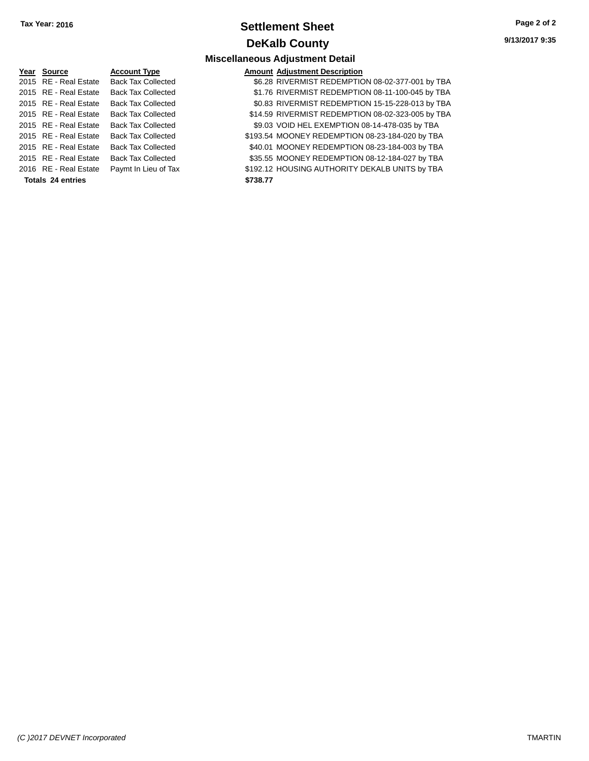## **Settlement Sheet Tax Year: 2016 Page 2 of 2 DeKalb County**

**9/13/2017 9:35**

## **Miscellaneous Adjustment Detail**

| Year Source           | <b>Account Type</b>       |          | <b>Amount Adjustment Description</b> |
|-----------------------|---------------------------|----------|--------------------------------------|
| 2015 RE - Real Estate | <b>Back Tax Collected</b> |          | \$6.28 RIVERMIST REDEMPTIC           |
| 2015 RE - Real Estate | <b>Back Tax Collected</b> |          | \$1.76 RIVERMIST REDEMPTIC           |
| 2015 RE - Real Estate | <b>Back Tax Collected</b> |          | \$0.83 RIVERMIST REDEMPTIC           |
| 2015 RE - Real Estate | <b>Back Tax Collected</b> |          | \$14.59 RIVERMIST REDEMPTIC          |
| 2015 RE - Real Estate | <b>Back Tax Collected</b> |          | \$9.03 VOID HEL EXEMPTION (          |
| 2015 RE - Real Estate | <b>Back Tax Collected</b> |          | \$193.54 MOONEY REDEMPTION           |
| 2015 RE - Real Estate | <b>Back Tax Collected</b> |          | \$40.01 MOONEY REDEMPTION            |
| 2015 RE - Real Estate | <b>Back Tax Collected</b> |          | \$35.55 MOONEY REDEMPTION            |
| 2016 RE - Real Estate | Paymt In Lieu of Tax      |          | \$192.12 HOUSING AUTHORITY D         |
| Totals 24 entries     |                           | \$738.77 |                                      |

| 2015 RE - Real Estate    | <b>Back Tax Collected</b> | \$6.28 RIVERMIST REDEMPTION 08-02-377-001 by TBA  |  |
|--------------------------|---------------------------|---------------------------------------------------|--|
| 2015 RE - Real Estate    | <b>Back Tax Collected</b> | \$1.76 RIVERMIST REDEMPTION 08-11-100-045 by TBA  |  |
| 2015 RE - Real Estate    | <b>Back Tax Collected</b> | \$0.83 RIVERMIST REDEMPTION 15-15-228-013 by TBA  |  |
| 2015 RE - Real Estate    | <b>Back Tax Collected</b> | \$14.59 RIVERMIST REDEMPTION 08-02-323-005 by TBA |  |
| 2015 RE - Real Estate    | <b>Back Tax Collected</b> | \$9.03 VOID HEL EXEMPTION 08-14-478-035 by TBA    |  |
| 2015 RE - Real Estate    | <b>Back Tax Collected</b> | \$193.54 MOONEY REDEMPTION 08-23-184-020 by TBA   |  |
| 2015 RE - Real Estate    | <b>Back Tax Collected</b> | \$40.01 MOONEY REDEMPTION 08-23-184-003 by TBA    |  |
| 2015 RE - Real Estate    | <b>Back Tax Collected</b> | \$35.55 MOONEY REDEMPTION 08-12-184-027 by TBA    |  |
| 2016 RE - Real Estate    | Paymt In Lieu of Tax      | \$192.12 HOUSING AUTHORITY DEKALB UNITS by TBA    |  |
| <b>Totals 24 entries</b> |                           | \$738.77                                          |  |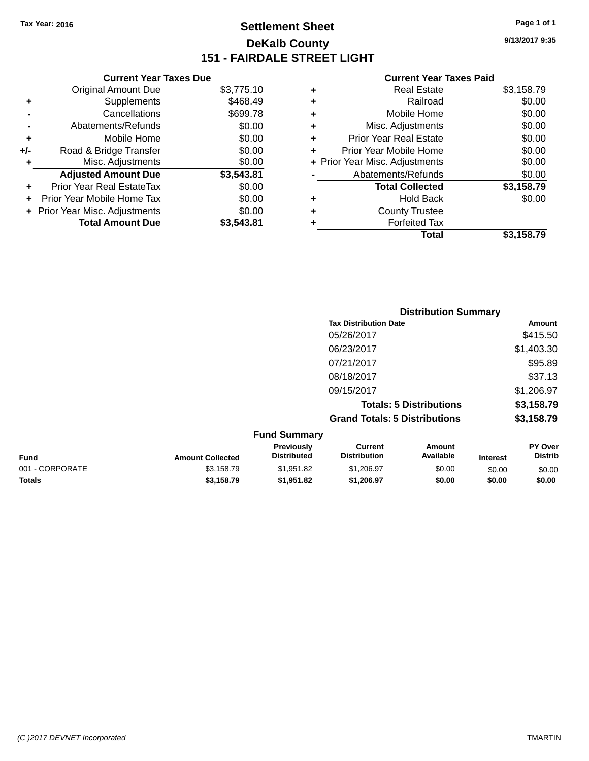## **Settlement Sheet Tax Year: 2016 Page 1 of 1 DeKalb County 151 - FAIRDALE STREET LIGHT**

**9/13/2017 9:35**

|       | <b>Current Year Taxes Due</b>  |            |
|-------|--------------------------------|------------|
|       | <b>Original Amount Due</b>     | \$3,775.10 |
| ٠     | Supplements                    | \$468.49   |
|       | Cancellations                  | \$699.78   |
|       | Abatements/Refunds             | \$0.00     |
| ٠     | Mobile Home                    | \$0.00     |
| $+/-$ | Road & Bridge Transfer         | \$0.00     |
| ٠     | Misc. Adjustments              | \$0.00     |
|       | <b>Adjusted Amount Due</b>     | \$3,543.81 |
| ÷     | Prior Year Real EstateTax      | \$0.00     |
|       | Prior Year Mobile Home Tax     | \$0.00     |
|       | + Prior Year Misc. Adjustments | \$0.00     |
|       | <b>Total Amount Due</b>        | \$3.543.81 |

| ٠ | <b>Real Estate</b>             | \$3,158.79 |
|---|--------------------------------|------------|
| ٠ | Railroad                       | \$0.00     |
| ٠ | Mobile Home                    | \$0.00     |
| ٠ | Misc. Adjustments              | \$0.00     |
| ÷ | Prior Year Real Estate         | \$0.00     |
| ٠ | Prior Year Mobile Home         | \$0.00     |
|   | + Prior Year Misc. Adjustments | \$0.00     |
|   | Abatements/Refunds             | \$0.00     |
|   | <b>Total Collected</b>         | \$3,158.79 |
| ٠ | <b>Hold Back</b>               | \$0.00     |
| ٠ | <b>County Trustee</b>          |            |
| ٠ | <b>Forfeited Tax</b>           |            |
|   | Total                          | \$3,158.79 |
|   |                                |            |

| <b>Distribution Summary</b>          |            |  |  |
|--------------------------------------|------------|--|--|
| <b>Tax Distribution Date</b>         | Amount     |  |  |
| 05/26/2017                           | \$415.50   |  |  |
| 06/23/2017                           | \$1,403.30 |  |  |
| 07/21/2017                           | \$95.89    |  |  |
| 08/18/2017                           | \$37.13    |  |  |
| 09/15/2017                           | \$1,206.97 |  |  |
| <b>Totals: 5 Distributions</b>       | \$3,158.79 |  |  |
| <b>Grand Totals: 5 Distributions</b> | \$3,158.79 |  |  |
| <b>Fund Summary</b>                  |            |  |  |

| <b>Fund</b>     | <b>Amount Collected</b> | <b>Previously</b><br><b>Distributed</b> | Current<br><b>Distribution</b> | Amount<br>Available | <b>Interest</b> | <b>PY Over</b><br><b>Distrib</b> |
|-----------------|-------------------------|-----------------------------------------|--------------------------------|---------------------|-----------------|----------------------------------|
| 001 - CORPORATE | \$3.158.79              | \$1.951.82                              | \$1.206.97                     | \$0.00              | \$0.00          | \$0.00                           |
| <b>Totals</b>   | \$3,158.79              | \$1.951.82                              | \$1.206.97                     | \$0.00              | \$0.00          | \$0.00                           |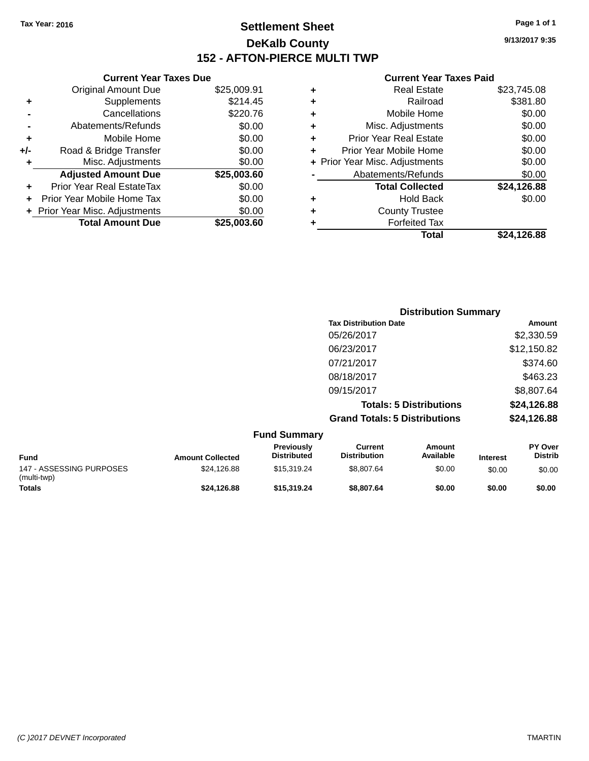## **Settlement Sheet Tax Year: 2016 Page 1 of 1 DeKalb County 152 - AFTON-PIERCE MULTI TWP**

**9/13/2017 9:35**

|     | <b>Current Year Taxes Due</b>  |             |  |
|-----|--------------------------------|-------------|--|
|     | <b>Original Amount Due</b>     | \$25,009.91 |  |
| ٠   | Supplements                    | \$214.45    |  |
|     | Cancellations                  | \$220.76    |  |
|     | Abatements/Refunds             | \$0.00      |  |
| ٠   | Mobile Home                    | \$0.00      |  |
| +/- | Road & Bridge Transfer         | \$0.00      |  |
| ٠   | Misc. Adjustments              | \$0.00      |  |
|     | <b>Adjusted Amount Due</b>     | \$25,003.60 |  |
| ٠   | Prior Year Real EstateTax      | \$0.00      |  |
|     | Prior Year Mobile Home Tax     | \$0.00      |  |
|     | + Prior Year Misc. Adjustments | \$0.00      |  |
|     | <b>Total Amount Due</b>        | \$25,003.60 |  |
|     |                                |             |  |

| ٠ | Real Estate                    | \$23,745.08 |
|---|--------------------------------|-------------|
| ٠ | Railroad                       | \$381.80    |
| ٠ | Mobile Home                    | \$0.00      |
| ٠ | Misc. Adjustments              | \$0.00      |
| ٠ | <b>Prior Year Real Estate</b>  | \$0.00      |
| ٠ | Prior Year Mobile Home         | \$0.00      |
|   | + Prior Year Misc. Adjustments | \$0.00      |
|   | Abatements/Refunds             | \$0.00      |
|   | <b>Total Collected</b>         | \$24,126.88 |
| ٠ | <b>Hold Back</b>               | \$0.00      |
| ٠ | <b>County Trustee</b>          |             |
| ٠ | <b>Forfeited Tax</b>           |             |
|   | Total                          | \$24,126.88 |
|   |                                |             |

| <b>Distribution Summary</b>          |             |
|--------------------------------------|-------------|
| <b>Tax Distribution Date</b>         | Amount      |
| 05/26/2017                           | \$2,330.59  |
| 06/23/2017                           | \$12,150.82 |
| 07/21/2017                           | \$374.60    |
| 08/18/2017                           | \$463.23    |
| 09/15/2017                           | \$8,807.64  |
| <b>Totals: 5 Distributions</b>       | \$24,126.88 |
| <b>Grand Totals: 5 Distributions</b> | \$24,126.88 |

|                                         |                         | <b>Fund Summary</b>                     |                                |                     |                 |                                  |
|-----------------------------------------|-------------------------|-----------------------------------------|--------------------------------|---------------------|-----------------|----------------------------------|
| <b>Fund</b>                             | <b>Amount Collected</b> | <b>Previously</b><br><b>Distributed</b> | Current<br><b>Distribution</b> | Amount<br>Available | <b>Interest</b> | <b>PY Over</b><br><b>Distrib</b> |
| 147 - ASSESSING PURPOSES<br>(multi-twp) | \$24.126.88             | \$15,319,24                             | \$8,807.64                     | \$0.00              | \$0.00          | \$0.00                           |
| <b>Totals</b>                           | \$24,126.88             | \$15,319,24                             | \$8,807.64                     | \$0.00              | \$0.00          | \$0.00                           |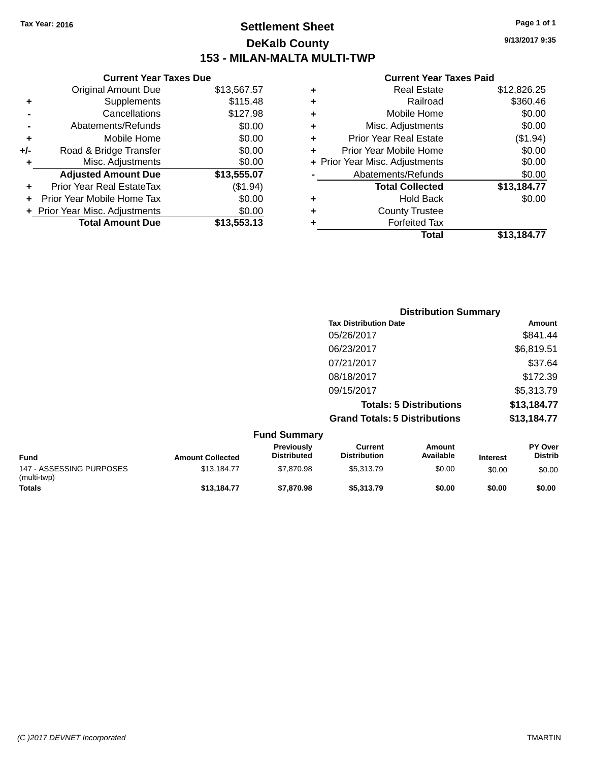## **Settlement Sheet Tax Year: 2016 Page 1 of 1 DeKalb County 153 - MILAN-MALTA MULTI-TWP**

**9/13/2017 9:35**

|     | <b>Current Year Taxes Due</b>  |             |
|-----|--------------------------------|-------------|
|     | <b>Original Amount Due</b>     | \$13,567.57 |
| ٠   | Supplements                    | \$115.48    |
|     | Cancellations                  | \$127.98    |
|     | Abatements/Refunds             | \$0.00      |
| ٠   | Mobile Home                    | \$0.00      |
| +/- | Road & Bridge Transfer         | \$0.00      |
| ٠   | Misc. Adjustments              | \$0.00      |
|     | <b>Adjusted Amount Due</b>     | \$13,555.07 |
| ٠   | Prior Year Real EstateTax      | (\$1.94)    |
| ÷   | Prior Year Mobile Home Tax     | \$0.00      |
|     | + Prior Year Misc. Adjustments | \$0.00      |
|     | <b>Total Amount Due</b>        | \$13,553.13 |
|     |                                |             |

|   | Total                          | \$13,184.77 |
|---|--------------------------------|-------------|
| ٠ | <b>Forfeited Tax</b>           |             |
| ٠ | <b>County Trustee</b>          |             |
| ٠ | <b>Hold Back</b>               | \$0.00      |
|   | <b>Total Collected</b>         | \$13,184.77 |
|   | Abatements/Refunds             | \$0.00      |
|   | + Prior Year Misc. Adjustments | \$0.00      |
| ٠ | Prior Year Mobile Home         | \$0.00      |
| ÷ | <b>Prior Year Real Estate</b>  | (\$1.94)    |
| ٠ | Misc. Adjustments              | \$0.00      |
| ٠ | Mobile Home                    | \$0.00      |
| ٠ | Railroad                       | \$360.46    |
| ٠ | <b>Real Estate</b>             | \$12,826.25 |
|   |                                |             |

| <b>Distribution Summary</b>          |             |
|--------------------------------------|-------------|
| <b>Tax Distribution Date</b>         | Amount      |
| 05/26/2017                           | \$841.44    |
| 06/23/2017                           | \$6,819.51  |
| 07/21/2017                           | \$37.64     |
| 08/18/2017                           | \$172.39    |
| 09/15/2017                           | \$5,313.79  |
| <b>Totals: 5 Distributions</b>       | \$13,184.77 |
| <b>Grand Totals: 5 Distributions</b> | \$13,184.77 |

|                                         |                         | <b>Fund Summary</b>                     |                                |                     |                 |                                  |
|-----------------------------------------|-------------------------|-----------------------------------------|--------------------------------|---------------------|-----------------|----------------------------------|
| <b>Fund</b>                             | <b>Amount Collected</b> | <b>Previously</b><br><b>Distributed</b> | Current<br><b>Distribution</b> | Amount<br>Available | <b>Interest</b> | <b>PY Over</b><br><b>Distrib</b> |
| 147 - ASSESSING PURPOSES<br>(multi-twp) | \$13.184.77             | \$7.870.98                              | \$5,313.79                     | \$0.00              | \$0.00          | \$0.00                           |
| <b>Totals</b>                           | \$13,184.77             | \$7.870.98                              | \$5,313,79                     | \$0.00              | \$0.00          | \$0.00                           |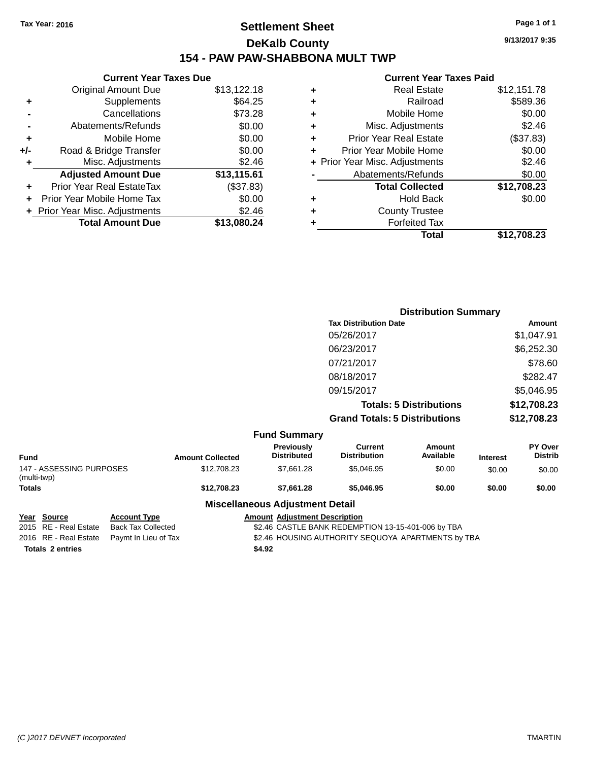## **Settlement Sheet Tax Year: 2016 Page 1 of 1 DeKalb County 154 - PAW PAW-SHABBONA MULT TWP**

|       | <b>Current Year Taxes Due</b>  |             |
|-------|--------------------------------|-------------|
|       | <b>Original Amount Due</b>     | \$13,122.18 |
| ٠     | Supplements                    | \$64.25     |
|       | Cancellations                  | \$73.28     |
|       | Abatements/Refunds             | \$0.00      |
| ٠     | Mobile Home                    | \$0.00      |
| $+/-$ | Road & Bridge Transfer         | \$0.00      |
| ٠     | Misc. Adjustments              | \$2.46      |
|       | <b>Adjusted Amount Due</b>     | \$13,115.61 |
| ٠     | Prior Year Real EstateTax      | (\$37.83)   |
|       | Prior Year Mobile Home Tax     | \$0.00      |
|       | + Prior Year Misc. Adjustments | \$2.46      |
|       | <b>Total Amount Due</b>        | \$13.080.24 |

|   | <b>Current Year Taxes Paid</b> |             |
|---|--------------------------------|-------------|
| ٠ | <b>Real Estate</b>             | \$12,151.78 |
| ٠ | Railroad                       | \$589.36    |
| ٠ | Mobile Home                    | \$0.00      |
| ٠ | Misc. Adjustments              | \$2.46      |
| ٠ | Prior Year Real Estate         | (\$37.83)   |
| ٠ | Prior Year Mobile Home         | \$0.00      |
|   | + Prior Year Misc. Adjustments | \$2.46      |
|   | Abatements/Refunds             | \$0.00      |
|   | <b>Total Collected</b>         | \$12,708.23 |
| ٠ | <b>Hold Back</b>               | \$0.00      |
|   | <b>County Trustee</b>          |             |
|   | <b>Forfeited Tax</b>           |             |
|   | Total                          | \$12.708.23 |

|                     | <b>Distribution Summary</b>          |             |  |  |
|---------------------|--------------------------------------|-------------|--|--|
|                     | <b>Tax Distribution Date</b>         | Amount      |  |  |
|                     | 05/26/2017                           | \$1,047.91  |  |  |
|                     | 06/23/2017                           | \$6,252.30  |  |  |
|                     | 07/21/2017                           | \$78.60     |  |  |
|                     | 08/18/2017                           | \$282.47    |  |  |
|                     | 09/15/2017                           | \$5,046.95  |  |  |
|                     | <b>Totals: 5 Distributions</b>       | \$12,708.23 |  |  |
|                     | <b>Grand Totals: 5 Distributions</b> | \$12,708.23 |  |  |
| <b>Fund Summary</b> |                                      |             |  |  |

| <b>Fund</b>                             | <b>Amount Collected</b> | <b>Previously</b><br><b>Distributed</b> | Current<br><b>Distribution</b> | Amount<br>Available | <b>Interest</b> | <b>PY Over</b><br><b>Distrib</b> |
|-----------------------------------------|-------------------------|-----------------------------------------|--------------------------------|---------------------|-----------------|----------------------------------|
| 147 - ASSESSING PURPOSES<br>(multi-twp) | \$12,708,23             | \$7,661.28                              | \$5.046.95                     | \$0.00              | \$0.00          | \$0.00                           |
| <b>Totals</b>                           | \$12,708,23             | \$7,661.28                              | \$5,046.95                     | \$0.00              | \$0.00          | \$0.00                           |

## **Miscellaneous Adjustment Detail**

**Year** Source **Account Type Account Adjustment Description** 2015 RE - Real Estate Back Tax Collected \$2.46 CASTLE BANK REDEMPTION 13-15-401-006 by TBA 2016 RE - Real Estate Paymt In Lieu of Tax \$2.46 HOUSING AUTHORITY SEQUOYA APARTMENTS by TBA **Totals \$4.92 2 entries**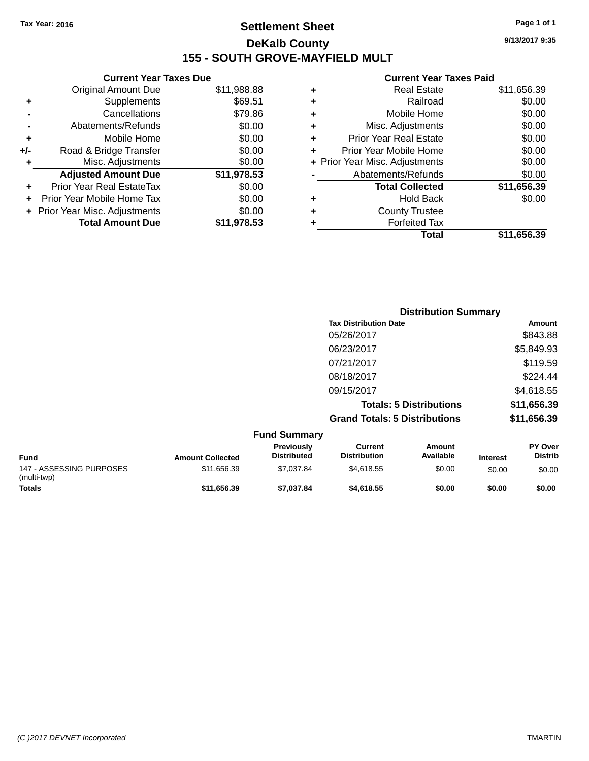### **Settlement Sheet Tax Year: 2016 Page 1 of 1 DeKalb County 155 - SOUTH GROVE-MAYFIELD MULT**

**9/13/2017 9:35**

|   | Total                          | \$11.656.39 |
|---|--------------------------------|-------------|
|   | <b>Forfeited Tax</b>           |             |
| ٠ | <b>County Trustee</b>          |             |
| ٠ | <b>Hold Back</b>               | \$0.00      |
|   | <b>Total Collected</b>         | \$11,656.39 |
|   | Abatements/Refunds             | \$0.00      |
|   | + Prior Year Misc. Adjustments | \$0.00      |
| ٠ | Prior Year Mobile Home         | \$0.00      |
| ٠ | <b>Prior Year Real Estate</b>  | \$0.00      |
| ٠ | Misc. Adjustments              | \$0.00      |
| ٠ | Mobile Home                    | \$0.00      |
| ٠ | Railroad                       | \$0.00      |
| ٠ | <b>Real Estate</b>             | \$11,656.39 |
|   |                                |             |

|     | <b>Current Year Taxes Due</b>    |             |
|-----|----------------------------------|-------------|
|     | <b>Original Amount Due</b>       | \$11,988.88 |
| ٠   | Supplements                      | \$69.51     |
|     | Cancellations                    | \$79.86     |
|     | Abatements/Refunds               | \$0.00      |
| ٠   | Mobile Home                      | \$0.00      |
| +/- | Road & Bridge Transfer           | \$0.00      |
| ٠   | Misc. Adjustments                | \$0.00      |
|     | <b>Adjusted Amount Due</b>       | \$11,978.53 |
|     | <b>Prior Year Real EstateTax</b> | \$0.00      |
|     | Prior Year Mobile Home Tax       | \$0.00      |
|     | + Prior Year Misc. Adjustments   | \$0.00      |
|     | <b>Total Amount Due</b>          | \$11,978.53 |
|     |                                  |             |

| <b>Distribution Summary</b>          |             |
|--------------------------------------|-------------|
| <b>Tax Distribution Date</b>         | Amount      |
| 05/26/2017                           | \$843.88    |
| 06/23/2017                           | \$5,849.93  |
| 07/21/2017                           | \$119.59    |
| 08/18/2017                           | \$224.44    |
| 09/15/2017                           | \$4,618.55  |
| <b>Totals: 5 Distributions</b>       | \$11,656.39 |
| <b>Grand Totals: 5 Distributions</b> | \$11,656.39 |

|                                         |                         | <b>Fund Summary</b>                     |                                |                     |                 |                                  |
|-----------------------------------------|-------------------------|-----------------------------------------|--------------------------------|---------------------|-----------------|----------------------------------|
| <b>Fund</b>                             | <b>Amount Collected</b> | <b>Previously</b><br><b>Distributed</b> | Current<br><b>Distribution</b> | Amount<br>Available | <b>Interest</b> | <b>PY Over</b><br><b>Distrib</b> |
| 147 - ASSESSING PURPOSES<br>(multi-twp) | \$11,656.39             | \$7.037.84                              | \$4,618,55                     | \$0.00              | \$0.00          | \$0.00                           |
| <b>Totals</b>                           | \$11,656.39             | \$7.037.84                              | \$4,618,55                     | \$0.00              | \$0.00          | \$0.00                           |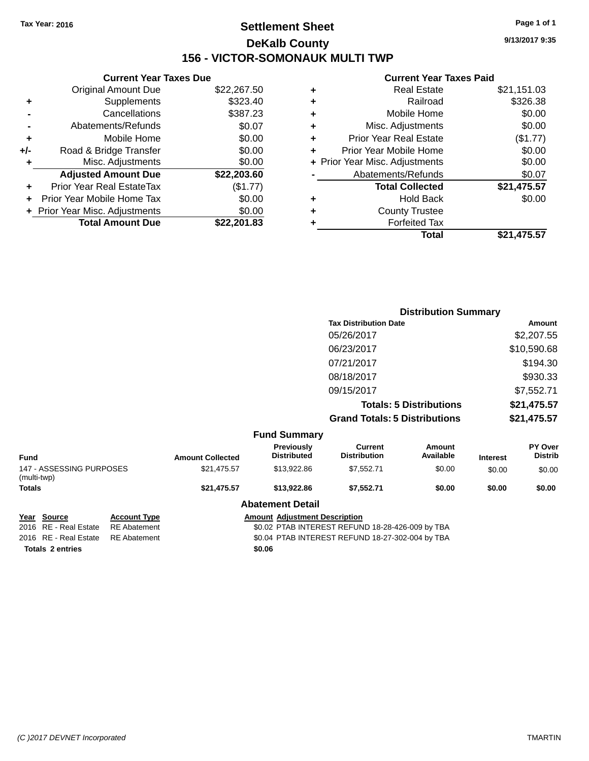### **Settlement Sheet Tax Year: 2016 Page 1 of 1 DeKalb County 156 - VICTOR-SOMONAUK MULTI TWP**

**9/13/2017 9:35**

#### **Current Year Taxes Paid**

|     | <b>Current Year Taxes Due</b>            |             |  |  |  |  |  |
|-----|------------------------------------------|-------------|--|--|--|--|--|
|     | <b>Original Amount Due</b>               | \$22,267.50 |  |  |  |  |  |
| ٠   | Supplements                              | \$323.40    |  |  |  |  |  |
|     | Cancellations                            | \$387.23    |  |  |  |  |  |
|     | Abatements/Refunds                       | \$0.07      |  |  |  |  |  |
| ÷   | Mobile Home                              | \$0.00      |  |  |  |  |  |
| +/- | Road & Bridge Transfer                   | \$0.00      |  |  |  |  |  |
| ٠   | Misc. Adjustments                        | \$0.00      |  |  |  |  |  |
|     | <b>Adjusted Amount Due</b>               | \$22,203.60 |  |  |  |  |  |
| ٠   | Prior Year Real EstateTax                | (\$1.77)    |  |  |  |  |  |
|     | Prior Year Mobile Home Tax               | \$0.00      |  |  |  |  |  |
|     | \$0.00<br>+ Prior Year Misc. Adjustments |             |  |  |  |  |  |
|     | <b>Total Amount Due</b>                  | \$22,201.83 |  |  |  |  |  |
|     |                                          |             |  |  |  |  |  |

| ٠ | <b>Real Estate</b>             | \$21,151.03 |
|---|--------------------------------|-------------|
| ٠ | Railroad                       | \$326.38    |
| ٠ | Mobile Home                    | \$0.00      |
| ٠ | Misc. Adjustments              | \$0.00      |
| ÷ | <b>Prior Year Real Estate</b>  | (\$1.77)    |
| ÷ | Prior Year Mobile Home         | \$0.00      |
|   | + Prior Year Misc. Adjustments | \$0.00      |
|   | Abatements/Refunds             | \$0.07      |
|   | <b>Total Collected</b>         | \$21,475.57 |
| ٠ | <b>Hold Back</b>               | \$0.00      |
| ٠ | <b>County Trustee</b>          |             |
| ٠ | <b>Forfeited Tax</b>           |             |
|   | Total                          | \$21,475.57 |
|   |                                |             |

|                       |                         |                                  |                                       | <b>Distribution Summary</b>    |                 |                                  |
|-----------------------|-------------------------|----------------------------------|---------------------------------------|--------------------------------|-----------------|----------------------------------|
|                       |                         |                                  | <b>Tax Distribution Date</b>          |                                |                 | Amount                           |
|                       |                         |                                  | 05/26/2017                            |                                |                 | \$2,207.55                       |
|                       |                         |                                  | 06/23/2017                            |                                |                 | \$10,590.68                      |
|                       |                         |                                  | 07/21/2017                            |                                |                 | \$194.30                         |
|                       |                         |                                  | 08/18/2017                            |                                |                 | \$930.33                         |
|                       |                         |                                  | 09/15/2017                            |                                |                 | \$7,552.71                       |
|                       |                         |                                  |                                       | <b>Totals: 5 Distributions</b> |                 | \$21,475.57                      |
|                       |                         |                                  | <b>Grand Totals: 5 Distributions</b>  |                                |                 | \$21,475.57                      |
|                       |                         | <b>Fund Summary</b>              |                                       |                                |                 |                                  |
|                       | <b>Amount Collected</b> | Previously<br><b>Distributed</b> | <b>Current</b><br><b>Distribution</b> | <b>Amount</b><br>Available     | <b>Interest</b> | <b>PY Over</b><br><b>Distrib</b> |
| <b>CINIO DUDDOCEO</b> | 0.01177777              | 0.100000                         | 27.507                                | $\sim$ $\sim$                  | $\cdots$        | $\cdots$                         |

| <b>Fund</b>                             | <b>Amount Collected</b> | <b>Distributed</b>      | <b>Distribution</b> | Available | <b>Interest</b> | <b>Distrib</b> |
|-----------------------------------------|-------------------------|-------------------------|---------------------|-----------|-----------------|----------------|
| 147 - ASSESSING PURPOSES<br>(multi-twp) | \$21.475.57             | \$13,922.86             | \$7.552.71          | \$0.00    | \$0.00          | \$0.00         |
| <b>Totals</b>                           | \$21.475.57             | \$13,922.86             | \$7.552.71          | \$0.00    | \$0.00          | \$0.00         |
|                                         |                         | <b>Abatement Detail</b> |                     |           |                 |                |

**Totals \$0.06 2 entries**

**Year Source Account Type Amount Adjustment Description**<br>2016 RE - Real Estate RE Abatement **Amount 1998** And Amount 1998 AMEREST REFUN \$0.02 PTAB INTEREST REFUND 18-28-426-009 by TBA 2016 RE - Real Estate RE Abatement \$0.04 PTAB INTEREST REFUND 18-27-302-004 by TBA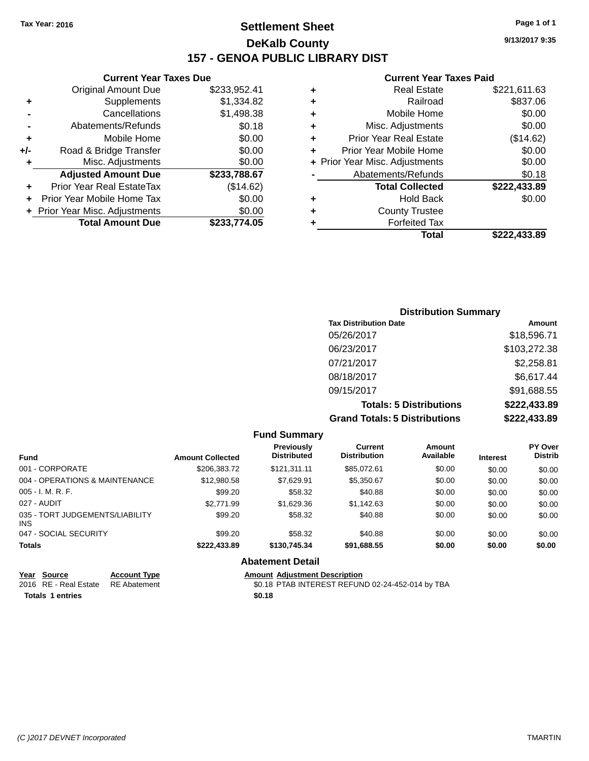**Current Year Taxes Due**

### **Settlement Sheet Tax Year: 2016 Page 1 of 1 DeKalb County 157 - GENOA PUBLIC LIBRARY DIST**

**9/13/2017 9:35**

#### **Current Year Taxes Paid**

| \$221,611.63 | <b>Real Estate</b>             |   | \$233,952.41 | <b>Original Amount Due</b>       |     |
|--------------|--------------------------------|---|--------------|----------------------------------|-----|
| \$837.06     | Railroad                       | ٠ | \$1,334.82   | Supplements                      | ٠   |
| \$0.00       | Mobile Home                    | ٠ | \$1,498.38   | Cancellations                    |     |
| \$0.00       | Misc. Adjustments              | ٠ | \$0.18       | Abatements/Refunds               |     |
| (\$14.62)    | <b>Prior Year Real Estate</b>  | ٠ | \$0.00       | Mobile Home                      |     |
| \$0.00       | Prior Year Mobile Home         | ÷ | \$0.00       | Road & Bridge Transfer           | +/- |
| \$0.00       | + Prior Year Misc. Adjustments |   | \$0.00       | Misc. Adjustments                |     |
| \$0.18       | Abatements/Refunds             |   | \$233,788.67 | <b>Adjusted Amount Due</b>       |     |
| \$222,433.89 | <b>Total Collected</b>         |   | (\$14.62)    | <b>Prior Year Real EstateTax</b> | ÷.  |
| \$0.00       | <b>Hold Back</b>               | ٠ | \$0.00       | Prior Year Mobile Home Tax       |     |
|              | <b>County Trustee</b>          | ٠ | \$0.00       | + Prior Year Misc. Adjustments   |     |
|              | <b>Forfeited Tax</b>           |   | \$233,774.05 | <b>Total Amount Due</b>          |     |
| \$222,433.89 | Total                          |   |              |                                  |     |

#### **Distribution Summary Tax Distribution Date Amount** 05/26/2017 \$18,596.71 06/23/2017 \$103,272.38 07/21/2017 \$2,258.81 08/18/2017 \$6,617.44 09/15/2017 \$91,688.55 **Totals: 5 Distributions \$222,433.89 Grand Totals: 5 Distributions \$222,433.89**

|                                         |                         | <b>Fund Summary</b>                     |                                       |                            |                 |                                  |
|-----------------------------------------|-------------------------|-----------------------------------------|---------------------------------------|----------------------------|-----------------|----------------------------------|
| <b>Fund</b>                             | <b>Amount Collected</b> | <b>Previously</b><br><b>Distributed</b> | <b>Current</b><br><b>Distribution</b> | <b>Amount</b><br>Available | <b>Interest</b> | <b>PY Over</b><br><b>Distrib</b> |
| 001 - CORPORATE                         | \$206.383.72            | \$121.311.11                            | \$85,072,61                           | \$0.00                     | \$0.00          | \$0.00                           |
| 004 - OPERATIONS & MAINTENANCE          | \$12,980.58             | \$7.629.91                              | \$5,350.67                            | \$0.00                     | \$0.00          | \$0.00                           |
| $005 - I. M. R. F.$                     | \$99.20                 | \$58.32                                 | \$40.88                               | \$0.00                     | \$0.00          | \$0.00                           |
| 027 - AUDIT                             | \$2,771.99              | \$1,629.36                              | \$1.142.63                            | \$0.00                     | \$0.00          | \$0.00                           |
| 035 - TORT JUDGEMENTS/LIABILITY<br>INS. | \$99.20                 | \$58.32                                 | \$40.88                               | \$0.00                     | \$0.00          | \$0.00                           |
| 047 - SOCIAL SECURITY                   | \$99.20                 | \$58.32                                 | \$40.88                               | \$0.00                     | \$0.00          | \$0.00                           |
| <b>Totals</b>                           | \$222,433.89            | \$130,745.34                            | \$91,688.55                           | \$0.00                     | \$0.00          | \$0.00                           |
|                                         |                         | <b>Abatement Detail</b>                 |                                       |                            |                 |                                  |

| <u>Year Source</u>                 | <b>Account Type</b> | <b>Amount Adiustment Description</b>             |
|------------------------------------|---------------------|--------------------------------------------------|
| 2016 RE - Real Estate RE Abatement |                     | \$0.18 PTAB INTEREST REFUND 02-24-452-014 by TBA |
| <b>Totals 1 entries</b>            |                     | \$0.18                                           |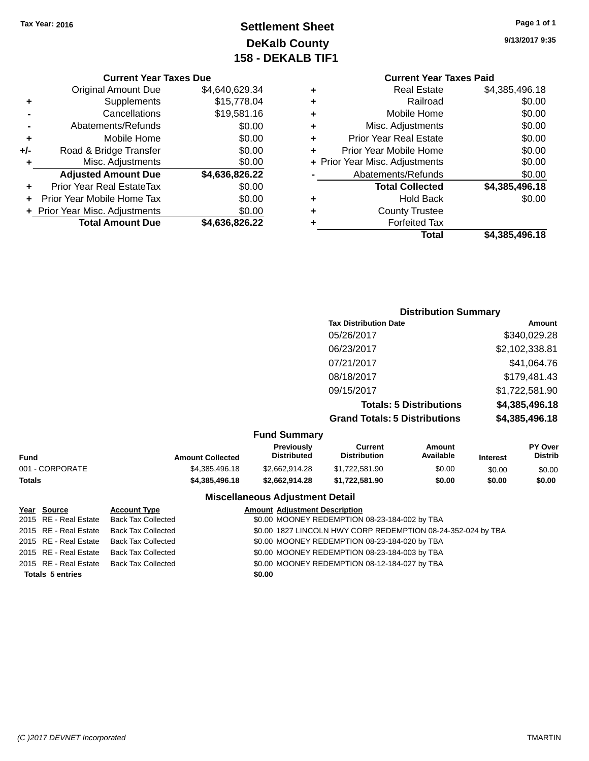### **Settlement Sheet Tax Year: 2016 Page 1 of 1 DeKalb County 158 - DEKALB TIF1**

**9/13/2017 9:35**

#### **Current Year Taxes Due**

|     | <b>Original Amount Due</b>       | \$4,640,629.34 |
|-----|----------------------------------|----------------|
| ٠   | Supplements                      | \$15,778.04    |
|     | Cancellations                    | \$19,581.16    |
|     | Abatements/Refunds               | \$0.00         |
| ÷   | Mobile Home                      | \$0.00         |
| +/- | Road & Bridge Transfer           | \$0.00         |
| ٠   | Misc. Adjustments                | \$0.00         |
|     | <b>Adjusted Amount Due</b>       | \$4,636,826.22 |
|     | <b>Prior Year Real EstateTax</b> | \$0.00         |
|     | Prior Year Mobile Home Tax       | \$0.00         |
|     | + Prior Year Misc. Adjustments   | \$0.00         |
|     | <b>Total Amount Due</b>          | \$4,636,826.22 |

|   | <b>Current Year Taxes Paid</b> |                |
|---|--------------------------------|----------------|
| ٠ | <b>Real Estate</b>             | \$4,385,496.18 |
| ÷ | Railroad                       | \$0.00         |
|   | Mobile Home                    | \$0.00         |
|   | Misc. Adjustments              | \$0.00         |
| ÷ | <b>Prior Year Real Estate</b>  | \$0.00         |
| ÷ | Prior Year Mobile Home         | \$0.00         |
|   | + Prior Year Misc. Adjustments | \$0.00         |
|   | Abatements/Refunds             | \$0.00         |
|   | <b>Total Collected</b>         | \$4,385,496.18 |
|   | <b>Hold Back</b>               | \$0.00         |
|   | <b>County Trustee</b>          |                |
|   | <b>Forfeited Tax</b>           |                |
|   | Total                          | \$4,385,496.18 |
|   |                                |                |

#### **Distribution Summary Tax Distribution Date Amount** 05/26/2017 \$340,029.28 06/23/2017 \$2,102,338.81 07/21/2017 \$41,064.76 08/18/2017 \$179,481.43 09/15/2017 \$1,722,581.90 **Totals: 5 Distributions \$4,385,496.18 Grand Totals: 5 Distributions \$4,385,496.18**

#### **Fund Summary**

| Fund            | <b>Amount Collected</b> | <b>Previously</b><br><b>Distributed</b> | Current<br><b>Distribution</b> | Amount<br>Available | <b>Interest</b> | <b>PY Over</b><br><b>Distrib</b> |  |
|-----------------|-------------------------|-----------------------------------------|--------------------------------|---------------------|-----------------|----------------------------------|--|
| 001 - CORPORATE | \$4,385,496,18          | \$2.662.914.28                          | \$1.722.581.90                 | \$0.00              | \$0.00          | \$0.00                           |  |
| Totals          | \$4,385,496.18          | \$2.662.914.28                          | \$1.722.581.90                 | \$0.00              | \$0.00          | \$0.00                           |  |
|                 |                         |                                         |                                |                     |                 |                                  |  |

#### **Miscellaneous Adjustment Detail**

| Year Source             | <b>Account Type</b>                      | <b>Amount Adjustment Description</b>                         |
|-------------------------|------------------------------------------|--------------------------------------------------------------|
|                         | 2015 RE - Real Estate Back Tax Collected | \$0.00 MOONEY REDEMPTION 08-23-184-002 by TBA                |
| 2015 RE - Real Estate   | Back Tax Collected                       | \$0.00 1827 LINCOLN HWY CORP REDEMPTION 08-24-352-024 by TBA |
|                         | 2015 RE - Real Estate Back Tax Collected | \$0.00 MOONEY REDEMPTION 08-23-184-020 by TBA                |
|                         | 2015 RE - Real Estate Back Tax Collected | \$0.00 MOONEY REDEMPTION 08-23-184-003 by TBA                |
|                         | 2015 RE - Real Estate Back Tax Collected | \$0.00 MOONEY REDEMPTION 08-12-184-027 by TBA                |
| <b>Totals 5 entries</b> |                                          | \$0.00                                                       |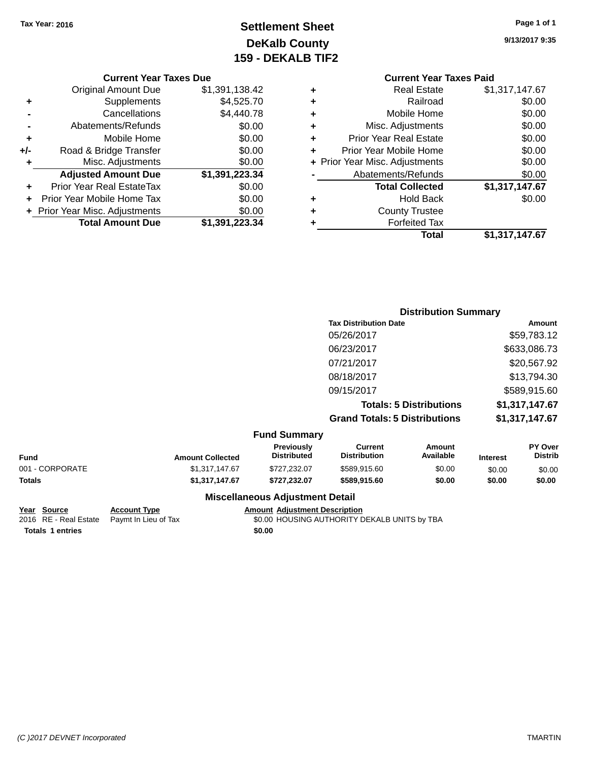### **Settlement Sheet Tax Year: 2016 Page 1 of 1 DeKalb County 159 - DEKALB TIF2**

**9/13/2017 9:35**

#### **Current Year Taxes Due**

|     | <b>Original Amount Due</b>       | \$1,391,138.42 |
|-----|----------------------------------|----------------|
| ٠   | Supplements                      | \$4,525.70     |
|     | Cancellations                    | \$4,440.78     |
|     | Abatements/Refunds               | \$0.00         |
| ٠   | Mobile Home                      | \$0.00         |
| +/- | Road & Bridge Transfer           | \$0.00         |
| ٠   | Misc. Adjustments                | \$0.00         |
|     | <b>Adjusted Amount Due</b>       | \$1,391,223.34 |
|     | <b>Prior Year Real EstateTax</b> | \$0.00         |
|     | Prior Year Mobile Home Tax       | \$0.00         |
|     | + Prior Year Misc. Adjustments   | \$0.00         |
|     | <b>Total Amount Due</b>          | \$1,391,223.34 |

#### **Current Year Taxes Paid +** Real Estate \$1,317,147.67 **+** Railroad \$0.00 **+** Mobile Home \$0.00 **+** Misc. Adjustments \$0.00 **+** Prior Year Real Estate \$0.00 **+** Prior Year Mobile Home \$0.00 **+ Prior Year Misc. Adjustments**  $$0.00$ Abatements/Refunds \$0.00 **Total Collected \$1,317,147.67 +** Hold Back \$0.00 **+** County Trustee **+** Forfeited Tax

**Total \$1,317,147.67**

**Distribution Summary Tax Distribution Date Amount** 05/26/2017 \$59,783.12 06/23/2017 \$633,086.73 07/21/2017 \$20,567.92 08/18/2017 \$13,794.30 09/15/2017 \$589,915.60

|                                                                 |                                             |                                                | <b>Totals: 5 Distributions</b>               |                     | \$1,317,147.67  |                                  |
|-----------------------------------------------------------------|---------------------------------------------|------------------------------------------------|----------------------------------------------|---------------------|-----------------|----------------------------------|
|                                                                 |                                             |                                                | <b>Grand Totals: 5 Distributions</b>         |                     | \$1,317,147.67  |                                  |
|                                                                 |                                             | <b>Fund Summary</b>                            |                                              |                     |                 |                                  |
| <b>Fund</b>                                                     | <b>Amount Collected</b>                     | Previously<br><b>Distributed</b>               | Current<br><b>Distribution</b>               | Amount<br>Available | <b>Interest</b> | <b>PY Over</b><br><b>Distrib</b> |
| 001 - CORPORATE                                                 | \$1,317,147.67                              | \$727.232.07                                   | \$589,915.60                                 | \$0.00              | \$0.00          | \$0.00                           |
| <b>Totals</b>                                                   | \$1,317,147.67                              | \$727,232.07                                   | \$589,915.60                                 | \$0.00              | \$0.00          | \$0.00                           |
|                                                                 |                                             | <b>Miscellaneous Adjustment Detail</b>         |                                              |                     |                 |                                  |
| Year Source<br>2016 RE - Real Estate<br><b>Totals 1 entries</b> | <b>Account Type</b><br>Paymt In Lieu of Tax | <b>Amount Adiustment Description</b><br>\$0.00 | \$0.00 HOUSING AUTHORITY DEKALB UNITS by TBA |                     |                 |                                  |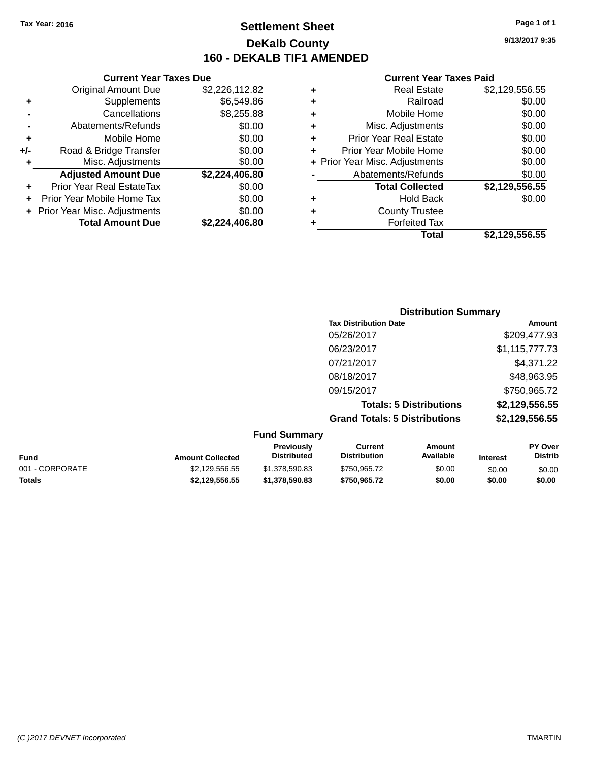### **Settlement Sheet Tax Year: 2016 Page 1 of 1 DeKalb County 160 - DEKALB TIF1 AMENDED**

**9/13/2017 9:35**

|     | <b>Current Year Taxes Due</b>    |                |           |    |
|-----|----------------------------------|----------------|-----------|----|
|     | <b>Original Amount Due</b>       | \$2,226,112.82 | ٠         |    |
|     | Supplements                      | \$6,549.86     | ٠         |    |
|     | Cancellations                    | \$8,255.88     | ٠         |    |
|     | Abatements/Refunds               | \$0.00         | ٠         |    |
|     | Mobile Home                      | \$0.00         | ٠         |    |
| +/- | Road & Bridge Transfer           | \$0.00         | ٠         | Pı |
|     | Misc. Adjustments                | \$0.00         | + Prior Y |    |
|     | <b>Adjusted Amount Due</b>       | \$2,224,406.80 |           |    |
|     | <b>Prior Year Real EstateTax</b> | \$0.00         |           |    |
|     | Prior Year Mobile Home Tax       | \$0.00         | ٠         |    |
|     | + Prior Year Misc. Adjustments   | \$0.00         | ٠         |    |
|     | <b>Total Amount Due</b>          | \$2,224,406.80 |           |    |
|     |                                  |                |           |    |

| ٠ | <b>Real Estate</b>             | \$2,129,556.55 |
|---|--------------------------------|----------------|
| ٠ | Railroad                       | \$0.00         |
| ٠ | Mobile Home                    | \$0.00         |
| ٠ | Misc. Adjustments              | \$0.00         |
| ٠ | <b>Prior Year Real Estate</b>  | \$0.00         |
| ٠ | Prior Year Mobile Home         | \$0.00         |
|   | + Prior Year Misc. Adjustments | \$0.00         |
|   | Abatements/Refunds             | \$0.00         |
|   | <b>Total Collected</b>         | \$2,129,556.55 |
| ٠ | <b>Hold Back</b>               | \$0.00         |
| ٠ | <b>County Trustee</b>          |                |
| ٠ | <b>Forfeited Tax</b>           |                |
|   | Total                          | \$2,129,556.55 |
|   |                                |                |

| <b>Distribution Summary</b>          |                |
|--------------------------------------|----------------|
| <b>Tax Distribution Date</b>         | Amount         |
| 05/26/2017                           | \$209,477.93   |
| 06/23/2017                           | \$1,115,777.73 |
| 07/21/2017                           | \$4,371.22     |
| 08/18/2017                           | \$48,963.95    |
| 09/15/2017                           | \$750,965.72   |
| <b>Totals: 5 Distributions</b>       | \$2,129,556.55 |
| <b>Grand Totals: 5 Distributions</b> | \$2,129,556.55 |

|                 |                         | <b>Fund Summary</b>              |                                |                     |                 |                                  |
|-----------------|-------------------------|----------------------------------|--------------------------------|---------------------|-----------------|----------------------------------|
| <b>Fund</b>     | <b>Amount Collected</b> | Previously<br><b>Distributed</b> | Current<br><b>Distribution</b> | Amount<br>Available | <b>Interest</b> | <b>PY Over</b><br><b>Distrib</b> |
| 001 - CORPORATE | \$2,129,556.55          | \$1,378,590.83                   | \$750,965.72                   | \$0.00              | \$0.00          | \$0.00                           |
| Totals          | \$2.129.556.55          | \$1,378,590.83                   | \$750.965.72                   | \$0.00              | \$0.00          | \$0.00                           |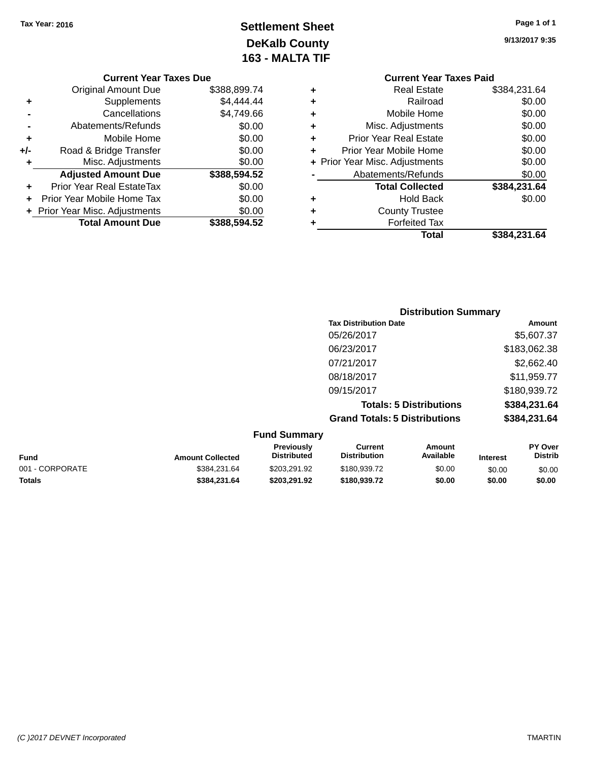### **Settlement Sheet Tax Year: 2016 Page 1 of 1 DeKalb County 163 - MALTA TIF**

**9/13/2017 9:35**

| <b>Current Year Taxes Due</b> |  |  |
|-------------------------------|--|--|
|                               |  |  |

|     | <b>Original Amount Due</b>     | \$388,899.74 |
|-----|--------------------------------|--------------|
| ٠   | Supplements                    | \$4,444.44   |
|     | Cancellations                  | \$4,749.66   |
|     | Abatements/Refunds             | \$0.00       |
| ÷   | Mobile Home                    | \$0.00       |
| +/- | Road & Bridge Transfer         | \$0.00       |
| ٠   | Misc. Adjustments              | \$0.00       |
|     | <b>Adjusted Amount Due</b>     | \$388,594.52 |
| ÷   | Prior Year Real EstateTax      | \$0.00       |
|     | Prior Year Mobile Home Tax     | \$0.00       |
|     | + Prior Year Misc. Adjustments | \$0.00       |
|     | <b>Total Amount Due</b>        | \$388,594.52 |

|   | <b>Current Year Taxes Paid</b> |              |
|---|--------------------------------|--------------|
|   | <b>Real Estate</b>             | \$384,231.64 |
| ٠ | Railroad                       | \$0.00       |
| ٠ | Mobile Home                    | \$0.00       |
|   | Misc. Adjustments              | \$0.00       |
| ٠ | <b>Prior Year Real Estate</b>  | \$0.00       |
| ٠ | Prior Year Mobile Home         | \$0.00       |
|   | + Prior Year Misc. Adjustments | \$0.00       |
|   | Abatements/Refunds             | \$0.00       |
|   | <b>Total Collected</b>         | \$384,231.64 |
|   | <b>Hold Back</b>               | \$0.00       |
|   | <b>County Trustee</b>          |              |
|   | <b>Forfeited Tax</b>           |              |
|   | Total                          | \$384,231.64 |
|   |                                |              |

| <b>Distribution Summary</b>          |              |
|--------------------------------------|--------------|
| <b>Tax Distribution Date</b>         | Amount       |
| 05/26/2017                           | \$5,607.37   |
| 06/23/2017                           | \$183,062.38 |
| 07/21/2017                           | \$2,662.40   |
| 08/18/2017                           | \$11,959.77  |
| 09/15/2017                           | \$180,939.72 |
| <b>Totals: 5 Distributions</b>       | \$384,231.64 |
| <b>Grand Totals: 5 Distributions</b> | \$384,231.64 |

|                 |                         | <b>Fund Summary</b>                     |                                       |                     |                 |                           |
|-----------------|-------------------------|-----------------------------------------|---------------------------------------|---------------------|-----------------|---------------------------|
| Fund            | <b>Amount Collected</b> | <b>Previously</b><br><b>Distributed</b> | <b>Current</b><br><b>Distribution</b> | Amount<br>Available | <b>Interest</b> | PY Over<br><b>Distrib</b> |
| 001 - CORPORATE | \$384.231.64            | \$203.291.92                            | \$180,939.72                          | \$0.00              | \$0.00          | \$0.00                    |
| Totals          | \$384.231.64            | \$203.291.92                            | \$180,939.72                          | \$0.00              | \$0.00          | \$0.00                    |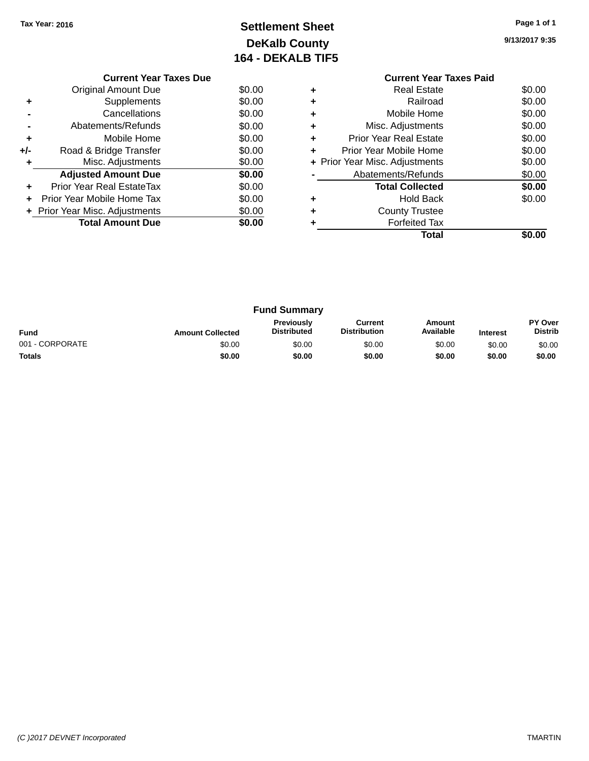### **Settlement Sheet Tax Year: 2016 Page 1 of 1 DeKalb County 164 - DEKALB TIF5**

**9/13/2017 9:35**

|     | <b>Current Year Taxes Due</b>  |        |
|-----|--------------------------------|--------|
|     | Original Amount Due            | \$0.00 |
|     | Supplements                    | \$0.00 |
|     | Cancellations                  | \$0.00 |
|     | Abatements/Refunds             | \$0.00 |
| ٠   | Mobile Home                    | \$0.00 |
| +/- | Road & Bridge Transfer         | \$0.00 |
|     | Misc. Adjustments              | \$0.00 |
|     | <b>Adjusted Amount Due</b>     | \$0.00 |
| ÷   | Prior Year Real EstateTax      | \$0.00 |
| ÷   | Prior Year Mobile Home Tax     | \$0.00 |
|     | + Prior Year Misc. Adjustments | \$0.00 |
|     | <b>Total Amount Due</b>        | \$0.00 |
|     |                                |        |

#### **Current Year Taxes Paid +** Real Estate \$0.00 **+** Railroad \$0.00 **+** Mobile Home \$0.00 **+** Misc. Adjustments \$0.00 **+** Prior Year Real Estate \$0.00 **+** Prior Year Mobile Home \$0.00<br> **+** Prior Year Misc. Adjustments \$0.00 **+ Prior Year Misc. Adjustments -** Abatements/Refunds \$0.00 **Total Collected \$0.00 +** Hold Back \$0.00 **+** County Trustee **+** Forfeited Tax **Total \$0.00**

|                 |                         | <b>Fund Summary</b>                     |                                |                     |                 |                           |
|-----------------|-------------------------|-----------------------------------------|--------------------------------|---------------------|-----------------|---------------------------|
| <b>Fund</b>     | <b>Amount Collected</b> | <b>Previously</b><br><b>Distributed</b> | Current<br><b>Distribution</b> | Amount<br>Available | <b>Interest</b> | PY Over<br><b>Distrib</b> |
| 001 - CORPORATE | \$0.00                  | \$0.00                                  | \$0.00                         | \$0.00              | \$0.00          | \$0.00                    |
| <b>Totals</b>   | \$0.00                  | \$0.00                                  | \$0.00                         | \$0.00              | \$0.00          | \$0.00                    |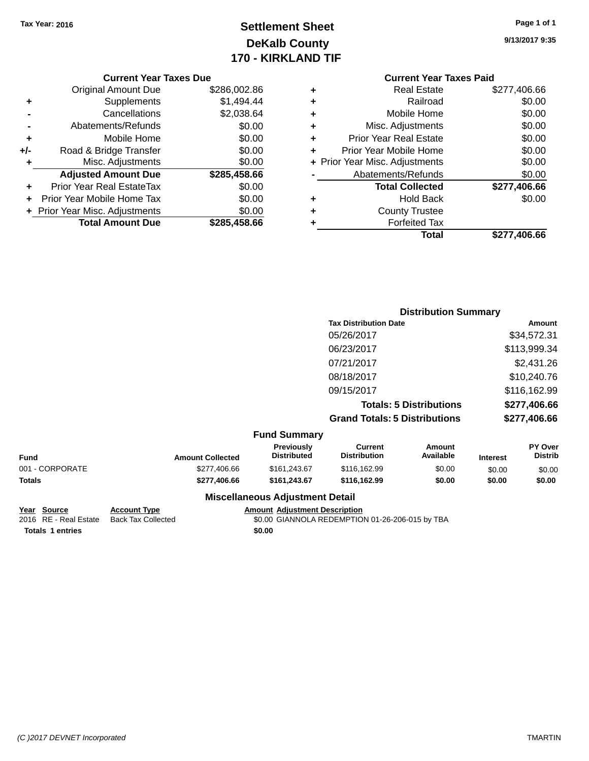## **Settlement Sheet Tax Year: 2016 Page 1 of 1 DeKalb County 170 - KIRKLAND TIF**

**9/13/2017 9:35**

|  | ເes Due |  |  |  |  |
|--|---------|--|--|--|--|
|--|---------|--|--|--|--|

|     | <b>Current Year Taxes Due</b>  |              |
|-----|--------------------------------|--------------|
|     | <b>Original Amount Due</b>     | \$286,002.86 |
| ٠   | Supplements                    | \$1,494.44   |
|     | Cancellations                  | \$2,038.64   |
|     | Abatements/Refunds             | \$0.00       |
| ٠   | Mobile Home                    | \$0.00       |
| +/- | Road & Bridge Transfer         | \$0.00       |
| ٠   | Misc. Adjustments              | \$0.00       |
|     | <b>Adjusted Amount Due</b>     | \$285,458.66 |
| ÷   | Prior Year Real EstateTax      | \$0.00       |
|     | Prior Year Mobile Home Tax     | \$0.00       |
|     | + Prior Year Misc. Adjustments | \$0.00       |
|     | <b>Total Amount Due</b>        | \$285,458,66 |

|   | <b>Current Year Taxes Paid</b> |              |
|---|--------------------------------|--------------|
| ٠ | Real Estate                    | \$277,406.66 |
| ٠ | Railroad                       | \$0.00       |
| ٠ | Mobile Home                    | \$0.00       |
| ٠ | Misc. Adjustments              | \$0.00       |
| ÷ | <b>Prior Year Real Estate</b>  | \$0.00       |
| ÷ | Prior Year Mobile Home         | \$0.00       |
|   | + Prior Year Misc. Adjustments | \$0.00       |
|   | Abatements/Refunds             | \$0.00       |
|   | <b>Total Collected</b>         | \$277,406.66 |
| ٠ | Hold Back                      | \$0.00       |
|   | <b>County Trustee</b>          |              |
|   | <b>Forfeited Tax</b>           |              |
|   | Total                          | \$277,406.66 |
|   |                                |              |

|                     | <b>Distribution Summary</b>          |              |
|---------------------|--------------------------------------|--------------|
|                     | <b>Tax Distribution Date</b>         | Amount       |
|                     | 05/26/2017                           | \$34,572.31  |
|                     | 06/23/2017                           | \$113,999.34 |
|                     | 07/21/2017                           | \$2,431.26   |
|                     | 08/18/2017                           | \$10,240.76  |
|                     | 09/15/2017                           | \$116,162.99 |
|                     | <b>Totals: 5 Distributions</b>       | \$277,406.66 |
|                     | <b>Grand Totals: 5 Distributions</b> | \$277,406.66 |
| <b>Fund Summary</b> |                                      |              |

|                 |                         | www.community.com                      |                                |                     |                 |                           |
|-----------------|-------------------------|----------------------------------------|--------------------------------|---------------------|-----------------|---------------------------|
| Fund            | <b>Amount Collected</b> | Previously<br><b>Distributed</b>       | Current<br><b>Distribution</b> | Amount<br>Available | <b>Interest</b> | PY Over<br><b>Distrib</b> |
| 001 - CORPORATE | \$277.406.66            | \$161,243.67                           | \$116,162.99                   | \$0.00              | \$0.00          | \$0.00                    |
| Totals          | \$277.406.66            | \$161.243.67                           | \$116,162.99                   | \$0.00              | \$0.00          | \$0.00                    |
|                 |                         | <b>Miscellaneous Adjustment Detail</b> |                                |                     |                 |                           |

**Totals 1 entries** \$0.00

**Year Source Account Type Amount Adjustment Description** \$0.00 GIANNOLA REDEMPTION 01-26-206-015 by TBA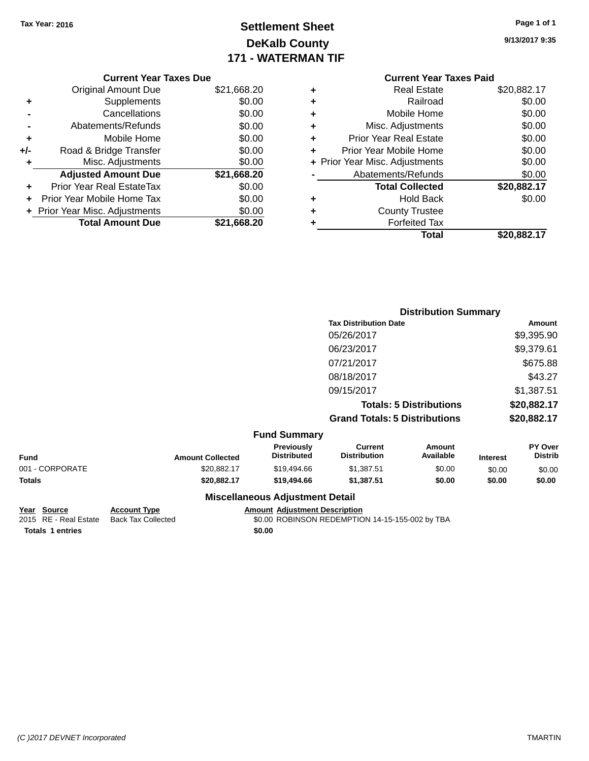## **Settlement Sheet Tax Year: 2016 Page 1 of 1 DeKalb County 171 - WATERMAN TIF**

**9/13/2017 9:35**

| axes Due    |   | <b>Current Year Taxes Paid</b> |             |
|-------------|---|--------------------------------|-------------|
| \$21,668.20 | ٠ | <b>Real Estate</b>             | \$20,882.17 |
| \$0.00      | ٠ | Railroad                       | \$0.00      |
| \$0.00      | ٠ | Mobile Home                    | \$0.00      |
| \$0.00      | ٠ | Misc. Adjustments              | \$0.00      |
| \$0.00      | ÷ | <b>Prior Year Real Estate</b>  | \$0.00      |
| \$0.00      | ٠ | Prior Year Mobile Home         | \$0.00      |
| \$0.00      |   | + Prior Year Misc. Adjustments | \$0.00      |
| \$21,668.20 |   | Abatements/Refunds             | \$0.00      |
| \$0.00      |   | <b>Total Collected</b>         | \$20,882.17 |
| \$0.00      | ٠ | <b>Hold Back</b>               | \$0.00      |
| \$0.00      | ٠ | <b>County Trustee</b>          |             |
| \$21,668.20 | ٠ | <b>Forfeited Tax</b>           |             |
|             |   | Total                          | \$20,882.17 |

#### **Current Year Ta**

|     | <b>Original Amount Due</b>     | \$21,668.20 |
|-----|--------------------------------|-------------|
| ٠   | Supplements                    | \$0.00      |
|     | Cancellations                  | \$0.00      |
|     | Abatements/Refunds             | \$0.00      |
| ٠   | Mobile Home                    | \$0.00      |
| +/- | Road & Bridge Transfer         | \$0.00      |
| ٠   | Misc. Adjustments              | \$0.00      |
|     | <b>Adjusted Amount Due</b>     | \$21,668.20 |
|     | Prior Year Real EstateTax      | \$0.00      |
|     | Prior Year Mobile Home Tax     | \$0.00      |
|     | + Prior Year Misc. Adjustments | \$0.00      |
|     | <b>Total Amount Due</b>        | \$21.668.20 |

| <b>Distribution Summary</b>          |             |
|--------------------------------------|-------------|
| <b>Tax Distribution Date</b>         | Amount      |
| 05/26/2017                           | \$9,395.90  |
| 06/23/2017                           | \$9,379.61  |
| 07/21/2017                           | \$675.88    |
| 08/18/2017                           | \$43.27     |
| 09/15/2017                           | \$1,387.51  |
| <b>Totals: 5 Distributions</b>       | \$20,882.17 |
| <b>Grand Totals: 5 Distributions</b> | \$20,882.17 |

|                 |                         | <b>Fund Summary</b>                     |                                |                     |                 |                           |
|-----------------|-------------------------|-----------------------------------------|--------------------------------|---------------------|-----------------|---------------------------|
| Fund            | <b>Amount Collected</b> | <b>Previously</b><br><b>Distributed</b> | Current<br><b>Distribution</b> | Amount<br>Available | <b>Interest</b> | PY Over<br><b>Distrib</b> |
| 001 - CORPORATE | \$20,882.17             | \$19.494.66                             | \$1.387.51                     | \$0.00              | \$0.00          | \$0.00                    |
| <b>Totals</b>   | \$20,882.17             | \$19,494.66                             | \$1.387.51                     | \$0.00              | \$0.00          | \$0.00                    |
|                 |                         | <b>Miscellaneous Adjustment Detail</b>  |                                |                     |                 |                           |

**Totals 1 entries** \$0.00

**Year Source Account Type Amount Adjustment Description**

\$0.00 ROBINSON REDEMPTION 14-15-155-002 by TBA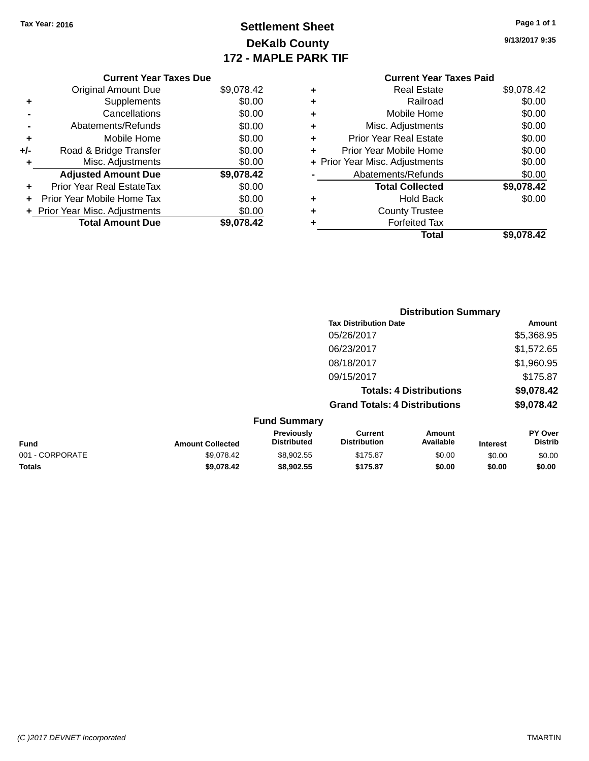## **Settlement Sheet Tax Year: 2016 Page 1 of 1 DeKalb County 172 - MAPLE PARK TIF**

**9/13/2017 9:35**

| <b>Current Year Taxes Paid</b> |            |
|--------------------------------|------------|
| Real Estate                    | \$9,078.42 |
| Railroad                       | \$0.00     |
| Mobile Home                    | \$0.00     |
| Misc. Adjustments              | \$0.00     |
| <b>Prior Year Real Estate</b>  | \$0.00     |
| Prior Year Mobile Home         | \$0.00     |
| + Prior Year Misc. Adjustments | \$0.00     |
| Abatements/Refunds             | \$0.00     |
| <b>Total Collected</b>         | \$9,078.42 |
| <b>Hold Back</b>               | \$0.00     |
| <b>County Trustee</b>          |            |
| <b>Forfeited Tax</b>           |            |
| Total                          | \$9,078.42 |
|                                |            |

|     | <b>Current Year Taxes Due</b>  |            |
|-----|--------------------------------|------------|
|     | <b>Original Amount Due</b>     | \$9,078.42 |
| ٠   | Supplements                    | \$0.00     |
|     | Cancellations                  | \$0.00     |
|     | Abatements/Refunds             | \$0.00     |
| ٠   | Mobile Home                    | \$0.00     |
| +/- | Road & Bridge Transfer         | \$0.00     |
| ٠   | Misc. Adjustments              | \$0.00     |
|     | <b>Adjusted Amount Due</b>     | \$9,078.42 |
|     | Prior Year Real EstateTax      | \$0.00     |
|     | Prior Year Mobile Home Tax     | \$0.00     |
|     | + Prior Year Misc. Adjustments | \$0.00     |
|     | <b>Total Amount Due</b>        | \$9,078.42 |
|     |                                |            |

|                 |                         |                                  |                                       | <b>Distribution Summary</b>    |                 |                           |
|-----------------|-------------------------|----------------------------------|---------------------------------------|--------------------------------|-----------------|---------------------------|
|                 |                         |                                  | <b>Tax Distribution Date</b>          |                                |                 | Amount                    |
|                 |                         |                                  | 05/26/2017                            |                                |                 | \$5,368.95                |
|                 |                         |                                  | 06/23/2017                            |                                |                 | \$1,572.65                |
|                 |                         |                                  | 08/18/2017                            |                                |                 | \$1,960.95                |
|                 |                         |                                  | 09/15/2017                            |                                |                 | \$175.87                  |
|                 |                         |                                  |                                       | <b>Totals: 4 Distributions</b> |                 | \$9,078.42                |
|                 |                         |                                  | <b>Grand Totals: 4 Distributions</b>  |                                |                 | \$9,078.42                |
|                 |                         | <b>Fund Summary</b>              |                                       |                                |                 |                           |
| <b>Fund</b>     | <b>Amount Collected</b> | Previously<br><b>Distributed</b> | <b>Current</b><br><b>Distribution</b> | Amount<br>Available            | <b>Interest</b> | PY Over<br><b>Distrib</b> |
| 001 - CORPORATE | \$9.078.42              | \$8.902.55                       | \$175.87                              | \$0.00                         | \$0.00          | \$0.00                    |

**Totals \$9,078.42 \$8,902.55 \$175.87 \$0.00 \$0.00 \$0.00**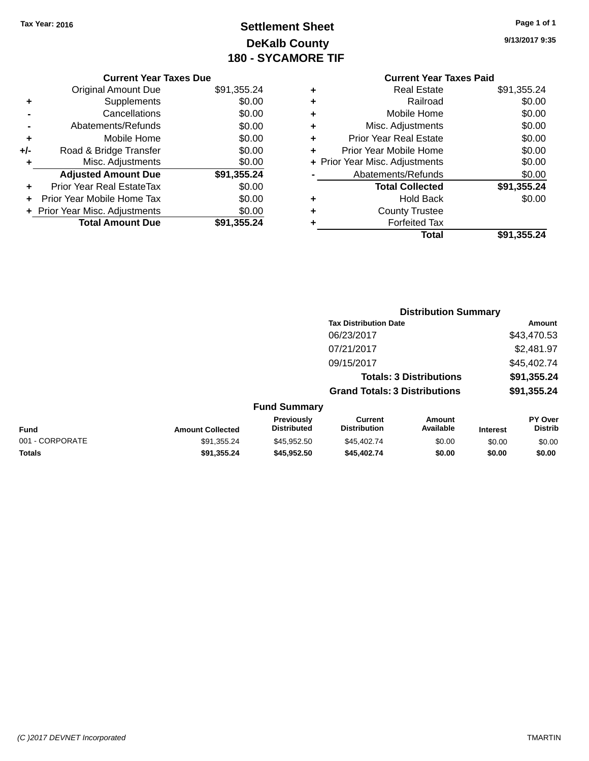## **Settlement Sheet Tax Year: 2016 Page 1 of 1 DeKalb County 180 - SYCAMORE TIF**

**9/13/2017 9:35**

|     | <b>Current Year Taxes Due</b>    |             |   | <b>Current Year Taxes Paid</b> |             |
|-----|----------------------------------|-------------|---|--------------------------------|-------------|
|     | Original Amount Due              | \$91,355.24 | ٠ | <b>Real Estate</b>             | \$91,355.24 |
|     | Supplements                      | \$0.00      |   | Railroad                       | \$0.00      |
|     | Cancellations                    | \$0.00      | ٠ | Mobile Home                    | \$0.00      |
|     | Abatements/Refunds               | \$0.00      | ٠ | Misc. Adjustments              | \$0.00      |
| ٠   | Mobile Home                      | \$0.00      | ÷ | <b>Prior Year Real Estate</b>  | \$0.00      |
| +/- | Road & Bridge Transfer           | \$0.00      |   | Prior Year Mobile Home         | \$0.00      |
|     | Misc. Adjustments                | \$0.00      |   | + Prior Year Misc. Adjustments | \$0.00      |
|     | <b>Adjusted Amount Due</b>       | \$91,355.24 |   | Abatements/Refunds             | \$0.00      |
| ٠   | <b>Prior Year Real EstateTax</b> | \$0.00      |   | <b>Total Collected</b>         | \$91,355.24 |
| ÷.  | Prior Year Mobile Home Tax       | \$0.00      | ٠ | <b>Hold Back</b>               | \$0.00      |
|     | + Prior Year Misc. Adjustments   | \$0.00      |   | <b>County Trustee</b>          |             |
|     | <b>Total Amount Due</b>          | \$91,355.24 |   | <b>Forfeited Tax</b>           |             |
|     |                                  |             |   | Total                          | \$91,355.24 |

| \$91,355.24 |
|-------------|

**Distribution Summary**

|                 |                         |                                         | <b>Tax Distribution Date</b>          |                                |                 | <b>Amount</b>             |
|-----------------|-------------------------|-----------------------------------------|---------------------------------------|--------------------------------|-----------------|---------------------------|
|                 |                         |                                         | 06/23/2017                            |                                |                 | \$43,470.53               |
|                 |                         |                                         | 07/21/2017                            |                                |                 | \$2,481.97                |
|                 |                         |                                         | 09/15/2017                            |                                |                 | \$45,402.74               |
|                 |                         |                                         |                                       | <b>Totals: 3 Distributions</b> |                 | \$91,355.24               |
|                 |                         |                                         | <b>Grand Totals: 3 Distributions</b>  |                                |                 | \$91,355.24               |
|                 |                         | <b>Fund Summary</b>                     |                                       |                                |                 |                           |
| <b>Fund</b>     | <b>Amount Collected</b> | <b>Previously</b><br><b>Distributed</b> | <b>Current</b><br><b>Distribution</b> | Amount<br>Available            | <b>Interest</b> | PY Over<br><b>Distrib</b> |
| 001 - CORPORATE | \$91,355.24             | \$45.952.50                             | \$45,402.74                           | \$0.00                         | \$0.00          | \$0.00                    |
| <b>Totals</b>   | \$91,355.24             | \$45,952.50                             | \$45,402.74                           | \$0.00                         | \$0.00          | \$0.00                    |
|                 |                         |                                         |                                       |                                |                 |                           |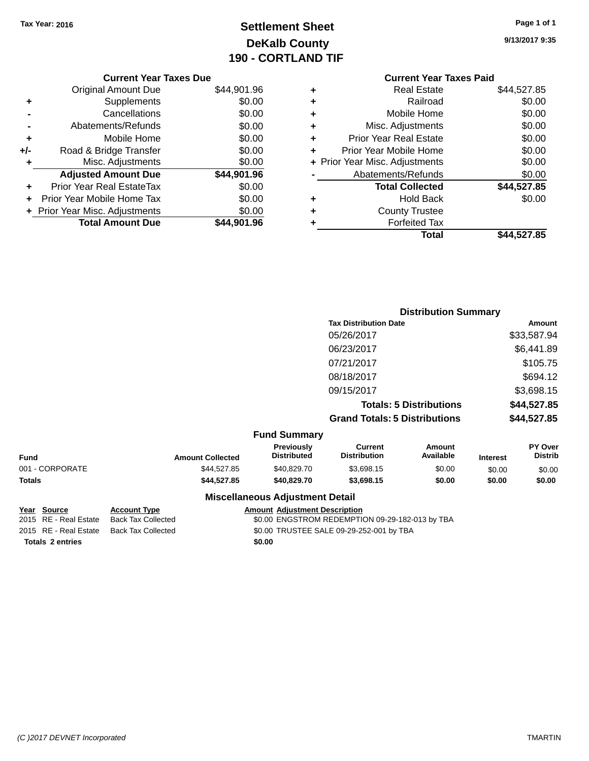## **Settlement Sheet Tax Year: 2016 Page 1 of 1 DeKalb County 190 - CORTLAND TIF**

|       | <b>Current Year Taxes Due</b>  |             |
|-------|--------------------------------|-------------|
|       | <b>Original Amount Due</b>     | \$44,901.96 |
| ٠     | Supplements                    | \$0.00      |
|       | Cancellations                  | \$0.00      |
|       | Abatements/Refunds             | \$0.00      |
| ٠     | Mobile Home                    | \$0.00      |
| $+/-$ | Road & Bridge Transfer         | \$0.00      |
| ٠     | Misc. Adjustments              | \$0.00      |
|       | <b>Adjusted Amount Due</b>     | \$44,901.96 |
| ÷     | Prior Year Real EstateTax      | \$0.00      |
|       | Prior Year Mobile Home Tax     | \$0.00      |
|       | + Prior Year Misc. Adjustments | \$0.00      |
|       | <b>Total Amount Due</b>        | \$44,901.96 |

#### **Current Year Taxes Paid +** Real Estate \$44,527.85 **+** Railroad \$0.00 **+** Mobile Home \$0.00 **+** Misc. Adjustments \$0.00 **+** Prior Year Real Estate \$0.00 **+** Prior Year Mobile Home \$0.00 **+ Prior Year Misc. Adjustments**  $$0.00$ Abatements/Refunds \$0.00 **Total Collected \$44,527.85 +** Hold Back \$0.00 **+** County Trustee **+** Forfeited Tax **Total \$44,527.85**

| <b>Distribution Summary</b>          |             |
|--------------------------------------|-------------|
| <b>Tax Distribution Date</b>         | Amount      |
| 05/26/2017                           | \$33,587.94 |
| 06/23/2017                           | \$6,441.89  |
| 07/21/2017                           | \$105.75    |
| 08/18/2017                           | \$694.12    |
| 09/15/2017                           | \$3,698.15  |
| <b>Totals: 5 Distributions</b>       | \$44,527.85 |
| <b>Grand Totals: 5 Distributions</b> | \$44,527.85 |
|                                      |             |

|                 |                         | <b>Fund Summary</b>                    |                                |                     |                 |                           |
|-----------------|-------------------------|----------------------------------------|--------------------------------|---------------------|-----------------|---------------------------|
| <b>Fund</b>     | <b>Amount Collected</b> | Previously<br><b>Distributed</b>       | Current<br><b>Distribution</b> | Amount<br>Available | <b>Interest</b> | PY Over<br><b>Distrib</b> |
| 001 - CORPORATE | \$44.527.85             | \$40,829.70                            | \$3.698.15                     | \$0.00              | \$0.00          | \$0.00                    |
| Totals          | \$44,527.85             | \$40,829,70                            | \$3,698.15                     | \$0.00              | \$0.00          | \$0.00                    |
|                 |                         | <b>Miscellaneous Adjustment Detail</b> |                                |                     |                 |                           |

**Year Source Account Type Amount Adjustment Description** 2015 RE - Real Estate Back Tax Collected \$0.00 ENGSTROM REDEMPTION 09-29-182-013 by TBA 2015 RE - Real Estate Back Tax Collected \$0.00 TRUSTEE SALE 09-29-252-001 by TBA

**Totals \$0.00 2 entries**

**9/13/2017 9:35**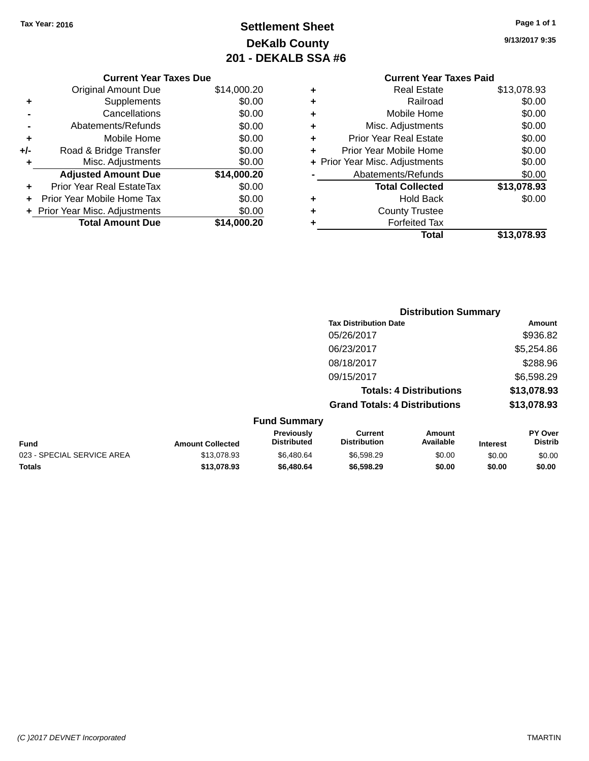## **Settlement Sheet Tax Year: 2016 Page 1 of 1 DeKalb County 201 - DEKALB SSA #6**

|       | <b>Current Year Taxes Due</b> |             |
|-------|-------------------------------|-------------|
|       | <b>Original Amount Due</b>    | \$14,000.20 |
| ٠     | Supplements                   | \$0.00      |
|       | Cancellations                 | \$0.00      |
|       | Abatements/Refunds            | \$0.00      |
| ٠     | Mobile Home                   | \$0.00      |
| $+/-$ | Road & Bridge Transfer        | \$0.00      |
| ٠     | Misc. Adjustments             | \$0.00      |
|       | <b>Adjusted Amount Due</b>    | \$14,000.20 |
|       | Prior Year Real EstateTax     | \$0.00      |
|       | Prior Year Mobile Home Tax    | \$0.00      |
|       | Prior Year Misc. Adjustments  | \$0.00      |
|       | <b>Total Amount Due</b>       | \$14.000.20 |

#### **Current Year Taxes Paid +** Real Estate \$13,078.93 **+** Railroad \$0.00<br>▲ Mobile Home \$0.00 **+** Mobile Home

| Ŧ | <u>INIODIIE I IUITIE</u>       | ou.uu       |
|---|--------------------------------|-------------|
| ÷ | Misc. Adjustments              | \$0.00      |
| ÷ | <b>Prior Year Real Estate</b>  | \$0.00      |
|   | Prior Year Mobile Home         | \$0.00      |
|   | + Prior Year Misc. Adjustments | \$0.00      |
|   | Abatements/Refunds             | \$0.00      |
|   | <b>Total Collected</b>         | \$13,078.93 |
| ٠ | <b>Hold Back</b>               | \$0.00      |
| ÷ | <b>County Trustee</b>          |             |
|   |                                |             |
| ÷ | <b>Forfeited Tax</b>           |             |
|   | Total                          | \$13,078.93 |

|                     | <b>Distribution Summary</b>          |             |
|---------------------|--------------------------------------|-------------|
|                     | <b>Tax Distribution Date</b>         | Amount      |
|                     | 05/26/2017                           | \$936.82    |
|                     | 06/23/2017                           | \$5,254.86  |
|                     | 08/18/2017                           | \$288.96    |
|                     | 09/15/2017                           | \$6,598.29  |
|                     | <b>Totals: 4 Distributions</b>       | \$13,078.93 |
|                     | <b>Grand Totals: 4 Distributions</b> | \$13,078.93 |
| <b>Fund Summary</b> |                                      |             |

| <b>Amount Collected</b> | <b>Previously</b><br><b>Distributed</b> | Current<br><b>Distribution</b> | Amount<br>Available | <b>Interest</b> | <b>PY Over</b><br><b>Distrib</b> |
|-------------------------|-----------------------------------------|--------------------------------|---------------------|-----------------|----------------------------------|
| \$13,078.93             | \$6.480.64                              | \$6,598,29                     | \$0.00              | \$0.00          | \$0.00                           |
| \$13,078.93             | \$6,480.64                              | \$6,598,29                     | \$0.00              | \$0.00          | \$0.00                           |
|                         |                                         | .                              |                     |                 |                                  |

**9/13/2017 9:35**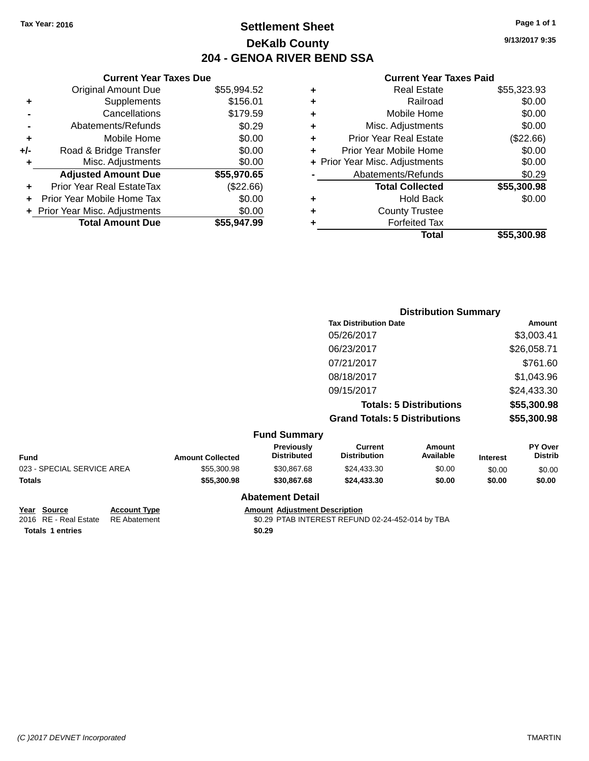### **Settlement Sheet Tax Year: 2016 Page 1 of 1 DeKalb County 204 - GENOA RIVER BEND SSA**

**9/13/2017 9:35**

#### **Current Year Taxes Paid**

| ٠ | <b>Real Estate</b>             | \$55,323.93 |
|---|--------------------------------|-------------|
| ٠ | Railroad                       | \$0.00      |
| ٠ | Mobile Home                    | \$0.00      |
| ٠ | Misc. Adjustments              | \$0.00      |
| ٠ | <b>Prior Year Real Estate</b>  | (\$22.66)   |
| ٠ | Prior Year Mobile Home         | \$0.00      |
|   | + Prior Year Misc. Adjustments | \$0.00      |
|   | Abatements/Refunds             | \$0.29      |
|   | <b>Total Collected</b>         | \$55,300.98 |
| ٠ | <b>Hold Back</b>               | \$0.00      |
| ٠ | <b>County Trustee</b>          |             |
|   | <b>Forfeited Tax</b>           |             |
|   | Total                          | \$55.300.98 |
|   |                                |             |

|     | <b>Current Year Taxes Due</b>  |             |
|-----|--------------------------------|-------------|
|     | <b>Original Amount Due</b>     | \$55,994.52 |
| ٠   | Supplements                    | \$156.01    |
|     | Cancellations                  | \$179.59    |
|     | Abatements/Refunds             | \$0.29      |
| ٠   | Mobile Home                    | \$0.00      |
| +/- | Road & Bridge Transfer         | \$0.00      |
| ٠   | Misc. Adjustments              | \$0.00      |
|     | <b>Adjusted Amount Due</b>     | \$55,970.65 |
| ٠   | Prior Year Real EstateTax      | (\$22.66)   |
|     | Prior Year Mobile Home Tax     | \$0.00      |
|     | + Prior Year Misc. Adjustments | \$0.00      |
|     | <b>Total Amount Due</b>        | \$55.947.99 |
|     |                                |             |

|                 | <b>Distribution Summary</b>          |             |
|-----------------|--------------------------------------|-------------|
|                 | <b>Tax Distribution Date</b>         | Amount      |
|                 | 05/26/2017                           | \$3,003.41  |
|                 | 06/23/2017                           | \$26,058.71 |
|                 | 07/21/2017                           | \$761.60    |
|                 | 08/18/2017                           | \$1,043.96  |
|                 | 09/15/2017                           | \$24,433.30 |
|                 | <b>Totals: 5 Distributions</b>       | \$55,300.98 |
|                 | <b>Grand Totals: 5 Distributions</b> | \$55,300.98 |
| $E$ und Cummoni |                                      |             |

|                            |                         | <b>Fund Summary</b>                     |                                |                     |                 |                                  |
|----------------------------|-------------------------|-----------------------------------------|--------------------------------|---------------------|-----------------|----------------------------------|
| <b>Fund</b>                | <b>Amount Collected</b> | <b>Previously</b><br><b>Distributed</b> | Current<br><b>Distribution</b> | Amount<br>Available | <b>Interest</b> | <b>PY Over</b><br><b>Distrib</b> |
| 023 - SPECIAL SERVICE AREA | \$55,300.98             | \$30.867.68                             | \$24,433.30                    | \$0.00              | \$0.00          | \$0.00                           |
| Totals                     | \$55,300.98             | \$30,867,68                             | \$24,433,30                    | \$0.00              | \$0.00          | \$0.00                           |
|                            |                         | <b>Abatement Detail</b>                 |                                |                     |                 |                                  |

**Totals \$0.29 1 entries**

**Year Source Account Type Amount Adjustment Description**<br>2016 RE - Real Estate RE Abatement \$0.29 PTAB INTEREST REFUN \$0.29 PTAB INTEREST REFUND 02-24-452-014 by TBA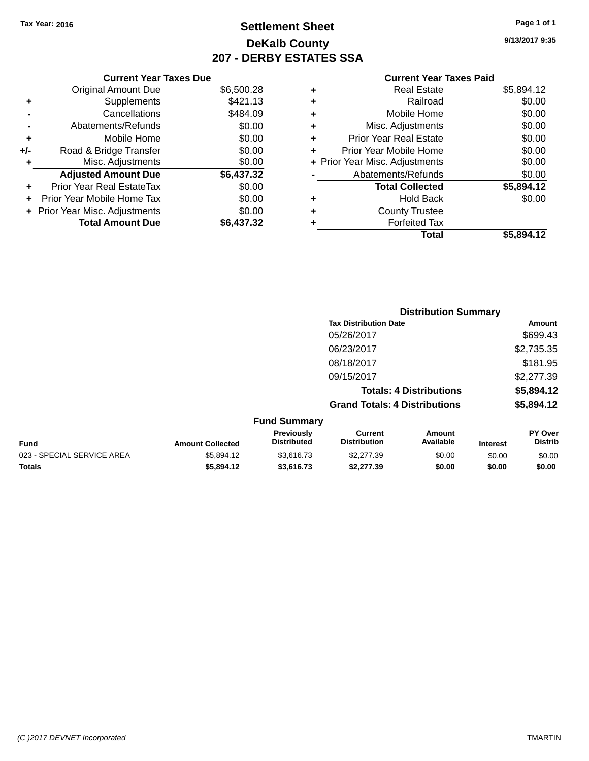### **Settlement Sheet Tax Year: 2016 Page 1 of 1 DeKalb County 207 - DERBY ESTATES SSA**

**9/13/2017 9:35**

|     | <b>Current Year Taxes Due</b>  |            |
|-----|--------------------------------|------------|
|     | <b>Original Amount Due</b>     | \$6,500.28 |
| ٠   | Supplements                    | \$421.13   |
|     | Cancellations                  | \$484.09   |
|     | Abatements/Refunds             | \$0.00     |
| ٠   | Mobile Home                    | \$0.00     |
| +/- | Road & Bridge Transfer         | \$0.00     |
|     | Misc. Adjustments              | \$0.00     |
|     | <b>Adjusted Amount Due</b>     | \$6,437.32 |
| ÷   | Prior Year Real EstateTax      | \$0.00     |
|     | Prior Year Mobile Home Tax     | \$0.00     |
|     | + Prior Year Misc. Adjustments | \$0.00     |
|     | <b>Total Amount Due</b>        | \$6,437.32 |

|   | <b>Real Estate</b>             | \$5,894.12 |
|---|--------------------------------|------------|
| ٠ | Railroad                       | \$0.00     |
| ٠ | Mobile Home                    | \$0.00     |
| ٠ | Misc. Adjustments              | \$0.00     |
| ٠ | <b>Prior Year Real Estate</b>  | \$0.00     |
| ÷ | Prior Year Mobile Home         | \$0.00     |
|   | + Prior Year Misc. Adjustments | \$0.00     |
|   | Abatements/Refunds             | \$0.00     |
|   | <b>Total Collected</b>         | \$5,894.12 |
| ٠ | <b>Hold Back</b>               | \$0.00     |
|   | <b>County Trustee</b>          |            |
| ٠ | <b>Forfeited Tax</b>           |            |
|   | Total                          | \$5,894.12 |
|   |                                |            |

|                            |                         |                                  |                                      | <b>Distribution Summary</b>    |                 |                           |
|----------------------------|-------------------------|----------------------------------|--------------------------------------|--------------------------------|-----------------|---------------------------|
|                            |                         |                                  | <b>Tax Distribution Date</b>         |                                |                 | Amount                    |
|                            |                         |                                  | 05/26/2017                           |                                |                 | \$699.43                  |
|                            |                         |                                  | 06/23/2017                           |                                |                 | \$2,735.35                |
|                            |                         |                                  | 08/18/2017                           |                                |                 | \$181.95                  |
|                            |                         |                                  | 09/15/2017                           |                                |                 | \$2,277.39                |
|                            |                         |                                  |                                      | <b>Totals: 4 Distributions</b> |                 | \$5,894.12                |
|                            |                         |                                  | <b>Grand Totals: 4 Distributions</b> |                                |                 | \$5,894.12                |
|                            |                         | <b>Fund Summary</b>              |                                      |                                |                 |                           |
| <b>Fund</b>                | <b>Amount Collected</b> | Previously<br><b>Distributed</b> | Current<br><b>Distribution</b>       | Amount<br>Available            | <b>Interest</b> | PY Over<br><b>Distrib</b> |
| 023 - SPECIAL SERVICE AREA | \$5,894.12              | \$3,616.73                       | \$2,277.39                           | \$0.00                         | \$0.00          | \$0.00                    |
| <b>Totals</b>              | \$5,894.12              | \$3,616.73                       | \$2,277.39                           | \$0.00                         | \$0.00          | \$0.00                    |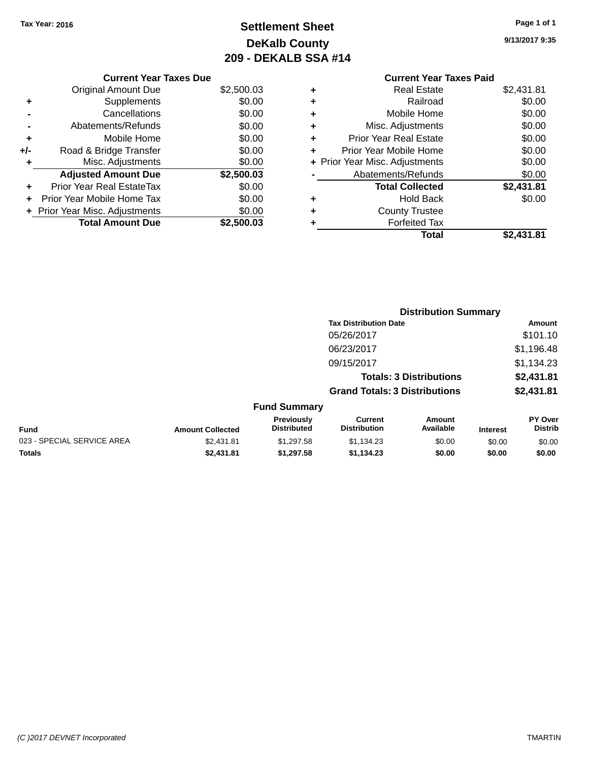### **Settlement Sheet Tax Year: 2016 Page 1 of 1 DeKalb County 209 - DEKALB SSA #14**

**9/13/2017 9:35**

#### **Current Year Taxes Paid +** Real Estate \$2,431.81 **+** Railroad \$0.00 **+** Mobile Home \$0.00 **+** Misc. Adjustments \$0.00 **+** Prior Year Real Estate \$0.00 **+** Prior Year Mobile Home \$0.00 **+ Prior Year Misc. Adjustments**  $$0.00$ **-** Abatements/Refunds \$0.00 **Total Collected \$2,431.81 +** Hold Back \$0.00 **+** County Trustee **+** Forfeited Tax **Total \$2,431.81**

**Distribution Summary**

|     | <b>Current Year Taxes Due</b>  |            |
|-----|--------------------------------|------------|
|     | <b>Original Amount Due</b>     | \$2,500.03 |
| ٠   | Supplements                    | \$0.00     |
|     | Cancellations                  | \$0.00     |
|     | Abatements/Refunds             | \$0.00     |
| ٠   | Mobile Home                    | \$0.00     |
| +/- | Road & Bridge Transfer         | \$0.00     |
| ٠   | Misc. Adjustments              | \$0.00     |
|     | <b>Adjusted Amount Due</b>     | \$2,500.03 |
|     | Prior Year Real EstateTax      | \$0.00     |
|     | Prior Year Mobile Home Tax     | \$0.00     |
|     | + Prior Year Misc. Adjustments | \$0.00     |
|     | <b>Total Amount Due</b>        | \$2.500.03 |

|                            |                         |                                  | <b>Tax Distribution Date</b>          |                                |                 | Amount                    |
|----------------------------|-------------------------|----------------------------------|---------------------------------------|--------------------------------|-----------------|---------------------------|
|                            |                         |                                  | 05/26/2017                            |                                |                 | \$101.10                  |
|                            |                         |                                  | 06/23/2017                            |                                |                 | \$1,196.48                |
|                            |                         |                                  | 09/15/2017                            |                                |                 | \$1,134.23                |
|                            |                         |                                  |                                       | <b>Totals: 3 Distributions</b> |                 | \$2,431.81                |
|                            |                         |                                  | <b>Grand Totals: 3 Distributions</b>  |                                | \$2,431.81      |                           |
|                            |                         | <b>Fund Summary</b>              |                                       |                                |                 |                           |
| <b>Fund</b>                | <b>Amount Collected</b> | Previously<br><b>Distributed</b> | <b>Current</b><br><b>Distribution</b> | Amount<br>Available            | <b>Interest</b> | PY Over<br><b>Distrib</b> |
| 023 - SPECIAL SERVICE AREA | \$2,431.81              | \$1,297.58                       | \$1,134.23                            | \$0.00                         | \$0.00          | \$0.00                    |
| <b>Totals</b>              | \$2,431.81              | \$1,297.58                       | \$1,134.23                            | \$0.00                         | \$0.00          | \$0.00                    |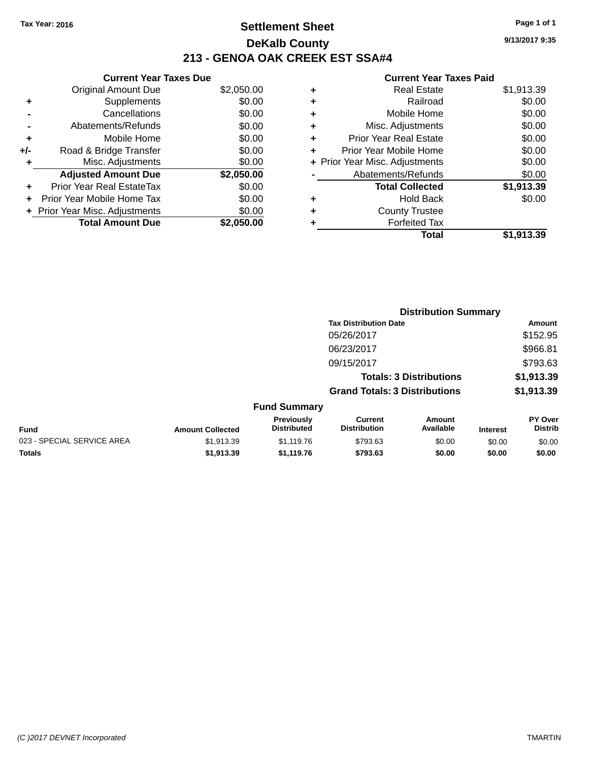### **Settlement Sheet Tax Year: 2016 Page 1 of 1 DeKalb County 213 - GENOA OAK CREEK EST SSA#4**

**9/13/2017 9:35**

|     | <b>Current Year Taxes Due</b>  |            |
|-----|--------------------------------|------------|
|     | <b>Original Amount Due</b>     | \$2,050.00 |
| ٠   | Supplements                    | \$0.00     |
|     | Cancellations                  | \$0.00     |
|     | Abatements/Refunds             | \$0.00     |
| ٠   | Mobile Home                    | \$0.00     |
| +/- | Road & Bridge Transfer         | \$0.00     |
| ٠   | Misc. Adjustments              | \$0.00     |
|     | <b>Adjusted Amount Due</b>     | \$2,050.00 |
| ÷   | Prior Year Real EstateTax      | \$0.00     |
| ÷   | Prior Year Mobile Home Tax     | \$0.00     |
|     | + Prior Year Misc. Adjustments | \$0.00     |
|     | <b>Total Amount Due</b>        | \$2.050.00 |

| ٠ | <b>Real Estate</b>             | \$1,913.39 |
|---|--------------------------------|------------|
| ٠ | Railroad                       | \$0.00     |
| ٠ | Mobile Home                    | \$0.00     |
| ÷ | Misc. Adjustments              | \$0.00     |
| ٠ | <b>Prior Year Real Estate</b>  | \$0.00     |
|   | Prior Year Mobile Home         | \$0.00     |
|   | + Prior Year Misc. Adjustments | \$0.00     |
|   | Abatements/Refunds             | \$0.00     |
|   | <b>Total Collected</b>         | \$1,913.39 |
| ٠ | <b>Hold Back</b>               | \$0.00     |
| ٠ | <b>County Trustee</b>          |            |
| ٠ | <b>Forfeited Tax</b>           |            |
|   | Total                          | \$1,913.39 |
|   |                                |            |

|                            |                         |                                  | <b>Distribution Summary</b>           |                                |                 |                           |  |
|----------------------------|-------------------------|----------------------------------|---------------------------------------|--------------------------------|-----------------|---------------------------|--|
|                            |                         |                                  | <b>Tax Distribution Date</b>          |                                |                 | <b>Amount</b>             |  |
|                            |                         |                                  | 05/26/2017                            |                                |                 | \$152.95                  |  |
|                            |                         |                                  | 06/23/2017                            |                                |                 | \$966.81                  |  |
|                            |                         |                                  | 09/15/2017                            |                                |                 | \$793.63                  |  |
|                            |                         |                                  |                                       | <b>Totals: 3 Distributions</b> |                 | \$1,913.39                |  |
|                            |                         |                                  | <b>Grand Totals: 3 Distributions</b>  |                                |                 | \$1,913.39                |  |
|                            |                         | <b>Fund Summary</b>              |                                       |                                |                 |                           |  |
| <b>Fund</b>                | <b>Amount Collected</b> | Previously<br><b>Distributed</b> | <b>Current</b><br><b>Distribution</b> | Amount<br>Available            | <b>Interest</b> | PY Over<br><b>Distrib</b> |  |
| 023 - SPECIAL SERVICE AREA | \$1,913.39              | \$1,119.76                       | \$793.63                              | \$0.00                         | \$0.00          | \$0.00                    |  |
| <b>Totals</b>              | \$1,913.39              | \$1,119.76                       | \$793.63                              | \$0.00                         | \$0.00          | \$0.00                    |  |
|                            |                         |                                  |                                       |                                |                 |                           |  |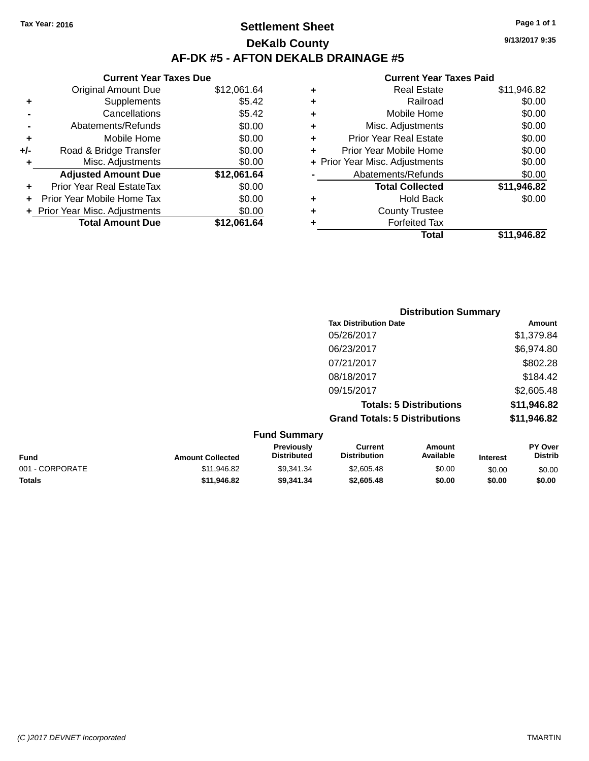### **Settlement Sheet Tax Year: 2016 Page 1 of 1 DeKalb County AF-DK #5 - AFTON DEKALB DRAINAGE #5**

|     | <b>Current Year Taxes Due</b>    |             |  |  |  |  |
|-----|----------------------------------|-------------|--|--|--|--|
|     | <b>Original Amount Due</b>       | \$12,061.64 |  |  |  |  |
| ٠   | Supplements                      | \$5.42      |  |  |  |  |
|     | Cancellations                    | \$5.42      |  |  |  |  |
|     | Abatements/Refunds               | \$0.00      |  |  |  |  |
| ٠   | Mobile Home                      | \$0.00      |  |  |  |  |
| +/- | Road & Bridge Transfer           | \$0.00      |  |  |  |  |
| ٠   | Misc. Adjustments                | \$0.00      |  |  |  |  |
|     | <b>Adjusted Amount Due</b>       | \$12,061.64 |  |  |  |  |
| ÷   | <b>Prior Year Real EstateTax</b> | \$0.00      |  |  |  |  |
|     | Prior Year Mobile Home Tax       | \$0.00      |  |  |  |  |
|     | + Prior Year Misc. Adjustments   | \$0.00      |  |  |  |  |
|     | <b>Total Amount Due</b>          | \$12,061.64 |  |  |  |  |

|   | <b>Real Estate</b>             | \$11,946.82 |
|---|--------------------------------|-------------|
| ٠ | Railroad                       | \$0.00      |
| ٠ | Mobile Home                    | \$0.00      |
| ٠ | Misc. Adjustments              | \$0.00      |
| ٠ | <b>Prior Year Real Estate</b>  | \$0.00      |
| ٠ | Prior Year Mobile Home         | \$0.00      |
|   | + Prior Year Misc. Adjustments | \$0.00      |
|   | Abatements/Refunds             | \$0.00      |
|   | <b>Total Collected</b>         | \$11,946.82 |
| ٠ | <b>Hold Back</b>               | \$0.00      |
| ٠ | <b>County Trustee</b>          |             |
| ٠ | <b>Forfeited Tax</b>           |             |
|   | Total                          | \$11,946.82 |
|   |                                |             |

| <b>Distribution Summary</b>          |             |
|--------------------------------------|-------------|
| <b>Tax Distribution Date</b>         | Amount      |
| 05/26/2017                           | \$1,379.84  |
| 06/23/2017                           | \$6,974.80  |
| 07/21/2017                           | \$802.28    |
| 08/18/2017                           | \$184.42    |
| 09/15/2017                           | \$2,605.48  |
| <b>Totals: 5 Distributions</b>       | \$11,946.82 |
| <b>Grand Totals: 5 Distributions</b> | \$11,946.82 |

| <b>Fund Summary</b>     |                                  |                                |                     |                 |                                  |  |
|-------------------------|----------------------------------|--------------------------------|---------------------|-----------------|----------------------------------|--|
| <b>Amount Collected</b> | Previously<br><b>Distributed</b> | Current<br><b>Distribution</b> | Amount<br>Available | <b>Interest</b> | <b>PY Over</b><br><b>Distrib</b> |  |
| \$11,946.82             | \$9.341.34                       | \$2,605.48                     | \$0.00              | \$0.00          | \$0.00                           |  |
| \$11.946.82             | \$9,341,34                       | \$2,605.48                     | \$0.00              | \$0.00          | \$0.00                           |  |
|                         |                                  |                                |                     |                 |                                  |  |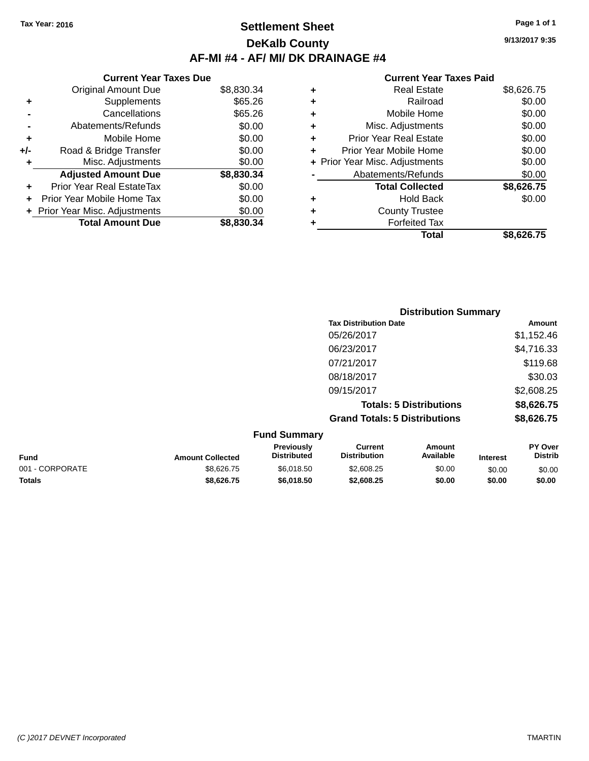### **Settlement Sheet Tax Year: 2016 Page 1 of 1 DeKalb County AF-MI #4 - AF/ MI/ DK DRAINAGE #4**

**9/13/2017 9:35**

|     | <b>Current Year Taxes Due</b>    |            |
|-----|----------------------------------|------------|
|     | <b>Original Amount Due</b>       | \$8,830.34 |
| ٠   | Supplements                      | \$65.26    |
|     | Cancellations                    | \$65.26    |
|     | Abatements/Refunds               | \$0.00     |
| ۰   | Mobile Home                      | \$0.00     |
| +/- | Road & Bridge Transfer           | \$0.00     |
|     | Misc. Adjustments                | \$0.00     |
|     | <b>Adjusted Amount Due</b>       | \$8,830.34 |
| ٠   | <b>Prior Year Real EstateTax</b> | \$0.00     |
|     | Prior Year Mobile Home Tax       | \$0.00     |
|     | + Prior Year Misc. Adjustments   | \$0.00     |
|     | <b>Total Amount Due</b>          | \$8,830.34 |

|   | <b>Real Estate</b>             | \$8,626.75 |
|---|--------------------------------|------------|
| ٠ | Railroad                       | \$0.00     |
| ٠ | Mobile Home                    | \$0.00     |
| ٠ | Misc. Adjustments              | \$0.00     |
| ٠ | <b>Prior Year Real Estate</b>  | \$0.00     |
|   | Prior Year Mobile Home         | \$0.00     |
|   | + Prior Year Misc. Adjustments | \$0.00     |
|   | Abatements/Refunds             | \$0.00     |
|   | <b>Total Collected</b>         | \$8,626.75 |
| ٠ | Hold Back                      | \$0.00     |
|   | <b>County Trustee</b>          |            |
| ٠ | <b>Forfeited Tax</b>           |            |
|   | Total                          | \$8.626.75 |
|   |                                |            |

|          | <b>Distribution Summary</b>          |            |
|----------|--------------------------------------|------------|
|          | <b>Tax Distribution Date</b>         | Amount     |
|          | 05/26/2017                           | \$1,152.46 |
|          | 06/23/2017                           | \$4,716.33 |
|          | 07/21/2017                           | \$119.68   |
|          | 08/18/2017                           | \$30.03    |
|          | 09/15/2017                           | \$2,608.25 |
|          | <b>Totals: 5 Distributions</b>       | \$8,626.75 |
|          | <b>Grand Totals: 5 Distributions</b> | \$8,626.75 |
| F. 1. O. |                                      |            |

| <b>Fund Summary</b> |                         |                                         |                                |                     |                 |                                  |
|---------------------|-------------------------|-----------------------------------------|--------------------------------|---------------------|-----------------|----------------------------------|
| <b>Fund</b>         | <b>Amount Collected</b> | <b>Previously</b><br><b>Distributed</b> | Current<br><b>Distribution</b> | Amount<br>Available | <b>Interest</b> | <b>PY Over</b><br><b>Distrib</b> |
| 001 - CORPORATE     | \$8,626.75              | \$6.018.50                              | \$2,608.25                     | \$0.00              | \$0.00          | \$0.00                           |
| <b>Totals</b>       | \$8,626.75              | \$6,018,50                              | \$2,608.25                     | \$0.00              | \$0.00          | \$0.00                           |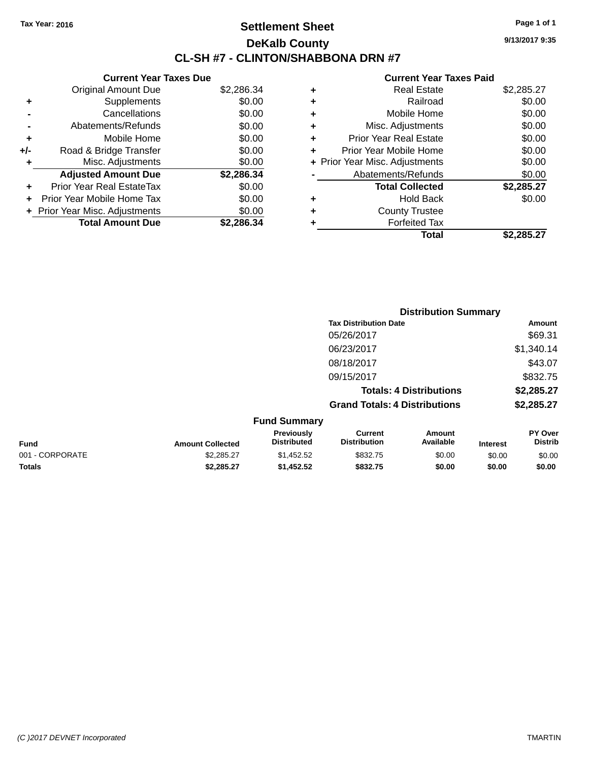### **Settlement Sheet Tax Year: 2016 Page 1 of 1 DeKalb County CL-SH #7 - CLINTON/SHABBONA DRN #7**

**9/13/2017 9:35**

|     | <b>Current Year Taxes Due</b>  |            |
|-----|--------------------------------|------------|
|     | <b>Original Amount Due</b>     | \$2,286.34 |
| ٠   | Supplements                    | \$0.00     |
|     | Cancellations                  | \$0.00     |
|     | Abatements/Refunds             | \$0.00     |
| ٠   | Mobile Home                    | \$0.00     |
| +/- | Road & Bridge Transfer         | \$0.00     |
| ٠   | Misc. Adjustments              | \$0.00     |
|     | <b>Adjusted Amount Due</b>     | \$2,286.34 |
| ٠   | Prior Year Real EstateTax      | \$0.00     |
|     | Prior Year Mobile Home Tax     | \$0.00     |
|     | + Prior Year Misc. Adjustments | \$0.00     |
|     | <b>Total Amount Due</b>        | \$2.286.34 |

| ٠ | <b>Real Estate</b>             | \$2,285.27 |
|---|--------------------------------|------------|
| ٠ | Railroad                       | \$0.00     |
| ٠ | Mobile Home                    | \$0.00     |
| ٠ | Misc. Adjustments              | \$0.00     |
| ÷ | <b>Prior Year Real Estate</b>  | \$0.00     |
| ٠ | Prior Year Mobile Home         | \$0.00     |
|   | + Prior Year Misc. Adjustments | \$0.00     |
|   | Abatements/Refunds             | \$0.00     |
|   | <b>Total Collected</b>         | \$2,285.27 |
| ٠ | Hold Back                      | \$0.00     |
| ٠ | <b>County Trustee</b>          |            |
| ٠ | <b>Forfeited Tax</b>           |            |
|   | <b>Total</b>                   | \$2.285.27 |
|   |                                |            |

|                 |                         |                                         |                                       | <b>Distribution Summary</b>    |                 |                           |
|-----------------|-------------------------|-----------------------------------------|---------------------------------------|--------------------------------|-----------------|---------------------------|
|                 |                         |                                         | <b>Tax Distribution Date</b>          |                                |                 | Amount                    |
|                 |                         |                                         | 05/26/2017                            |                                |                 | \$69.31                   |
|                 |                         |                                         | 06/23/2017                            |                                |                 | \$1,340.14                |
|                 |                         |                                         | 08/18/2017                            |                                |                 | \$43.07                   |
|                 |                         |                                         | 09/15/2017                            |                                |                 | \$832.75                  |
|                 |                         |                                         |                                       | <b>Totals: 4 Distributions</b> |                 | \$2,285.27                |
|                 |                         |                                         | <b>Grand Totals: 4 Distributions</b>  |                                |                 | \$2,285.27                |
|                 |                         | <b>Fund Summary</b>                     |                                       |                                |                 |                           |
| <b>Fund</b>     | <b>Amount Collected</b> | <b>Previously</b><br><b>Distributed</b> | <b>Current</b><br><b>Distribution</b> | Amount<br>Available            | <b>Interest</b> | PY Over<br><b>Distrib</b> |
| 001 - CORPORATE | \$2,285.27              | \$1,452.52                              | \$832.75                              | \$0.00                         | \$0.00          | \$0.00                    |
| <b>Totals</b>   | \$2,285.27              | \$1,452.52                              | \$832.75                              | \$0.00                         | \$0.00          | \$0.00                    |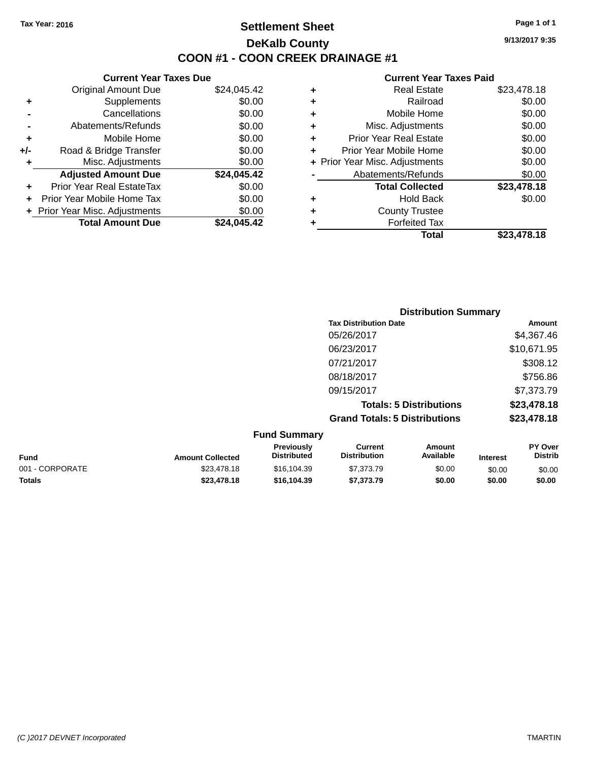### **Settlement Sheet Tax Year: 2016 Page 1 of 1 DeKalb County COON #1 - COON CREEK DRAINAGE #1**

**9/13/2017 9:35**

| <b>Current Year Taxes Due</b>  |             |  |  |  |
|--------------------------------|-------------|--|--|--|
| <b>Original Amount Due</b>     | \$24,045.42 |  |  |  |
| Supplements                    | \$0.00      |  |  |  |
| Cancellations                  | \$0.00      |  |  |  |
| Abatements/Refunds             | \$0.00      |  |  |  |
| Mobile Home                    | \$0.00      |  |  |  |
| Road & Bridge Transfer         | \$0.00      |  |  |  |
| Misc. Adjustments              | \$0.00      |  |  |  |
| <b>Adjusted Amount Due</b>     | \$24,045.42 |  |  |  |
| Prior Year Real EstateTax      | \$0.00      |  |  |  |
| Prior Year Mobile Home Tax     | \$0.00      |  |  |  |
| + Prior Year Misc. Adjustments | \$0.00      |  |  |  |
| <b>Total Amount Due</b>        | \$24.045.42 |  |  |  |
|                                |             |  |  |  |

| <b>Real Estate</b>             | \$23,478.18 |
|--------------------------------|-------------|
| Railroad                       | \$0.00      |
| Mobile Home                    | \$0.00      |
| Misc. Adjustments              | \$0.00      |
| <b>Prior Year Real Estate</b>  | \$0.00      |
| Prior Year Mobile Home         | \$0.00      |
| + Prior Year Misc. Adjustments | \$0.00      |
| Abatements/Refunds             | \$0.00      |
| <b>Total Collected</b>         | \$23,478.18 |
| Hold Back                      | \$0.00      |
| <b>County Trustee</b>          |             |
| <b>Forfeited Tax</b>           |             |
| <b>Total</b>                   | \$23,478.18 |
|                                |             |

|         | <b>Distribution Summary</b>          |             |
|---------|--------------------------------------|-------------|
|         | <b>Tax Distribution Date</b>         | Amount      |
|         | 05/26/2017                           | \$4,367.46  |
|         | 06/23/2017                           | \$10,671.95 |
|         | 07/21/2017                           | \$308.12    |
|         | 08/18/2017                           | \$756.86    |
|         | 09/15/2017                           | \$7,373.79  |
|         | <b>Totals: 5 Distributions</b>       | \$23,478.18 |
|         | <b>Grand Totals: 5 Distributions</b> | \$23,478.18 |
| $E_{t}$ |                                      |             |

|                 |                         | <b>Fund Summary</b>                     |                                |                     |                 |                                  |
|-----------------|-------------------------|-----------------------------------------|--------------------------------|---------------------|-----------------|----------------------------------|
| <b>Fund</b>     | <b>Amount Collected</b> | <b>Previously</b><br><b>Distributed</b> | Current<br><b>Distribution</b> | Amount<br>Available | <b>Interest</b> | <b>PY Over</b><br><b>Distrib</b> |
| 001 - CORPORATE | \$23,478.18             | \$16,104.39                             | \$7,373,79                     | \$0.00              | \$0.00          | \$0.00                           |
| <b>Totals</b>   | \$23,478.18             | \$16,104.39                             | \$7,373,79                     | \$0.00              | \$0.00          | \$0.00                           |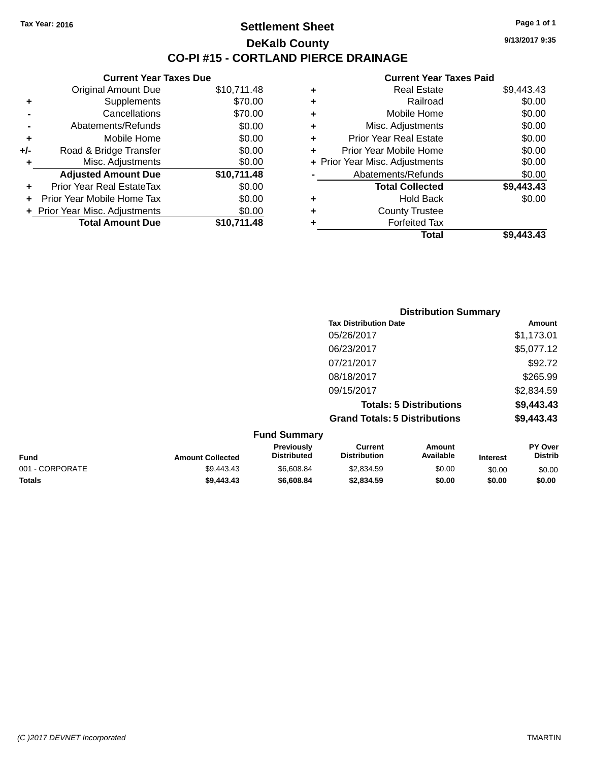### **Settlement Sheet Tax Year: 2016 Page 1 of 1 DeKalb County CO-PI #15 - CORTLAND PIERCE DRAINAGE**

**Current Year Taxes Due** Original Amount Due \$10,711.48 **+** Supplements \$70.00 **-** Cancellations \$70.00 **-** Abatements/Refunds \$0.00 **+** Mobile Home \$0.00 **+/-** Road & Bridge Transfer \$0.00 **+** Misc. Adjustments \$0.00 **Adjusted Amount Due \$10,711.48 +** Prior Year Real EstateTax \$0.00 **+** Prior Year Mobile Home Tax \$0.00 **+ Prior Year Misc. Adjustments**  $$0.00$ **Total Amount Due \$10,711.48**

#### **Current Year Taxes Paid**

| ٠ | <b>Real Estate</b>             | \$9,443.43 |
|---|--------------------------------|------------|
| ٠ | Railroad                       | \$0.00     |
| ٠ | Mobile Home                    | \$0.00     |
| ٠ | Misc. Adjustments              | \$0.00     |
| ٠ | <b>Prior Year Real Estate</b>  | \$0.00     |
| ٠ | Prior Year Mobile Home         | \$0.00     |
|   | + Prior Year Misc. Adjustments | \$0.00     |
|   | Abatements/Refunds             | \$0.00     |
|   | <b>Total Collected</b>         | \$9,443.43 |
| ٠ | <b>Hold Back</b>               | \$0.00     |
| ٠ | <b>County Trustee</b>          |            |
| ٠ | <b>Forfeited Tax</b>           |            |
|   | Total                          | \$9.443.43 |
|   |                                |            |

|                                      | <b>Distribution Summary</b> |  |
|--------------------------------------|-----------------------------|--|
| <b>Tax Distribution Date</b>         | Amount                      |  |
| 05/26/2017                           | \$1,173.01                  |  |
| 06/23/2017                           | \$5,077.12                  |  |
| 07/21/2017                           | \$92.72                     |  |
| 08/18/2017                           | \$265.99                    |  |
| 09/15/2017                           | \$2,834.59                  |  |
| <b>Totals: 5 Distributions</b>       | \$9,443.43                  |  |
| <b>Grand Totals: 5 Distributions</b> | \$9,443.43                  |  |
| <b>Fund Summary</b>                  |                             |  |

| <b>Fund</b>     | <b>Amount Collected</b> | <b>Previously</b><br><b>Distributed</b> | Current<br><b>Distribution</b> | Amount<br>Available | <b>Interest</b> | PY Over<br><b>Distrib</b> |
|-----------------|-------------------------|-----------------------------------------|--------------------------------|---------------------|-----------------|---------------------------|
| 001 - CORPORATE | \$9.443.43              | \$6,608.84                              | \$2,834.59                     | \$0.00              | \$0.00          | \$0.00                    |
| <b>Totals</b>   | \$9,443,43              | \$6,608.84                              | \$2,834.59                     | \$0.00              | \$0.00          | \$0.00                    |

**9/13/2017 9:35**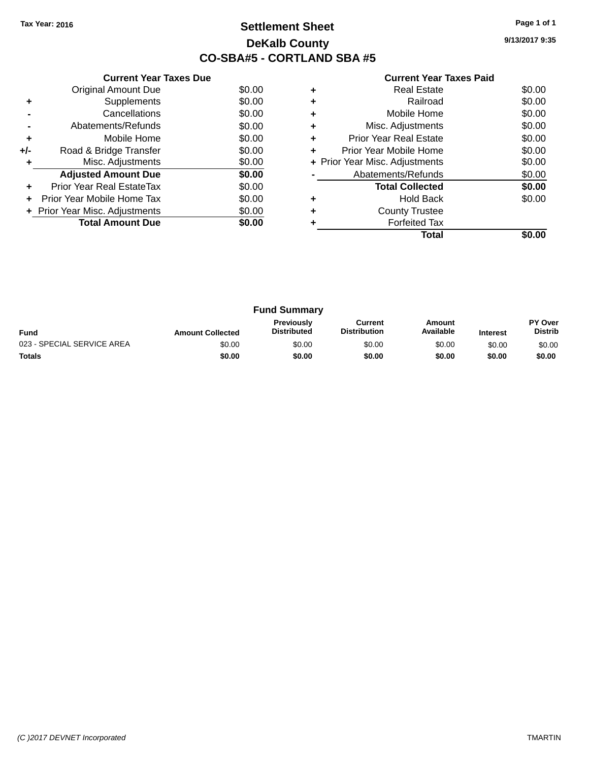### **Settlement Sheet Tax Year: 2016 Page 1 of 1 DeKalb County CO-SBA#5 - CORTLAND SBA #5**

**9/13/2017 9:35**

|       | <b>Current Year Taxes Due</b>  |        |
|-------|--------------------------------|--------|
|       | <b>Original Amount Due</b>     | \$0.00 |
| ٠     | Supplements                    | \$0.00 |
|       | Cancellations                  | \$0.00 |
|       | Abatements/Refunds             | \$0.00 |
| ٠     | Mobile Home                    | \$0.00 |
| $+/-$ | Road & Bridge Transfer         | \$0.00 |
|       | Misc. Adjustments              | \$0.00 |
|       | <b>Adjusted Amount Due</b>     | \$0.00 |
|       | Prior Year Real EstateTax      | \$0.00 |
|       | Prior Year Mobile Home Tax     | \$0.00 |
|       | + Prior Year Misc. Adjustments | \$0.00 |
|       | <b>Total Amount Due</b>        | \$0.00 |
|       |                                |        |

|   | <b>Real Estate</b>             | \$0.00 |
|---|--------------------------------|--------|
|   | Railroad                       | \$0.00 |
| ٠ | Mobile Home                    | \$0.00 |
| ٠ | Misc. Adjustments              | \$0.00 |
| ٠ | Prior Year Real Estate         | \$0.00 |
| ٠ | Prior Year Mobile Home         | \$0.00 |
|   | + Prior Year Misc. Adjustments | \$0.00 |
|   | Abatements/Refunds             | \$0.00 |
|   | <b>Total Collected</b>         | \$0.00 |
|   | <b>Hold Back</b>               | \$0.00 |
|   | <b>County Trustee</b>          |        |
|   | <b>Forfeited Tax</b>           |        |
|   | Total                          |        |

| <b>Fund Summary</b>        |                         |                                         |                                |                     |                 |                                  |
|----------------------------|-------------------------|-----------------------------------------|--------------------------------|---------------------|-----------------|----------------------------------|
| <b>Fund</b>                | <b>Amount Collected</b> | <b>Previously</b><br><b>Distributed</b> | Current<br><b>Distribution</b> | Amount<br>Available | <b>Interest</b> | <b>PY Over</b><br><b>Distrib</b> |
| 023 - SPECIAL SERVICE AREA | \$0.00                  | \$0.00                                  | \$0.00                         | \$0.00              | \$0.00          | \$0.00                           |
| <b>Totals</b>              | \$0.00                  | \$0.00                                  | \$0.00                         | \$0.00              | \$0.00          | \$0.00                           |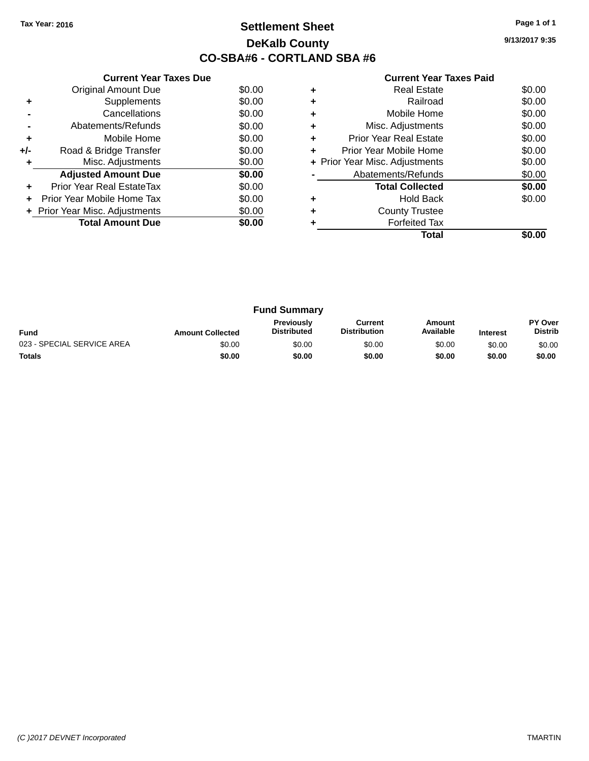### **Settlement Sheet Tax Year: 2016 Page 1 of 1 DeKalb County CO-SBA#6 - CORTLAND SBA #6**

**9/13/2017 9:35**

|     | <b>Current Year Taxes Due</b>  |        |
|-----|--------------------------------|--------|
|     | <b>Original Amount Due</b>     | \$0.00 |
| ٠   | Supplements                    | \$0.00 |
|     | Cancellations                  | \$0.00 |
|     | Abatements/Refunds             | \$0.00 |
| ٠   | Mobile Home                    | \$0.00 |
| +/- | Road & Bridge Transfer         | \$0.00 |
| ٠   | Misc. Adjustments              | \$0.00 |
|     | <b>Adjusted Amount Due</b>     | \$0.00 |
| ٠   | Prior Year Real EstateTax      | \$0.00 |
| ÷   | Prior Year Mobile Home Tax     | \$0.00 |
|     | + Prior Year Misc. Adjustments | \$0.00 |
|     | <b>Total Amount Due</b>        | \$0.00 |
|     |                                |        |

|   | <b>Real Estate</b>             | \$0.00 |
|---|--------------------------------|--------|
|   | Railroad                       | \$0.00 |
|   | Mobile Home                    | \$0.00 |
| ٠ | Misc. Adjustments              | \$0.00 |
| ٠ | Prior Year Real Estate         | \$0.00 |
| ٠ | Prior Year Mobile Home         | \$0.00 |
|   | + Prior Year Misc. Adjustments | \$0.00 |
|   | Abatements/Refunds             | \$0.00 |
|   | <b>Total Collected</b>         | \$0.00 |
|   | Hold Back                      | \$0.00 |
|   | <b>County Trustee</b>          |        |
|   | <b>Forfeited Tax</b>           |        |
|   | Total                          |        |

| <b>Fund Summary</b>        |                         |                                         |                                |                     |                 |                           |
|----------------------------|-------------------------|-----------------------------------------|--------------------------------|---------------------|-----------------|---------------------------|
| <b>Fund</b>                | <b>Amount Collected</b> | <b>Previously</b><br><b>Distributed</b> | Current<br><b>Distribution</b> | Amount<br>Available | <b>Interest</b> | PY Over<br><b>Distrib</b> |
| 023 - SPECIAL SERVICE AREA | \$0.00                  | \$0.00                                  | \$0.00                         | \$0.00              | \$0.00          | \$0.00                    |
| <b>Totals</b>              | \$0.00                  | \$0.00                                  | \$0.00                         | \$0.00              | \$0.00          | \$0.00                    |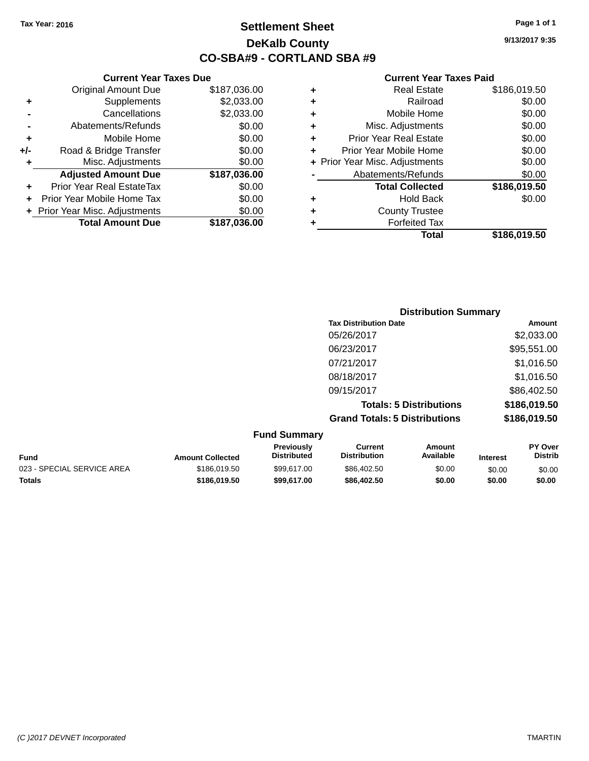**Current Year Taxes Due** Original Amount Due \$187,036.00

**Adjusted Amount Due \$187,036.00**

**+** Supplements \$2,033.00 **-** Cancellations \$2,033.00 **-** Abatements/Refunds \$0.00 **+** Mobile Home \$0.00 **+/-** Road & Bridge Transfer \$0.00 **+** Misc. Adjustments \$0.00

**+** Prior Year Real EstateTax \$0.00 **+** Prior Year Mobile Home Tax \$0.00 **+** Prior Year Misc. Adjustments \$0.00<br> **Total Amount Due** \$187,036.00

**Total Amount Due** 

### **Settlement Sheet Tax Year: 2016 Page 1 of 1 DeKalb County CO-SBA#9 - CORTLAND SBA #9**

**9/13/2017 9:35**

|   | Total                          | \$186,019.50 |
|---|--------------------------------|--------------|
|   | <b>Forfeited Tax</b>           |              |
| ٠ | <b>County Trustee</b>          |              |
| ٠ | <b>Hold Back</b>               | \$0.00       |
|   | <b>Total Collected</b>         | \$186,019.50 |
|   | Abatements/Refunds             | \$0.00       |
|   | + Prior Year Misc. Adjustments | \$0.00       |
| ٠ | Prior Year Mobile Home         | \$0.00       |
| ٠ | <b>Prior Year Real Estate</b>  | \$0.00       |
| ٠ | Misc. Adjustments              | \$0.00       |
| ٠ | Mobile Home                    | \$0.00       |
| ٠ | Railroad                       | \$0.00       |
| ٠ | <b>Real Estate</b>             | \$186,019.50 |
|   |                                |              |

|                     | <b>Distribution Summary</b>          |                                |              |
|---------------------|--------------------------------------|--------------------------------|--------------|
|                     | <b>Tax Distribution Date</b>         |                                | Amount       |
|                     | 05/26/2017                           |                                | \$2,033.00   |
|                     | 06/23/2017                           |                                | \$95,551.00  |
|                     | 07/21/2017                           |                                | \$1,016.50   |
|                     | 08/18/2017                           |                                | \$1,016.50   |
|                     | 09/15/2017                           |                                | \$86,402.50  |
|                     |                                      | <b>Totals: 5 Distributions</b> | \$186,019.50 |
|                     | <b>Grand Totals: 5 Distributions</b> |                                | \$186,019.50 |
| <b>Fund Summary</b> |                                      |                                |              |
| Previously          | <b>Current</b>                       | <b>Amount</b>                  | PY Over      |

| <b>Amount Collected</b> | Previously<br>Distributed | Current<br><b>Distribution</b> | Amount<br>Available | Interest | <b>PY Over</b><br><b>Distrib</b> |
|-------------------------|---------------------------|--------------------------------|---------------------|----------|----------------------------------|
| \$186,019.50            | \$99.617.00               | \$86,402.50                    | \$0.00              | \$0.00   | \$0.00                           |
| \$186.019.50            | \$99.617.00               | \$86,402.50                    | \$0.00              | \$0.00   | \$0.00                           |
|                         |                           |                                |                     |          |                                  |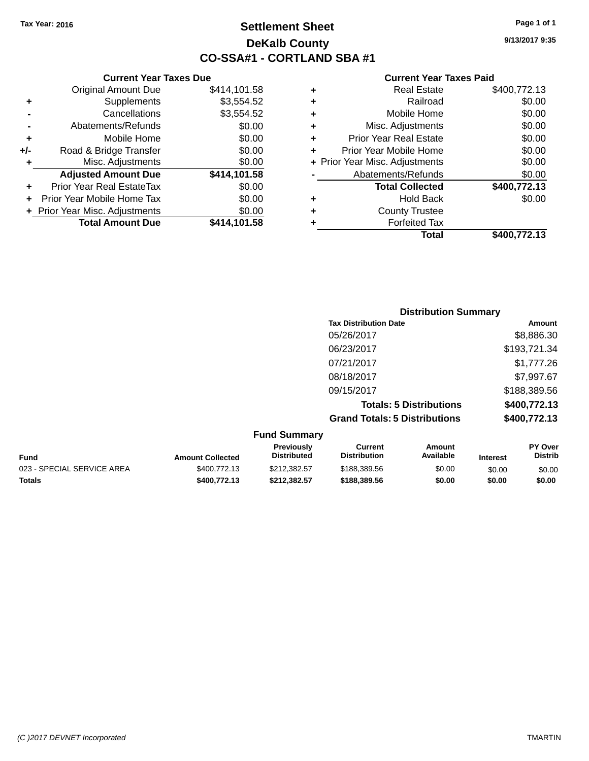**Current Year Taxes Due** Original Amount Due \$414,101.58

**Adjusted Amount Due \$414,101.58**

**+** Supplements \$3,554.52 **-** Cancellations \$3,554.52 **-** Abatements/Refunds \$0.00 **+** Mobile Home \$0.00 **+/-** Road & Bridge Transfer \$0.00 **+** Misc. Adjustments \$0.00

**+** Prior Year Real EstateTax \$0.00 **+** Prior Year Mobile Home Tax \$0.00 **+** Prior Year Misc. Adjustments \$0.00<br>Total Amount Due \$414,101.58

**Total Amount Due** 

### **Settlement Sheet Tax Year: 2016 Page 1 of 1 DeKalb County CO-SSA#1 - CORTLAND SBA #1**

**9/13/2017 9:35**

#### **Current Year Taxes Paid**

|                     | <b>Distribution Summary</b>          |              |
|---------------------|--------------------------------------|--------------|
|                     | <b>Tax Distribution Date</b>         | Amount       |
|                     | 05/26/2017                           | \$8,886.30   |
|                     | 06/23/2017                           | \$193,721.34 |
|                     | 07/21/2017                           | \$1,777.26   |
|                     | 08/18/2017                           | \$7,997.67   |
|                     | 09/15/2017                           | \$188,389.56 |
|                     | <b>Totals: 5 Distributions</b>       | \$400,772.13 |
|                     | <b>Grand Totals: 5 Distributions</b> | \$400,772.13 |
| <b>Fund Summary</b> |                                      |              |

| <b>Fund</b>                | <b>Amount Collected</b> | <b>Previously</b><br><b>Distributed</b> | Current<br><b>Distribution</b> | Amount<br>Available | <b>Interest</b> | <b>PY Over</b><br><b>Distrib</b> |
|----------------------------|-------------------------|-----------------------------------------|--------------------------------|---------------------|-----------------|----------------------------------|
| 023 - SPECIAL SERVICE AREA | \$400,772.13            | \$212,382.57                            | \$188,389.56                   | \$0.00              | \$0.00          | \$0.00                           |
| <b>Totals</b>              | \$400.772.13            | \$212.382.57                            | \$188.389.56                   | \$0.00              | \$0.00          | \$0.00                           |

#### *(C )2017 DEVNET Incorporated* TMARTIN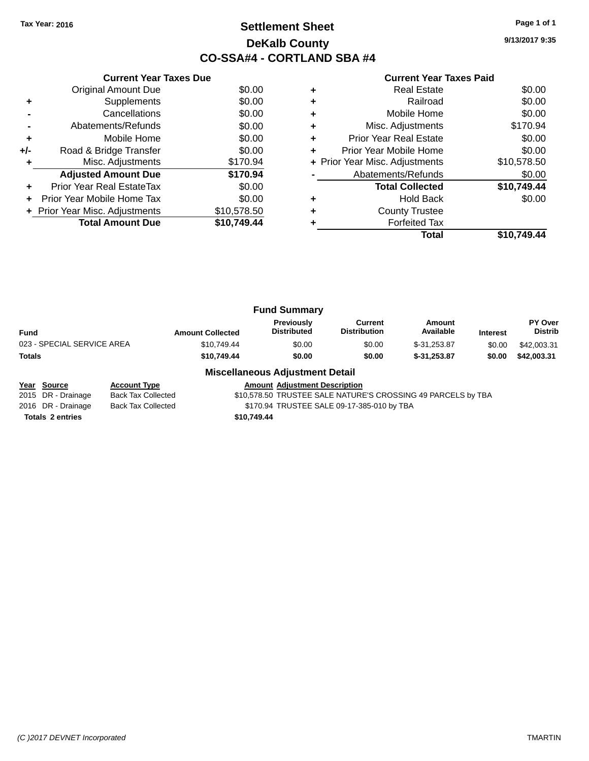### **Settlement Sheet Tax Year: 2016 Page 1 of 1 DeKalb County CO-SSA#4 - CORTLAND SBA #4**

**9/13/2017 9:35**

|     | <b>Current Year Taxes Due</b>  |             |
|-----|--------------------------------|-------------|
|     | <b>Original Amount Due</b>     | \$0.00      |
| ٠   | Supplements                    | \$0.00      |
|     | Cancellations                  | \$0.00      |
|     | Abatements/Refunds             | \$0.00      |
| ٠   | Mobile Home                    | \$0.00      |
| +/- | Road & Bridge Transfer         | \$0.00      |
| ٠   | Misc. Adjustments              | \$170.94    |
|     | <b>Adjusted Amount Due</b>     | \$170.94    |
|     | Prior Year Real EstateTax      | \$0.00      |
|     | Prior Year Mobile Home Tax     | \$0.00      |
|     | + Prior Year Misc. Adjustments | \$10,578.50 |
|     | <b>Total Amount Due</b>        | \$10.749.44 |
|     |                                |             |

|   | <b>Current Year Taxes Paid</b> |             |
|---|--------------------------------|-------------|
|   | <b>Real Estate</b>             | \$0.00      |
| ٠ | Railroad                       | \$0.00      |
|   | Mobile Home                    | \$0.00      |
| ٠ | Misc. Adjustments              | \$170.94    |
| ٠ | Prior Year Real Estate         | \$0.00      |
|   | Prior Year Mobile Home         | \$0.00      |
|   | + Prior Year Misc. Adjustments | \$10,578.50 |
|   | Abatements/Refunds             | \$0.00      |
|   | <b>Total Collected</b>         | \$10,749.44 |
|   | Hold Back                      | \$0.00      |
|   | <b>County Trustee</b>          |             |
|   | <b>Forfeited Tax</b>           |             |
|   | Total                          | \$10.749.44 |

|                            |                         | <b>Fund Summary</b>                                                                                             |                                |                     |                 |                           |
|----------------------------|-------------------------|-----------------------------------------------------------------------------------------------------------------|--------------------------------|---------------------|-----------------|---------------------------|
| <b>Fund</b>                | <b>Amount Collected</b> | Previously<br><b>Distributed</b>                                                                                | Current<br><b>Distribution</b> | Amount<br>Available | <b>Interest</b> | PY Over<br><b>Distrib</b> |
| 023 - SPECIAL SERVICE AREA | \$10,749.44             | \$0.00                                                                                                          | \$0.00                         | $$-31.253.87$       | \$0.00          | \$42,003.31               |
| Totals                     | \$10,749,44             | \$0.00                                                                                                          | \$0.00                         | $$-31.253.87$       | \$0.00          | \$42,003.31               |
|                            |                         | Battle of History and Carolina and Constantinople of the Maria Miller of the Miller of the Miller of the Miller |                                |                     |                 |                           |

**Miscellaneous Adjustment Detail**

**Year Source Account Type Amount Adjustment Description** Back Tax Collected  $$10,578.50$  TRUSTEE SALE NATURE'S CROSSING 49 PARCELS by TBA 2016 DR - Drainage Back Tax Collected \$170.94 TRUSTEE SALE 09-17-385-010 by TBA

**Totals \$10,749.44 2 entries**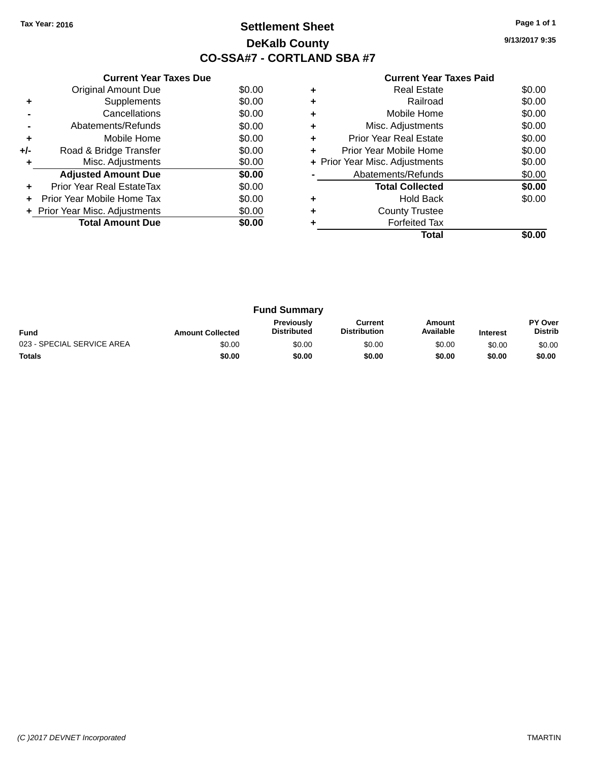### **Settlement Sheet Tax Year: 2016 Page 1 of 1 DeKalb County CO-SSA#7 - CORTLAND SBA #7**

**9/13/2017 9:35**

|     | <b>Current Year Taxes Due</b>  |        |
|-----|--------------------------------|--------|
|     | <b>Original Amount Due</b>     | \$0.00 |
| ٠   | Supplements                    | \$0.00 |
|     | Cancellations                  | \$0.00 |
|     | Abatements/Refunds             | \$0.00 |
| ٠   | Mobile Home                    | \$0.00 |
| +/- | Road & Bridge Transfer         | \$0.00 |
| ٠   | Misc. Adjustments              | \$0.00 |
|     | <b>Adjusted Amount Due</b>     | \$0.00 |
| ٠   | Prior Year Real EstateTax      | \$0.00 |
|     | Prior Year Mobile Home Tax     | \$0.00 |
|     | + Prior Year Misc. Adjustments | \$0.00 |
|     | <b>Total Amount Due</b>        | \$0.00 |
|     |                                |        |

|   | <b>Real Estate</b>             | \$0.00 |
|---|--------------------------------|--------|
|   | Railroad                       | \$0.00 |
| ٠ | Mobile Home                    | \$0.00 |
| ٠ | Misc. Adjustments              | \$0.00 |
| ٠ | <b>Prior Year Real Estate</b>  | \$0.00 |
| ٠ | Prior Year Mobile Home         | \$0.00 |
|   | + Prior Year Misc. Adjustments | \$0.00 |
|   | Abatements/Refunds             | \$0.00 |
|   | <b>Total Collected</b>         | \$0.00 |
|   | <b>Hold Back</b>               | \$0.00 |
| ٠ | <b>County Trustee</b>          |        |
|   | <b>Forfeited Tax</b>           |        |
|   | Total                          |        |

| <b>Fund Summary</b>        |                         |                                         |                                |                     |                 |                                  |
|----------------------------|-------------------------|-----------------------------------------|--------------------------------|---------------------|-----------------|----------------------------------|
| <b>Fund</b>                | <b>Amount Collected</b> | <b>Previously</b><br><b>Distributed</b> | Current<br><b>Distribution</b> | Amount<br>Available | <b>Interest</b> | <b>PY Over</b><br><b>Distrib</b> |
| 023 - SPECIAL SERVICE AREA | \$0.00                  | \$0.00                                  | \$0.00                         | \$0.00              | \$0.00          | \$0.00                           |
| <b>Totals</b>              | \$0.00                  | \$0.00                                  | \$0.00                         | \$0.00              | \$0.00          | \$0.00                           |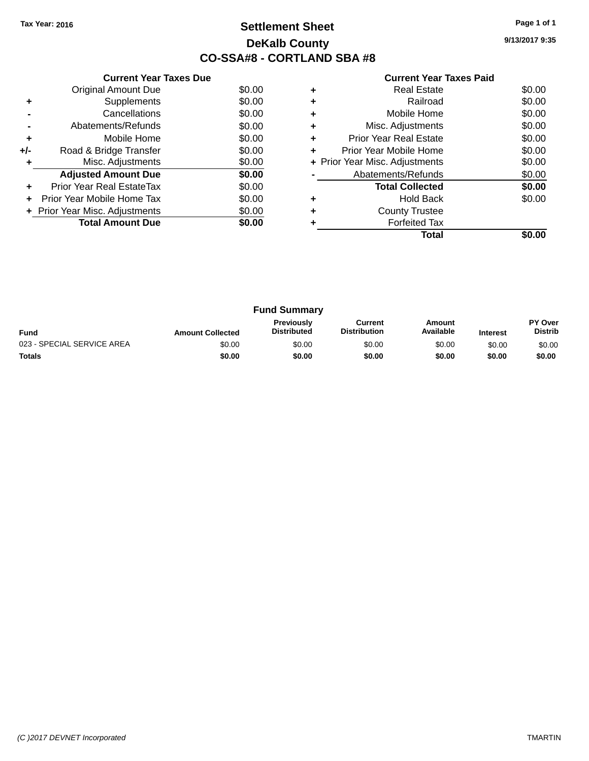### **Settlement Sheet Tax Year: 2016 Page 1 of 1 DeKalb County CO-SSA#8 - CORTLAND SBA #8**

**9/13/2017 9:35**

|     | <b>Current Year Taxes Due</b>  |        |
|-----|--------------------------------|--------|
|     | <b>Original Amount Due</b>     | \$0.00 |
| ٠   | Supplements                    | \$0.00 |
|     | Cancellations                  | \$0.00 |
|     | Abatements/Refunds             | \$0.00 |
| ٠   | Mobile Home                    | \$0.00 |
| +/- | Road & Bridge Transfer         | \$0.00 |
| ٠   | Misc. Adjustments              | \$0.00 |
|     | <b>Adjusted Amount Due</b>     | \$0.00 |
| ٠   | Prior Year Real EstateTax      | \$0.00 |
|     | Prior Year Mobile Home Tax     | \$0.00 |
|     | + Prior Year Misc. Adjustments | \$0.00 |
|     | <b>Total Amount Due</b>        | \$0.00 |
|     |                                |        |

|   | Real Estate                    | \$0.00 |
|---|--------------------------------|--------|
| ٠ | Railroad                       | \$0.00 |
| ٠ | Mobile Home                    | \$0.00 |
| ٠ | Misc. Adjustments              | \$0.00 |
| ٠ | <b>Prior Year Real Estate</b>  | \$0.00 |
| ٠ | Prior Year Mobile Home         | \$0.00 |
|   | + Prior Year Misc. Adjustments | \$0.00 |
|   | Abatements/Refunds             | \$0.00 |
|   | <b>Total Collected</b>         | \$0.00 |
| ٠ | Hold Back                      | \$0.00 |
| ٠ | <b>County Trustee</b>          |        |
|   | <b>Forfeited Tax</b>           |        |
|   | Total                          |        |

|                            |                         | <b>Fund Summary</b>                     |                                |                     |                 |                           |
|----------------------------|-------------------------|-----------------------------------------|--------------------------------|---------------------|-----------------|---------------------------|
| <b>Fund</b>                | <b>Amount Collected</b> | <b>Previously</b><br><b>Distributed</b> | Current<br><b>Distribution</b> | Amount<br>Available | <b>Interest</b> | PY Over<br><b>Distrib</b> |
| 023 - SPECIAL SERVICE AREA | \$0.00                  | \$0.00                                  | \$0.00                         | \$0.00              | \$0.00          | \$0.00                    |
| <b>Totals</b>              | \$0.00                  | \$0.00                                  | \$0.00                         | \$0.00              | \$0.00          | \$0.00                    |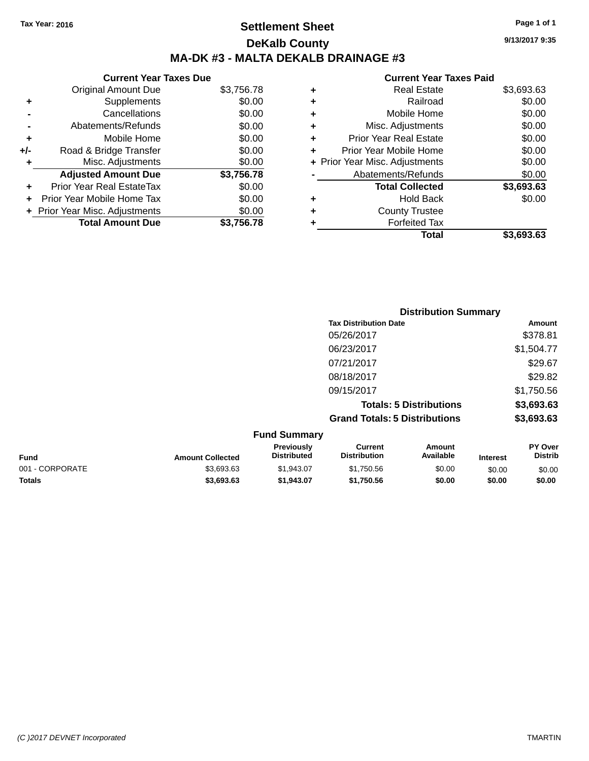### **Settlement Sheet Tax Year: 2016 Page 1 of 1 DeKalb County MA-DK #3 - MALTA DEKALB DRAINAGE #3**

#### **Current Year Taxes Due** Original Amount Due \$3,756.78 **+** Supplements \$0.00 **-** Cancellations \$0.00 **-** Abatements/Refunds \$0.00 **+** Mobile Home \$0.00 **+/-** Road & Bridge Transfer \$0.00<br> **+** Misc. Adjustments \$0.00 **+** Misc. Adjustments **Adjusted Amount Due \$3,756.78 +** Prior Year Real EstateTax \$0.00 **+** Prior Year Mobile Home Tax \$0.00 **+ Prior Year Misc. Adjustments**  $$0.00$ **Total Amount Due \$3,756.78**

|   | <b>Real Estate</b>             | \$3,693.63 |
|---|--------------------------------|------------|
| ٠ | Railroad                       | \$0.00     |
| ٠ | Mobile Home                    | \$0.00     |
| ٠ | Misc. Adjustments              | \$0.00     |
| ٠ | <b>Prior Year Real Estate</b>  | \$0.00     |
|   | Prior Year Mobile Home         | \$0.00     |
|   | + Prior Year Misc. Adjustments | \$0.00     |
|   | Abatements/Refunds             | \$0.00     |
|   | <b>Total Collected</b>         | \$3,693.63 |
| ٠ | Hold Back                      | \$0.00     |
| ٠ | <b>County Trustee</b>          |            |
| ٠ | <b>Forfeited Tax</b>           |            |
|   | Total                          | \$3,693.63 |
|   |                                |            |

|                     |                                      | <b>Distribution Summary</b>    |            |
|---------------------|--------------------------------------|--------------------------------|------------|
|                     | <b>Tax Distribution Date</b>         |                                | Amount     |
|                     | 05/26/2017                           |                                | \$378.81   |
|                     | 06/23/2017                           |                                | \$1,504.77 |
|                     | 07/21/2017                           |                                | \$29.67    |
|                     | 08/18/2017                           |                                | \$29.82    |
|                     | 09/15/2017                           |                                | \$1,750.56 |
|                     |                                      | <b>Totals: 5 Distributions</b> | \$3,693.63 |
|                     | <b>Grand Totals: 5 Distributions</b> |                                | \$3,693.63 |
| <b>Fund Summary</b> |                                      |                                |            |
| Previously          | <b>Current</b>                       | Amount                         | PY Over    |

| Fund            | <b>Amount Collected</b> | <b>Previously</b><br><b>Distributed</b> | Current<br><b>Distribution</b> | Amount<br>Available | <b>Interest</b> | PY Over<br>Distrib |
|-----------------|-------------------------|-----------------------------------------|--------------------------------|---------------------|-----------------|--------------------|
| 001 - CORPORATE | \$3.693.63              | \$1.943.07                              | \$1.750.56                     | \$0.00              | \$0.00          | \$0.00             |
| Totals          | \$3,693,63              | \$1.943.07                              | \$1.750.56                     | \$0.00              | \$0.00          | \$0.00             |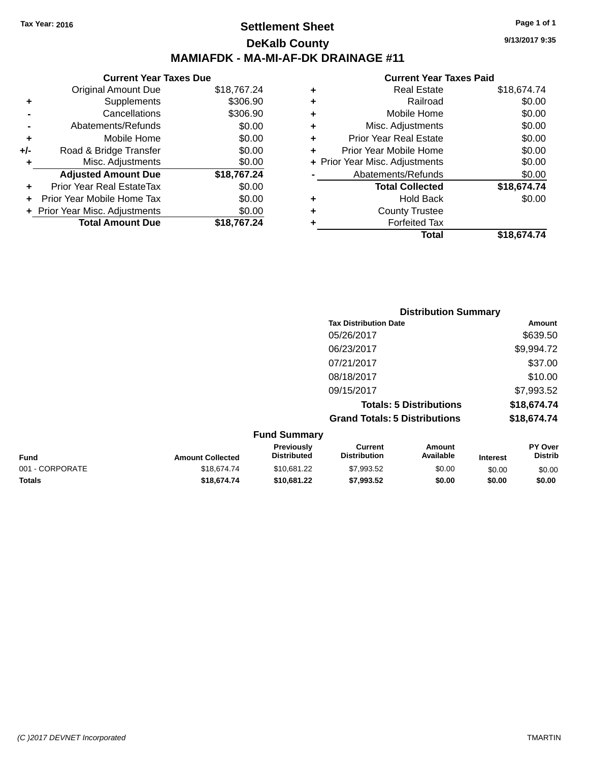### **Settlement Sheet Tax Year: 2016 Page 1 of 1 DeKalb County MAMIAFDK - MA-MI-AF-DK DRAINAGE #11**

**9/13/2017 9:35**

|     | <b>Current Year Taxes Due</b>  |             |  |  |  |  |  |
|-----|--------------------------------|-------------|--|--|--|--|--|
|     | Original Amount Due            | \$18,767.24 |  |  |  |  |  |
| ٠   | Supplements                    | \$306.90    |  |  |  |  |  |
|     | Cancellations                  | \$306.90    |  |  |  |  |  |
|     | Abatements/Refunds             | \$0.00      |  |  |  |  |  |
| ٠   | Mobile Home                    | \$0.00      |  |  |  |  |  |
| +/- | Road & Bridge Transfer         | \$0.00      |  |  |  |  |  |
| ٠   | Misc. Adjustments              | \$0.00      |  |  |  |  |  |
|     | <b>Adjusted Amount Due</b>     | \$18,767.24 |  |  |  |  |  |
| ٠   | Prior Year Real EstateTax      | \$0.00      |  |  |  |  |  |
|     | Prior Year Mobile Home Tax     | \$0.00      |  |  |  |  |  |
|     | + Prior Year Misc. Adjustments | \$0.00      |  |  |  |  |  |
|     | <b>Total Amount Due</b>        | \$18.767.24 |  |  |  |  |  |
|     |                                |             |  |  |  |  |  |

|   | Total                          | \$18,674.74 |
|---|--------------------------------|-------------|
| ٠ | <b>Forfeited Tax</b>           |             |
| ٠ | <b>County Trustee</b>          |             |
| ٠ | <b>Hold Back</b>               | \$0.00      |
|   | <b>Total Collected</b>         | \$18,674.74 |
|   | Abatements/Refunds             | \$0.00      |
|   | + Prior Year Misc. Adjustments | \$0.00      |
| ٠ | Prior Year Mobile Home         | \$0.00      |
| ÷ | <b>Prior Year Real Estate</b>  | \$0.00      |
| ٠ | Misc. Adjustments              | \$0.00      |
| ٠ | Mobile Home                    | \$0.00      |
| ٠ | Railroad                       | \$0.00      |
| ٠ | <b>Real Estate</b>             | \$18,674.74 |
|   |                                |             |

| <b>Distribution Summary</b>          |             |
|--------------------------------------|-------------|
| <b>Tax Distribution Date</b>         | Amount      |
| 05/26/2017                           | \$639.50    |
| 06/23/2017                           | \$9,994.72  |
| 07/21/2017                           | \$37.00     |
| 08/18/2017                           | \$10.00     |
| 09/15/2017                           | \$7,993.52  |
| <b>Totals: 5 Distributions</b>       | \$18,674.74 |
| <b>Grand Totals: 5 Distributions</b> | \$18,674.74 |

| <b>Fund Summary</b> |                         |                                         |                                |                     |                 |                           |
|---------------------|-------------------------|-----------------------------------------|--------------------------------|---------------------|-----------------|---------------------------|
| <b>Fund</b>         | <b>Amount Collected</b> | <b>Previously</b><br><b>Distributed</b> | Current<br><b>Distribution</b> | Amount<br>Available | <b>Interest</b> | PY Over<br><b>Distrib</b> |
| 001 - CORPORATE     | \$18,674.74             | \$10.681.22                             | \$7,993.52                     | \$0.00              | \$0.00          | \$0.00                    |
| <b>Totals</b>       | \$18,674.74             | \$10.681.22                             | \$7.993.52                     | \$0.00              | \$0.00          | \$0.00                    |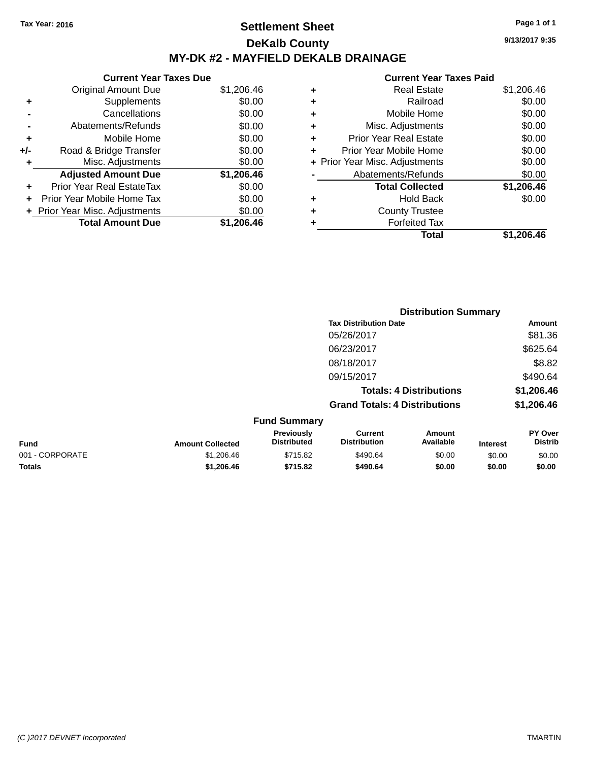### **Settlement Sheet Tax Year: 2016 Page 1 of 1 DeKalb County MY-DK #2 - MAYFIELD DEKALB DRAINAGE**

**9/13/2017 9:35**

|     | <b>Current Year Taxes Due</b>  |            |
|-----|--------------------------------|------------|
|     | Original Amount Due            | \$1,206.46 |
| ٠   | Supplements                    | \$0.00     |
|     | Cancellations                  | \$0.00     |
|     | Abatements/Refunds             | \$0.00     |
| ٠   | Mobile Home                    | \$0.00     |
| +/- | Road & Bridge Transfer         | \$0.00     |
| ٠   | Misc. Adjustments              | \$0.00     |
|     | <b>Adjusted Amount Due</b>     | \$1,206.46 |
| ٠   | Prior Year Real EstateTax      | \$0.00     |
|     | Prior Year Mobile Home Tax     | \$0.00     |
|     | + Prior Year Misc. Adjustments | \$0.00     |
|     | <b>Total Amount Due</b>        | \$1.206.46 |
|     |                                |            |

| ٠ | <b>Real Estate</b>             | \$1,206.46 |
|---|--------------------------------|------------|
| ٠ | Railroad                       | \$0.00     |
| ٠ | Mobile Home                    | \$0.00     |
| ٠ | Misc. Adjustments              | \$0.00     |
| ٠ | Prior Year Real Estate         | \$0.00     |
| ٠ | Prior Year Mobile Home         | \$0.00     |
|   | + Prior Year Misc. Adjustments | \$0.00     |
|   | Abatements/Refunds             | \$0.00     |
|   | <b>Total Collected</b>         | \$1,206.46 |
| ٠ | <b>Hold Back</b>               | \$0.00     |
| ٠ | <b>County Trustee</b>          |            |
| ٠ | <b>Forfeited Tax</b>           |            |
|   | <b>Total</b>                   | \$1,206.46 |
|   |                                |            |

|                 |                         |                                  | <b>Distribution Summary</b>           |                                |                 |                           |
|-----------------|-------------------------|----------------------------------|---------------------------------------|--------------------------------|-----------------|---------------------------|
|                 |                         |                                  | <b>Tax Distribution Date</b>          |                                |                 | Amount                    |
|                 |                         |                                  | 05/26/2017                            |                                |                 | \$81.36                   |
|                 |                         |                                  | 06/23/2017                            |                                |                 | \$625.64                  |
|                 |                         |                                  | 08/18/2017                            |                                |                 | \$8.82                    |
|                 |                         |                                  | 09/15/2017                            |                                |                 | \$490.64                  |
|                 |                         |                                  |                                       | <b>Totals: 4 Distributions</b> |                 | \$1,206.46                |
|                 |                         |                                  | <b>Grand Totals: 4 Distributions</b>  |                                |                 | \$1,206.46                |
|                 |                         | <b>Fund Summary</b>              |                                       |                                |                 |                           |
| <b>Fund</b>     | <b>Amount Collected</b> | Previously<br><b>Distributed</b> | <b>Current</b><br><b>Distribution</b> | Amount<br>Available            | <b>Interest</b> | PY Over<br><b>Distrib</b> |
| 001 - CORPORATE | \$1,206.46              | \$715.82                         | \$490.64                              | \$0.00                         | \$0.00          | \$0.00                    |
| <b>Totals</b>   | \$1,206.46              | \$715.82                         | \$490.64                              | \$0.00                         | \$0.00          | \$0.00                    |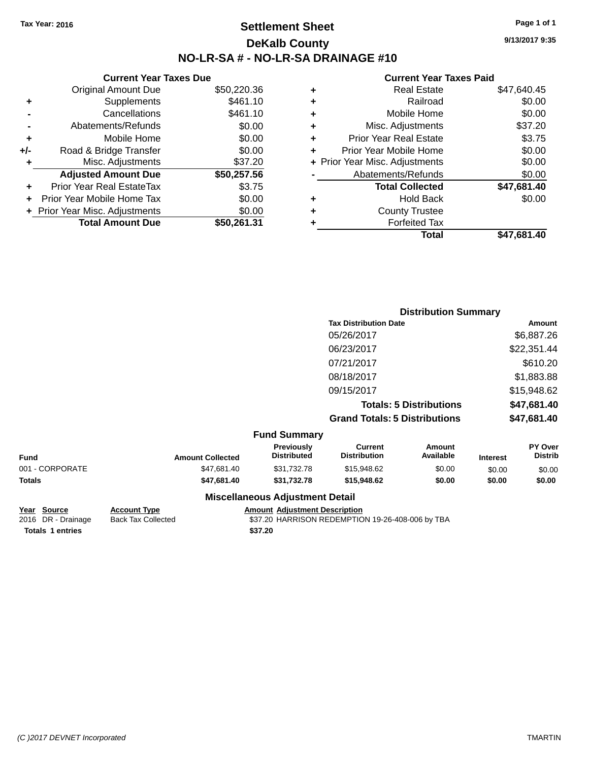### **Settlement Sheet Tax Year: 2016 Page 1 of 1 DeKalb County NO-LR-SA # - NO-LR-SA DRAINAGE #10**

**9/13/2017 9:35**

#### **Current Year Taxes Paid**

| <b>Current Ye</b>           |   |             | <b>Current Year Taxes Due</b>    |     |
|-----------------------------|---|-------------|----------------------------------|-----|
| <b>Real Est</b>             | ٠ | \$50,220.36 | Original Amount Due              |     |
| Railro                      | ٠ | \$461.10    | Supplements                      |     |
| Mobile Ho                   | ٠ | \$461.10    | Cancellations                    |     |
| Misc. Adjustme              | ÷ | \$0.00      | Abatements/Refunds               |     |
| <b>Prior Year Real Est</b>  | ÷ | \$0.00      | Mobile Home                      | ÷   |
| Prior Year Mobile Ho        | ٠ | \$0.00      | Road & Bridge Transfer           | +/- |
| + Prior Year Misc. Adjustme |   | \$37.20     | Misc. Adjustments                |     |
| Abatements/Refur            |   | \$50,257.56 | <b>Adjusted Amount Due</b>       |     |
| <b>Total Collect</b>        |   | \$3.75      | <b>Prior Year Real EstateTax</b> |     |
| Hold Ba                     | ٠ | \$0.00      | Prior Year Mobile Home Tax       |     |
| <b>County Trus</b>          | ٠ | \$0.00      | + Prior Year Misc. Adjustments   |     |
| Forfeited                   |   | \$50,261.31 | <b>Total Amount Due</b>          |     |
| т,                          |   |             |                                  |     |

| ÷ | <b>Real Estate</b>             | \$47,640.45 |
|---|--------------------------------|-------------|
| ÷ | Railroad                       | \$0.00      |
| ÷ | Mobile Home                    | \$0.00      |
| ÷ | Misc. Adjustments              | \$37.20     |
| ٠ | <b>Prior Year Real Estate</b>  | \$3.75      |
| ÷ | Prior Year Mobile Home         | \$0.00      |
|   | + Prior Year Misc. Adjustments | \$0.00      |
|   | Abatements/Refunds             | \$0.00      |
|   | <b>Total Collected</b>         | \$47,681.40 |
| ٠ | <b>Hold Back</b>               | \$0.00      |
| ÷ | <b>County Trustee</b>          |             |
| ٠ | <b>Forfeited Tax</b>           |             |
|   | Total                          | \$47,681.40 |
|   |                                |             |

|                 |                         |                                  | <b>Distribution Summary</b>           |                                |                 |                           |
|-----------------|-------------------------|----------------------------------|---------------------------------------|--------------------------------|-----------------|---------------------------|
|                 |                         |                                  | <b>Tax Distribution Date</b>          |                                |                 | Amount                    |
|                 |                         |                                  | 05/26/2017                            |                                |                 | \$6,887.26                |
|                 |                         |                                  | 06/23/2017                            |                                |                 | \$22,351.44               |
|                 |                         |                                  | 07/21/2017                            |                                |                 | \$610.20                  |
|                 |                         |                                  | 08/18/2017                            |                                |                 | \$1,883.88                |
|                 |                         |                                  | 09/15/2017                            |                                |                 | \$15,948.62               |
|                 |                         |                                  |                                       | <b>Totals: 5 Distributions</b> |                 | \$47,681.40               |
|                 |                         |                                  | <b>Grand Totals: 5 Distributions</b>  |                                |                 | \$47,681.40               |
|                 |                         | <b>Fund Summary</b>              |                                       |                                |                 |                           |
| <b>Fund</b>     | <b>Amount Collected</b> | Previously<br><b>Distributed</b> | <b>Current</b><br><b>Distribution</b> | Amount<br>Available            | <b>Interest</b> | PY Over<br><b>Distrib</b> |
| 001 - CORPORATE | \$47,681.40             | \$31,732.78                      | \$15,948.62                           | \$0.00                         | \$0.00          | \$0.00                    |
| <b>Totals</b>   | \$47,681.40             | \$31,732.78                      | \$15,948.62                           | \$0.00                         | \$0.00          | \$0.00                    |

#### **Year Source Account Type Account Type Amount Adjustment Description**<br>2016 DR - Drainage Back Tax Collected \$37.20 HARRISON REDEMPTIO **Totals \$37.20 1 entries**

#### **Miscellaneous Adjustment Detail**

Back Tax Collected **2016 COLLECT 337.20 HARRISON REDEMPTION 19-26-408-006 by TBA**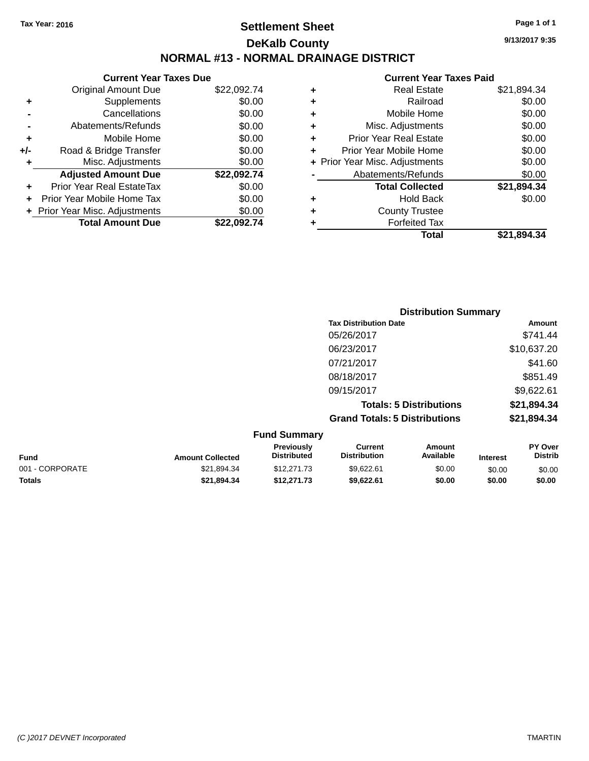### **Settlement Sheet Tax Year: 2016 Page 1 of 1 DeKalb County NORMAL #13 - NORMAL DRAINAGE DISTRICT**

#### **Current Year Taxes Due** Original Amount Due \$22,092.74 **+** Supplements \$0.00 **-** Cancellations \$0.00 **-** Abatements/Refunds \$0.00 **+** Mobile Home \$0.00 **+/-** Road & Bridge Transfer \$0.00 **+** Misc. Adjustments \$0.00 **Adjusted Amount Due \$22,092.74 +** Prior Year Real EstateTax \$0.00 **+** Prior Year Mobile Home Tax \$0.00 **+ Prior Year Misc. Adjustments**  $$0.00$ **Total Amount Due \$22,092.74**

#### **Current Year Taxes Paid +** Real Estate \$21,894.34 **+** Railroad \$0.00 **+** Mobile Home \$0.00 **+** Misc. Adjustments \$0.00 **+** Prior Year Real Estate \$0.00 **+** Prior Year Mobile Home \$0.00 **+** Prior Year Misc. Adjustments  $$0.00$ Abatements/Refunds \$0.00 **Total Collected \$21,894.34 +** Hold Back \$0.00 **+** County Trustee **+** Forfeited Tax **Total \$21,894.34**

| <b>Distribution Summary</b>  |                                                                                                             |  |
|------------------------------|-------------------------------------------------------------------------------------------------------------|--|
| <b>Tax Distribution Date</b> | Amount                                                                                                      |  |
| 05/26/2017                   | \$741.44                                                                                                    |  |
| 06/23/2017                   | \$10,637.20                                                                                                 |  |
| 07/21/2017                   | \$41.60                                                                                                     |  |
| 08/18/2017                   | \$851.49                                                                                                    |  |
| 09/15/2017                   | \$9,622.61                                                                                                  |  |
|                              | \$21,894.34                                                                                                 |  |
|                              | \$21,894.34                                                                                                 |  |
|                              |                                                                                                             |  |
| <b>Current</b>               | PY Over<br>Amount                                                                                           |  |
|                              | <b>Totals: 5 Distributions</b><br><b>Grand Totals: 5 Distributions</b><br><b>Fund Summary</b><br>Previously |  |

| <b>Fund</b>     | <b>Amount Collected</b> | Previously<br><b>Distributed</b> | Current<br><b>Distribution</b> | Amount<br>Available | <b>Interest</b> | <b>PY Over</b><br><b>Distrib</b> |
|-----------------|-------------------------|----------------------------------|--------------------------------|---------------------|-----------------|----------------------------------|
| 001 - CORPORATE | \$21.894.34             | \$12.271.73                      | \$9.622.61                     | \$0.00              | \$0.00          | \$0.00                           |
| <b>Totals</b>   | \$21.894.34             | \$12,271.73                      | \$9.622.61                     | \$0.00              | \$0.00          | \$0.00                           |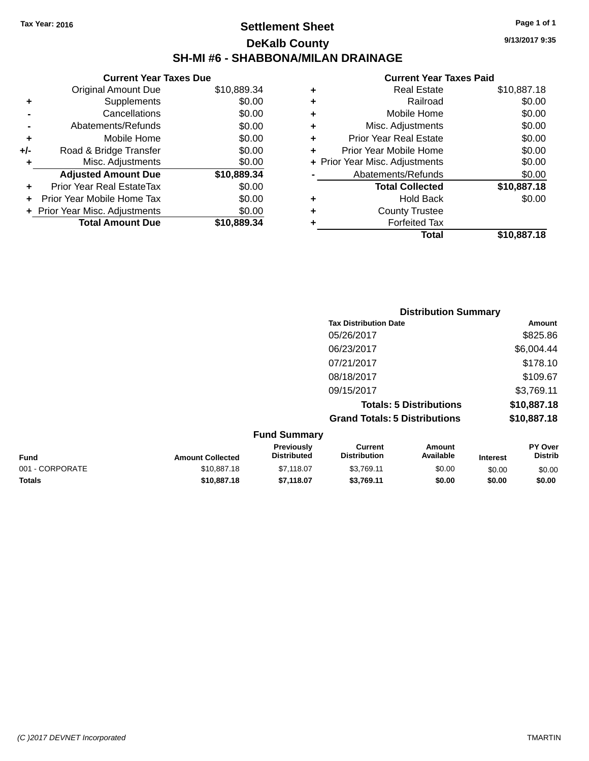### **Settlement Sheet Tax Year: 2016 Page 1 of 1 DeKalb County SH-MI #6 - SHABBONA/MILAN DRAINAGE**

**9/13/2017 9:35**

|       | <b>Current Year Taxes Due</b>  |             |
|-------|--------------------------------|-------------|
|       | <b>Original Amount Due</b>     | \$10,889.34 |
| ٠     | Supplements                    | \$0.00      |
|       | Cancellations                  | \$0.00      |
|       | Abatements/Refunds             | \$0.00      |
| ÷     | Mobile Home                    | \$0.00      |
| $+/-$ | Road & Bridge Transfer         | \$0.00      |
|       | Misc. Adjustments              | \$0.00      |
|       | <b>Adjusted Amount Due</b>     | \$10,889.34 |
| ٠     | Prior Year Real EstateTax      | \$0.00      |
|       | Prior Year Mobile Home Tax     | \$0.00      |
|       | + Prior Year Misc. Adjustments | \$0.00      |
|       | <b>Total Amount Due</b>        | \$10,889.34 |
|       |                                |             |

|   | Total                          | \$10,887.18 |
|---|--------------------------------|-------------|
| ٠ | <b>Forfeited Tax</b>           |             |
| ٠ | <b>County Trustee</b>          |             |
| ٠ | Hold Back                      | \$0.00      |
|   | <b>Total Collected</b>         | \$10,887.18 |
|   | Abatements/Refunds             | \$0.00      |
|   | + Prior Year Misc. Adjustments | \$0.00      |
| ٠ | Prior Year Mobile Home         | \$0.00      |
| ÷ | <b>Prior Year Real Estate</b>  | \$0.00      |
| ٠ | Misc. Adjustments              | \$0.00      |
| ٠ | Mobile Home                    | \$0.00      |
| ٠ | Railroad                       | \$0.00      |
| ٠ | <b>Real Estate</b>             | \$10,887.18 |
|   |                                |             |

| <b>Distribution Summary</b>          |             |
|--------------------------------------|-------------|
| <b>Tax Distribution Date</b>         | Amount      |
| 05/26/2017                           | \$825.86    |
| 06/23/2017                           | \$6,004.44  |
| 07/21/2017                           | \$178.10    |
| 08/18/2017                           | \$109.67    |
| 09/15/2017                           | \$3,769.11  |
| <b>Totals: 5 Distributions</b>       | \$10,887.18 |
| <b>Grand Totals: 5 Distributions</b> | \$10,887.18 |

| <b>Fund Summary</b> |                         |                                         |                                |                     |                 |                                  |  |
|---------------------|-------------------------|-----------------------------------------|--------------------------------|---------------------|-----------------|----------------------------------|--|
| Fund                | <b>Amount Collected</b> | <b>Previously</b><br><b>Distributed</b> | Current<br><b>Distribution</b> | Amount<br>Available | <b>Interest</b> | <b>PY Over</b><br><b>Distrib</b> |  |
| 001 - CORPORATE     | \$10,887.18             | \$7.118.07                              | \$3.769.11                     | \$0.00              | \$0.00          | \$0.00                           |  |
| <b>Totals</b>       | \$10,887.18             | \$7.118.07                              | \$3.769.11                     | \$0.00              | \$0.00          | \$0.00                           |  |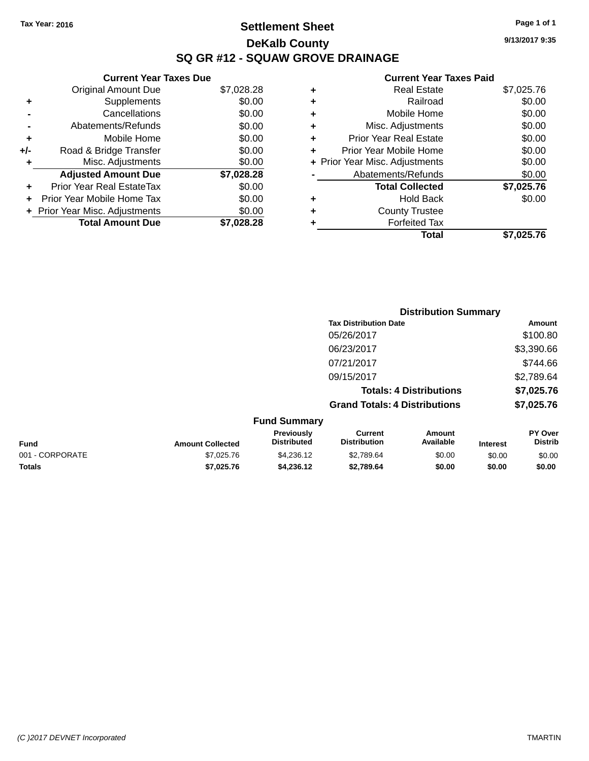# **Settlement Sheet Tax Year: 2016 Page 1 of 1 DeKalb County SQ GR #12 - SQUAW GROVE DRAINAGE**

**9/13/2017 9:35**

|     | <b>Current Year Taxes Due</b>  |            |
|-----|--------------------------------|------------|
|     | <b>Original Amount Due</b>     | \$7,028.28 |
| ÷   | Supplements                    | \$0.00     |
|     | Cancellations                  | \$0.00     |
|     | Abatements/Refunds             | \$0.00     |
| ٠   | Mobile Home                    | \$0.00     |
| +/- | Road & Bridge Transfer         | \$0.00     |
|     | Misc. Adjustments              | \$0.00     |
|     | <b>Adjusted Amount Due</b>     | \$7,028.28 |
| ÷   | Prior Year Real EstateTax      | \$0.00     |
|     | Prior Year Mobile Home Tax     | \$0.00     |
|     | + Prior Year Misc. Adjustments | \$0.00     |
|     | <b>Total Amount Due</b>        | \$7,028.28 |
|     |                                |            |

| ٠ | <b>Real Estate</b>             | \$7,025.76 |
|---|--------------------------------|------------|
| ٠ | Railroad                       | \$0.00     |
| ٠ | Mobile Home                    | \$0.00     |
| ٠ | Misc. Adjustments              | \$0.00     |
| ٠ | <b>Prior Year Real Estate</b>  | \$0.00     |
| ٠ | Prior Year Mobile Home         | \$0.00     |
|   | + Prior Year Misc. Adjustments | \$0.00     |
|   | Abatements/Refunds             | \$0.00     |
|   | <b>Total Collected</b>         | \$7,025.76 |
| ٠ | <b>Hold Back</b>               | \$0.00     |
| ÷ | <b>County Trustee</b>          |            |
| ٠ | <b>Forfeited Tax</b>           |            |
|   | Total                          | \$7,025.76 |
|   |                                |            |

|                 |                         |                                  | <b>Distribution Summary</b>           |                                |                 |                           |
|-----------------|-------------------------|----------------------------------|---------------------------------------|--------------------------------|-----------------|---------------------------|
|                 |                         |                                  | <b>Tax Distribution Date</b>          |                                |                 | Amount                    |
|                 |                         |                                  | 05/26/2017                            |                                |                 | \$100.80                  |
|                 |                         |                                  | 06/23/2017                            |                                |                 | \$3,390.66                |
|                 |                         |                                  | 07/21/2017                            |                                |                 | \$744.66                  |
|                 |                         |                                  | 09/15/2017                            |                                |                 | \$2,789.64                |
|                 |                         |                                  |                                       | <b>Totals: 4 Distributions</b> |                 | \$7,025.76                |
|                 |                         |                                  | <b>Grand Totals: 4 Distributions</b>  |                                |                 | \$7,025.76                |
|                 |                         | <b>Fund Summary</b>              |                                       |                                |                 |                           |
| <b>Fund</b>     | <b>Amount Collected</b> | Previously<br><b>Distributed</b> | <b>Current</b><br><b>Distribution</b> | Amount<br>Available            | <b>Interest</b> | PY Over<br><b>Distrib</b> |
| 001 - CORPORATE | \$7,025.76              | \$4,236.12                       | \$2,789.64                            | \$0.00                         | \$0.00          | \$0.00                    |
| <b>Totals</b>   | \$7,025.76              | \$4,236.12                       | \$2,789.64                            | \$0.00                         | \$0.00          | \$0.00                    |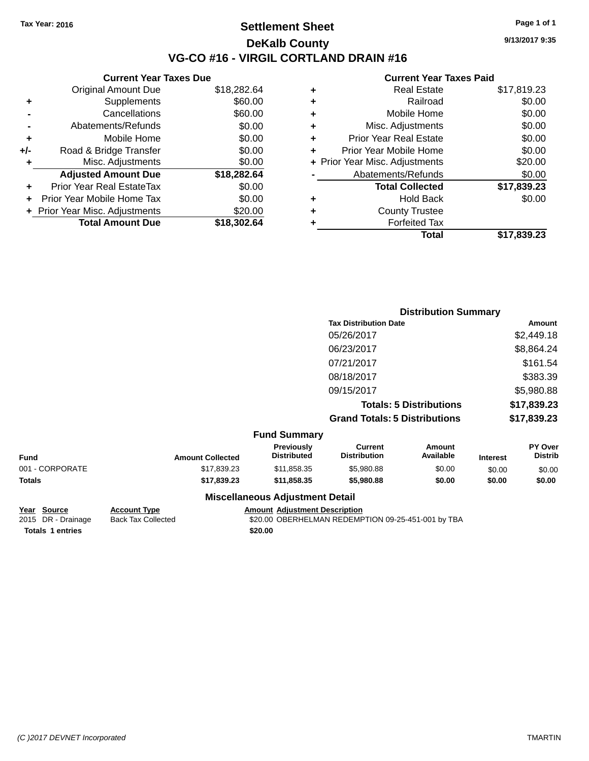### **Settlement Sheet Tax Year: 2016 Page 1 of 1 DeKalb County VG-CO #16 - VIRGIL CORTLAND DRAIN #16**

**9/13/2017 9:35**

#### **Current Year Taxes Paid**

|     | <b>Current Year Taxes Due</b>  |             |
|-----|--------------------------------|-------------|
|     | <b>Original Amount Due</b>     | \$18,282.64 |
| ÷   | Supplements                    | \$60.00     |
|     | Cancellations                  | \$60.00     |
|     | Abatements/Refunds             | \$0.00      |
| ٠   | Mobile Home                    | \$0.00      |
| +/- | Road & Bridge Transfer         | \$0.00      |
| ٠   | Misc. Adjustments              | \$0.00      |
|     | <b>Adjusted Amount Due</b>     | \$18,282.64 |
| ٠   | Prior Year Real EstateTax      | \$0.00      |
| ÷   | Prior Year Mobile Home Tax     | \$0.00      |
|     | + Prior Year Misc. Adjustments | \$20.00     |
|     | <b>Total Amount Due</b>        | \$18,302.64 |

| ٠ | <b>Real Estate</b>             | \$17,819.23 |
|---|--------------------------------|-------------|
| ٠ | Railroad                       | \$0.00      |
| ٠ | Mobile Home                    | \$0.00      |
| ٠ | Misc. Adjustments              | \$0.00      |
| ٠ | <b>Prior Year Real Estate</b>  | \$0.00      |
| ٠ | Prior Year Mobile Home         | \$0.00      |
|   | + Prior Year Misc. Adjustments | \$20.00     |
|   | Abatements/Refunds             | \$0.00      |
|   | <b>Total Collected</b>         | \$17,839.23 |
| ٠ | <b>Hold Back</b>               | \$0.00      |
| ٠ | <b>County Trustee</b>          |             |
| ٠ | <b>Forfeited Tax</b>           |             |
|   | Total                          | \$17,839.23 |

|                     | <b>Distribution Summary</b>          |             |  |
|---------------------|--------------------------------------|-------------|--|
|                     | <b>Tax Distribution Date</b>         | Amount      |  |
|                     | 05/26/2017                           | \$2,449.18  |  |
|                     | 06/23/2017                           | \$8,864.24  |  |
|                     | 07/21/2017                           | \$161.54    |  |
|                     | 08/18/2017                           | \$383.39    |  |
|                     | 09/15/2017                           | \$5,980.88  |  |
|                     | <b>Totals: 5 Distributions</b>       | \$17,839.23 |  |
|                     | <b>Grand Totals: 5 Distributions</b> | \$17,839.23 |  |
| <b>Fund Summary</b> |                                      |             |  |

|                 |                         | .  va                                   |                                |                     |                 |                                  |  |  |
|-----------------|-------------------------|-----------------------------------------|--------------------------------|---------------------|-----------------|----------------------------------|--|--|
| Fund            | <b>Amount Collected</b> | <b>Previously</b><br><b>Distributed</b> | Current<br><b>Distribution</b> | Amount<br>Available | <b>Interest</b> | <b>PY Over</b><br><b>Distrib</b> |  |  |
| 001 - CORPORATE | \$17,839.23             | \$11,858.35                             | \$5,980.88                     | \$0.00              | \$0.00          | \$0.00                           |  |  |
| Totals          | \$17.839.23             | \$11.858.35                             | \$5,980.88                     | \$0.00              | \$0.00          | \$0.00                           |  |  |
|                 |                         |                                         |                                |                     |                 |                                  |  |  |

### **Year Source Account Type Amount Adjustment Description Totals 1 entries** \$20.00

#### **Miscellaneous Adjustment Detail**

Back Tax Collected **320.00** OBERHELMAN REDEMPTION 09-25-451-001 by TBA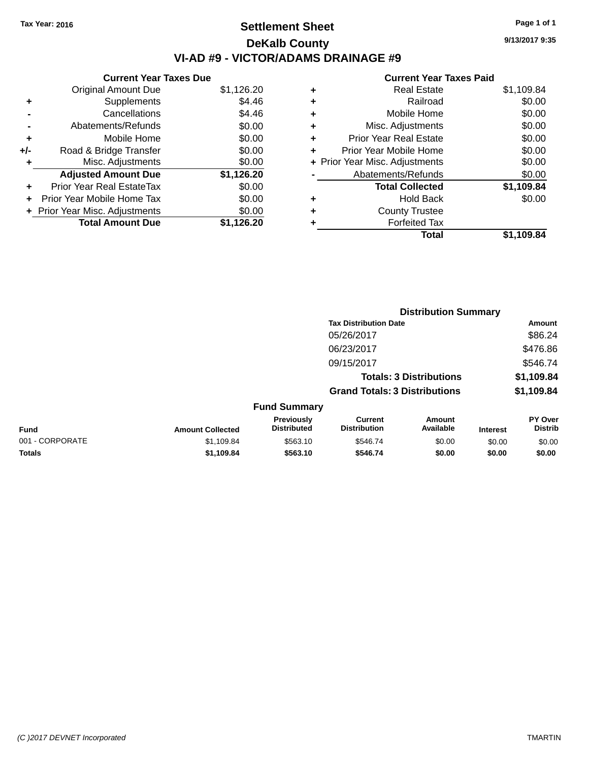# **Settlement Sheet Tax Year: 2016 Page 1 of 1 DeKalb County VI-AD #9 - VICTOR/ADAMS DRAINAGE #9**

**Current Year Taxes Due** Original Amount Due \$1,126.20 **+** Supplements \$4.46 **-** Cancellations \$4.46 **-** Abatements/Refunds \$0.00 **+** Mobile Home \$0.00 **+/-** Road & Bridge Transfer \$0.00 **+** Misc. Adjustments \$0.00 **Adjusted Amount Due \$1,126.20 +** Prior Year Real EstateTax \$0.00 **+** Prior Year Mobile Home Tax \$0.00 **+ Prior Year Misc. Adjustments**  $$0.00$ **Total Amount Due \$1,126.20**

|   | <b>Real Estate</b>             | \$1,109.84 |
|---|--------------------------------|------------|
| ٠ | Railroad                       | \$0.00     |
| ٠ | Mobile Home                    | \$0.00     |
| ٠ | Misc. Adjustments              | \$0.00     |
| ٠ | <b>Prior Year Real Estate</b>  | \$0.00     |
| ٠ | Prior Year Mobile Home         | \$0.00     |
|   | + Prior Year Misc. Adjustments | \$0.00     |
|   | Abatements/Refunds             | \$0.00     |
|   | <b>Total Collected</b>         | \$1,109.84 |
| ٠ | <b>Hold Back</b>               | \$0.00     |
| ٠ | <b>County Trustee</b>          |            |
| ٠ | <b>Forfeited Tax</b>           |            |
|   | Total                          | \$1,109.84 |

|                 |                         | <b>Distribution Summary</b>             |                                       |                                |                 |                           |
|-----------------|-------------------------|-----------------------------------------|---------------------------------------|--------------------------------|-----------------|---------------------------|
|                 |                         |                                         | <b>Tax Distribution Date</b>          |                                |                 | Amount                    |
|                 |                         |                                         | 05/26/2017                            |                                |                 | \$86.24                   |
|                 |                         |                                         | 06/23/2017                            |                                |                 | \$476.86                  |
|                 |                         |                                         | 09/15/2017                            |                                |                 | \$546.74                  |
|                 |                         |                                         |                                       | <b>Totals: 3 Distributions</b> |                 | \$1,109.84                |
|                 |                         |                                         | <b>Grand Totals: 3 Distributions</b>  |                                |                 | \$1,109.84                |
|                 |                         | <b>Fund Summary</b>                     |                                       |                                |                 |                           |
| Fund            | <b>Amount Collected</b> | <b>Previously</b><br><b>Distributed</b> | <b>Current</b><br><b>Distribution</b> | Amount<br>Available            | <b>Interest</b> | PY Over<br><b>Distrib</b> |
| 001 - CORPORATE | \$1,109.84              | \$563.10                                | \$546.74                              | \$0.00                         | \$0.00          | \$0.00                    |
| <b>Totals</b>   | \$1,109.84              | \$563.10                                | \$546.74                              | \$0.00                         | \$0.00          | \$0.00                    |
|                 |                         |                                         |                                       |                                |                 |                           |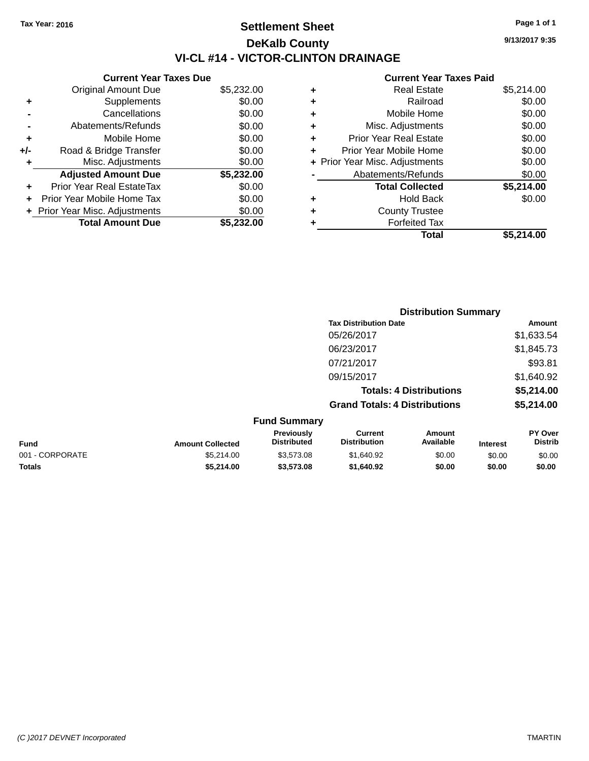# **Settlement Sheet Tax Year: 2016 Page 1 of 1 DeKalb County VI-CL #14 - VICTOR-CLINTON DRAINAGE**

**Current Year Taxes Due** Original Amount Due \$5,232.00 **+** Supplements \$0.00 **-** Cancellations \$0.00 **-** Abatements/Refunds \$0.00 **+** Mobile Home \$0.00 **+/-** Road & Bridge Transfer \$0.00 **+** Misc. Adjustments \$0.00 **Adjusted Amount Due \$5,232.00 +** Prior Year Real EstateTax \$0.00 **+** Prior Year Mobile Home Tax \$0.00 **+ Prior Year Misc. Adjustments**  $$0.00$ **Total Amount Due \$5,232.00**

|   | <b>Real Estate</b>             | \$5,214.00 |
|---|--------------------------------|------------|
| ٠ | Railroad                       | \$0.00     |
| ٠ | Mobile Home                    | \$0.00     |
| ٠ | Misc. Adjustments              | \$0.00     |
| ٠ | <b>Prior Year Real Estate</b>  | \$0.00     |
| ٠ | Prior Year Mobile Home         | \$0.00     |
|   | + Prior Year Misc. Adjustments | \$0.00     |
|   | Abatements/Refunds             | \$0.00     |
|   | <b>Total Collected</b>         | \$5,214.00 |
| ٠ | <b>Hold Back</b>               | \$0.00     |
| ٠ | <b>County Trustee</b>          |            |
| ٠ | <b>Forfeited Tax</b>           |            |
|   | Total                          | \$5.214.00 |
|   |                                |            |

|                 |                         |                                         | <b>Distribution Summary</b>           |                                |                 |                           |
|-----------------|-------------------------|-----------------------------------------|---------------------------------------|--------------------------------|-----------------|---------------------------|
|                 |                         |                                         | <b>Tax Distribution Date</b>          |                                |                 | Amount                    |
|                 |                         |                                         | 05/26/2017                            |                                |                 | \$1,633.54                |
|                 |                         |                                         | 06/23/2017                            |                                |                 | \$1,845.73                |
|                 |                         |                                         | 07/21/2017                            |                                |                 | \$93.81                   |
|                 |                         |                                         | 09/15/2017                            |                                |                 | \$1,640.92                |
|                 |                         |                                         |                                       | <b>Totals: 4 Distributions</b> |                 | \$5,214.00                |
|                 |                         |                                         | <b>Grand Totals: 4 Distributions</b>  |                                |                 | \$5,214.00                |
|                 |                         | <b>Fund Summary</b>                     |                                       |                                |                 |                           |
| <b>Fund</b>     | <b>Amount Collected</b> | <b>Previously</b><br><b>Distributed</b> | <b>Current</b><br><b>Distribution</b> | Amount<br>Available            | <b>Interest</b> | PY Over<br><b>Distrib</b> |
| 001 - CORPORATE | \$5,214.00              | \$3,573.08                              | \$1,640.92                            | \$0.00                         | \$0.00          | \$0.00                    |
| <b>Totals</b>   | \$5,214.00              | \$3,573.08                              | \$1,640.92                            | \$0.00                         | \$0.00          | \$0.00                    |